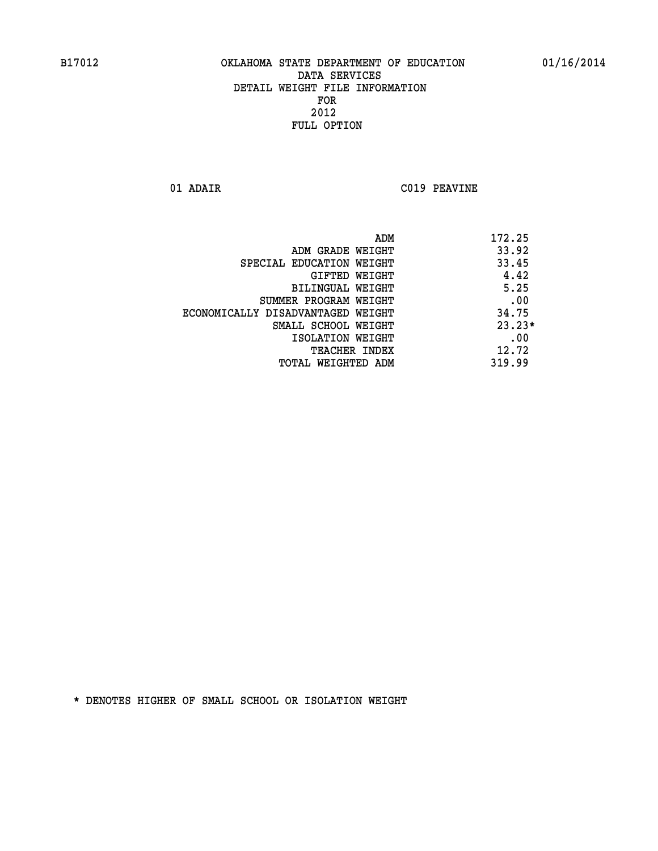**01 ADAIR C019 PEAVINE** 

|                                   | ADM | 172.25   |
|-----------------------------------|-----|----------|
| ADM GRADE WEIGHT                  |     | 33.92    |
| SPECIAL EDUCATION WEIGHT          |     | 33.45    |
| GIFTED WEIGHT                     |     | 4.42     |
| BILINGUAL WEIGHT                  |     | 5.25     |
| SUMMER PROGRAM WEIGHT             |     | .00      |
| ECONOMICALLY DISADVANTAGED WEIGHT |     | 34.75    |
| SMALL SCHOOL WEIGHT               |     | $23.23*$ |
| ISOLATION WEIGHT                  |     | .00      |
| <b>TEACHER INDEX</b>              |     | 12.72    |
| TOTAL WEIGHTED ADM                |     | 319.99   |
|                                   |     |          |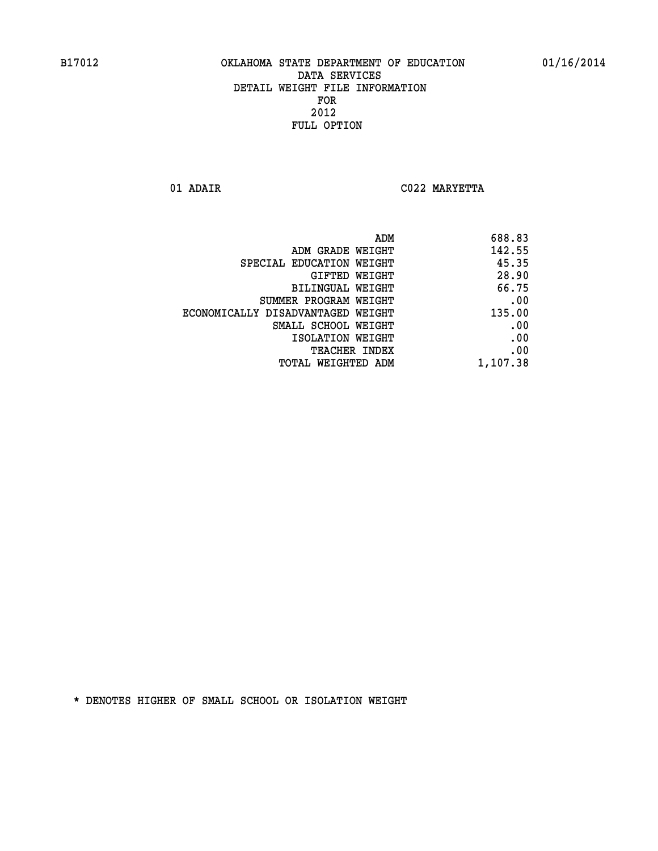**01 ADAIR C022 MARYETTA** 

|                                   | 688.83<br>ADM |
|-----------------------------------|---------------|
| ADM GRADE WEIGHT                  | 142.55        |
| SPECIAL EDUCATION WEIGHT          | 45.35         |
| GIFTED WEIGHT                     | 28.90         |
| BILINGUAL WEIGHT                  | 66.75         |
| SUMMER PROGRAM WEIGHT             | .00           |
| ECONOMICALLY DISADVANTAGED WEIGHT | 135.00        |
| SMALL SCHOOL WEIGHT               | .00           |
| ISOLATION WEIGHT                  | .00           |
| TEACHER INDEX                     | .00           |
| TOTAL WEIGHTED ADM                | 1,107.38      |
|                                   |               |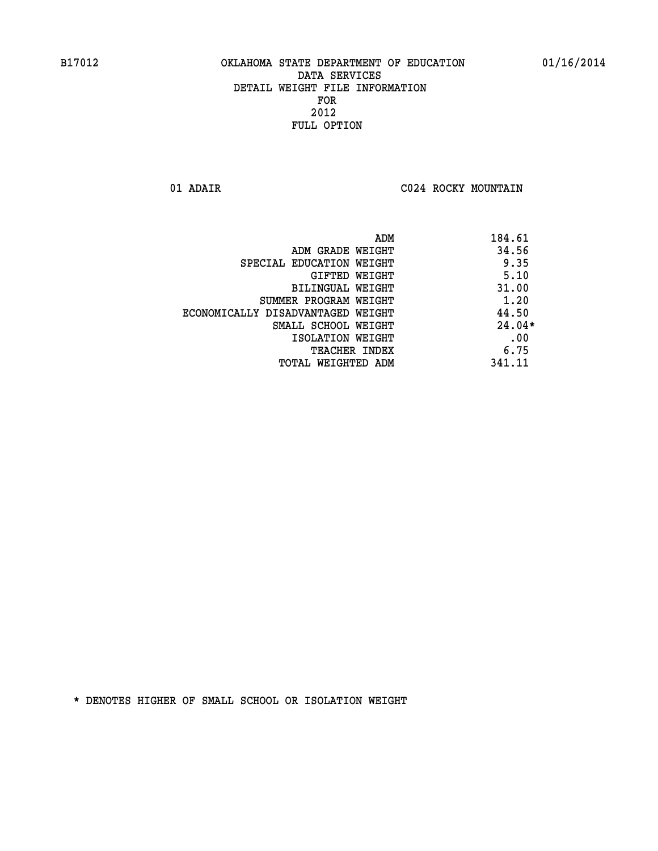**01 ADAIR C024 ROCKY MOUNTAIN** 

|                                   | ADM    | 184.61   |
|-----------------------------------|--------|----------|
| ADM GRADE WEIGHT                  |        | 34.56    |
| SPECIAL EDUCATION WEIGHT          |        | 9.35     |
| GIFTED WEIGHT                     |        | 5.10     |
| BILINGUAL WEIGHT                  |        | 31.00    |
| SUMMER PROGRAM WEIGHT             |        | 1.20     |
| ECONOMICALLY DISADVANTAGED WEIGHT |        | 44.50    |
| SMALL SCHOOL WEIGHT               |        | $24.04*$ |
| ISOLATION WEIGHT                  |        | .00      |
| <b>TEACHER INDEX</b>              |        | 6.75     |
| TOTAL WEIGHTED ADM                | 341.11 |          |
|                                   |        |          |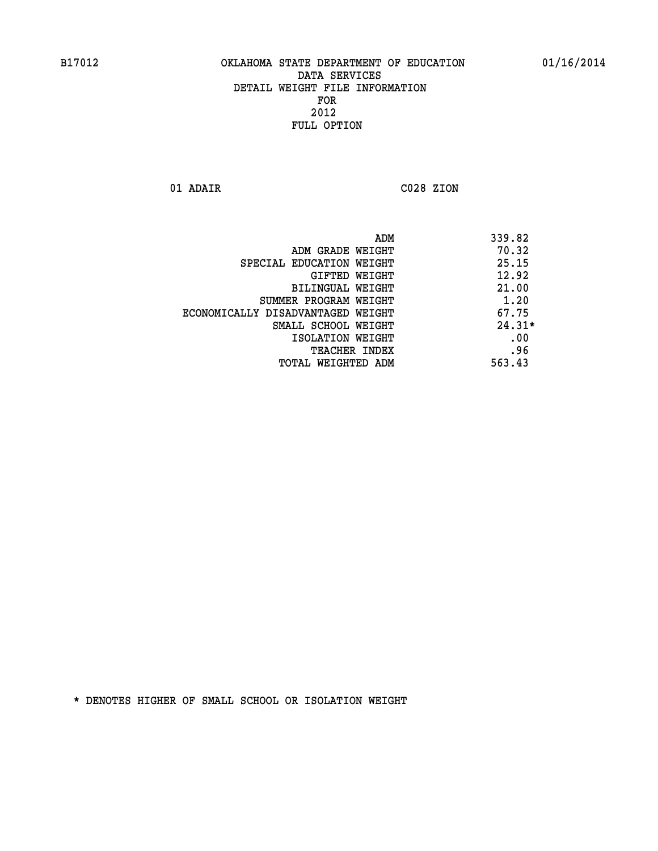**01 ADAIR C028 ZION** 

|                                   | 339.82<br>ADM |
|-----------------------------------|---------------|
| ADM GRADE WEIGHT                  | 70.32         |
| SPECIAL EDUCATION WEIGHT          | 25.15         |
| GIFTED WEIGHT                     | 12.92         |
| BILINGUAL WEIGHT                  | 21.00         |
| SUMMER PROGRAM WEIGHT             | 1.20          |
| ECONOMICALLY DISADVANTAGED WEIGHT | 67.75         |
| SMALL SCHOOL WEIGHT               | $24.31*$      |
| ISOLATION WEIGHT                  | .00           |
| <b>TEACHER INDEX</b>              | .96           |
| TOTAL WEIGHTED ADM                | 563.43        |
|                                   |               |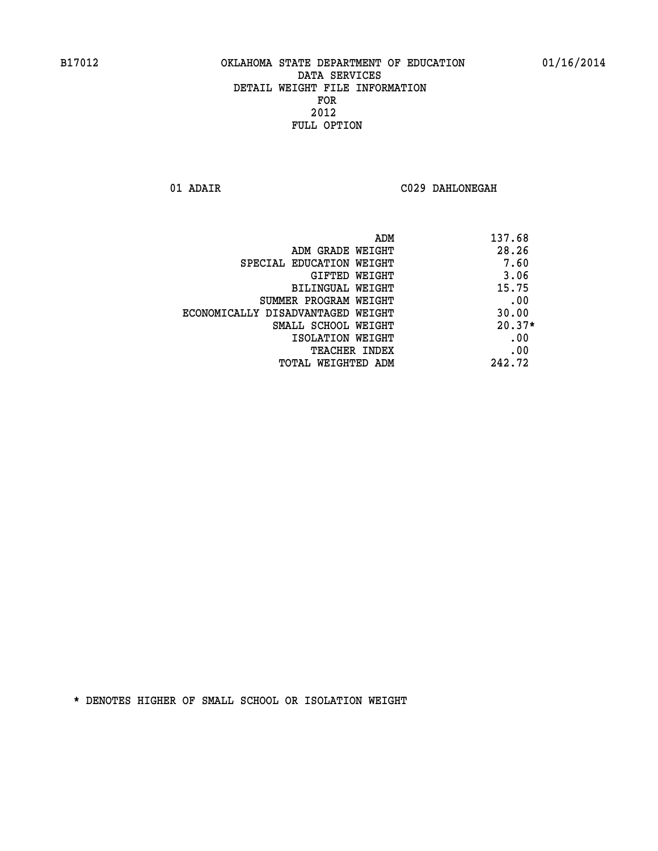**01 ADAIR C029 DAHLONEGAH** 

|                                   | ADM | 137.68   |
|-----------------------------------|-----|----------|
| ADM GRADE WEIGHT                  |     | 28.26    |
| SPECIAL EDUCATION WEIGHT          |     | 7.60     |
| GIFTED WEIGHT                     |     | 3.06     |
| <b>BILINGUAL WEIGHT</b>           |     | 15.75    |
| SUMMER PROGRAM WEIGHT             |     | .00      |
| ECONOMICALLY DISADVANTAGED WEIGHT |     | 30.00    |
| SMALL SCHOOL WEIGHT               |     | $20.37*$ |
| ISOLATION WEIGHT                  |     | .00      |
| <b>TEACHER INDEX</b>              |     | .00      |
| TOTAL WEIGHTED ADM                |     | 242.72   |
|                                   |     |          |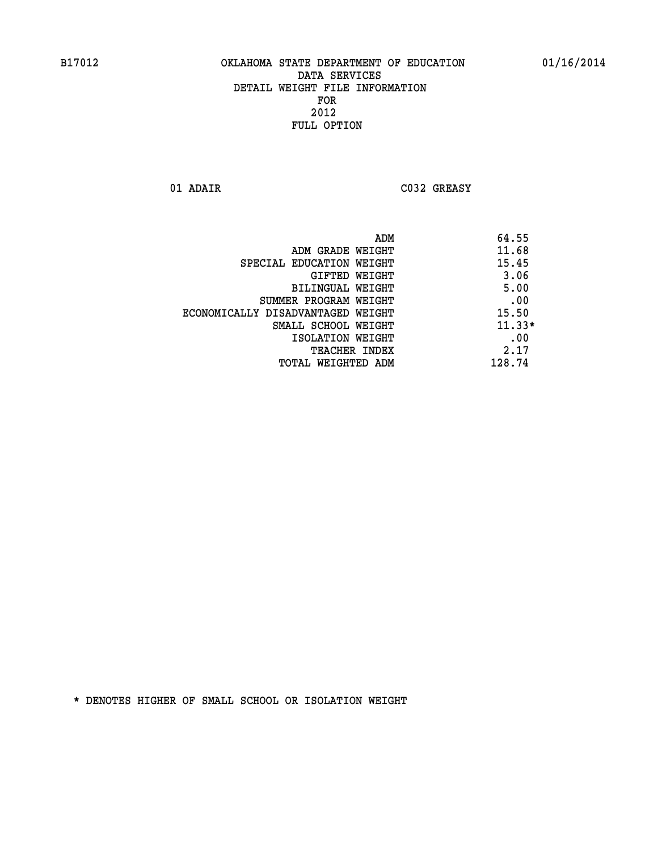**01 ADAIR C032 GREASY** 

|                                   | ADM | 64.55    |
|-----------------------------------|-----|----------|
| ADM GRADE WEIGHT                  |     | 11.68    |
| SPECIAL EDUCATION WEIGHT          |     | 15.45    |
| GIFTED WEIGHT                     |     | 3.06     |
| BILINGUAL WEIGHT                  |     | 5.00     |
| SUMMER PROGRAM WEIGHT             |     | .00      |
| ECONOMICALLY DISADVANTAGED WEIGHT |     | 15.50    |
| SMALL SCHOOL WEIGHT               |     | $11.33*$ |
| ISOLATION WEIGHT                  |     | .00      |
| TEACHER INDEX                     |     | 2.17     |
| TOTAL WEIGHTED ADM                |     | 128.74   |
|                                   |     |          |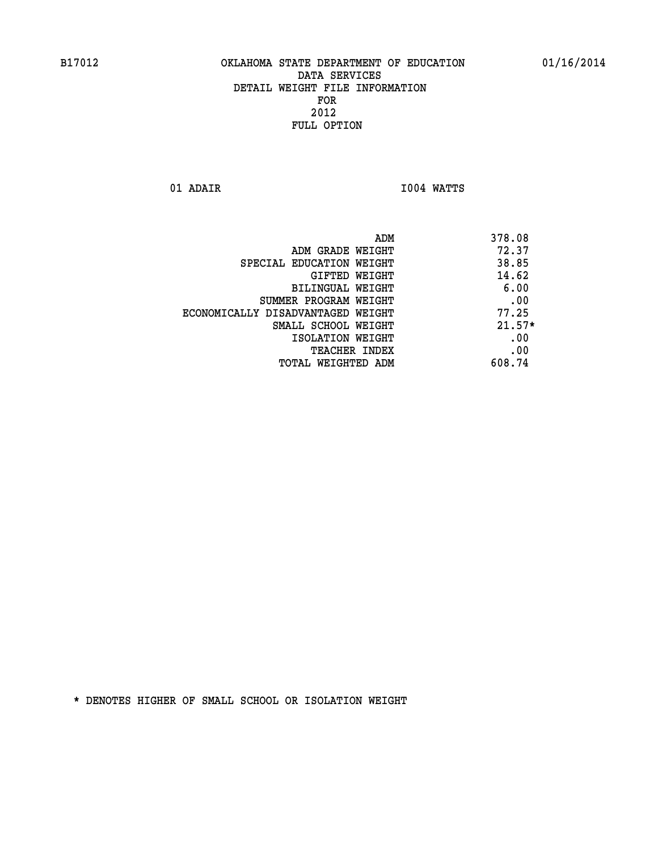**01 ADAIR I004 WATTS** 

|                                   | 378.08<br>ADM |  |
|-----------------------------------|---------------|--|
| ADM GRADE WEIGHT                  | 72.37         |  |
| SPECIAL EDUCATION WEIGHT          | 38.85         |  |
| GIFTED WEIGHT                     | 14.62         |  |
| BILINGUAL WEIGHT                  | 6.00          |  |
| SUMMER PROGRAM WEIGHT             | .00           |  |
| ECONOMICALLY DISADVANTAGED WEIGHT | 77.25         |  |
| SMALL SCHOOL WEIGHT               | $21.57*$      |  |
| ISOLATION WEIGHT                  | .00           |  |
| <b>TEACHER INDEX</b>              | .00           |  |
| TOTAL WEIGHTED ADM                | 608.74        |  |
|                                   |               |  |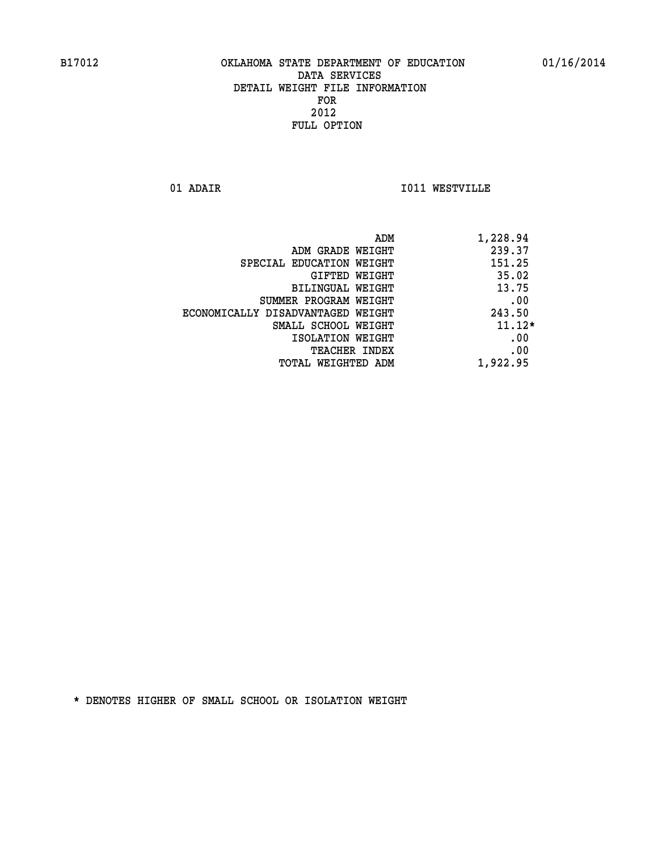**01 ADAIR I011 WESTVILLE** 

|                                   | ADM<br>1,228.94 |
|-----------------------------------|-----------------|
| ADM GRADE WEIGHT                  | 239.37          |
| SPECIAL EDUCATION WEIGHT          | 151.25          |
| GIFTED WEIGHT                     | 35.02           |
| <b>BILINGUAL WEIGHT</b>           | 13.75           |
| SUMMER PROGRAM WEIGHT             | .00             |
| ECONOMICALLY DISADVANTAGED WEIGHT | 243.50          |
| SMALL SCHOOL WEIGHT               | $11.12*$        |
| ISOLATION WEIGHT                  | .00             |
| <b>TEACHER INDEX</b>              | .00             |
| TOTAL WEIGHTED ADM                | 1,922.95        |
|                                   |                 |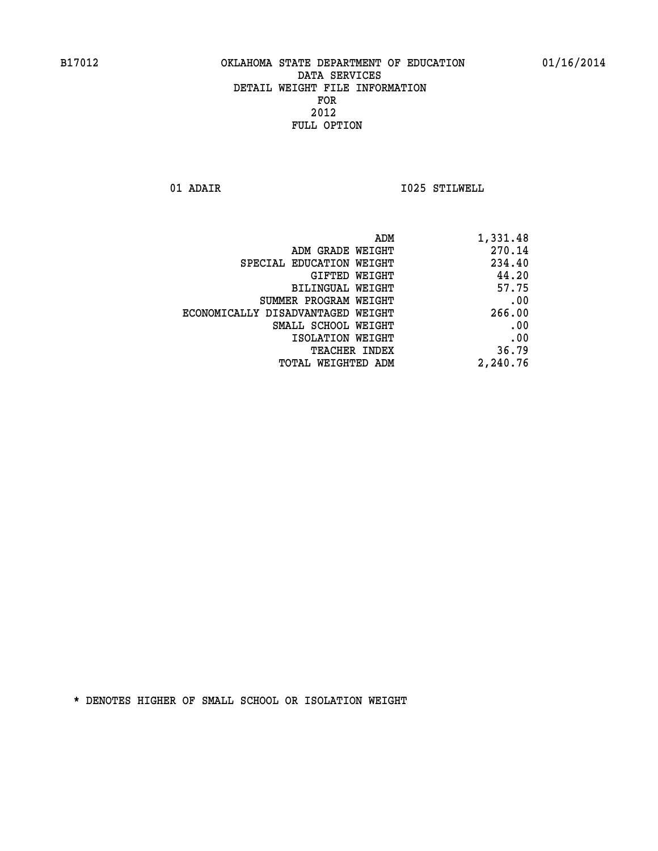**01 ADAIR I025 STILWELL** 

| ADM                               | 1,331.48 |
|-----------------------------------|----------|
| ADM GRADE WEIGHT                  | 270.14   |
| SPECIAL EDUCATION WEIGHT          | 234.40   |
| GIFTED WEIGHT                     | 44.20    |
| BILINGUAL WEIGHT                  | 57.75    |
| SUMMER PROGRAM WEIGHT             | .00      |
| ECONOMICALLY DISADVANTAGED WEIGHT | 266.00   |
| SMALL SCHOOL WEIGHT               | .00      |
| ISOLATION WEIGHT                  | .00      |
| TEACHER INDEX                     | 36.79    |
| TOTAL WEIGHTED ADM                | 2,240.76 |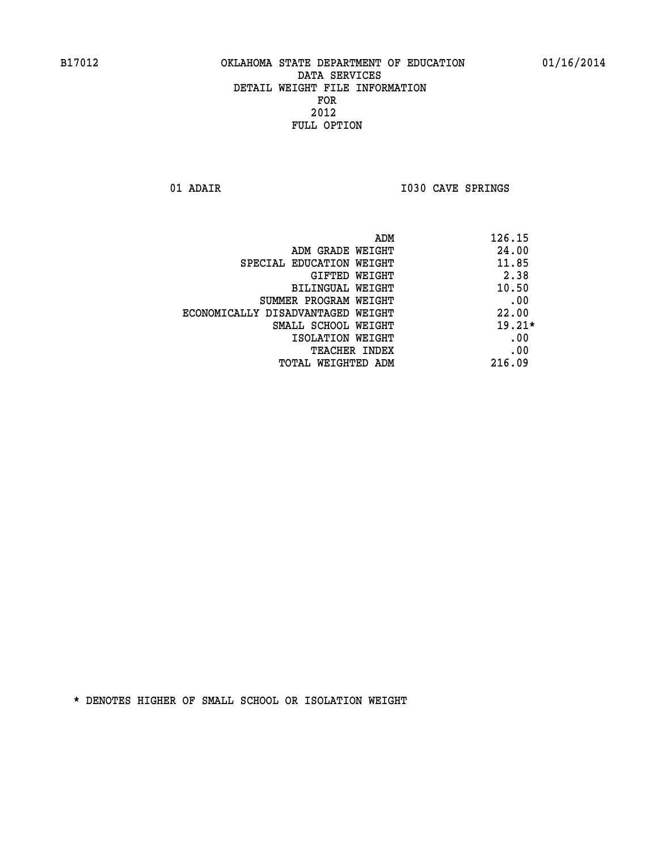**01 ADAIR I030 CAVE SPRINGS** 

|                                   | 126.15<br>ADM |
|-----------------------------------|---------------|
| ADM GRADE WEIGHT                  | 24.00         |
| SPECIAL EDUCATION WEIGHT          | 11.85         |
| GIFTED WEIGHT                     | 2.38          |
| BILINGUAL WEIGHT                  | 10.50         |
| SUMMER PROGRAM WEIGHT             | .00           |
| ECONOMICALLY DISADVANTAGED WEIGHT | 22.00         |
| SMALL SCHOOL WEIGHT               | $19.21*$      |
| ISOLATION WEIGHT                  | .00           |
| <b>TEACHER INDEX</b>              | .00           |
| TOTAL WEIGHTED ADM                | 216.09        |
|                                   |               |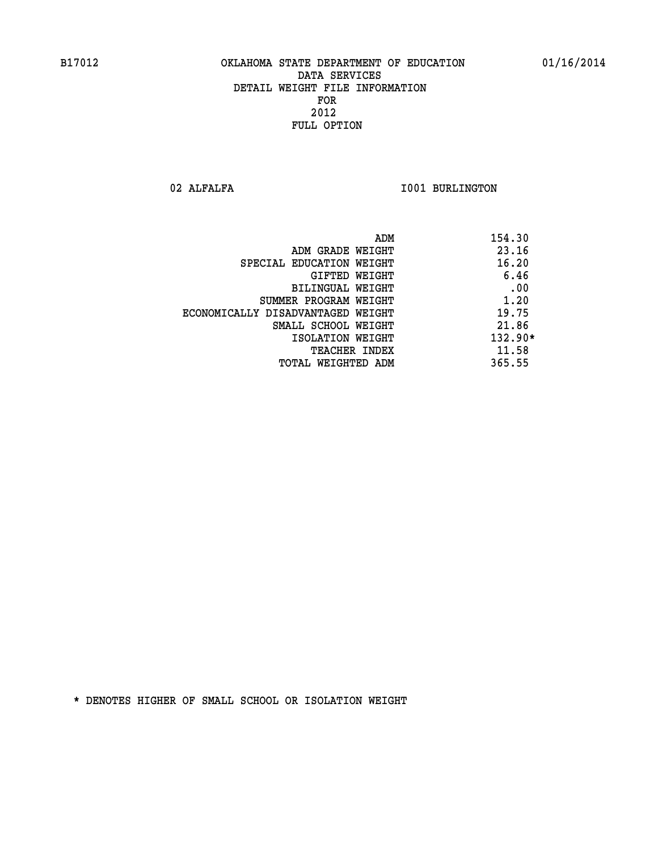02 ALFALFA **I001 BURLINGTON** 

| 154.30<br>ADM                              |  |
|--------------------------------------------|--|
| 23.16<br>ADM GRADE WEIGHT                  |  |
| 16.20<br>SPECIAL EDUCATION WEIGHT          |  |
| 6.46<br>GIFTED WEIGHT                      |  |
| .00<br>BILINGUAL WEIGHT                    |  |
| 1.20<br>SUMMER PROGRAM WEIGHT              |  |
| 19.75<br>ECONOMICALLY DISADVANTAGED WEIGHT |  |
| 21.86<br>SMALL SCHOOL WEIGHT               |  |
| $132.90*$<br>ISOLATION WEIGHT              |  |
| 11.58<br><b>TEACHER INDEX</b>              |  |
| 365.55<br>TOTAL WEIGHTED ADM               |  |
|                                            |  |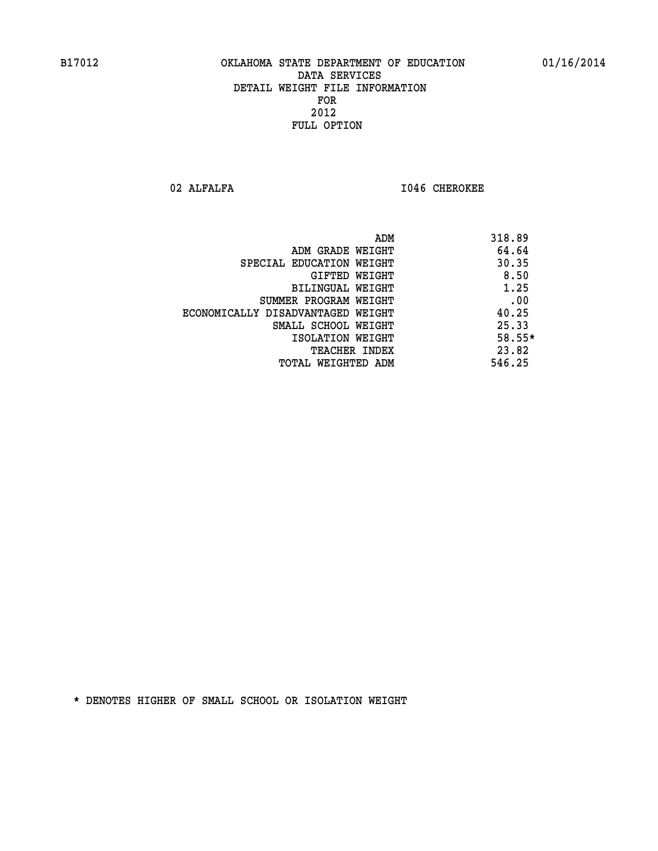02 ALFALFA **I046 CHEROKEE** 

|                                   | ADM | 318.89 |
|-----------------------------------|-----|--------|
| ADM GRADE WEIGHT                  |     | 64.64  |
| SPECIAL EDUCATION WEIGHT          |     | 30.35  |
| GIFTED WEIGHT                     |     | 8.50   |
| BILINGUAL WEIGHT                  |     | 1.25   |
| SUMMER PROGRAM WEIGHT             |     | .00    |
| ECONOMICALLY DISADVANTAGED WEIGHT |     | 40.25  |
| SMALL SCHOOL WEIGHT               |     | 25.33  |
| ISOLATION WEIGHT                  |     | 58.55* |
| TEACHER INDEX                     |     | 23.82  |
| TOTAL WEIGHTED ADM                |     | 546.25 |
|                                   |     |        |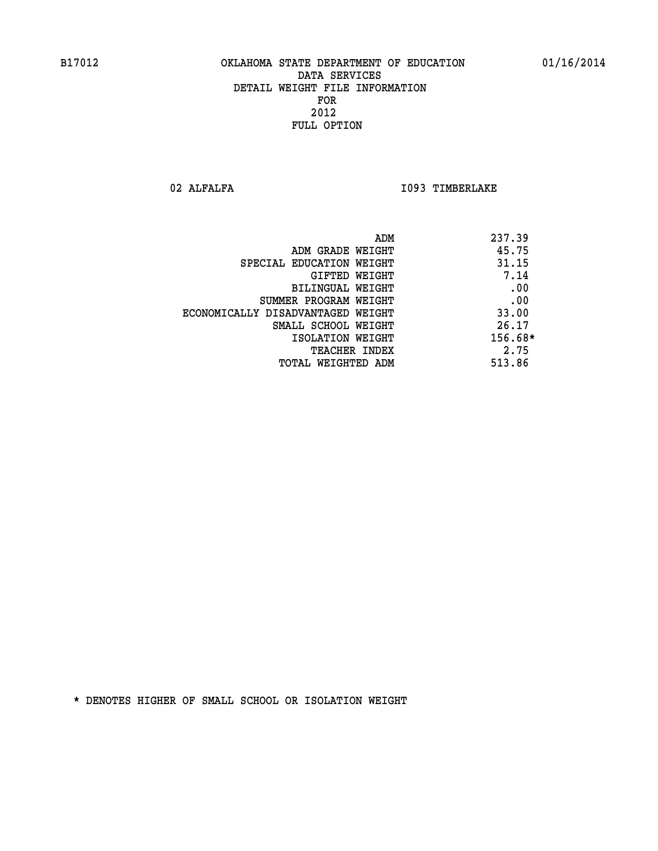02 ALFALFA **I093 TIMBERLAKE** 

| ADM                               | 237.39  |
|-----------------------------------|---------|
| ADM GRADE WEIGHT                  | 45.75   |
| SPECIAL EDUCATION WEIGHT          | 31.15   |
| GIFTED WEIGHT                     | 7.14    |
| BILINGUAL WEIGHT                  | .00     |
| SUMMER PROGRAM WEIGHT             | .00     |
| ECONOMICALLY DISADVANTAGED WEIGHT | 33.00   |
| SMALL SCHOOL WEIGHT               | 26.17   |
| ISOLATION WEIGHT                  | 156.68* |
| <b>TEACHER INDEX</b>              | 2.75    |
| TOTAL WEIGHTED ADM                | 513.86  |
|                                   |         |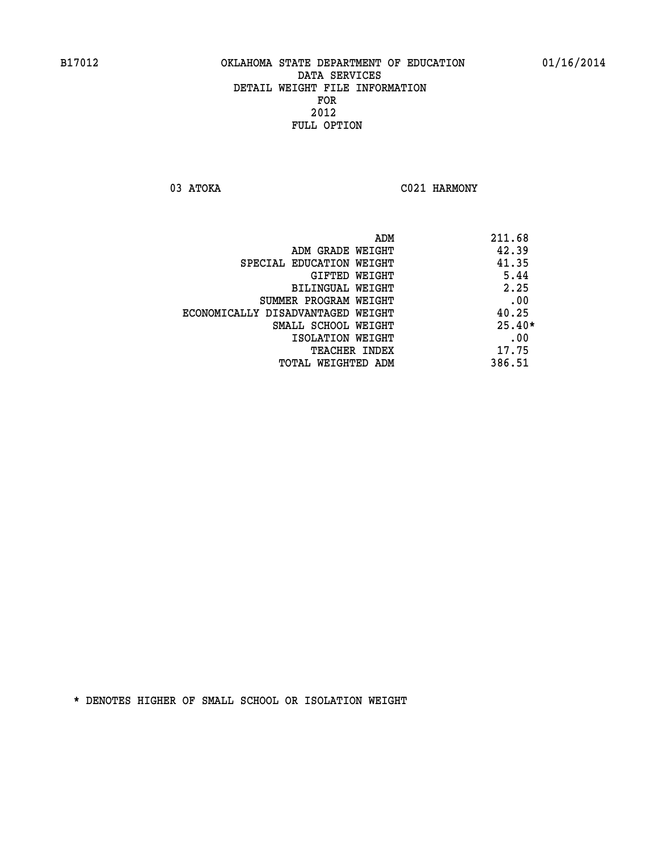03 ATOKA C021 HARMONY

|                                   | ADM | 211.68   |
|-----------------------------------|-----|----------|
| ADM GRADE WEIGHT                  |     | 42.39    |
| SPECIAL EDUCATION WEIGHT          |     | 41.35    |
| GIFTED WEIGHT                     |     | 5.44     |
| BILINGUAL WEIGHT                  |     | 2.25     |
| SUMMER PROGRAM WEIGHT             |     | .00      |
| ECONOMICALLY DISADVANTAGED WEIGHT |     | 40.25    |
| SMALL SCHOOL WEIGHT               |     | $25.40*$ |
| ISOLATION WEIGHT                  |     | .00      |
| <b>TEACHER INDEX</b>              |     | 17.75    |
| TOTAL WEIGHTED ADM                |     | 386.51   |
|                                   |     |          |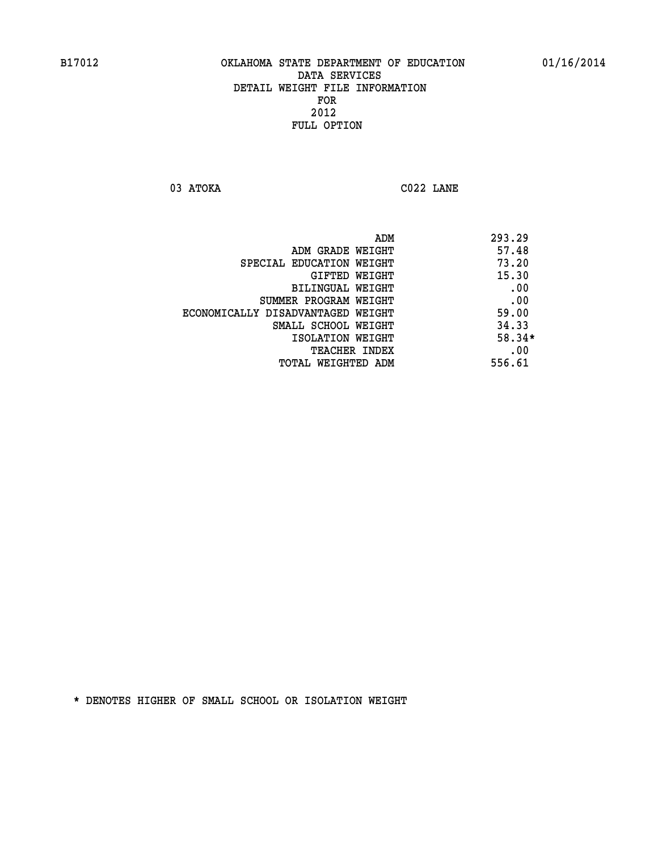**03 ATOKA C022 LANE** 

| ADM                               | 293.29   |
|-----------------------------------|----------|
| ADM GRADE WEIGHT                  | 57.48    |
| SPECIAL EDUCATION WEIGHT          | 73.20    |
| GIFTED WEIGHT                     | 15.30    |
| BILINGUAL WEIGHT                  | .00      |
| SUMMER PROGRAM WEIGHT             | .00      |
| ECONOMICALLY DISADVANTAGED WEIGHT | 59.00    |
| SMALL SCHOOL WEIGHT               | 34.33    |
| ISOLATION WEIGHT                  | $58.34*$ |
| <b>TEACHER INDEX</b>              | .00      |
| TOTAL WEIGHTED ADM                | 556.61   |
|                                   |          |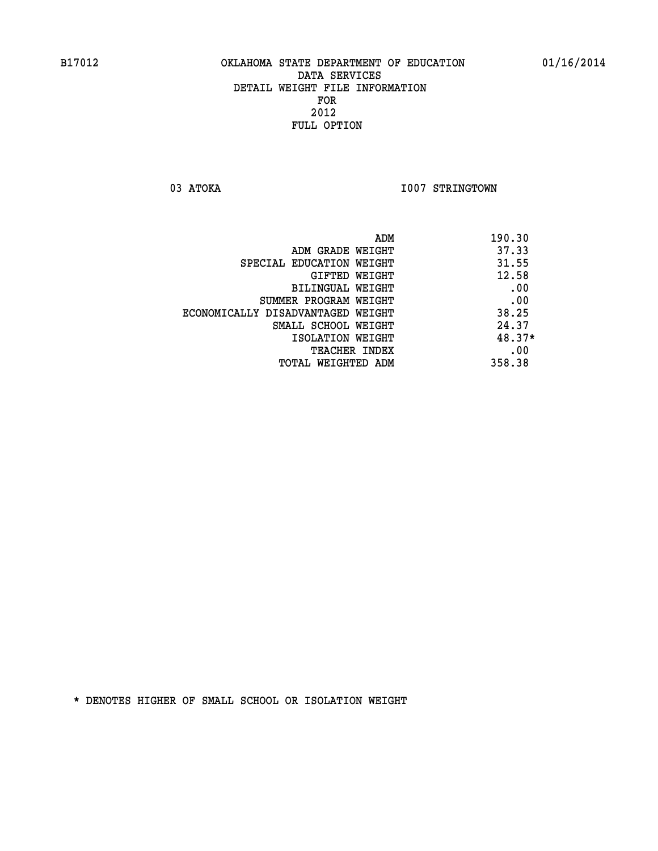03 ATOKA **I007 STRINGTOWN** 

| ADM                               | 190.30 |
|-----------------------------------|--------|
| ADM GRADE WEIGHT                  | 37.33  |
| SPECIAL EDUCATION WEIGHT          | 31.55  |
| GIFTED WEIGHT                     | 12.58  |
| BILINGUAL WEIGHT                  | .00    |
| SUMMER PROGRAM WEIGHT             | .00    |
| ECONOMICALLY DISADVANTAGED WEIGHT | 38.25  |
| SMALL SCHOOL WEIGHT               | 24.37  |
| ISOLATION WEIGHT                  | 48.37* |
| <b>TEACHER INDEX</b>              | .00    |
| TOTAL WEIGHTED ADM                | 358.38 |
|                                   |        |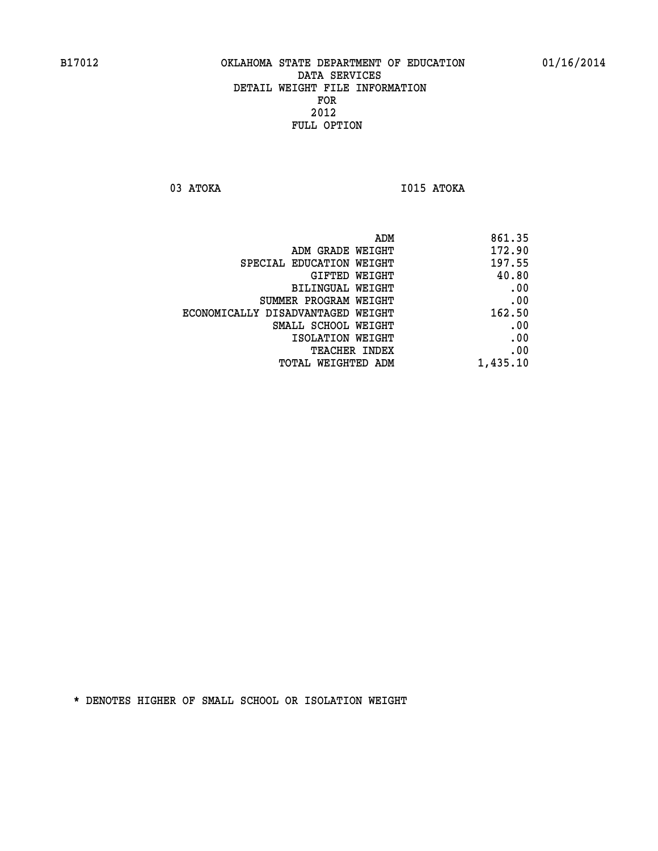**03 ATOKA I015 ATOKA** 

| ADM                               | 861.35   |
|-----------------------------------|----------|
| ADM GRADE WEIGHT                  | 172.90   |
| SPECIAL EDUCATION WEIGHT          | 197.55   |
| <b>GIFTED WEIGHT</b>              | 40.80    |
| <b>BILINGUAL WEIGHT</b>           | .00      |
| SUMMER PROGRAM WEIGHT             | .00      |
| ECONOMICALLY DISADVANTAGED WEIGHT | 162.50   |
| SMALL SCHOOL WEIGHT               | .00      |
| ISOLATION WEIGHT                  | .00      |
| TEACHER INDEX                     | .00      |
| TOTAL WEIGHTED ADM                | 1,435.10 |
|                                   |          |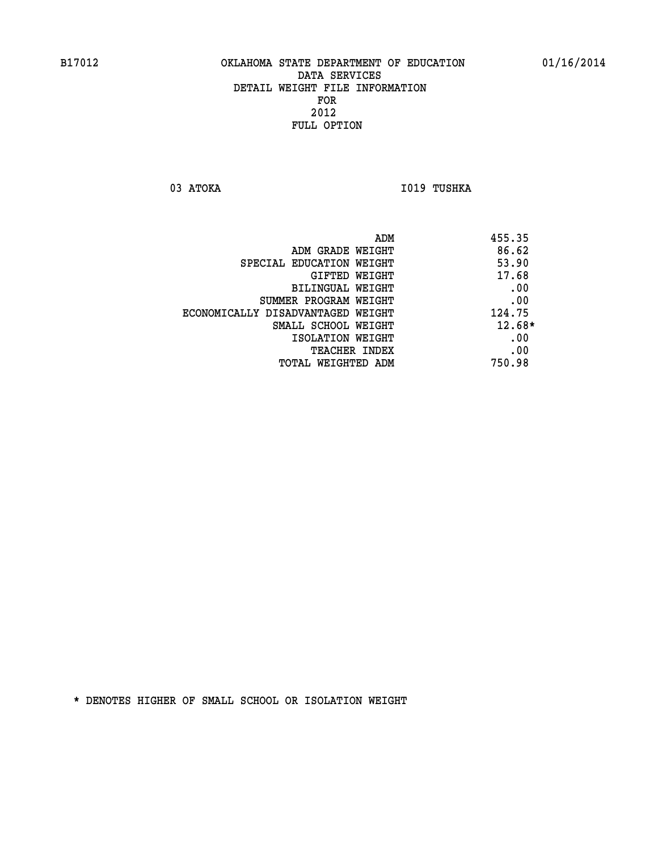03 ATOKA **I019 TUSHKA** 

| ADM                               | 455.35   |
|-----------------------------------|----------|
| ADM GRADE WEIGHT                  | 86.62    |
| SPECIAL EDUCATION WEIGHT          | 53.90    |
| GIFTED WEIGHT                     | 17.68    |
| BILINGUAL WEIGHT                  | .00      |
| SUMMER PROGRAM WEIGHT             | .00      |
| ECONOMICALLY DISADVANTAGED WEIGHT | 124.75   |
| SMALL SCHOOL WEIGHT               | $12.68*$ |
| ISOLATION WEIGHT                  | .00      |
| <b>TEACHER INDEX</b>              | .00      |
| TOTAL WEIGHTED ADM                | 750.98   |
|                                   |          |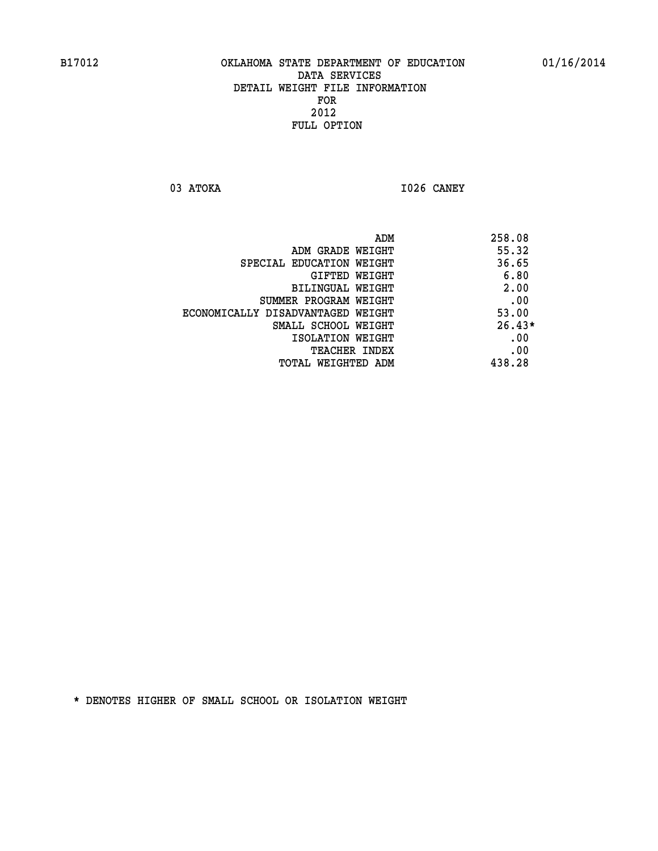**03 ATOKA I026 CANEY** 

|                                   | 258.08<br>ADM |
|-----------------------------------|---------------|
| ADM GRADE WEIGHT                  | 55.32         |
| SPECIAL EDUCATION WEIGHT          | 36.65         |
| GIFTED WEIGHT                     | 6.80          |
| BILINGUAL WEIGHT                  | 2.00          |
| SUMMER PROGRAM WEIGHT             | .00           |
| ECONOMICALLY DISADVANTAGED WEIGHT | 53.00         |
| SMALL SCHOOL WEIGHT               | $26.43*$      |
| ISOLATION WEIGHT                  | .00           |
| <b>TEACHER INDEX</b>              | .00           |
| TOTAL WEIGHTED ADM                | 438.28        |
|                                   |               |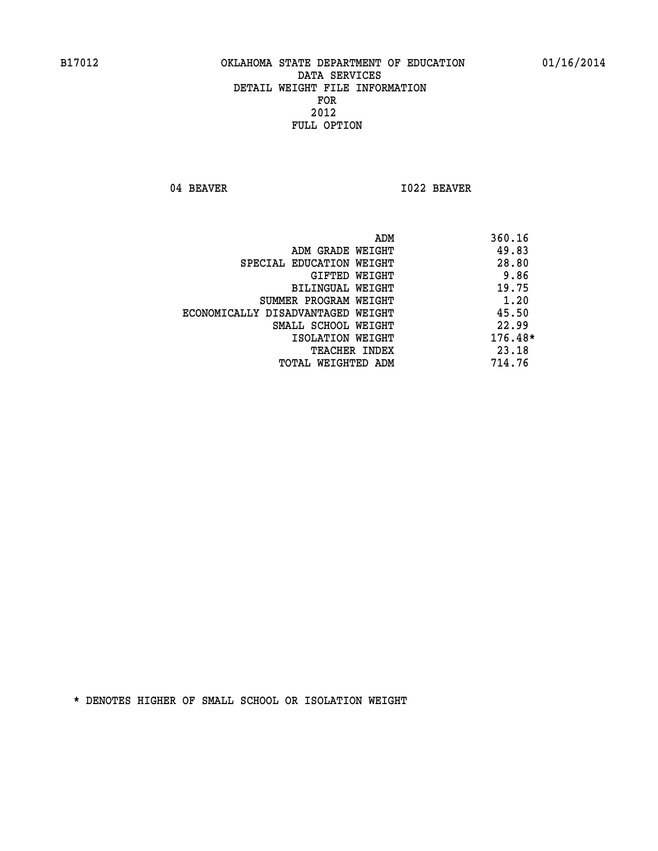04 BEAVER 1022 BEAVER

|                                   | ADM | 360.16    |
|-----------------------------------|-----|-----------|
| ADM GRADE WEIGHT                  |     | 49.83     |
| SPECIAL EDUCATION WEIGHT          |     | 28.80     |
| GIFTED WEIGHT                     |     | 9.86      |
| BILINGUAL WEIGHT                  |     | 19.75     |
| SUMMER PROGRAM WEIGHT             |     | 1.20      |
| ECONOMICALLY DISADVANTAGED WEIGHT |     | 45.50     |
| SMALL SCHOOL WEIGHT               |     | 22.99     |
| ISOLATION WEIGHT                  |     | $176.48*$ |
| <b>TEACHER INDEX</b>              |     | 23.18     |
| TOTAL WEIGHTED ADM                |     | 714.76    |
|                                   |     |           |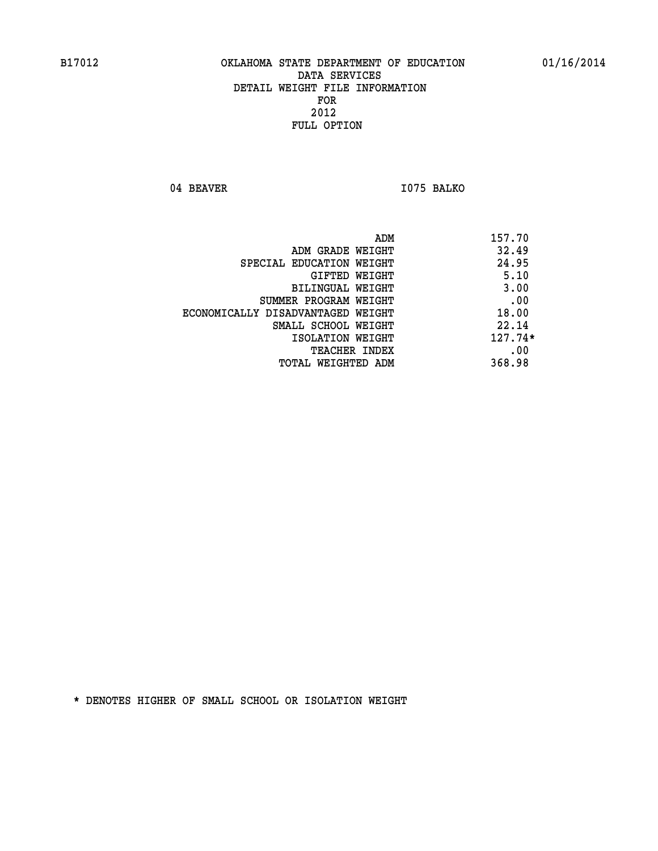04 BEAVER 1075 BALKO

| ADM                               | 157.70    |
|-----------------------------------|-----------|
| ADM GRADE WEIGHT                  | 32.49     |
| SPECIAL EDUCATION WEIGHT          | 24.95     |
| GIFTED WEIGHT                     | 5.10      |
| BILINGUAL WEIGHT                  | 3.00      |
| SUMMER PROGRAM WEIGHT             | .00       |
| ECONOMICALLY DISADVANTAGED WEIGHT | 18.00     |
| SMALL SCHOOL WEIGHT               | 22.14     |
| ISOLATION WEIGHT                  | $127.74*$ |
| TEACHER INDEX                     | .00       |
| TOTAL WEIGHTED ADM                | 368.98    |
|                                   |           |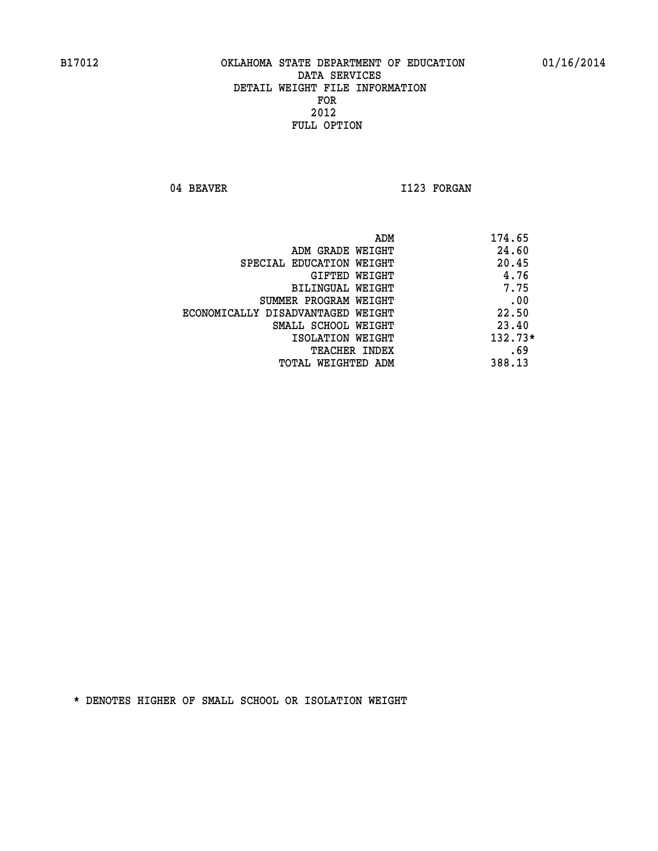04 BEAVER 1123 FORGAN

|                                   | ADM<br>174.65 |
|-----------------------------------|---------------|
| ADM GRADE WEIGHT                  | 24.60         |
| SPECIAL EDUCATION WEIGHT          | 20.45         |
| GIFTED WEIGHT                     | 4.76          |
| BILINGUAL WEIGHT                  | 7.75          |
| SUMMER PROGRAM WEIGHT             | .00           |
| ECONOMICALLY DISADVANTAGED WEIGHT | 22.50         |
| SMALL SCHOOL WEIGHT               | 23.40         |
| ISOLATION WEIGHT                  | 132.73*       |
| <b>TEACHER INDEX</b>              | .69           |
| TOTAL WEIGHTED ADM                | 388.13        |
|                                   |               |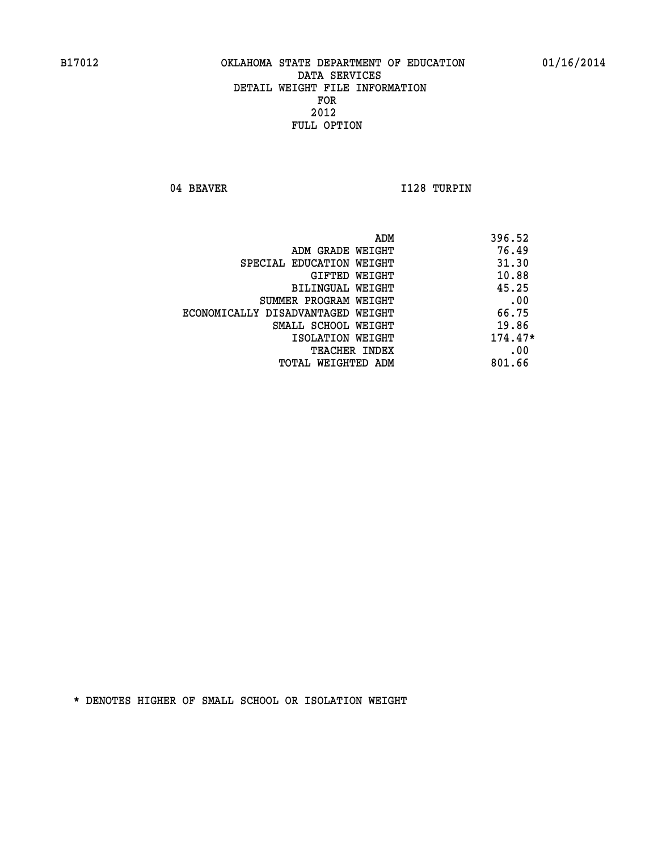04 BEAVER 1128 TURPIN

|                                   | ADM<br>396.52 |  |
|-----------------------------------|---------------|--|
| ADM GRADE WEIGHT                  | 76.49         |  |
| SPECIAL EDUCATION WEIGHT          | 31.30         |  |
| <b>GIFTED WEIGHT</b>              | 10.88         |  |
| BILINGUAL WEIGHT                  | 45.25         |  |
| SUMMER PROGRAM WEIGHT             | .00           |  |
| ECONOMICALLY DISADVANTAGED WEIGHT | 66.75         |  |
| SMALL SCHOOL WEIGHT               | 19.86         |  |
| ISOLATION WEIGHT                  | $174.47*$     |  |
| TEACHER INDEX                     | .00           |  |
| TOTAL WEIGHTED ADM                | 801.66        |  |
|                                   |               |  |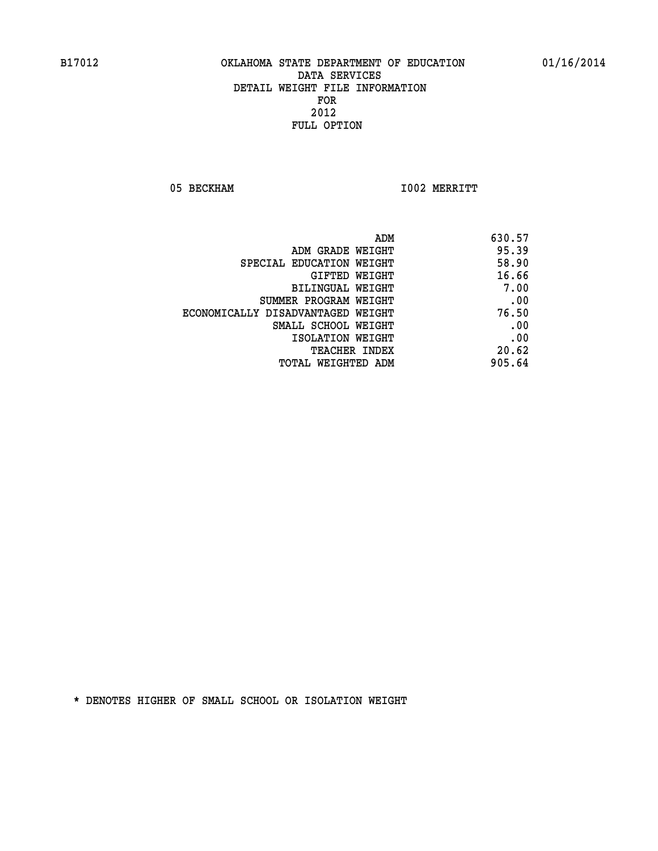05 BECKHAM 1002 MERRITT

| 630.57 |
|--------|
| 95.39  |
| 58.90  |
| 16.66  |
| 7.00   |
| .00    |
| 76.50  |
| .00    |
| .00    |
| 20.62  |
| 905.64 |
|        |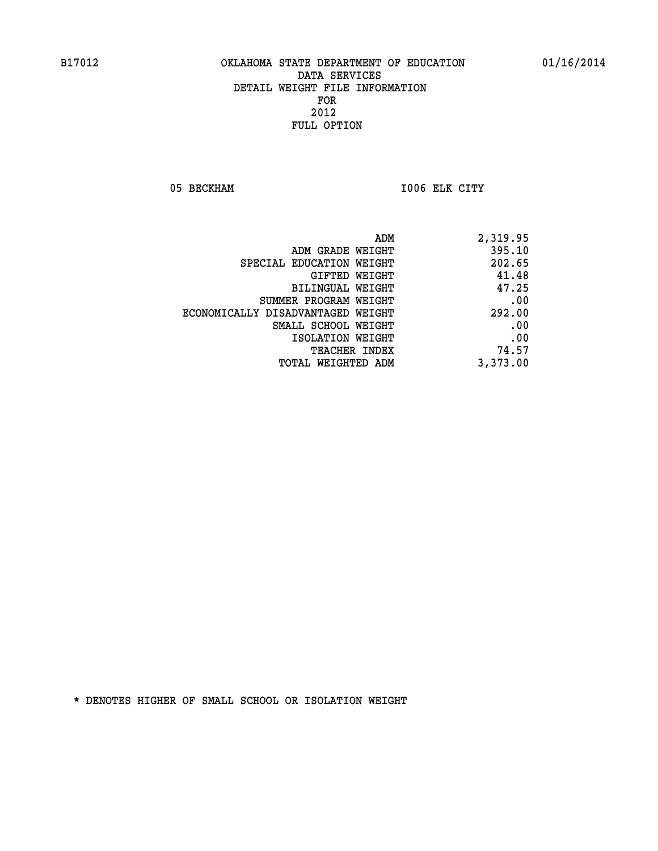05 BECKHAM 1006 ELK CITY

| 2,319.95 |
|----------|
| 395.10   |
| 202.65   |
| 41.48    |
| 47.25    |
| .00      |
| 292.00   |
| .00      |
| .00      |
| 74.57    |
| 3,373.00 |
|          |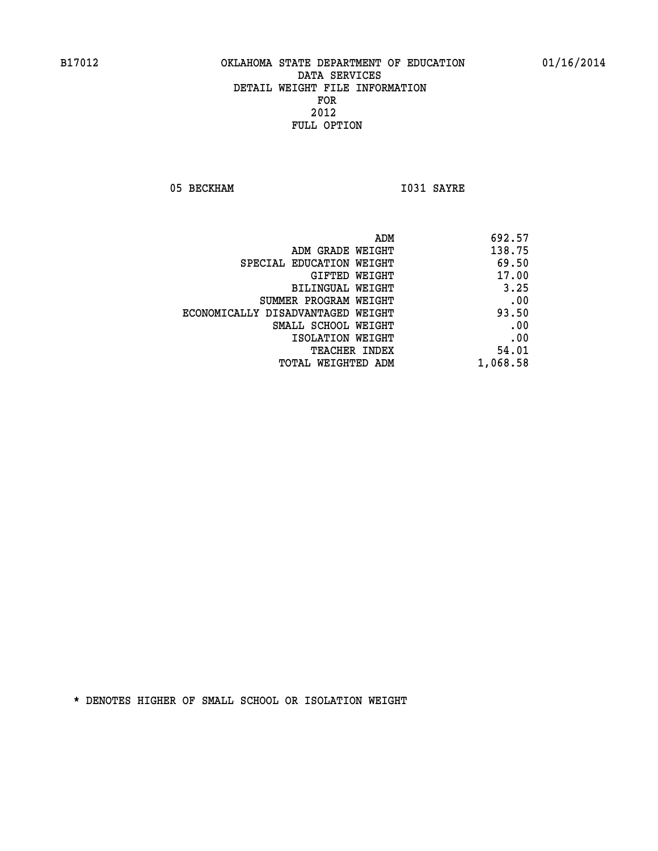05 BECKHAM 1031 SAYRE

|                                   | ADM | 692.57   |
|-----------------------------------|-----|----------|
| ADM GRADE WEIGHT                  |     | 138.75   |
| SPECIAL EDUCATION WEIGHT          |     | 69.50    |
| <b>GIFTED WEIGHT</b>              |     | 17.00    |
| <b>BILINGUAL WEIGHT</b>           |     | 3.25     |
| SUMMER PROGRAM WEIGHT             |     | .00      |
| ECONOMICALLY DISADVANTAGED WEIGHT |     | 93.50    |
| SMALL SCHOOL WEIGHT               |     | .00      |
| ISOLATION WEIGHT                  |     | .00      |
| TEACHER INDEX                     |     | 54.01    |
| TOTAL WEIGHTED ADM                |     | 1,068.58 |
|                                   |     |          |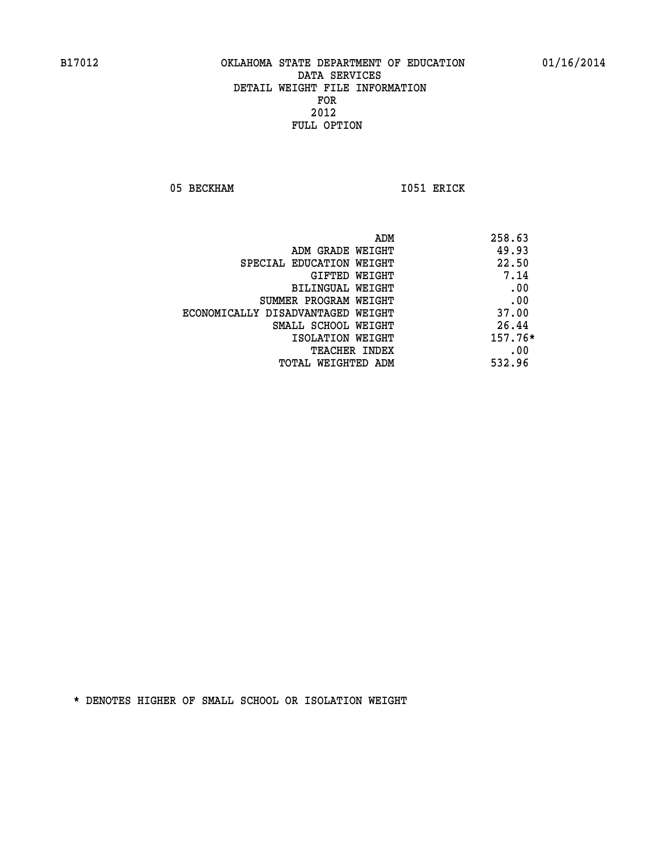05 BECKHAM 1051 ERICK

| ADM<br>258.63                              |  |
|--------------------------------------------|--|
| 49.93<br>ADM GRADE WEIGHT                  |  |
| 22.50<br>SPECIAL EDUCATION WEIGHT          |  |
| 7.14<br>GIFTED WEIGHT                      |  |
| .00<br>BILINGUAL WEIGHT                    |  |
| .00<br>SUMMER PROGRAM WEIGHT               |  |
| 37.00<br>ECONOMICALLY DISADVANTAGED WEIGHT |  |
| 26.44<br>SMALL SCHOOL WEIGHT               |  |
| $157.76*$<br>ISOLATION WEIGHT              |  |
| .00<br><b>TEACHER INDEX</b>                |  |
| 532.96<br>TOTAL WEIGHTED ADM               |  |
|                                            |  |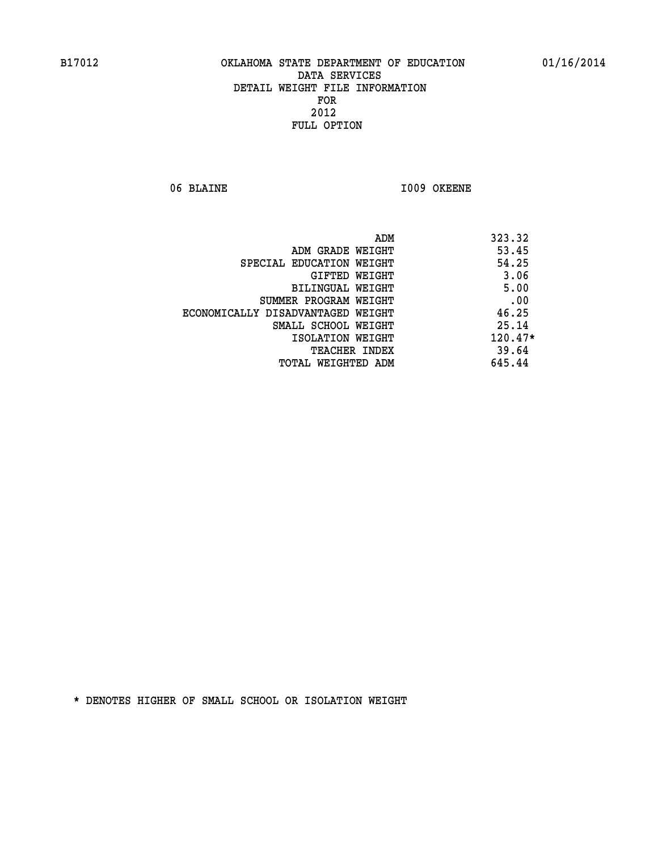06 BLAINE 1009 OKEENE

|                                   | ADM<br>323.32 |
|-----------------------------------|---------------|
| ADM GRADE WEIGHT                  | 53.45         |
| SPECIAL EDUCATION WEIGHT          | 54.25         |
| GIFTED WEIGHT                     | 3.06          |
| BILINGUAL WEIGHT                  | 5.00          |
| SUMMER PROGRAM WEIGHT             | .00           |
| ECONOMICALLY DISADVANTAGED WEIGHT | 46.25         |
| SMALL SCHOOL WEIGHT               | 25.14         |
| ISOLATION WEIGHT                  | 120.47*       |
| TEACHER INDEX                     | 39.64         |
| TOTAL WEIGHTED ADM                | 645.44        |
|                                   |               |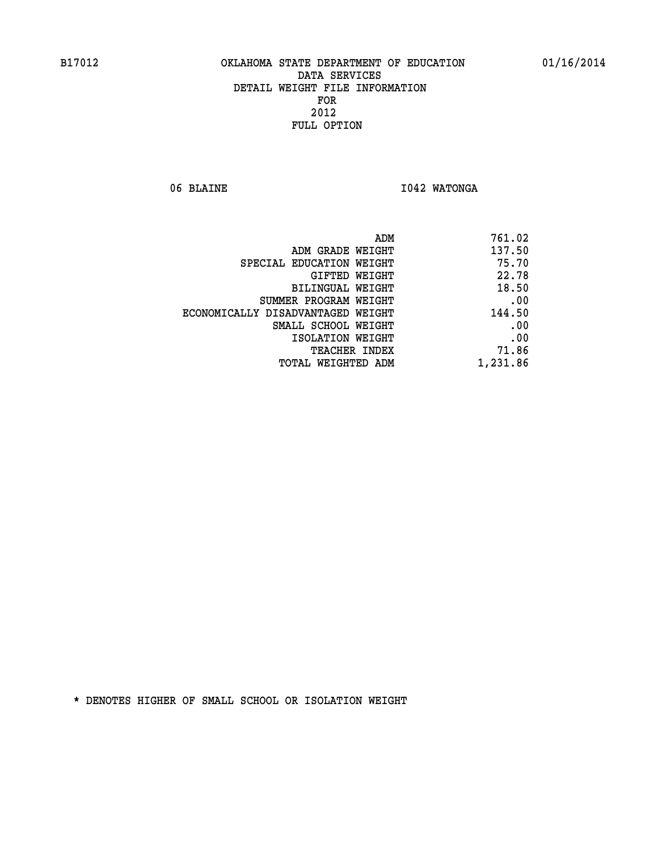06 BLAINE **I042 WATONGA** 

| 761.02   |
|----------|
| 137.50   |
| 75.70    |
| 22.78    |
| 18.50    |
| .00      |
| 144.50   |
| .00      |
| .00      |
| 71.86    |
| 1,231.86 |
|          |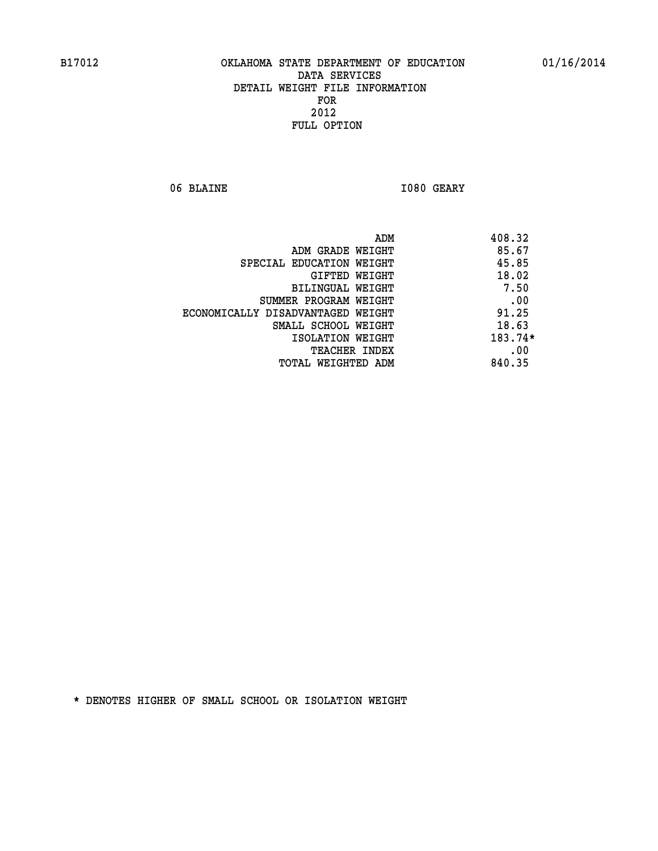06 BLAINE **I080 GEARY** 

|                                   | ADM | 408.32    |
|-----------------------------------|-----|-----------|
| ADM GRADE WEIGHT                  |     | 85.67     |
| SPECIAL EDUCATION WEIGHT          |     | 45.85     |
| <b>GIFTED WEIGHT</b>              |     | 18.02     |
| BILINGUAL WEIGHT                  |     | 7.50      |
| SUMMER PROGRAM WEIGHT             |     | .00       |
| ECONOMICALLY DISADVANTAGED WEIGHT |     | 91.25     |
| SMALL SCHOOL WEIGHT               |     | 18.63     |
| ISOLATION WEIGHT                  |     | $183.74*$ |
| TEACHER INDEX                     |     | .00       |
| TOTAL WEIGHTED ADM                |     | 840.35    |
|                                   |     |           |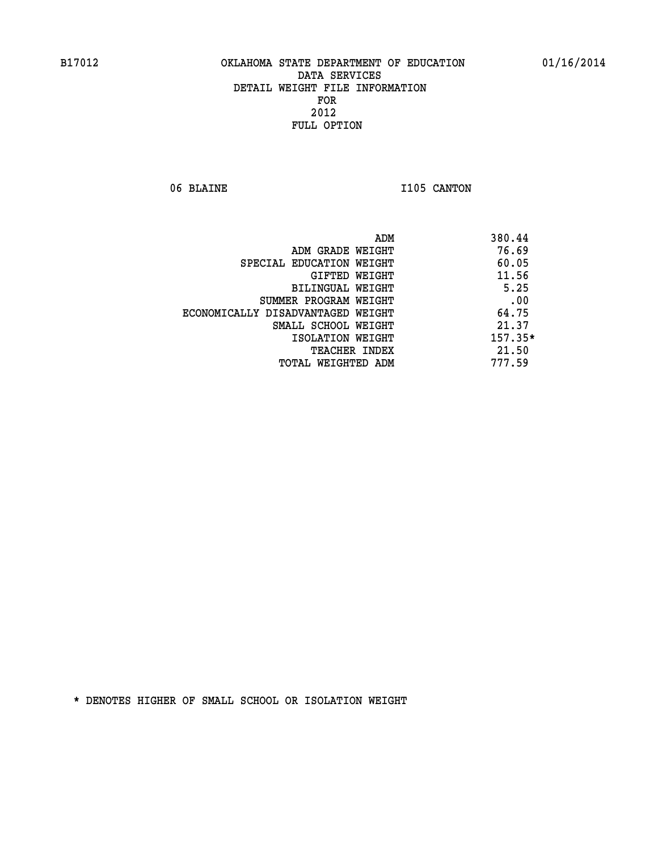06 BLAINE 1105 CANTON

|                                   | ADM | 380.44    |
|-----------------------------------|-----|-----------|
| ADM GRADE WEIGHT                  |     | 76.69     |
| SPECIAL EDUCATION WEIGHT          |     | 60.05     |
| GIFTED WEIGHT                     |     | 11.56     |
| BILINGUAL WEIGHT                  |     | 5.25      |
| SUMMER PROGRAM WEIGHT             |     | .00       |
| ECONOMICALLY DISADVANTAGED WEIGHT |     | 64.75     |
| SMALL SCHOOL WEIGHT               |     | 21.37     |
| ISOLATION WEIGHT                  |     | $157.35*$ |
| TEACHER INDEX                     |     | 21.50     |
| TOTAL WEIGHTED ADM                |     | 777.59    |
|                                   |     |           |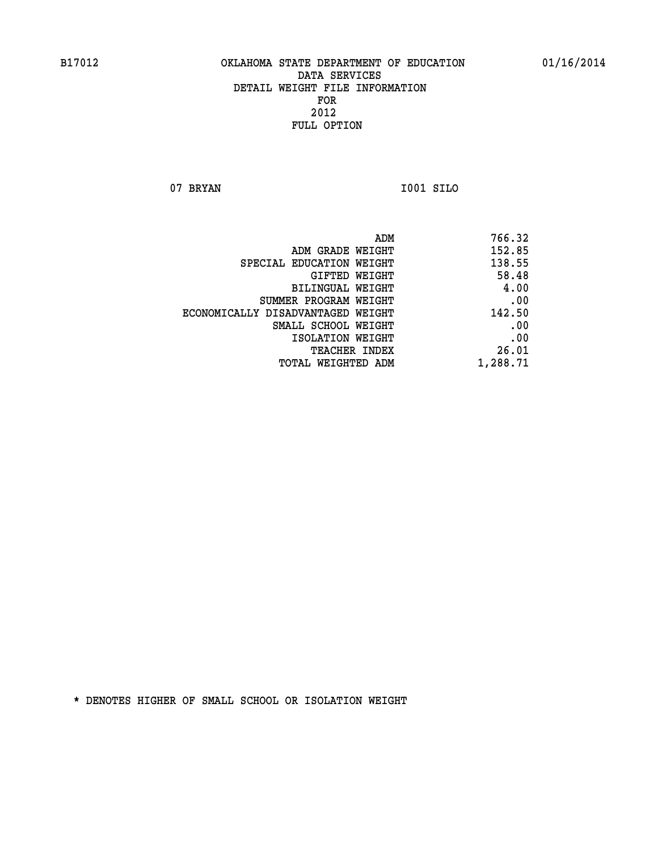**07 BRYAN I001 SILO** 

| ADM                               | 766.32   |
|-----------------------------------|----------|
| ADM GRADE WEIGHT                  | 152.85   |
| SPECIAL EDUCATION WEIGHT          | 138.55   |
| GIFTED WEIGHT                     | 58.48    |
| BILINGUAL WEIGHT                  | 4.00     |
| SUMMER PROGRAM WEIGHT             | .00      |
| ECONOMICALLY DISADVANTAGED WEIGHT | 142.50   |
| SMALL SCHOOL WEIGHT               | .00      |
| ISOLATION WEIGHT                  | .00      |
| <b>TEACHER INDEX</b>              | 26.01    |
| TOTAL WEIGHTED ADM                | 1,288.71 |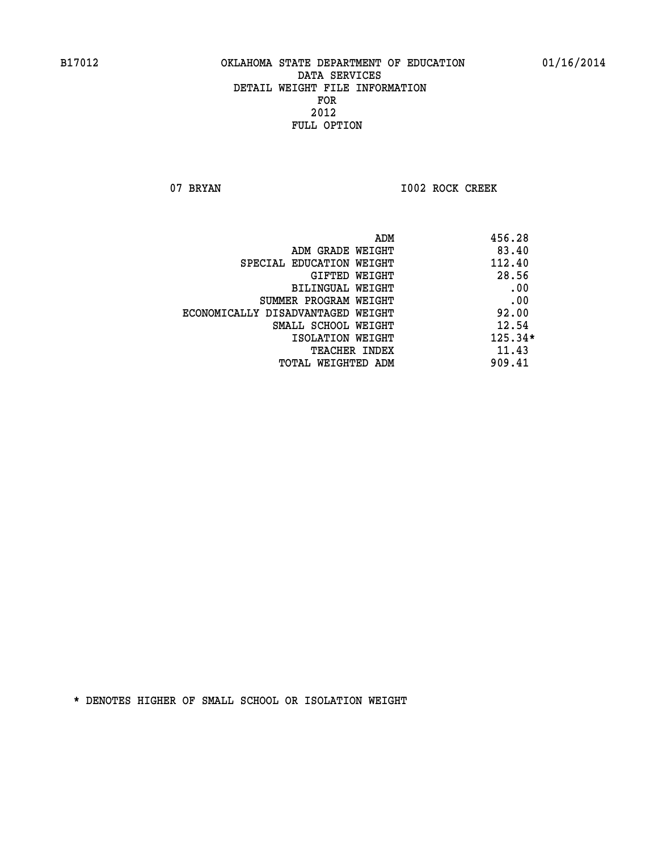07 BRYAN 1002 ROCK CREEK

|                                   | ADM | 456.28    |
|-----------------------------------|-----|-----------|
| ADM GRADE WEIGHT                  |     | 83.40     |
| SPECIAL EDUCATION WEIGHT          |     | 112.40    |
| GIFTED WEIGHT                     |     | 28.56     |
| BILINGUAL WEIGHT                  |     | .00       |
| SUMMER PROGRAM WEIGHT             |     | .00       |
| ECONOMICALLY DISADVANTAGED WEIGHT |     | 92.00     |
| SMALL SCHOOL WEIGHT               |     | 12.54     |
| ISOLATION WEIGHT                  |     | $125.34*$ |
| TEACHER INDEX                     |     | 11.43     |
| TOTAL WEIGHTED ADM                |     | 909.41    |
|                                   |     |           |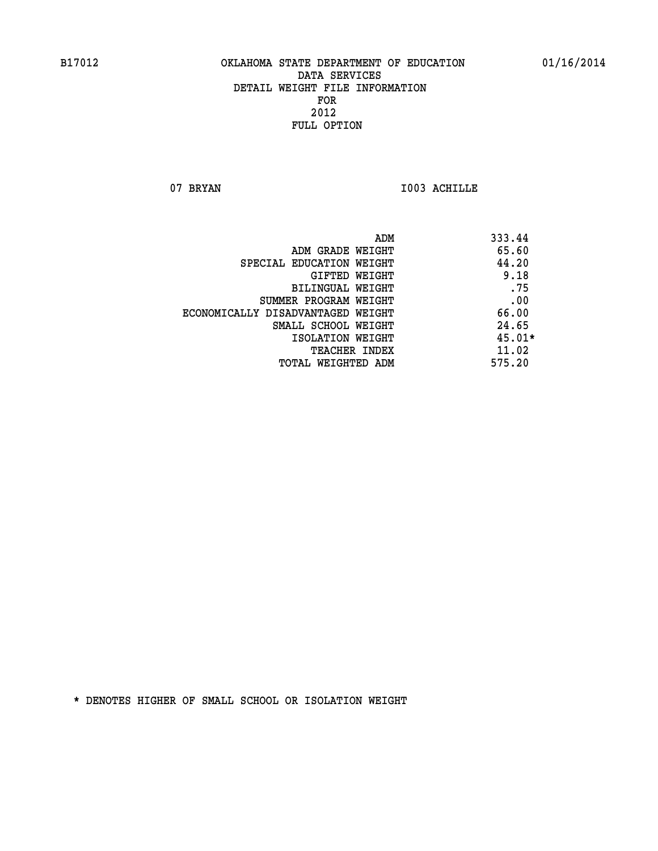07 BRYAN 1003 ACHILLE

|                                   | ADM | 333.44   |
|-----------------------------------|-----|----------|
| ADM GRADE WEIGHT                  |     | 65.60    |
| SPECIAL EDUCATION WEIGHT          |     | 44.20    |
| <b>GIFTED WEIGHT</b>              |     | 9.18     |
| BILINGUAL WEIGHT                  |     | .75      |
| SUMMER PROGRAM WEIGHT             |     | .00      |
| ECONOMICALLY DISADVANTAGED WEIGHT |     | 66.00    |
| SMALL SCHOOL WEIGHT               |     | 24.65    |
| ISOLATION WEIGHT                  |     | $45.01*$ |
| TEACHER INDEX                     |     | 11.02    |
| TOTAL WEIGHTED ADM                |     | 575.20   |
|                                   |     |          |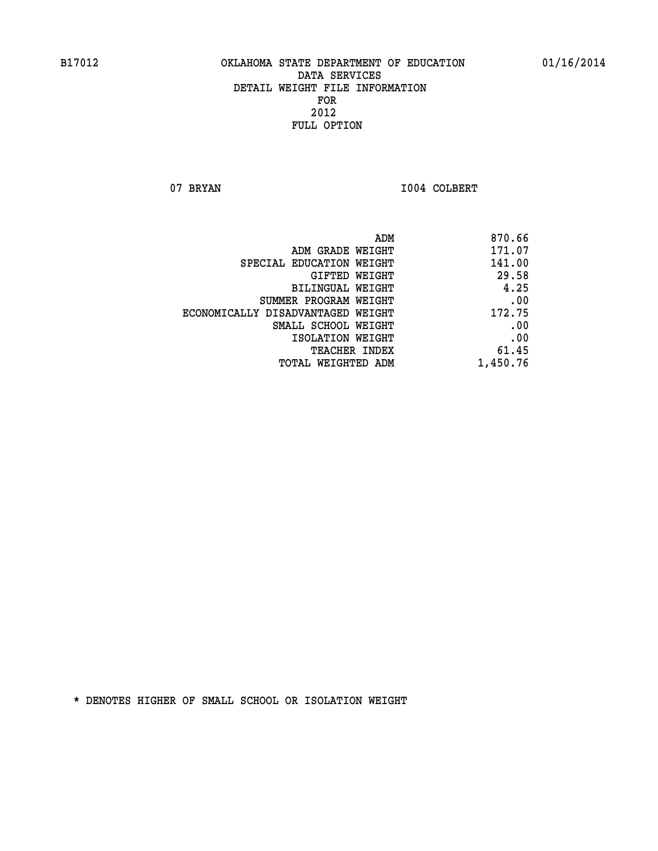07 BRYAN 1004 COLBERT

| 870.66   |
|----------|
| 171.07   |
| 141.00   |
| 29.58    |
| 4.25     |
| .00      |
| 172.75   |
| .00      |
| .00      |
| 61.45    |
| 1,450.76 |
|          |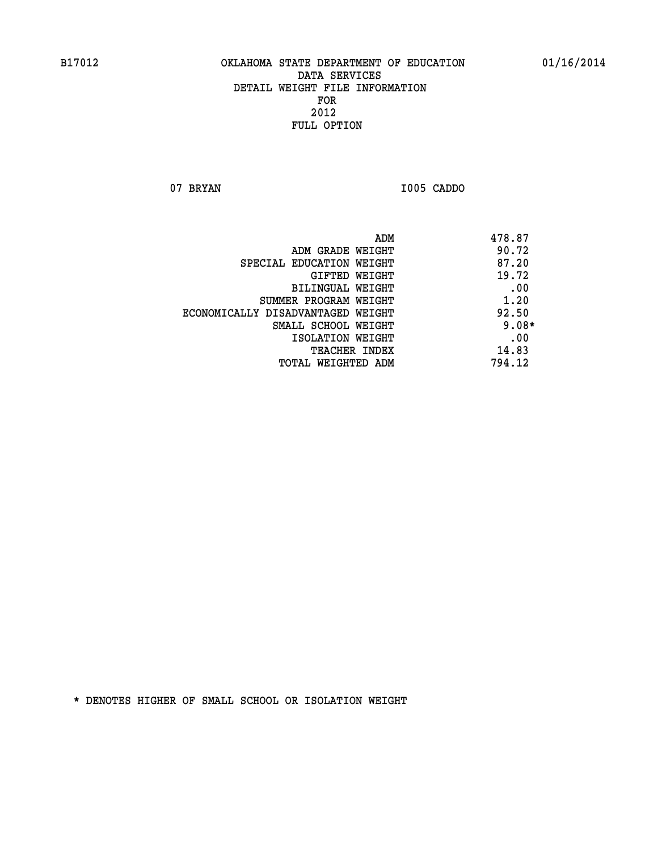**07 BRYAN I005 CADDO** 

|                                   | ADM | 478.87  |
|-----------------------------------|-----|---------|
| ADM GRADE WEIGHT                  |     | 90.72   |
| SPECIAL EDUCATION WEIGHT          |     | 87.20   |
| GIFTED WEIGHT                     |     | 19.72   |
| BILINGUAL WEIGHT                  |     | .00     |
| SUMMER PROGRAM WEIGHT             |     | 1.20    |
| ECONOMICALLY DISADVANTAGED WEIGHT |     | 92.50   |
| SMALL SCHOOL WEIGHT               |     | $9.08*$ |
| ISOLATION WEIGHT                  |     | .00     |
| TEACHER INDEX                     |     | 14.83   |
| TOTAL WEIGHTED ADM                |     | 794.12  |
|                                   |     |         |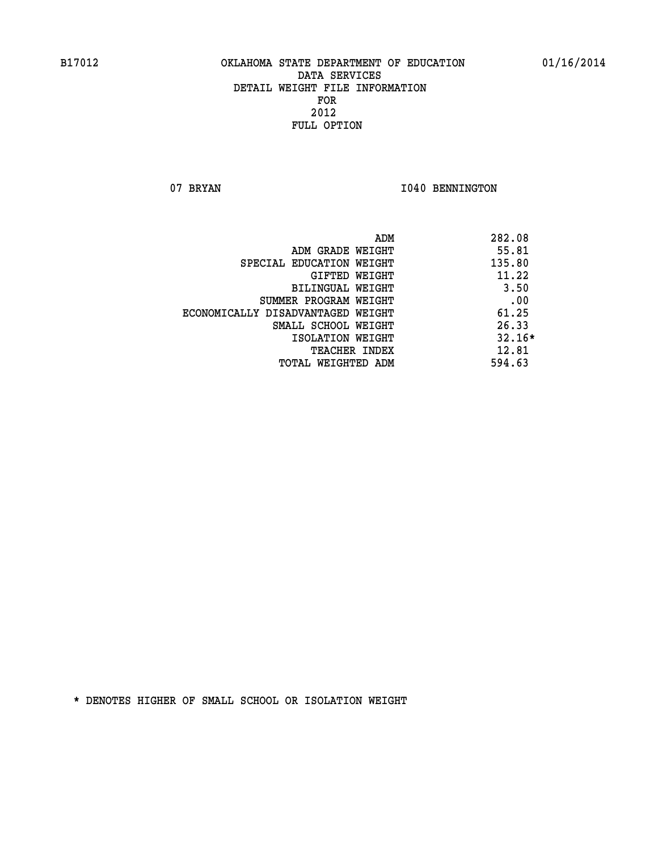07 BRYAN 1040 BENNINGTON

| ADM                               | 282.08   |
|-----------------------------------|----------|
| ADM GRADE WEIGHT                  | 55.81    |
| SPECIAL EDUCATION WEIGHT          | 135.80   |
| GIFTED WEIGHT                     | 11.22    |
| <b>BILINGUAL WEIGHT</b>           | 3.50     |
| SUMMER PROGRAM WEIGHT             | .00      |
| ECONOMICALLY DISADVANTAGED WEIGHT | 61.25    |
| SMALL SCHOOL WEIGHT               | 26.33    |
| ISOLATION WEIGHT                  | $32.16*$ |
| <b>TEACHER INDEX</b>              | 12.81    |
| TOTAL WEIGHTED ADM                | 594.63   |
|                                   |          |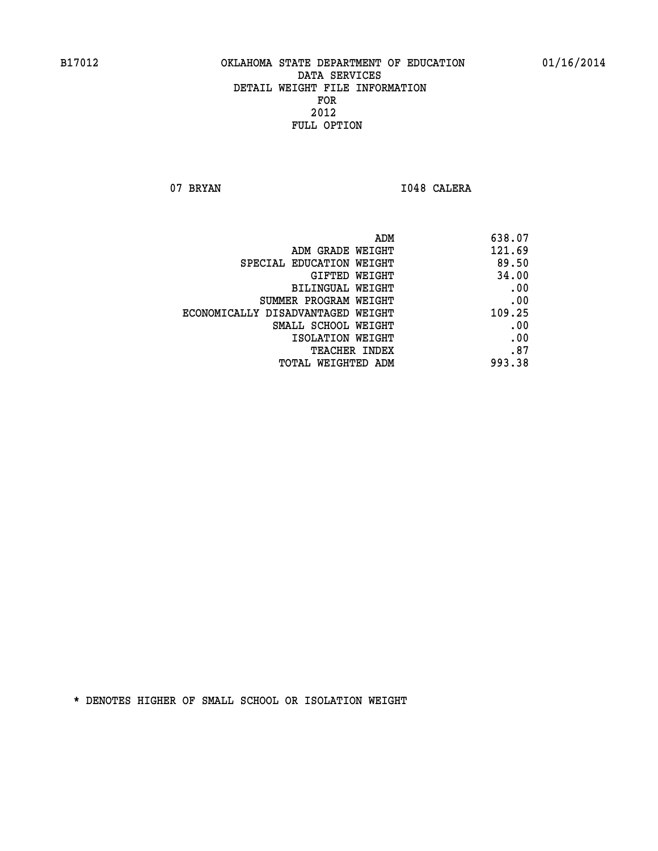07 BRYAN 1048 CALERA

| ADM<br>638.07                               |  |
|---------------------------------------------|--|
| 121.69<br>ADM GRADE WEIGHT                  |  |
| 89.50<br>SPECIAL EDUCATION WEIGHT           |  |
| 34.00<br>GIFTED WEIGHT                      |  |
| .00<br>BILINGUAL WEIGHT                     |  |
| .00<br>SUMMER PROGRAM WEIGHT                |  |
| 109.25<br>ECONOMICALLY DISADVANTAGED WEIGHT |  |
| .00<br>SMALL SCHOOL WEIGHT                  |  |
| .00<br>ISOLATION WEIGHT                     |  |
| .87<br>TEACHER INDEX                        |  |
| 993.38<br>TOTAL WEIGHTED ADM                |  |
|                                             |  |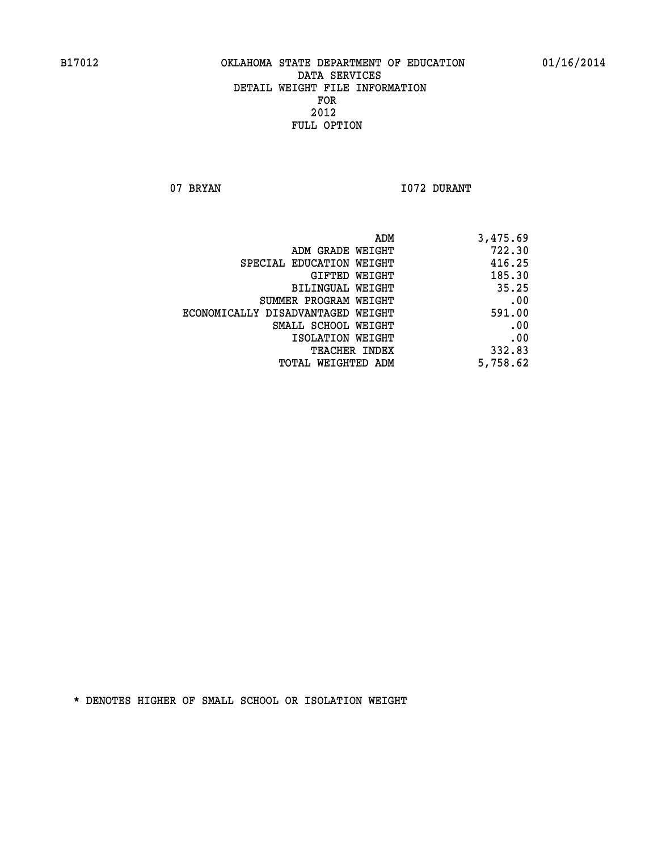07 BRYAN 1072 DURANT

| 3,475.69 |
|----------|
| 722.30   |
| 416.25   |
| 185.30   |
| 35.25    |
| .00      |
| 591.00   |
| .00      |
| .00      |
| 332.83   |
| 5,758.62 |
|          |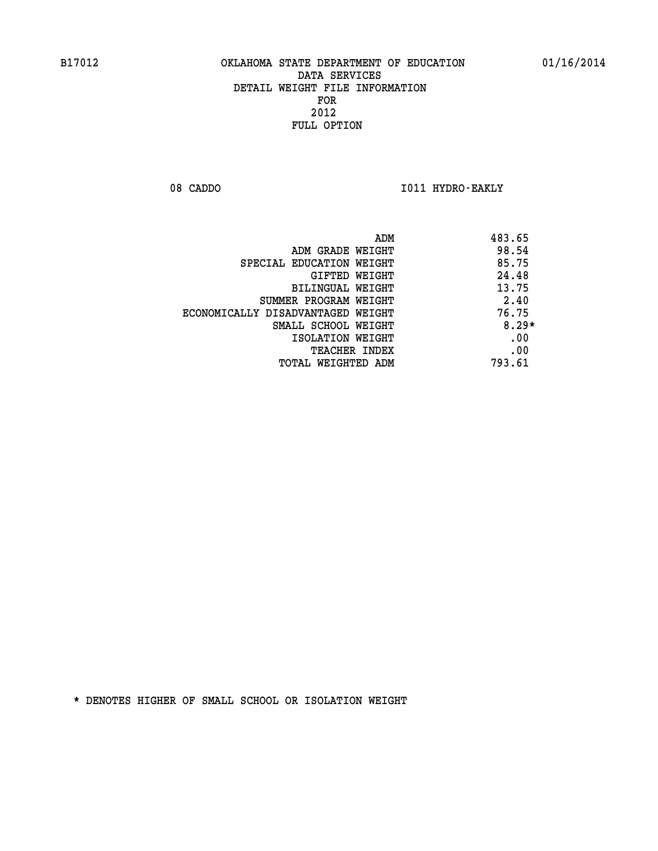08 CADDO **I011 HYDRO-EAKLY** 

|                                   | ADM | 483.65  |
|-----------------------------------|-----|---------|
| ADM GRADE WEIGHT                  |     | 98.54   |
| SPECIAL EDUCATION WEIGHT          |     | 85.75   |
| GIFTED WEIGHT                     |     | 24.48   |
| BILINGUAL WEIGHT                  |     | 13.75   |
| SUMMER PROGRAM WEIGHT             |     | 2.40    |
| ECONOMICALLY DISADVANTAGED WEIGHT |     | 76.75   |
| SMALL SCHOOL WEIGHT               |     | $8.29*$ |
| ISOLATION WEIGHT                  |     | .00     |
| TEACHER INDEX                     |     | .00     |
| TOTAL WEIGHTED ADM                |     | 793.61  |
|                                   |     |         |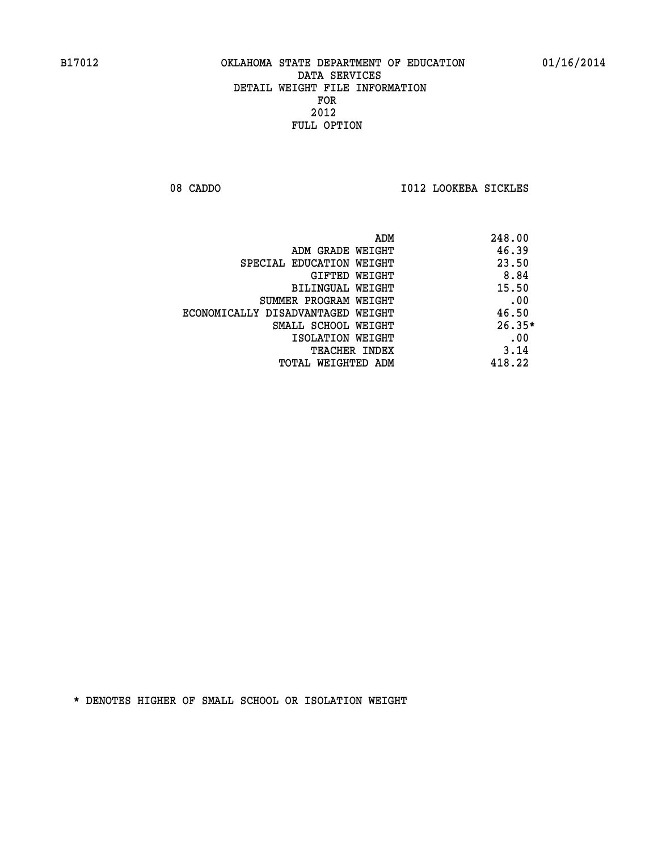08 CADDO **I012 LOOKEBA SICKLES** 

|                                   | 248.00<br>ADM |
|-----------------------------------|---------------|
| ADM GRADE WEIGHT                  | 46.39         |
| SPECIAL EDUCATION WEIGHT          | 23.50         |
| <b>GIFTED WEIGHT</b>              | 8.84          |
| BILINGUAL WEIGHT                  | 15.50         |
| SUMMER PROGRAM WEIGHT             | .00           |
| ECONOMICALLY DISADVANTAGED WEIGHT | 46.50         |
| SMALL SCHOOL WEIGHT               | $26.35*$      |
| ISOLATION WEIGHT                  | .00           |
| <b>TEACHER INDEX</b>              | 3.14          |
| TOTAL WEIGHTED ADM                | 418.22        |
|                                   |               |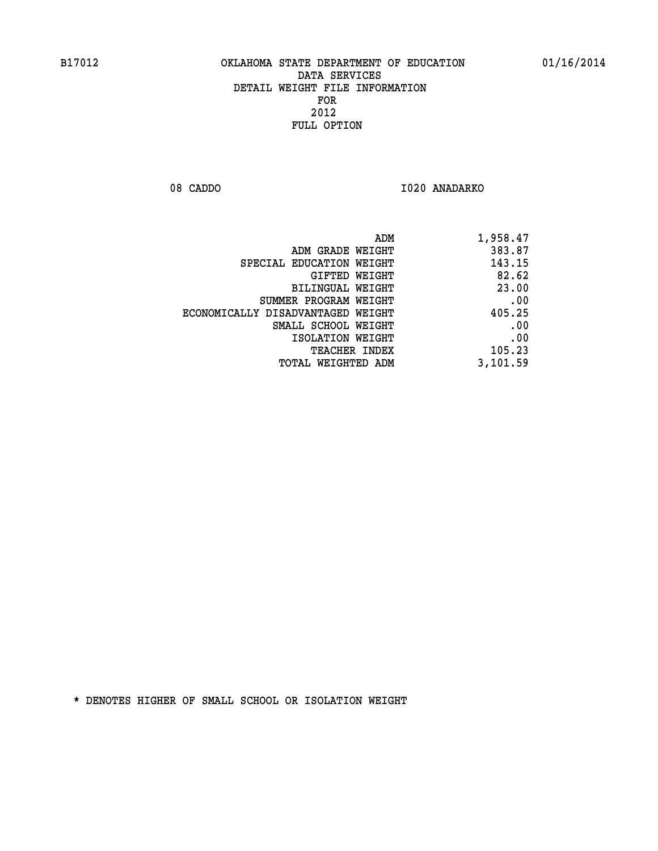08 CADDO 1020 ANADARKO

| 1,958.47 |
|----------|
| 383.87   |
| 143.15   |
| 82.62    |
| 23.00    |
| .00      |
| 405.25   |
| .00      |
| .00      |
| 105.23   |
| 3,101.59 |
|          |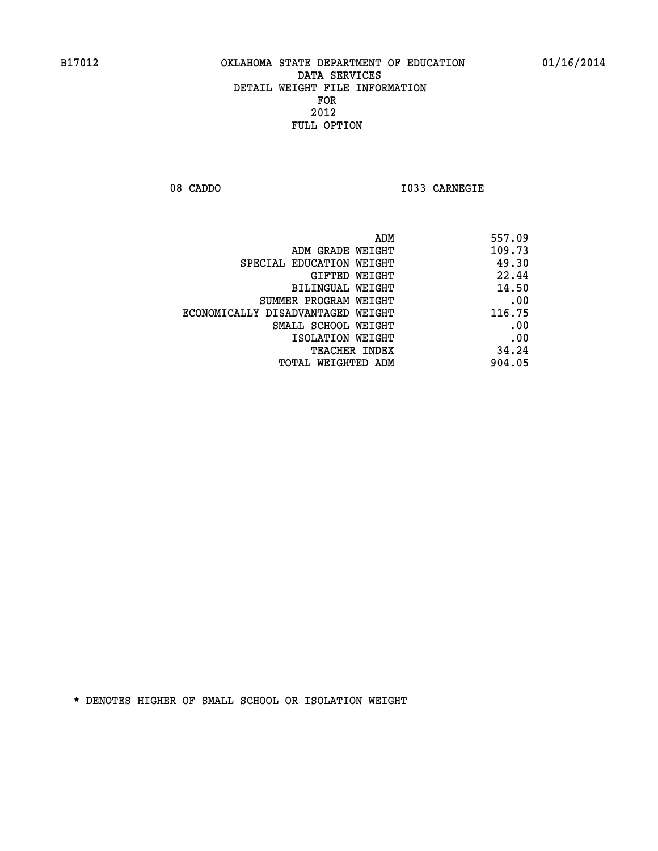**08 CADDO I033 CARNEGIE** 

| 557.09 |
|--------|
| 109.73 |
| 49.30  |
| 22.44  |
| 14.50  |
| .00    |
| 116.75 |
| .00    |
| .00    |
| 34.24  |
| 904.05 |
|        |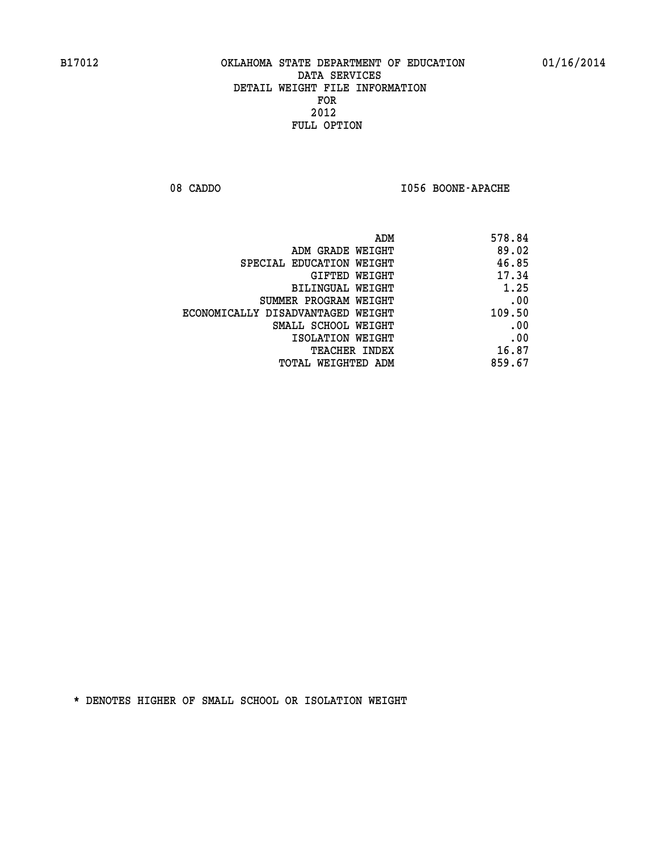08 CADDO **I056 BOONE-APACHE** 

| ADM                               | 578.84 |
|-----------------------------------|--------|
| ADM GRADE WEIGHT                  | 89.02  |
| SPECIAL EDUCATION WEIGHT          | 46.85  |
| GIFTED WEIGHT                     | 17.34  |
| <b>BILINGUAL WEIGHT</b>           | 1.25   |
| SUMMER PROGRAM WEIGHT             | .00    |
| ECONOMICALLY DISADVANTAGED WEIGHT | 109.50 |
| SMALL SCHOOL WEIGHT               | .00    |
| ISOLATION WEIGHT                  | .00    |
| TEACHER INDEX                     | 16.87  |
| TOTAL WEIGHTED ADM                | 859.67 |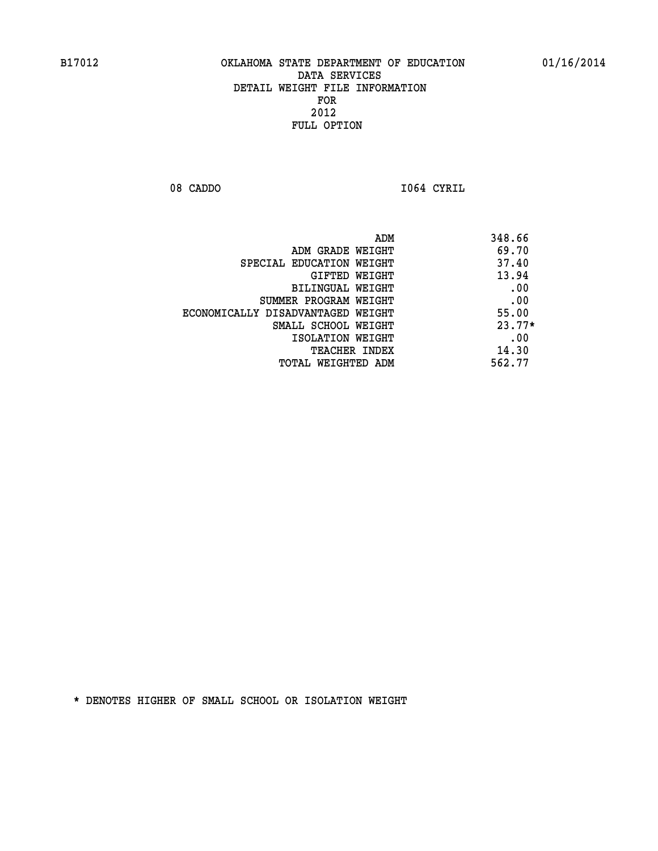**08 CADDO I064 CYRIL** 

| ADM                               | 348.66   |
|-----------------------------------|----------|
| ADM GRADE WEIGHT                  | 69.70    |
| SPECIAL EDUCATION WEIGHT          | 37.40    |
| GIFTED WEIGHT                     | 13.94    |
| BILINGUAL WEIGHT                  | .00      |
| SUMMER PROGRAM WEIGHT             | .00      |
| ECONOMICALLY DISADVANTAGED WEIGHT | 55.00    |
| SMALL SCHOOL WEIGHT               | $23.77*$ |
| ISOLATION WEIGHT                  | .00      |
| <b>TEACHER INDEX</b>              | 14.30    |
| TOTAL WEIGHTED ADM                | 562.77   |
|                                   |          |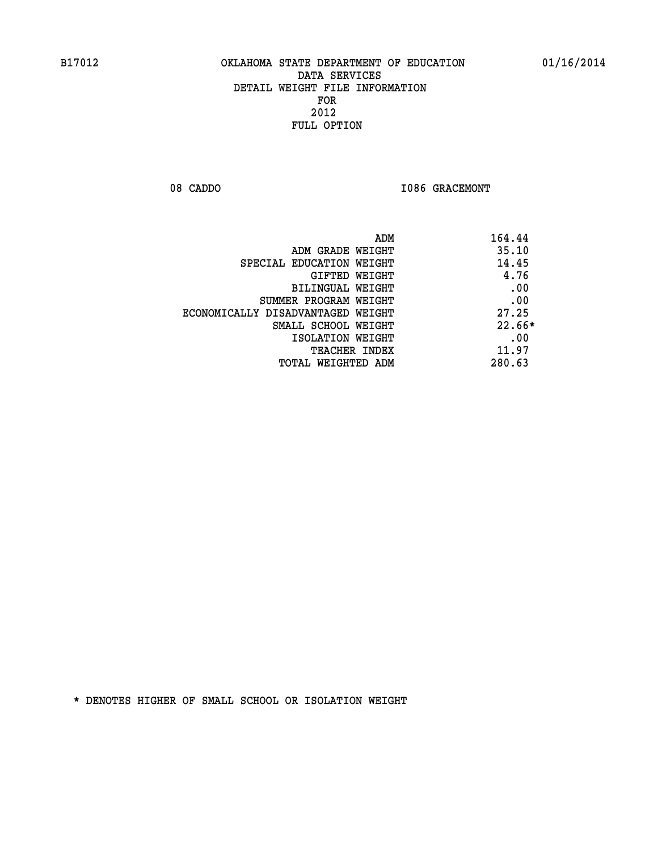08 CADDO **I086 GRACEMONT** 

| ADM                               | 164.44   |
|-----------------------------------|----------|
| ADM GRADE WEIGHT                  | 35.10    |
| SPECIAL EDUCATION WEIGHT          | 14.45    |
| GIFTED WEIGHT                     | 4.76     |
| BILINGUAL WEIGHT                  | .00      |
| SUMMER PROGRAM WEIGHT             | .00      |
| ECONOMICALLY DISADVANTAGED WEIGHT | 27.25    |
| SMALL SCHOOL WEIGHT               | $22.66*$ |
| ISOLATION WEIGHT                  | .00      |
| <b>TEACHER INDEX</b>              | 11.97    |
| TOTAL WEIGHTED ADM                | 280.63   |
|                                   |          |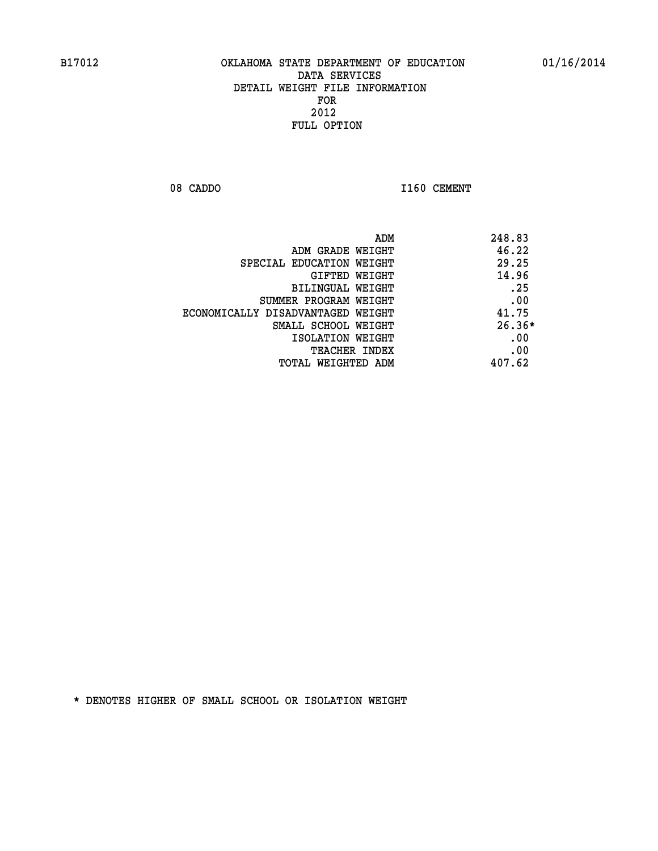08 CADDO 1160 CEMENT

| ADM<br>248.83                              |     |
|--------------------------------------------|-----|
| 46.22<br>ADM GRADE WEIGHT                  |     |
| 29.25<br>SPECIAL EDUCATION WEIGHT          |     |
| 14.96<br>GIFTED WEIGHT                     |     |
| <b>BILINGUAL WEIGHT</b>                    | .25 |
| SUMMER PROGRAM WEIGHT                      | .00 |
| 41.75<br>ECONOMICALLY DISADVANTAGED WEIGHT |     |
| $26.36*$<br>SMALL SCHOOL WEIGHT            |     |
| ISOLATION WEIGHT                           | .00 |
| <b>TEACHER INDEX</b>                       | .00 |
| 407.62<br>TOTAL WEIGHTED ADM               |     |
|                                            |     |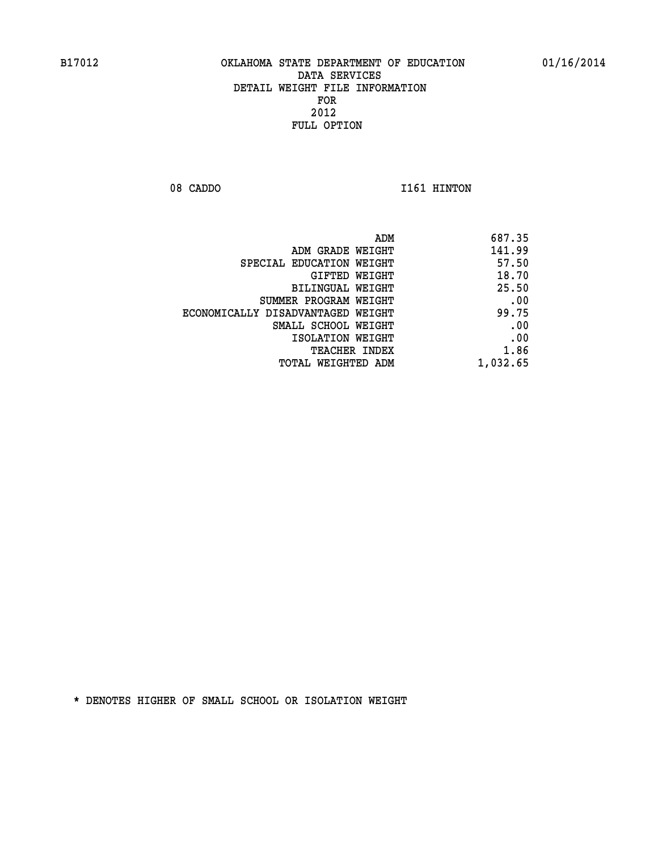08 CADDO 1161 HINTON

| 687.35   |
|----------|
| 141.99   |
| 57.50    |
| 18.70    |
| 25.50    |
| .00      |
| 99.75    |
| .00      |
| .00      |
| 1.86     |
| 1,032.65 |
|          |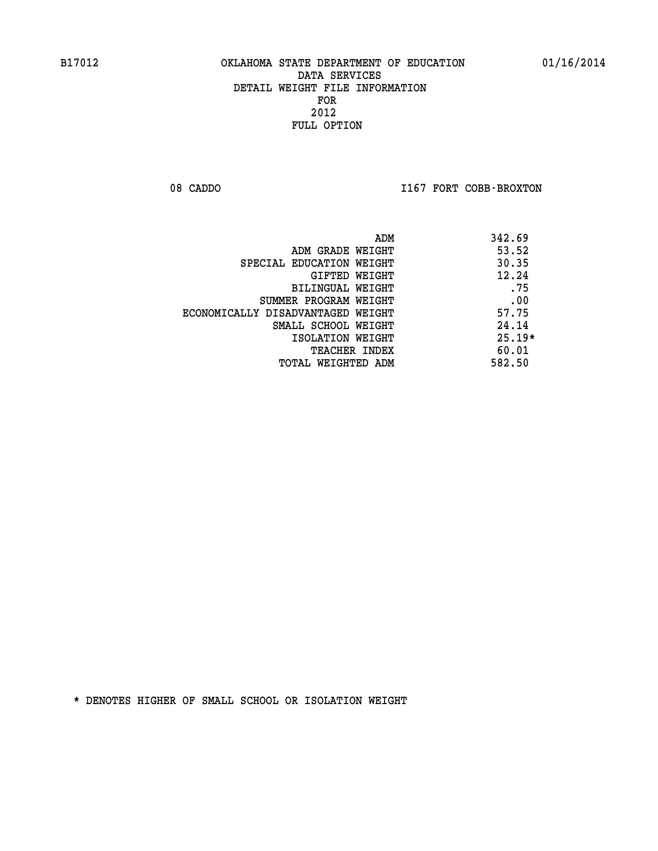08 CADDO **I167 FORT COBB-BROXTON** 

| ADM                               | 342.69   |
|-----------------------------------|----------|
| ADM GRADE WEIGHT                  | 53.52    |
| SPECIAL EDUCATION WEIGHT          | 30.35    |
| GIFTED WEIGHT                     | 12.24    |
| BILINGUAL WEIGHT                  | .75      |
| SUMMER PROGRAM WEIGHT             | .00      |
| ECONOMICALLY DISADVANTAGED WEIGHT | 57.75    |
| SMALL SCHOOL WEIGHT               | 24.14    |
| ISOLATION WEIGHT                  | $25.19*$ |
| <b>TEACHER INDEX</b>              | 60.01    |
| TOTAL WEIGHTED ADM                | 582.50   |
|                                   |          |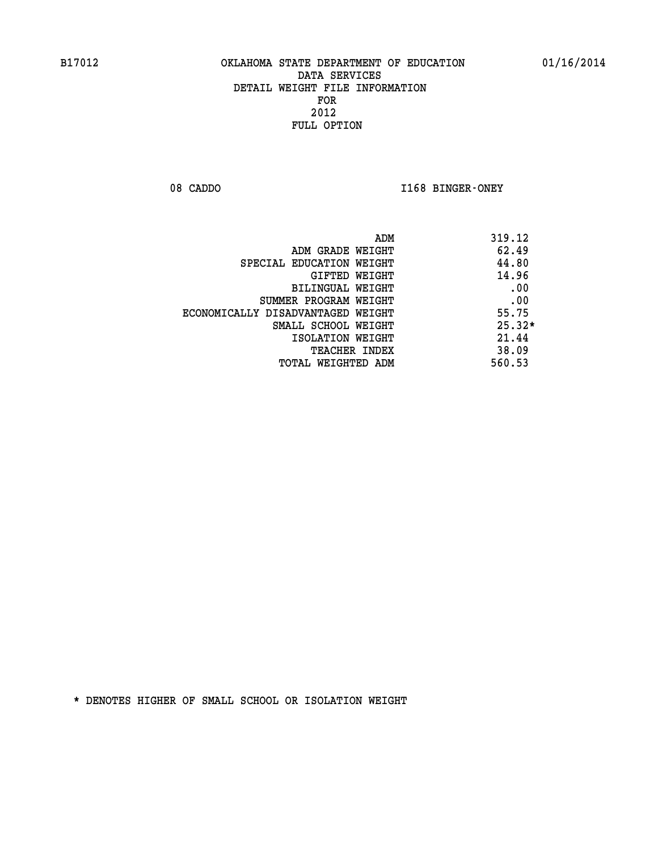08 CADDO **I168 BINGER-ONEY** 

|                                   | ADM | 319.12   |
|-----------------------------------|-----|----------|
| ADM GRADE WEIGHT                  |     | 62.49    |
| SPECIAL EDUCATION WEIGHT          |     | 44.80    |
| GIFTED WEIGHT                     |     | 14.96    |
| BILINGUAL WEIGHT                  |     | .00      |
| SUMMER PROGRAM WEIGHT             |     | .00      |
| ECONOMICALLY DISADVANTAGED WEIGHT |     | 55.75    |
| SMALL SCHOOL WEIGHT               |     | $25.32*$ |
| ISOLATION WEIGHT                  |     | 21.44    |
| <b>TEACHER INDEX</b>              |     | 38.09    |
| TOTAL WEIGHTED ADM                |     | 560.53   |
|                                   |     |          |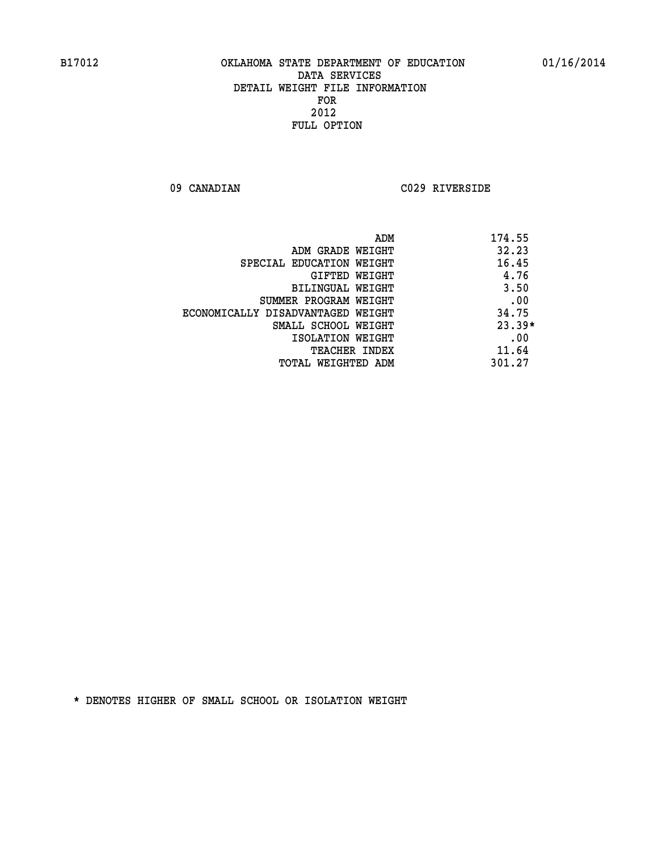**09 CANADIAN C029 RIVERSIDE** 

| ADM                               | 174.55   |
|-----------------------------------|----------|
| ADM GRADE WEIGHT                  | 32.23    |
| SPECIAL EDUCATION WEIGHT          | 16.45    |
| GIFTED WEIGHT                     | 4.76     |
| BILINGUAL WEIGHT                  | 3.50     |
| SUMMER PROGRAM WEIGHT             | .00      |
| ECONOMICALLY DISADVANTAGED WEIGHT | 34.75    |
| SMALL SCHOOL WEIGHT               | $23.39*$ |
| ISOLATION WEIGHT                  | .00      |
| <b>TEACHER INDEX</b>              | 11.64    |
| TOTAL WEIGHTED ADM                | 301.27   |
|                                   |          |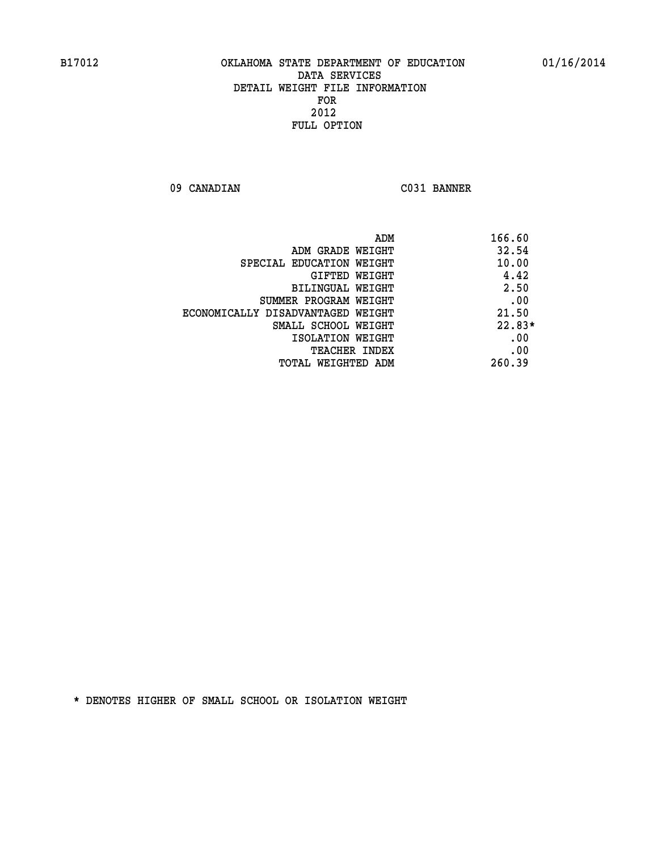**09 CANADIAN C031 BANNER** 

|                                   | 166.60<br>ADM |
|-----------------------------------|---------------|
| ADM GRADE WEIGHT                  | 32.54         |
| SPECIAL EDUCATION WEIGHT          | 10.00         |
| <b>GIFTED WEIGHT</b>              | 4.42          |
| BILINGUAL WEIGHT                  | 2.50          |
| SUMMER PROGRAM WEIGHT             | .00           |
| ECONOMICALLY DISADVANTAGED WEIGHT | 21.50         |
| SMALL SCHOOL WEIGHT               | $22.83*$      |
| ISOLATION WEIGHT                  | .00           |
| <b>TEACHER INDEX</b>              | .00           |
| TOTAL WEIGHTED ADM                | 260.39        |
|                                   |               |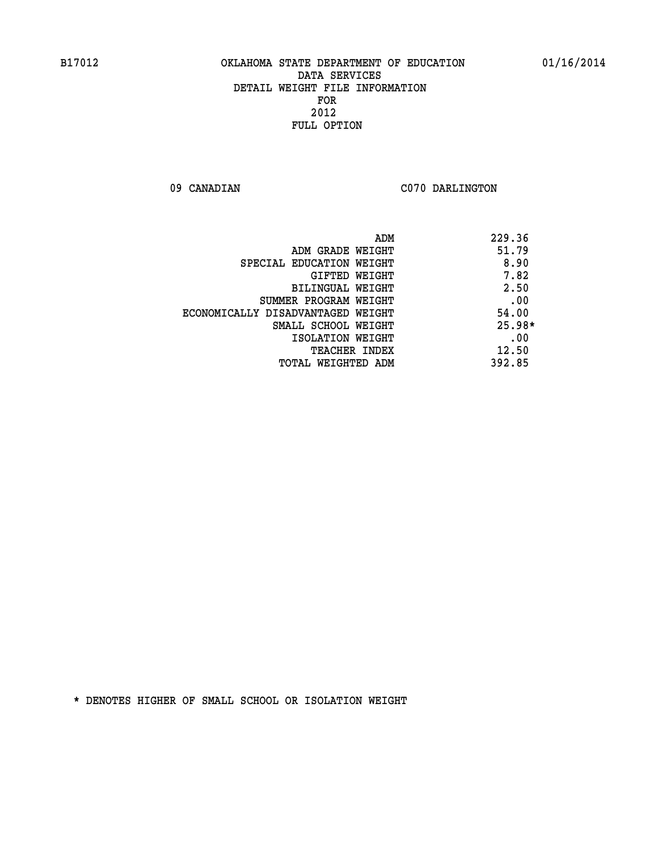09 CANADIAN C070 DARLINGTON

|                                   | 229.36<br>ADM |
|-----------------------------------|---------------|
| ADM GRADE WEIGHT                  | 51.79         |
| SPECIAL EDUCATION WEIGHT          | 8.90          |
| GIFTED WEIGHT                     | 7.82          |
| BILINGUAL WEIGHT                  | 2.50          |
| SUMMER PROGRAM WEIGHT             | .00           |
| ECONOMICALLY DISADVANTAGED WEIGHT | 54.00         |
| SMALL SCHOOL WEIGHT               | $25.98*$      |
| ISOLATION WEIGHT                  | .00           |
| <b>TEACHER INDEX</b>              | 12.50         |
| TOTAL WEIGHTED ADM                | 392.85        |
|                                   |               |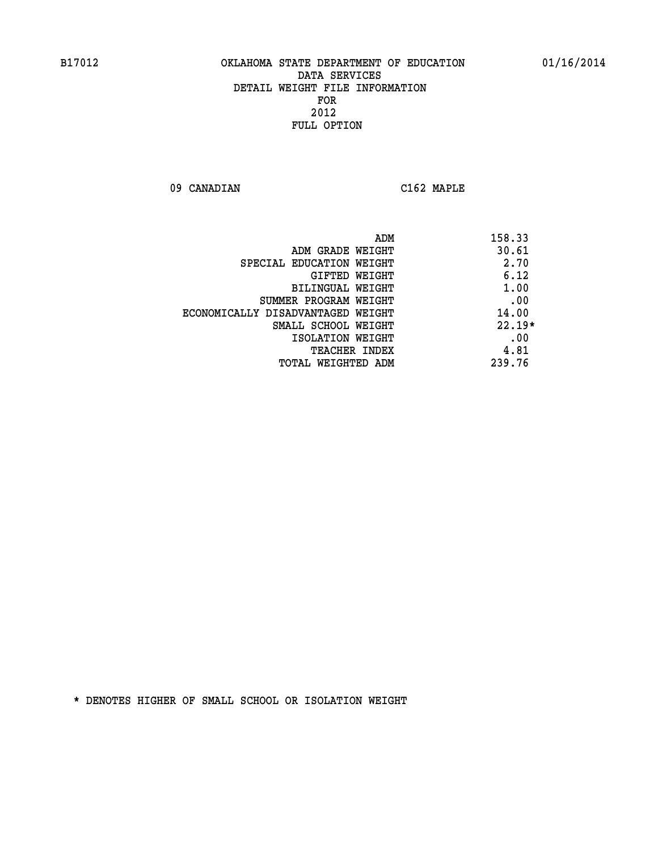**09 CANADIAN C162 MAPLE** 

| ADM<br>158.33                              |     |
|--------------------------------------------|-----|
| 30.61<br>ADM GRADE WEIGHT                  |     |
| 2.70<br>SPECIAL EDUCATION WEIGHT           |     |
| 6.12<br><b>GIFTED WEIGHT</b>               |     |
| 1.00<br>BILINGUAL WEIGHT                   |     |
| SUMMER PROGRAM WEIGHT                      | .00 |
| 14.00<br>ECONOMICALLY DISADVANTAGED WEIGHT |     |
| $22.19*$<br>SMALL SCHOOL WEIGHT            |     |
| ISOLATION WEIGHT                           | .00 |
| 4.81<br><b>TEACHER INDEX</b>               |     |
| 239.76<br>TOTAL WEIGHTED ADM               |     |
|                                            |     |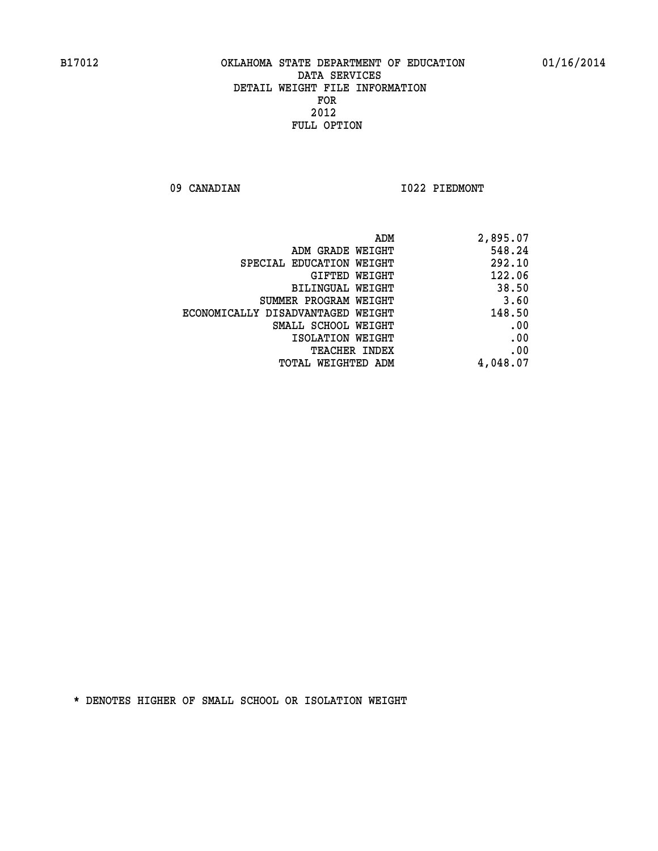09 CANADIAN 1022 PIEDMONT

|                                   | ADM<br>2,895.07 |
|-----------------------------------|-----------------|
| ADM GRADE WEIGHT                  | 548.24          |
| SPECIAL EDUCATION WEIGHT          | 292.10          |
| GIFTED WEIGHT                     | 122.06          |
| BILINGUAL WEIGHT                  | 38.50           |
| SUMMER PROGRAM WEIGHT             | 3.60            |
| ECONOMICALLY DISADVANTAGED WEIGHT | 148.50          |
| SMALL SCHOOL WEIGHT               | .00             |
| ISOLATION WEIGHT                  | .00             |
| <b>TEACHER INDEX</b>              | .00             |
| TOTAL WEIGHTED ADM                | 4,048.07        |
|                                   |                 |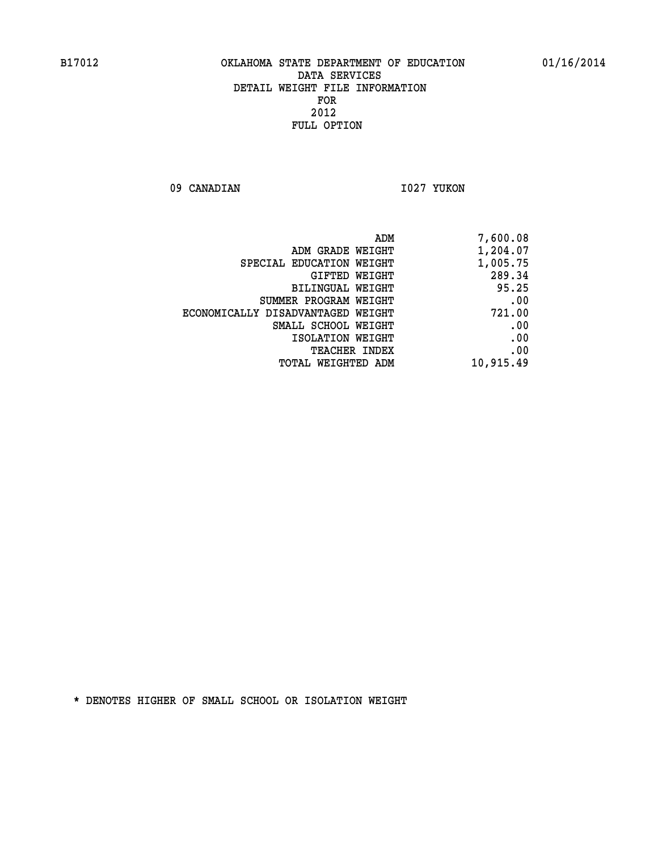09 CANADIAN 1027 YUKON

| 7,600.08  |
|-----------|
| 1,204.07  |
| 1,005.75  |
| 289.34    |
| 95.25     |
| .00       |
| 721.00    |
| .00       |
| .00       |
| .00       |
| 10,915.49 |
|           |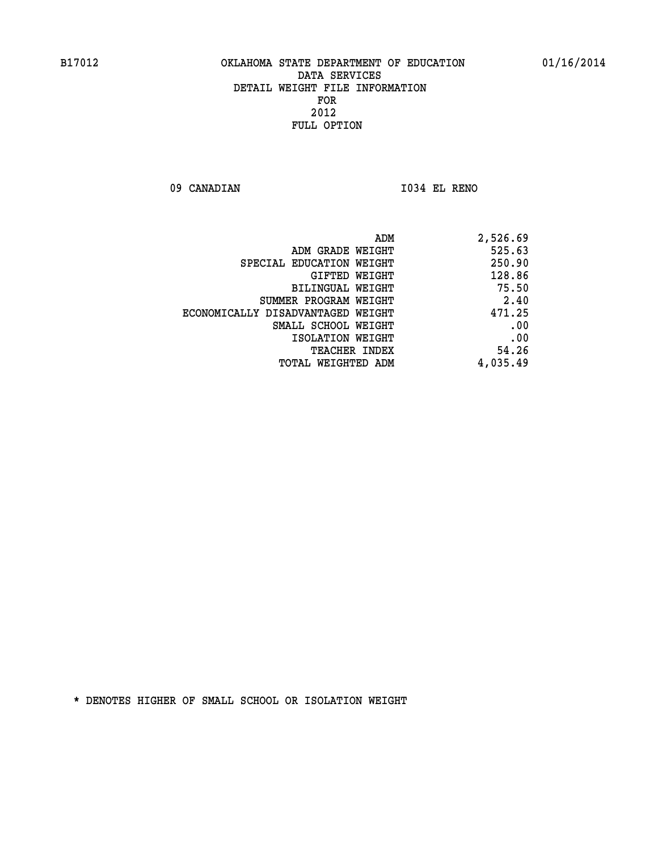**09 CANADIAN I034 EL RENO** 

| 2,526.69 |
|----------|
| 525.63   |
| 250.90   |
| 128.86   |
| 75.50    |
| 2.40     |
| 471.25   |
| .00      |
| .00      |
| 54.26    |
| 4,035.49 |
|          |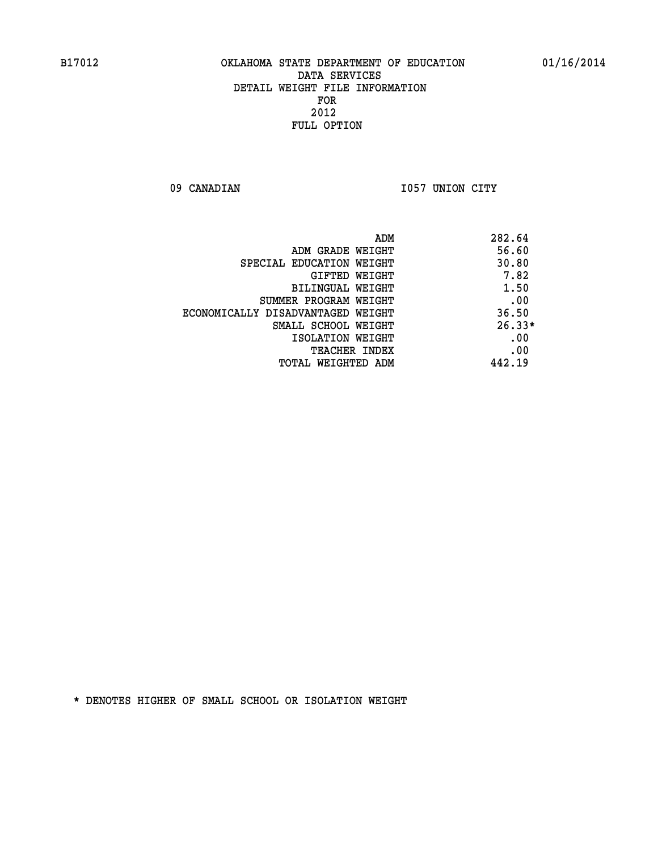09 CANADIAN 1057 UNION CITY

|                                   | 282.64<br>ADM |
|-----------------------------------|---------------|
| ADM GRADE WEIGHT                  | 56.60         |
| SPECIAL EDUCATION WEIGHT          | 30.80         |
| GIFTED WEIGHT                     | 7.82          |
| BILINGUAL WEIGHT                  | 1.50          |
| SUMMER PROGRAM WEIGHT             | .00           |
| ECONOMICALLY DISADVANTAGED WEIGHT | 36.50         |
| SMALL SCHOOL WEIGHT               | $26.33*$      |
| ISOLATION WEIGHT                  | .00           |
| <b>TEACHER INDEX</b>              | .00           |
| TOTAL WEIGHTED ADM                | 442.19        |
|                                   |               |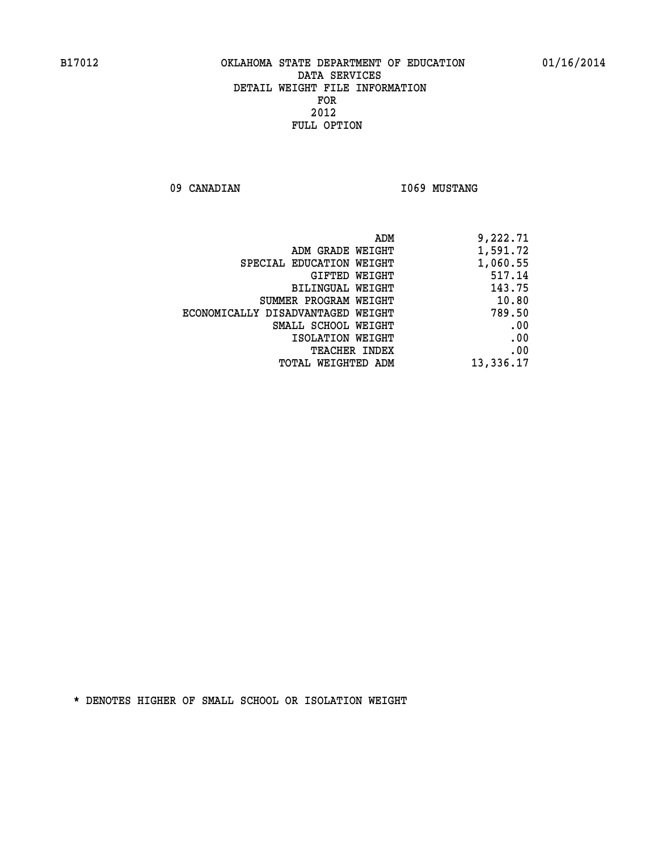09 CANADIAN 1069 MUSTANG

|                                   | 9,222.71<br>ADM |
|-----------------------------------|-----------------|
| ADM GRADE WEIGHT                  | 1,591.72        |
| SPECIAL EDUCATION WEIGHT          | 1,060.55        |
| GIFTED WEIGHT                     | 517.14          |
| <b>BILINGUAL WEIGHT</b>           | 143.75          |
| SUMMER PROGRAM WEIGHT             | 10.80           |
| ECONOMICALLY DISADVANTAGED WEIGHT | 789.50          |
| SMALL SCHOOL WEIGHT               | .00             |
| ISOLATION WEIGHT                  | .00             |
| TEACHER INDEX                     | .00             |
| TOTAL WEIGHTED ADM                | 13,336.17       |
|                                   |                 |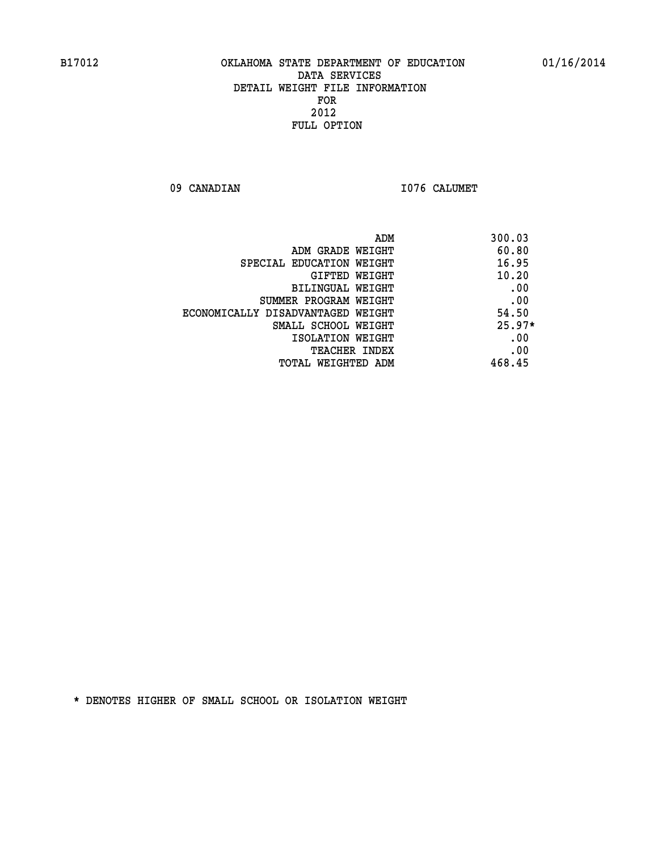09 CANADIAN 1076 CALUMET

| ADM                               | 300.03   |
|-----------------------------------|----------|
| ADM GRADE WEIGHT                  | 60.80    |
| SPECIAL EDUCATION WEIGHT          | 16.95    |
| <b>GIFTED WEIGHT</b>              | 10.20    |
| BILINGUAL WEIGHT                  | .00      |
| SUMMER PROGRAM WEIGHT             | .00      |
| ECONOMICALLY DISADVANTAGED WEIGHT | 54.50    |
| SMALL SCHOOL WEIGHT               | $25.97*$ |
| ISOLATION WEIGHT                  | .00      |
| <b>TEACHER INDEX</b>              | .00      |
| TOTAL WEIGHTED ADM                | 468.45   |
|                                   |          |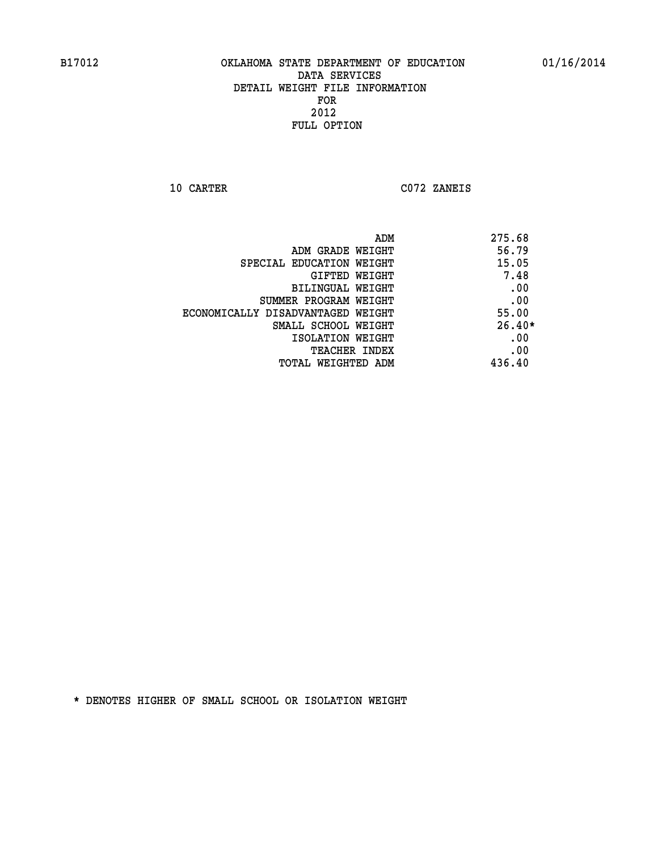**10 CARTER C072 ZANEIS** 

| ADM                               | 275.68   |
|-----------------------------------|----------|
| ADM GRADE WEIGHT                  | 56.79    |
| SPECIAL EDUCATION WEIGHT          | 15.05    |
| GIFTED WEIGHT                     | 7.48     |
| BILINGUAL WEIGHT                  | .00      |
| SUMMER PROGRAM WEIGHT             | .00      |
| ECONOMICALLY DISADVANTAGED WEIGHT | 55.00    |
| SMALL SCHOOL WEIGHT               | $26.40*$ |
| ISOLATION WEIGHT                  | .00      |
| TEACHER INDEX                     | .00      |
| TOTAL WEIGHTED ADM                | 436.40   |
|                                   |          |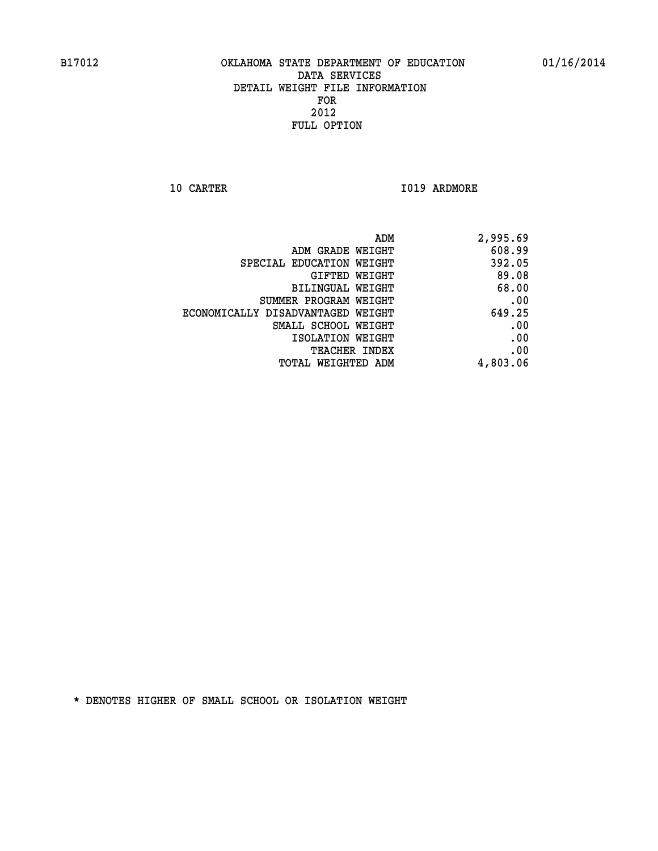**10 CARTER 1019 ARDMORE** 

|                                   | ADM<br>2,995.69 |
|-----------------------------------|-----------------|
| ADM GRADE WEIGHT                  | 608.99          |
| SPECIAL EDUCATION WEIGHT          | 392.05          |
| GIFTED WEIGHT                     | 89.08           |
| <b>BILINGUAL WEIGHT</b>           | 68.00           |
| SUMMER PROGRAM WEIGHT             | .00             |
| ECONOMICALLY DISADVANTAGED WEIGHT | 649.25          |
| SMALL SCHOOL WEIGHT               | .00             |
| ISOLATION WEIGHT                  | .00             |
| TEACHER INDEX                     | .00             |
| TOTAL WEIGHTED ADM                | 4,803.06        |
|                                   |                 |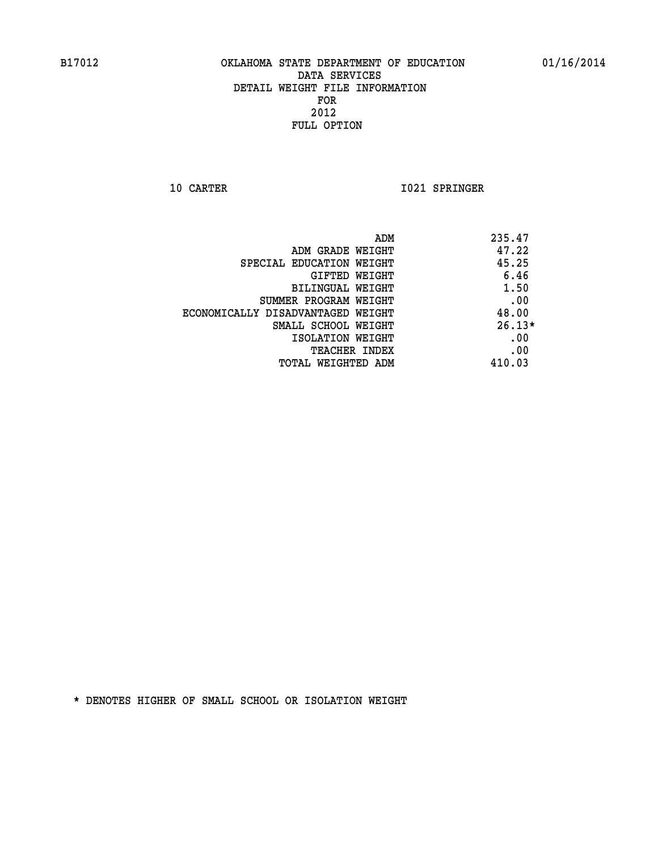**10 CARTER 1021 SPRINGER** 

|                                   | ADM<br>235.47 |
|-----------------------------------|---------------|
| ADM GRADE WEIGHT                  | 47.22         |
| SPECIAL EDUCATION WEIGHT          | 45.25         |
| GIFTED WEIGHT                     | 6.46          |
| <b>BILINGUAL WEIGHT</b>           | 1.50          |
| SUMMER PROGRAM WEIGHT             | .00           |
| ECONOMICALLY DISADVANTAGED WEIGHT | 48.00         |
| SMALL SCHOOL WEIGHT               | $26.13*$      |
| ISOLATION WEIGHT                  | .00           |
| <b>TEACHER INDEX</b>              | .00           |
| TOTAL WEIGHTED ADM                | 410.03        |
|                                   |               |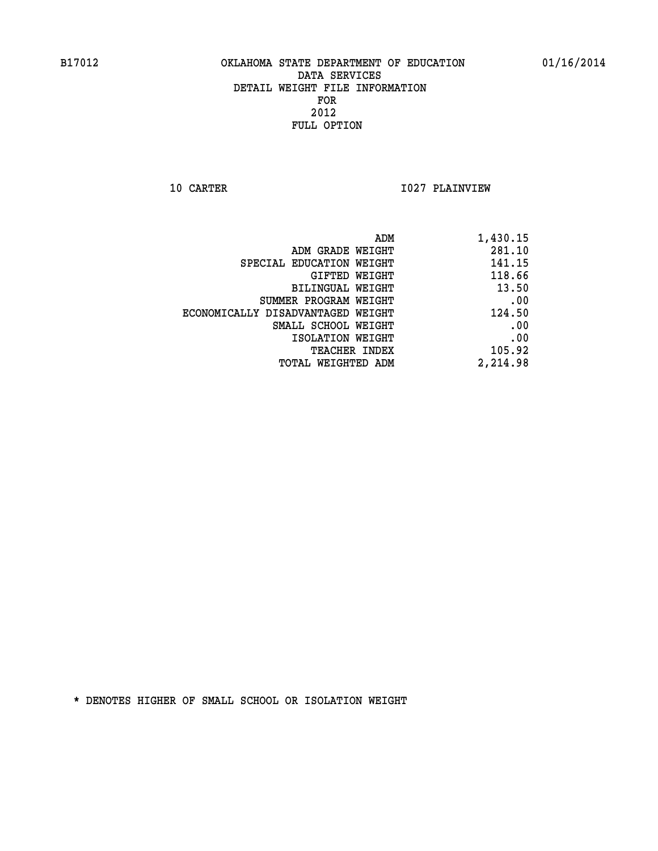**10 CARTER 1027 PLAINVIEW** 

| ADM                               | 1,430.15 |
|-----------------------------------|----------|
| ADM GRADE WEIGHT                  | 281.10   |
| SPECIAL EDUCATION WEIGHT          | 141.15   |
| GIFTED WEIGHT                     | 118.66   |
| BILINGUAL WEIGHT                  | 13.50    |
| SUMMER PROGRAM WEIGHT             | .00      |
| ECONOMICALLY DISADVANTAGED WEIGHT | 124.50   |
| SMALL SCHOOL WEIGHT               | .00      |
| ISOLATION WEIGHT                  | .00      |
| TEACHER INDEX                     | 105.92   |
| TOTAL WEIGHTED ADM                | 2,214.98 |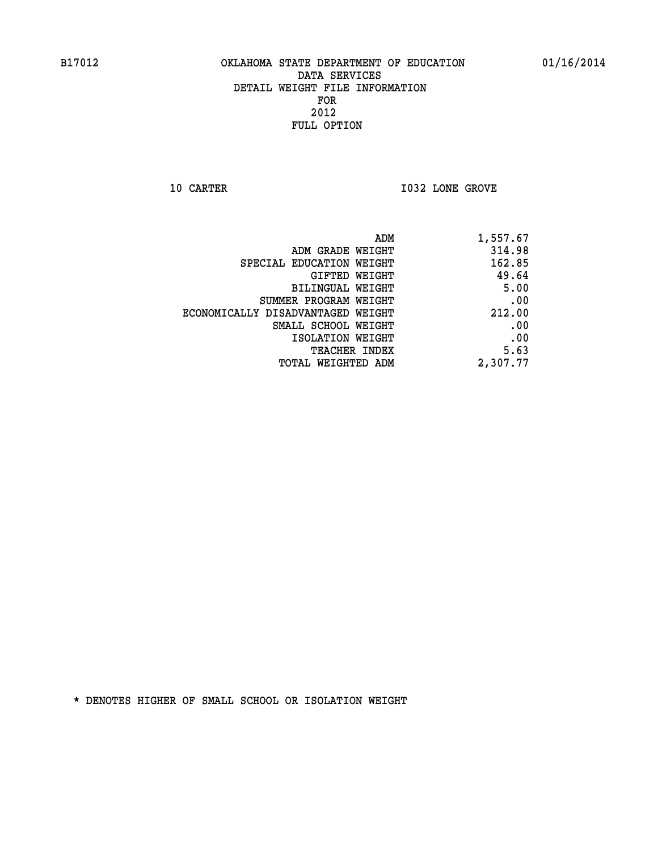**10 CARTER 10 CARTER 1032 LONE GROVE** 

| 1,557.67 |
|----------|
| 314.98   |
| 162.85   |
| 49.64    |
| 5.00     |
| .00      |
| 212.00   |
| .00      |
| .00      |
| 5.63     |
| 2,307.77 |
|          |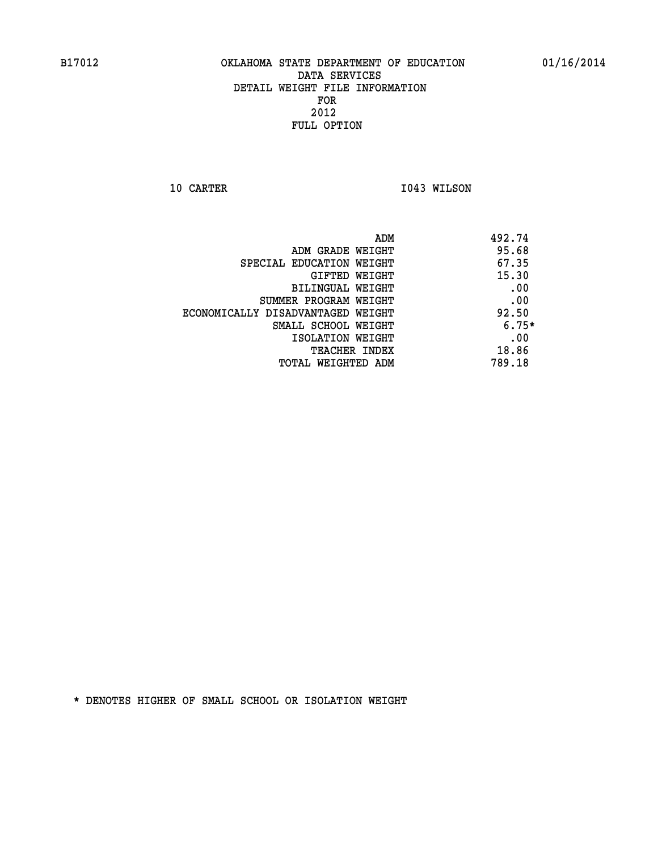**10 CARTER 1043 WILSON** 

|                                   | 492.74<br>ADM |         |
|-----------------------------------|---------------|---------|
| ADM GRADE WEIGHT                  |               | 95.68   |
| SPECIAL EDUCATION WEIGHT          |               | 67.35   |
| GIFTED WEIGHT                     |               | 15.30   |
| BILINGUAL WEIGHT                  |               | .00     |
| SUMMER PROGRAM WEIGHT             |               | .00     |
| ECONOMICALLY DISADVANTAGED WEIGHT |               | 92.50   |
| SMALL SCHOOL WEIGHT               |               | $6.75*$ |
| ISOLATION WEIGHT                  |               | .00     |
| <b>TEACHER INDEX</b>              |               | 18.86   |
| TOTAL WEIGHTED ADM                | 789.18        |         |
|                                   |               |         |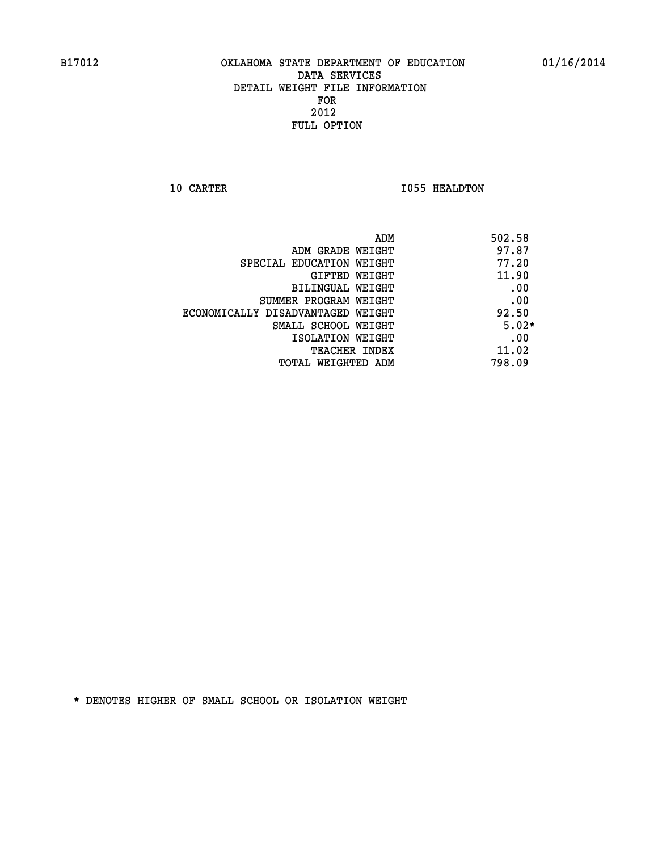**10 CARTER 1055 HEALDTON** 

| ADM<br>502.58                              |  |
|--------------------------------------------|--|
| 97.87<br>ADM GRADE WEIGHT                  |  |
| 77.20<br>SPECIAL EDUCATION WEIGHT          |  |
| 11.90<br>GIFTED WEIGHT                     |  |
| .00<br><b>BILINGUAL WEIGHT</b>             |  |
| .00<br>SUMMER PROGRAM WEIGHT               |  |
| 92.50<br>ECONOMICALLY DISADVANTAGED WEIGHT |  |
| $5.02*$<br>SMALL SCHOOL WEIGHT             |  |
| .00<br>ISOLATION WEIGHT                    |  |
| 11.02<br><b>TEACHER INDEX</b>              |  |
| 798.09<br>TOTAL WEIGHTED ADM               |  |
|                                            |  |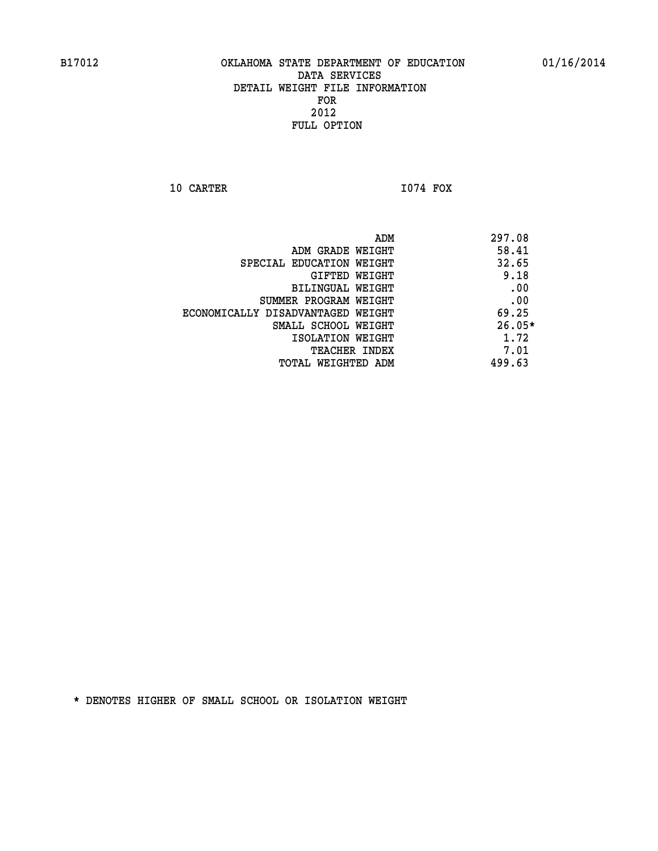**10 CARTER I074 FOX** 

 **ADM 297.08 ADM GRADE WEIGHT 58.41 SPECIAL EDUCATION WEIGHT 32.65 GIFTED WEIGHT** 9.18 **BILINGUAL WEIGHT .00 SUMMER PROGRAM WEIGHT .00 ECONOMICALLY DISADVANTAGED WEIGHT 69.25 SMALL SCHOOL WEIGHT 26.05\* 1.72** ISOLATION WEIGHT 1.72 **TEACHER INDEX** 7.01  **TOTAL WEIGHTED ADM 499.63**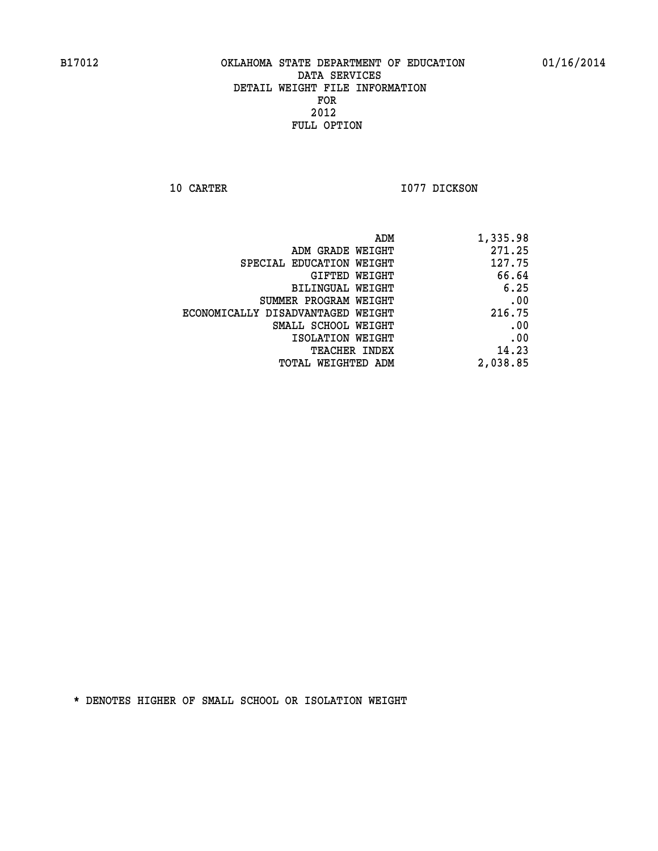**10 CARTER 1077 DICKSON** 

| 1,335.98 |
|----------|
| 271.25   |
| 127.75   |
| 66.64    |
| 6.25     |
| .00      |
| 216.75   |
| .00      |
| .00      |
| 14.23    |
| 2,038.85 |
|          |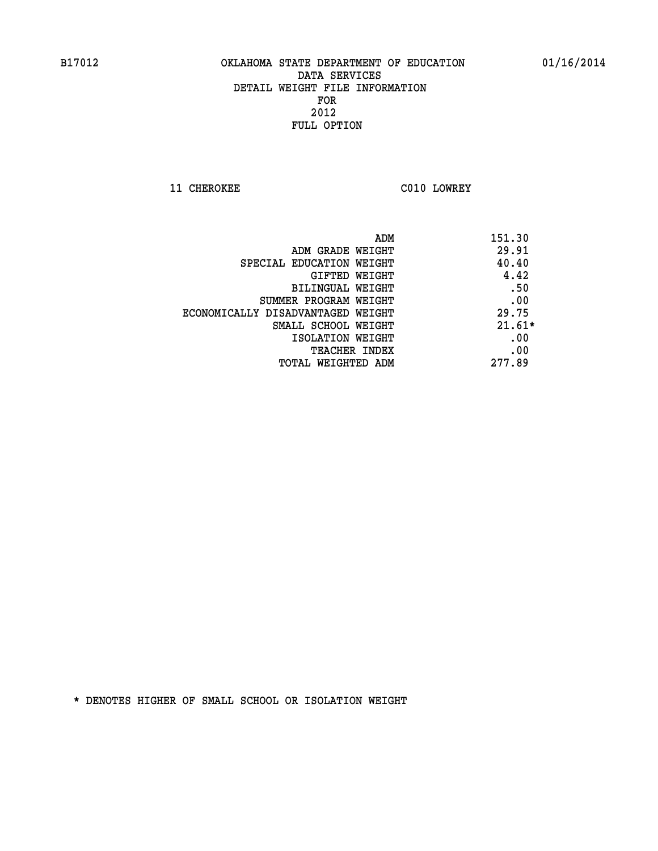**11 CHEROKEE C010 LOWREY** 

| ADM                               | 151.30   |
|-----------------------------------|----------|
| ADM GRADE WEIGHT                  | 29.91    |
| SPECIAL EDUCATION WEIGHT          | 40.40    |
| <b>GIFTED WEIGHT</b>              | 4.42     |
| BILINGUAL WEIGHT                  | .50      |
| SUMMER PROGRAM WEIGHT             | .00      |
| ECONOMICALLY DISADVANTAGED WEIGHT | 29.75    |
| SMALL SCHOOL WEIGHT               | $21.61*$ |
| ISOLATION WEIGHT                  | .00      |
| <b>TEACHER INDEX</b>              | .00      |
| TOTAL WEIGHTED ADM                | 277.89   |
|                                   |          |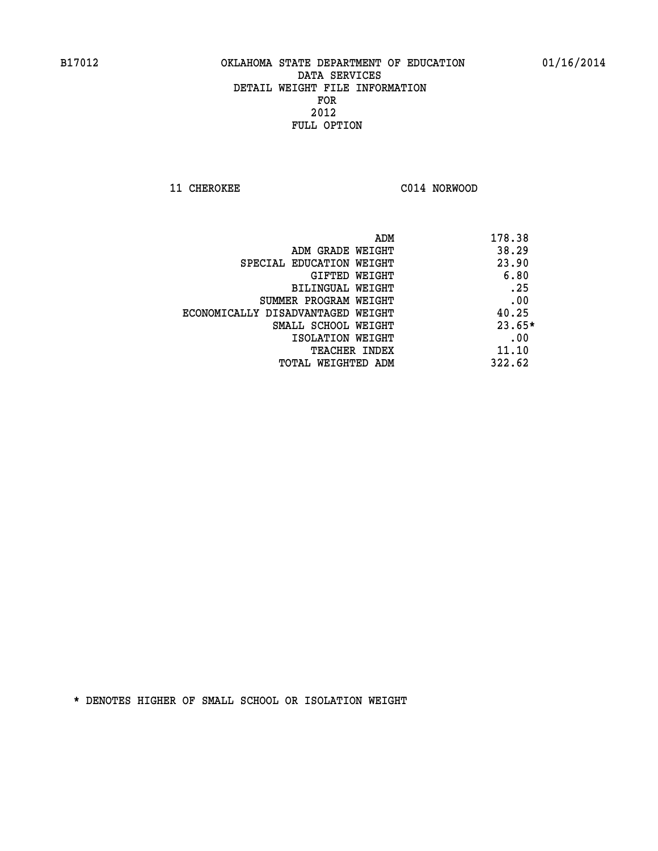**11 CHEROKEE C014 NORWOOD** 

| ADM                               | 178.38   |
|-----------------------------------|----------|
| ADM GRADE WEIGHT                  | 38.29    |
| SPECIAL EDUCATION WEIGHT          | 23.90    |
| GIFTED WEIGHT                     | 6.80     |
| BILINGUAL WEIGHT                  | .25      |
| SUMMER PROGRAM WEIGHT             | .00      |
| ECONOMICALLY DISADVANTAGED WEIGHT | 40.25    |
| SMALL SCHOOL WEIGHT               | $23.65*$ |
| ISOLATION WEIGHT                  | .00      |
| <b>TEACHER INDEX</b>              | 11.10    |
| TOTAL WEIGHTED ADM                | 322.62   |
|                                   |          |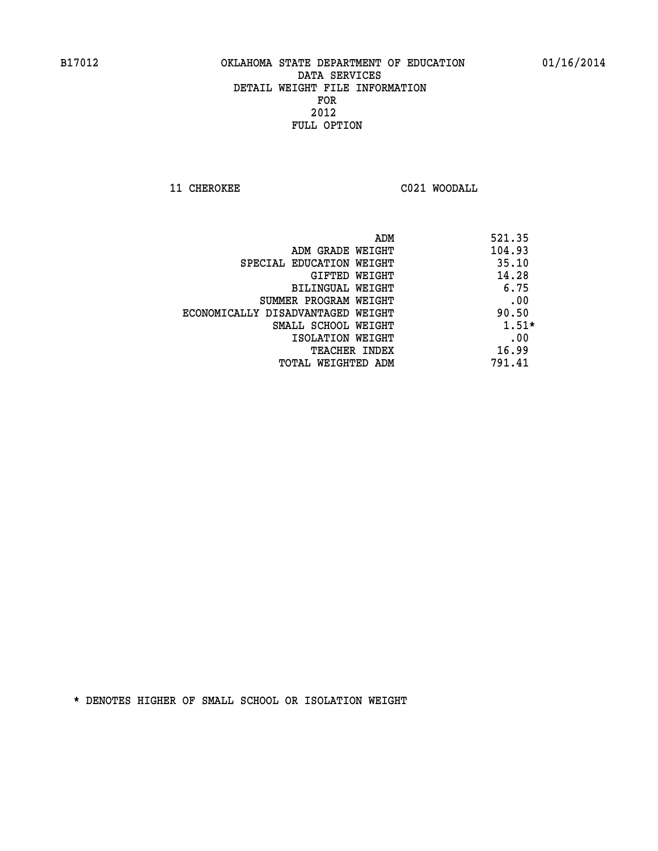**11 CHEROKEE C021 WOODALL** 

|                                   | ADM | 521.35  |
|-----------------------------------|-----|---------|
| ADM GRADE WEIGHT                  |     | 104.93  |
| SPECIAL EDUCATION WEIGHT          |     | 35.10   |
| GIFTED WEIGHT                     |     | 14.28   |
| BILINGUAL WEIGHT                  |     | 6.75    |
| SUMMER PROGRAM WEIGHT             |     | .00     |
| ECONOMICALLY DISADVANTAGED WEIGHT |     | 90.50   |
| SMALL SCHOOL WEIGHT               |     | $1.51*$ |
| ISOLATION WEIGHT                  |     | .00     |
| <b>TEACHER INDEX</b>              |     | 16.99   |
| TOTAL WEIGHTED ADM                |     | 791.41  |
|                                   |     |         |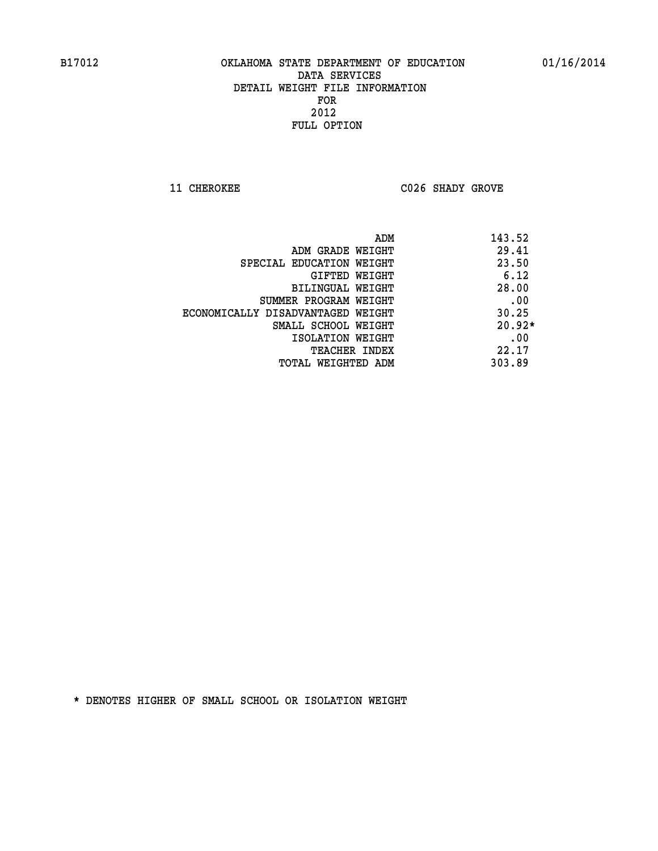**11 CHEROKEE C026 SHADY GROVE** 

|                                   | 143.52<br>ADM |  |
|-----------------------------------|---------------|--|
| ADM GRADE WEIGHT                  | 29.41         |  |
| SPECIAL EDUCATION WEIGHT          | 23.50         |  |
| GIFTED WEIGHT                     | 6.12          |  |
| BILINGUAL WEIGHT                  | 28.00         |  |
| SUMMER PROGRAM WEIGHT             | .00           |  |
| ECONOMICALLY DISADVANTAGED WEIGHT | 30.25         |  |
| SMALL SCHOOL WEIGHT               | $20.92*$      |  |
| ISOLATION WEIGHT                  | .00           |  |
| <b>TEACHER INDEX</b>              | 22.17         |  |
| TOTAL WEIGHTED ADM                | 303.89        |  |
|                                   |               |  |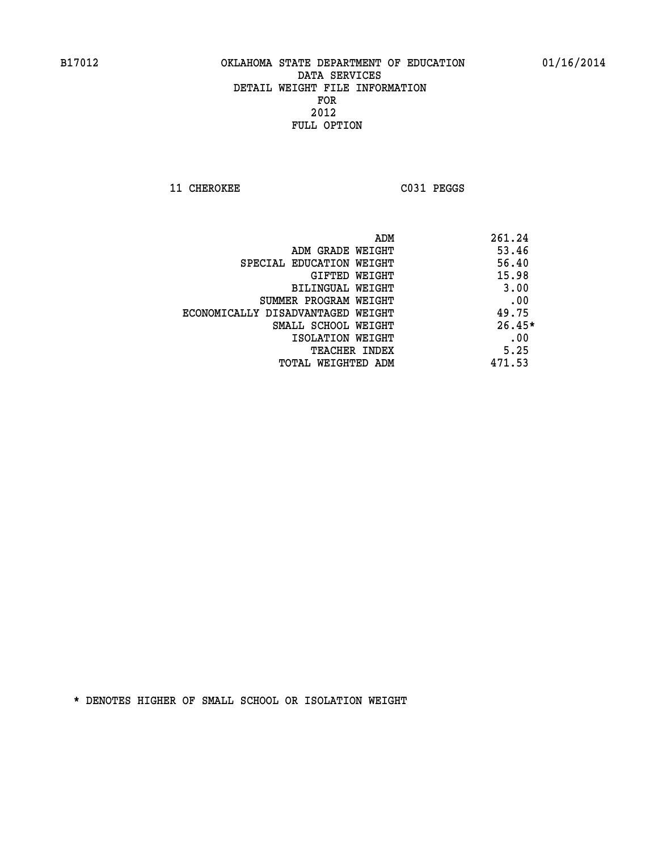**11 CHEROKEE C031 PEGGS** 

| 261.24<br>ADM                              |  |
|--------------------------------------------|--|
| 53.46<br>ADM GRADE WEIGHT                  |  |
| 56.40<br>SPECIAL EDUCATION WEIGHT          |  |
| 15.98<br>GIFTED WEIGHT                     |  |
| 3.00<br>BILINGUAL WEIGHT                   |  |
| .00<br>SUMMER PROGRAM WEIGHT               |  |
| 49.75<br>ECONOMICALLY DISADVANTAGED WEIGHT |  |
| $26.45*$<br>SMALL SCHOOL WEIGHT            |  |
| .00<br>ISOLATION WEIGHT                    |  |
| 5.25<br><b>TEACHER INDEX</b>               |  |
| 471.53<br>TOTAL WEIGHTED ADM               |  |
|                                            |  |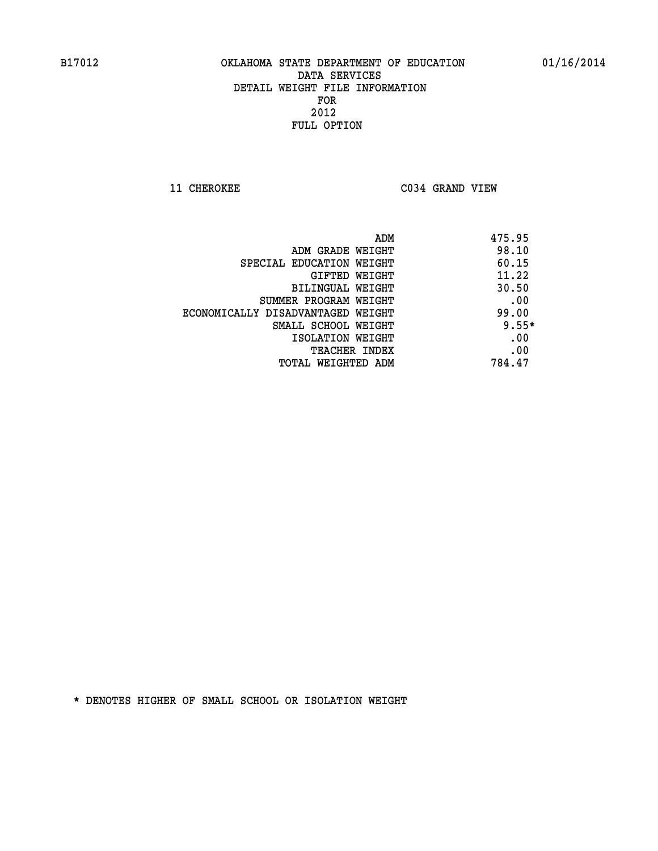**11 CHEROKEE C034 GRAND VIEW** 

| ADM                               | 475.95  |
|-----------------------------------|---------|
| ADM GRADE WEIGHT                  | 98.10   |
| SPECIAL EDUCATION WEIGHT          | 60.15   |
| <b>GIFTED WEIGHT</b>              | 11.22   |
| BILINGUAL WEIGHT                  | 30.50   |
| SUMMER PROGRAM WEIGHT             | .00     |
| ECONOMICALLY DISADVANTAGED WEIGHT | 99.00   |
| SMALL SCHOOL WEIGHT               | $9.55*$ |
| ISOLATION WEIGHT                  | .00     |
| <b>TEACHER INDEX</b>              | .00     |
| TOTAL WEIGHTED ADM                | 784.47  |
|                                   |         |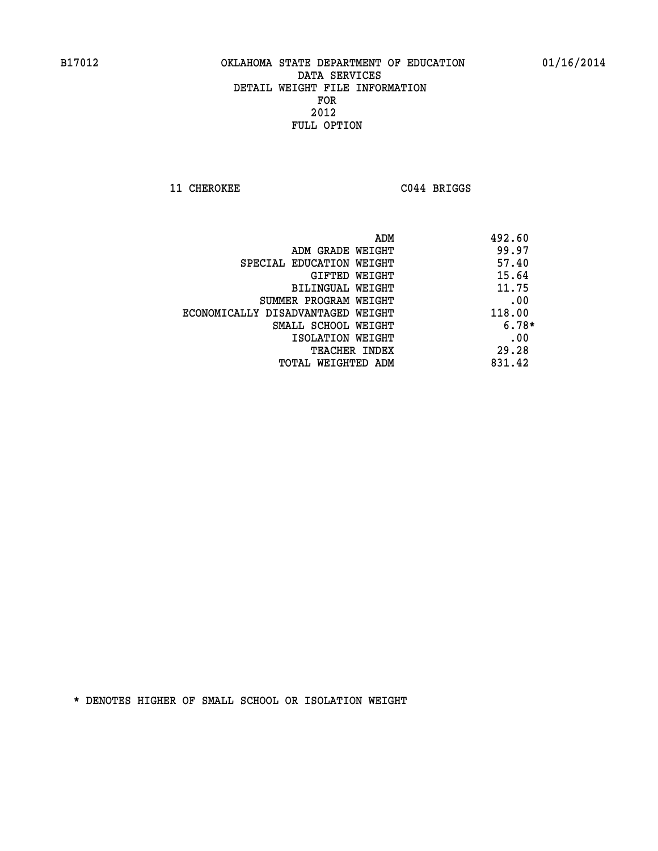**11 CHEROKEE C044 BRIGGS** 

|                                   | 492.60<br>ADM |
|-----------------------------------|---------------|
| ADM GRADE WEIGHT                  | 99.97         |
| SPECIAL EDUCATION WEIGHT          | 57.40         |
| GIFTED WEIGHT                     | 15.64         |
| BILINGUAL WEIGHT                  | 11.75         |
| SUMMER PROGRAM WEIGHT             | .00           |
| ECONOMICALLY DISADVANTAGED WEIGHT | 118.00        |
| SMALL SCHOOL WEIGHT               | $6.78*$       |
| ISOLATION WEIGHT                  | .00           |
| TEACHER INDEX                     | 29.28         |
| TOTAL WEIGHTED ADM                | 831.42        |
|                                   |               |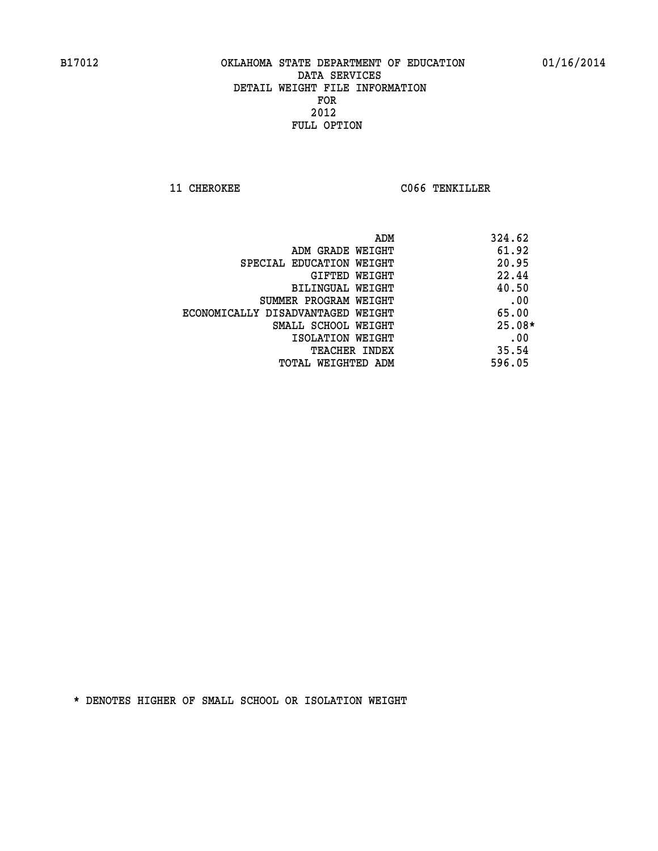**11 CHEROKEE CO66 TENKILLER** 

| ADM                               | 324.62   |
|-----------------------------------|----------|
| ADM GRADE WEIGHT                  | 61.92    |
| SPECIAL EDUCATION WEIGHT          | 20.95    |
| GIFTED WEIGHT                     | 22.44    |
| BILINGUAL WEIGHT                  | 40.50    |
| SUMMER PROGRAM WEIGHT             | .00      |
| ECONOMICALLY DISADVANTAGED WEIGHT | 65.00    |
| SMALL SCHOOL WEIGHT               | $25.08*$ |
| ISOLATION WEIGHT                  | .00      |
| <b>TEACHER INDEX</b>              | 35.54    |
| TOTAL WEIGHTED ADM                | 596.05   |
|                                   |          |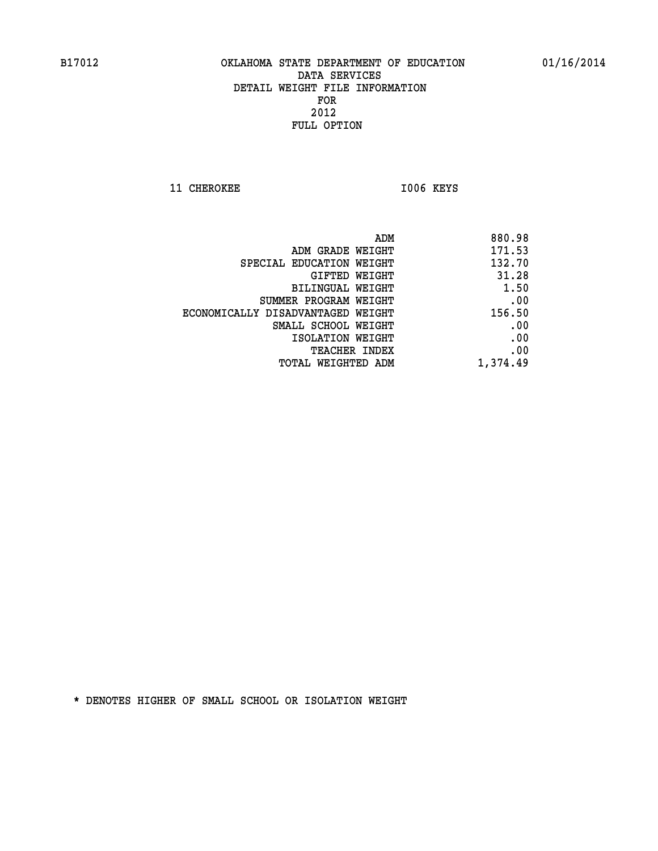11 CHEROKEE 1006 KEYS

| ADM                               | 880.98   |
|-----------------------------------|----------|
| ADM GRADE WEIGHT                  | 171.53   |
| SPECIAL EDUCATION WEIGHT          | 132.70   |
| GIFTED WEIGHT                     | 31.28    |
| BILINGUAL WEIGHT                  | 1.50     |
| SUMMER PROGRAM WEIGHT             | .00      |
| ECONOMICALLY DISADVANTAGED WEIGHT | 156.50   |
| SMALL SCHOOL WEIGHT               | .00      |
| ISOLATION WEIGHT                  | .00      |
| <b>TEACHER INDEX</b>              | .00      |
| TOTAL WEIGHTED ADM                | 1,374.49 |
|                                   |          |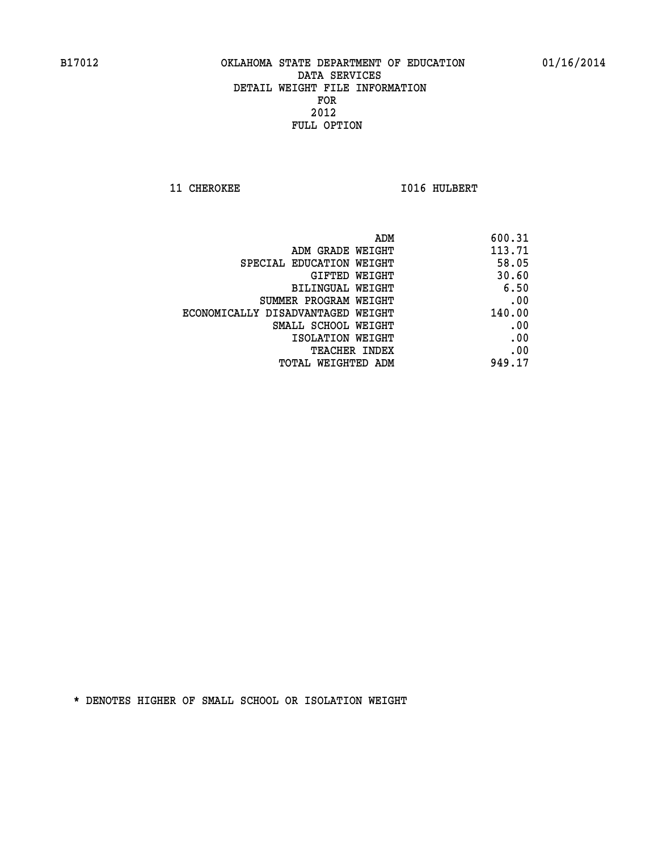**11 CHEROKEE 1016 HULBERT** 

| ADM                               | 600.31 |
|-----------------------------------|--------|
| ADM GRADE WEIGHT                  | 113.71 |
| SPECIAL EDUCATION WEIGHT          | 58.05  |
| GIFTED WEIGHT                     | 30.60  |
| <b>BILINGUAL WEIGHT</b>           | 6.50   |
| SUMMER PROGRAM WEIGHT             | .00    |
| ECONOMICALLY DISADVANTAGED WEIGHT | 140.00 |
| SMALL SCHOOL WEIGHT               | .00    |
| ISOLATION WEIGHT                  | .00    |
| TEACHER INDEX                     | .00    |
| TOTAL WEIGHTED ADM                | 949.17 |
|                                   |        |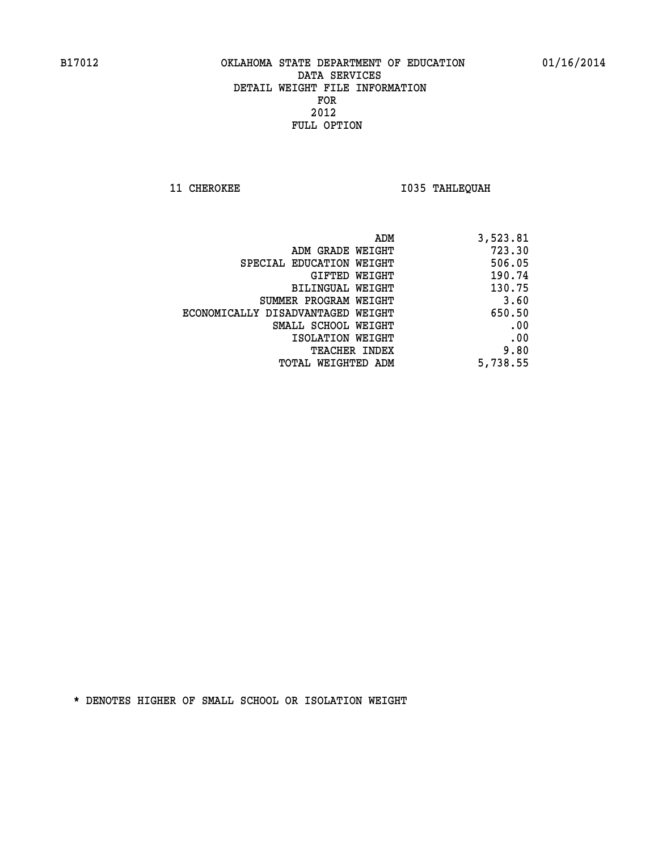**11 CHEROKEE 1035 TAHLEQUAH** 

| ADM                               | 3,523.81 |
|-----------------------------------|----------|
| ADM GRADE WEIGHT                  | 723.30   |
| SPECIAL EDUCATION WEIGHT          | 506.05   |
| GIFTED WEIGHT                     | 190.74   |
| BILINGUAL WEIGHT                  | 130.75   |
| SUMMER PROGRAM WEIGHT             | 3.60     |
| ECONOMICALLY DISADVANTAGED WEIGHT | 650.50   |
| SMALL SCHOOL WEIGHT               | .00      |
| ISOLATION WEIGHT                  | .00      |
| <b>TEACHER INDEX</b>              | 9.80     |
| TOTAL WEIGHTED ADM                | 5,738.55 |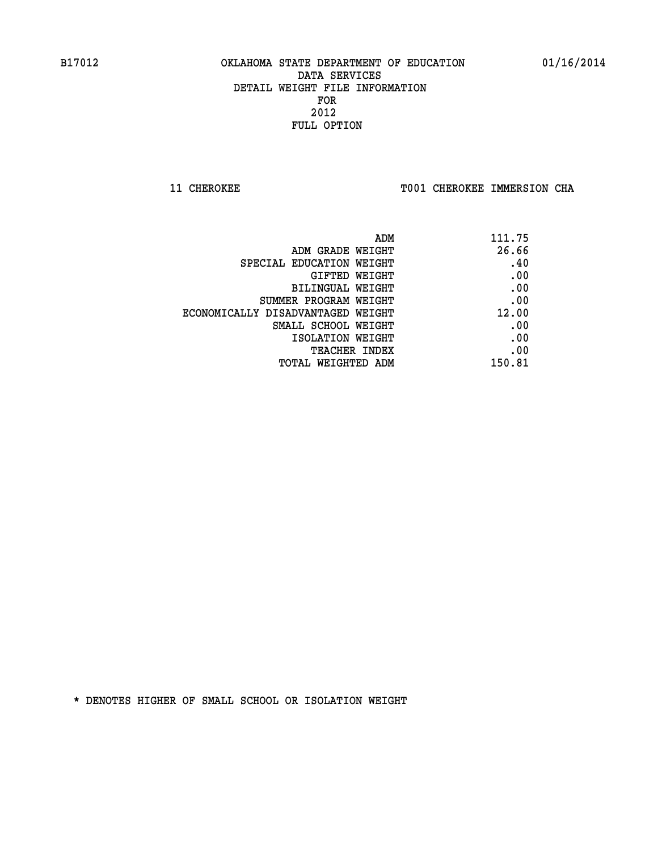**11 CHEROKEE TOO1 CHEROKEE IMMERSION CHA** 

| ADM                               | 111.75 |
|-----------------------------------|--------|
| ADM GRADE WEIGHT                  | 26.66  |
| SPECIAL EDUCATION WEIGHT          | .40    |
| GIFTED WEIGHT                     | .00    |
| BILINGUAL WEIGHT                  | .00    |
| SUMMER PROGRAM WEIGHT             | .00    |
| ECONOMICALLY DISADVANTAGED WEIGHT | 12.00  |
| SMALL SCHOOL WEIGHT               | .00    |
| ISOLATION WEIGHT                  | .00    |
| TEACHER INDEX                     | .00    |
| TOTAL WEIGHTED ADM                | 150.81 |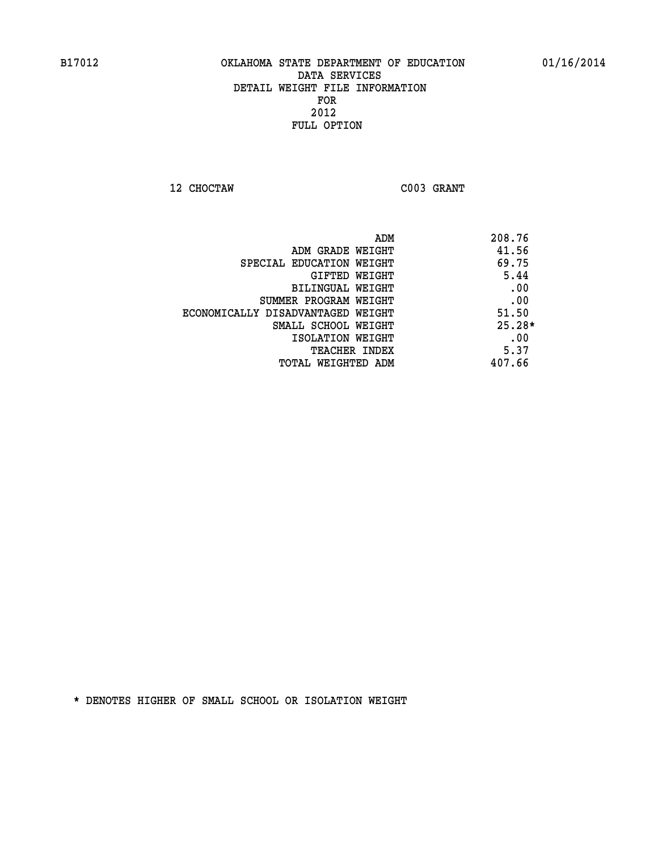**12 CHOCTAW C003 GRANT** 

|                                   | ADM<br>208.76 |
|-----------------------------------|---------------|
| ADM GRADE WEIGHT                  | 41.56         |
| SPECIAL EDUCATION WEIGHT          | 69.75         |
| GIFTED WEIGHT                     | 5.44          |
| BILINGUAL WEIGHT                  | .00           |
| SUMMER PROGRAM WEIGHT             | .00           |
| ECONOMICALLY DISADVANTAGED WEIGHT | 51.50         |
| SMALL SCHOOL WEIGHT               | $25.28*$      |
| ISOLATION WEIGHT                  | .00           |
| <b>TEACHER INDEX</b>              | 5.37          |
| TOTAL WEIGHTED ADM                | 407.66        |
|                                   |               |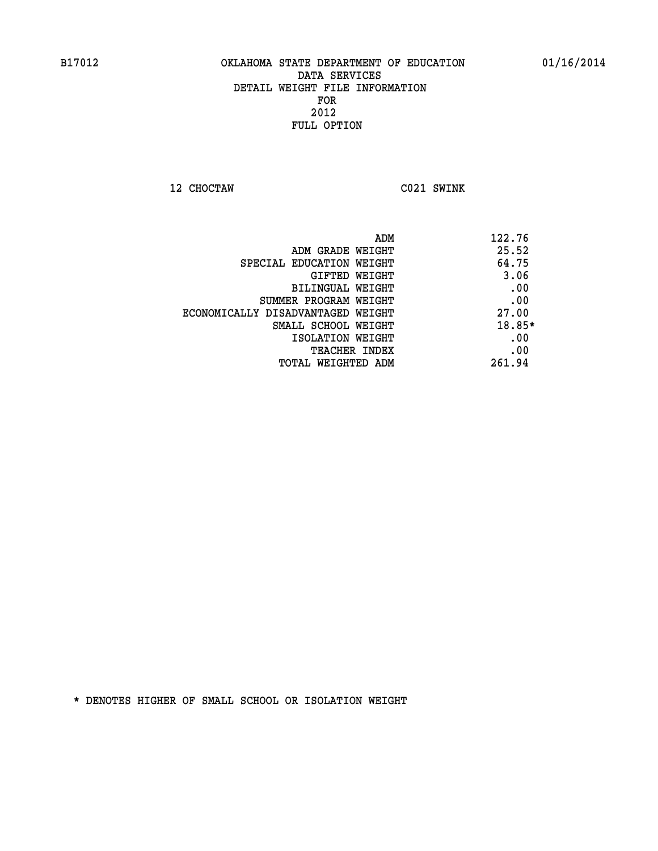**12 CHOCTAW C021 SWINK** 

|                                   | 122.76<br>ADM |
|-----------------------------------|---------------|
| ADM GRADE WEIGHT                  | 25.52         |
| SPECIAL EDUCATION WEIGHT          | 64.75         |
| GIFTED WEIGHT                     | 3.06          |
| BILINGUAL WEIGHT                  | .00           |
| SUMMER PROGRAM WEIGHT             | .00           |
| ECONOMICALLY DISADVANTAGED WEIGHT | 27.00         |
| SMALL SCHOOL WEIGHT               | 18.85*        |
| ISOLATION WEIGHT                  | .00           |
| <b>TEACHER INDEX</b>              | .00           |
| TOTAL WEIGHTED ADM                | 261.94        |
|                                   |               |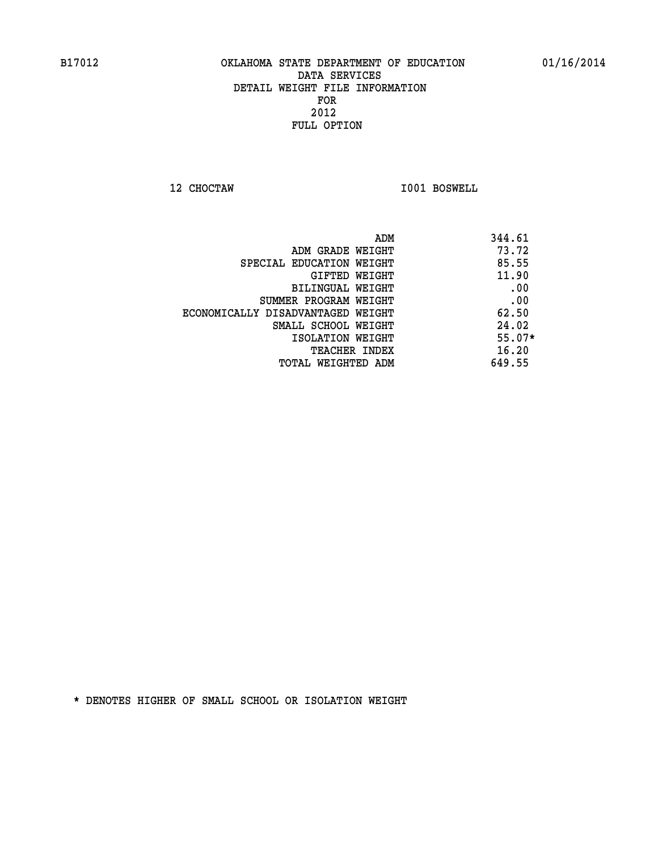**12 CHOCTAW I001 BOSWELL** 

|                                   | 344.61<br>ADM |  |
|-----------------------------------|---------------|--|
| ADM GRADE WEIGHT                  | 73.72         |  |
| SPECIAL EDUCATION WEIGHT          | 85.55         |  |
| GIFTED WEIGHT                     | 11.90         |  |
| BILINGUAL WEIGHT                  | .00           |  |
| SUMMER PROGRAM WEIGHT             | .00           |  |
| ECONOMICALLY DISADVANTAGED WEIGHT | 62.50         |  |
| SMALL SCHOOL WEIGHT               | 24.02         |  |
| ISOLATION WEIGHT                  | $55.07*$      |  |
| TEACHER INDEX                     | 16.20         |  |
| TOTAL WEIGHTED ADM                | 649.55        |  |
|                                   |               |  |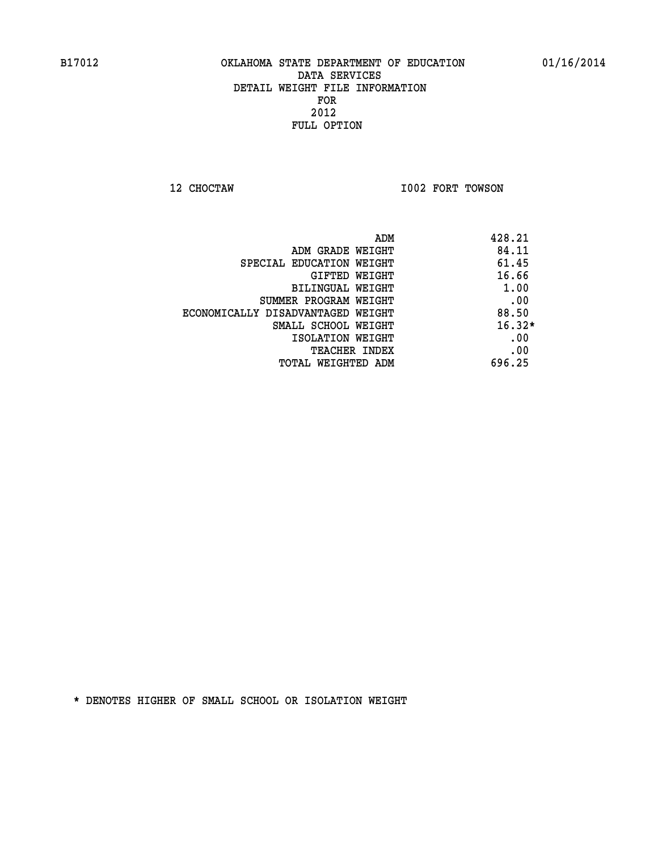**12 CHOCTAW I002 FORT TOWSON** 

| ADM<br>428.21                              |  |
|--------------------------------------------|--|
| 84.11<br>ADM GRADE WEIGHT                  |  |
| 61.45<br>SPECIAL EDUCATION WEIGHT          |  |
| 16.66<br><b>GIFTED WEIGHT</b>              |  |
| 1.00<br>BILINGUAL WEIGHT                   |  |
| .00<br>SUMMER PROGRAM WEIGHT               |  |
| 88.50<br>ECONOMICALLY DISADVANTAGED WEIGHT |  |
| $16.32*$<br>SMALL SCHOOL WEIGHT            |  |
| .00<br>ISOLATION WEIGHT                    |  |
| .00<br><b>TEACHER INDEX</b>                |  |
| 696.25<br>TOTAL WEIGHTED ADM               |  |
|                                            |  |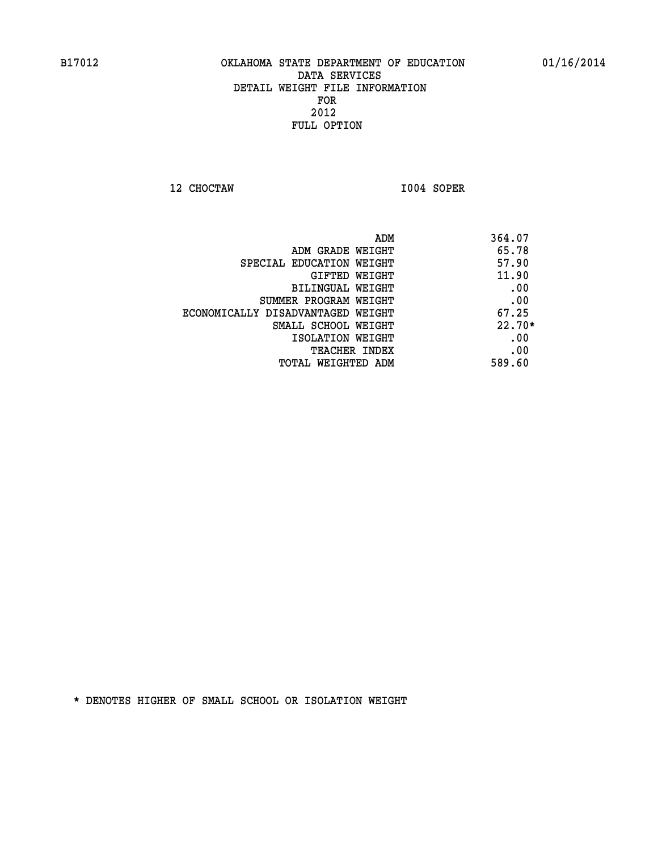**12 CHOCTAW I004 SOPER** 

| ADM                               | 364.07   |
|-----------------------------------|----------|
| ADM GRADE WEIGHT                  | 65.78    |
| SPECIAL EDUCATION WEIGHT          | 57.90    |
| GIFTED WEIGHT                     | 11.90    |
| BILINGUAL WEIGHT                  | .00      |
| SUMMER PROGRAM WEIGHT             | .00      |
| ECONOMICALLY DISADVANTAGED WEIGHT | 67.25    |
| SMALL SCHOOL WEIGHT               | $22.70*$ |
| ISOLATION WEIGHT                  | .00      |
| <b>TEACHER INDEX</b>              | .00      |
| TOTAL WEIGHTED ADM                | 589.60   |
|                                   |          |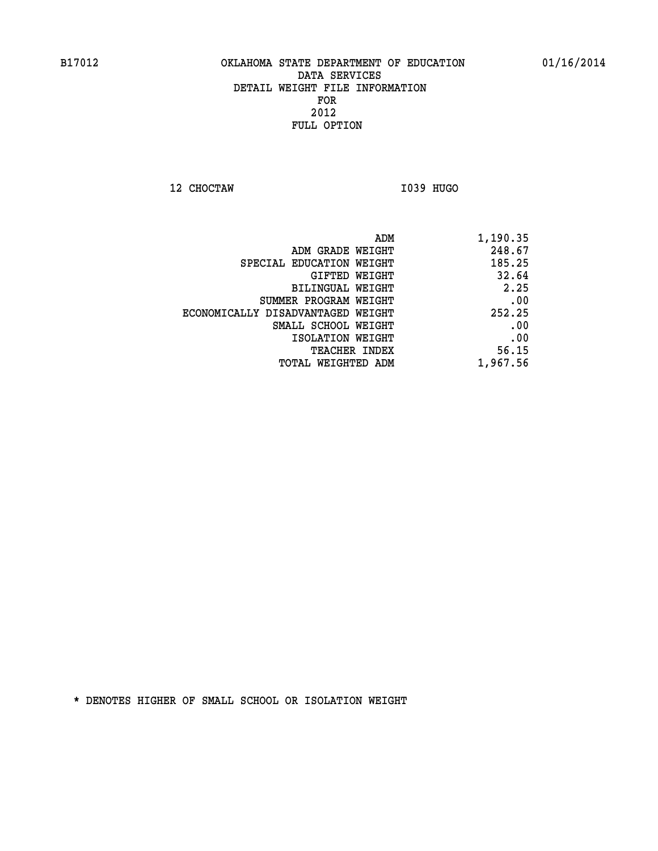**12 CHOCTAW I039 HUGO** 

| ADM<br>1,190.35                       |                                   |
|---------------------------------------|-----------------------------------|
| 248.67<br>ADM GRADE WEIGHT            |                                   |
| 185.25                                | SPECIAL EDUCATION WEIGHT          |
| 32.64<br>GIFTED WEIGHT                |                                   |
| 2.25<br>BILINGUAL WEIGHT              |                                   |
| .00<br>SUMMER PROGRAM WEIGHT          |                                   |
| 252.25                                | ECONOMICALLY DISADVANTAGED WEIGHT |
| .00<br>SMALL SCHOOL WEIGHT            |                                   |
| .00<br>ISOLATION WEIGHT               |                                   |
| 56.15<br><b>TEACHER INDEX</b>         |                                   |
| 1,967.56<br><b>TOTAL WEIGHTED ADM</b> |                                   |
|                                       |                                   |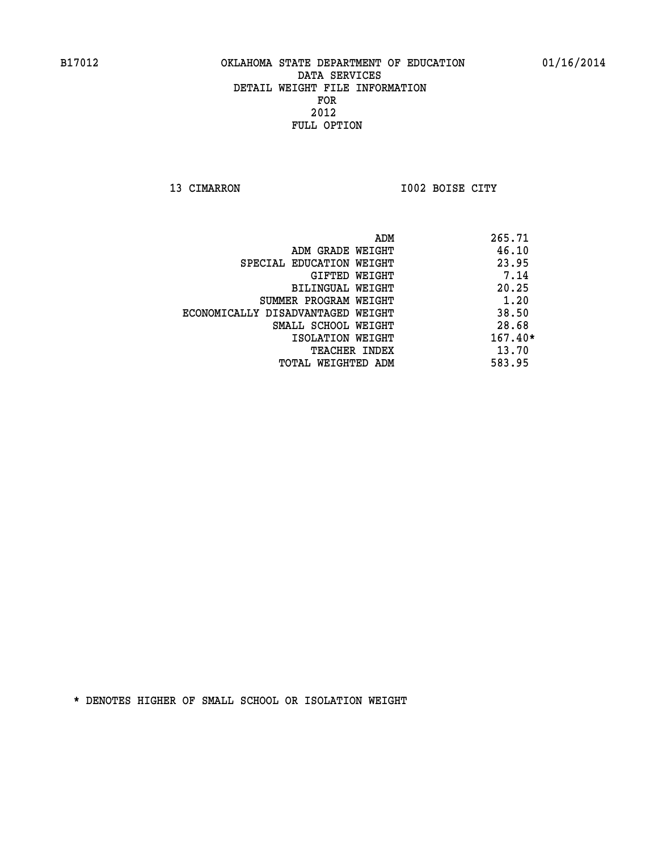**13 CIMARRON I002 BOISE CITY** 

|                                   | 265.71<br>ADM |
|-----------------------------------|---------------|
| ADM GRADE WEIGHT                  | 46.10         |
| SPECIAL EDUCATION WEIGHT          | 23.95         |
| GIFTED WEIGHT                     | 7.14          |
| BILINGUAL WEIGHT                  | 20.25         |
| SUMMER PROGRAM WEIGHT             | 1.20          |
| ECONOMICALLY DISADVANTAGED WEIGHT | 38.50         |
| SMALL SCHOOL WEIGHT               | 28.68         |
| ISOLATION WEIGHT                  | $167.40*$     |
| <b>TEACHER INDEX</b>              | 13.70         |
| TOTAL WEIGHTED ADM                | 583.95        |
|                                   |               |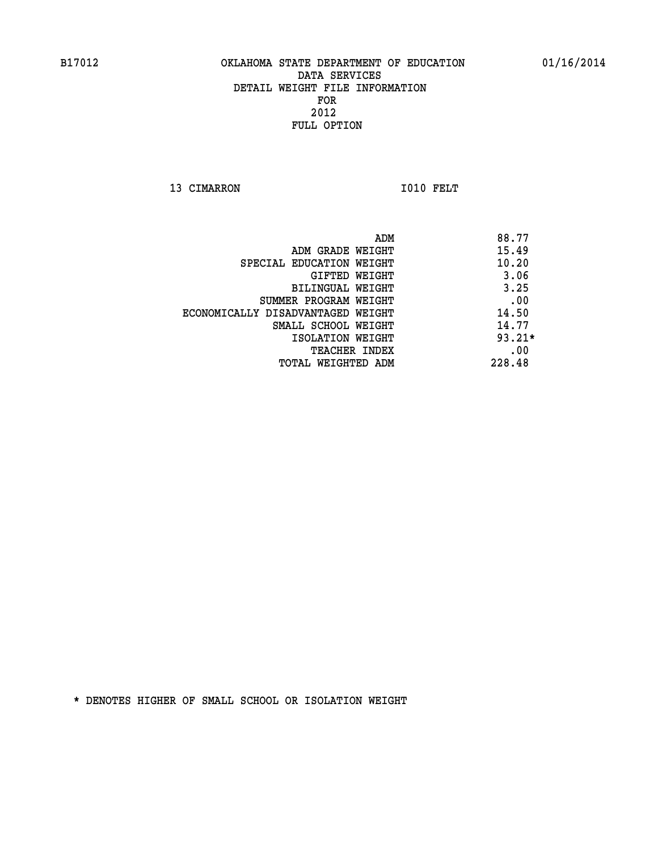13 CIMARRON 1010 FELT

| ADM                               | 88.77    |
|-----------------------------------|----------|
| ADM GRADE WEIGHT                  | 15.49    |
| SPECIAL EDUCATION WEIGHT          | 10.20    |
| GIFTED WEIGHT                     | 3.06     |
| BILINGUAL WEIGHT                  | 3.25     |
| SUMMER PROGRAM WEIGHT             | .00      |
| ECONOMICALLY DISADVANTAGED WEIGHT | 14.50    |
| SMALL SCHOOL WEIGHT               | 14.77    |
| ISOLATION WEIGHT                  | $93.21*$ |
| <b>TEACHER INDEX</b>              | .00      |
| TOTAL WEIGHTED ADM                | 228.48   |
|                                   |          |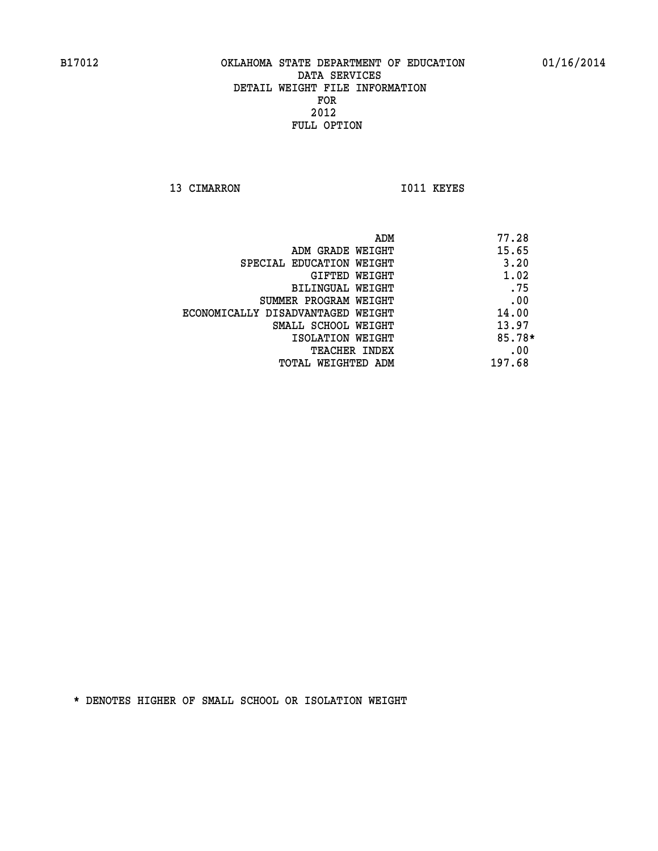13 CIMARRON 1011 KEYES

| ADM                               | 77.28  |
|-----------------------------------|--------|
| ADM GRADE WEIGHT                  | 15.65  |
| SPECIAL EDUCATION WEIGHT          | 3.20   |
| GIFTED WEIGHT                     | 1.02   |
| BILINGUAL WEIGHT                  | .75    |
| SUMMER PROGRAM WEIGHT             | .00    |
| ECONOMICALLY DISADVANTAGED WEIGHT | 14.00  |
| SMALL SCHOOL WEIGHT               | 13.97  |
| ISOLATION WEIGHT                  | 85.78* |
| TEACHER INDEX                     | .00    |
| TOTAL WEIGHTED ADM                | 197.68 |
|                                   |        |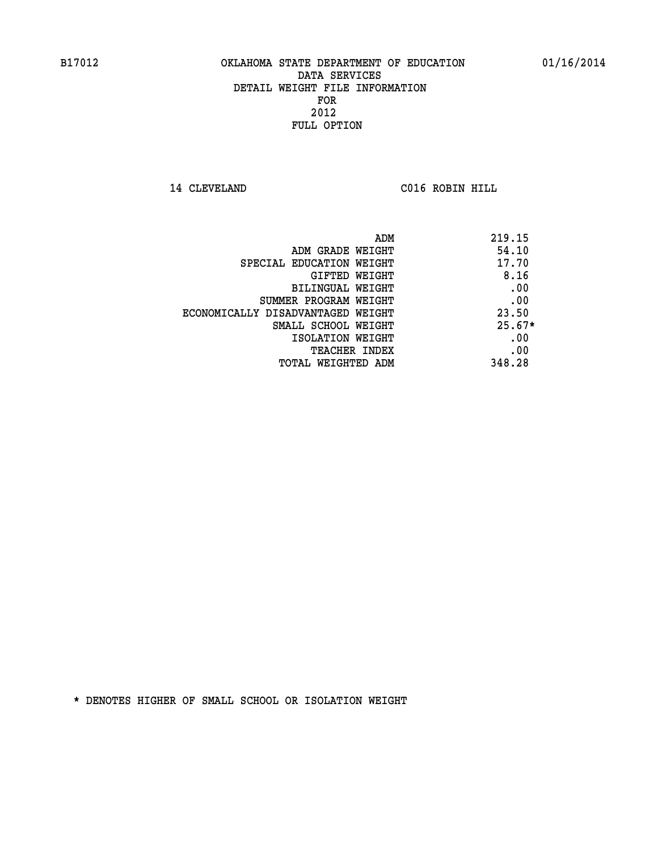**14 CLEVELAND C016 ROBIN HILL** 

|                                   | 219.15<br>ADM |
|-----------------------------------|---------------|
| ADM GRADE WEIGHT                  | 54.10         |
| SPECIAL EDUCATION WEIGHT          | 17.70         |
| GIFTED WEIGHT                     | 8.16          |
| BILINGUAL WEIGHT                  | .00           |
| SUMMER PROGRAM WEIGHT             | .00           |
| ECONOMICALLY DISADVANTAGED WEIGHT | 23.50         |
| SMALL SCHOOL WEIGHT               | $25.67*$      |
| ISOLATION WEIGHT                  | .00           |
| <b>TEACHER INDEX</b>              | .00           |
| TOTAL WEIGHTED ADM                | 348.28        |
|                                   |               |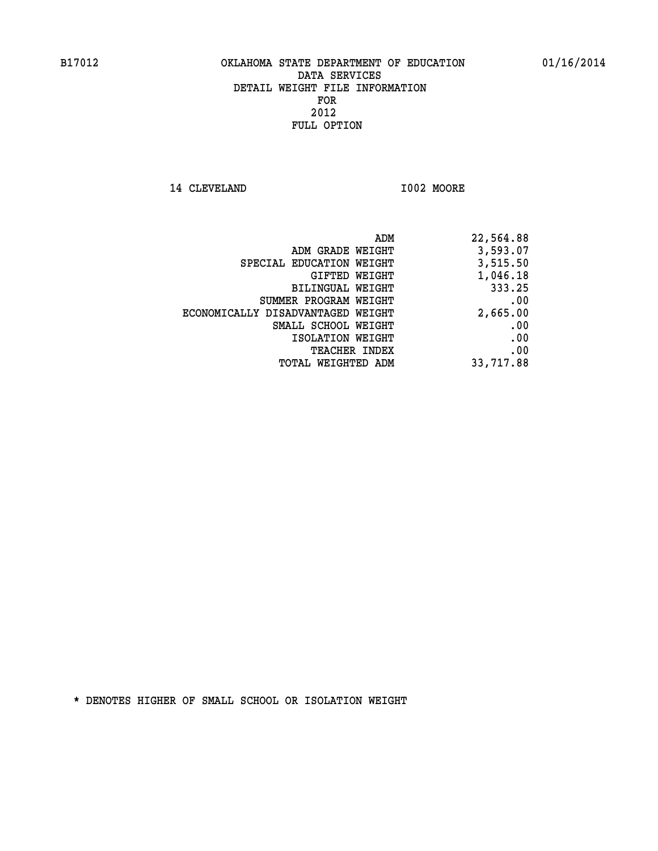**14 CLEVELAND I002 MOORE** 

| ADM                               | 22,564.88 |
|-----------------------------------|-----------|
| ADM GRADE WEIGHT                  | 3,593.07  |
| SPECIAL EDUCATION WEIGHT          | 3,515.50  |
| GIFTED WEIGHT                     | 1,046.18  |
| BILINGUAL WEIGHT                  | 333.25    |
| SUMMER PROGRAM WEIGHT             | .00       |
| ECONOMICALLY DISADVANTAGED WEIGHT | 2,665.00  |
| SMALL SCHOOL WEIGHT               | .00       |
| ISOLATION WEIGHT                  | .00       |
| <b>TEACHER INDEX</b>              | .00       |
| WEIGHTED ADM<br>TOTAL             | 33,717.88 |
|                                   |           |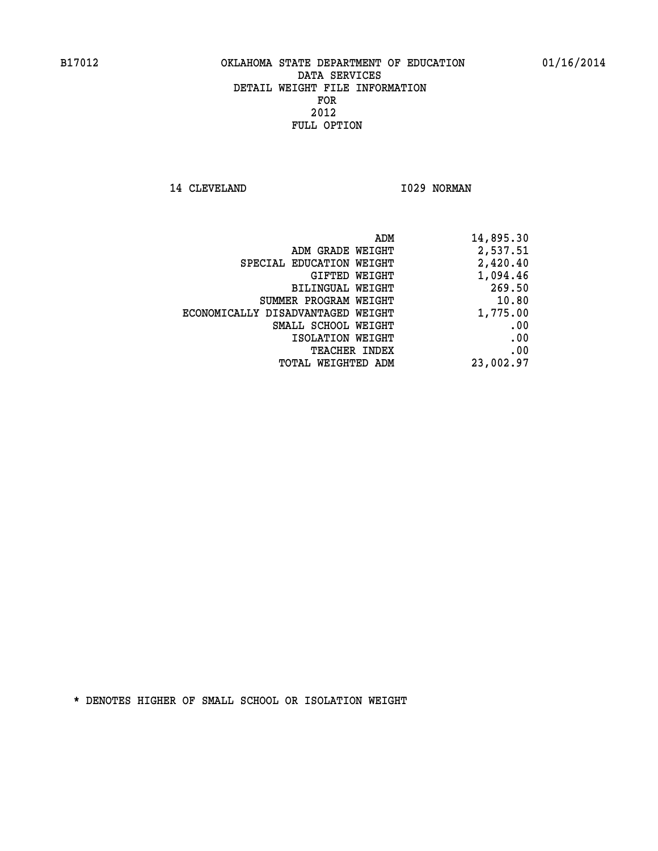14 CLEVELAND 1029 NORMAN

| 14,895.30 |
|-----------|
| 2,537.51  |
| 2,420.40  |
| 1,094.46  |
| 269.50    |
| 10.80     |
| 1,775.00  |
| .00       |
| .00       |
| .00       |
| 23,002.97 |
|           |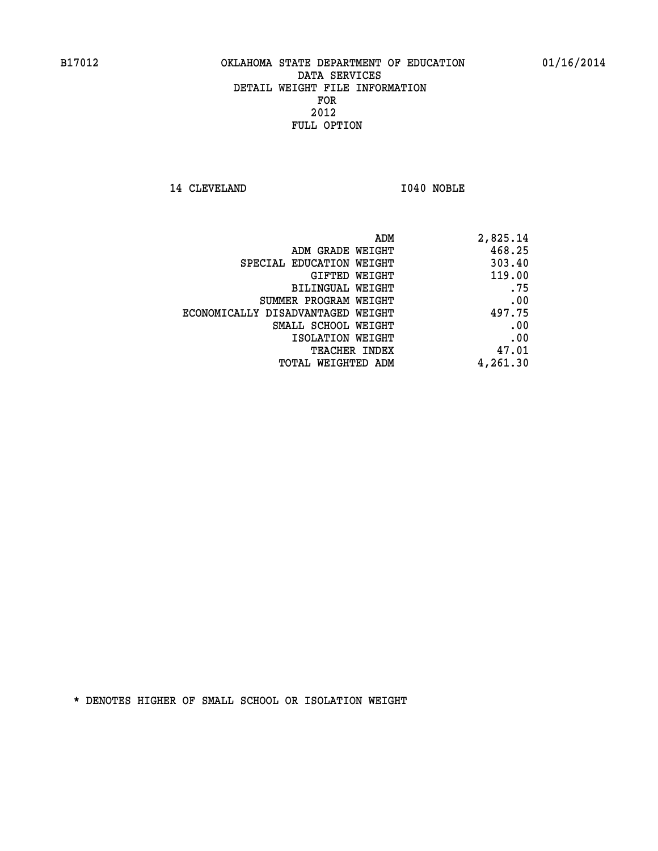14 CLEVELAND 1040 NOBLE

| 2,825.14 |
|----------|
| 468.25   |
| 303.40   |
| 119.00   |
| .75      |
| .00      |
| 497.75   |
| .00      |
| .00      |
| 47.01    |
| 4,261.30 |
|          |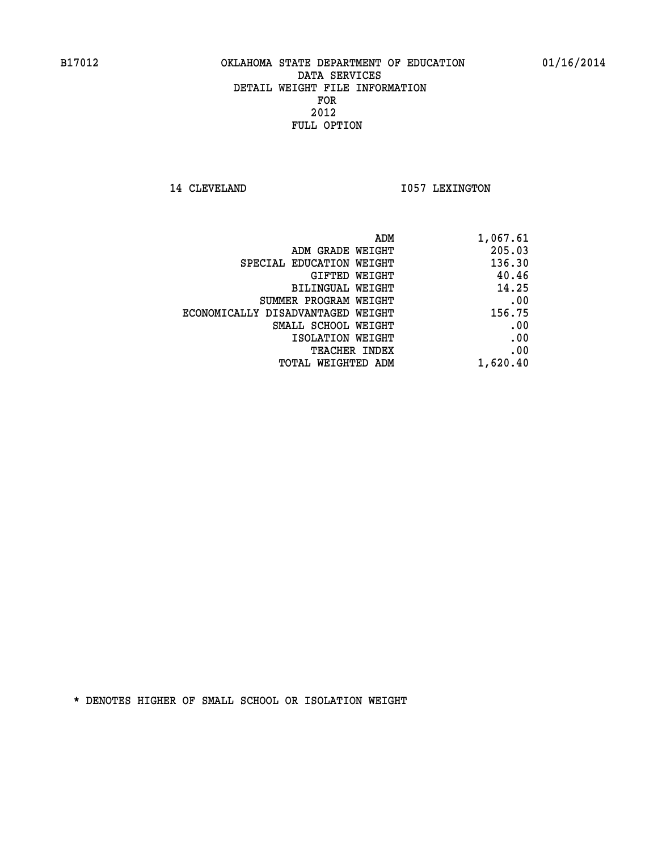14 CLEVELAND 1057 LEXINGTON

| ADM                               | 1,067.61 |
|-----------------------------------|----------|
| ADM GRADE WEIGHT                  | 205.03   |
| SPECIAL EDUCATION WEIGHT          | 136.30   |
| GIFTED WEIGHT                     | 40.46    |
| BILINGUAL WEIGHT                  | 14.25    |
| SUMMER PROGRAM WEIGHT             | .00      |
| ECONOMICALLY DISADVANTAGED WEIGHT | 156.75   |
| SMALL SCHOOL WEIGHT               | .00      |
| ISOLATION WEIGHT                  | .00      |
| <b>TEACHER INDEX</b>              | .00      |
| TOTAL WEIGHTED ADM                | 1,620.40 |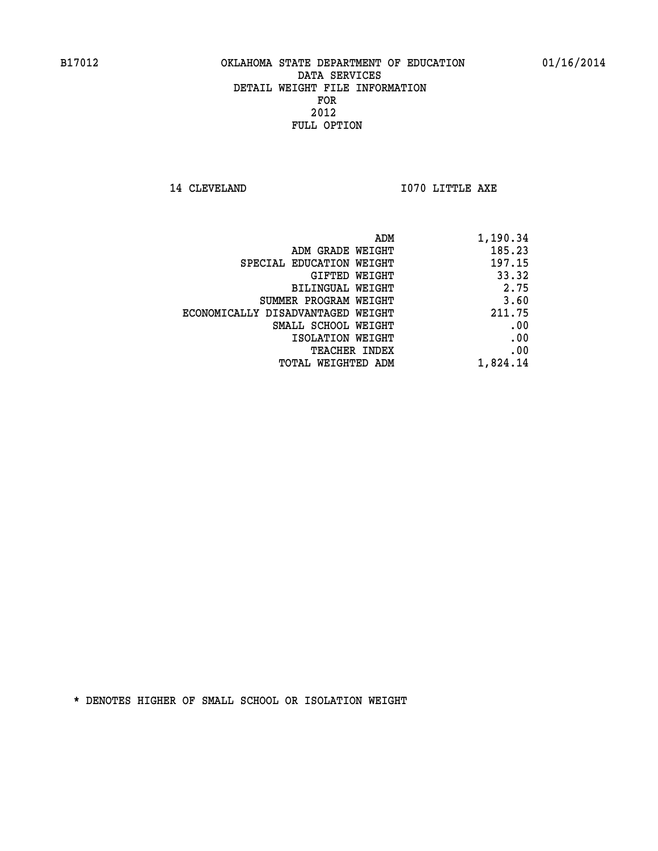**14 CLEVELAND 1070 LITTLE AXE** 

| ADM                               | 1,190.34 |
|-----------------------------------|----------|
| ADM GRADE WEIGHT                  | 185.23   |
| SPECIAL EDUCATION WEIGHT          | 197.15   |
| GIFTED WEIGHT                     | 33.32    |
| <b>BILINGUAL WEIGHT</b>           | 2.75     |
| SUMMER PROGRAM WEIGHT             | 3.60     |
| ECONOMICALLY DISADVANTAGED WEIGHT | 211.75   |
| SMALL SCHOOL WEIGHT               | .00      |
| ISOLATION WEIGHT                  | .00      |
| TEACHER INDEX                     | .00      |
| TOTAL WEIGHTED ADM                | 1,824.14 |
|                                   |          |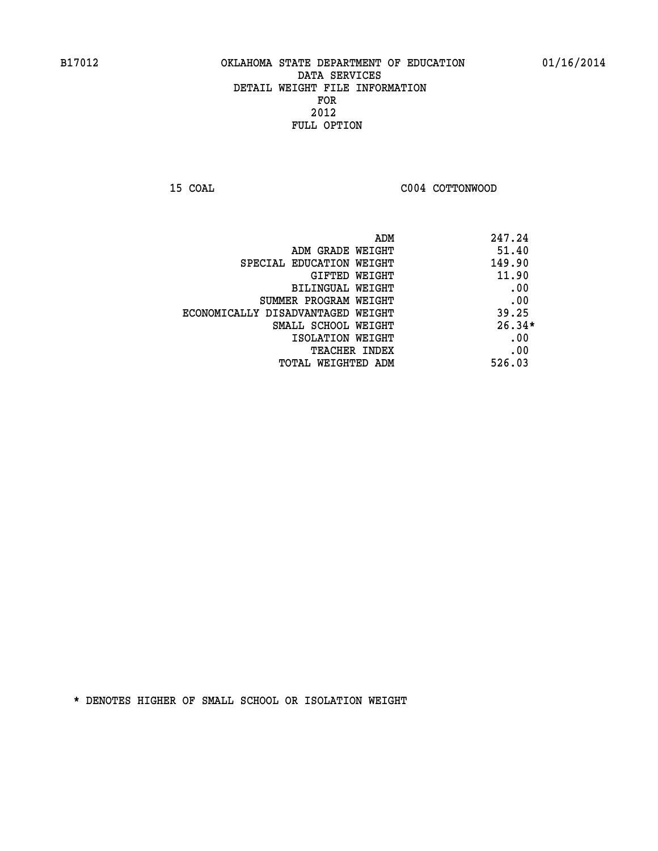**15 COAL COAL COAL COAL COAL COTTONWOOD** 

| ADM                               | 247.24   |
|-----------------------------------|----------|
| ADM GRADE WEIGHT                  | 51.40    |
| SPECIAL EDUCATION WEIGHT          | 149.90   |
| GIFTED WEIGHT                     | 11.90    |
| BILINGUAL WEIGHT                  | .00      |
| SUMMER PROGRAM WEIGHT             | .00      |
| ECONOMICALLY DISADVANTAGED WEIGHT | 39.25    |
| SMALL SCHOOL WEIGHT               | $26.34*$ |
| ISOLATION WEIGHT                  | .00      |
| <b>TEACHER INDEX</b>              | .00      |
| TOTAL WEIGHTED ADM                | 526.03   |
|                                   |          |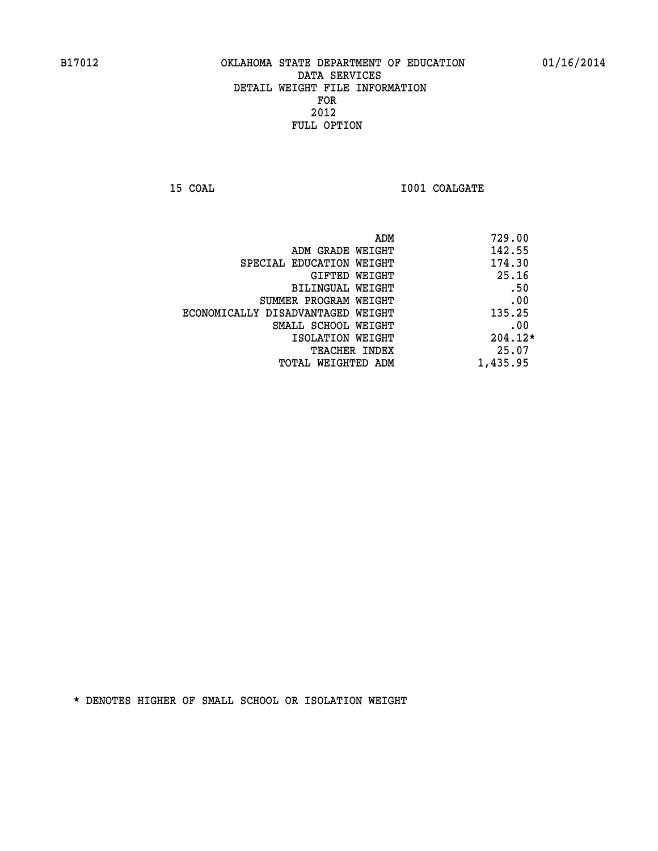**15 COAL 15 COAL I001 COALGATE** 

|                                   | 729.00<br>ADM |
|-----------------------------------|---------------|
| ADM GRADE WEIGHT                  | 142.55        |
| SPECIAL EDUCATION WEIGHT          | 174.30        |
| GIFTED WEIGHT                     | 25.16         |
| BILINGUAL WEIGHT                  | .50           |
| SUMMER PROGRAM WEIGHT             | .00           |
| ECONOMICALLY DISADVANTAGED WEIGHT | 135.25        |
| SMALL SCHOOL WEIGHT               | .00           |
| ISOLATION WEIGHT                  | $204.12*$     |
| TEACHER INDEX                     | 25.07         |
| TOTAL WEIGHTED ADM                | 1,435.95      |
|                                   |               |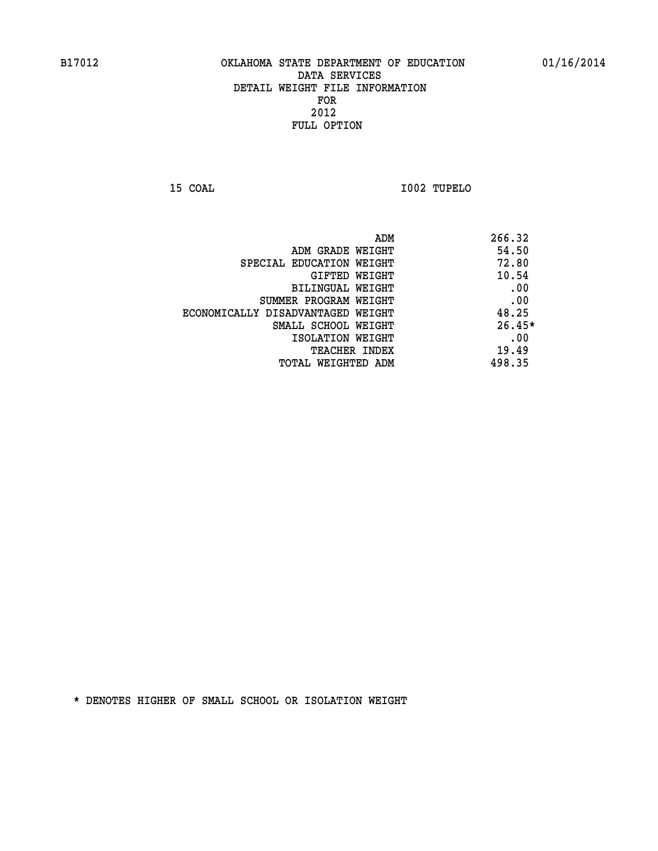**15 COAL I002 TUPELO** 

|                                   | ADM | 266.32   |
|-----------------------------------|-----|----------|
| ADM GRADE WEIGHT                  |     | 54.50    |
| SPECIAL EDUCATION WEIGHT          |     | 72.80    |
| GIFTED WEIGHT                     |     | 10.54    |
| BILINGUAL WEIGHT                  |     | .00      |
| SUMMER PROGRAM WEIGHT             |     | .00      |
| ECONOMICALLY DISADVANTAGED WEIGHT |     | 48.25    |
| SMALL SCHOOL WEIGHT               |     | $26.45*$ |
| ISOLATION WEIGHT                  |     | .00      |
| TEACHER INDEX                     |     | 19.49    |
| TOTAL WEIGHTED ADM                |     | 498.35   |
|                                   |     |          |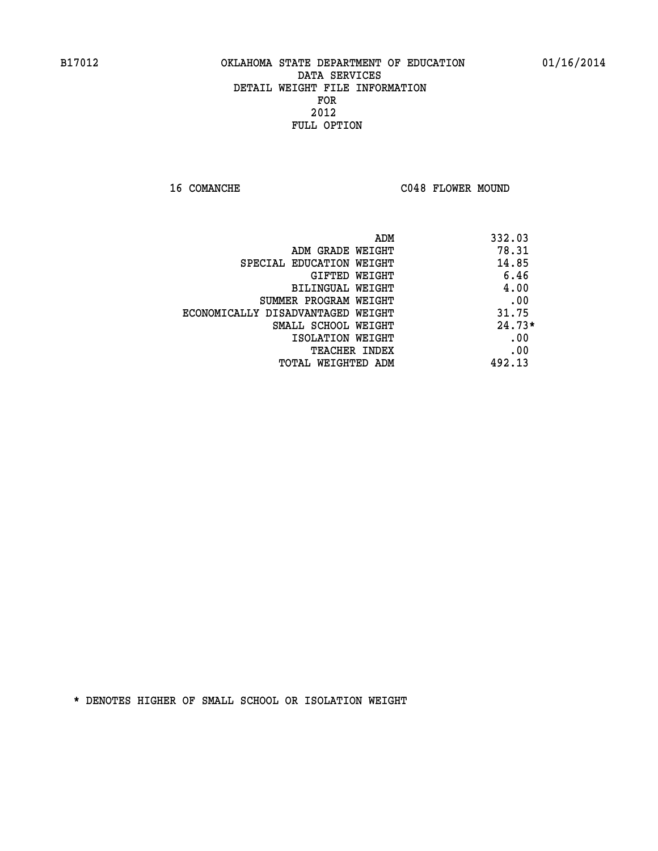16 COMANCHE C048 FLOWER MOUND

| ADM                               | 332.03   |
|-----------------------------------|----------|
| ADM GRADE WEIGHT                  | 78.31    |
| SPECIAL EDUCATION WEIGHT          | 14.85    |
| GIFTED WEIGHT                     | 6.46     |
| BILINGUAL WEIGHT                  | 4.00     |
| SUMMER PROGRAM WEIGHT             | .00      |
| ECONOMICALLY DISADVANTAGED WEIGHT | 31.75    |
| SMALL SCHOOL WEIGHT               | $24.73*$ |
| ISOLATION WEIGHT                  | .00      |
| <b>TEACHER INDEX</b>              | .00      |
| TOTAL WEIGHTED ADM                | 492.13   |
|                                   |          |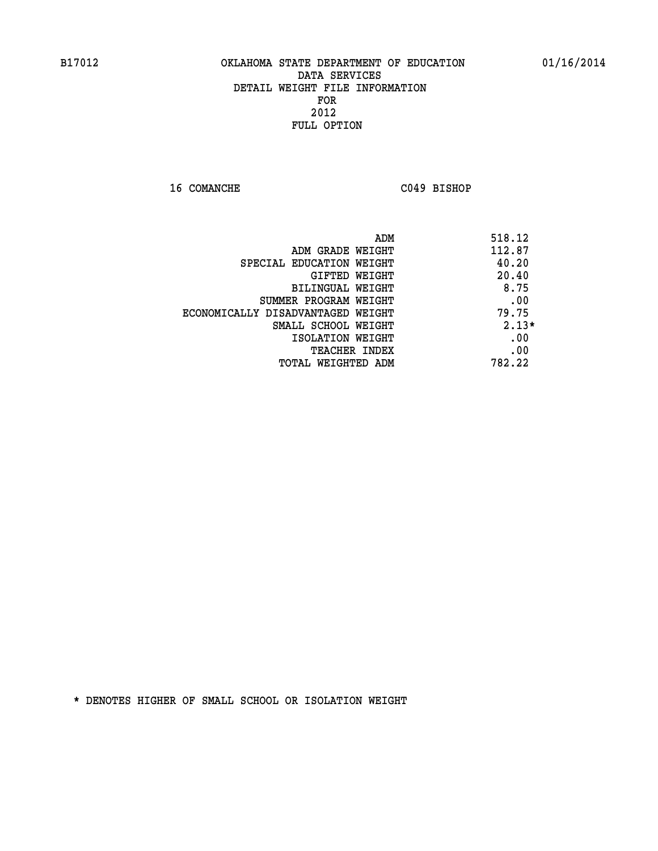**16 COMANCHE C049 BISHOP** 

| ADM                               | 518.12  |
|-----------------------------------|---------|
| ADM GRADE WEIGHT                  | 112.87  |
| SPECIAL EDUCATION WEIGHT          | 40.20   |
| GIFTED WEIGHT                     | 20.40   |
| <b>BILINGUAL WEIGHT</b>           | 8.75    |
| SUMMER PROGRAM WEIGHT             | .00     |
| ECONOMICALLY DISADVANTAGED WEIGHT | 79.75   |
| SMALL SCHOOL WEIGHT               | $2.13*$ |
| ISOLATION WEIGHT                  | .00     |
| <b>TEACHER INDEX</b>              | .00     |
| TOTAL WEIGHTED ADM                | 782.22  |
|                                   |         |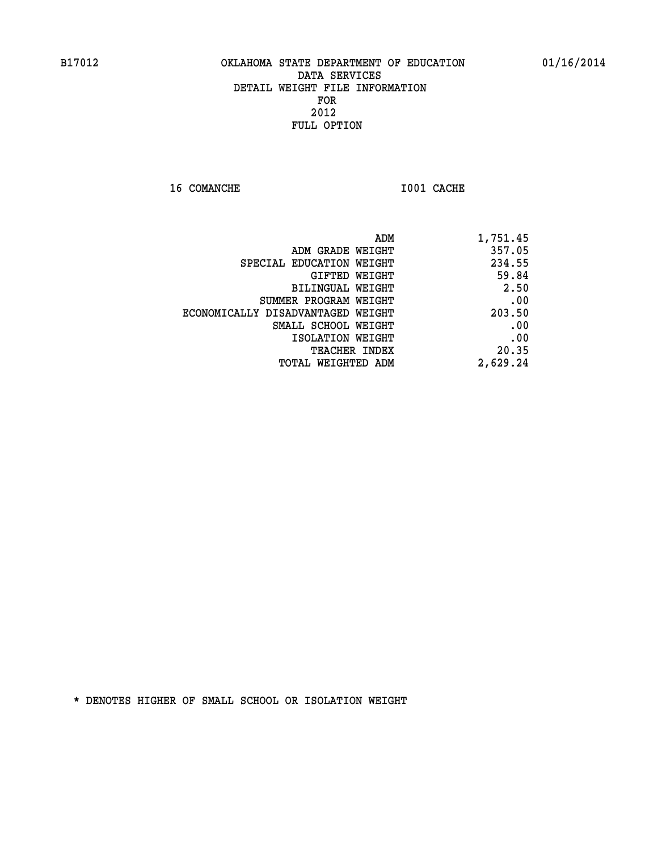**16 COMANCHE 1001 CACHE** 

| ADM<br>1,751.45                   |          |
|-----------------------------------|----------|
| ADM GRADE WEIGHT                  | 357.05   |
| SPECIAL EDUCATION WEIGHT          | 234.55   |
| GIFTED WEIGHT                     | 59.84    |
| <b>BILINGUAL WEIGHT</b>           | 2.50     |
| SUMMER PROGRAM WEIGHT             | .00      |
| ECONOMICALLY DISADVANTAGED WEIGHT | 203.50   |
| SMALL SCHOOL WEIGHT               | .00      |
| ISOLATION WEIGHT                  | .00      |
| TEACHER INDEX                     | 20.35    |
| TOTAL WEIGHTED ADM                | 2,629.24 |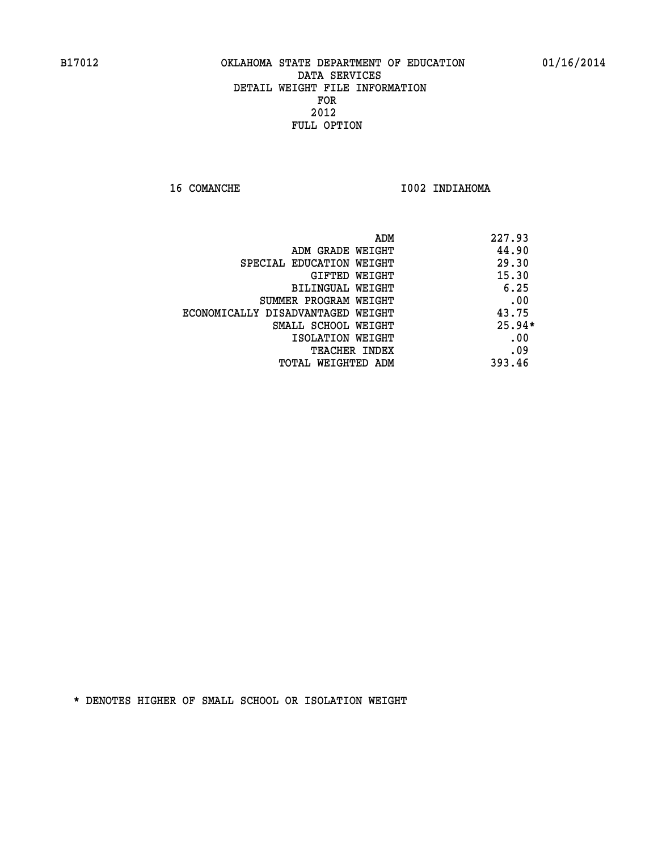**16 COMANCHE 1002 INDIAHOMA** 

|                                   | 227.93<br>ADM |
|-----------------------------------|---------------|
| ADM GRADE WEIGHT                  | 44.90         |
| SPECIAL EDUCATION WEIGHT          | 29.30         |
| GIFTED WEIGHT                     | 15.30         |
| BILINGUAL WEIGHT                  | 6.25          |
| SUMMER PROGRAM WEIGHT             | .00           |
| ECONOMICALLY DISADVANTAGED WEIGHT | 43.75         |
| SMALL SCHOOL WEIGHT               | $25.94*$      |
| ISOLATION WEIGHT                  | .00           |
| <b>TEACHER INDEX</b>              | .09           |
| TOTAL WEIGHTED ADM                | 393.46        |
|                                   |               |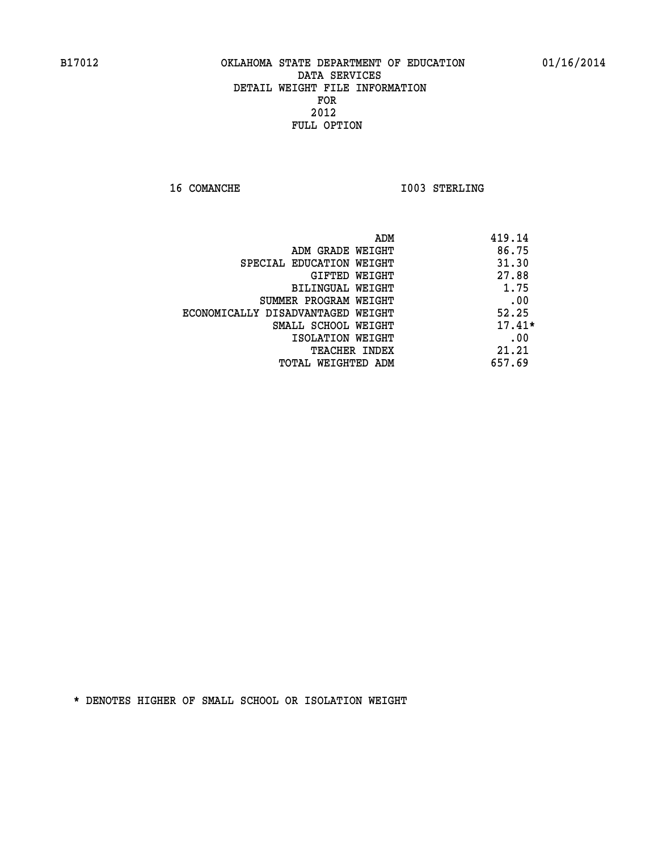**16 COMANCHE 1003 STERLING** 

|                                   | ADM<br>419.14 |
|-----------------------------------|---------------|
| ADM GRADE WEIGHT                  | 86.75         |
| SPECIAL EDUCATION WEIGHT          | 31.30         |
| GIFTED WEIGHT                     | 27.88         |
| <b>BILINGUAL WEIGHT</b>           | 1.75          |
| SUMMER PROGRAM WEIGHT             | .00           |
| ECONOMICALLY DISADVANTAGED WEIGHT | 52.25         |
| SMALL SCHOOL WEIGHT               | $17.41*$      |
| ISOLATION WEIGHT                  | .00           |
| <b>TEACHER INDEX</b>              | 21.21         |
| TOTAL WEIGHTED ADM                | 657.69        |
|                                   |               |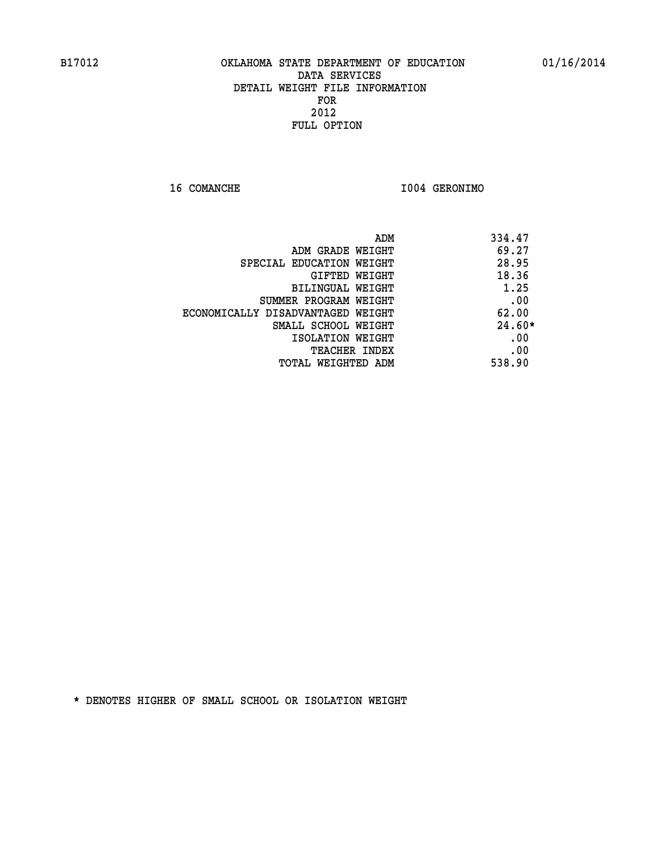**16 COMANCHE I004 GERONIMO** 

| ADM                               | 334.47   |
|-----------------------------------|----------|
| ADM GRADE WEIGHT                  | 69.27    |
| SPECIAL EDUCATION WEIGHT          | 28.95    |
| <b>GIFTED WEIGHT</b>              | 18.36    |
| BILINGUAL WEIGHT                  | 1.25     |
| SUMMER PROGRAM WEIGHT             | .00      |
| ECONOMICALLY DISADVANTAGED WEIGHT | 62.00    |
| SMALL SCHOOL WEIGHT               | $24.60*$ |
| ISOLATION WEIGHT                  | .00      |
| <b>TEACHER INDEX</b>              | .00      |
| TOTAL WEIGHTED ADM                | 538.90   |
|                                   |          |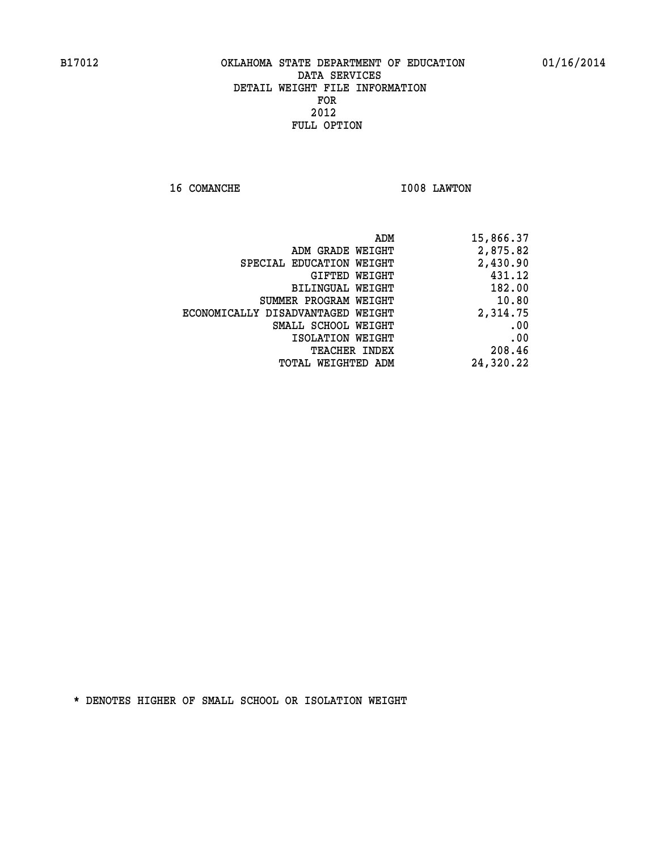**16 COMANCHE 1008 LAWTON** 

| 15,866.37 | ADM                      |                                   |
|-----------|--------------------------|-----------------------------------|
| 2,875.82  | ADM GRADE WEIGHT         |                                   |
| 2,430.90  | SPECIAL EDUCATION WEIGHT |                                   |
| 431.12    | GIFTED WEIGHT            |                                   |
| 182.00    | BILINGUAL WEIGHT         |                                   |
| 10.80     | SUMMER PROGRAM WEIGHT    |                                   |
| 2,314.75  |                          | ECONOMICALLY DISADVANTAGED WEIGHT |
| .00       | SMALL SCHOOL WEIGHT      |                                   |
| .00       | ISOLATION WEIGHT         |                                   |
| 208.46    | <b>TEACHER INDEX</b>     |                                   |
| 24,320.22 | TOTAL WEIGHTED ADM       |                                   |
|           |                          |                                   |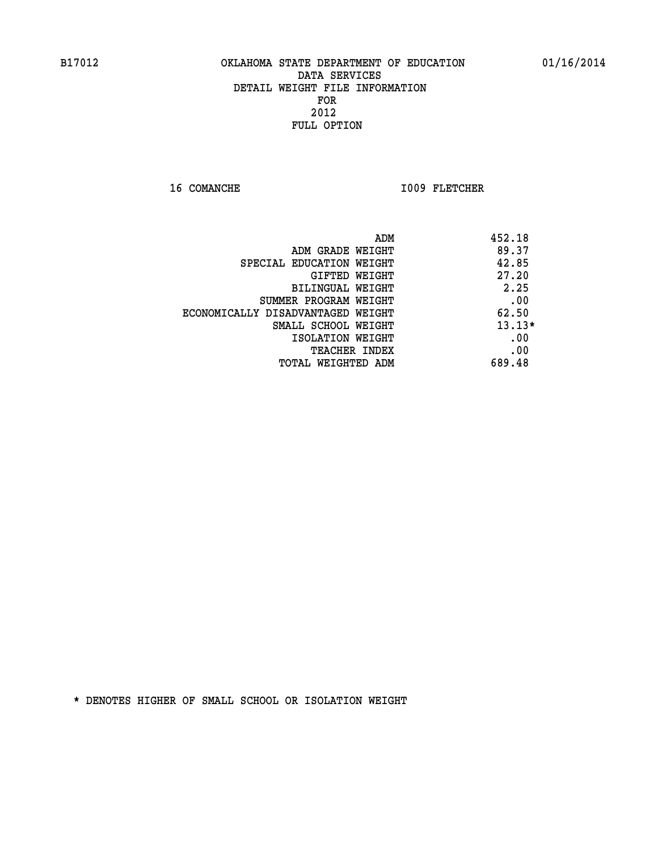16 COMANCHE 1009 FLETCHER

| ADM                               | 452.18   |
|-----------------------------------|----------|
| ADM GRADE WEIGHT                  | 89.37    |
| SPECIAL EDUCATION WEIGHT          | 42.85    |
| GIFTED WEIGHT                     | 27.20    |
| BILINGUAL WEIGHT                  | 2.25     |
| SUMMER PROGRAM WEIGHT             | .00      |
| ECONOMICALLY DISADVANTAGED WEIGHT | 62.50    |
| SMALL SCHOOL WEIGHT               | $13.13*$ |
| ISOLATION WEIGHT                  | .00      |
| <b>TEACHER INDEX</b>              | .00      |
| TOTAL WEIGHTED ADM                | 689.48   |
|                                   |          |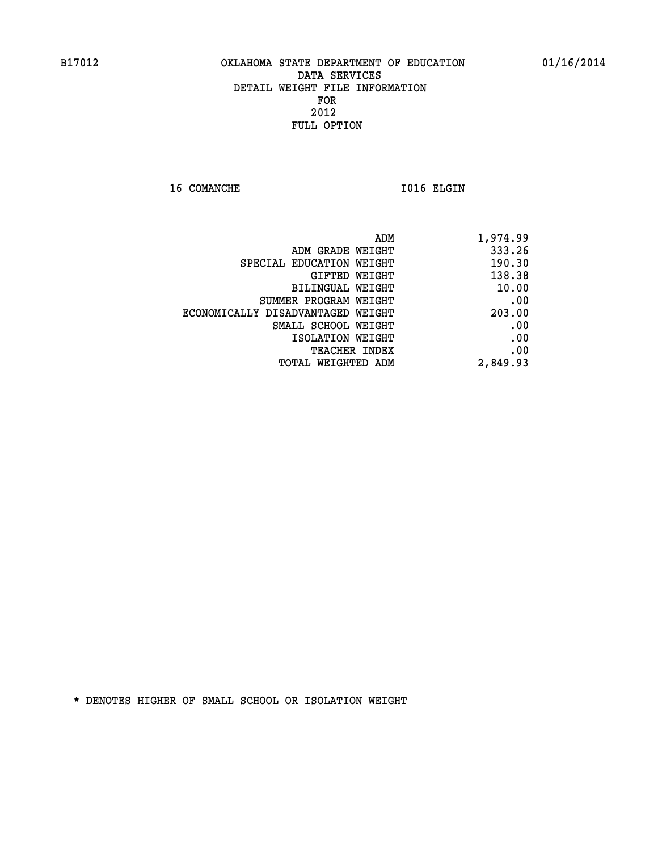16 COMANCHE 1016 ELGIN

| 1,974.99 |
|----------|
| 333.26   |
| 190.30   |
| 138.38   |
| 10.00    |
| .00      |
| 203.00   |
| .00      |
| .00      |
| .00      |
| 2,849.93 |
|          |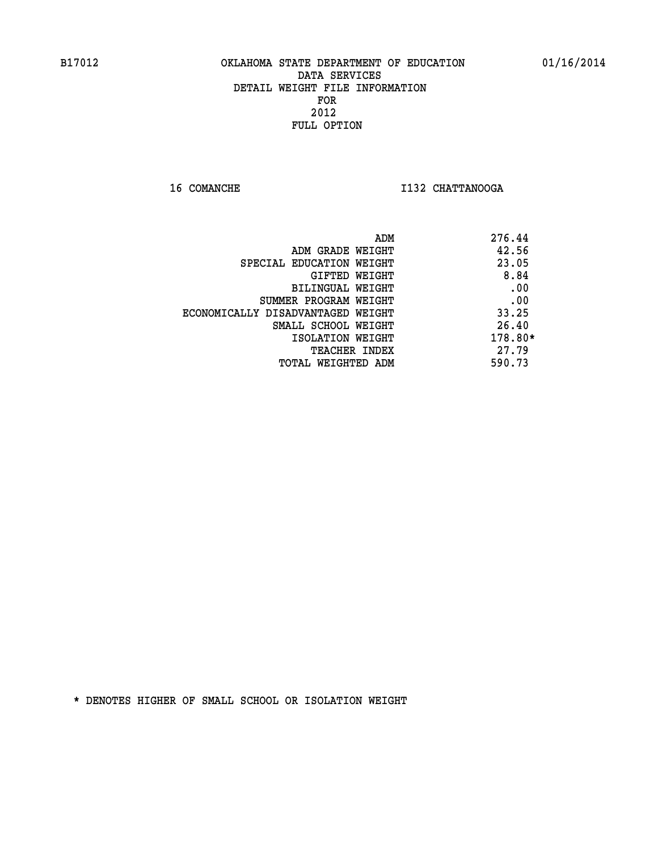**16 COMANCHE I132 CHATTANOOGA** 

|                                   | ADM | 276.44  |
|-----------------------------------|-----|---------|
| ADM GRADE WEIGHT                  |     | 42.56   |
| SPECIAL EDUCATION WEIGHT          |     | 23.05   |
| GIFTED WEIGHT                     |     | 8.84    |
| BILINGUAL WEIGHT                  |     | .00     |
| SUMMER PROGRAM WEIGHT             |     | .00     |
| ECONOMICALLY DISADVANTAGED WEIGHT |     | 33.25   |
| SMALL SCHOOL WEIGHT               |     | 26.40   |
| ISOLATION WEIGHT                  |     | 178.80* |
| TEACHER INDEX                     |     | 27.79   |
| TOTAL WEIGHTED ADM                |     | 590.73  |
|                                   |     |         |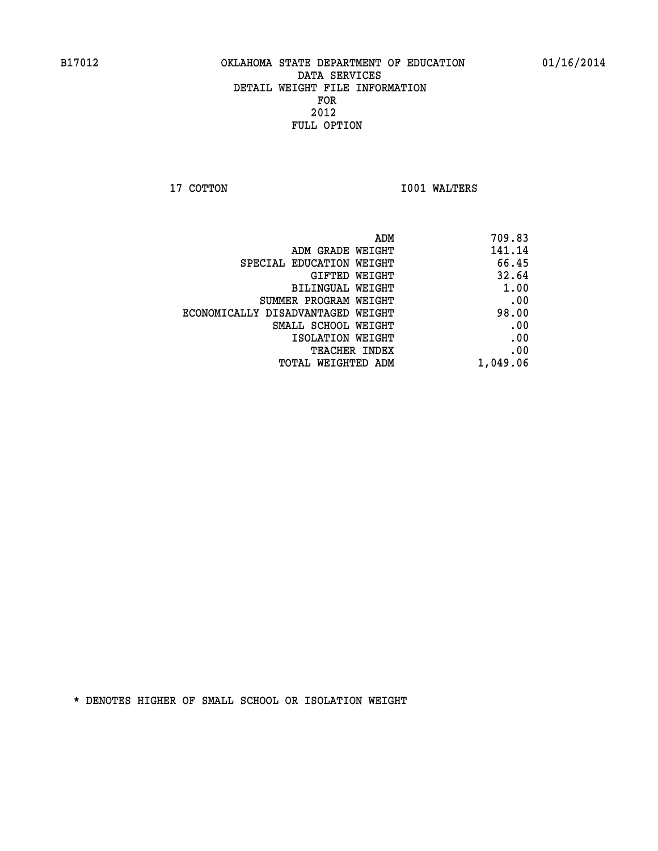**17 COTTON 1001 WALTERS** 

| ADM                               | 709.83   |
|-----------------------------------|----------|
| ADM GRADE WEIGHT                  | 141.14   |
| SPECIAL EDUCATION WEIGHT          | 66.45    |
| GIFTED WEIGHT                     | 32.64    |
| <b>BILINGUAL WEIGHT</b>           | 1.00     |
| SUMMER PROGRAM WEIGHT             | .00      |
| ECONOMICALLY DISADVANTAGED WEIGHT | 98.00    |
| SMALL SCHOOL WEIGHT               | .00      |
| ISOLATION WEIGHT                  | .00      |
| TEACHER INDEX                     | .00      |
| TOTAL WEIGHTED ADM                | 1,049.06 |
|                                   |          |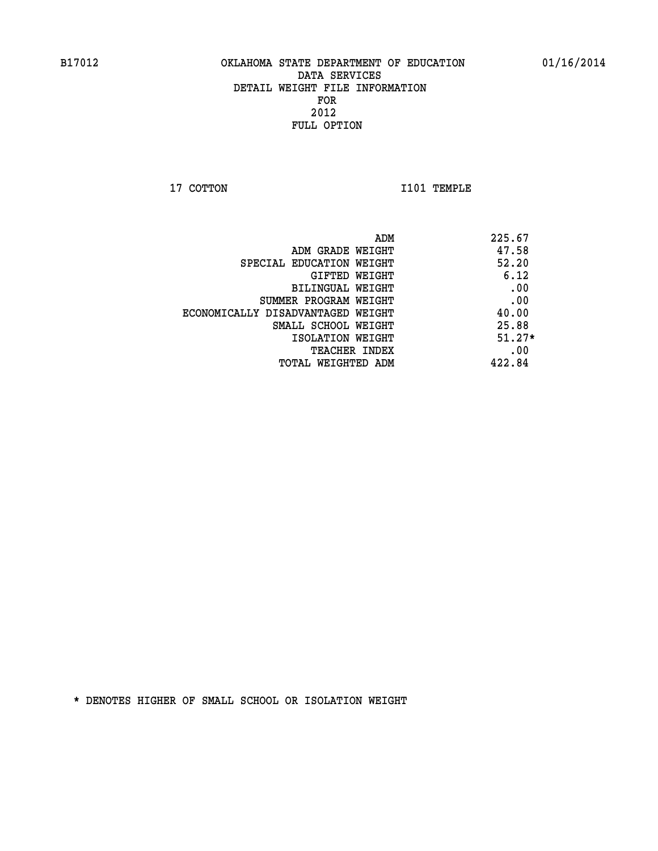**17 COTTON 1101 TEMPLE** 

| ADM<br>225.67                              |  |
|--------------------------------------------|--|
| 47.58<br>ADM GRADE WEIGHT                  |  |
| 52.20<br>SPECIAL EDUCATION WEIGHT          |  |
| 6.12<br>GIFTED WEIGHT                      |  |
| .00<br>BILINGUAL WEIGHT                    |  |
| .00<br>SUMMER PROGRAM WEIGHT               |  |
| 40.00<br>ECONOMICALLY DISADVANTAGED WEIGHT |  |
| 25.88<br>SMALL SCHOOL WEIGHT               |  |
| $51.27*$<br>ISOLATION WEIGHT               |  |
| .00<br><b>TEACHER INDEX</b>                |  |
| 422.84<br>TOTAL WEIGHTED ADM               |  |
|                                            |  |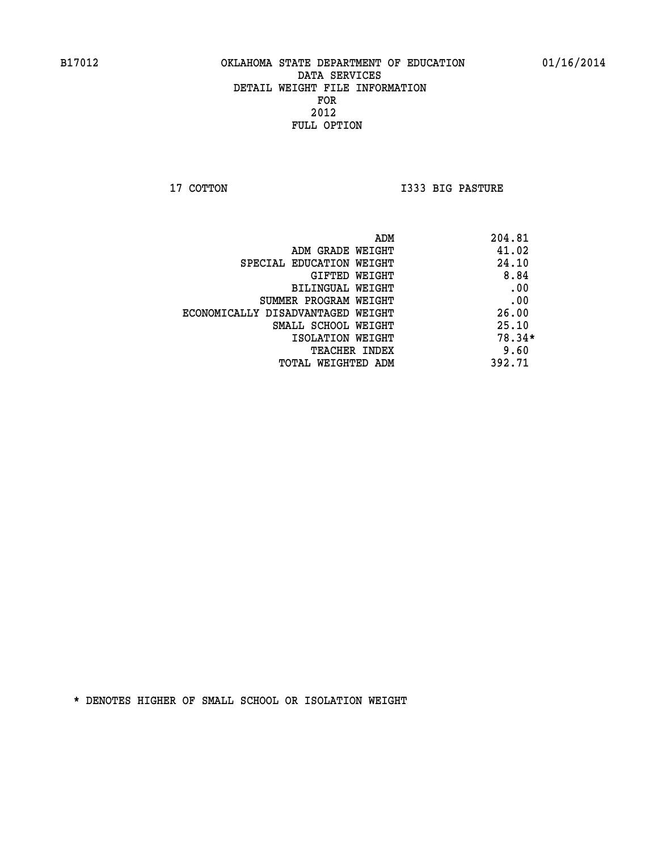**17 COTTON I333 BIG PASTURE** 

| ADM                               | 204.81   |
|-----------------------------------|----------|
| ADM GRADE WEIGHT                  | 41.02    |
| SPECIAL EDUCATION WEIGHT          | 24.10    |
| GIFTED WEIGHT                     | 8.84     |
| BILINGUAL WEIGHT                  | .00      |
| SUMMER PROGRAM WEIGHT             | .00      |
| ECONOMICALLY DISADVANTAGED WEIGHT | 26.00    |
| SMALL SCHOOL WEIGHT               | 25.10    |
| ISOLATION WEIGHT                  | $78.34*$ |
| <b>TEACHER INDEX</b>              | 9.60     |
| TOTAL WEIGHTED ADM                | 392.71   |
|                                   |          |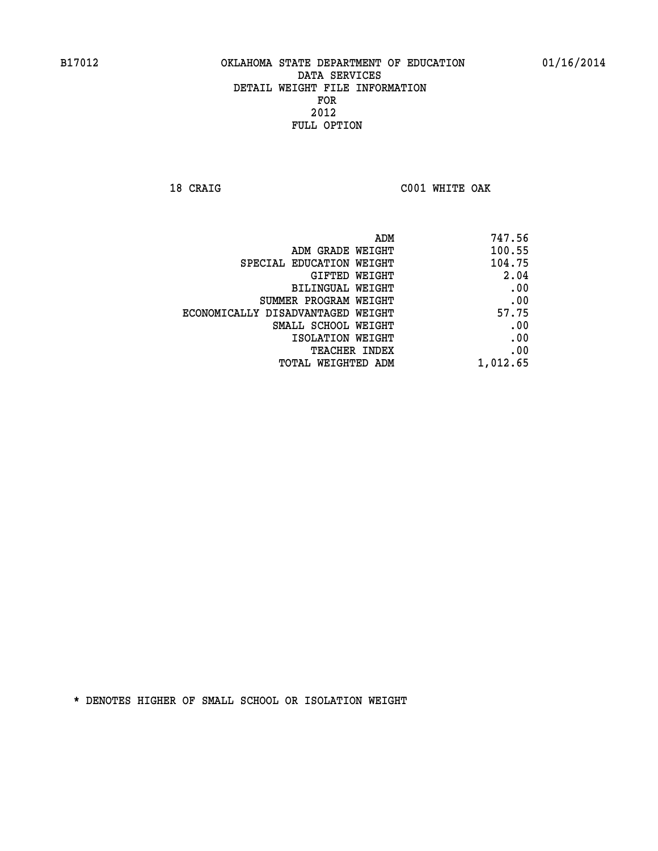**18 CRAIG C001 WHITE OAK** 

|                                   | 747.56<br>ADM |
|-----------------------------------|---------------|
| ADM GRADE WEIGHT                  | 100.55        |
| SPECIAL EDUCATION WEIGHT          | 104.75        |
| GIFTED WEIGHT                     | 2.04          |
| BILINGUAL WEIGHT                  | .00           |
| SUMMER PROGRAM WEIGHT             | .00           |
| ECONOMICALLY DISADVANTAGED WEIGHT | 57.75         |
| SMALL SCHOOL WEIGHT               | .00           |
| ISOLATION WEIGHT                  | .00           |
| TEACHER INDEX                     | .00           |
| TOTAL WEIGHTED ADM                | 1,012.65      |
|                                   |               |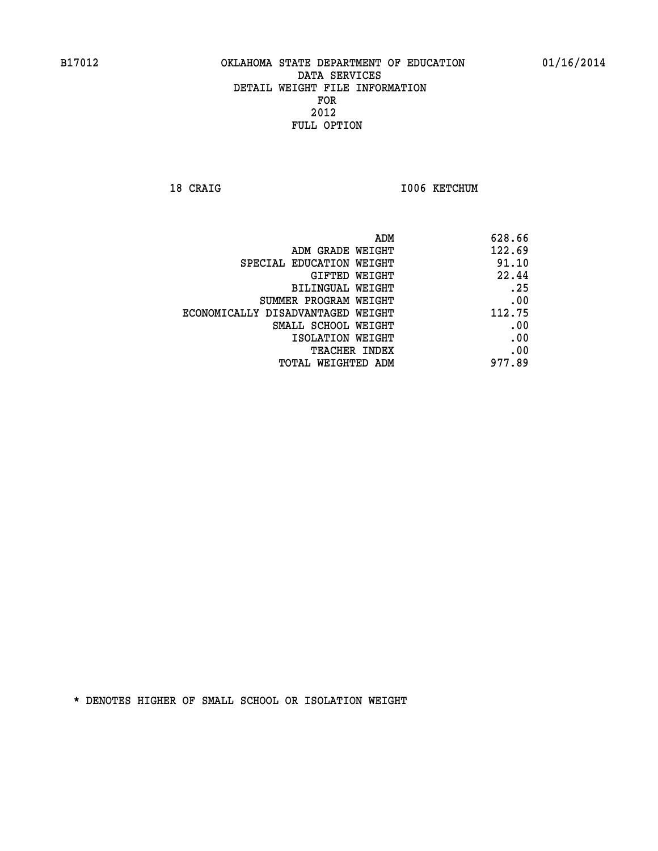18 CRAIG **I006 KETCHUM** 

|                                   | ADM<br>628.66 |
|-----------------------------------|---------------|
| ADM GRADE WEIGHT                  | 122.69        |
| SPECIAL EDUCATION WEIGHT          | 91.10         |
| <b>GIFTED WEIGHT</b>              | 22.44         |
| <b>BILINGUAL WEIGHT</b>           | .25           |
| SUMMER PROGRAM WEIGHT             | .00           |
| ECONOMICALLY DISADVANTAGED WEIGHT | 112.75        |
| SMALL SCHOOL WEIGHT               | .00           |
| ISOLATION WEIGHT                  | .00           |
| TEACHER INDEX                     | .00           |
| TOTAL WEIGHTED ADM                | 977.89        |
|                                   |               |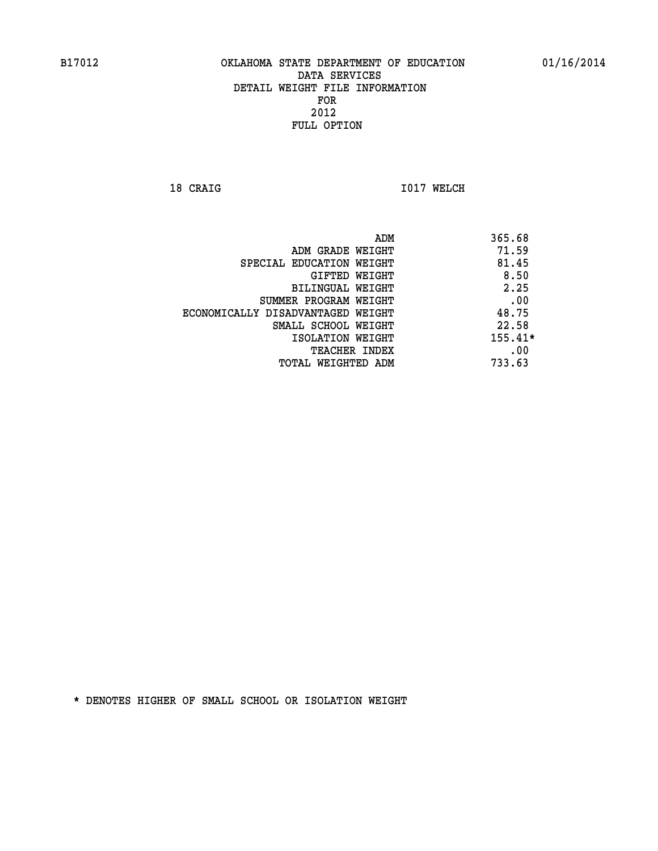**18 CRAIG 1017 WELCH** 

|                                   | ADM | 365.68    |
|-----------------------------------|-----|-----------|
| ADM GRADE WEIGHT                  |     | 71.59     |
| SPECIAL EDUCATION WEIGHT          |     | 81.45     |
| GIFTED WEIGHT                     |     | 8.50      |
| BILINGUAL WEIGHT                  |     | 2.25      |
| SUMMER PROGRAM WEIGHT             |     | .00       |
| ECONOMICALLY DISADVANTAGED WEIGHT |     | 48.75     |
| SMALL SCHOOL WEIGHT               |     | 22.58     |
| ISOLATION WEIGHT                  |     | $155.41*$ |
| TEACHER INDEX                     |     | .00       |
| TOTAL WEIGHTED ADM                |     | 733.63    |
|                                   |     |           |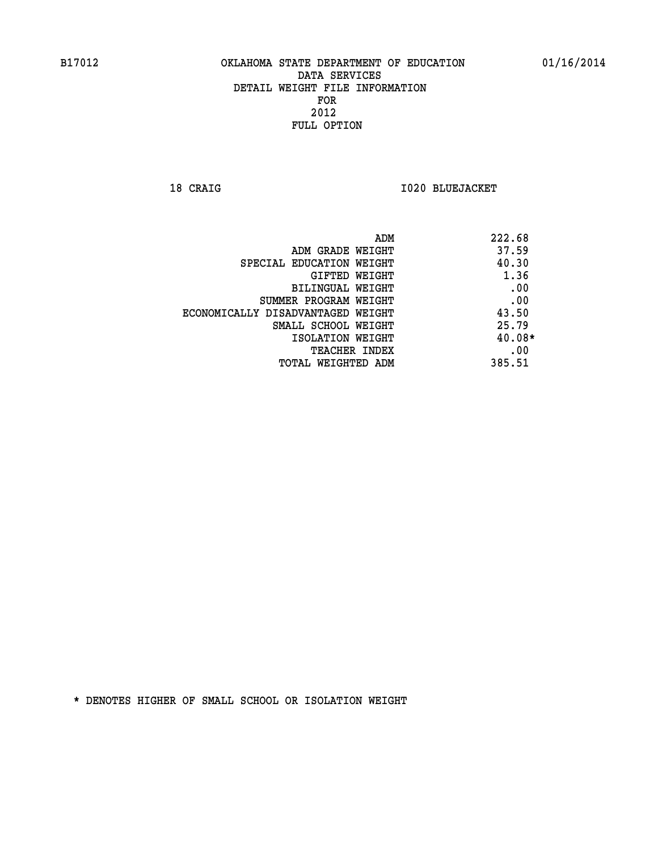**18 CRAIG I020 BLUEJACKET** 

| ADM                               | 222.68   |
|-----------------------------------|----------|
| ADM GRADE WEIGHT                  | 37.59    |
| SPECIAL EDUCATION WEIGHT          | 40.30    |
| GIFTED WEIGHT                     | 1.36     |
| <b>BILINGUAL WEIGHT</b>           | .00      |
| SUMMER PROGRAM WEIGHT             | .00      |
| ECONOMICALLY DISADVANTAGED WEIGHT | 43.50    |
| SMALL SCHOOL WEIGHT               | 25.79    |
| ISOLATION WEIGHT                  | $40.08*$ |
| <b>TEACHER INDEX</b>              | .00      |
| TOTAL WEIGHTED ADM                | 385.51   |
|                                   |          |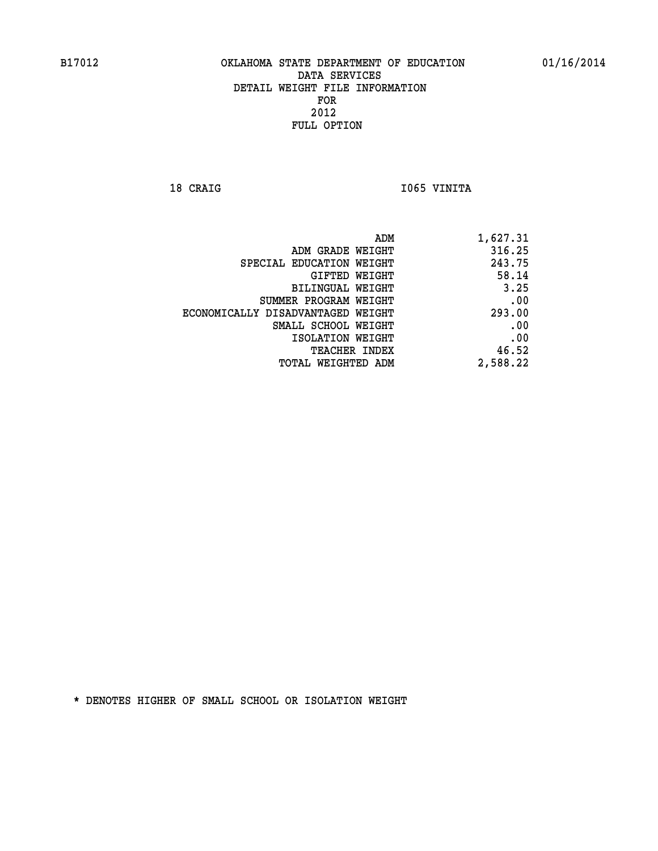18 CRAIG **I**065 VINITA

| 1,627.31 |
|----------|
| 316.25   |
| 243.75   |
| 58.14    |
| 3.25     |
| .00      |
| 293.00   |
| .00      |
| .00      |
| 46.52    |
| 2,588.22 |
|          |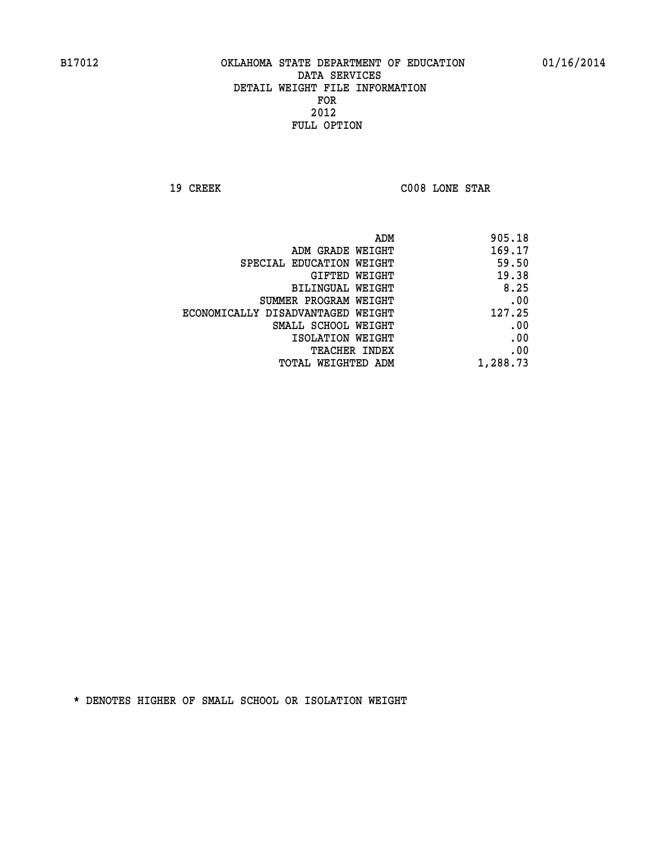**19 CREEK C008 LONE STAR** 

| 905.18   |
|----------|
| 169.17   |
| 59.50    |
| 19.38    |
| 8.25     |
| .00      |
| 127.25   |
| .00      |
| .00      |
| .00      |
| 1,288.73 |
|          |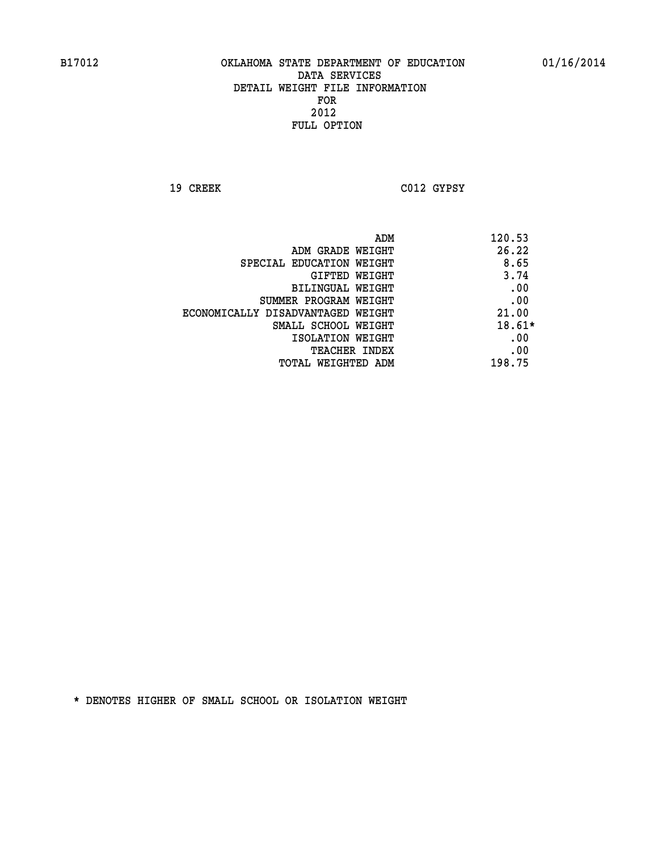**19 CREEK C012 GYPSY** 

|                                   | ADM | 120.53   |
|-----------------------------------|-----|----------|
| ADM GRADE WEIGHT                  |     | 26.22    |
| SPECIAL EDUCATION WEIGHT          |     | 8.65     |
| GIFTED WEIGHT                     |     | 3.74     |
| BILINGUAL WEIGHT                  |     | .00      |
| SUMMER PROGRAM WEIGHT             |     | .00      |
| ECONOMICALLY DISADVANTAGED WEIGHT |     | 21.00    |
| SMALL SCHOOL WEIGHT               |     | $18.61*$ |
| ISOLATION WEIGHT                  |     | .00      |
| TEACHER INDEX                     |     | .00      |
| TOTAL WEIGHTED ADM                |     | 198.75   |
|                                   |     |          |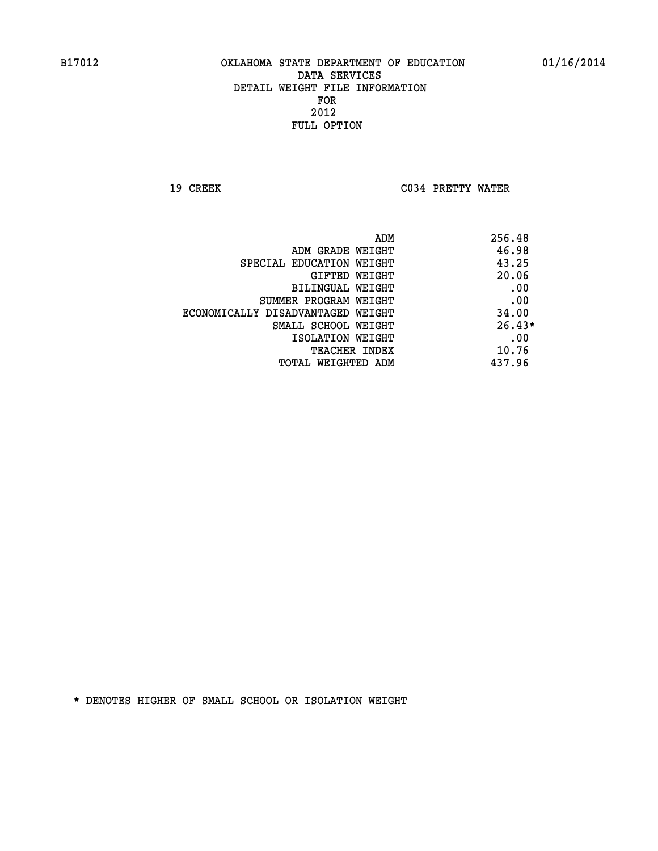**19 CREEK C034 PRETTY WATER** 

| ADM                               | 256.48   |
|-----------------------------------|----------|
| ADM GRADE WEIGHT                  | 46.98    |
| SPECIAL EDUCATION WEIGHT          | 43.25    |
| GIFTED WEIGHT                     | 20.06    |
| BILINGUAL WEIGHT                  | .00      |
| SUMMER PROGRAM WEIGHT             | .00      |
| ECONOMICALLY DISADVANTAGED WEIGHT | 34.00    |
| SMALL SCHOOL WEIGHT               | $26.43*$ |
| ISOLATION WEIGHT                  | .00      |
| <b>TEACHER INDEX</b>              | 10.76    |
| TOTAL WEIGHTED ADM                | 437.96   |
|                                   |          |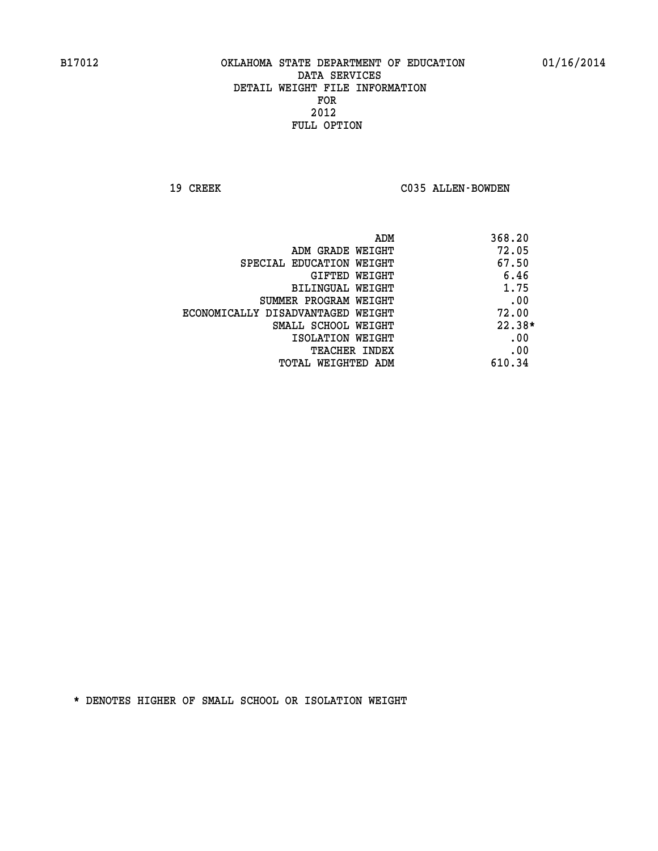19 CREEK C035 ALLEN-BOWDEN

| ADM                               | 368.20   |
|-----------------------------------|----------|
| ADM GRADE WEIGHT                  | 72.05    |
| SPECIAL EDUCATION WEIGHT          | 67.50    |
| <b>GIFTED WEIGHT</b>              | 6.46     |
| BILINGUAL WEIGHT                  | 1.75     |
| SUMMER PROGRAM WEIGHT             | .00      |
| ECONOMICALLY DISADVANTAGED WEIGHT | 72.00    |
| SMALL SCHOOL WEIGHT               | $22.38*$ |
| ISOLATION WEIGHT                  | .00      |
| <b>TEACHER INDEX</b>              | .00      |
| TOTAL WEIGHTED ADM                | 610.34   |
|                                   |          |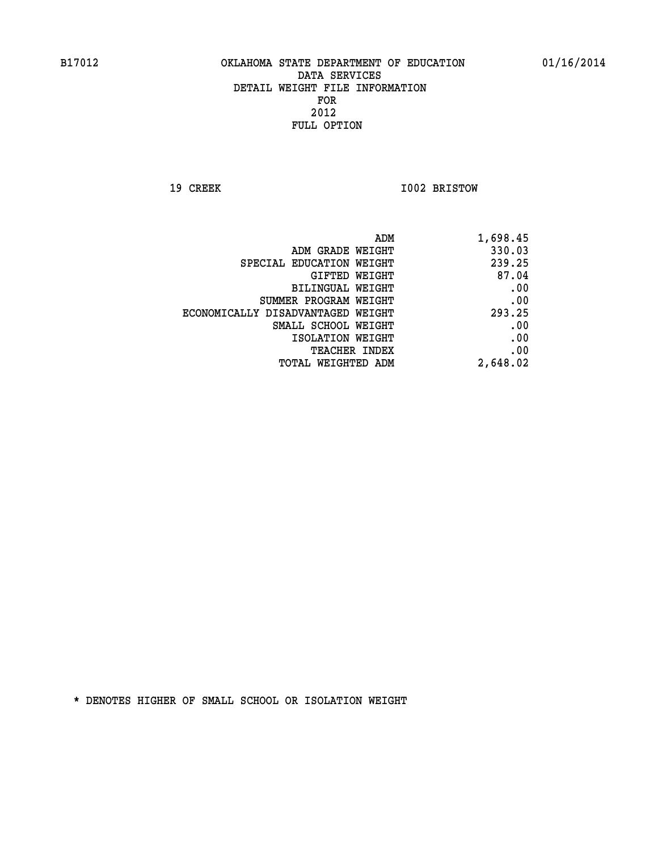**19 CREEK 1002 BRISTOW** 

| ADM                               | 1,698.45 |
|-----------------------------------|----------|
| ADM GRADE WEIGHT                  | 330.03   |
| SPECIAL EDUCATION WEIGHT          | 239.25   |
| GIFTED WEIGHT                     | 87.04    |
| <b>BILINGUAL WEIGHT</b>           | .00      |
| SUMMER PROGRAM WEIGHT             | .00      |
| ECONOMICALLY DISADVANTAGED WEIGHT | 293.25   |
| SMALL SCHOOL WEIGHT               | .00      |
| ISOLATION WEIGHT                  | .00      |
| TEACHER INDEX                     | .00      |
| TOTAL WEIGHTED ADM                | 2,648.02 |
|                                   |          |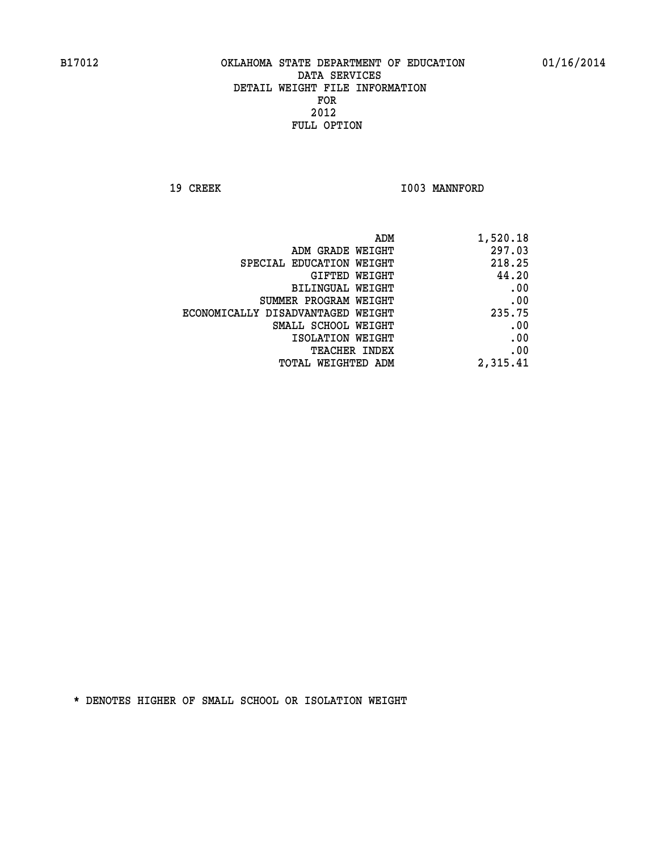19 CREEK 1003 MANNFORD

| 1,520.18 |
|----------|
| 297.03   |
| 218.25   |
| 44.20    |
| .00      |
| .00      |
| 235.75   |
| .00      |
| .00      |
| .00      |
| 2,315.41 |
|          |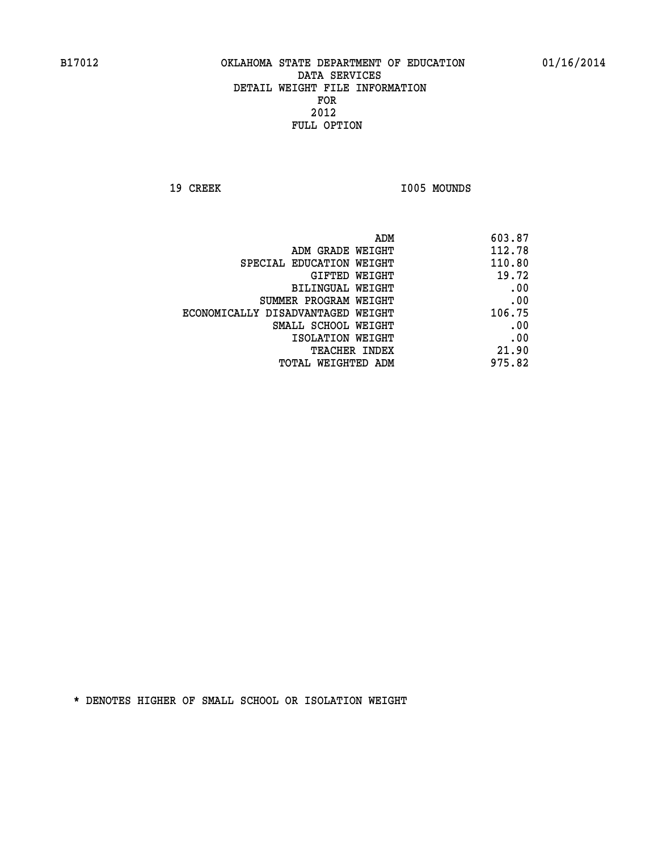19 CREEK 1005 MOUNDS

| ADM                               | 603.87 |
|-----------------------------------|--------|
| ADM GRADE WEIGHT                  | 112.78 |
| SPECIAL EDUCATION WEIGHT          | 110.80 |
| GIFTED WEIGHT                     | 19.72  |
| BILINGUAL WEIGHT                  | .00    |
| SUMMER PROGRAM WEIGHT             | .00    |
| ECONOMICALLY DISADVANTAGED WEIGHT | 106.75 |
| SMALL SCHOOL WEIGHT               | .00    |
| ISOLATION WEIGHT                  | .00    |
| TEACHER INDEX                     | 21.90  |
| TOTAL WEIGHTED ADM                | 975.82 |
|                                   |        |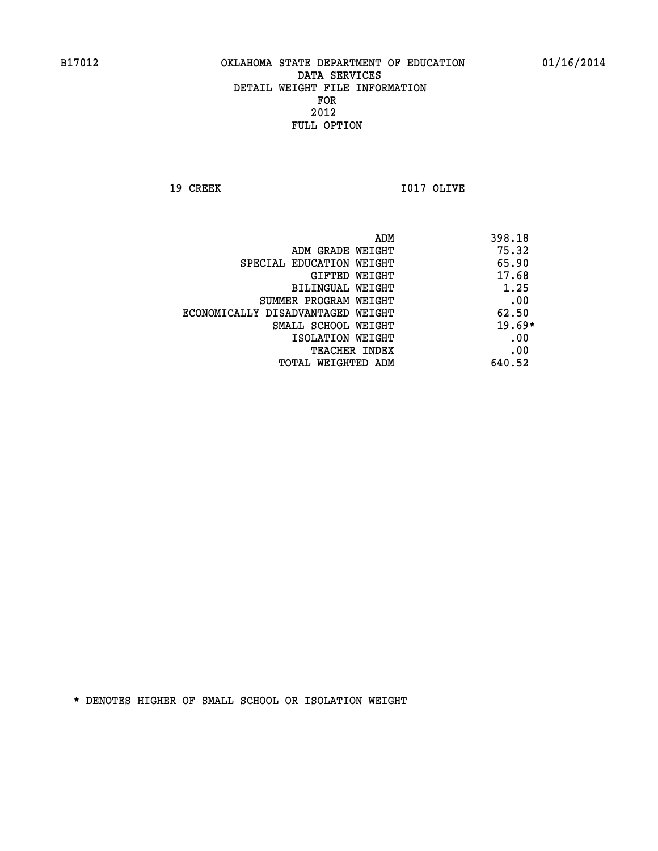**19 CREEK 1017 OLIVE** 

|                                   | ADM<br>398.18 |
|-----------------------------------|---------------|
| ADM GRADE WEIGHT                  | 75.32         |
| SPECIAL EDUCATION WEIGHT          | 65.90         |
| GIFTED WEIGHT                     | 17.68         |
| BILINGUAL WEIGHT                  | 1.25          |
| SUMMER PROGRAM WEIGHT             | .00           |
| ECONOMICALLY DISADVANTAGED WEIGHT | 62.50         |
| SMALL SCHOOL WEIGHT               | $19.69*$      |
| ISOLATION WEIGHT                  | .00           |
| <b>TEACHER INDEX</b>              | .00           |
| TOTAL WEIGHTED ADM                | 640.52        |
|                                   |               |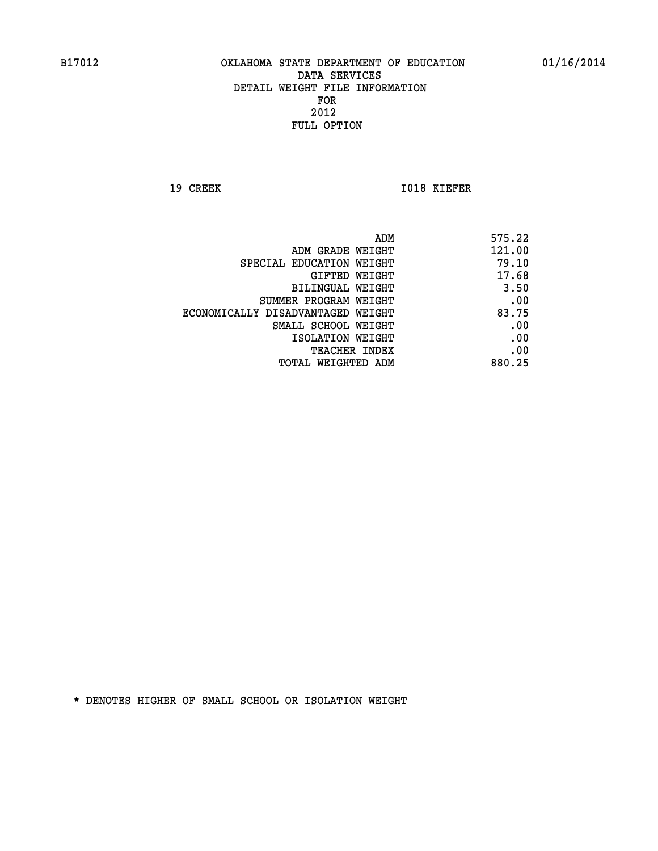**19 CREEK 1018 KIEFER** 

| ADM                               | 575.22 |
|-----------------------------------|--------|
| ADM GRADE WEIGHT                  | 121.00 |
| SPECIAL EDUCATION WEIGHT          | 79.10  |
| GIFTED WEIGHT                     | 17.68  |
| BILINGUAL WEIGHT                  | 3.50   |
| SUMMER PROGRAM WEIGHT             | .00    |
| ECONOMICALLY DISADVANTAGED WEIGHT | 83.75  |
| SMALL SCHOOL WEIGHT               | .00    |
| ISOLATION WEIGHT                  | .00    |
| <b>TEACHER INDEX</b>              | .00    |
| TOTAL WEIGHTED ADM                | 880.25 |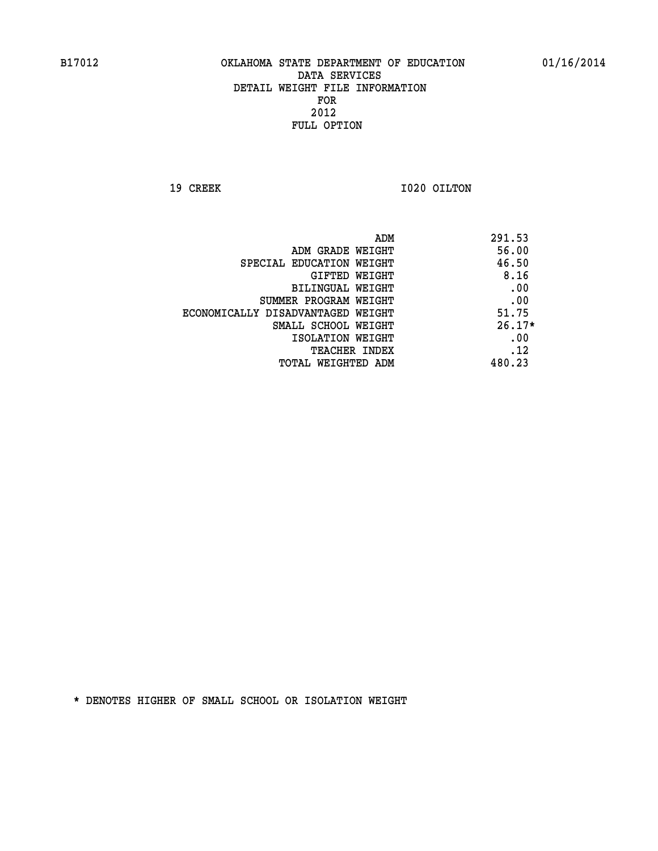**19 CREEK 1020 OILTON** 

|                                   | ADM<br>291.53 |  |
|-----------------------------------|---------------|--|
| ADM GRADE WEIGHT                  | 56.00         |  |
| SPECIAL EDUCATION WEIGHT          | 46.50         |  |
| GIFTED WEIGHT                     | 8.16          |  |
| BILINGUAL WEIGHT                  | .00           |  |
| SUMMER PROGRAM WEIGHT             | .00           |  |
| ECONOMICALLY DISADVANTAGED WEIGHT | 51.75         |  |
| SMALL SCHOOL WEIGHT               | $26.17*$      |  |
| ISOLATION WEIGHT                  | .00           |  |
| <b>TEACHER INDEX</b>              | .12           |  |
| TOTAL WEIGHTED ADM                | 480.23        |  |
|                                   |               |  |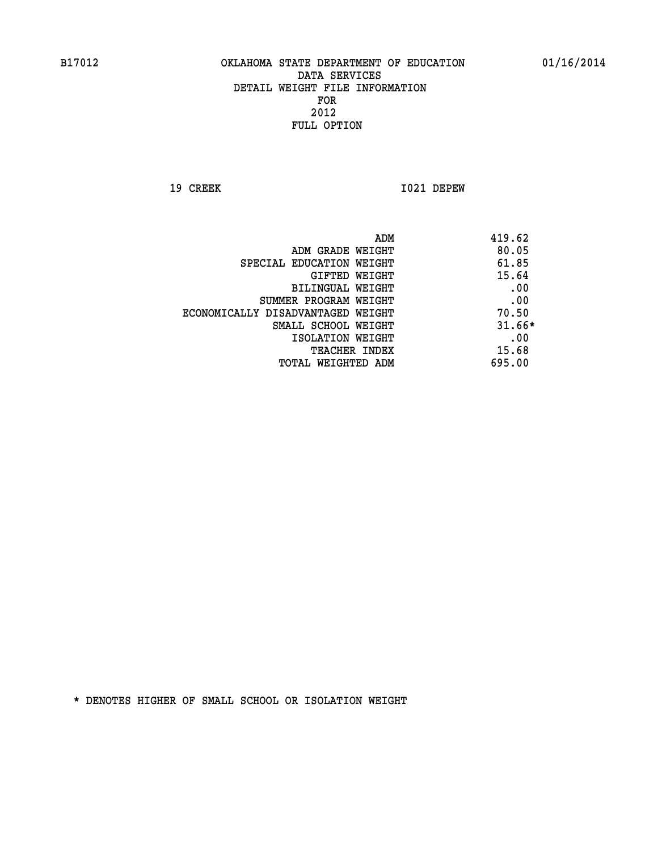**19 CREEK 1021 DEPEW** 

|                                   | ADM<br>419.62 |          |
|-----------------------------------|---------------|----------|
| ADM GRADE WEIGHT                  |               | 80.05    |
| SPECIAL EDUCATION WEIGHT          |               | 61.85    |
| <b>GIFTED WEIGHT</b>              |               | 15.64    |
| BILINGUAL WEIGHT                  |               | .00      |
| SUMMER PROGRAM WEIGHT             |               | .00      |
| ECONOMICALLY DISADVANTAGED WEIGHT |               | 70.50    |
| SMALL SCHOOL WEIGHT               |               | $31.66*$ |
| ISOLATION WEIGHT                  |               | .00      |
| <b>TEACHER INDEX</b>              |               | 15.68    |
| TOTAL WEIGHTED ADM                | 695.00        |          |
|                                   |               |          |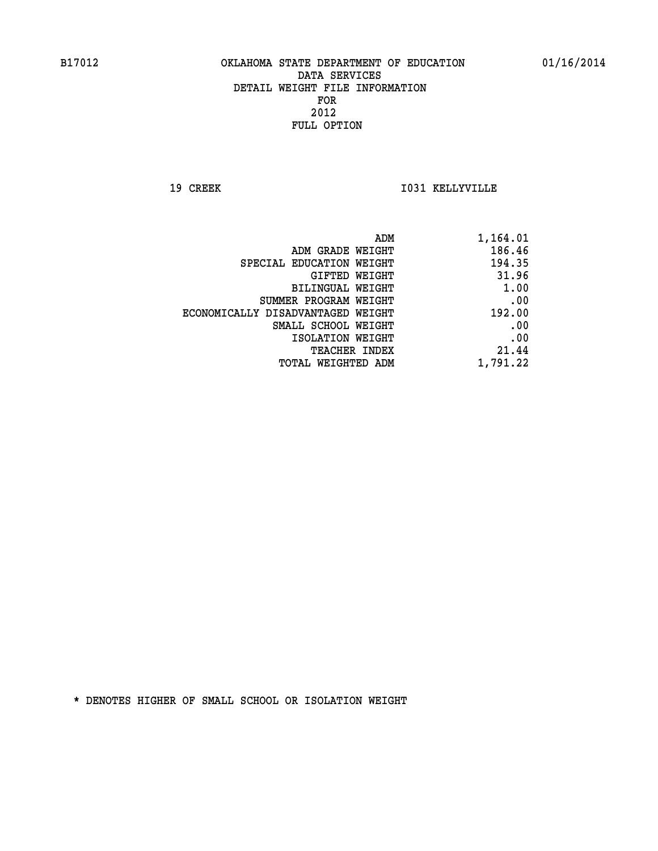**19 CREEK I031 KELLYVILLE** 

| ADM                               | 1,164.01 |
|-----------------------------------|----------|
| ADM GRADE WEIGHT                  | 186.46   |
| SPECIAL EDUCATION WEIGHT          | 194.35   |
| GIFTED WEIGHT                     | 31.96    |
| <b>BILINGUAL WEIGHT</b>           | 1.00     |
| SUMMER PROGRAM WEIGHT             | .00      |
| ECONOMICALLY DISADVANTAGED WEIGHT | 192.00   |
| SMALL SCHOOL WEIGHT               | .00      |
| ISOLATION WEIGHT                  | .00      |
| TEACHER INDEX                     | 21.44    |
| TOTAL WEIGHTED ADM                | 1,791.22 |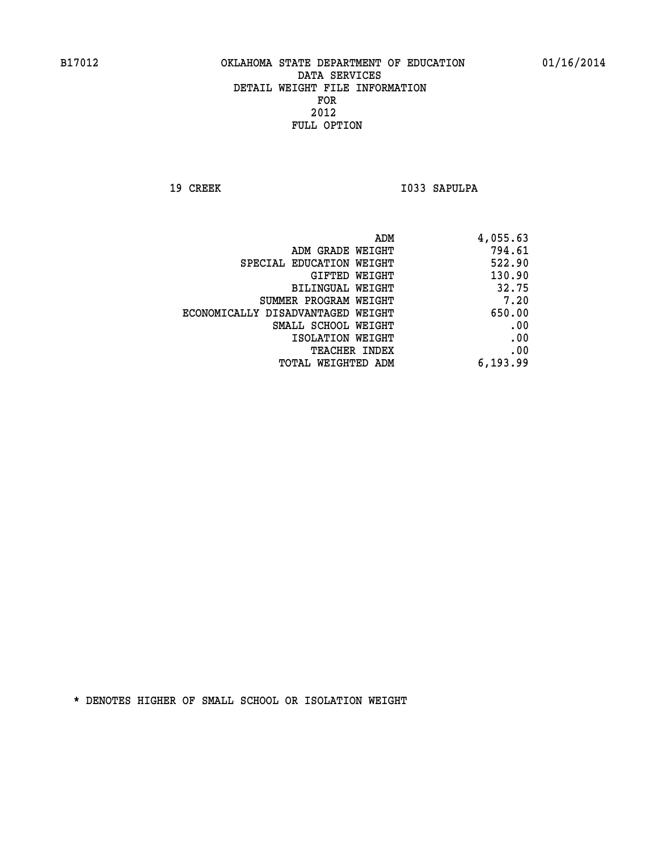19 CREEK 1033 SAPULPA

| ADM                               | 4,055.63 |
|-----------------------------------|----------|
| ADM GRADE WEIGHT                  | 794.61   |
| SPECIAL EDUCATION WEIGHT          | 522.90   |
| GIFTED WEIGHT                     | 130.90   |
| BILINGUAL WEIGHT                  | 32.75    |
| SUMMER PROGRAM WEIGHT             | 7.20     |
| ECONOMICALLY DISADVANTAGED WEIGHT | 650.00   |
| SMALL SCHOOL WEIGHT               | .00      |
| ISOLATION WEIGHT                  | .00      |
| TEACHER INDEX                     | .00      |
| TOTAL WEIGHTED ADM                | 6,193.99 |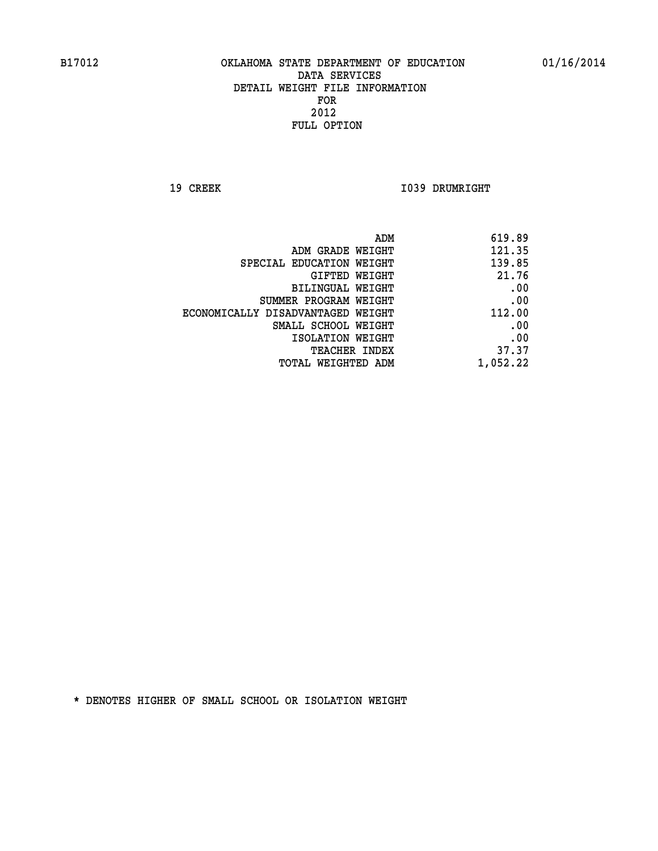**19 CREEK 1039 DRUMRIGHT** 

| ADM                               | 619.89   |
|-----------------------------------|----------|
| ADM GRADE WEIGHT                  | 121.35   |
| SPECIAL EDUCATION WEIGHT          | 139.85   |
| GIFTED WEIGHT                     | 21.76    |
| BILINGUAL WEIGHT                  | .00      |
| SUMMER PROGRAM WEIGHT             | .00      |
| ECONOMICALLY DISADVANTAGED WEIGHT | 112.00   |
| SMALL SCHOOL WEIGHT               | .00      |
| ISOLATION WEIGHT                  | .00      |
| TEACHER INDEX                     | 37.37    |
| TOTAL WEIGHTED ADM                | 1,052.22 |
|                                   |          |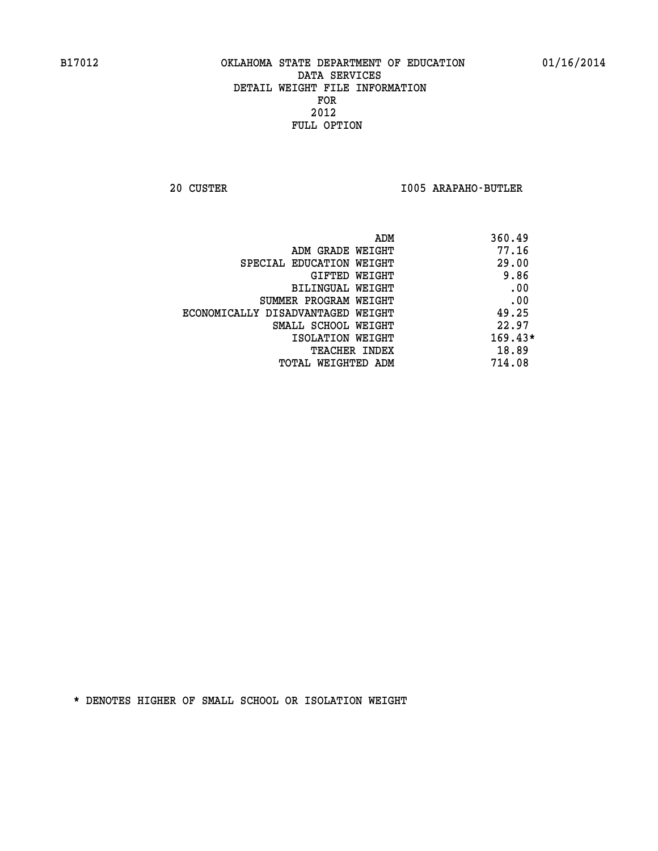**20 CUSTER I005 ARAPAHO-BUTLER** 

| 360.49<br>ADM                              |  |
|--------------------------------------------|--|
| 77.16<br>ADM GRADE WEIGHT                  |  |
| 29.00<br>SPECIAL EDUCATION WEIGHT          |  |
| 9.86<br>GIFTED WEIGHT                      |  |
| .00<br>BILINGUAL WEIGHT                    |  |
| .00<br>SUMMER PROGRAM WEIGHT               |  |
| 49.25<br>ECONOMICALLY DISADVANTAGED WEIGHT |  |
| 22.97<br>SMALL SCHOOL WEIGHT               |  |
| $169.43*$<br>ISOLATION WEIGHT              |  |
| 18.89<br><b>TEACHER INDEX</b>              |  |
| 714.08<br>TOTAL WEIGHTED ADM               |  |
|                                            |  |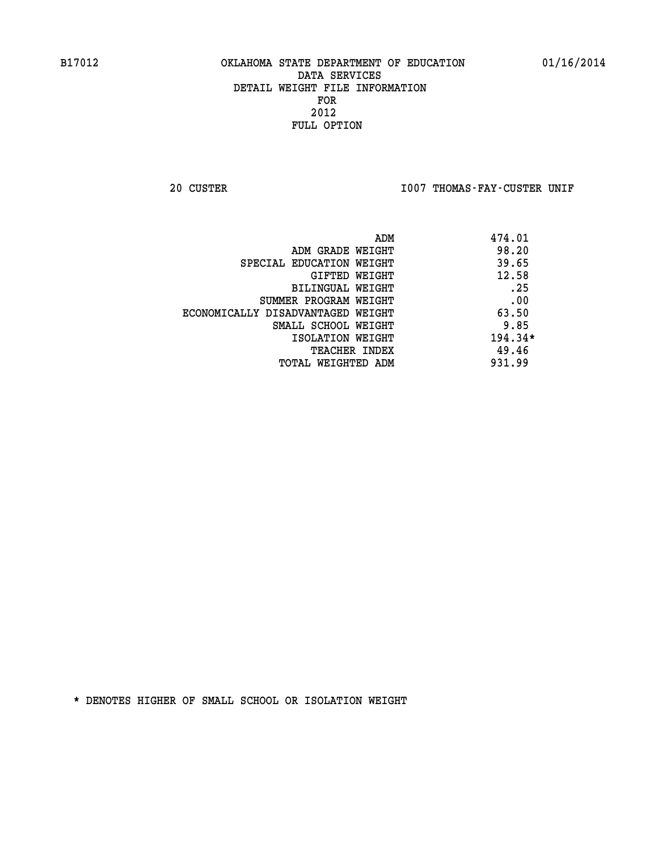20 CUSTER **IOO7 THOMAS-FAY-CUSTER UNIF** 

|                                   | ADM | 474.01    |
|-----------------------------------|-----|-----------|
| ADM GRADE WEIGHT                  |     | 98.20     |
| SPECIAL EDUCATION WEIGHT          |     | 39.65     |
| GIFTED WEIGHT                     |     | 12.58     |
| BILINGUAL WEIGHT                  |     | .25       |
| SUMMER PROGRAM WEIGHT             |     | .00       |
| ECONOMICALLY DISADVANTAGED WEIGHT |     | 63.50     |
| SMALL SCHOOL WEIGHT               |     | 9.85      |
| ISOLATION WEIGHT                  |     | $194.34*$ |
| <b>TEACHER INDEX</b>              |     | 49.46     |
| TOTAL WEIGHTED ADM                |     | 931.99    |
|                                   |     |           |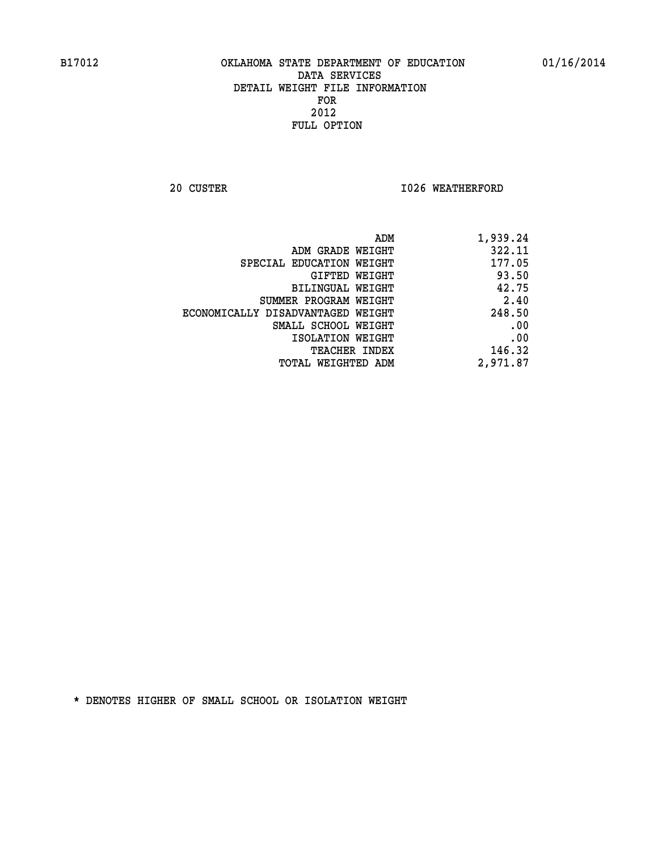**20 CUSTER 1026 WEATHERFORD** 

| 1,939.24 |
|----------|
| 322.11   |
| 177.05   |
| 93.50    |
| 42.75    |
| 2.40     |
| 248.50   |
| .00      |
| .00      |
| 146.32   |
| 2,971.87 |
|          |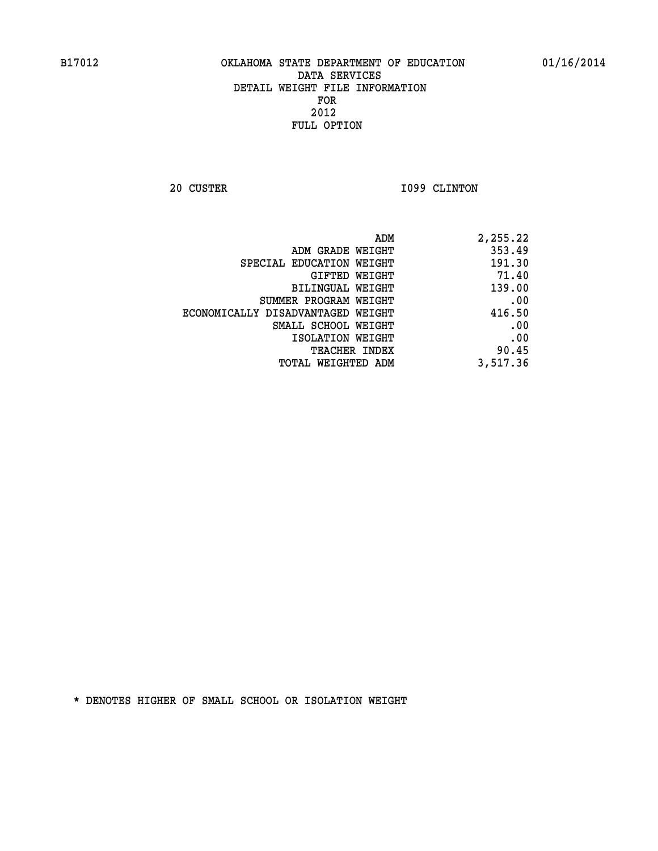**20 CUSTER 1099 CLINTON** 

| ADM                               | 2,255.22 |
|-----------------------------------|----------|
| ADM GRADE WEIGHT                  | 353.49   |
| SPECIAL EDUCATION WEIGHT          | 191.30   |
| GIFTED WEIGHT                     | 71.40    |
| <b>BILINGUAL WEIGHT</b>           | 139.00   |
| SUMMER PROGRAM WEIGHT             | .00      |
| ECONOMICALLY DISADVANTAGED WEIGHT | 416.50   |
| SMALL SCHOOL WEIGHT               | .00      |
| ISOLATION WEIGHT                  | .00      |
| TEACHER INDEX                     | 90.45    |
| TOTAL WEIGHTED ADM                | 3,517.36 |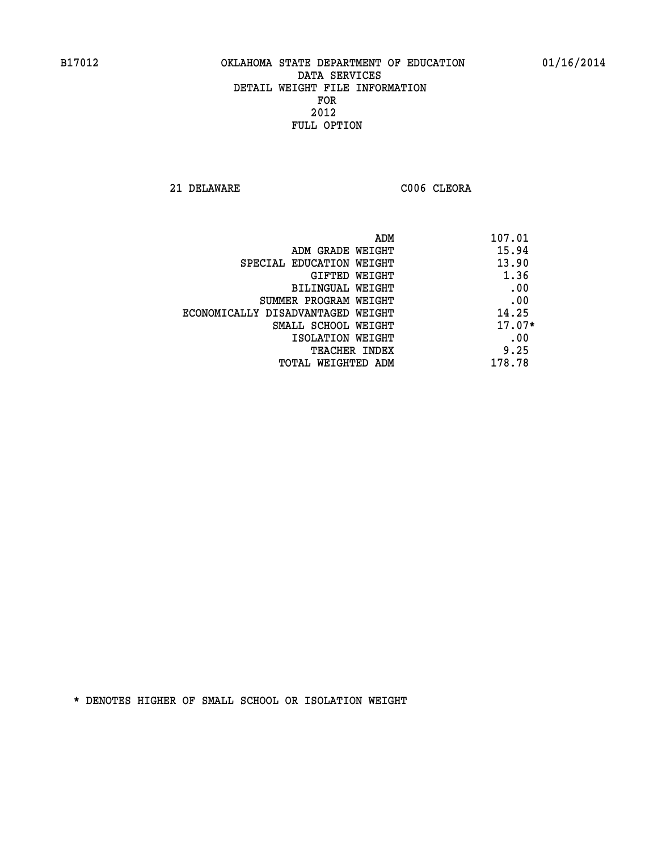**21 DELAWARE C006 CLEORA** 

| 107.01<br>ADM                              |  |
|--------------------------------------------|--|
| 15.94<br>ADM GRADE WEIGHT                  |  |
| 13.90<br>SPECIAL EDUCATION WEIGHT          |  |
| 1.36<br>GIFTED WEIGHT                      |  |
| .00<br>BILINGUAL WEIGHT                    |  |
| .00<br>SUMMER PROGRAM WEIGHT               |  |
| 14.25<br>ECONOMICALLY DISADVANTAGED WEIGHT |  |
| $17.07*$<br>SMALL SCHOOL WEIGHT            |  |
| .00<br>ISOLATION WEIGHT                    |  |
| 9.25<br><b>TEACHER INDEX</b>               |  |
| 178.78<br>TOTAL WEIGHTED ADM               |  |
|                                            |  |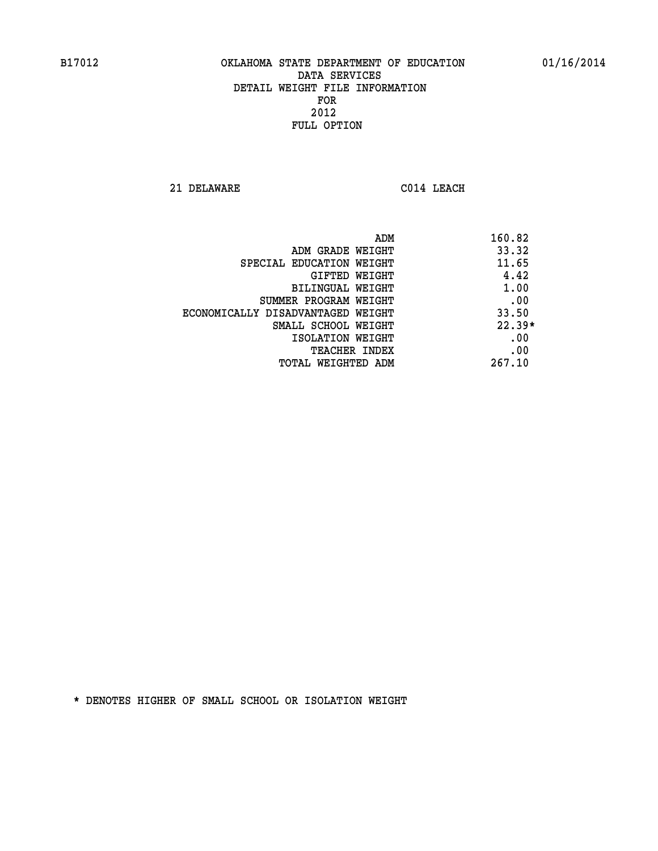**21 DELAWARE C014 LEACH** 

| ADM                               | 160.82   |
|-----------------------------------|----------|
| ADM GRADE WEIGHT                  | 33.32    |
| SPECIAL EDUCATION WEIGHT          | 11.65    |
| <b>GIFTED WEIGHT</b>              | 4.42     |
| BILINGUAL WEIGHT                  | 1.00     |
| SUMMER PROGRAM WEIGHT             | .00      |
| ECONOMICALLY DISADVANTAGED WEIGHT | 33.50    |
| SMALL SCHOOL WEIGHT               | $22.39*$ |
| ISOLATION WEIGHT                  | .00      |
| <b>TEACHER INDEX</b>              | .00      |
| TOTAL WEIGHTED ADM                | 267.10   |
|                                   |          |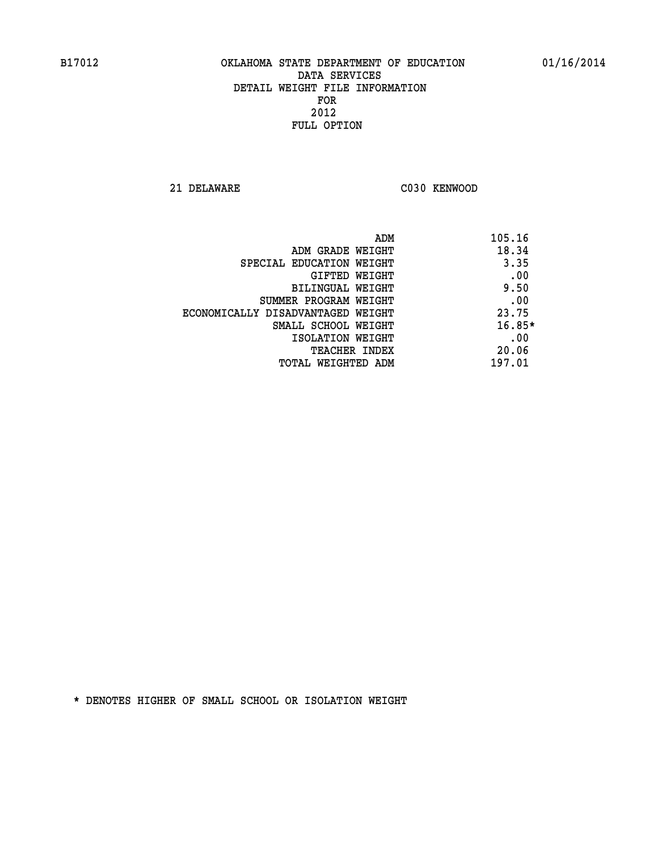**21 DELAWARE C030 KENWOOD** 

| ADM                               | 105.16   |
|-----------------------------------|----------|
| ADM GRADE WEIGHT                  | 18.34    |
| SPECIAL EDUCATION WEIGHT          | 3.35     |
| GIFTED WEIGHT                     | .00      |
| BILINGUAL WEIGHT                  | 9.50     |
| SUMMER PROGRAM WEIGHT             | .00      |
| ECONOMICALLY DISADVANTAGED WEIGHT | 23.75    |
| SMALL SCHOOL WEIGHT               | $16.85*$ |
| ISOLATION WEIGHT                  | .00      |
| <b>TEACHER INDEX</b>              | 20.06    |
| TOTAL WEIGHTED ADM                | 197.01   |
|                                   |          |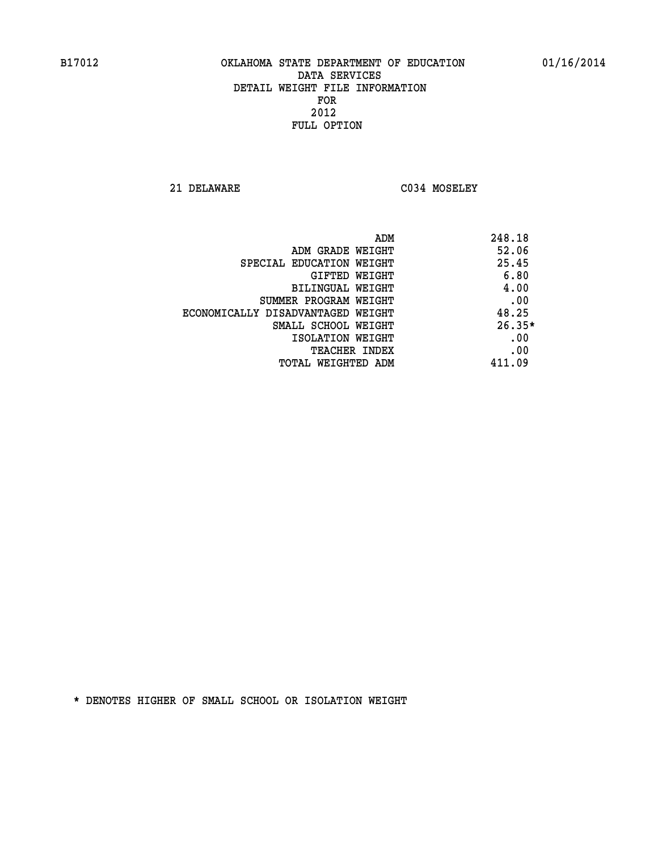**21 DELAWARE C034 MOSELEY** 

|                                   | ADM | 248.18   |
|-----------------------------------|-----|----------|
| ADM GRADE WEIGHT                  |     | 52.06    |
| SPECIAL EDUCATION WEIGHT          |     | 25.45    |
| GIFTED WEIGHT                     |     | 6.80     |
| BILINGUAL WEIGHT                  |     | 4.00     |
| SUMMER PROGRAM WEIGHT             |     | .00      |
| ECONOMICALLY DISADVANTAGED WEIGHT |     | 48.25    |
| SMALL SCHOOL WEIGHT               |     | $26.35*$ |
| ISOLATION WEIGHT                  |     | .00      |
| TEACHER INDEX                     |     | .00      |
| TOTAL WEIGHTED ADM                |     | 411.09   |
|                                   |     |          |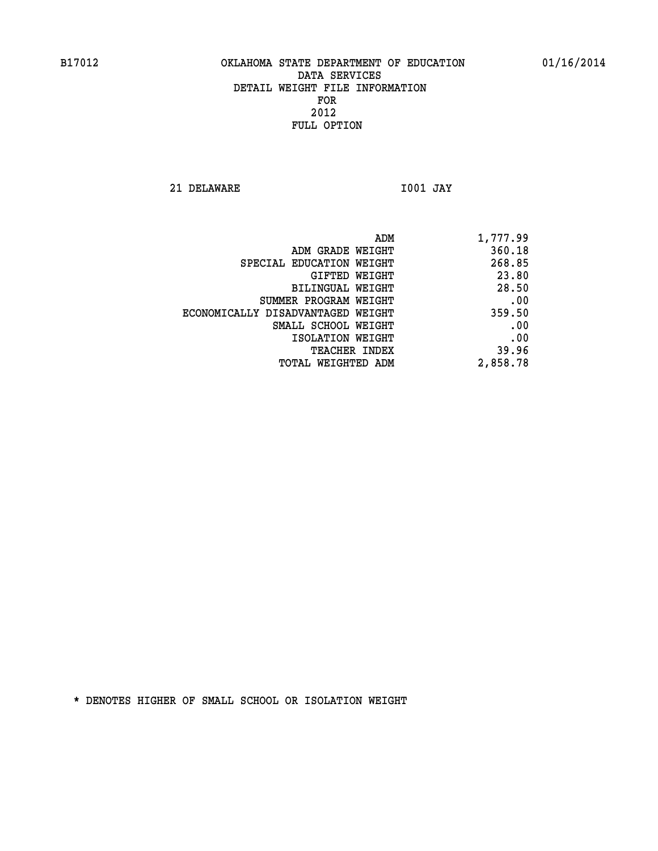**21 DELAWARE I001 JAY** 

| ADM                               | 1,777.99 |
|-----------------------------------|----------|
| ADM GRADE WEIGHT                  | 360.18   |
| SPECIAL EDUCATION WEIGHT          | 268.85   |
| GIFTED WEIGHT                     | 23.80    |
| BILINGUAL WEIGHT                  | 28.50    |
| SUMMER PROGRAM WEIGHT             | .00      |
| ECONOMICALLY DISADVANTAGED WEIGHT | 359.50   |
| SMALL SCHOOL WEIGHT               | .00      |
| ISOLATION WEIGHT                  | .00      |
| TEACHER INDEX                     | 39.96    |
| TOTAL WEIGHTED ADM                | 2,858.78 |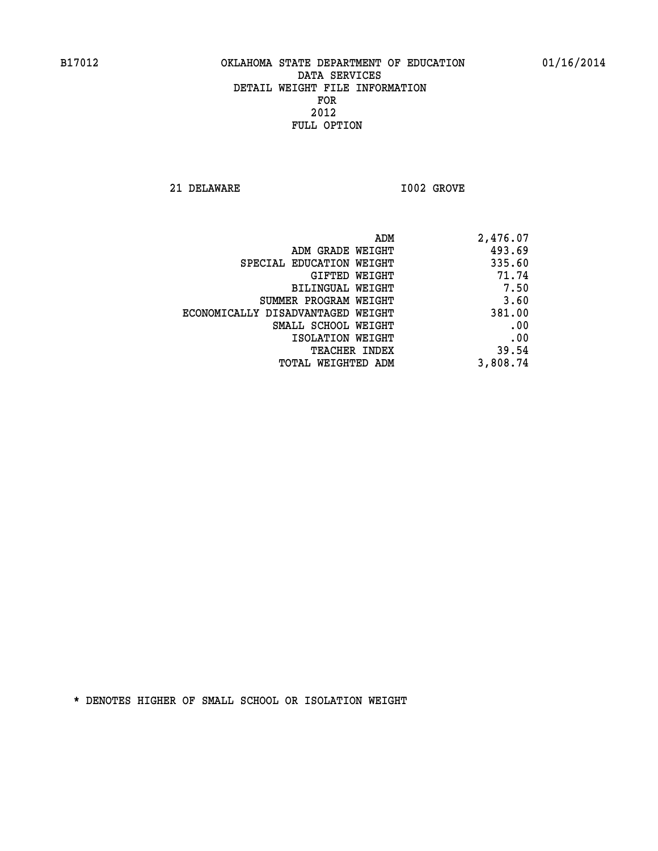**21 DELAWARE I002 GROVE** 

| 2,476.07 | ADM                               |
|----------|-----------------------------------|
| 493.69   | ADM GRADE WEIGHT                  |
| 335.60   | SPECIAL EDUCATION WEIGHT          |
| 71.74    | GIFTED WEIGHT                     |
| 7.50     | BILINGUAL WEIGHT                  |
| 3.60     | SUMMER PROGRAM WEIGHT             |
| 381.00   | ECONOMICALLY DISADVANTAGED WEIGHT |
| .00      | SMALL SCHOOL WEIGHT               |
| .00      | ISOLATION WEIGHT                  |
| 39.54    | <b>TEACHER INDEX</b>              |
| 3,808.74 | TOTAL WEIGHTED ADM                |
|          |                                   |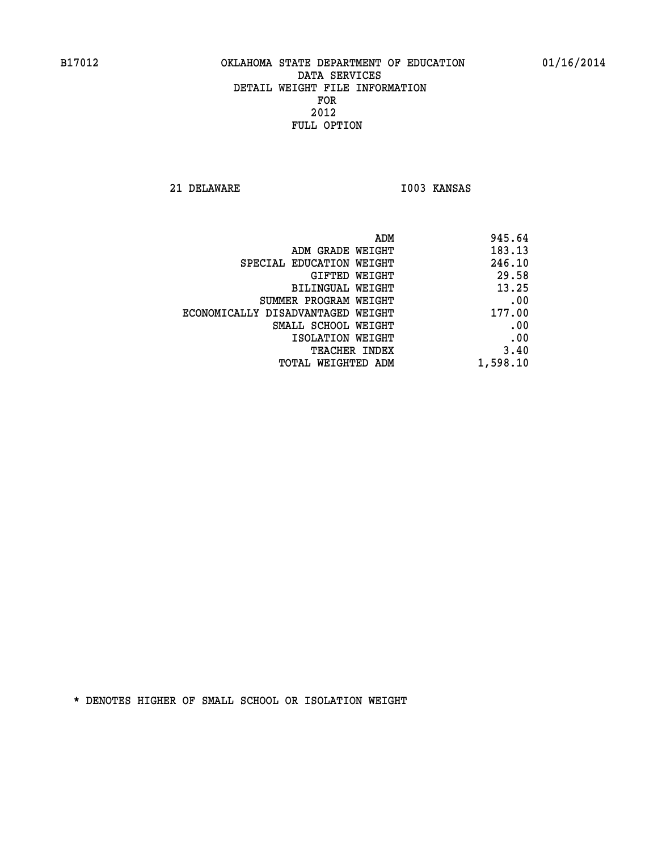**21 DELAWARE I003 KANSAS** 

| 945.64   |
|----------|
| 183.13   |
| 246.10   |
| 29.58    |
| 13.25    |
| .00      |
| 177.00   |
| .00      |
| .00      |
| 3.40     |
| 1,598.10 |
|          |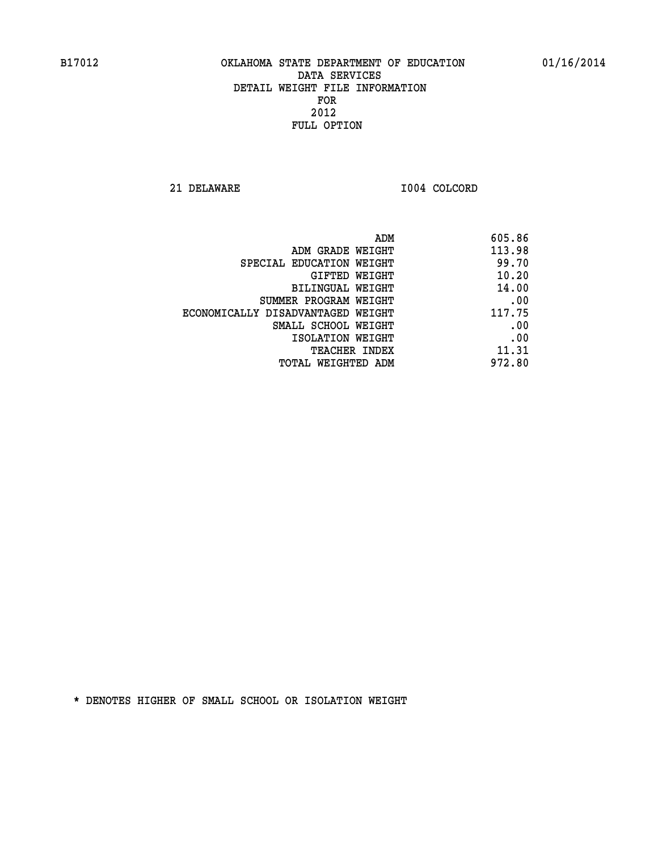**21 DELAWARE I004 COLCORD** 

| 605.86                                                                                                                                                                                                                                   |
|------------------------------------------------------------------------------------------------------------------------------------------------------------------------------------------------------------------------------------------|
| 113.98                                                                                                                                                                                                                                   |
| 99.70                                                                                                                                                                                                                                    |
| 10.20                                                                                                                                                                                                                                    |
| 14.00                                                                                                                                                                                                                                    |
| .00                                                                                                                                                                                                                                      |
| 117.75                                                                                                                                                                                                                                   |
| .00                                                                                                                                                                                                                                      |
| .00                                                                                                                                                                                                                                      |
| 11.31                                                                                                                                                                                                                                    |
| 972.80                                                                                                                                                                                                                                   |
| ADM<br>ADM GRADE WEIGHT<br>SPECIAL EDUCATION WEIGHT<br>GIFTED WEIGHT<br>BILINGUAL WEIGHT<br>SUMMER PROGRAM WEIGHT<br>ECONOMICALLY DISADVANTAGED WEIGHT<br>SMALL SCHOOL WEIGHT<br>ISOLATION WEIGHT<br>TEACHER INDEX<br>TOTAL WEIGHTED ADM |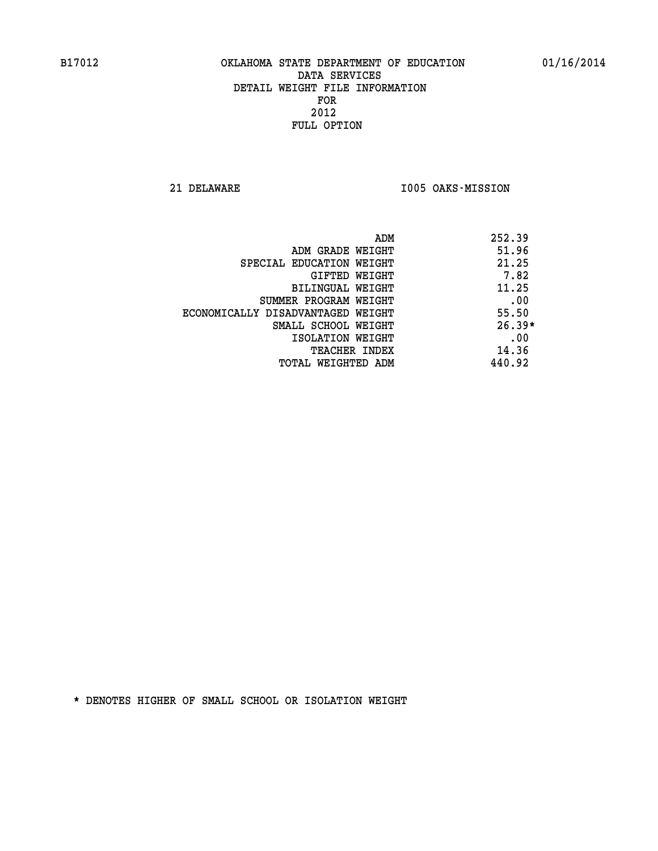**21 DELAWARE I005 OAKS-MISSION** 

| ADM                               | 252.39   |
|-----------------------------------|----------|
| ADM GRADE WEIGHT                  | 51.96    |
| SPECIAL EDUCATION WEIGHT          | 21.25    |
| GIFTED WEIGHT                     | 7.82     |
| BILINGUAL WEIGHT                  | 11.25    |
| SUMMER PROGRAM WEIGHT             | .00      |
| ECONOMICALLY DISADVANTAGED WEIGHT | 55.50    |
| SMALL SCHOOL WEIGHT               | $26.39*$ |
| ISOLATION WEIGHT                  | .00      |
| <b>TEACHER INDEX</b>              | 14.36    |
| TOTAL WEIGHTED ADM                | 440.92   |
|                                   |          |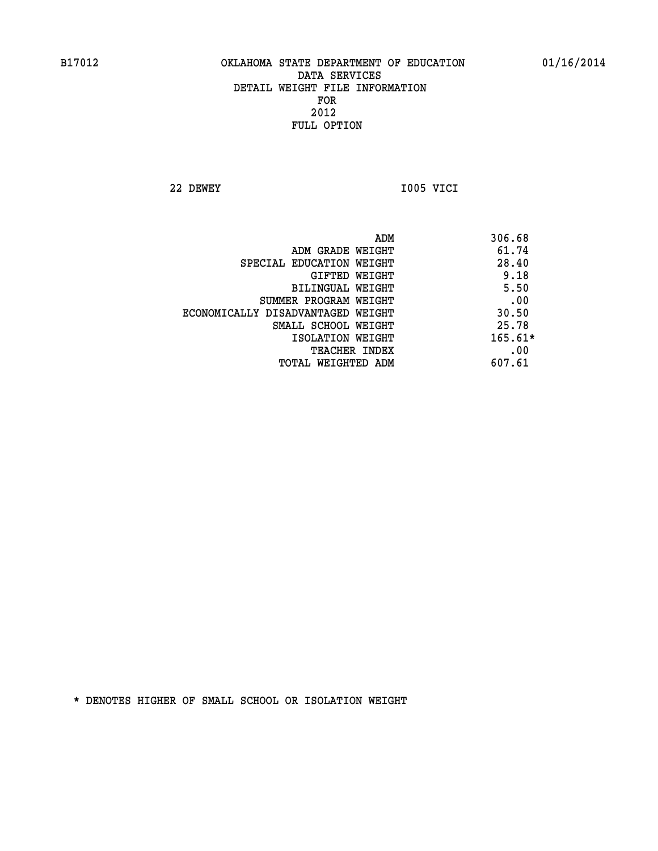**22 DEWEY I005 VICI** 

 **ADM 306.68 ADM GRADE WEIGHT 61.74 SPECIAL EDUCATION WEIGHT 28.40 GIFTED WEIGHT** 9.18 **BILINGUAL WEIGHT 5.50 SUMMER PROGRAM WEIGHT .00 ECONOMICALLY DISADVANTAGED WEIGHT 30.50 SMALL SCHOOL WEIGHT** 25.78  **ISOLATION WEIGHT 165.61\* TEACHER INDEX** .00  **TOTAL WEIGHTED ADM 607.61**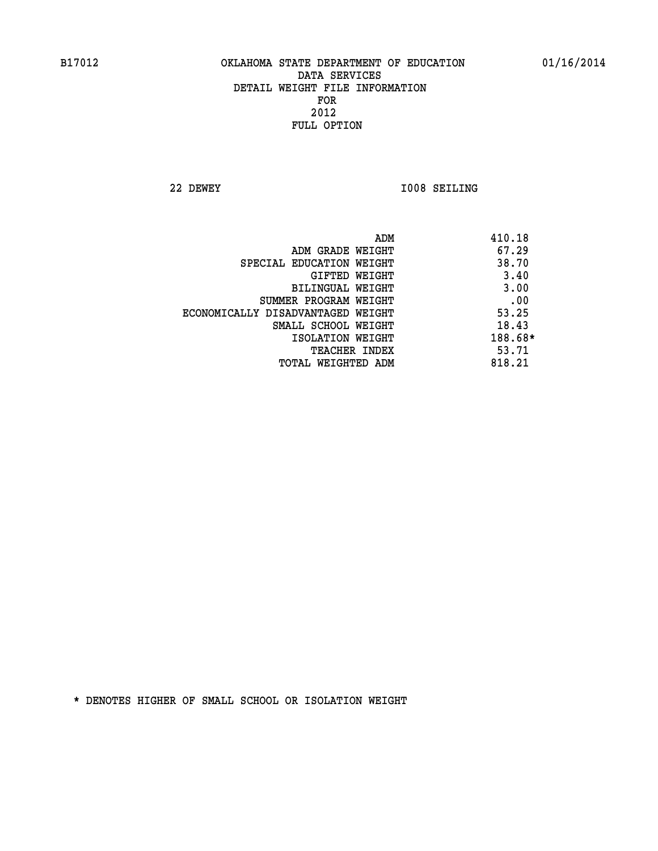**22 DEWEY I008 SEILING** 

|                                   | ADM | 410.18  |
|-----------------------------------|-----|---------|
| ADM GRADE WEIGHT                  |     | 67.29   |
| SPECIAL EDUCATION WEIGHT          |     | 38.70   |
| GIFTED WEIGHT                     |     | 3.40    |
| BILINGUAL WEIGHT                  |     | 3.00    |
| SUMMER PROGRAM WEIGHT             |     | .00     |
| ECONOMICALLY DISADVANTAGED WEIGHT |     | 53.25   |
| SMALL SCHOOL WEIGHT               |     | 18.43   |
| ISOLATION WEIGHT                  |     | 188.68* |
| <b>TEACHER INDEX</b>              |     | 53.71   |
| TOTAL WEIGHTED ADM                |     | 818.21  |
|                                   |     |         |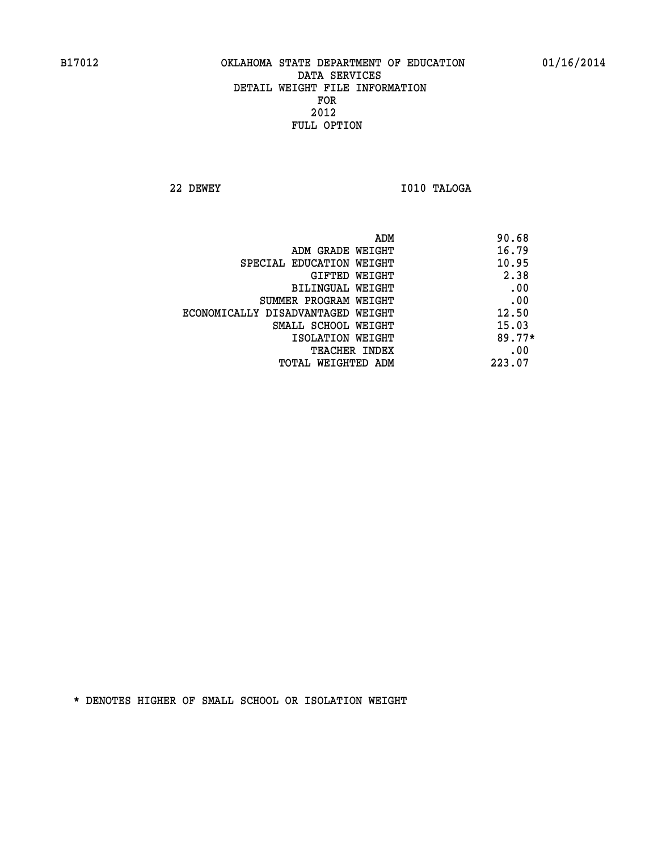**22 DEWEY I010 TALOGA** 

| ADM                               | 90.68    |
|-----------------------------------|----------|
| ADM GRADE WEIGHT                  | 16.79    |
| SPECIAL EDUCATION WEIGHT          | 10.95    |
| GIFTED WEIGHT                     | 2.38     |
| BILINGUAL WEIGHT                  | .00      |
| SUMMER PROGRAM WEIGHT             | .00      |
| ECONOMICALLY DISADVANTAGED WEIGHT | 12.50    |
| SMALL SCHOOL WEIGHT               | 15.03    |
| ISOLATION WEIGHT                  | $89.77*$ |
| <b>TEACHER INDEX</b>              | .00      |
| TOTAL WEIGHTED ADM                | 223.07   |
|                                   |          |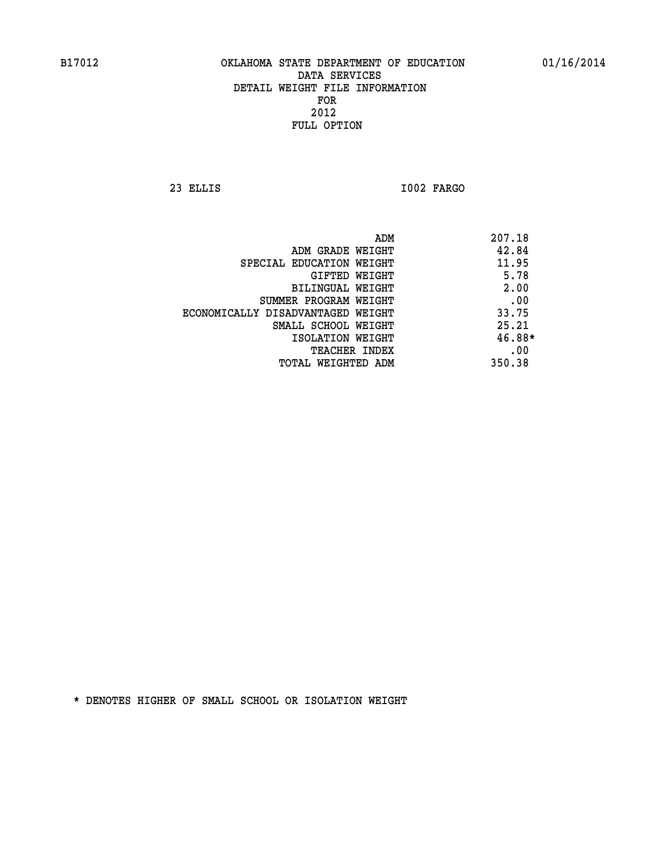**23 ELLIS I002 FARGO** 

| ADM                               | 207.18 |
|-----------------------------------|--------|
| ADM GRADE WEIGHT                  | 42.84  |
| SPECIAL EDUCATION WEIGHT          | 11.95  |
| GIFTED WEIGHT                     | 5.78   |
| BILINGUAL WEIGHT                  | 2.00   |
| SUMMER PROGRAM WEIGHT             | .00    |
| ECONOMICALLY DISADVANTAGED WEIGHT | 33.75  |
| SMALL SCHOOL WEIGHT               | 25.21  |
| ISOLATION WEIGHT                  | 46.88* |
| <b>TEACHER INDEX</b>              | .00    |
| TOTAL WEIGHTED ADM                | 350.38 |
|                                   |        |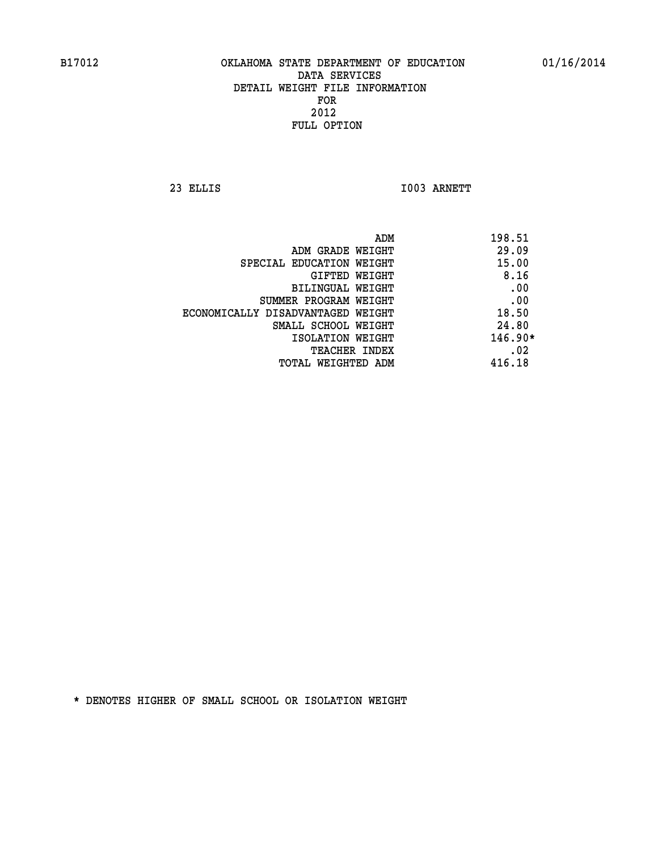**23 ELLIS I003 ARNETT** 

|                                   | ADM<br>198.51 |
|-----------------------------------|---------------|
| ADM GRADE WEIGHT                  | 29.09         |
| SPECIAL EDUCATION WEIGHT          | 15.00         |
| <b>GIFTED WEIGHT</b>              | 8.16          |
| BILINGUAL WEIGHT                  | .00           |
| SUMMER PROGRAM WEIGHT             | .00           |
| ECONOMICALLY DISADVANTAGED WEIGHT | 18.50         |
| SMALL SCHOOL WEIGHT               | 24.80         |
| ISOLATION WEIGHT                  | $146.90*$     |
| TEACHER INDEX                     | .02           |
| TOTAL WEIGHTED ADM                | 416.18        |
|                                   |               |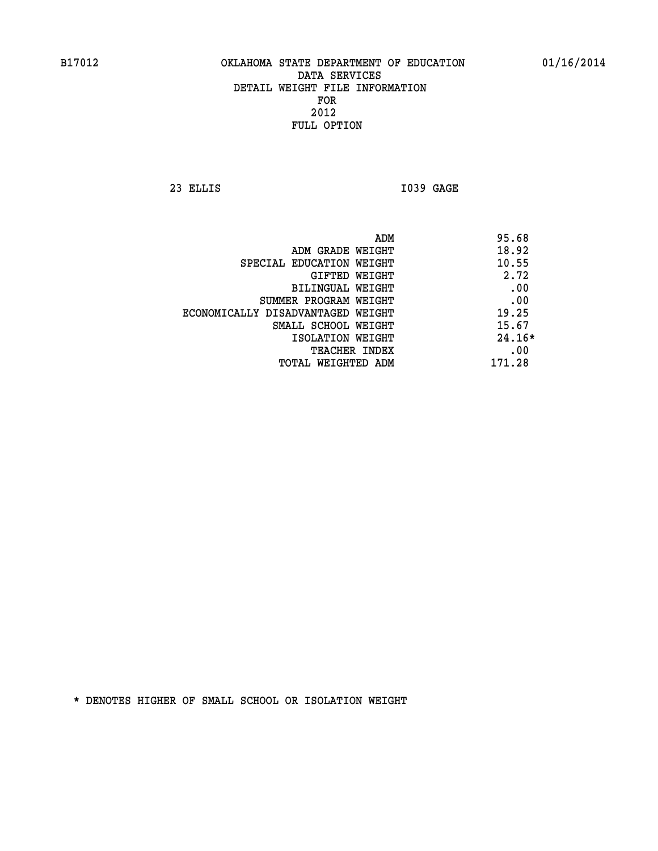**23 ELLIS I039 GAGE** 

| ADM                               | 95.68    |
|-----------------------------------|----------|
| ADM GRADE WEIGHT                  | 18.92    |
| SPECIAL EDUCATION WEIGHT          | 10.55    |
| GIFTED WEIGHT                     | 2.72     |
| BILINGUAL WEIGHT                  | .00      |
| SUMMER PROGRAM WEIGHT             | .00      |
| ECONOMICALLY DISADVANTAGED WEIGHT | 19.25    |
| SMALL SCHOOL WEIGHT               | 15.67    |
| ISOLATION WEIGHT                  | $24.16*$ |
| <b>TEACHER INDEX</b>              | .00      |
| TOTAL WEIGHTED ADM                | 171.28   |
|                                   |          |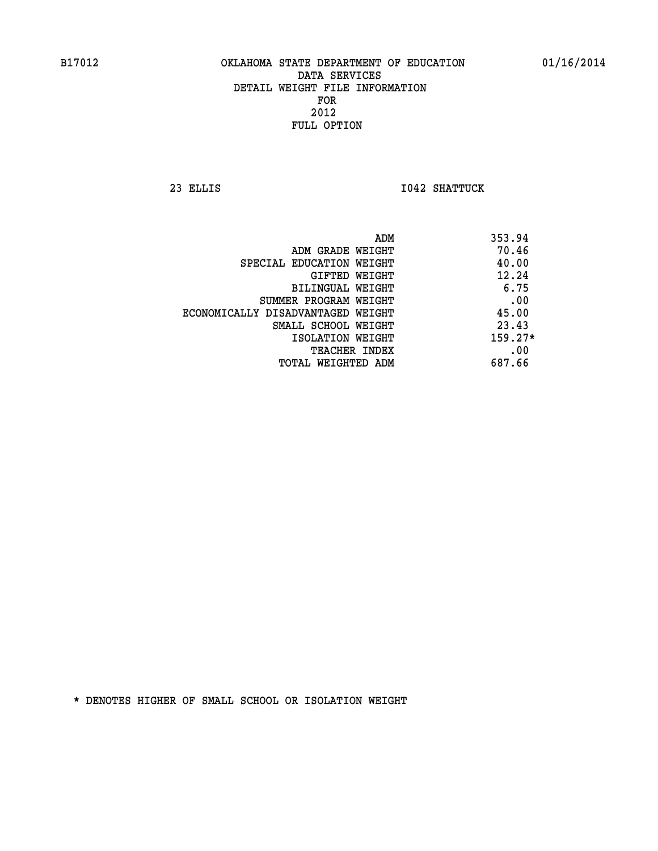**23 ELLIS I042 SHATTUCK** 

| 353.94<br>ADM                              |  |
|--------------------------------------------|--|
| 70.46<br>ADM GRADE WEIGHT                  |  |
| 40.00<br>SPECIAL EDUCATION WEIGHT          |  |
| 12.24<br>GIFTED WEIGHT                     |  |
| 6.75<br>BILINGUAL WEIGHT                   |  |
| .00<br>SUMMER PROGRAM WEIGHT               |  |
| 45.00<br>ECONOMICALLY DISADVANTAGED WEIGHT |  |
| 23.43<br>SMALL SCHOOL WEIGHT               |  |
| $159.27*$<br>ISOLATION WEIGHT              |  |
| .00<br>TEACHER INDEX                       |  |
| 687.66<br>TOTAL WEIGHTED ADM               |  |
|                                            |  |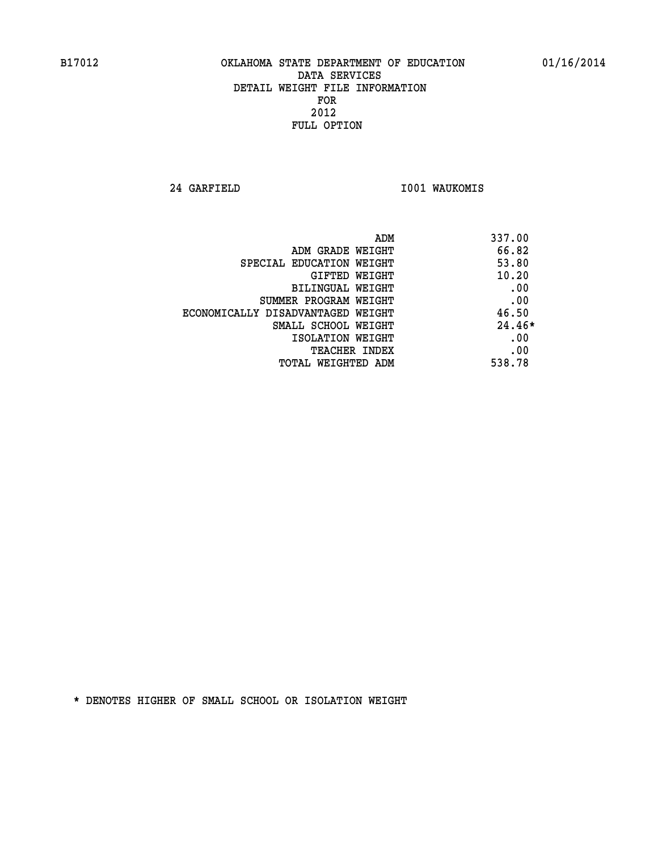**24 GARFIELD I001 WAUKOMIS** 

| ADM                               | 337.00   |
|-----------------------------------|----------|
| ADM GRADE WEIGHT                  | 66.82    |
| SPECIAL EDUCATION WEIGHT          | 53.80    |
| GIFTED WEIGHT                     | 10.20    |
| BILINGUAL WEIGHT                  | .00      |
| SUMMER PROGRAM WEIGHT             | .00      |
| ECONOMICALLY DISADVANTAGED WEIGHT | 46.50    |
| SMALL SCHOOL WEIGHT               | $24.46*$ |
| ISOLATION WEIGHT                  | .00      |
| <b>TEACHER INDEX</b>              | .00      |
| TOTAL WEIGHTED ADM                | 538.78   |
|                                   |          |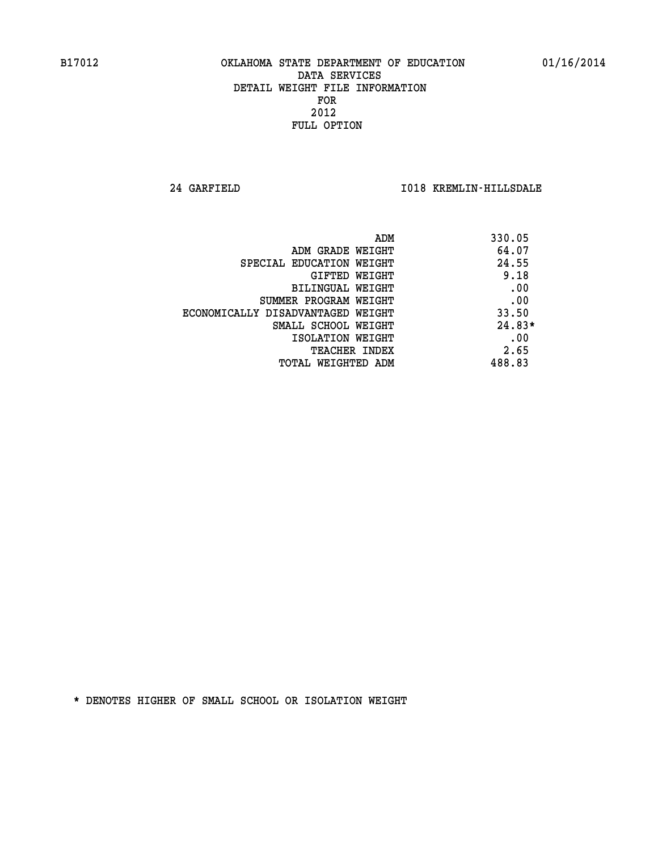**24 GARFIELD I018 KREMLIN-HILLSDALE** 

| ADM                               | 330.05   |
|-----------------------------------|----------|
| ADM GRADE WEIGHT                  | 64.07    |
| SPECIAL EDUCATION WEIGHT          | 24.55    |
| <b>GIFTED WEIGHT</b>              | 9.18     |
| BILINGUAL WEIGHT                  | .00      |
| SUMMER PROGRAM WEIGHT             | .00      |
| ECONOMICALLY DISADVANTAGED WEIGHT | 33.50    |
| SMALL SCHOOL WEIGHT               | $24.83*$ |
| ISOLATION WEIGHT                  | .00      |
| <b>TEACHER INDEX</b>              | 2.65     |
| TOTAL WEIGHTED ADM                | 488.83   |
|                                   |          |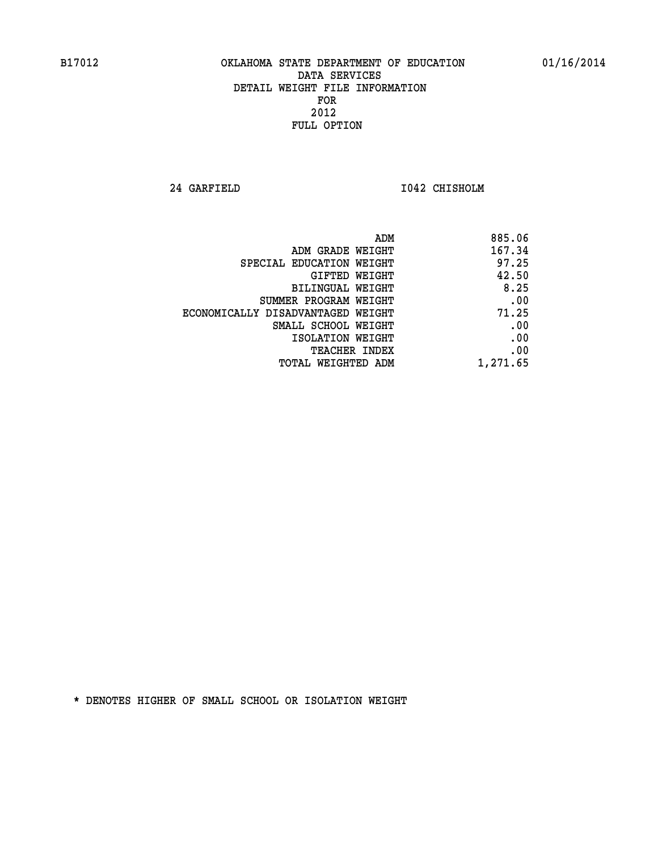**24 GARFIELD I042 CHISHOLM** 

|                                   | 885.06<br>ADM |
|-----------------------------------|---------------|
| ADM GRADE WEIGHT                  | 167.34        |
| SPECIAL EDUCATION WEIGHT          | 97.25         |
| <b>GIFTED WEIGHT</b>              | 42.50         |
| BILINGUAL WEIGHT                  | 8.25          |
| SUMMER PROGRAM WEIGHT             | .00           |
| ECONOMICALLY DISADVANTAGED WEIGHT | 71.25         |
| SMALL SCHOOL WEIGHT               | .00           |
| ISOLATION WEIGHT                  | .00           |
| <b>TEACHER INDEX</b>              | .00           |
| TOTAL WEIGHTED ADM                | 1,271.65      |
|                                   |               |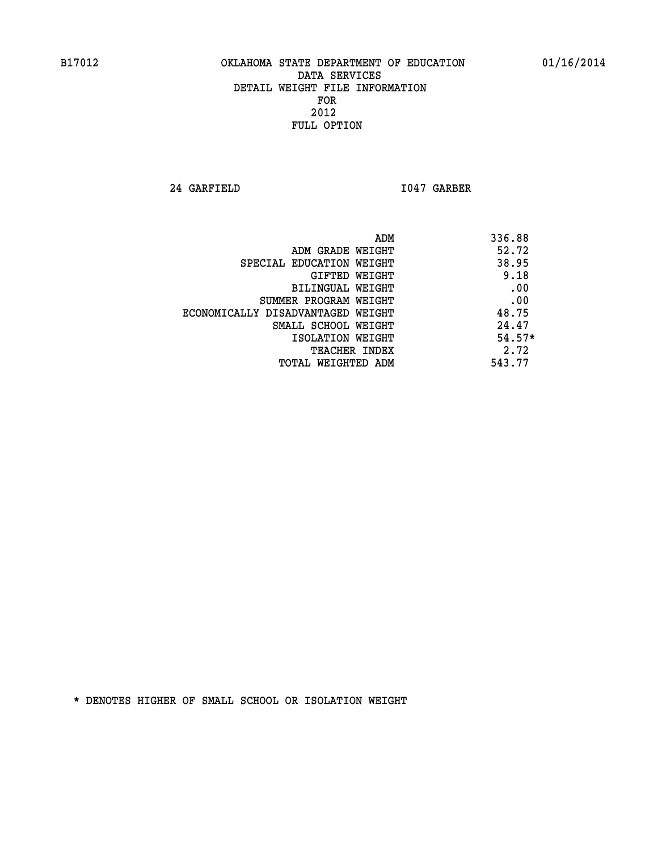**24 GARFIELD I047 GARBER** 

| ADM                               | 336.88   |
|-----------------------------------|----------|
| ADM GRADE WEIGHT                  | 52.72    |
| SPECIAL EDUCATION WEIGHT          | 38.95    |
| GIFTED WEIGHT                     | 9.18     |
| BILINGUAL WEIGHT                  | .00      |
| SUMMER PROGRAM WEIGHT             | .00      |
| ECONOMICALLY DISADVANTAGED WEIGHT | 48.75    |
| SMALL SCHOOL WEIGHT               | 24.47    |
| ISOLATION WEIGHT                  | $54.57*$ |
| <b>TEACHER INDEX</b>              | 2.72     |
| TOTAL WEIGHTED ADM                | 543.77   |
|                                   |          |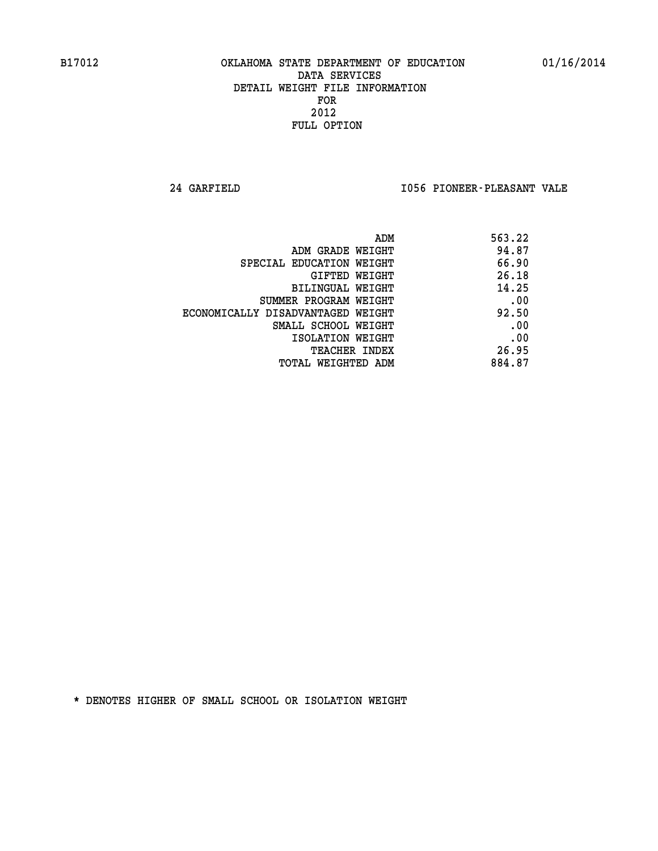**24 GARFIELD I056 PIONEER-PLEASANT VALE** 

| ADM                               | 563.22 |
|-----------------------------------|--------|
| ADM GRADE WEIGHT                  | 94.87  |
| SPECIAL EDUCATION WEIGHT          | 66.90  |
| GIFTED WEIGHT                     | 26.18  |
| BILINGUAL WEIGHT                  | 14.25  |
| SUMMER PROGRAM WEIGHT             | .00    |
| ECONOMICALLY DISADVANTAGED WEIGHT | 92.50  |
| SMALL SCHOOL WEIGHT               | .00    |
| ISOLATION WEIGHT                  | .00    |
| <b>TEACHER INDEX</b>              | 26.95  |
| TOTAL WEIGHTED ADM                | 884.87 |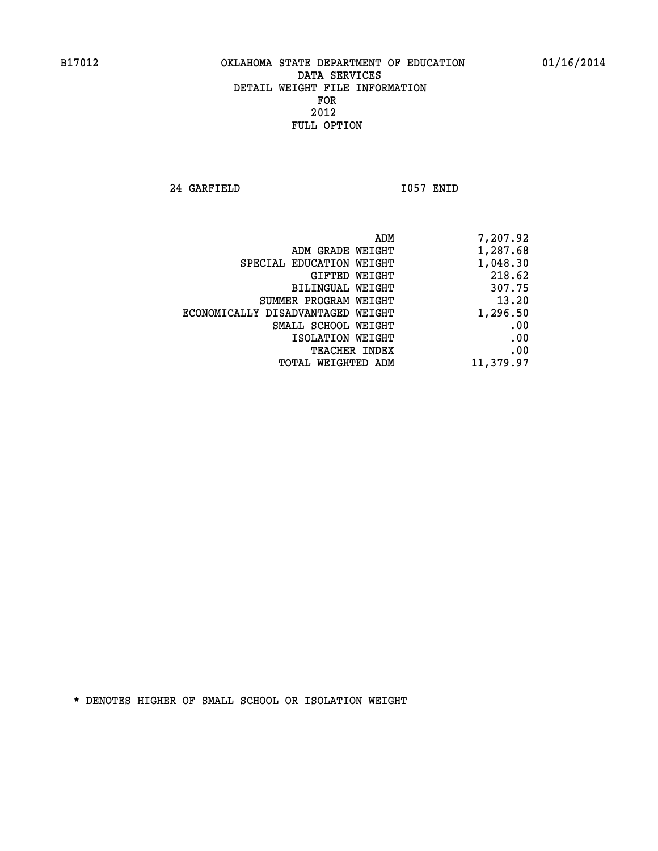**24 GARFIELD I057 ENID** 

| 7,207.92  |
|-----------|
| 1,287.68  |
| 1,048.30  |
| 218.62    |
| 307.75    |
| 13.20     |
| 1,296.50  |
| .00       |
| .00       |
| .00       |
| 11,379.97 |
|           |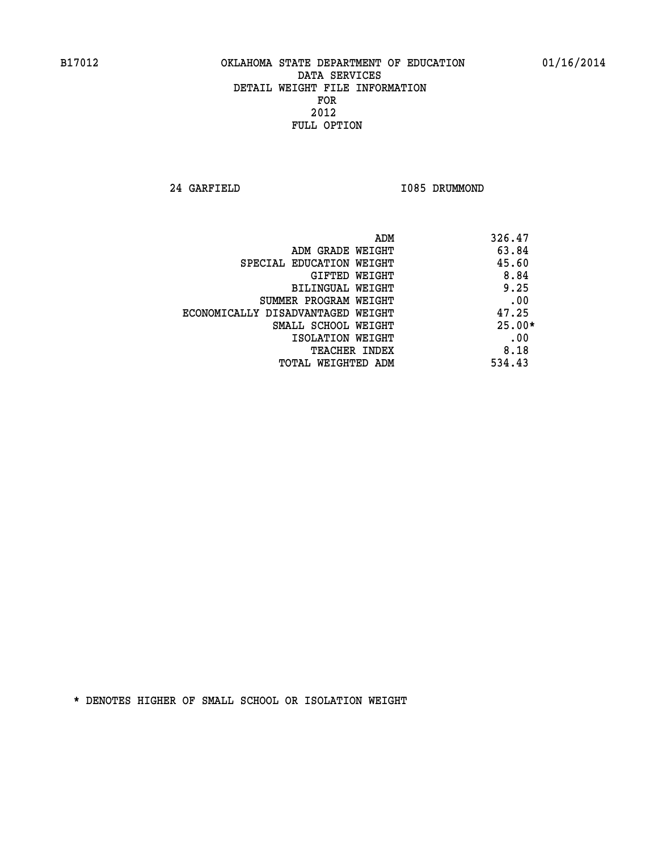**24 GARFIELD I085 DRUMMOND** 

| ADM                               | 326.47   |
|-----------------------------------|----------|
| ADM GRADE WEIGHT                  | 63.84    |
| SPECIAL EDUCATION WEIGHT          | 45.60    |
| <b>GIFTED WEIGHT</b>              | 8.84     |
| BILINGUAL WEIGHT                  | 9.25     |
| SUMMER PROGRAM WEIGHT             | .00      |
| ECONOMICALLY DISADVANTAGED WEIGHT | 47.25    |
| SMALL SCHOOL WEIGHT               | $25.00*$ |
| ISOLATION WEIGHT                  | .00      |
| <b>TEACHER INDEX</b>              | 8.18     |
| TOTAL WEIGHTED ADM                | 534.43   |
|                                   |          |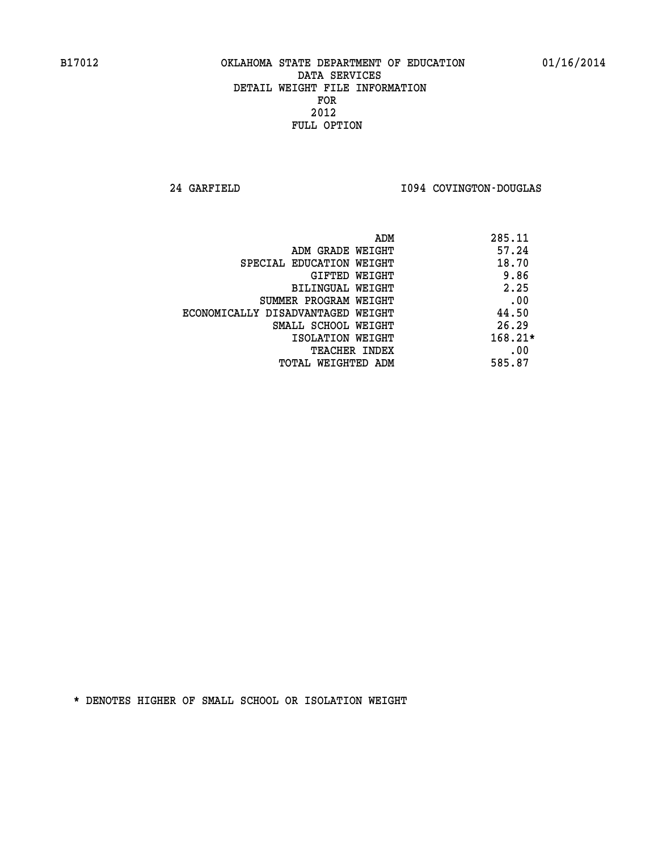**24 GARFIELD I094 COVINGTON-DOUGLAS** 

| 285.11<br>ADM                              |  |
|--------------------------------------------|--|
| 57.24<br>ADM GRADE WEIGHT                  |  |
| 18.70<br>SPECIAL EDUCATION WEIGHT          |  |
| 9.86<br>GIFTED WEIGHT                      |  |
| 2.25<br>BILINGUAL WEIGHT                   |  |
| .00<br>SUMMER PROGRAM WEIGHT               |  |
| 44.50<br>ECONOMICALLY DISADVANTAGED WEIGHT |  |
| 26.29<br>SMALL SCHOOL WEIGHT               |  |
| $168.21*$<br>ISOLATION WEIGHT              |  |
| .00<br><b>TEACHER INDEX</b>                |  |
| 585.87<br>TOTAL WEIGHTED ADM               |  |
|                                            |  |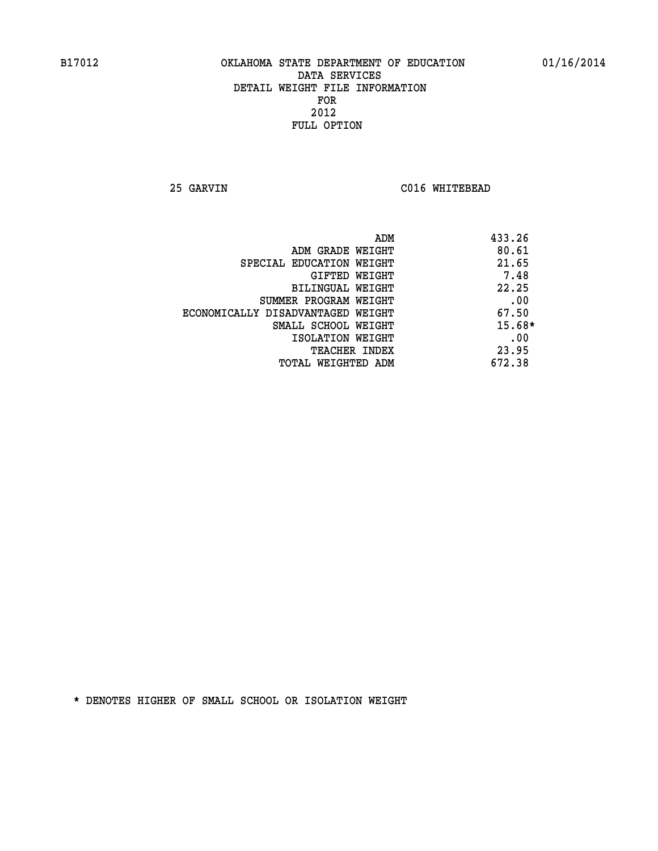**25 GARVIN C016 WHITEBEAD** 

| ADM                               | 433.26   |
|-----------------------------------|----------|
| ADM GRADE WEIGHT                  | 80.61    |
| SPECIAL EDUCATION WEIGHT          | 21.65    |
| GIFTED WEIGHT                     | 7.48     |
| <b>BILINGUAL WEIGHT</b>           | 22.25    |
| SUMMER PROGRAM WEIGHT             | .00      |
| ECONOMICALLY DISADVANTAGED WEIGHT | 67.50    |
| SMALL SCHOOL WEIGHT               | $15.68*$ |
| ISOLATION WEIGHT                  | .00      |
| <b>TEACHER INDEX</b>              | 23.95    |
| TOTAL WEIGHTED ADM                | 672.38   |
|                                   |          |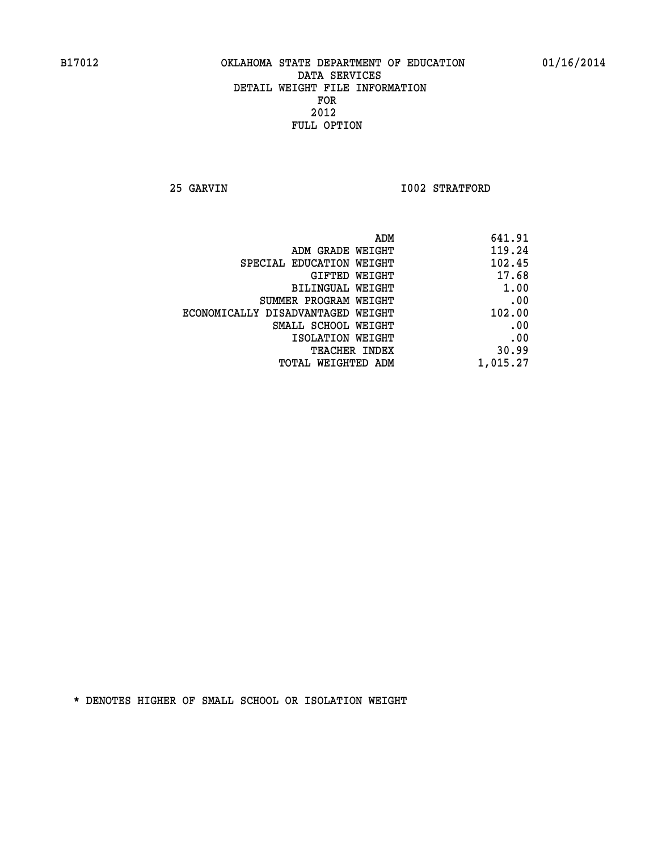**25 GARVIN 1002 STRATFORD** 

| 641.91   |
|----------|
| 119.24   |
| 102.45   |
| 17.68    |
| 1.00     |
| .00      |
| 102.00   |
| .00      |
| .00      |
| 30.99    |
| 1,015.27 |
|          |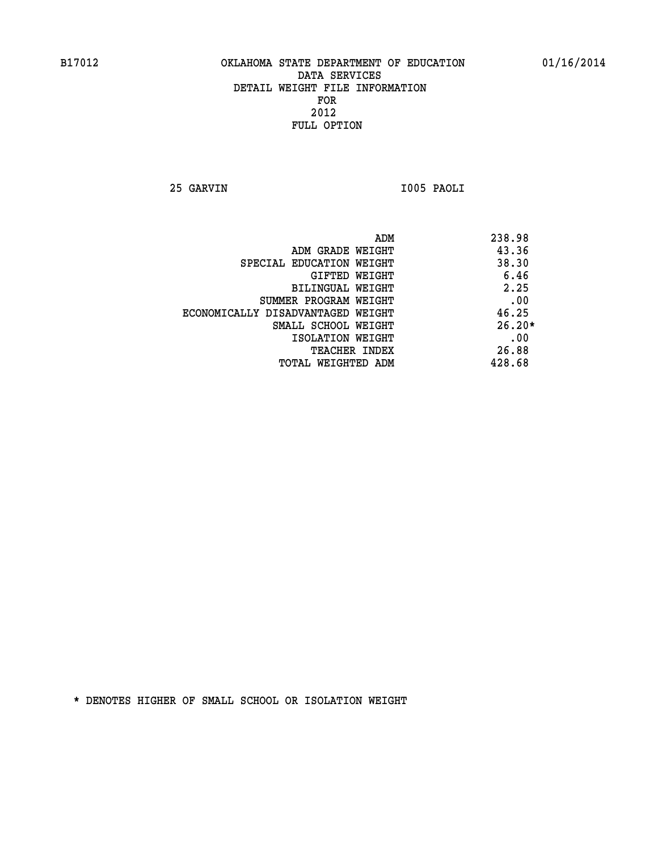**25 GARVIN I005 PAOLI** 

|                                   | ADM | 238.98   |
|-----------------------------------|-----|----------|
| ADM GRADE WEIGHT                  |     | 43.36    |
| SPECIAL EDUCATION WEIGHT          |     | 38.30    |
| GIFTED WEIGHT                     |     | 6.46     |
| BILINGUAL WEIGHT                  |     | 2.25     |
| SUMMER PROGRAM WEIGHT             |     | .00      |
| ECONOMICALLY DISADVANTAGED WEIGHT |     | 46.25    |
| SMALL SCHOOL WEIGHT               |     | $26.20*$ |
| ISOLATION WEIGHT                  |     | .00      |
| <b>TEACHER INDEX</b>              |     | 26.88    |
| TOTAL WEIGHTED ADM                |     | 428.68   |
|                                   |     |          |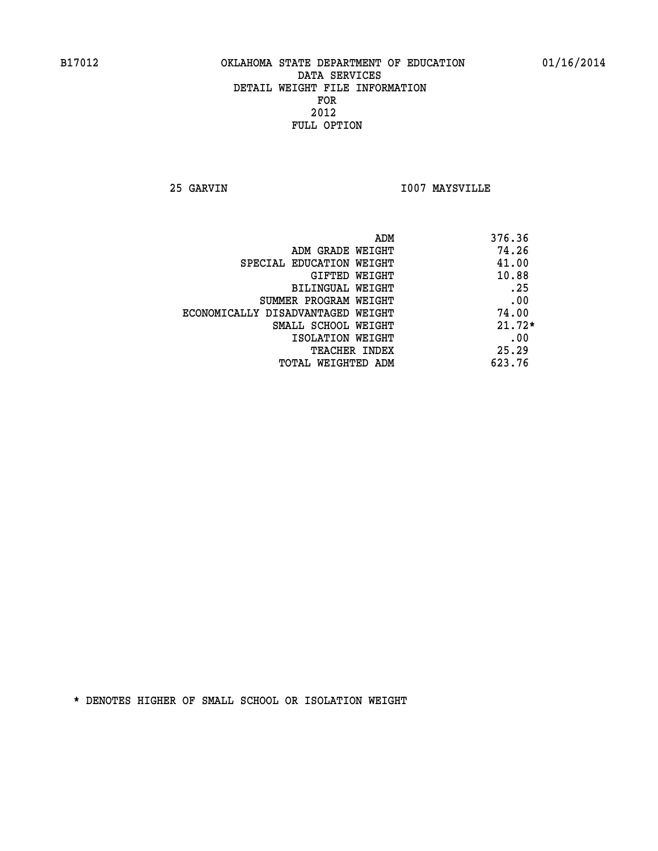**25 GARVIN I007 MAYSVILLE** 

| ADM<br>376.36 |                                   |
|---------------|-----------------------------------|
| 74.26         | ADM GRADE WEIGHT                  |
| 41.00         | SPECIAL EDUCATION WEIGHT          |
| 10.88         | <b>GIFTED WEIGHT</b>              |
| .25           | BILINGUAL WEIGHT                  |
| .00           | SUMMER PROGRAM WEIGHT             |
| 74.00         | ECONOMICALLY DISADVANTAGED WEIGHT |
| $21.72*$      | SMALL SCHOOL WEIGHT               |
| .00           | ISOLATION WEIGHT                  |
| 25.29         | <b>TEACHER INDEX</b>              |
| 623.76        | TOTAL WEIGHTED ADM                |
|               |                                   |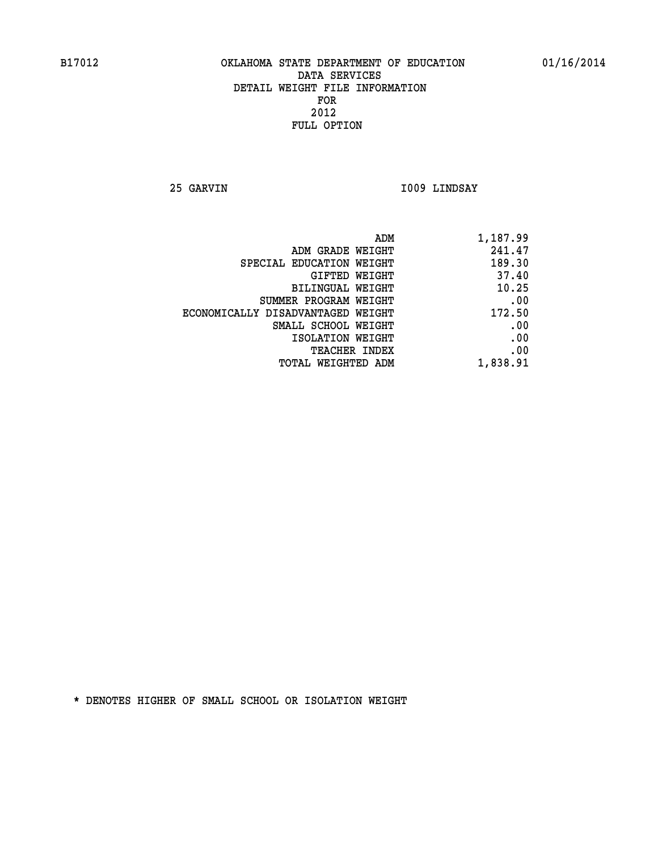**25 GARVIN I009 LINDSAY** 

| ADM<br>1,187.99                             |  |
|---------------------------------------------|--|
| 241.47<br>ADM GRADE WEIGHT                  |  |
| 189.30<br>SPECIAL EDUCATION WEIGHT          |  |
| 37.40<br>GIFTED WEIGHT                      |  |
| 10.25<br>BILINGUAL WEIGHT                   |  |
| .00<br>SUMMER PROGRAM WEIGHT                |  |
| 172.50<br>ECONOMICALLY DISADVANTAGED WEIGHT |  |
| .00<br>SMALL SCHOOL WEIGHT                  |  |
| .00<br>ISOLATION WEIGHT                     |  |
| .00<br><b>TEACHER INDEX</b>                 |  |
| 1,838.91<br><b>TOTAL WEIGHTED ADM</b>       |  |
|                                             |  |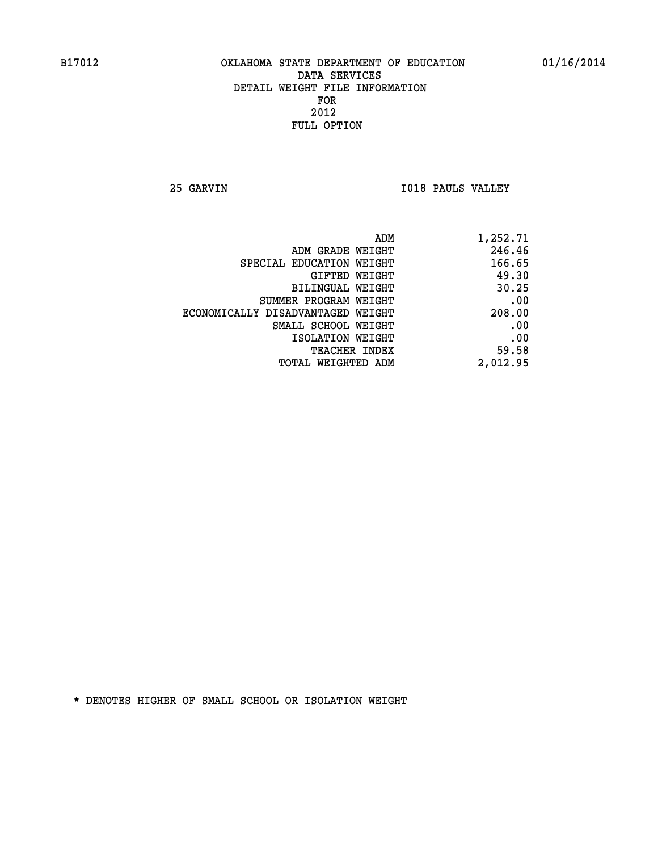**25 GARVIN I018 PAULS VALLEY** 

| ADM                               | 1,252.71 |
|-----------------------------------|----------|
| ADM GRADE WEIGHT                  | 246.46   |
| SPECIAL EDUCATION WEIGHT          | 166.65   |
| <b>GIFTED WEIGHT</b>              | 49.30    |
| BILINGUAL WEIGHT                  | 30.25    |
| SUMMER PROGRAM WEIGHT             | .00      |
| ECONOMICALLY DISADVANTAGED WEIGHT | 208.00   |
| SMALL SCHOOL WEIGHT               | .00      |
| ISOLATION WEIGHT                  | .00      |
| <b>TEACHER INDEX</b>              | 59.58    |
| <b>TOTAL WEIGHTED ADM</b>         | 2,012.95 |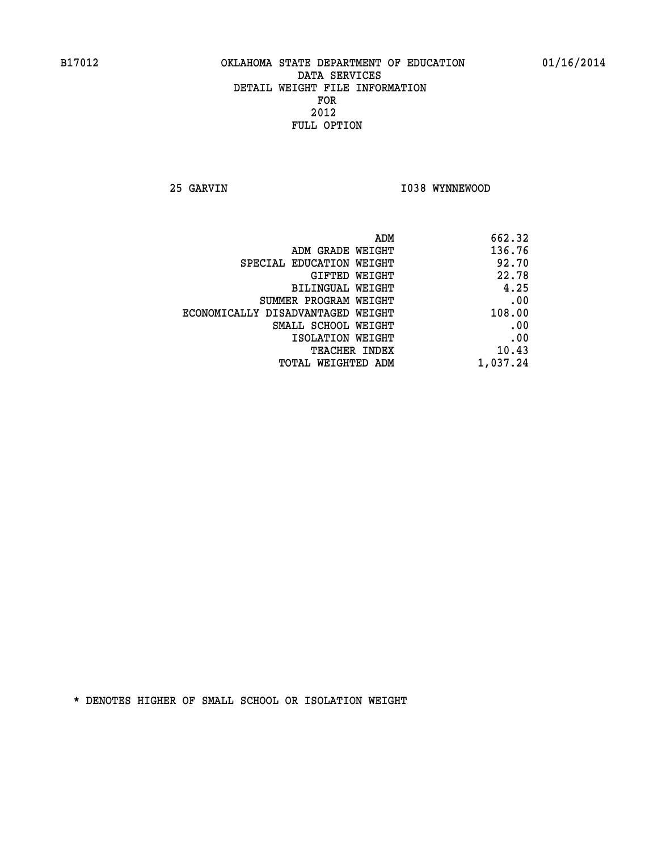**25 GARVIN 1038 WYNNEWOOD** 

| 662.32   |
|----------|
| 136.76   |
| 92.70    |
| 22.78    |
| 4.25     |
| .00      |
| 108.00   |
| .00      |
| .00      |
| 10.43    |
| 1,037.24 |
|          |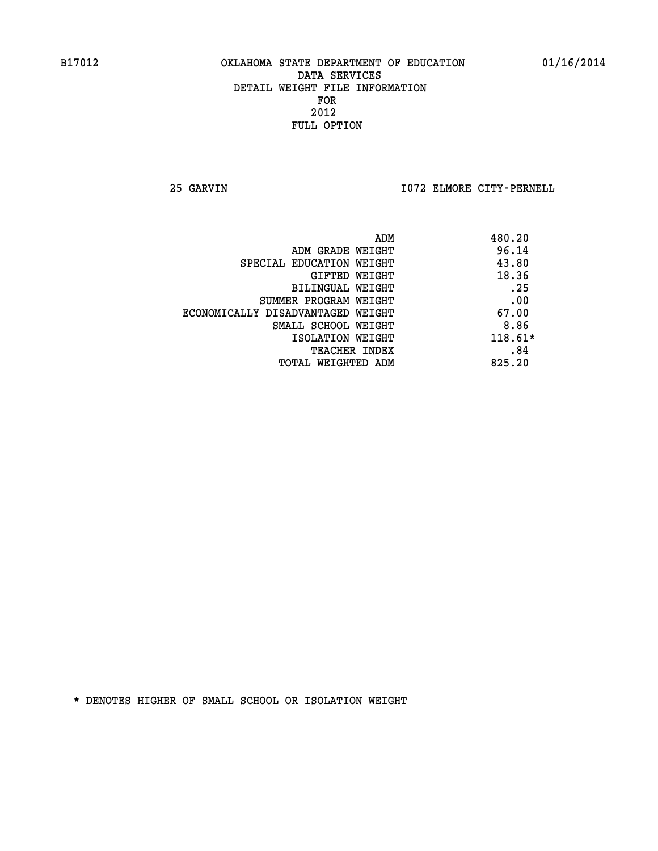**25 GARVIN I072 ELMORE CITY-PERNELL** 

|                                   | ADM | 480.20    |
|-----------------------------------|-----|-----------|
| ADM GRADE WEIGHT                  |     | 96.14     |
| SPECIAL EDUCATION WEIGHT          |     | 43.80     |
| GIFTED WEIGHT                     |     | 18.36     |
| BILINGUAL WEIGHT                  |     | .25       |
| SUMMER PROGRAM WEIGHT             |     | .00       |
| ECONOMICALLY DISADVANTAGED WEIGHT |     | 67.00     |
| SMALL SCHOOL WEIGHT               |     | 8.86      |
| ISOLATION WEIGHT                  |     | $118.61*$ |
| TEACHER INDEX                     |     | .84       |
| TOTAL WEIGHTED ADM                |     | 825.20    |
|                                   |     |           |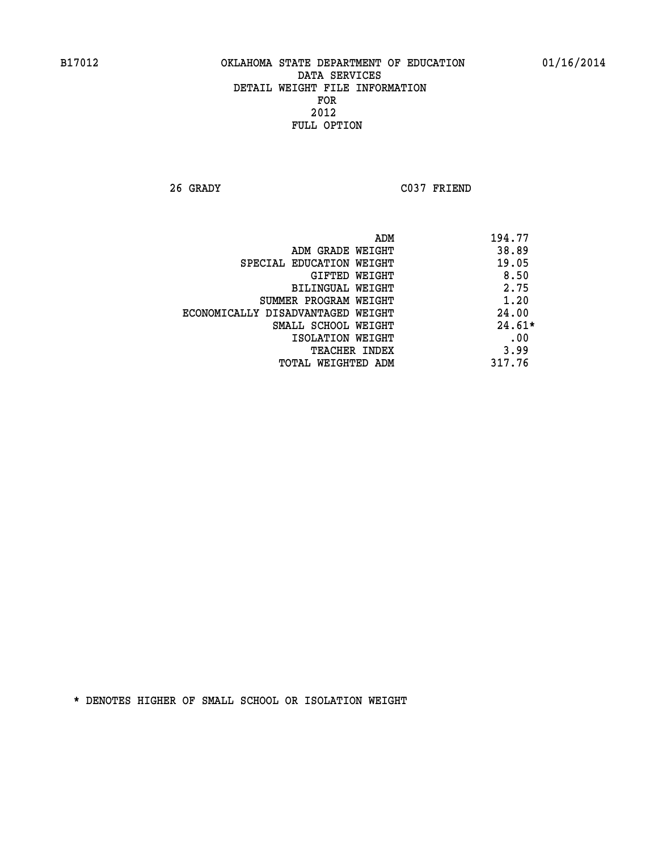**26 GRADY C037 FRIEND** 

|                                   | ADM | 194.77   |
|-----------------------------------|-----|----------|
| ADM GRADE WEIGHT                  |     | 38.89    |
| SPECIAL EDUCATION WEIGHT          |     | 19.05    |
| GIFTED WEIGHT                     |     | 8.50     |
| BILINGUAL WEIGHT                  |     | 2.75     |
| SUMMER PROGRAM WEIGHT             |     | 1.20     |
| ECONOMICALLY DISADVANTAGED WEIGHT |     | 24.00    |
| SMALL SCHOOL WEIGHT               |     | $24.61*$ |
| ISOLATION WEIGHT                  |     | .00      |
| <b>TEACHER INDEX</b>              |     | 3.99     |
| TOTAL WEIGHTED ADM                |     | 317.76   |
|                                   |     |          |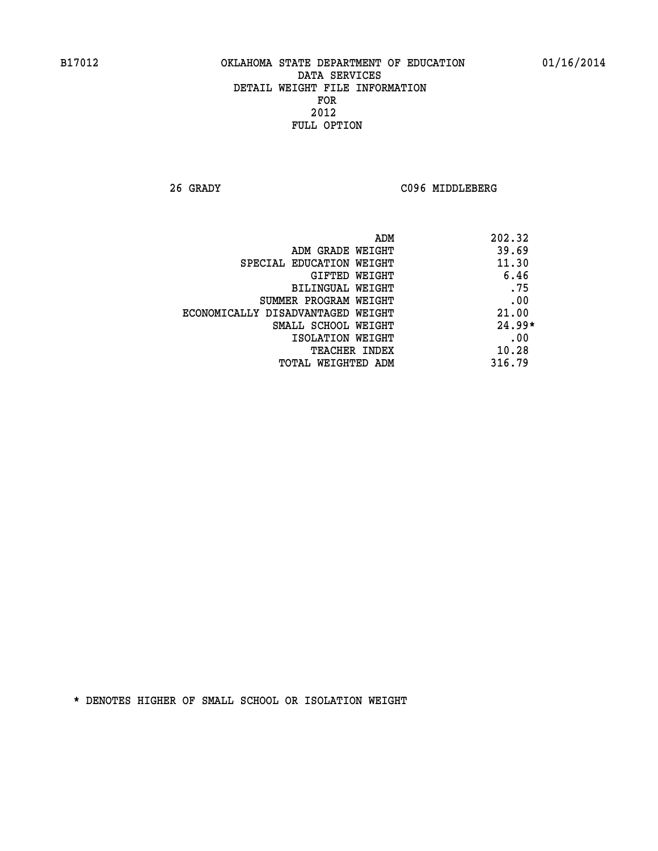**26 GRADY C096 MIDDLEBERG** 

| ADM                               | 202.32   |
|-----------------------------------|----------|
| ADM GRADE WEIGHT                  | 39.69    |
| SPECIAL EDUCATION WEIGHT          | 11.30    |
| GIFTED WEIGHT                     | 6.46     |
| BILINGUAL WEIGHT                  | .75      |
| SUMMER PROGRAM WEIGHT             | .00      |
| ECONOMICALLY DISADVANTAGED WEIGHT | 21.00    |
| SMALL SCHOOL WEIGHT               | $24.99*$ |
| ISOLATION WEIGHT                  | .00      |
| <b>TEACHER INDEX</b>              | 10.28    |
| TOTAL WEIGHTED ADM                | 316.79   |
|                                   |          |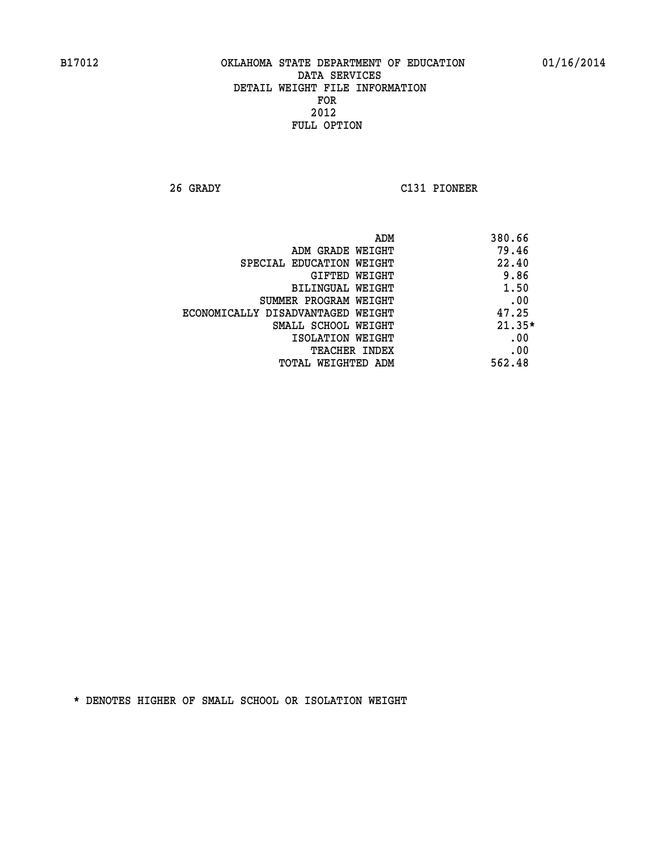**26 GRADY C131 PIONEER** 

| ADM                               | 380.66   |
|-----------------------------------|----------|
| ADM GRADE WEIGHT                  | 79.46    |
| SPECIAL EDUCATION WEIGHT          | 22.40    |
| GIFTED WEIGHT                     | 9.86     |
| BILINGUAL WEIGHT                  | 1.50     |
| SUMMER PROGRAM WEIGHT             | .00      |
| ECONOMICALLY DISADVANTAGED WEIGHT | 47.25    |
| SMALL SCHOOL WEIGHT               | $21.35*$ |
| ISOLATION WEIGHT                  | .00      |
| <b>TEACHER INDEX</b>              | .00      |
| TOTAL WEIGHTED ADM                | 562.48   |
|                                   |          |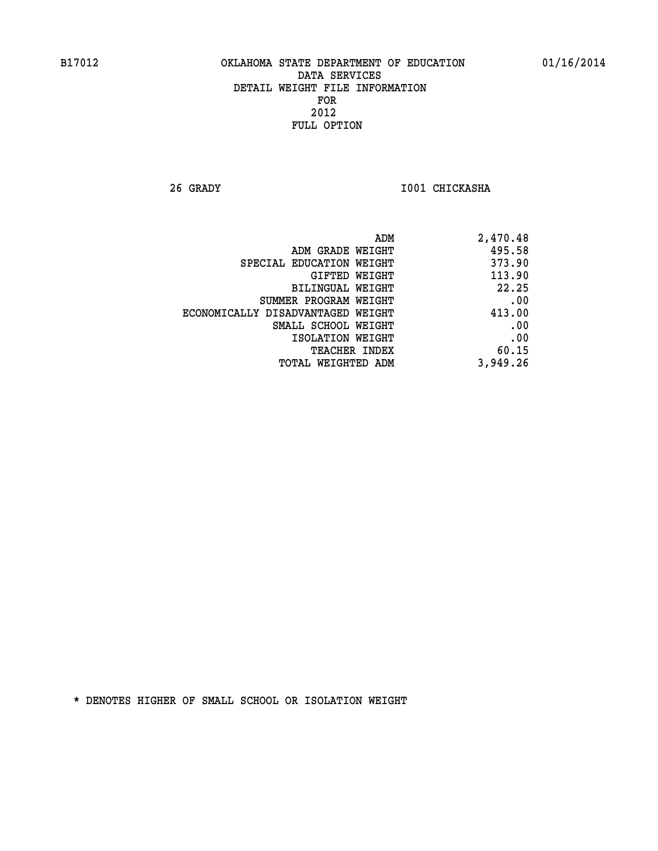**26 GRADY I001 CHICKASHA** 

| 2,470.48 |
|----------|
| 495.58   |
| 373.90   |
| 113.90   |
| 22.25    |
| .00      |
| 413.00   |
| .00      |
| .00      |
| 60.15    |
| 3,949.26 |
|          |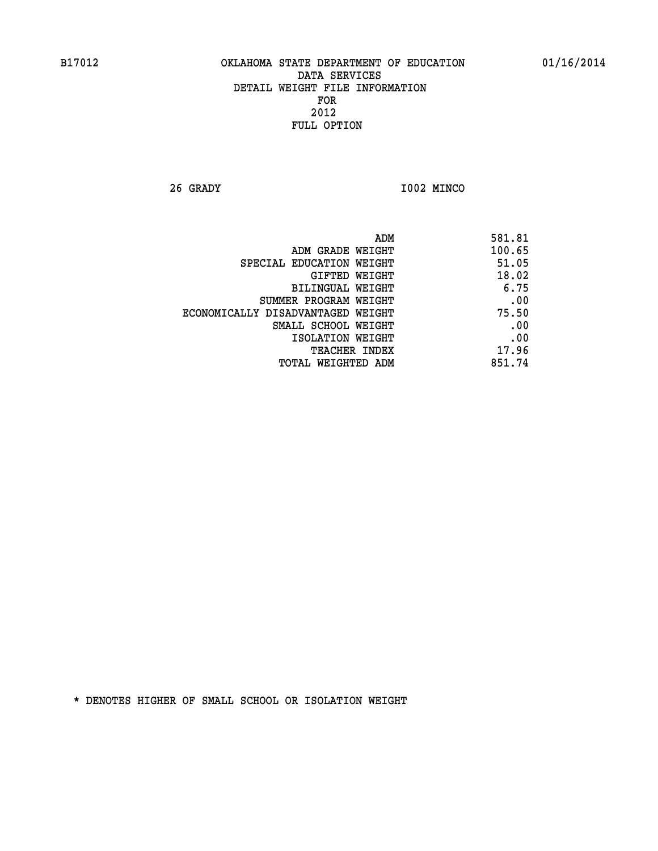**26 GRADY I002 MINCO** 

| 581.81 |
|--------|
| 100.65 |
| 51.05  |
| 18.02  |
| 6.75   |
| .00    |
| 75.50  |
| .00    |
| .00    |
| 17.96  |
| 851.74 |
|        |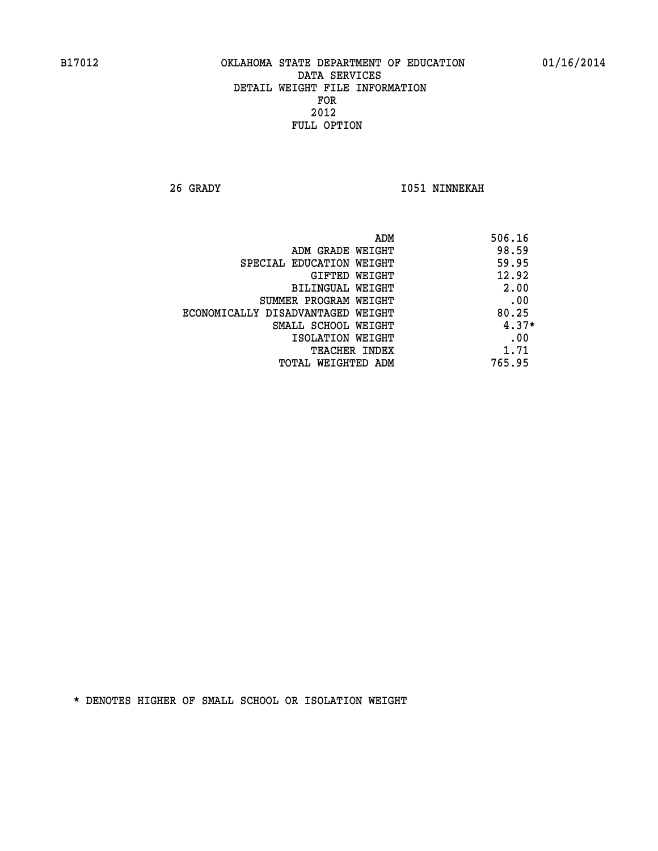**26 GRADY I051 NINNEKAH** 

| ADM                               | 506.16  |
|-----------------------------------|---------|
| ADM GRADE WEIGHT                  | 98.59   |
| SPECIAL EDUCATION WEIGHT          | 59.95   |
| GIFTED WEIGHT                     | 12.92   |
| <b>BILINGUAL WEIGHT</b>           | 2.00    |
| SUMMER PROGRAM WEIGHT             | .00     |
| ECONOMICALLY DISADVANTAGED WEIGHT | 80.25   |
| SMALL SCHOOL WEIGHT               | $4.37*$ |
| ISOLATION WEIGHT                  | .00     |
| <b>TEACHER INDEX</b>              | 1.71    |
| TOTAL WEIGHTED ADM                | 765.95  |
|                                   |         |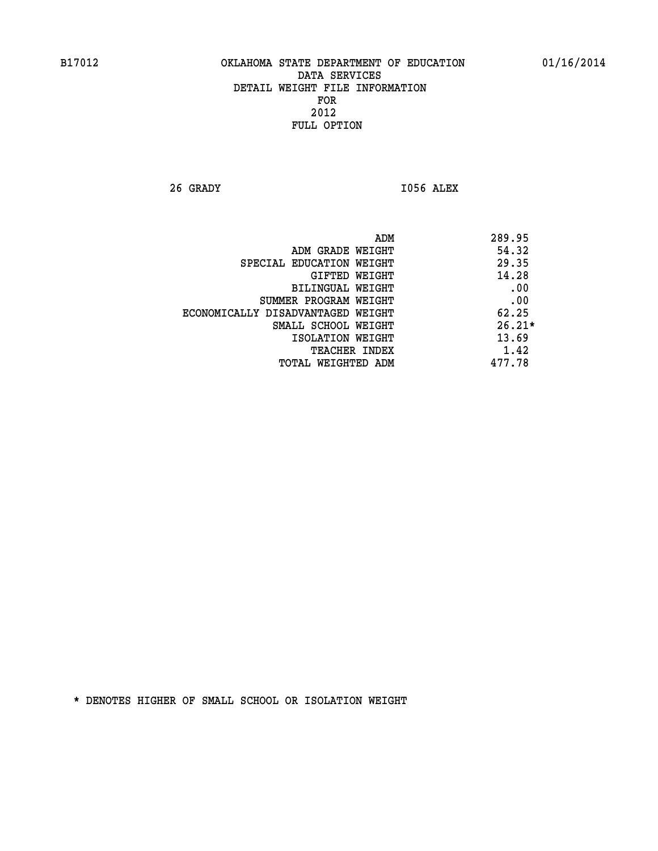**26 GRADY I056 ALEX** 

|                                   | 289.95<br>ADM |
|-----------------------------------|---------------|
| ADM GRADE WEIGHT                  | 54.32         |
| SPECIAL EDUCATION WEIGHT          | 29.35         |
| GIFTED WEIGHT                     | 14.28         |
| BILINGUAL WEIGHT                  | .00           |
| SUMMER PROGRAM WEIGHT             | .00           |
| ECONOMICALLY DISADVANTAGED WEIGHT | 62.25         |
| SMALL SCHOOL WEIGHT               | $26.21*$      |
| ISOLATION WEIGHT                  | 13.69         |
| <b>TEACHER INDEX</b>              | 1.42          |
| TOTAL WEIGHTED ADM                | 477.78        |
|                                   |               |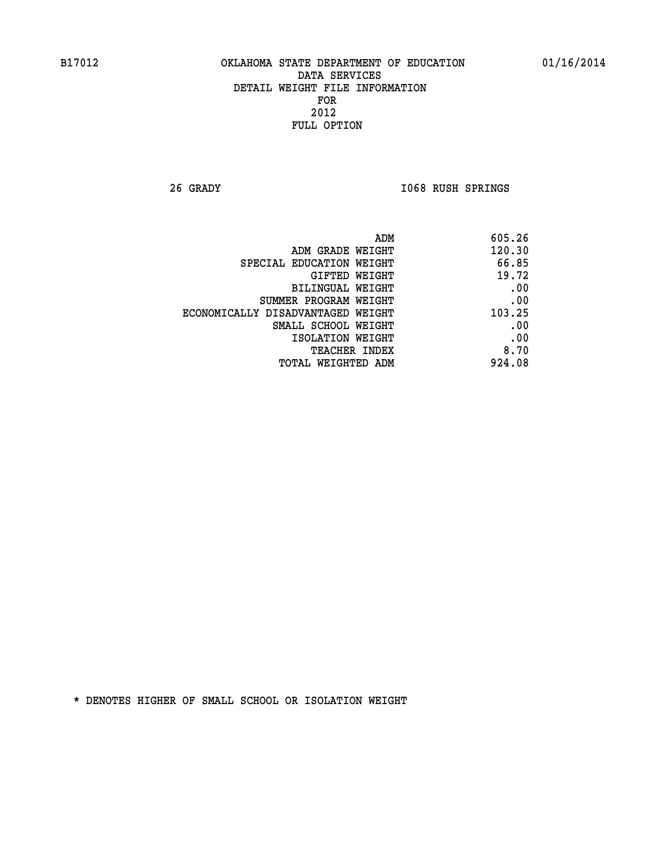**26 GRADY I068 RUSH SPRINGS** 

| 605.26 |
|--------|
| 120.30 |
| 66.85  |
| 19.72  |
| .00    |
| .00    |
| 103.25 |
| .00    |
| .00    |
| 8.70   |
| 924.08 |
|        |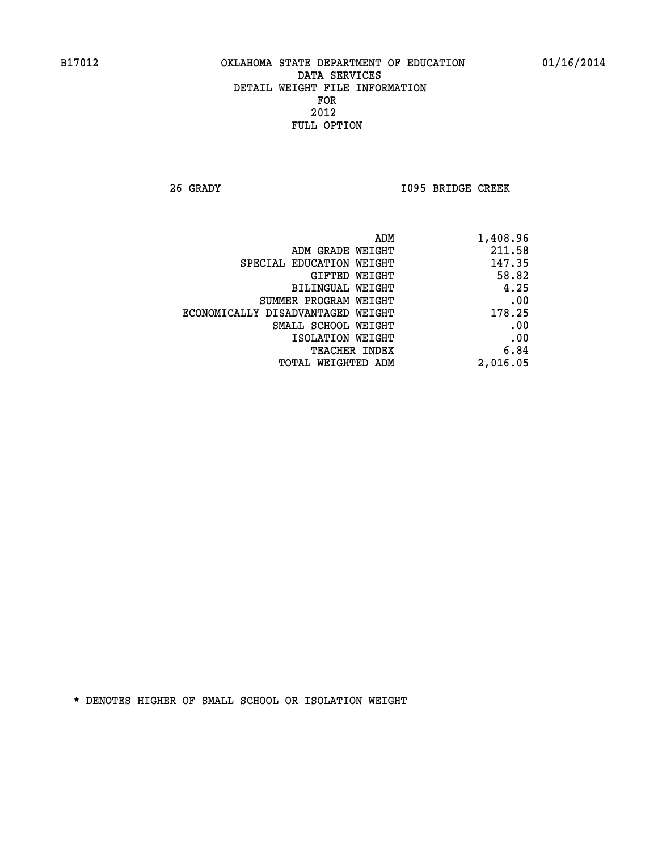**26 GRADY I095 BRIDGE CREEK** 

| 1,408.96 | ADM                               |  |
|----------|-----------------------------------|--|
| 211.58   | ADM GRADE WEIGHT                  |  |
| 147.35   | SPECIAL EDUCATION WEIGHT          |  |
| 58.82    | GIFTED WEIGHT                     |  |
| 4.25     | BILINGUAL WEIGHT                  |  |
| .00      | SUMMER PROGRAM WEIGHT             |  |
| 178.25   | ECONOMICALLY DISADVANTAGED WEIGHT |  |
| .00      | SMALL SCHOOL WEIGHT               |  |
| .00      | ISOLATION WEIGHT                  |  |
| 6.84     | <b>TEACHER INDEX</b>              |  |
| 2,016.05 | <b>TOTAL WEIGHTED ADM</b>         |  |
|          |                                   |  |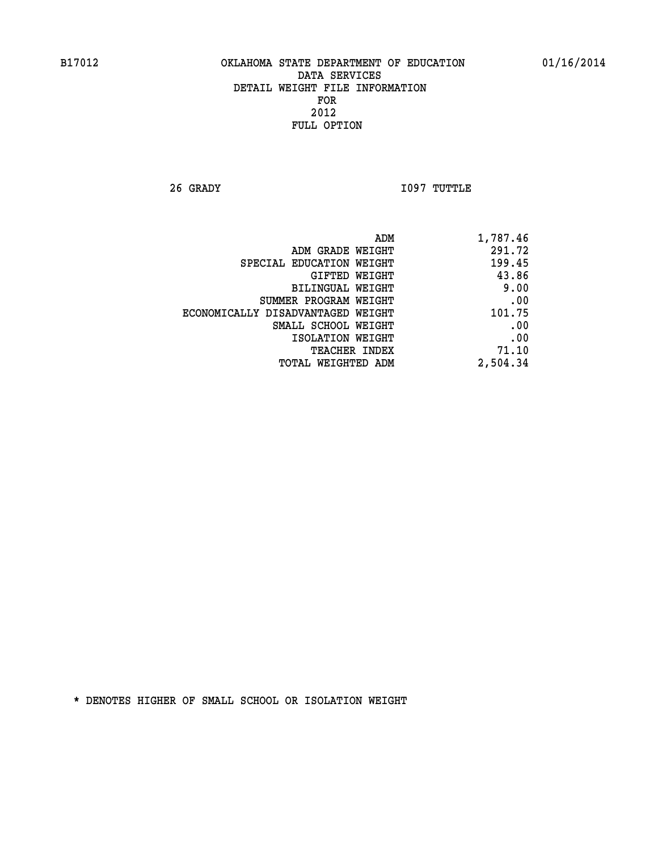**26 GRADY I097 TUTTLE** 

| 1,787.46 |
|----------|
| 291.72   |
| 199.45   |
| 43.86    |
| 9.00     |
| .00      |
| 101.75   |
| .00      |
| .00      |
| 71.10    |
| 2,504.34 |
|          |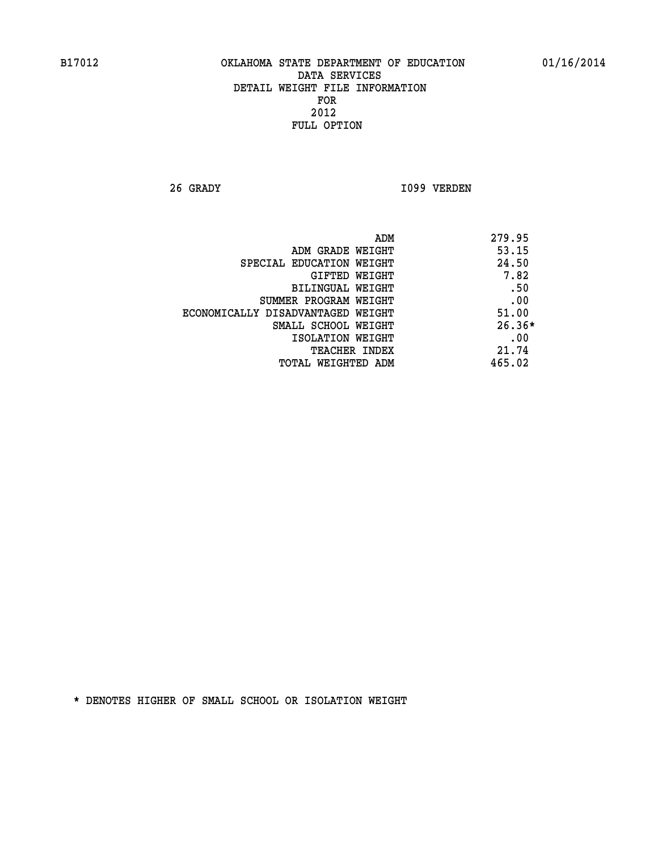**26 GRADY I099 VERDEN** 

| ADM                               | 279.95   |
|-----------------------------------|----------|
| ADM GRADE WEIGHT                  | 53.15    |
| SPECIAL EDUCATION WEIGHT          | 24.50    |
| <b>GIFTED WEIGHT</b>              | 7.82     |
| BILINGUAL WEIGHT                  | .50      |
| SUMMER PROGRAM WEIGHT             | .00      |
| ECONOMICALLY DISADVANTAGED WEIGHT | 51.00    |
| SMALL SCHOOL WEIGHT               | $26.36*$ |
| ISOLATION WEIGHT                  | .00      |
| <b>TEACHER INDEX</b>              | 21.74    |
| TOTAL WEIGHTED ADM                | 465.02   |
|                                   |          |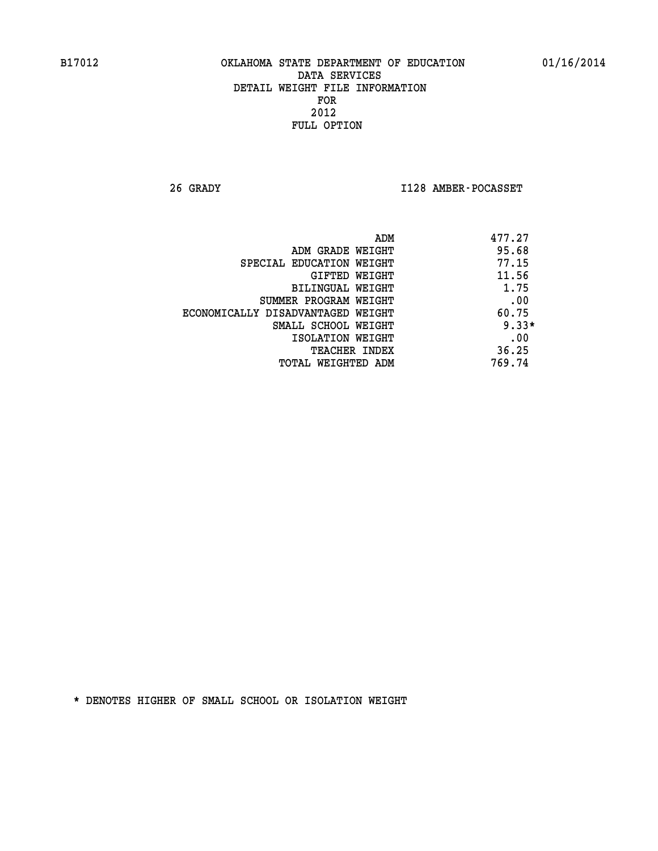**26 GRADY I128 AMBER-POCASSET** 

| ADM                               | 477.27  |
|-----------------------------------|---------|
| ADM GRADE WEIGHT                  | 95.68   |
| SPECIAL EDUCATION WEIGHT          | 77.15   |
| GIFTED WEIGHT                     | 11.56   |
| BILINGUAL WEIGHT                  | 1.75    |
| SUMMER PROGRAM WEIGHT             | .00     |
| ECONOMICALLY DISADVANTAGED WEIGHT | 60.75   |
| SMALL SCHOOL WEIGHT               | $9.33*$ |
| ISOLATION WEIGHT                  | .00     |
| <b>TEACHER INDEX</b>              | 36.25   |
| TOTAL WEIGHTED ADM                | 769.74  |
|                                   |         |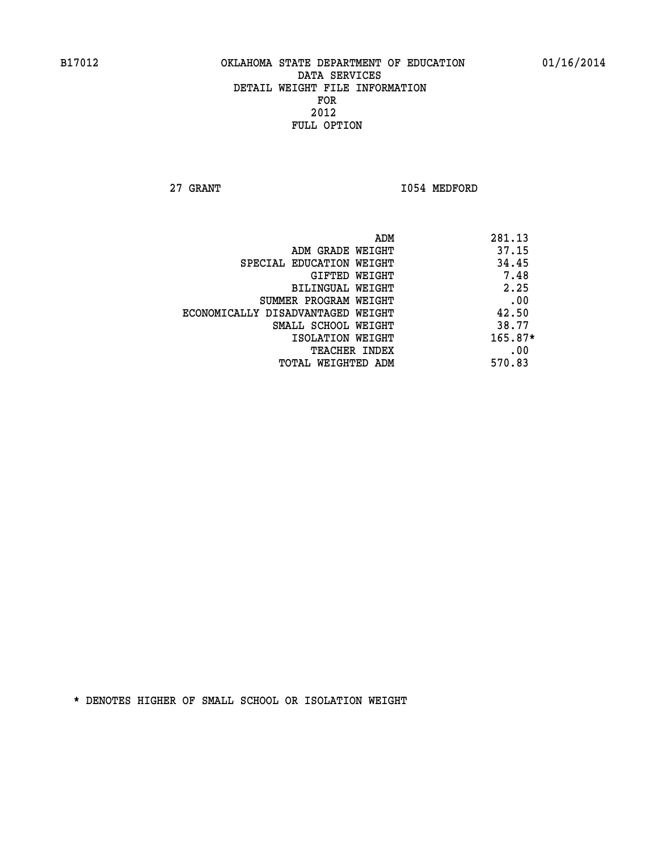**27 GRANT 1054 MEDFORD** 

|                                   | ADM<br>281.13 |      |
|-----------------------------------|---------------|------|
| ADM GRADE WEIGHT                  | 37.15         |      |
| SPECIAL EDUCATION WEIGHT          | 34.45         |      |
| GIFTED WEIGHT                     |               | 7.48 |
| BILINGUAL WEIGHT                  |               | 2.25 |
| SUMMER PROGRAM WEIGHT             |               | .00  |
| ECONOMICALLY DISADVANTAGED WEIGHT | 42.50         |      |
| SMALL SCHOOL WEIGHT               | 38.77         |      |
| ISOLATION WEIGHT                  | $165.87*$     |      |
| TEACHER INDEX                     |               | .00  |
| TOTAL WEIGHTED ADM                | 570.83        |      |
|                                   |               |      |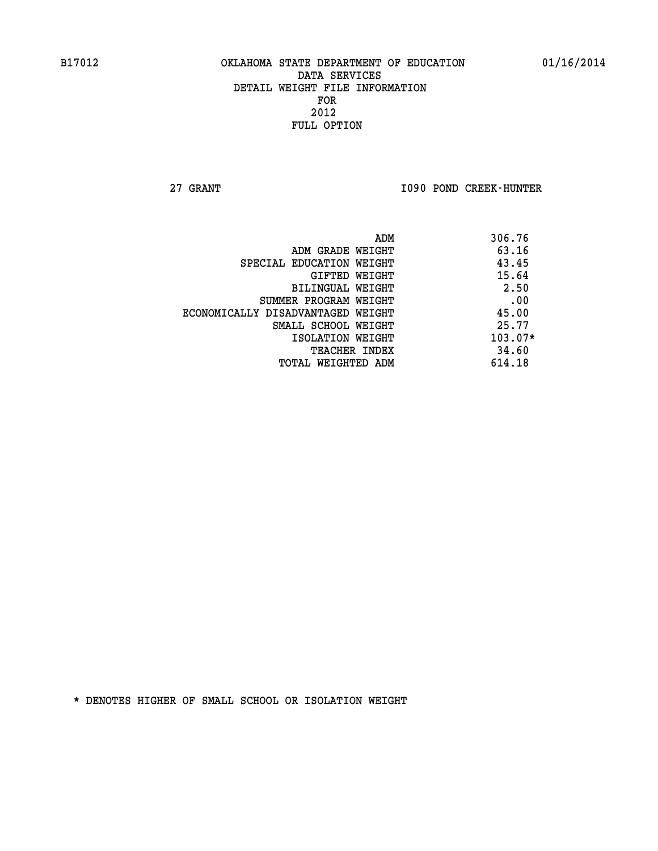**27 GRANT I090 POND CREEK-HUNTER** 

| ADM                               | 306.76    |
|-----------------------------------|-----------|
| ADM GRADE WEIGHT                  | 63.16     |
| SPECIAL EDUCATION WEIGHT          | 43.45     |
| GIFTED WEIGHT                     | 15.64     |
| <b>BILINGUAL WEIGHT</b>           | 2.50      |
| SUMMER PROGRAM WEIGHT             | .00       |
| ECONOMICALLY DISADVANTAGED WEIGHT | 45.00     |
| SMALL SCHOOL WEIGHT               | 25.77     |
| ISOLATION WEIGHT                  | $103.07*$ |
| <b>TEACHER INDEX</b>              | 34.60     |
| TOTAL WEIGHTED ADM                | 614.18    |
|                                   |           |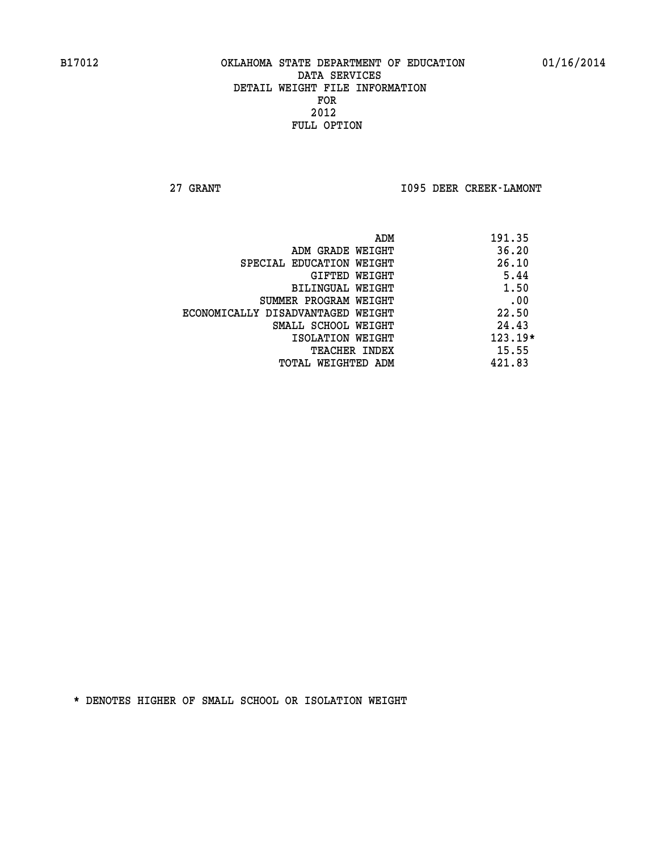**27 GRANT I095 DEER CREEK-LAMONT** 

| ADM                               | 191.35    |
|-----------------------------------|-----------|
| ADM GRADE WEIGHT                  | 36.20     |
| SPECIAL EDUCATION WEIGHT          | 26.10     |
| GIFTED WEIGHT                     | 5.44      |
| <b>BILINGUAL WEIGHT</b>           | 1.50      |
| SUMMER PROGRAM WEIGHT             | .00       |
| ECONOMICALLY DISADVANTAGED WEIGHT | 22.50     |
| SMALL SCHOOL WEIGHT               | 24.43     |
| ISOLATION WEIGHT                  | $123.19*$ |
| <b>TEACHER INDEX</b>              | 15.55     |
| TOTAL WEIGHTED ADM                | 421.83    |
|                                   |           |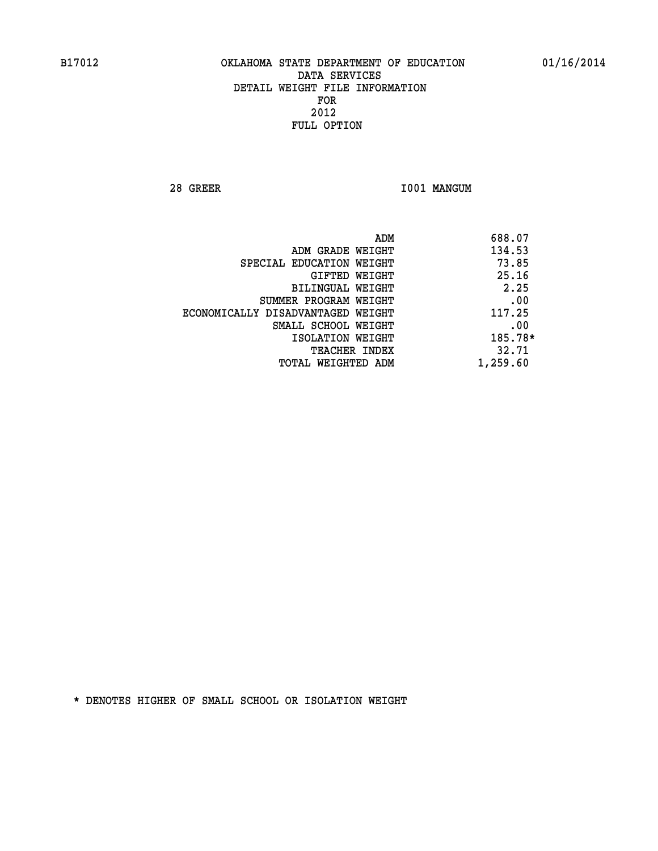**28 GREER I001 MANGUM** 

| 688.07<br>ADM                               |  |
|---------------------------------------------|--|
| 134.53<br>ADM GRADE WEIGHT                  |  |
| 73.85<br>SPECIAL EDUCATION WEIGHT           |  |
| 25.16<br>GIFTED WEIGHT                      |  |
| 2.25<br>BILINGUAL WEIGHT                    |  |
| .00<br>SUMMER PROGRAM WEIGHT                |  |
| 117.25<br>ECONOMICALLY DISADVANTAGED WEIGHT |  |
| .00<br>SMALL SCHOOL WEIGHT                  |  |
| 185.78*<br>ISOLATION WEIGHT                 |  |
| 32.71<br><b>TEACHER INDEX</b>               |  |
| 1,259.60<br>TOTAL WEIGHTED ADM              |  |
|                                             |  |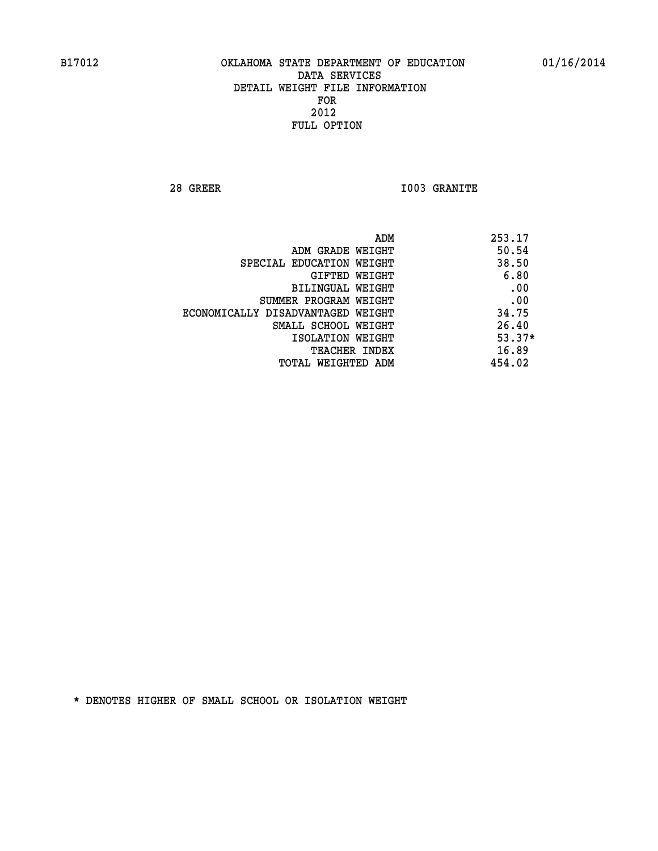**28 GREER I003 GRANITE** 

|                                   | ADM | 253.17   |
|-----------------------------------|-----|----------|
| ADM GRADE WEIGHT                  |     | 50.54    |
| SPECIAL EDUCATION WEIGHT          |     | 38.50    |
| GIFTED WEIGHT                     |     | 6.80     |
| BILINGUAL WEIGHT                  |     | .00      |
| SUMMER PROGRAM WEIGHT             |     | .00      |
| ECONOMICALLY DISADVANTAGED WEIGHT |     | 34.75    |
| SMALL SCHOOL WEIGHT               |     | 26.40    |
| ISOLATION WEIGHT                  |     | $53.37*$ |
| <b>TEACHER INDEX</b>              |     | 16.89    |
| TOTAL WEIGHTED ADM                |     | 454.02   |
|                                   |     |          |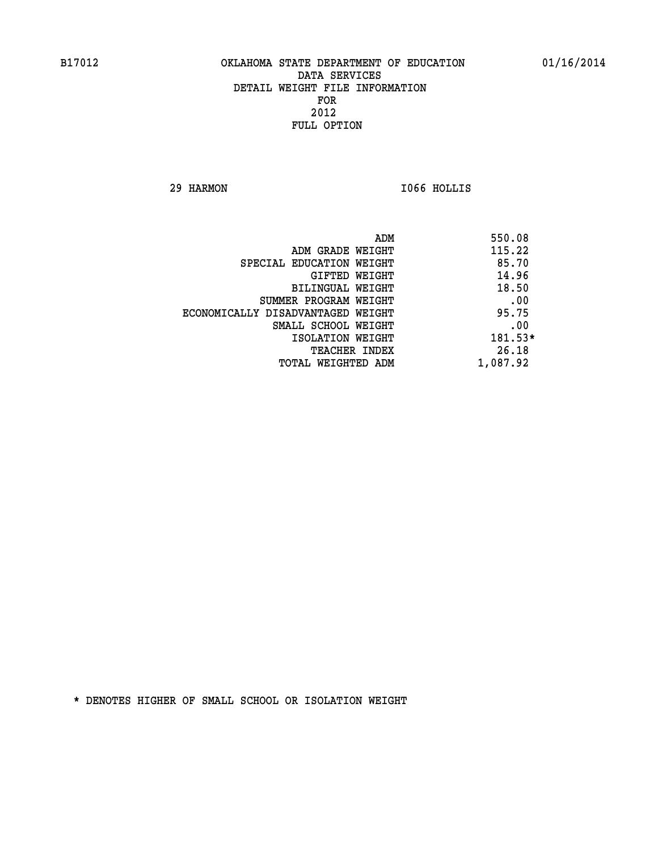**29 HARMON I066 HOLLIS** 

| ADM                               | 550.08   |
|-----------------------------------|----------|
| ADM GRADE WEIGHT                  | 115.22   |
| SPECIAL EDUCATION WEIGHT          | 85.70    |
| GIFTED WEIGHT                     | 14.96    |
| BILINGUAL WEIGHT                  | 18.50    |
| SUMMER PROGRAM WEIGHT             | .00      |
| ECONOMICALLY DISADVANTAGED WEIGHT | 95.75    |
| SMALL SCHOOL WEIGHT               | .00      |
| ISOLATION WEIGHT                  | 181.53*  |
| <b>TEACHER INDEX</b>              | 26.18    |
| TOTAL WEIGHTED ADM                | 1,087.92 |
|                                   |          |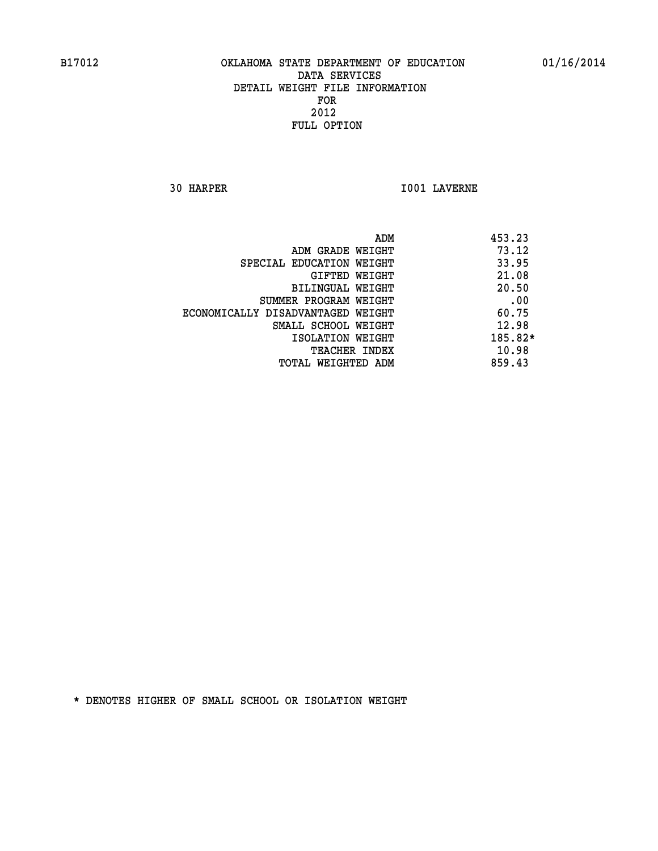**30 HARPER I001 LAVERNE** 

|                                   | ADM | 453.23  |
|-----------------------------------|-----|---------|
| ADM GRADE WEIGHT                  |     | 73.12   |
| SPECIAL EDUCATION WEIGHT          |     | 33.95   |
| GIFTED WEIGHT                     |     | 21.08   |
| BILINGUAL WEIGHT                  |     | 20.50   |
| SUMMER PROGRAM WEIGHT             |     | .00     |
| ECONOMICALLY DISADVANTAGED WEIGHT |     | 60.75   |
| SMALL SCHOOL WEIGHT               |     | 12.98   |
| ISOLATION WEIGHT                  |     | 185.82* |
| TEACHER INDEX                     |     | 10.98   |
| TOTAL WEIGHTED ADM                |     | 859.43  |
|                                   |     |         |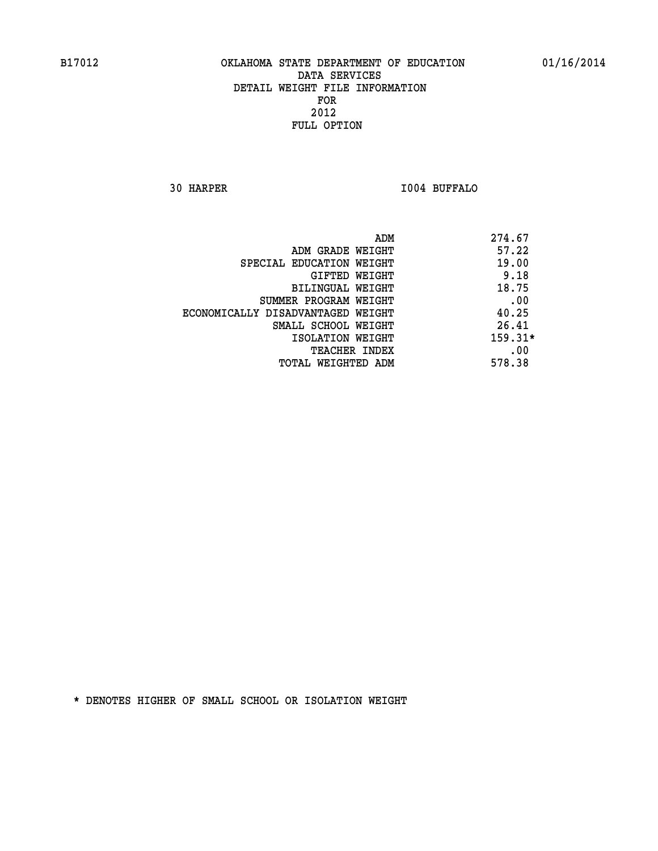**30 HARPER I004 BUFFALO** 

| 274.67<br>ADM                              |  |
|--------------------------------------------|--|
| 57.22<br>ADM GRADE WEIGHT                  |  |
| 19.00<br>SPECIAL EDUCATION WEIGHT          |  |
| 9.18<br>GIFTED WEIGHT                      |  |
| 18.75<br>BILINGUAL WEIGHT                  |  |
| .00<br>SUMMER PROGRAM WEIGHT               |  |
| 40.25<br>ECONOMICALLY DISADVANTAGED WEIGHT |  |
| 26.41<br>SMALL SCHOOL WEIGHT               |  |
| $159.31*$<br>ISOLATION WEIGHT              |  |
| .00<br><b>TEACHER INDEX</b>                |  |
| 578.38<br>TOTAL WEIGHTED ADM               |  |
|                                            |  |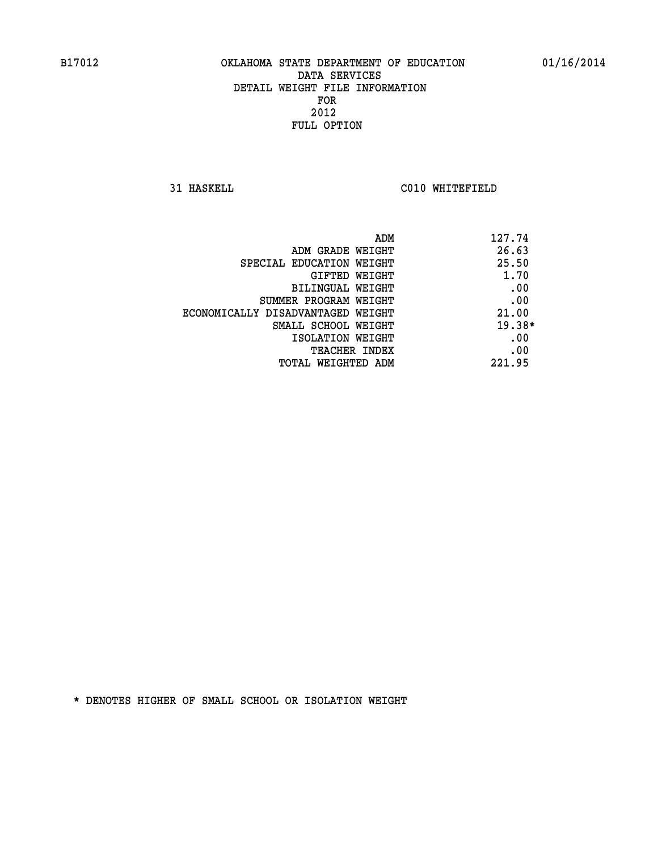**31 HASKELL C010 WHITEFIELD** 

| ADM                               | 127.74   |
|-----------------------------------|----------|
| ADM GRADE WEIGHT                  | 26.63    |
| SPECIAL EDUCATION WEIGHT          | 25.50    |
| GIFTED WEIGHT                     | 1.70     |
| BILINGUAL WEIGHT                  | .00      |
| SUMMER PROGRAM WEIGHT             | .00      |
| ECONOMICALLY DISADVANTAGED WEIGHT | 21.00    |
| SMALL SCHOOL WEIGHT               | $19.38*$ |
| ISOLATION WEIGHT                  | .00      |
| <b>TEACHER INDEX</b>              | .00      |
| TOTAL WEIGHTED ADM                | 221.95   |
|                                   |          |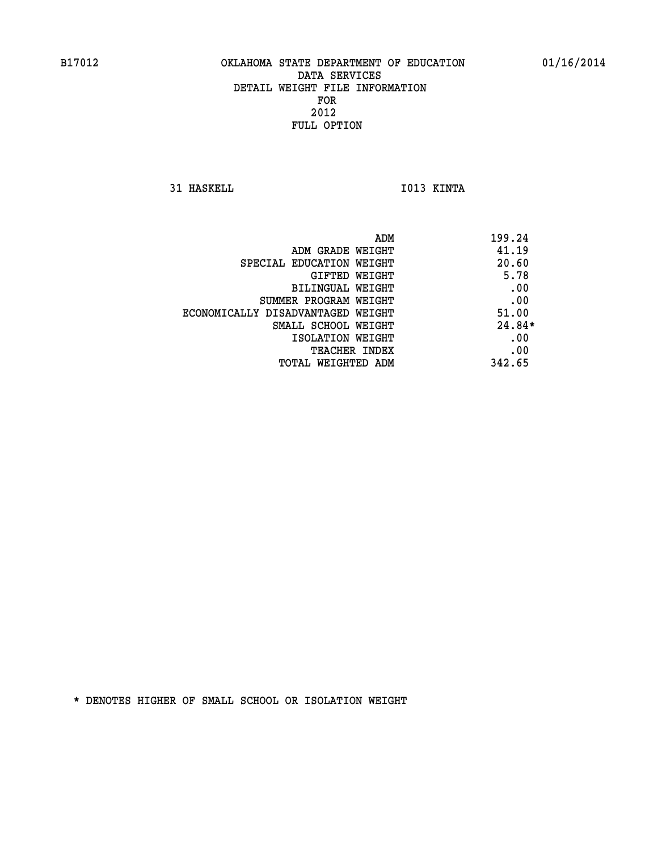**31 HASKELL IO13 KINTA** 

| ADM                               | 199.24   |
|-----------------------------------|----------|
| ADM GRADE WEIGHT                  | 41.19    |
| SPECIAL EDUCATION WEIGHT          | 20.60    |
| GIFTED WEIGHT                     | 5.78     |
| BILINGUAL WEIGHT                  | .00      |
| SUMMER PROGRAM WEIGHT             | .00      |
| ECONOMICALLY DISADVANTAGED WEIGHT | 51.00    |
| SMALL SCHOOL WEIGHT               | $24.84*$ |
| ISOLATION WEIGHT                  | .00      |
| <b>TEACHER INDEX</b>              | .00      |
| TOTAL WEIGHTED ADM                | 342.65   |
|                                   |          |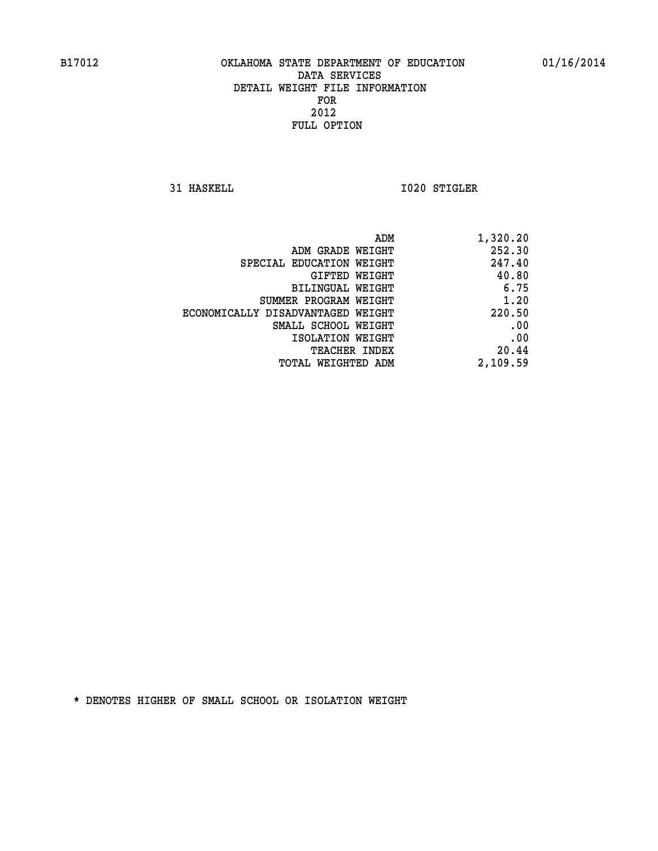**31 HASKELL 1020 STIGLER** 

| ADM GRADE WEIGHT<br>247.40<br>SPECIAL EDUCATION WEIGHT<br>40.80<br>GIFTED WEIGHT<br><b>BILINGUAL WEIGHT</b><br>1.20<br>SUMMER PROGRAM WEIGHT<br>ECONOMICALLY DISADVANTAGED WEIGHT<br>.00<br>SMALL SCHOOL WEIGHT<br>.00<br>ISOLATION WEIGHT<br>20.44<br>TEACHER INDEX<br>TOTAL WEIGHTED ADM | ADM | 1,320.20 |
|--------------------------------------------------------------------------------------------------------------------------------------------------------------------------------------------------------------------------------------------------------------------------------------------|-----|----------|
|                                                                                                                                                                                                                                                                                            |     | 252.30   |
|                                                                                                                                                                                                                                                                                            |     |          |
|                                                                                                                                                                                                                                                                                            |     |          |
|                                                                                                                                                                                                                                                                                            |     | 6.75     |
|                                                                                                                                                                                                                                                                                            |     |          |
|                                                                                                                                                                                                                                                                                            |     | 220.50   |
|                                                                                                                                                                                                                                                                                            |     |          |
|                                                                                                                                                                                                                                                                                            |     |          |
|                                                                                                                                                                                                                                                                                            |     |          |
|                                                                                                                                                                                                                                                                                            |     | 2,109.59 |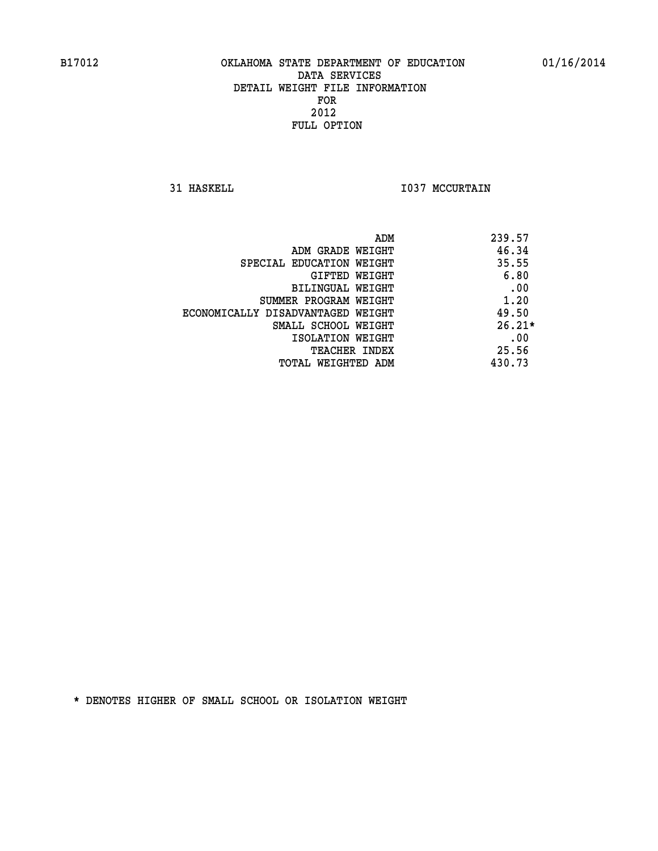**31 HASKELL 1037 MCCURTAIN** 

| ADM                               | 239.57   |
|-----------------------------------|----------|
| ADM GRADE WEIGHT                  | 46.34    |
| SPECIAL EDUCATION WEIGHT          | 35.55    |
| GIFTED WEIGHT                     | 6.80     |
| BILINGUAL WEIGHT                  | .00      |
| SUMMER PROGRAM WEIGHT             | 1.20     |
| ECONOMICALLY DISADVANTAGED WEIGHT | 49.50    |
| SMALL SCHOOL WEIGHT               | $26.21*$ |
| ISOLATION WEIGHT                  | .00      |
| TEACHER INDEX                     | 25.56    |
| TOTAL WEIGHTED ADM                | 430.73   |
|                                   |          |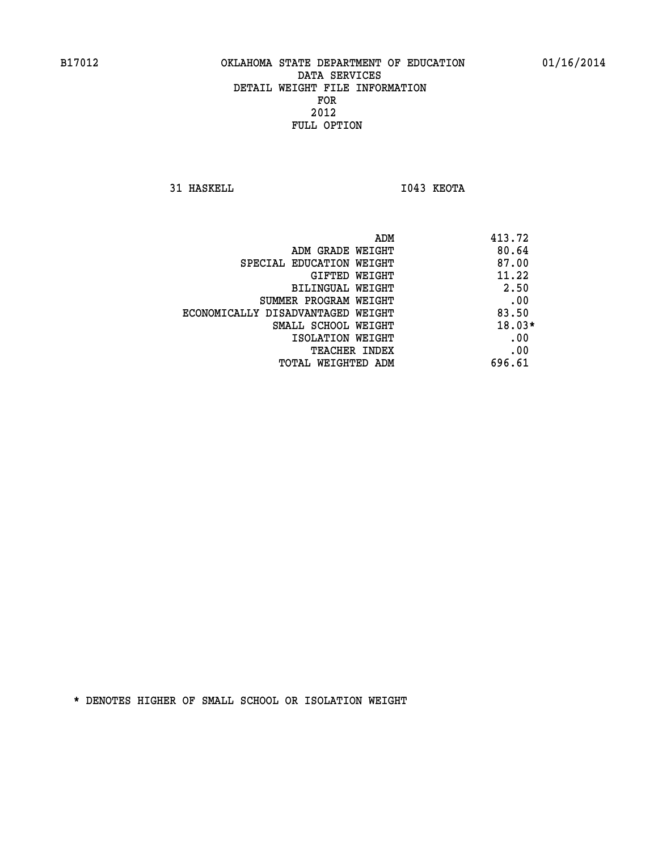**31 HASKELL I043 KEOTA** 

|                                   | 413.72<br>ADM |
|-----------------------------------|---------------|
| ADM GRADE WEIGHT                  | 80.64         |
| SPECIAL EDUCATION WEIGHT          | 87.00         |
| GIFTED WEIGHT                     | 11.22         |
| BILINGUAL WEIGHT                  | 2.50          |
| SUMMER PROGRAM WEIGHT             | .00           |
| ECONOMICALLY DISADVANTAGED WEIGHT | 83.50         |
| SMALL SCHOOL WEIGHT               | $18.03*$      |
| ISOLATION WEIGHT                  | .00           |
| <b>TEACHER INDEX</b>              | .00           |
| TOTAL WEIGHTED ADM                | 696.61        |
|                                   |               |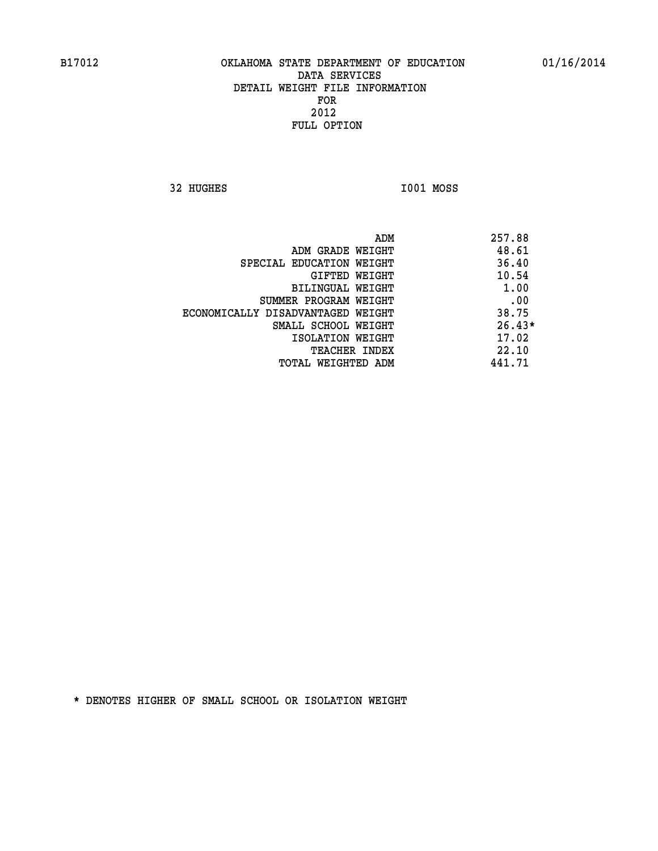**32 HUGHES I001 MOSS** 

 **ADM 257.88 ADM GRADE WEIGHT 48.61 SPECIAL EDUCATION WEIGHT 36.40 GIFTED WEIGHT 40.54 BILINGUAL WEIGHT 1.00 SUMMER PROGRAM WEIGHT .00 ECONOMICALLY DISADVANTAGED WEIGHT 38.75 SMALL SCHOOL WEIGHT** 26.43\* **17.02** ISOLATION WEIGHT **TEACHER INDEX** 22.10  **TOTAL WEIGHTED ADM 441.71**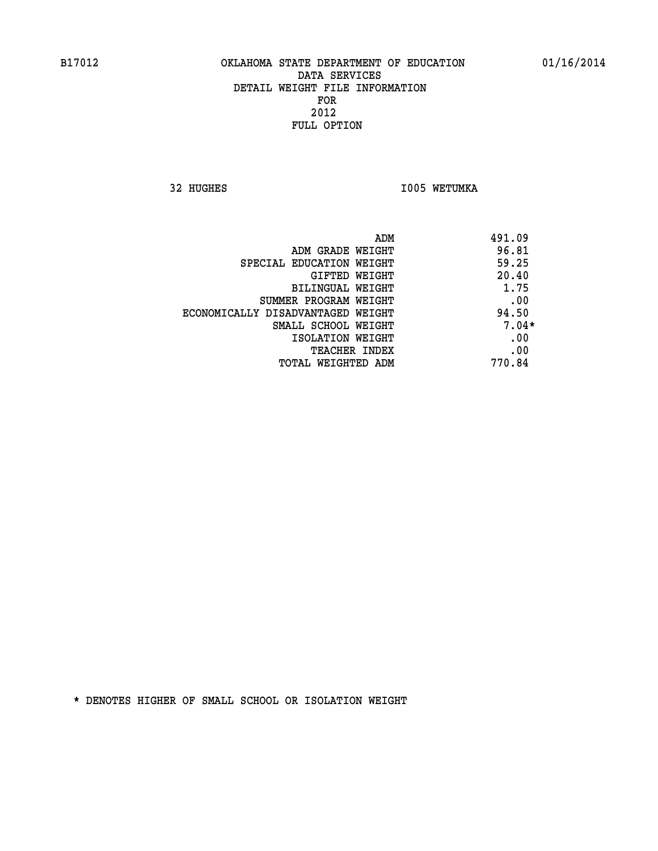32 HUGHES **I005 WETUMKA** 

| ADM                               | 491.09  |
|-----------------------------------|---------|
| ADM GRADE WEIGHT                  | 96.81   |
| SPECIAL EDUCATION WEIGHT          | 59.25   |
| GIFTED WEIGHT                     | 20.40   |
| BILINGUAL WEIGHT                  | 1.75    |
| SUMMER PROGRAM WEIGHT             | .00     |
| ECONOMICALLY DISADVANTAGED WEIGHT | 94.50   |
| SMALL SCHOOL WEIGHT               | $7.04*$ |
| ISOLATION WEIGHT                  | .00     |
| <b>TEACHER INDEX</b>              | .00     |
| TOTAL WEIGHTED ADM                | 770.84  |
|                                   |         |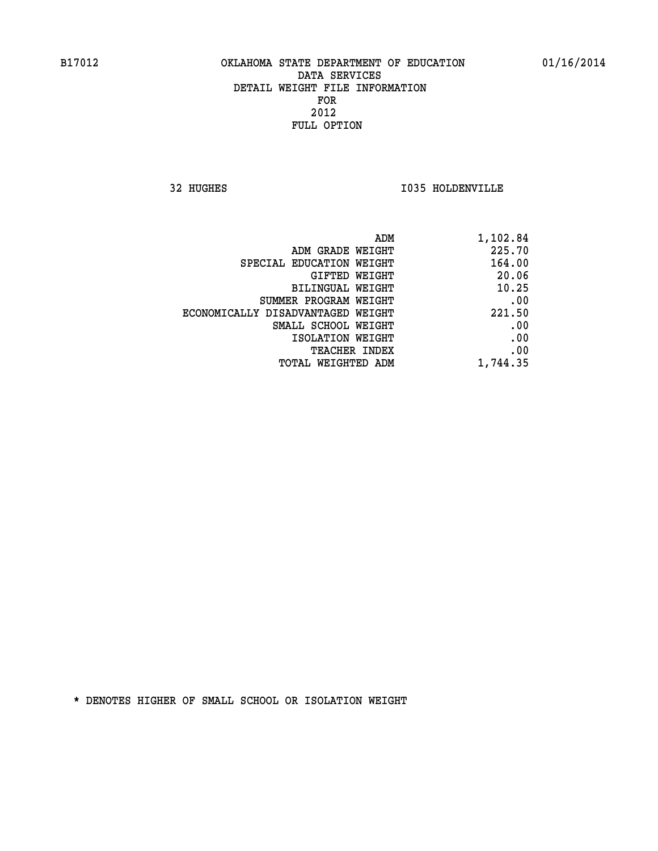**32 HUGHES I035 HOLDENVILLE** 

| 1,102.84 |
|----------|
| 225.70   |
| 164.00   |
| 20.06    |
| 10.25    |
| .00      |
| 221.50   |
| .00      |
| .00      |
| .00      |
| 1,744.35 |
|          |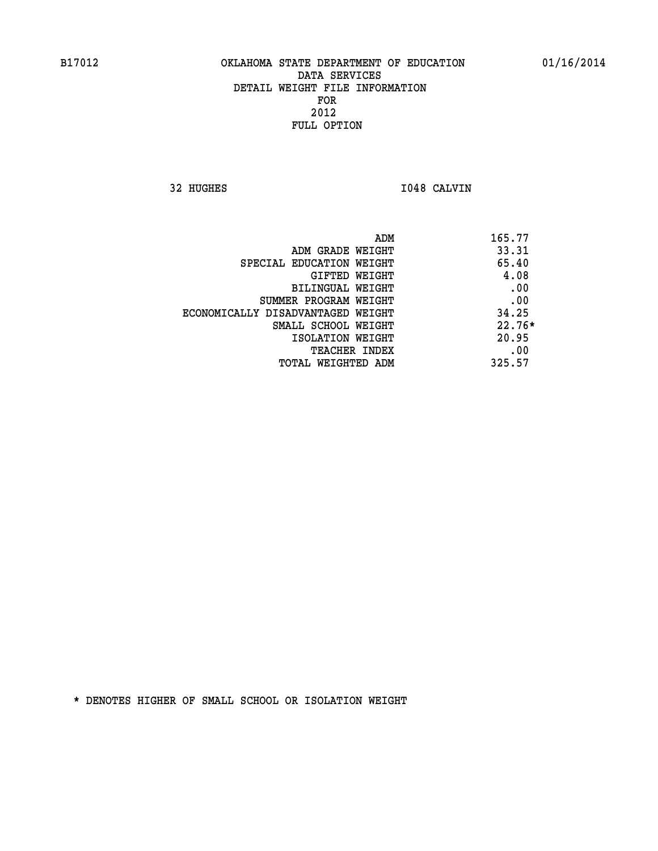**32 HUGHES I048 CALVIN** 

| ADM                               | 165.77   |
|-----------------------------------|----------|
| ADM GRADE WEIGHT                  | 33.31    |
| SPECIAL EDUCATION WEIGHT          | 65.40    |
| GIFTED WEIGHT                     | 4.08     |
| BILINGUAL WEIGHT                  | .00      |
| SUMMER PROGRAM WEIGHT             | .00      |
| ECONOMICALLY DISADVANTAGED WEIGHT | 34.25    |
| SMALL SCHOOL WEIGHT               | $22.76*$ |
| ISOLATION WEIGHT                  | 20.95    |
| <b>TEACHER INDEX</b>              | .00      |
| TOTAL WEIGHTED ADM                | 325.57   |
|                                   |          |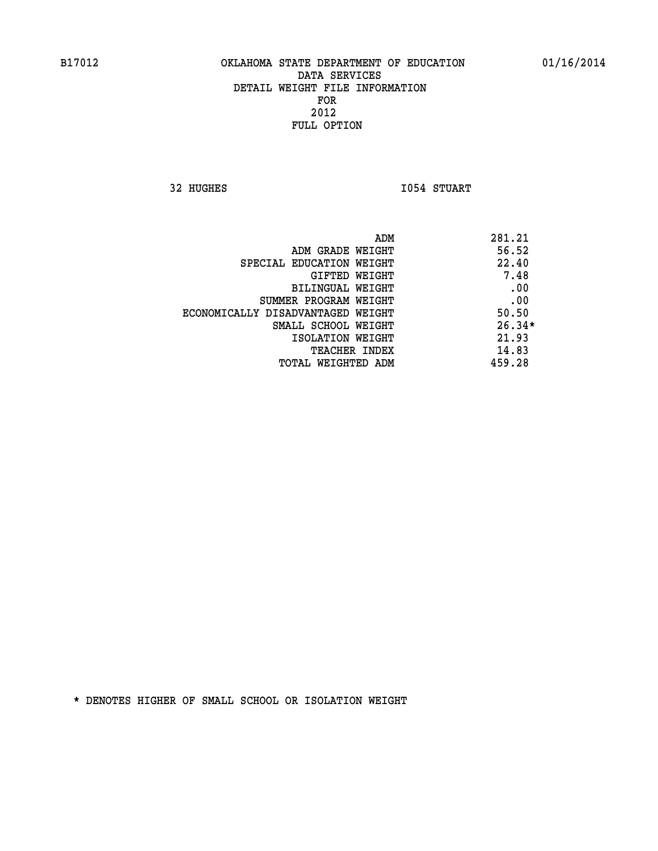**32 HUGHES I054 STUART** 

|                                   | ADM | 281.21   |
|-----------------------------------|-----|----------|
| ADM GRADE WEIGHT                  |     | 56.52    |
| SPECIAL EDUCATION WEIGHT          |     | 22.40    |
| GIFTED WEIGHT                     |     | 7.48     |
| BILINGUAL WEIGHT                  |     | .00      |
| SUMMER PROGRAM WEIGHT             |     | .00      |
| ECONOMICALLY DISADVANTAGED WEIGHT |     | 50.50    |
| SMALL SCHOOL WEIGHT               |     | $26.34*$ |
| ISOLATION WEIGHT                  |     | 21.93    |
| <b>TEACHER INDEX</b>              |     | 14.83    |
| TOTAL WEIGHTED ADM                |     | 459.28   |
|                                   |     |          |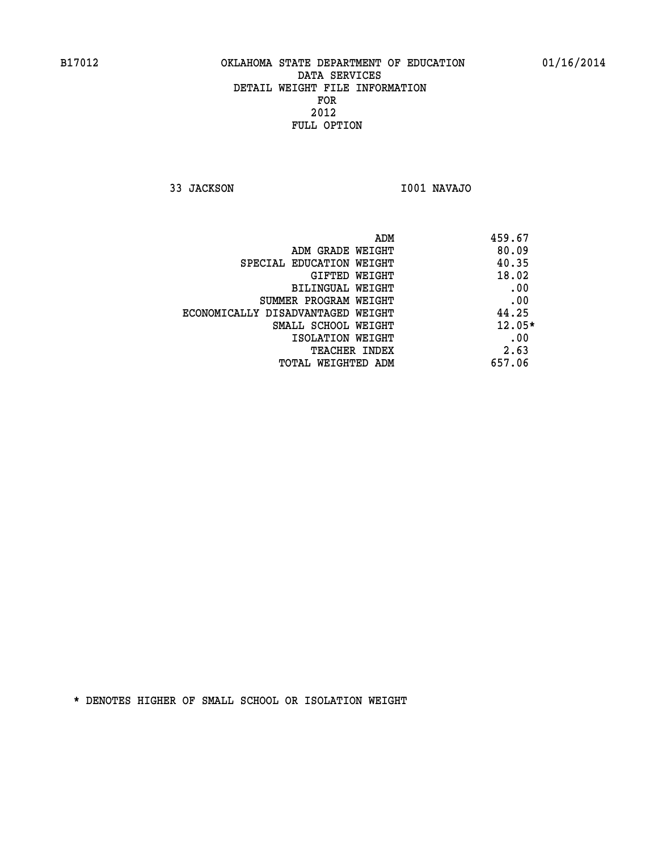**33 JACKSON I001 NAVAJO** 

| 459.67   | ADM                               |
|----------|-----------------------------------|
| 80.09    | ADM GRADE WEIGHT                  |
| 40.35    | SPECIAL EDUCATION WEIGHT          |
| 18.02    | <b>GIFTED WEIGHT</b>              |
| .00      | BILINGUAL WEIGHT                  |
| .00      | SUMMER PROGRAM WEIGHT             |
| 44.25    | ECONOMICALLY DISADVANTAGED WEIGHT |
| $12.05*$ | SMALL SCHOOL WEIGHT               |
| .00      | ISOLATION WEIGHT                  |
| 2.63     | <b>TEACHER INDEX</b>              |
| 657.06   | TOTAL WEIGHTED ADM                |
|          |                                   |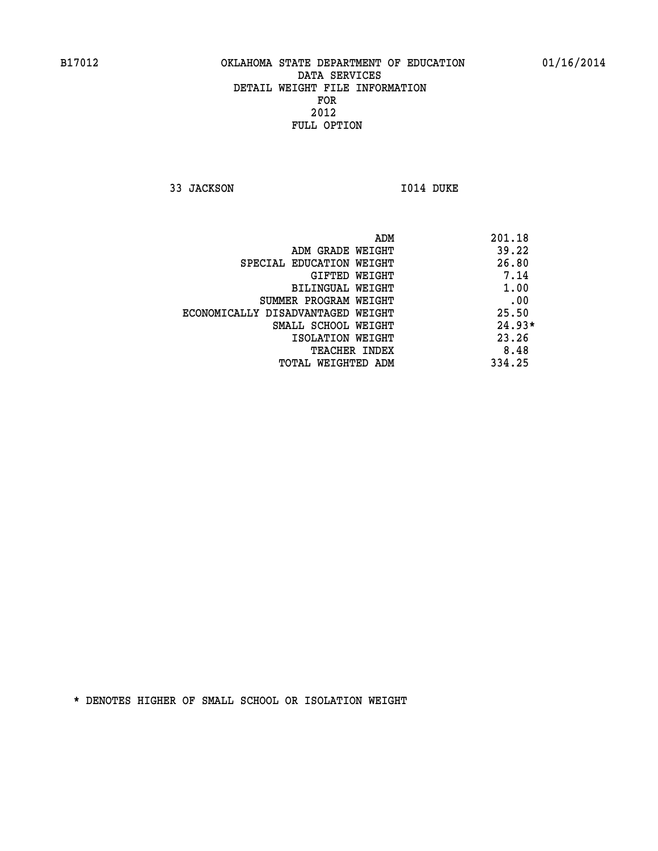**33 JACKSON 1014 DUKE** 

| 201.18   |
|----------|
| 39.22    |
| 26.80    |
| 7.14     |
| 1.00     |
| .00      |
| 25.50    |
| $24.93*$ |
| 23.26    |
| 8.48     |
| 334.25   |
|          |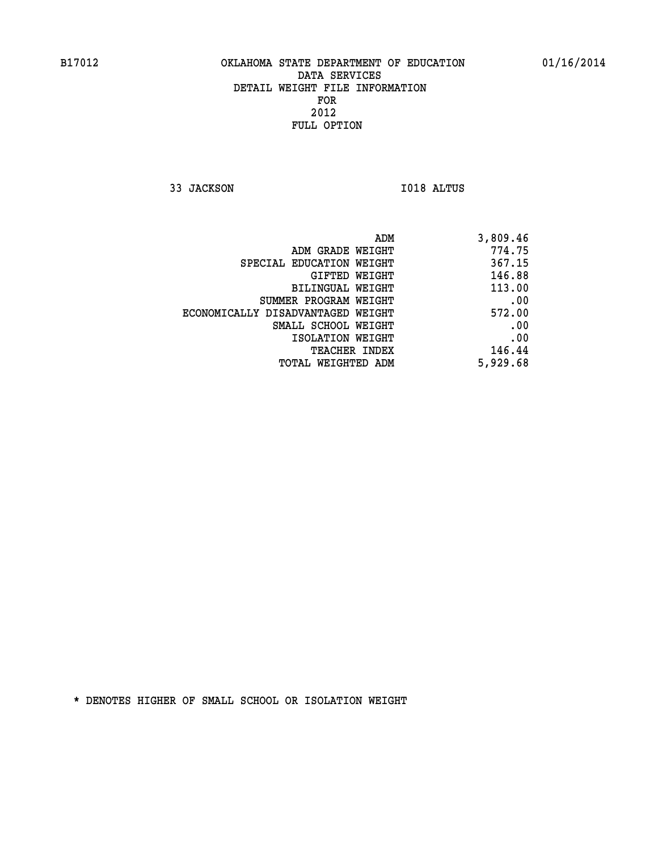**33 JACKSON I018 ALTUS** 

| ADM                               | 3,809.46 |
|-----------------------------------|----------|
| ADM GRADE WEIGHT                  | 774.75   |
| SPECIAL EDUCATION WEIGHT          | 367.15   |
| GIFTED WEIGHT                     | 146.88   |
| BILINGUAL WEIGHT                  | 113.00   |
| SUMMER PROGRAM WEIGHT             | .00      |
| ECONOMICALLY DISADVANTAGED WEIGHT | 572.00   |
| SMALL SCHOOL WEIGHT               | .00      |
| ISOLATION WEIGHT                  | .00      |
| <b>TEACHER INDEX</b>              | 146.44   |
| TOTAL WEIGHTED ADM                | 5,929.68 |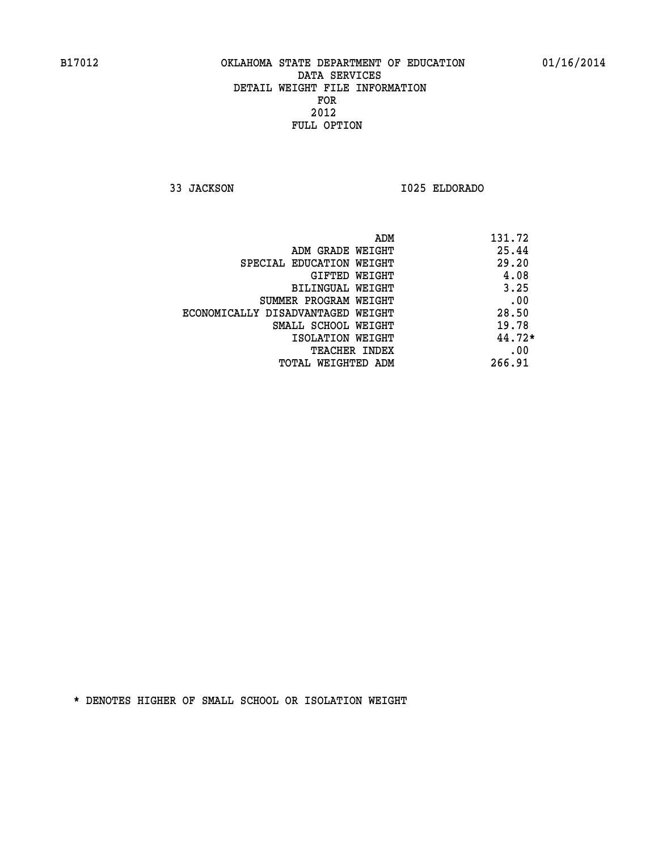**33 JACKSON I025 ELDORADO** 

| ADM                               | 131.72   |
|-----------------------------------|----------|
| ADM GRADE WEIGHT                  | 25.44    |
| SPECIAL EDUCATION WEIGHT          | 29.20    |
| GIFTED WEIGHT                     | 4.08     |
| <b>BILINGUAL WEIGHT</b>           | 3.25     |
| SUMMER PROGRAM WEIGHT             | .00      |
| ECONOMICALLY DISADVANTAGED WEIGHT | 28.50    |
| SMALL SCHOOL WEIGHT               | 19.78    |
| ISOLATION WEIGHT                  | $44.72*$ |
| <b>TEACHER INDEX</b>              | .00      |
| TOTAL WEIGHTED ADM                | 266.91   |
|                                   |          |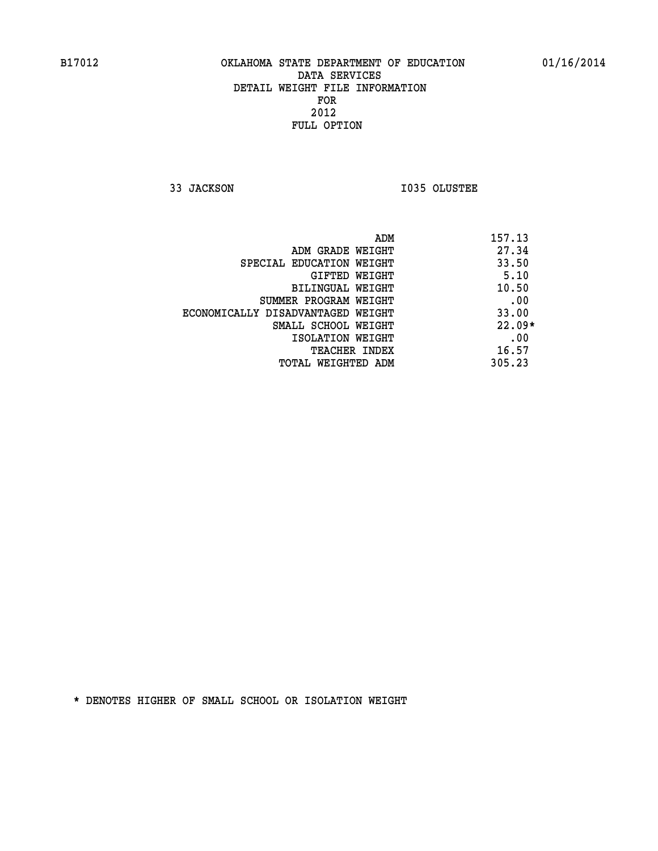**33 JACKSON I035 OLUSTEE** 

| ADM                               | 157.13   |
|-----------------------------------|----------|
| ADM GRADE WEIGHT                  | 27.34    |
| SPECIAL EDUCATION WEIGHT          | 33.50    |
| GIFTED WEIGHT                     | 5.10     |
| BILINGUAL WEIGHT                  | 10.50    |
| SUMMER PROGRAM WEIGHT             | .00      |
| ECONOMICALLY DISADVANTAGED WEIGHT | 33.00    |
| SMALL SCHOOL WEIGHT               | $22.09*$ |
| ISOLATION WEIGHT                  | .00      |
| <b>TEACHER INDEX</b>              | 16.57    |
| TOTAL WEIGHTED ADM                | 305.23   |
|                                   |          |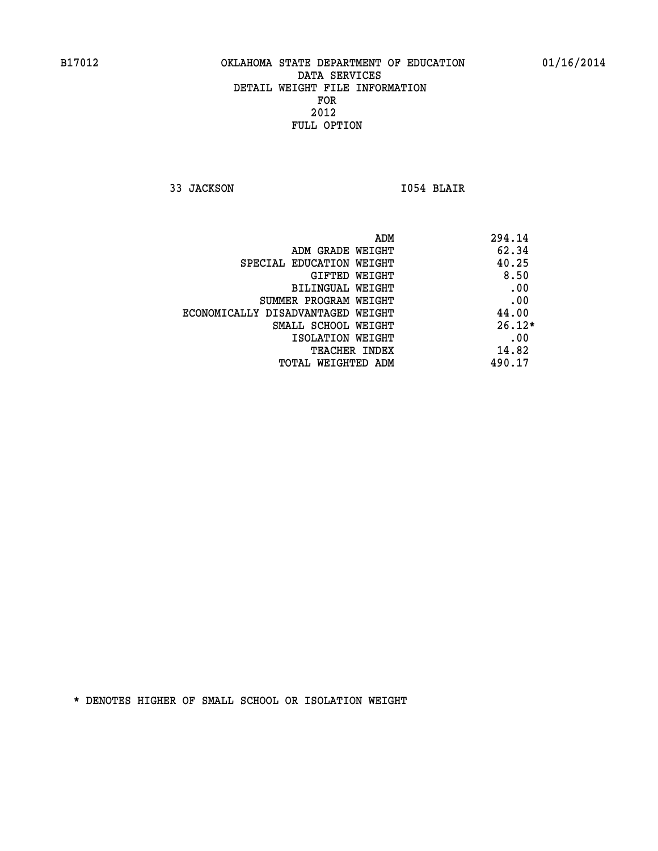**33 JACKSON I054 BLAIR** 

|                                   | ADM | 294.14   |
|-----------------------------------|-----|----------|
| ADM GRADE WEIGHT                  |     | 62.34    |
| SPECIAL EDUCATION WEIGHT          |     | 40.25    |
| GIFTED WEIGHT                     |     | 8.50     |
| BILINGUAL WEIGHT                  |     | .00      |
| SUMMER PROGRAM WEIGHT             |     | .00      |
| ECONOMICALLY DISADVANTAGED WEIGHT |     | 44.00    |
| SMALL SCHOOL WEIGHT               |     | $26.12*$ |
| ISOLATION WEIGHT                  |     | .00      |
| <b>TEACHER INDEX</b>              |     | 14.82    |
| TOTAL WEIGHTED ADM                |     | 490.17   |
|                                   |     |          |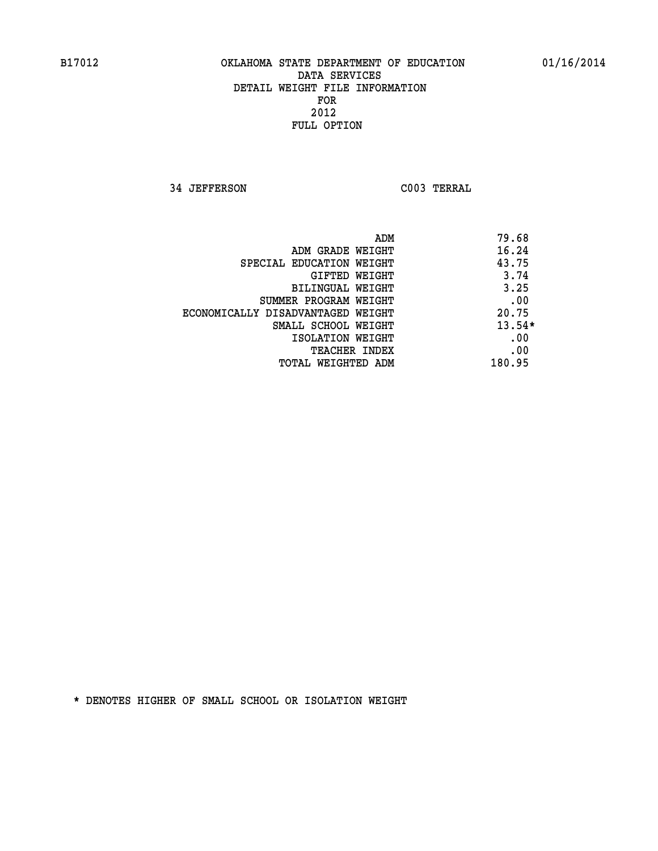**34 JEFFERSON C003 TERRAL** 

| ADM                               | 79.68    |
|-----------------------------------|----------|
| ADM GRADE WEIGHT                  | 16.24    |
| SPECIAL EDUCATION WEIGHT          | 43.75    |
| GIFTED WEIGHT                     | 3.74     |
| BILINGUAL WEIGHT                  | 3.25     |
| SUMMER PROGRAM WEIGHT             | .00      |
| ECONOMICALLY DISADVANTAGED WEIGHT | 20.75    |
| SMALL SCHOOL WEIGHT               | $13.54*$ |
| ISOLATION WEIGHT                  | .00      |
| <b>TEACHER INDEX</b>              | .00      |
| TOTAL WEIGHTED ADM                | 180.95   |
|                                   |          |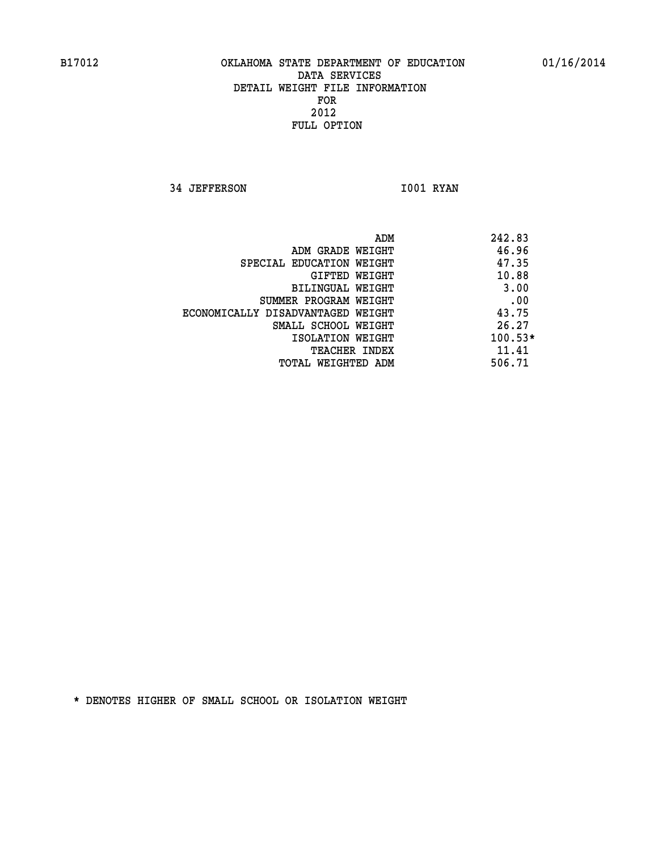**34 JEFFERSON 1001 RYAN** 

|                                   | ADM | 242.83    |
|-----------------------------------|-----|-----------|
| ADM GRADE WEIGHT                  |     | 46.96     |
| SPECIAL EDUCATION WEIGHT          |     | 47.35     |
| GIFTED WEIGHT                     |     | 10.88     |
| BILINGUAL WEIGHT                  |     | 3.00      |
| SUMMER PROGRAM WEIGHT             |     | .00       |
| ECONOMICALLY DISADVANTAGED WEIGHT |     | 43.75     |
| SMALL SCHOOL WEIGHT               |     | 26.27     |
| ISOLATION WEIGHT                  |     | $100.53*$ |
| TEACHER INDEX                     |     | 11.41     |
| TOTAL WEIGHTED ADM                |     | 506.71    |
|                                   |     |           |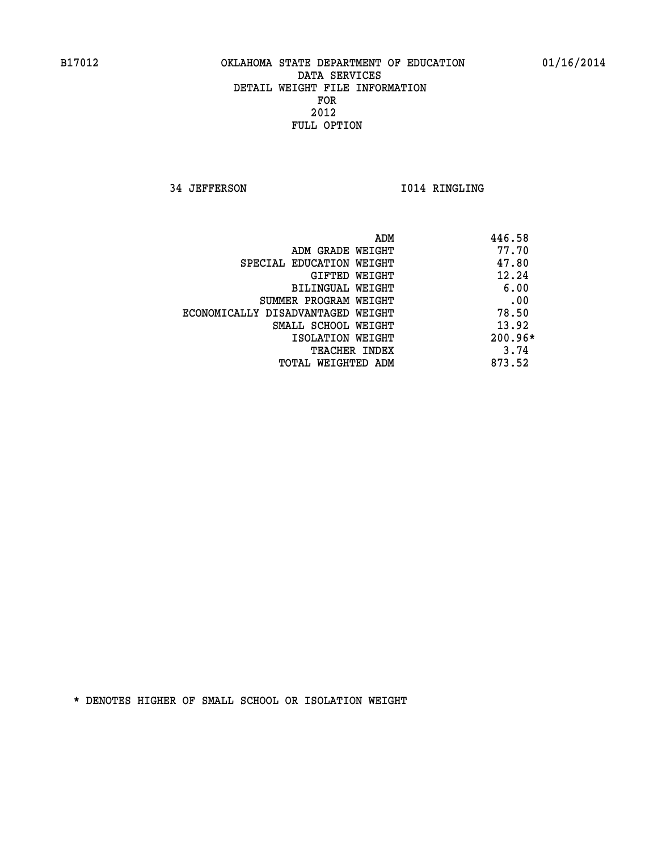**34 JEFFERSON I014 RINGLING** 

|                                   | ADM | 446.58  |
|-----------------------------------|-----|---------|
| ADM GRADE WEIGHT                  |     | 77.70   |
| SPECIAL EDUCATION WEIGHT          |     | 47.80   |
| GIFTED WEIGHT                     |     | 12.24   |
| BILINGUAL WEIGHT                  |     | 6.00    |
| SUMMER PROGRAM WEIGHT             |     | .00     |
| ECONOMICALLY DISADVANTAGED WEIGHT |     | 78.50   |
| SMALL SCHOOL WEIGHT               |     | 13.92   |
| ISOLATION WEIGHT                  |     | 200.96* |
| TEACHER INDEX                     |     | 3.74    |
| TOTAL WEIGHTED ADM                |     | 873.52  |
|                                   |     |         |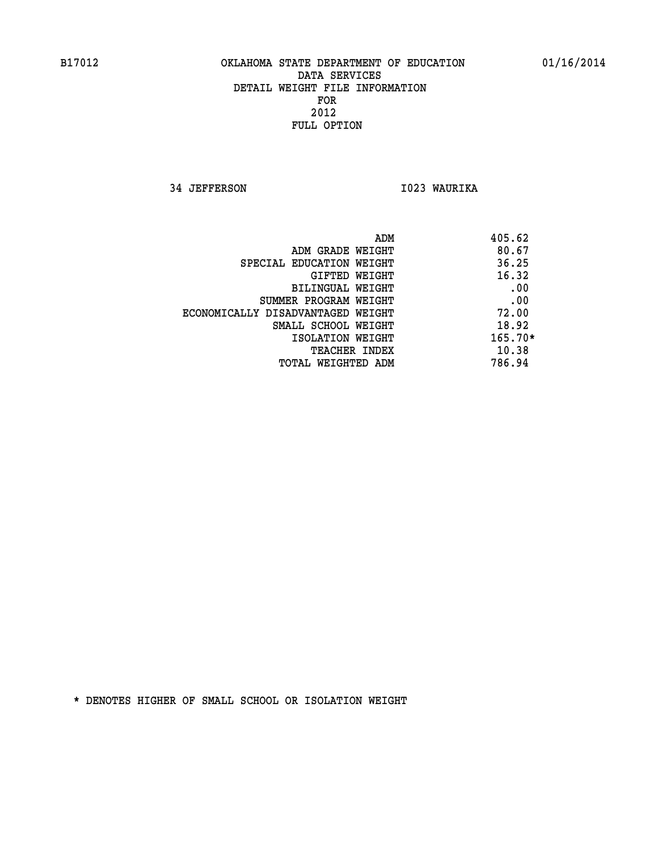**34 JEFFERSON I023 WAURIKA** 

|                                   | ADM | 405.62    |
|-----------------------------------|-----|-----------|
| ADM GRADE WEIGHT                  |     | 80.67     |
| SPECIAL EDUCATION WEIGHT          |     | 36.25     |
| GIFTED WEIGHT                     |     | 16.32     |
| BILINGUAL WEIGHT                  |     | .00       |
| SUMMER PROGRAM WEIGHT             |     | .00       |
| ECONOMICALLY DISADVANTAGED WEIGHT |     | 72.00     |
| SMALL SCHOOL WEIGHT               |     | 18.92     |
| ISOLATION WEIGHT                  |     | $165.70*$ |
| TEACHER INDEX                     |     | 10.38     |
| TOTAL WEIGHTED ADM                |     | 786.94    |
|                                   |     |           |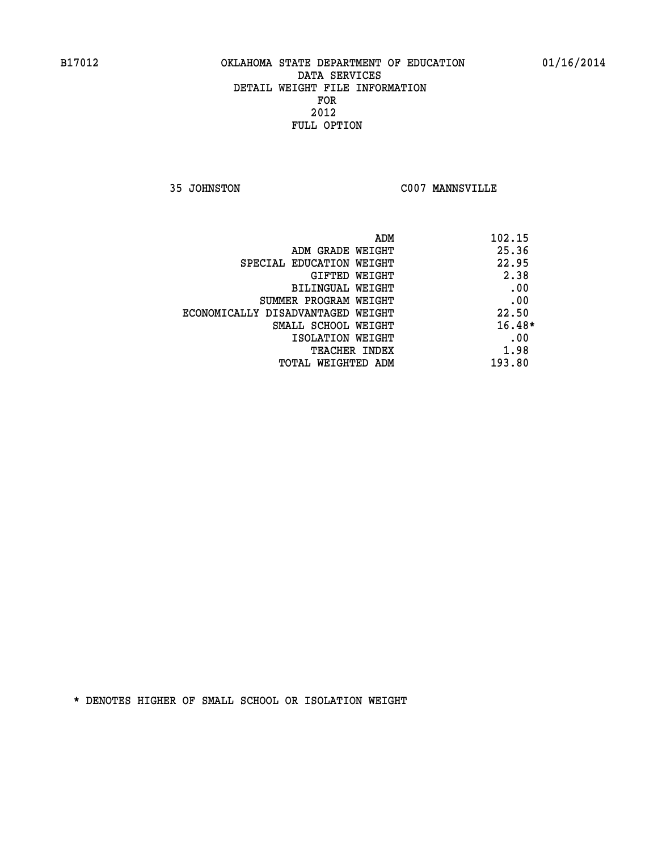**35 JOHNSTON C007 MANNSVILLE** 

| ADM<br>102.15 |                                   |
|---------------|-----------------------------------|
| 25.36         | ADM GRADE WEIGHT                  |
| 22.95         | SPECIAL EDUCATION WEIGHT          |
| 2.38          | <b>GIFTED WEIGHT</b>              |
| .00           | BILINGUAL WEIGHT                  |
| .00           | SUMMER PROGRAM WEIGHT             |
| 22.50         | ECONOMICALLY DISADVANTAGED WEIGHT |
| $16.48*$      | SMALL SCHOOL WEIGHT               |
| .00           | ISOLATION WEIGHT                  |
| 1.98          | <b>TEACHER INDEX</b>              |
| 193.80        | TOTAL WEIGHTED ADM                |
|               |                                   |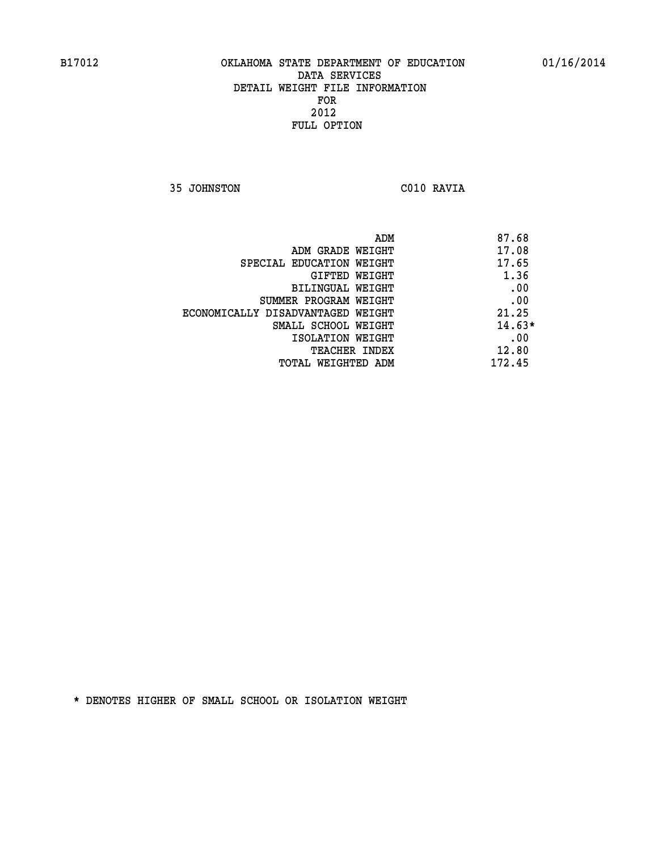**35 JOHNSTON C010 RAVIA** 

| ADM<br>87.68                               |  |
|--------------------------------------------|--|
| 17.08<br>ADM GRADE WEIGHT                  |  |
| 17.65<br>SPECIAL EDUCATION WEIGHT          |  |
| 1.36<br>GIFTED WEIGHT                      |  |
| .00<br><b>BILINGUAL WEIGHT</b>             |  |
| .00<br>SUMMER PROGRAM WEIGHT               |  |
| 21.25<br>ECONOMICALLY DISADVANTAGED WEIGHT |  |
| $14.63*$<br>SMALL SCHOOL WEIGHT            |  |
| .00<br>ISOLATION WEIGHT                    |  |
| 12.80<br><b>TEACHER INDEX</b>              |  |
| 172.45<br>TOTAL WEIGHTED ADM               |  |
|                                            |  |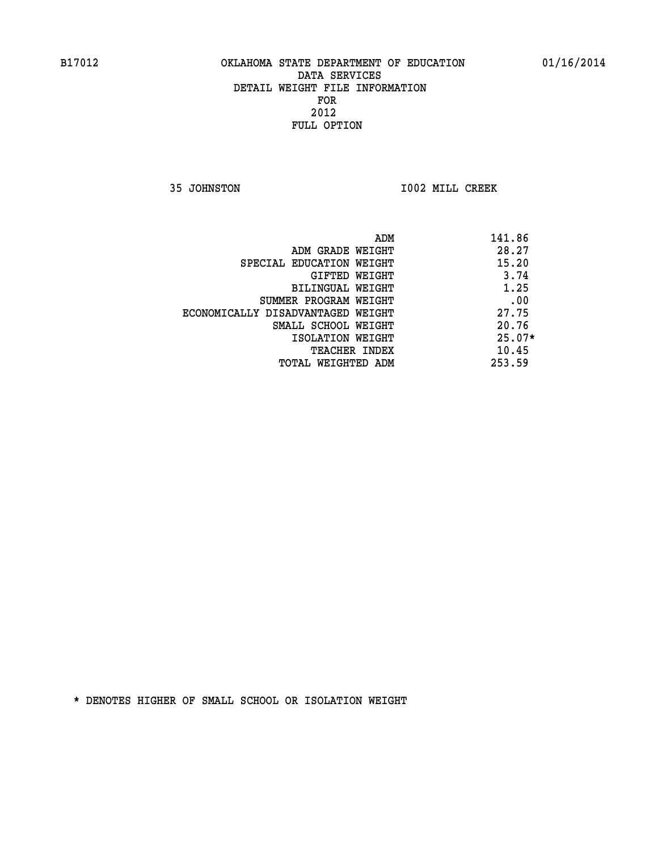**35 JOHNSTON I002 MILL CREEK** 

| ADM                               | 141.86   |
|-----------------------------------|----------|
| ADM GRADE WEIGHT                  | 28.27    |
| SPECIAL EDUCATION WEIGHT          | 15.20    |
| GIFTED WEIGHT                     | 3.74     |
| <b>BILINGUAL WEIGHT</b>           | 1.25     |
| SUMMER PROGRAM WEIGHT             | .00      |
| ECONOMICALLY DISADVANTAGED WEIGHT | 27.75    |
| SMALL SCHOOL WEIGHT               | 20.76    |
| ISOLATION WEIGHT                  | $25.07*$ |
| <b>TEACHER INDEX</b>              | 10.45    |
| TOTAL WEIGHTED ADM                | 253.59   |
|                                   |          |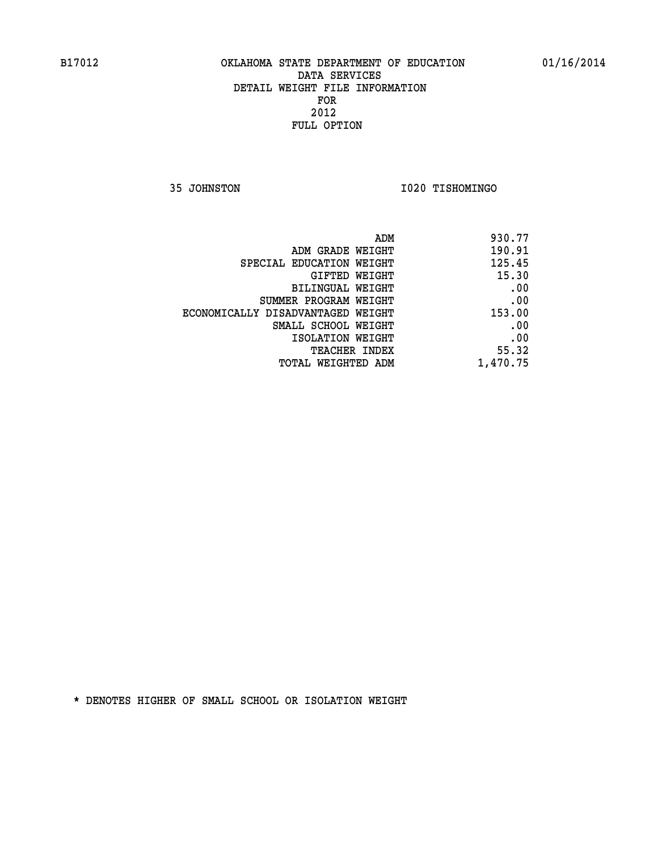**35 JOHNSTON I020 TISHOMINGO** 

| 930.77   |
|----------|
| 190.91   |
| 125.45   |
| 15.30    |
| .00      |
| .00      |
| 153.00   |
| .00      |
| .00      |
| 55.32    |
| 1,470.75 |
|          |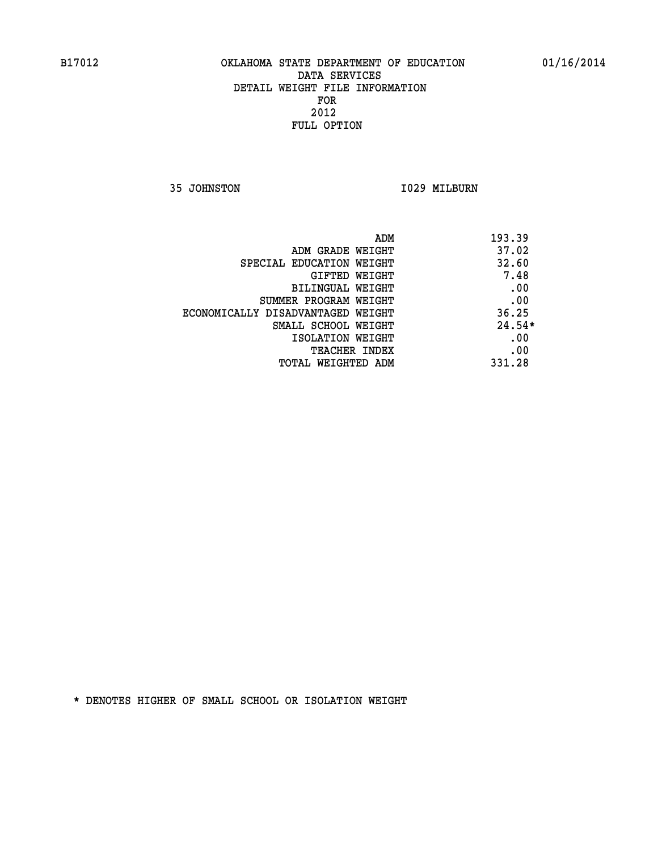**35 JOHNSTON 1029 MILBURN** 

| ADM                               | 193.39   |
|-----------------------------------|----------|
| ADM GRADE WEIGHT                  | 37.02    |
| SPECIAL EDUCATION WEIGHT          | 32.60    |
| GIFTED WEIGHT                     | 7.48     |
| BILINGUAL WEIGHT                  | .00      |
| SUMMER PROGRAM WEIGHT             | .00      |
| ECONOMICALLY DISADVANTAGED WEIGHT | 36.25    |
| SMALL SCHOOL WEIGHT               | $24.54*$ |
| ISOLATION WEIGHT                  | .00      |
| <b>TEACHER INDEX</b>              | .00      |
| TOTAL WEIGHTED ADM                | 331.28   |
|                                   |          |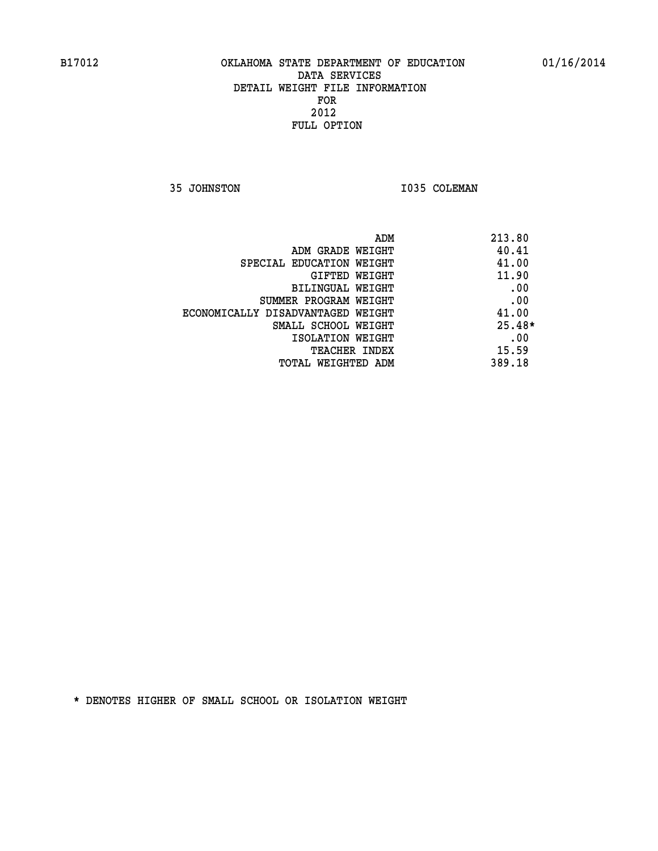**35 JOHNSTON 1035 COLEMAN** 

| ADM<br>213.80                              |  |
|--------------------------------------------|--|
| 40.41<br>ADM GRADE WEIGHT                  |  |
| 41.00<br>SPECIAL EDUCATION WEIGHT          |  |
| 11.90<br>GIFTED WEIGHT                     |  |
| .00<br>BILINGUAL WEIGHT                    |  |
| .00<br>SUMMER PROGRAM WEIGHT               |  |
| 41.00<br>ECONOMICALLY DISADVANTAGED WEIGHT |  |
| $25.48*$<br>SMALL SCHOOL WEIGHT            |  |
| .00<br>ISOLATION WEIGHT                    |  |
| 15.59<br><b>TEACHER INDEX</b>              |  |
| 389.18<br>TOTAL WEIGHTED ADM               |  |
|                                            |  |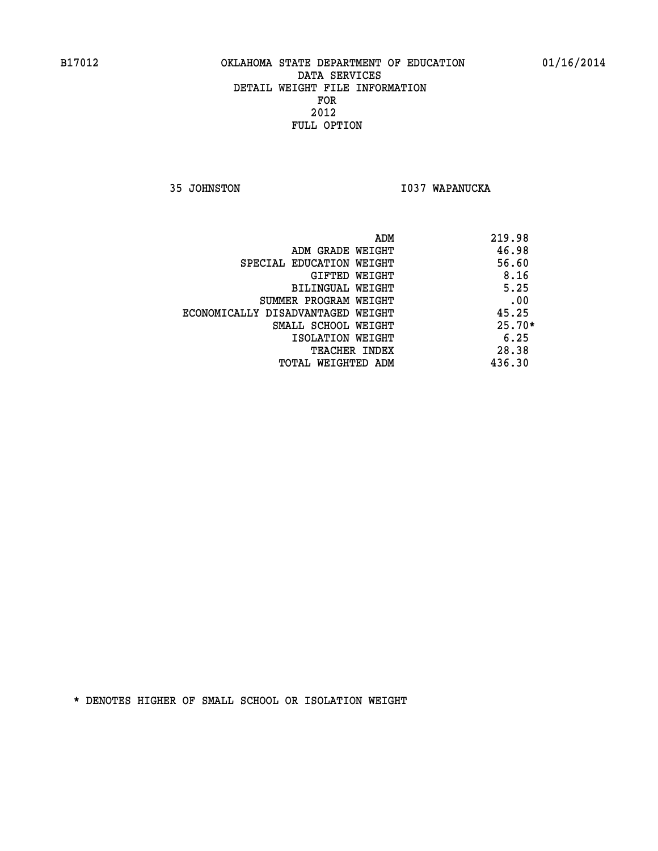**35 JOHNSTON I037 WAPANUCKA** 

|                                   | 219.98<br>ADM |
|-----------------------------------|---------------|
| ADM GRADE WEIGHT                  | 46.98         |
| SPECIAL EDUCATION WEIGHT          | 56.60         |
| GIFTED WEIGHT                     | 8.16          |
| BILINGUAL WEIGHT                  | 5.25          |
| SUMMER PROGRAM WEIGHT             | .00           |
| ECONOMICALLY DISADVANTAGED WEIGHT | 45.25         |
| SMALL SCHOOL WEIGHT               | $25.70*$      |
| ISOLATION WEIGHT                  | 6.25          |
| <b>TEACHER INDEX</b>              | 28.38         |
| TOTAL WEIGHTED ADM                | 436.30        |
|                                   |               |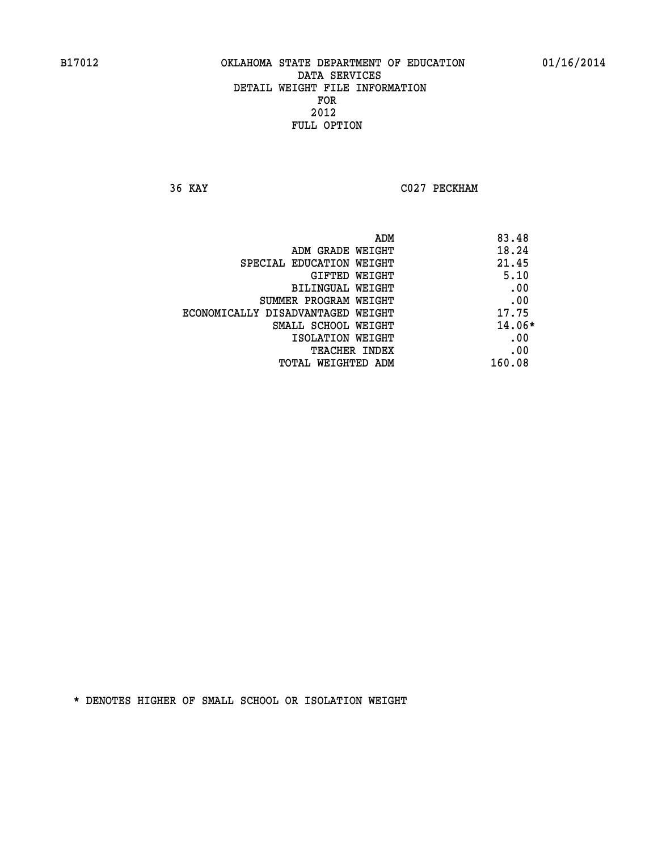**36 KAY C027 PECKHAM** 

|                                   | ADM | 83.48    |
|-----------------------------------|-----|----------|
| ADM GRADE WEIGHT                  |     | 18.24    |
| SPECIAL EDUCATION WEIGHT          |     | 21.45    |
| GIFTED WEIGHT                     |     | 5.10     |
| BILINGUAL WEIGHT                  |     | .00      |
| SUMMER PROGRAM WEIGHT             |     | .00      |
| ECONOMICALLY DISADVANTAGED WEIGHT |     | 17.75    |
| SMALL SCHOOL WEIGHT               |     | $14.06*$ |
| ISOLATION WEIGHT                  |     | .00      |
| TEACHER INDEX                     |     | .00      |
| TOTAL WEIGHTED ADM                |     | 160.08   |
|                                   |     |          |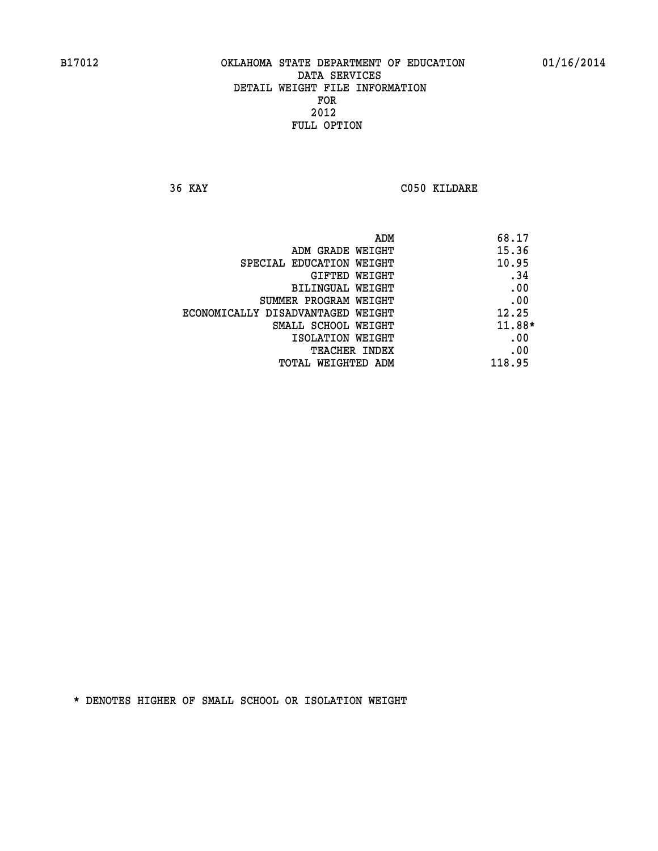**36 KAY C050 KILDARE** 

| ADM                               | 68.17  |
|-----------------------------------|--------|
| ADM GRADE WEIGHT                  | 15.36  |
| SPECIAL EDUCATION WEIGHT          | 10.95  |
| GIFTED WEIGHT                     | .34    |
| BILINGUAL WEIGHT                  | .00    |
| SUMMER PROGRAM WEIGHT             | .00    |
| ECONOMICALLY DISADVANTAGED WEIGHT | 12.25  |
| SMALL SCHOOL WEIGHT               | 11.88* |
| ISOLATION WEIGHT                  | .00    |
| TEACHER INDEX                     | .00    |
| TOTAL WEIGHTED ADM                | 118.95 |
|                                   |        |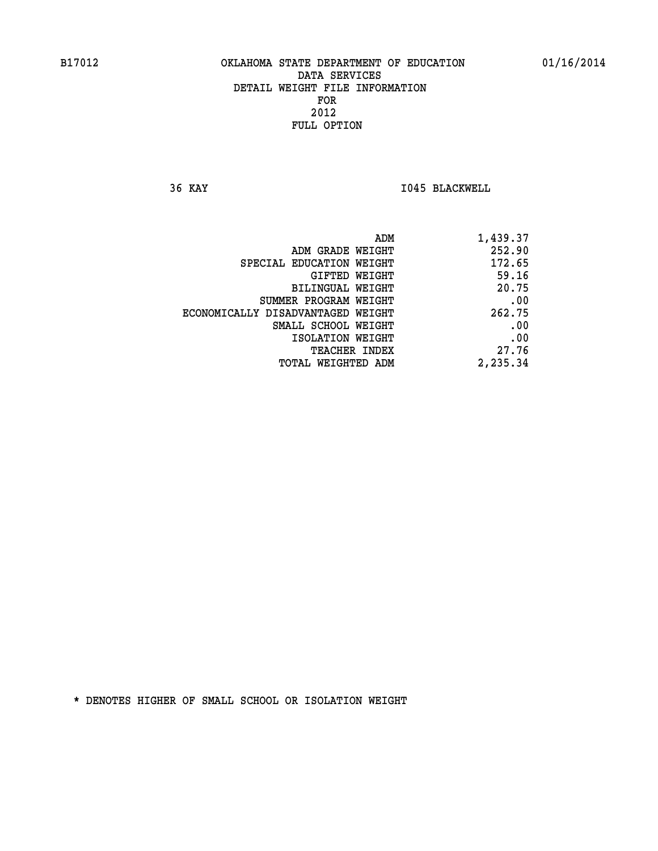**36 KAY I045 BLACKWELL** 

| ADM                               | 1,439.37 |
|-----------------------------------|----------|
| ADM GRADE WEIGHT                  | 252.90   |
| SPECIAL EDUCATION WEIGHT          | 172.65   |
| <b>GIFTED WEIGHT</b>              | 59.16    |
| BILINGUAL WEIGHT                  | 20.75    |
| SUMMER PROGRAM WEIGHT             | .00      |
| ECONOMICALLY DISADVANTAGED WEIGHT | 262.75   |
| SMALL SCHOOL WEIGHT               | .00      |
| ISOLATION WEIGHT                  | .00      |
| TEACHER INDEX                     | 27.76    |
| TOTAL WEIGHTED ADM                | 2,235.34 |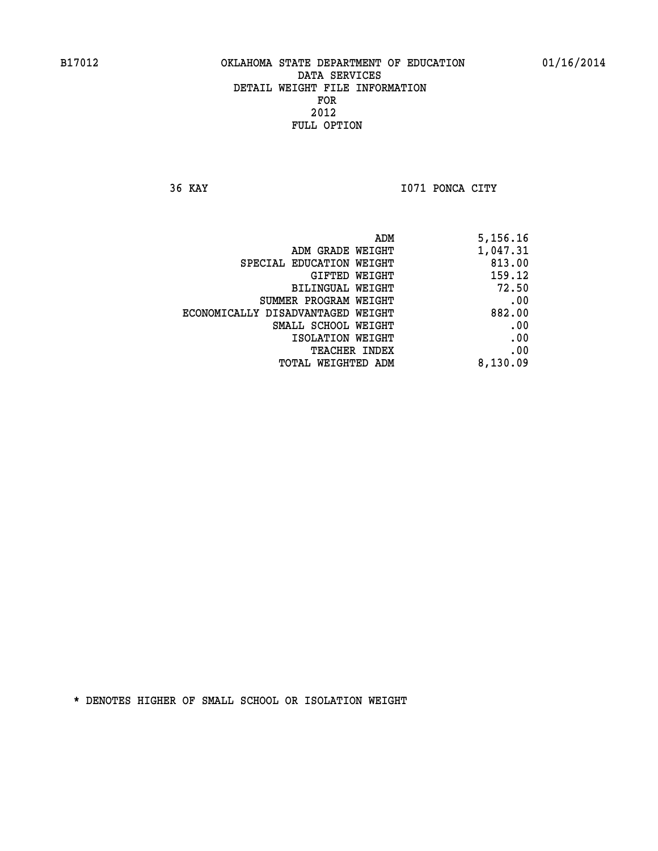**36 KAY I071 PONCA CITY** 

| 5,156.16 |
|----------|
| 1,047.31 |
| 813.00   |
| 159.12   |
| 72.50    |
| .00      |
| 882.00   |
| .00      |
| .00      |
| .00      |
| 8,130.09 |
|          |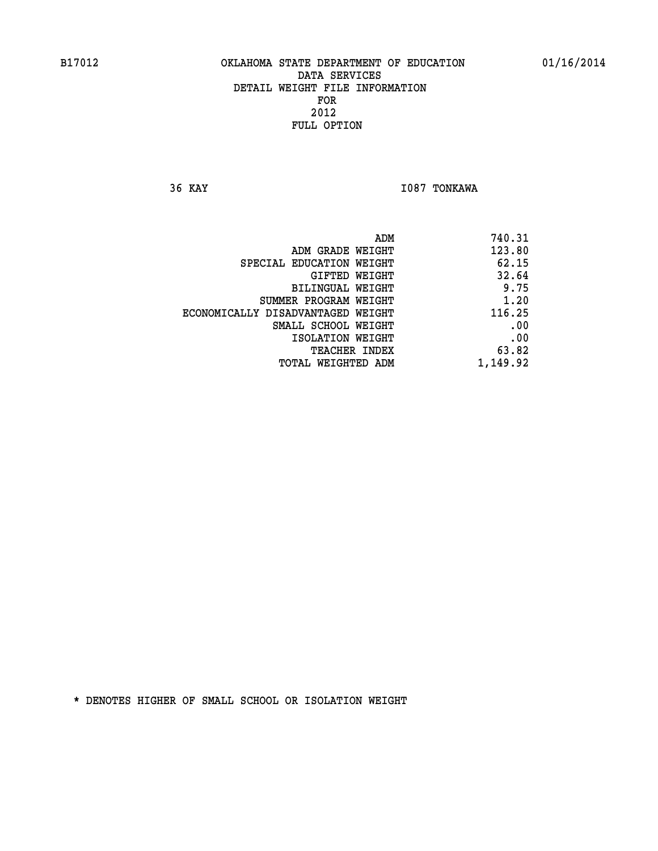**36 KAY I087 TONKAWA** 

| 740.31   |
|----------|
| 123.80   |
| 62.15    |
| 32.64    |
| 9.75     |
| 1.20     |
| 116.25   |
| .00      |
| .00      |
| 63.82    |
| 1,149.92 |
|          |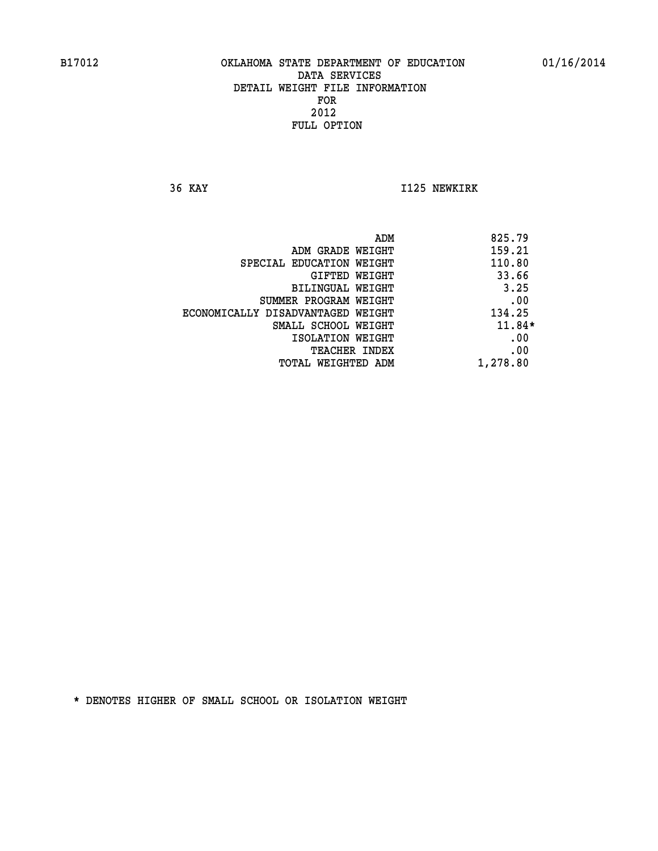**36 KAY I125 NEWKIRK** 

|                                   | ADM | 825.79   |
|-----------------------------------|-----|----------|
| ADM GRADE WEIGHT                  |     | 159.21   |
| SPECIAL EDUCATION WEIGHT          |     | 110.80   |
| GIFTED WEIGHT                     |     | 33.66    |
| BILINGUAL WEIGHT                  |     | 3.25     |
| SUMMER PROGRAM WEIGHT             |     | .00      |
| ECONOMICALLY DISADVANTAGED WEIGHT |     | 134.25   |
| SMALL SCHOOL WEIGHT               |     | $11.84*$ |
| ISOLATION WEIGHT                  |     | .00      |
| TEACHER INDEX                     |     | .00      |
| TOTAL WEIGHTED ADM                |     | 1,278.80 |
|                                   |     |          |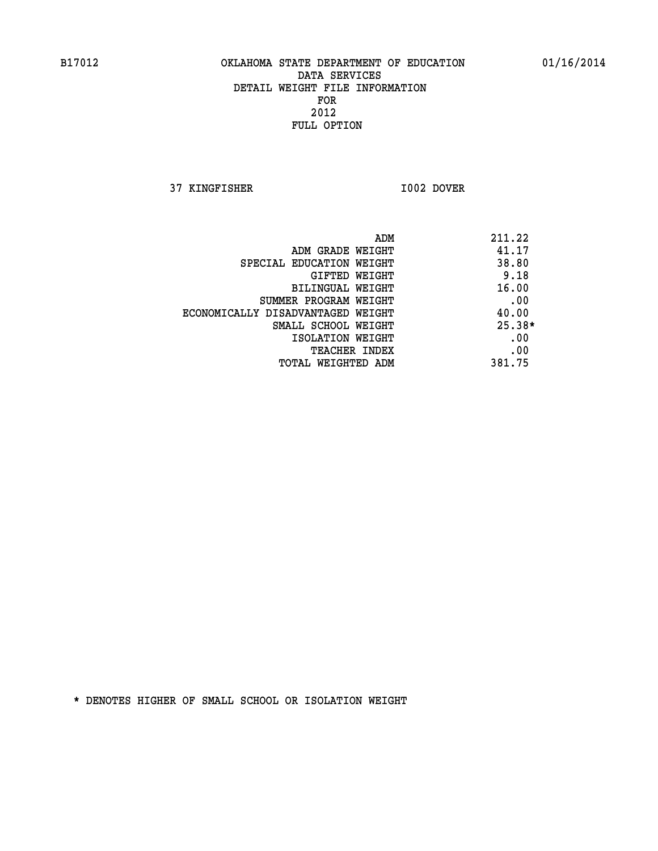**37 KINGFISHER I002 DOVER** 

| ADM                               | 211.22   |
|-----------------------------------|----------|
| ADM GRADE WEIGHT                  | 41.17    |
| SPECIAL EDUCATION WEIGHT          | 38.80    |
| GIFTED WEIGHT                     | 9.18     |
| BILINGUAL WEIGHT                  | 16.00    |
| SUMMER PROGRAM WEIGHT             | .00      |
| ECONOMICALLY DISADVANTAGED WEIGHT | 40.00    |
| SMALL SCHOOL WEIGHT               | $25.38*$ |
| ISOLATION WEIGHT                  | .00      |
| TEACHER INDEX                     | .00      |
| TOTAL WEIGHTED ADM                | 381.75   |
|                                   |          |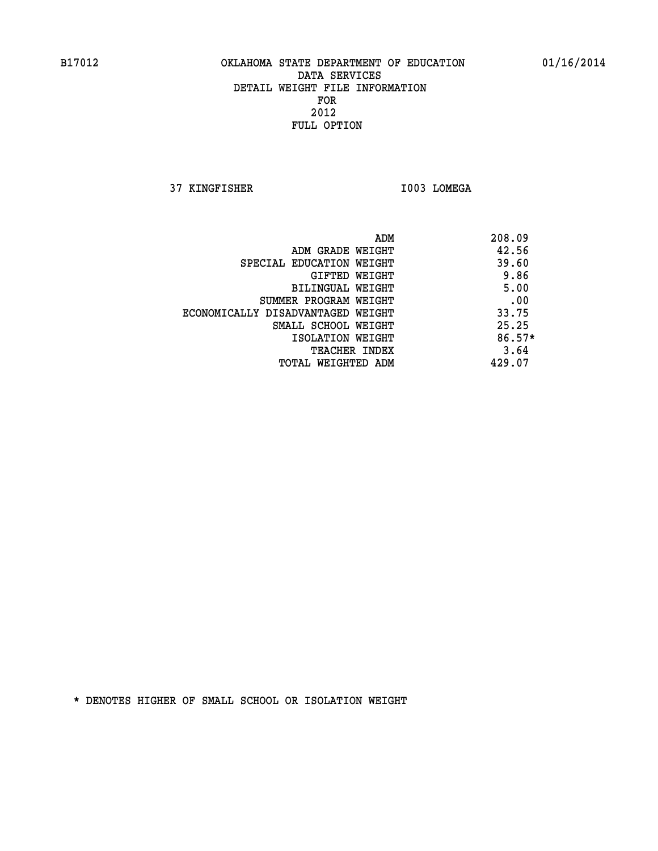**37 KINGFISHER I003 LOMEGA** 

|                                   | ADM | 208.09   |
|-----------------------------------|-----|----------|
| ADM GRADE WEIGHT                  |     | 42.56    |
| SPECIAL EDUCATION WEIGHT          |     | 39.60    |
| GIFTED WEIGHT                     |     | 9.86     |
| BILINGUAL WEIGHT                  |     | 5.00     |
| SUMMER PROGRAM WEIGHT             |     | .00      |
| ECONOMICALLY DISADVANTAGED WEIGHT |     | 33.75    |
| SMALL SCHOOL WEIGHT               |     | 25.25    |
| ISOLATION WEIGHT                  |     | $86.57*$ |
| <b>TEACHER INDEX</b>              |     | 3.64     |
| TOTAL WEIGHTED ADM                |     | 429.07   |
|                                   |     |          |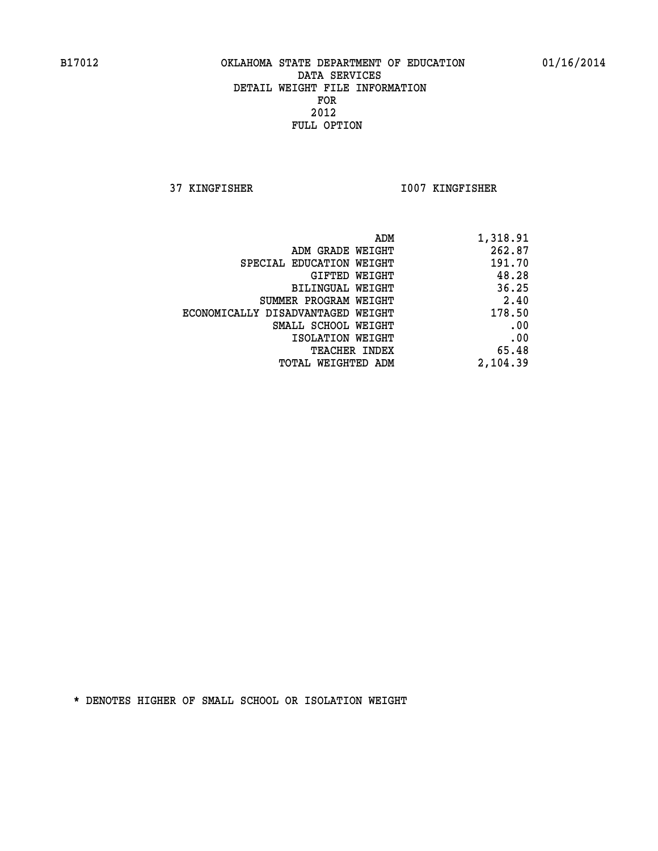**37 KINGFISHER I007 KINGFISHER** 

| 1,318.91 |
|----------|
| 262.87   |
| 191.70   |
| 48.28    |
| 36.25    |
| 2.40     |
| 178.50   |
| .00      |
| .00      |
| 65.48    |
| 2,104.39 |
|          |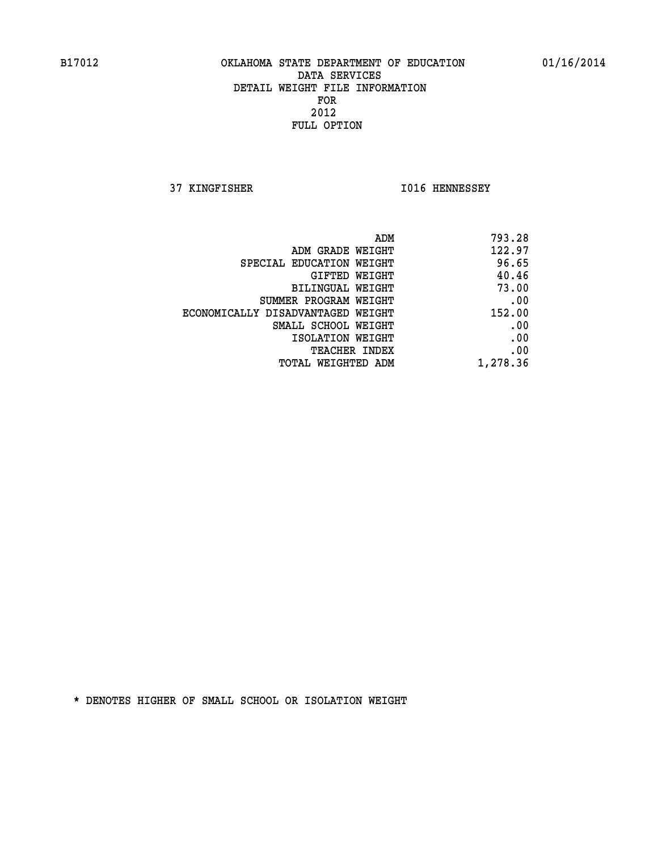**37 KINGFISHER I016 HENNESSEY** 

| 793.28                                                                                                                   |
|--------------------------------------------------------------------------------------------------------------------------|
| 122.97                                                                                                                   |
| 96.65                                                                                                                    |
| 40.46                                                                                                                    |
| 73.00                                                                                                                    |
| .00                                                                                                                      |
| 152.00                                                                                                                   |
| .00                                                                                                                      |
| .00                                                                                                                      |
| .00                                                                                                                      |
| 1,278.36                                                                                                                 |
| ADM GRADE WEIGHT<br>GIFTED WEIGHT<br><b>BILINGUAL WEIGHT</b><br>ECONOMICALLY DISADVANTAGED WEIGHT<br>SMALL SCHOOL WEIGHT |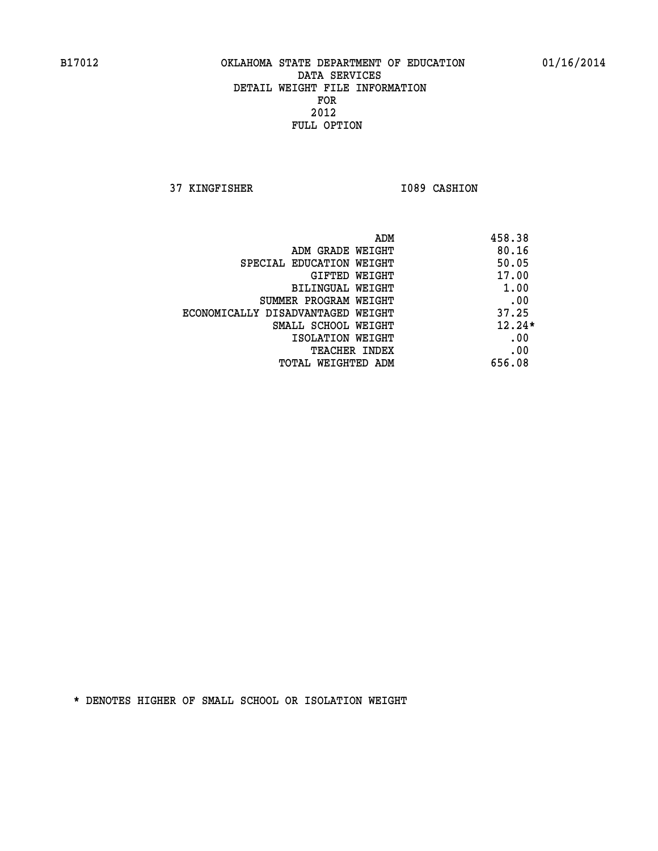**37 KINGFISHER 1089 CASHION** 

| ADM                               | 458.38   |
|-----------------------------------|----------|
| ADM GRADE WEIGHT                  | 80.16    |
| SPECIAL EDUCATION WEIGHT          | 50.05    |
| GIFTED WEIGHT                     | 17.00    |
| BILINGUAL WEIGHT                  | 1.00     |
| SUMMER PROGRAM WEIGHT             | .00      |
| ECONOMICALLY DISADVANTAGED WEIGHT | 37.25    |
| SMALL SCHOOL WEIGHT               | $12.24*$ |
| ISOLATION WEIGHT                  | .00      |
| <b>TEACHER INDEX</b>              | .00      |
| TOTAL WEIGHTED ADM                | 656.08   |
|                                   |          |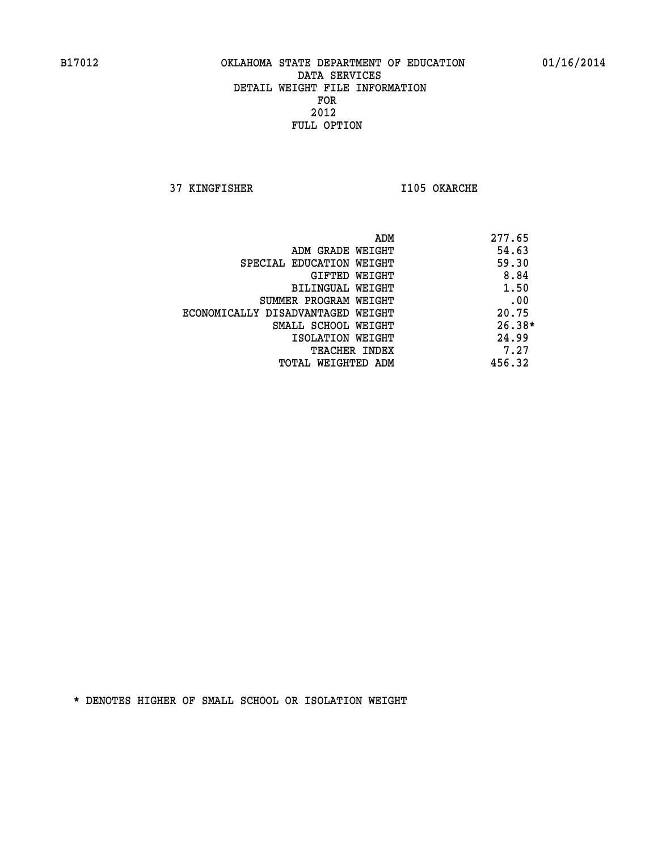**37 KINGFISHER I105 OKARCHE** 

|                                   | ADM | 277.65   |
|-----------------------------------|-----|----------|
| ADM GRADE WEIGHT                  |     | 54.63    |
| SPECIAL EDUCATION WEIGHT          |     | 59.30    |
| GIFTED WEIGHT                     |     | 8.84     |
| BILINGUAL WEIGHT                  |     | 1.50     |
| SUMMER PROGRAM WEIGHT             |     | .00      |
| ECONOMICALLY DISADVANTAGED WEIGHT |     | 20.75    |
| SMALL SCHOOL WEIGHT               |     | $26.38*$ |
| ISOLATION WEIGHT                  |     | 24.99    |
| <b>TEACHER INDEX</b>              |     | 7.27     |
| TOTAL WEIGHTED ADM                |     | 456.32   |
|                                   |     |          |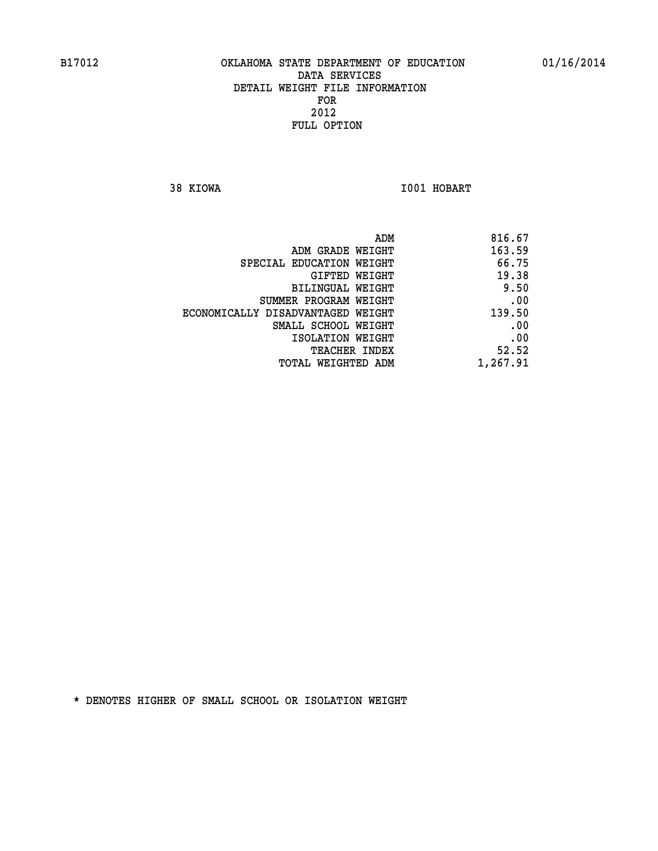**38 KIOWA I001 HOBART** 

| 816.67   |
|----------|
| 163.59   |
| 66.75    |
| 19.38    |
| 9.50     |
| .00      |
| 139.50   |
| .00      |
| .00      |
| 52.52    |
| 1,267.91 |
|          |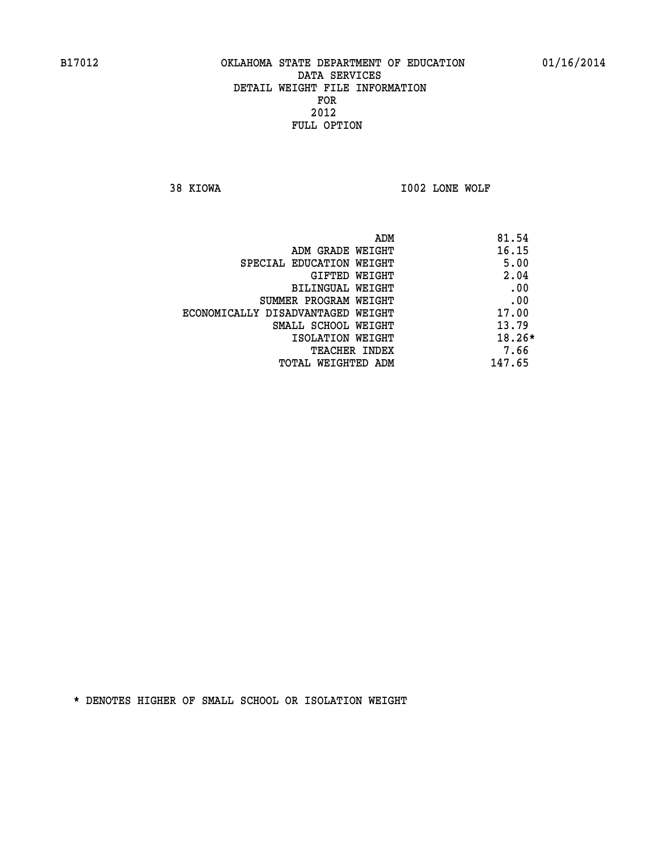**38 KIOWA I002 LONE WOLF** 

| ADM                               | 81.54    |
|-----------------------------------|----------|
| ADM GRADE WEIGHT                  | 16.15    |
| SPECIAL EDUCATION WEIGHT          | 5.00     |
| GIFTED WEIGHT                     | 2.04     |
| BILINGUAL WEIGHT                  | .00      |
| SUMMER PROGRAM WEIGHT             | .00      |
| ECONOMICALLY DISADVANTAGED WEIGHT | 17.00    |
| SMALL SCHOOL WEIGHT               | 13.79    |
| ISOLATION WEIGHT                  | $18.26*$ |
| <b>TEACHER INDEX</b>              | 7.66     |
| TOTAL WEIGHTED ADM                | 147.65   |
|                                   |          |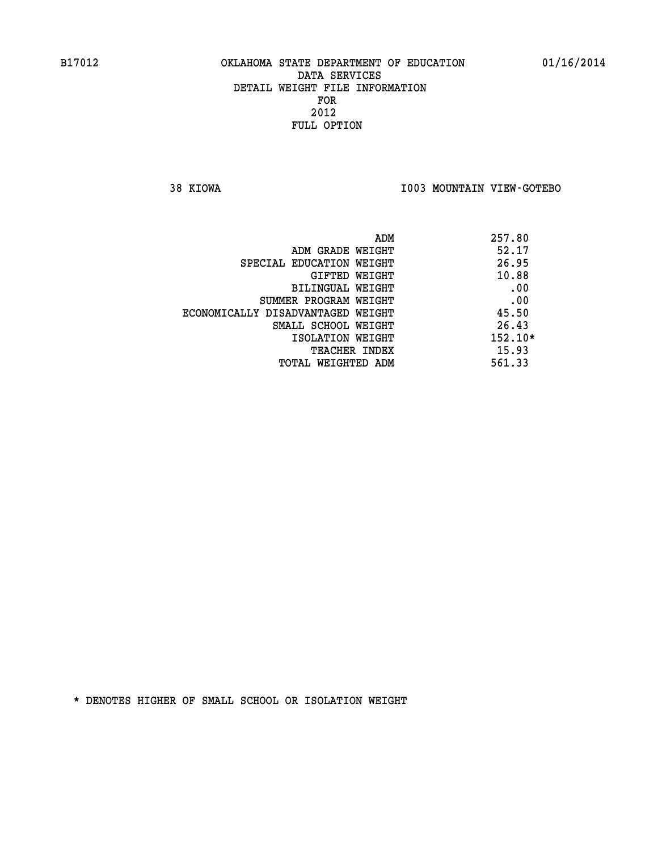**38 KIOWA I003 MOUNTAIN VIEW-GOTEBO** 

| ADM                               | 257.80    |
|-----------------------------------|-----------|
| ADM GRADE WEIGHT                  | 52.17     |
| SPECIAL EDUCATION WEIGHT          | 26.95     |
| GIFTED WEIGHT                     | 10.88     |
| BILINGUAL WEIGHT                  | .00       |
| SUMMER PROGRAM WEIGHT             | .00       |
| ECONOMICALLY DISADVANTAGED WEIGHT | 45.50     |
| SMALL SCHOOL WEIGHT               | 26.43     |
| ISOLATION WEIGHT                  | $152.10*$ |
| <b>TEACHER INDEX</b>              | 15.93     |
| TOTAL WEIGHTED ADM                | 561.33    |
|                                   |           |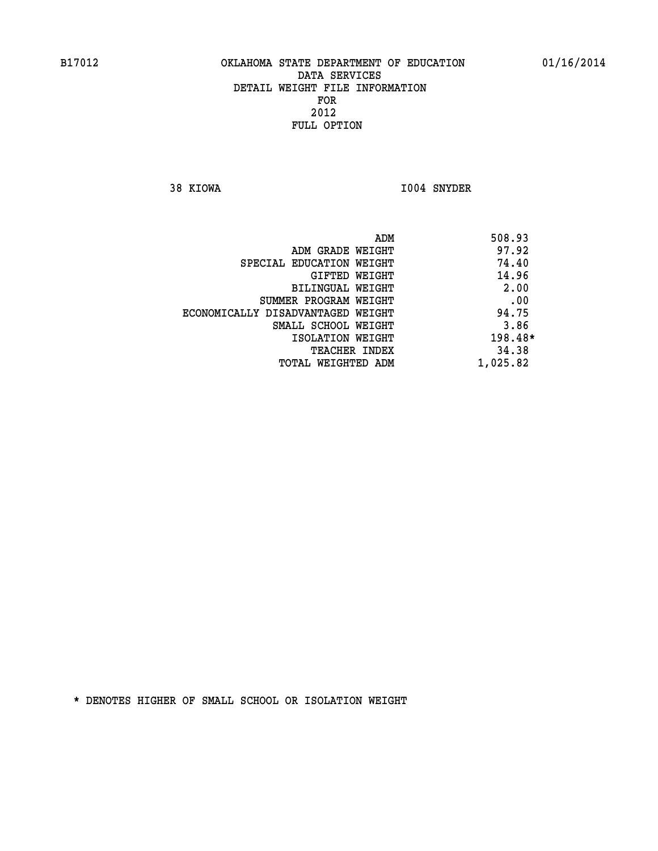**38 KIOWA I004 SNYDER** 

|                                   | ADM | 508.93   |
|-----------------------------------|-----|----------|
| ADM GRADE WEIGHT                  |     | 97.92    |
| SPECIAL EDUCATION WEIGHT          |     | 74.40    |
| GIFTED WEIGHT                     |     | 14.96    |
| BILINGUAL WEIGHT                  |     | 2.00     |
| SUMMER PROGRAM WEIGHT             |     | .00      |
| ECONOMICALLY DISADVANTAGED WEIGHT |     | 94.75    |
| SMALL SCHOOL WEIGHT               |     | 3.86     |
| ISOLATION WEIGHT                  |     | 198.48*  |
| TEACHER INDEX                     |     | 34.38    |
| TOTAL WEIGHTED ADM                |     | 1,025.82 |
|                                   |     |          |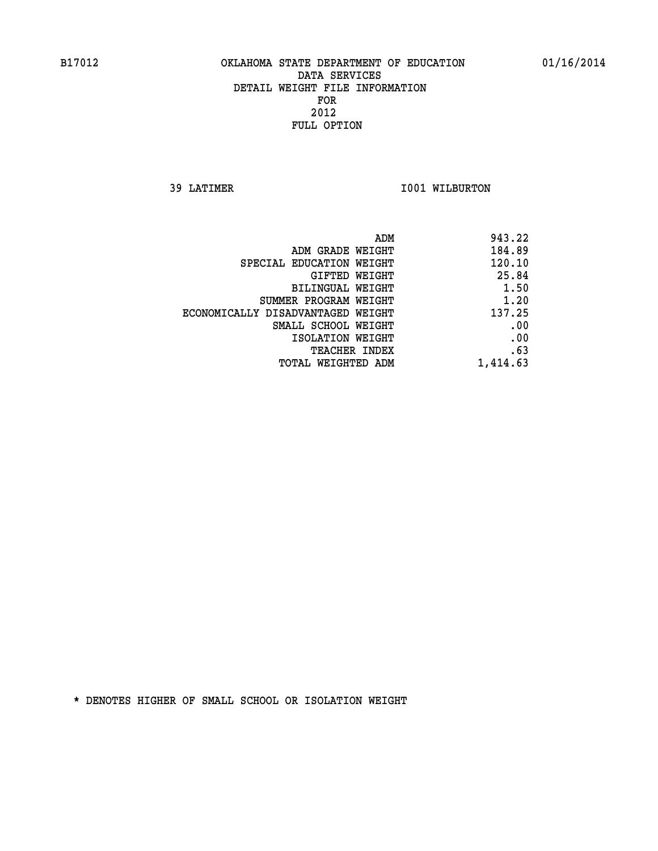**39 LATIMER 1001 WILBURTON** 

| ADM                               | 943.22   |
|-----------------------------------|----------|
| ADM GRADE WEIGHT                  | 184.89   |
| SPECIAL EDUCATION WEIGHT          | 120.10   |
| GIFTED WEIGHT                     | 25.84    |
| BILINGUAL WEIGHT                  | 1.50     |
| SUMMER PROGRAM WEIGHT             | 1.20     |
| ECONOMICALLY DISADVANTAGED WEIGHT | 137.25   |
| SMALL SCHOOL WEIGHT               | .00      |
| ISOLATION WEIGHT                  | .00      |
| TEACHER INDEX                     | .63      |
| TOTAL WEIGHTED ADM                | 1,414.63 |
|                                   |          |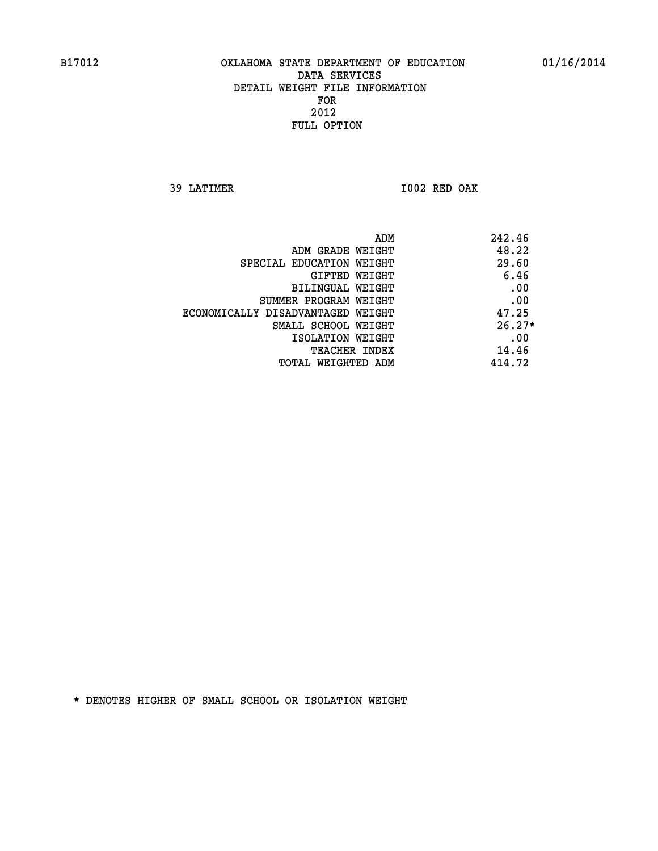**39 LATIMER I002 RED OAK** 

| ADM<br>242.46 |                                   |
|---------------|-----------------------------------|
| 48.22         | ADM GRADE WEIGHT                  |
| 29.60         | SPECIAL EDUCATION WEIGHT          |
| 6.46          | GIFTED WEIGHT                     |
| .00           | <b>BILINGUAL WEIGHT</b>           |
| .00           | SUMMER PROGRAM WEIGHT             |
| 47.25         | ECONOMICALLY DISADVANTAGED WEIGHT |
| $26.27*$      | SMALL SCHOOL WEIGHT               |
| .00           | ISOLATION WEIGHT                  |
| 14.46         | TEACHER INDEX                     |
| 414.72        | TOTAL WEIGHTED ADM                |
|               |                                   |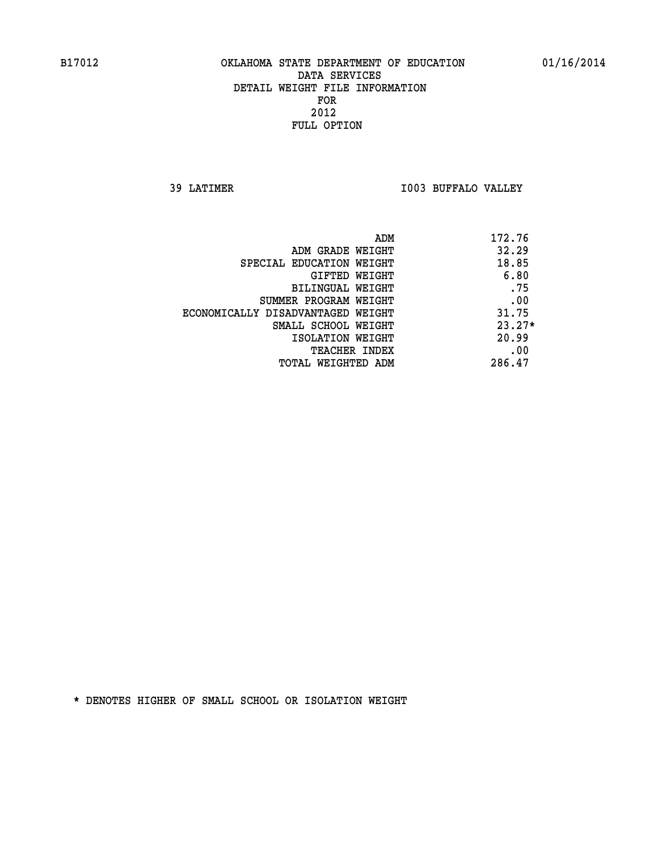**39 LATIMER I003 BUFFALO VALLEY** 

| ADM                               | 172.76   |
|-----------------------------------|----------|
| ADM GRADE WEIGHT                  | 32.29    |
| SPECIAL EDUCATION WEIGHT          | 18.85    |
| GIFTED WEIGHT                     | 6.80     |
| BILINGUAL WEIGHT                  | .75      |
| SUMMER PROGRAM WEIGHT             | .00      |
| ECONOMICALLY DISADVANTAGED WEIGHT | 31.75    |
| SMALL SCHOOL WEIGHT               | $23.27*$ |
| ISOLATION WEIGHT                  | 20.99    |
| <b>TEACHER INDEX</b>              | .00      |
| TOTAL WEIGHTED ADM                | 286.47   |
|                                   |          |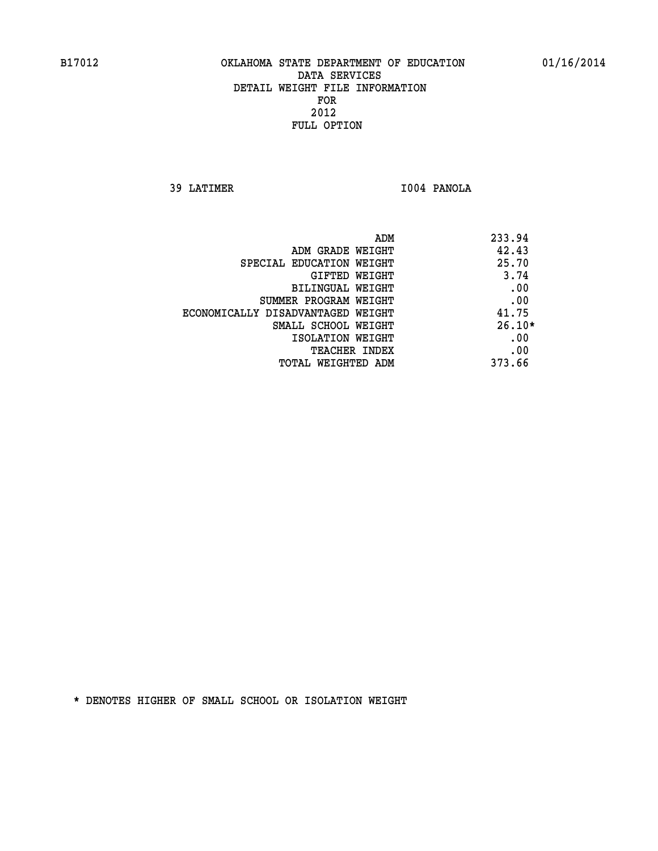**39 LATIMER I004 PANOLA** 

|                                   | ADM | 233.94   |
|-----------------------------------|-----|----------|
| ADM GRADE WEIGHT                  |     | 42.43    |
| SPECIAL EDUCATION WEIGHT          |     | 25.70    |
| GIFTED WEIGHT                     |     | 3.74     |
| BILINGUAL WEIGHT                  |     | .00      |
| SUMMER PROGRAM WEIGHT             |     | .00      |
| ECONOMICALLY DISADVANTAGED WEIGHT |     | 41.75    |
| SMALL SCHOOL WEIGHT               |     | $26.10*$ |
| ISOLATION WEIGHT                  |     | .00      |
| TEACHER INDEX                     |     | .00      |
| TOTAL WEIGHTED ADM                |     | 373.66   |
|                                   |     |          |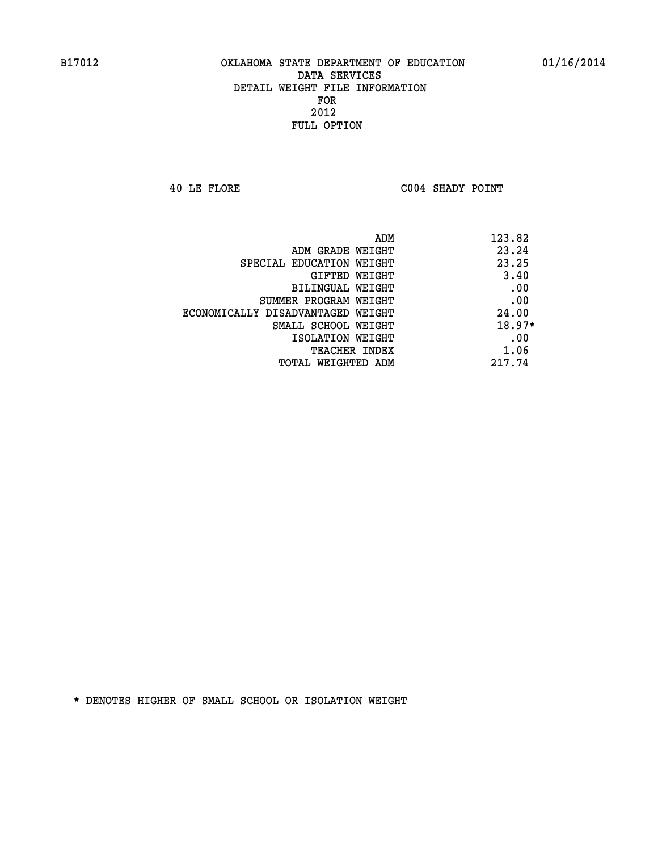**40 LE FLORE C004 SHADY POINT** 

| ADM                               | 123.82   |
|-----------------------------------|----------|
| ADM GRADE WEIGHT                  | 23.24    |
| SPECIAL EDUCATION WEIGHT          | 23.25    |
| GIFTED WEIGHT                     | 3.40     |
| BILINGUAL WEIGHT                  | .00      |
| SUMMER PROGRAM WEIGHT             | .00      |
| ECONOMICALLY DISADVANTAGED WEIGHT | 24.00    |
| SMALL SCHOOL WEIGHT               | $18.97*$ |
| ISOLATION WEIGHT                  | .00      |
| <b>TEACHER INDEX</b>              | 1.06     |
| TOTAL WEIGHTED ADM                | 217.74   |
|                                   |          |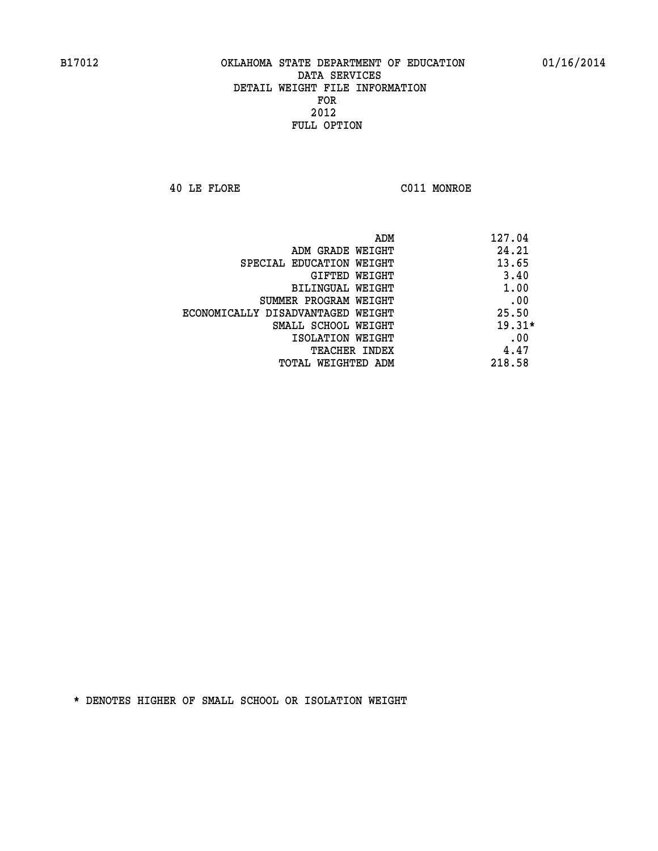**40 LE FLORE C011 MONROE** 

| ADM                               | 127.04   |
|-----------------------------------|----------|
| ADM GRADE WEIGHT                  | 24.21    |
| SPECIAL EDUCATION WEIGHT          | 13.65    |
| <b>GIFTED WEIGHT</b>              | 3.40     |
| BILINGUAL WEIGHT                  | 1.00     |
| SUMMER PROGRAM WEIGHT             | .00      |
| ECONOMICALLY DISADVANTAGED WEIGHT | 25.50    |
| SMALL SCHOOL WEIGHT               | $19.31*$ |
| ISOLATION WEIGHT                  | .00      |
| <b>TEACHER INDEX</b>              | 4.47     |
| TOTAL WEIGHTED ADM                | 218.58   |
|                                   |          |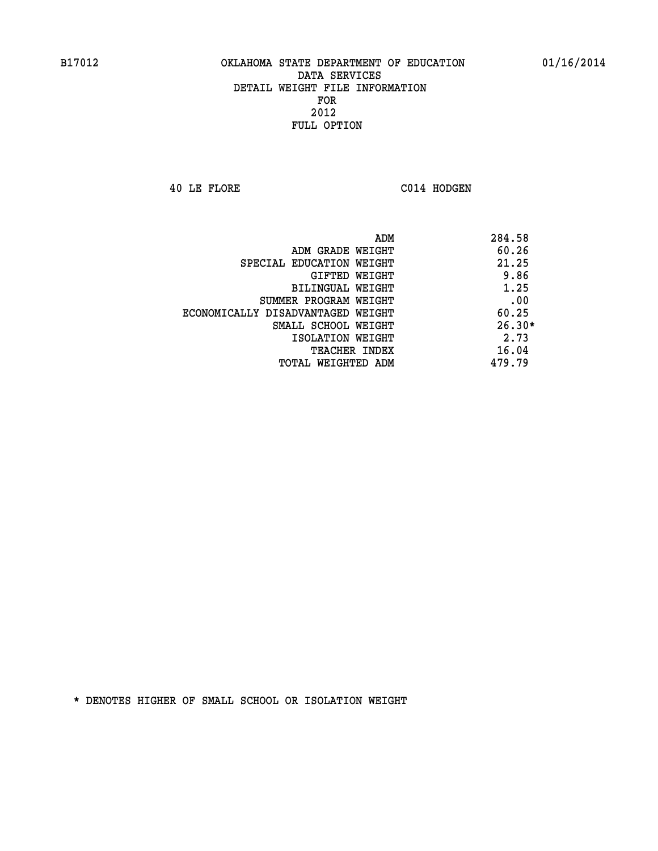**40 LE FLORE C014 HODGEN** 

| ADM                               | 284.58   |
|-----------------------------------|----------|
| ADM GRADE WEIGHT                  | 60.26    |
| SPECIAL EDUCATION WEIGHT          | 21.25    |
| GIFTED WEIGHT                     | 9.86     |
| BILINGUAL WEIGHT                  | 1.25     |
| SUMMER PROGRAM WEIGHT             | .00      |
| ECONOMICALLY DISADVANTAGED WEIGHT | 60.25    |
| SMALL SCHOOL WEIGHT               | $26.30*$ |
| ISOLATION WEIGHT                  | 2.73     |
| <b>TEACHER INDEX</b>              | 16.04    |
| TOTAL WEIGHTED ADM                | 479.79   |
|                                   |          |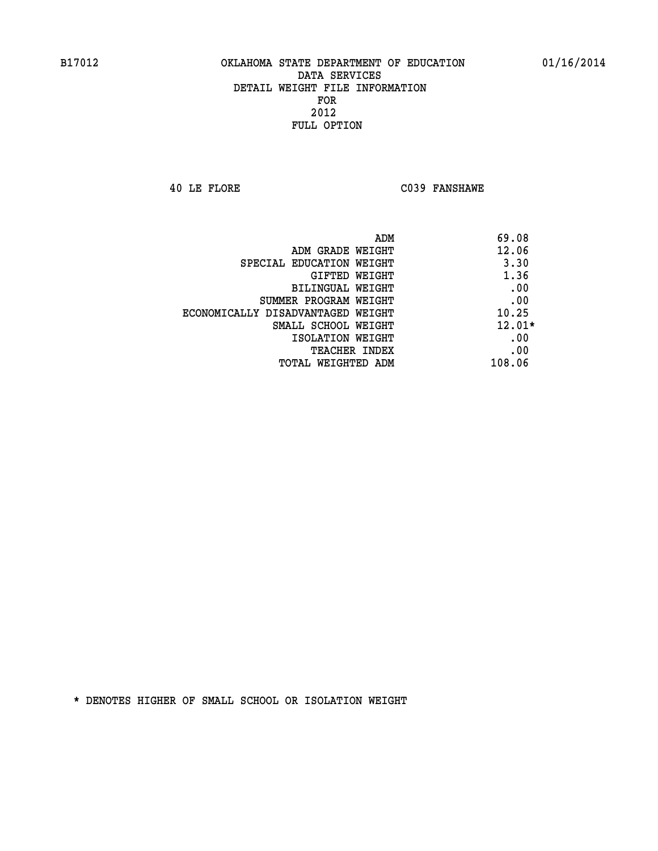**40 LE FLORE C039 FANSHAWE** 

| ADM<br>69.08                               |  |
|--------------------------------------------|--|
| 12.06<br>ADM GRADE WEIGHT                  |  |
| 3.30<br>SPECIAL EDUCATION WEIGHT           |  |
| 1.36<br><b>GIFTED WEIGHT</b>               |  |
| .00<br>BILINGUAL WEIGHT                    |  |
| .00<br>SUMMER PROGRAM WEIGHT               |  |
| 10.25<br>ECONOMICALLY DISADVANTAGED WEIGHT |  |
| $12.01*$<br>SMALL SCHOOL WEIGHT            |  |
| .00<br>ISOLATION WEIGHT                    |  |
| .00<br><b>TEACHER INDEX</b>                |  |
| 108.06<br>TOTAL WEIGHTED ADM               |  |
|                                            |  |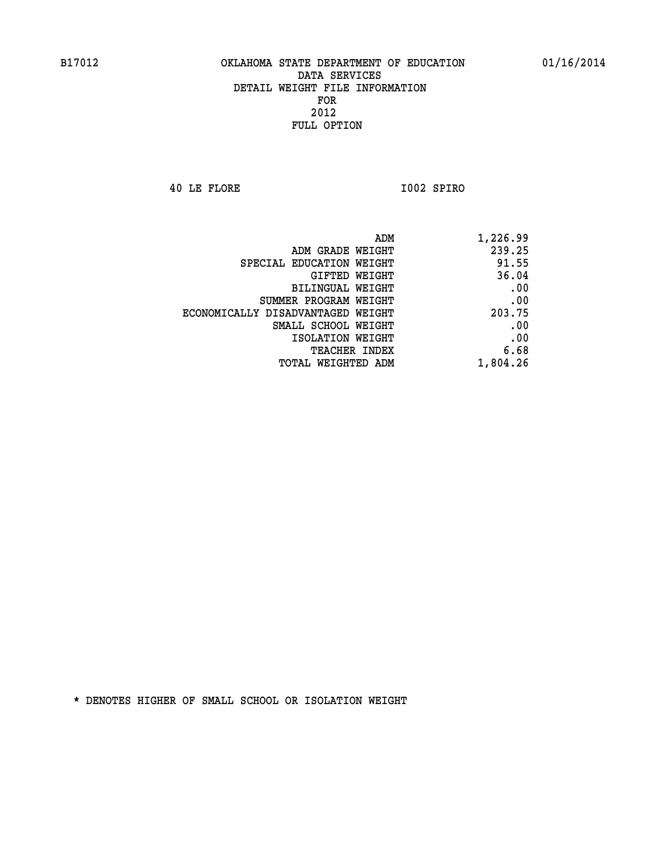**40 LE FLORE I002 SPIRO** 

| ADM                               | 1,226.99 |
|-----------------------------------|----------|
| ADM GRADE WEIGHT                  | 239.25   |
| SPECIAL EDUCATION WEIGHT          | 91.55    |
| GIFTED WEIGHT                     | 36.04    |
| <b>BILINGUAL WEIGHT</b>           | .00      |
| SUMMER PROGRAM WEIGHT             | .00      |
| ECONOMICALLY DISADVANTAGED WEIGHT | 203.75   |
| SMALL SCHOOL WEIGHT               | .00      |
| ISOLATION WEIGHT                  | .00      |
| TEACHER INDEX                     | 6.68     |
| TOTAL WEIGHTED ADM                | 1,804.26 |
|                                   |          |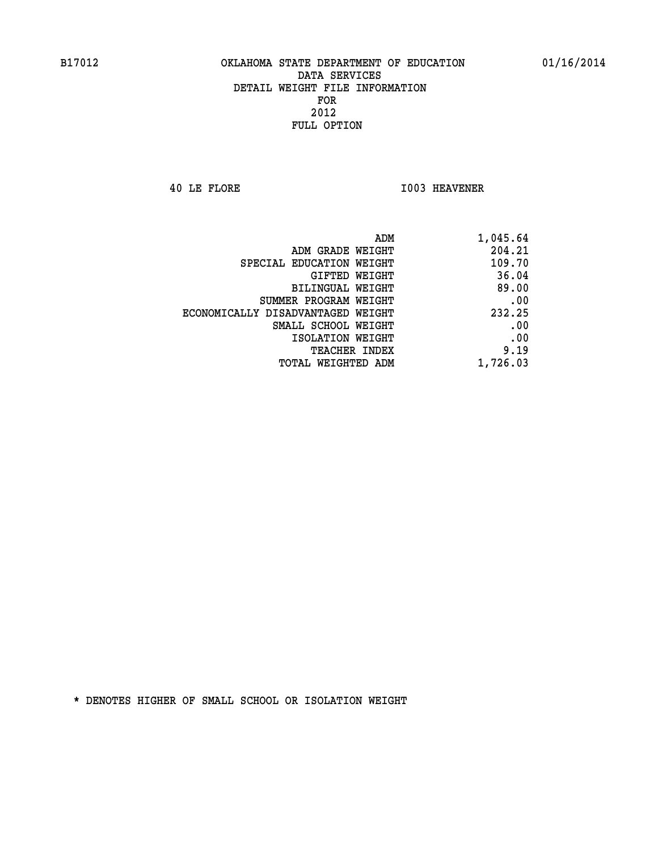**40 LE FLORE 1003 HEAVENER** 

| ADM                               | 1,045.64 |
|-----------------------------------|----------|
| ADM GRADE WEIGHT                  | 204.21   |
| SPECIAL EDUCATION WEIGHT          | 109.70   |
| GIFTED WEIGHT                     | 36.04    |
| BILINGUAL WEIGHT                  | 89.00    |
| SUMMER PROGRAM WEIGHT             | .00      |
| ECONOMICALLY DISADVANTAGED WEIGHT | 232.25   |
| SMALL SCHOOL WEIGHT               | .00      |
| ISOLATION WEIGHT                  | .00      |
| <b>TEACHER INDEX</b>              | 9.19     |
| <b>TOTAL WEIGHTED ADM</b>         | 1,726.03 |
|                                   |          |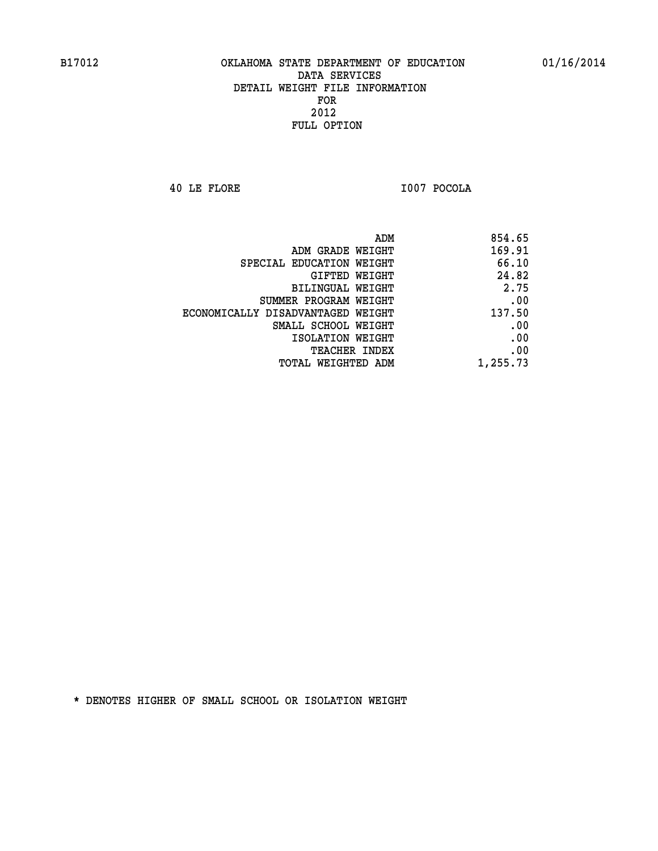**40 LE FLORE I007 POCOLA** 

| ADM                               | 854.65   |
|-----------------------------------|----------|
| ADM GRADE WEIGHT                  | 169.91   |
| SPECIAL EDUCATION WEIGHT          | 66.10    |
| GIFTED WEIGHT                     | 24.82    |
| <b>BILINGUAL WEIGHT</b>           | 2.75     |
| SUMMER PROGRAM WEIGHT             | .00      |
| ECONOMICALLY DISADVANTAGED WEIGHT | 137.50   |
| SMALL SCHOOL WEIGHT               | .00      |
| ISOLATION WEIGHT                  | .00      |
| TEACHER INDEX                     | .00      |
| TOTAL WEIGHTED ADM                | 1,255.73 |
|                                   |          |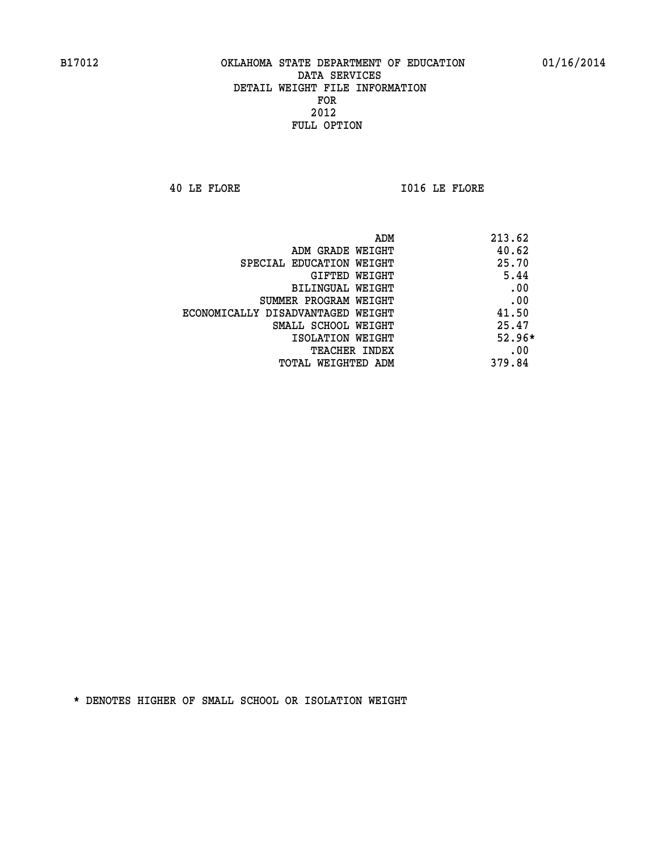**40 LE FLORE I016 LE FLORE** 

| ADM<br>213.62                              |  |
|--------------------------------------------|--|
| 40.62<br>ADM GRADE WEIGHT                  |  |
| 25.70<br>SPECIAL EDUCATION WEIGHT          |  |
| 5.44<br><b>GIFTED WEIGHT</b>               |  |
| .00<br>BILINGUAL WEIGHT                    |  |
| .00<br>SUMMER PROGRAM WEIGHT               |  |
| 41.50<br>ECONOMICALLY DISADVANTAGED WEIGHT |  |
| 25.47<br>SMALL SCHOOL WEIGHT               |  |
| $52.96*$<br>ISOLATION WEIGHT               |  |
| .00<br><b>TEACHER INDEX</b>                |  |
| 379.84<br>TOTAL WEIGHTED ADM               |  |
|                                            |  |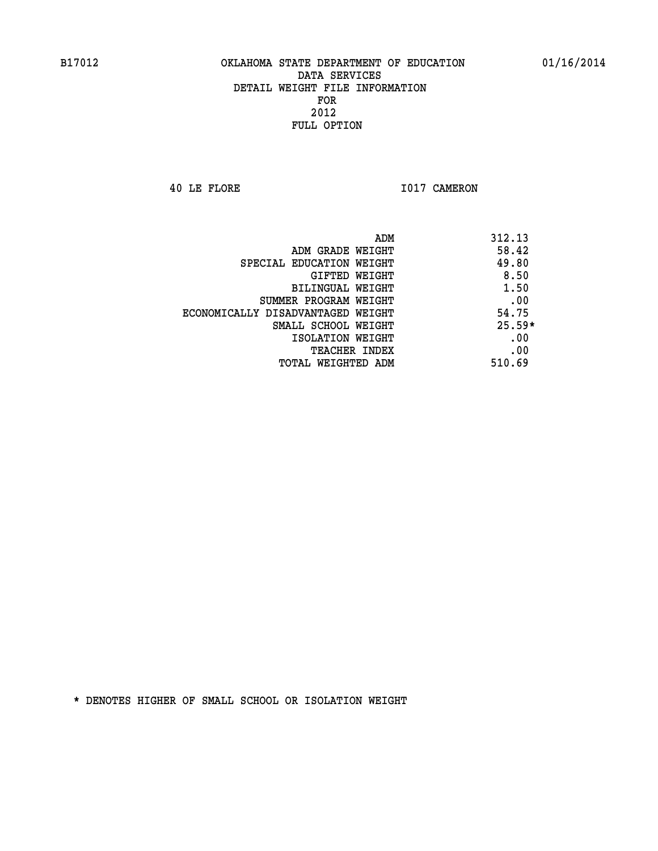**40 LE FLORE 1017 CAMERON** 

|                                   | ADM<br>312.13 |  |
|-----------------------------------|---------------|--|
| ADM GRADE WEIGHT                  | 58.42         |  |
| SPECIAL EDUCATION WEIGHT          | 49.80         |  |
| GIFTED WEIGHT                     | 8.50          |  |
| BILINGUAL WEIGHT                  | 1.50          |  |
| SUMMER PROGRAM WEIGHT             | .00           |  |
| ECONOMICALLY DISADVANTAGED WEIGHT | 54.75         |  |
| SMALL SCHOOL WEIGHT               | $25.59*$      |  |
| ISOLATION WEIGHT                  | .00           |  |
| <b>TEACHER INDEX</b>              | .00           |  |
| TOTAL WEIGHTED ADM                | 510.69        |  |
|                                   |               |  |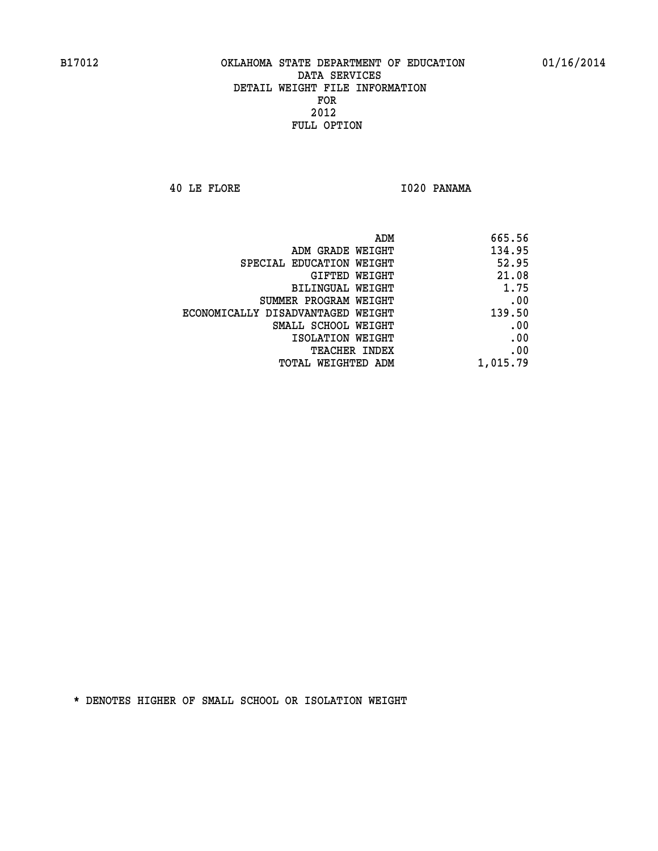**40 LE FLORE I020 PANAMA** 

| 665.56   |
|----------|
| 134.95   |
| 52.95    |
| 21.08    |
| 1.75     |
| .00      |
| 139.50   |
| .00      |
| .00      |
| .00      |
| 1,015.79 |
|          |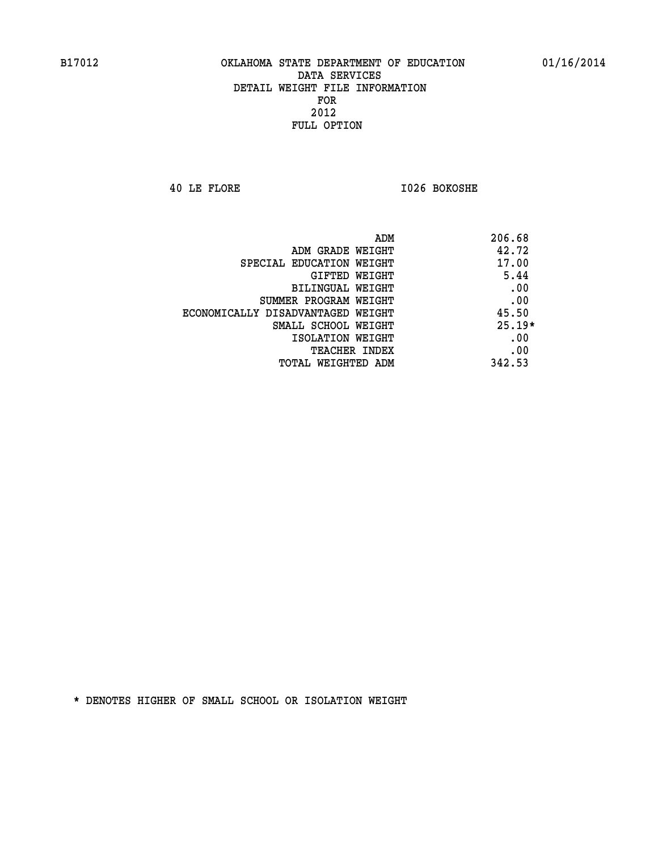**40 LE FLORE I026 BOKOSHE** 

|                                   | ADM<br>206.68 |
|-----------------------------------|---------------|
| ADM GRADE WEIGHT                  | 42.72         |
| SPECIAL EDUCATION WEIGHT          | 17.00         |
| GIFTED WEIGHT                     | 5.44          |
| BILINGUAL WEIGHT                  | .00           |
| SUMMER PROGRAM WEIGHT             | .00           |
| ECONOMICALLY DISADVANTAGED WEIGHT | 45.50         |
| SMALL SCHOOL WEIGHT               | $25.19*$      |
| ISOLATION WEIGHT                  | .00           |
| <b>TEACHER INDEX</b>              | .00           |
| TOTAL WEIGHTED ADM                | 342.53        |
|                                   |               |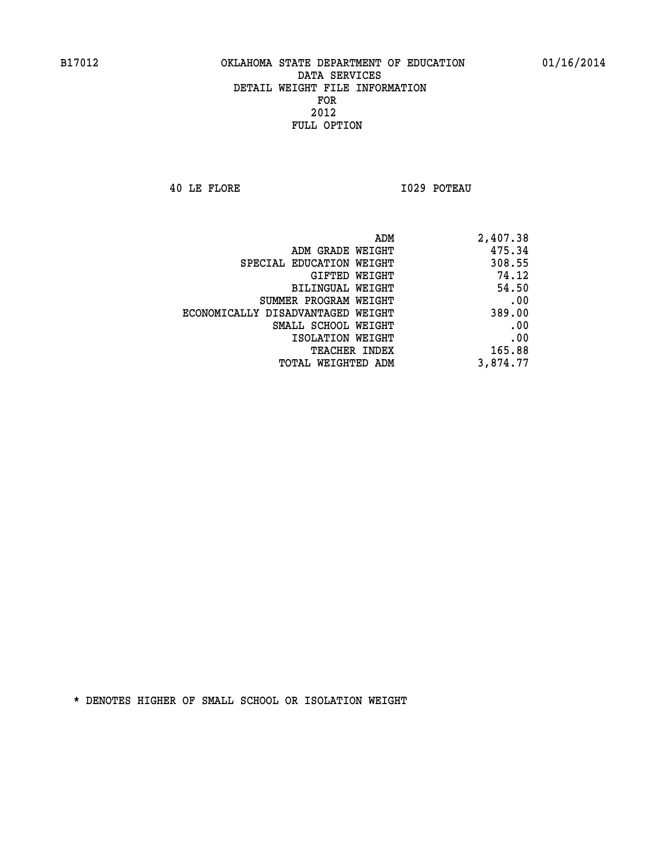**40 LE FLORE I029 POTEAU** 

| 2,407.38 |
|----------|
| 475.34   |
| 308.55   |
| 74.12    |
| 54.50    |
| .00      |
| 389.00   |
| .00      |
| .00      |
| 165.88   |
| 3,874.77 |
|          |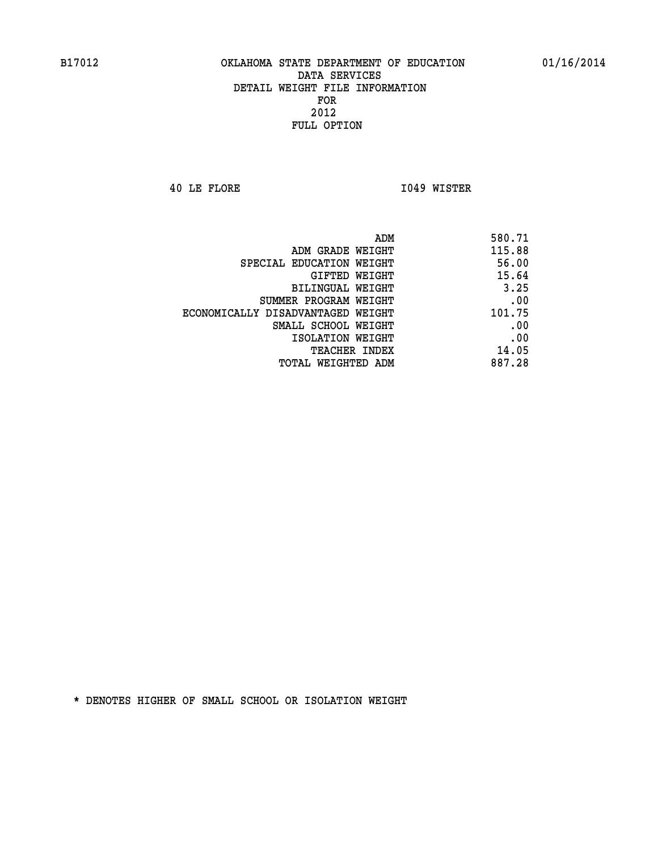**40 LE FLORE I049 WISTER** 

| 580.71                                             |
|----------------------------------------------------|
| 115.88<br>ADM GRADE WEIGHT                         |
| 56.00<br>SPECIAL EDUCATION WEIGHT                  |
| 15.64                                              |
| 3.25<br><b>BILINGUAL WEIGHT</b>                    |
| .00<br>SUMMER PROGRAM WEIGHT                       |
| 101.75<br>ECONOMICALLY DISADVANTAGED WEIGHT        |
| .00<br>SMALL SCHOOL WEIGHT                         |
| .00                                                |
| 14.05                                              |
| 887.28<br>TOTAL WEIGHTED ADM                       |
| GIFTED WEIGHT<br>ISOLATION WEIGHT<br>TEACHER INDEX |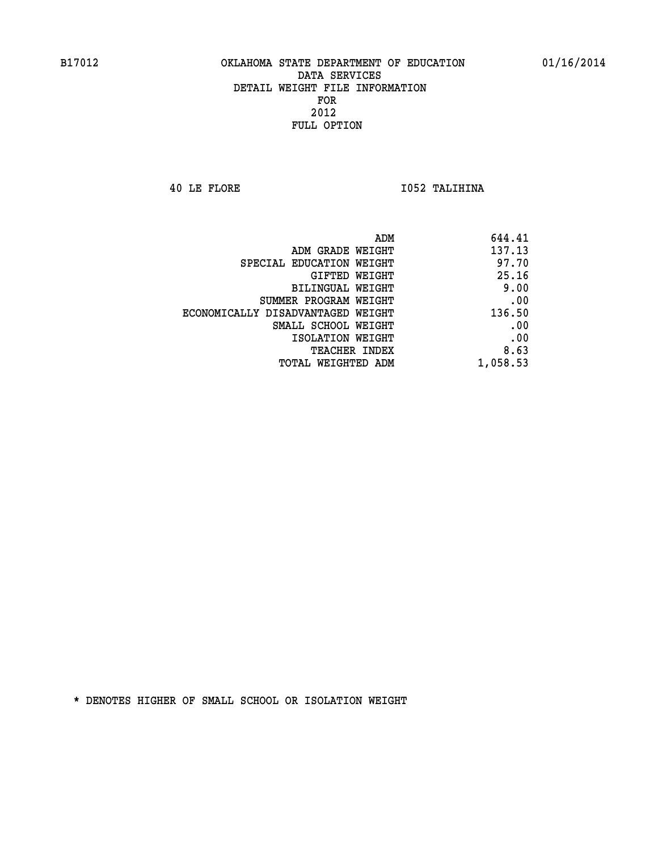**40 LE FLORE I052 TALIHINA** 

| ADM                               | 644.41   |
|-----------------------------------|----------|
| ADM GRADE WEIGHT                  | 137.13   |
| SPECIAL EDUCATION WEIGHT          | 97.70    |
| GIFTED WEIGHT                     | 25.16    |
| <b>BILINGUAL WEIGHT</b>           | 9.00     |
| SUMMER PROGRAM WEIGHT             | .00      |
| ECONOMICALLY DISADVANTAGED WEIGHT | 136.50   |
| SMALL SCHOOL WEIGHT               | .00      |
| ISOLATION WEIGHT                  | .00      |
| TEACHER INDEX                     | 8.63     |
| TOTAL WEIGHTED ADM                | 1,058.53 |
|                                   |          |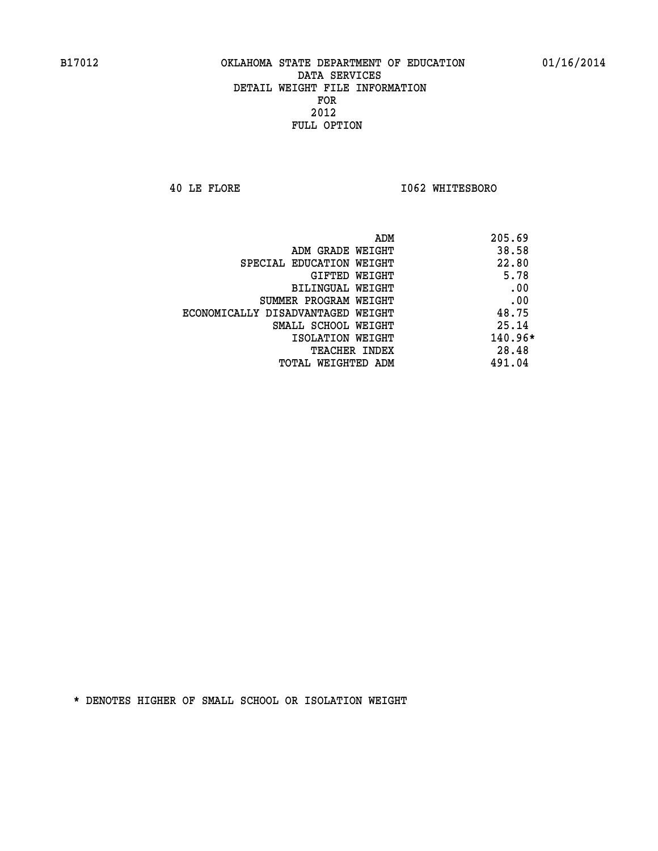**40 LE FLORE I062 WHITESBORO** 

| ADM                               | 205.69    |
|-----------------------------------|-----------|
| ADM GRADE WEIGHT                  | 38.58     |
| SPECIAL EDUCATION WEIGHT          | 22.80     |
| GIFTED WEIGHT                     | 5.78      |
| BILINGUAL WEIGHT                  | .00       |
| SUMMER PROGRAM WEIGHT             | .00       |
| ECONOMICALLY DISADVANTAGED WEIGHT | 48.75     |
| SMALL SCHOOL WEIGHT               | 25.14     |
| ISOLATION WEIGHT                  | $140.96*$ |
| <b>TEACHER INDEX</b>              | 28.48     |
| TOTAL WEIGHTED ADM                | 491.04    |
|                                   |           |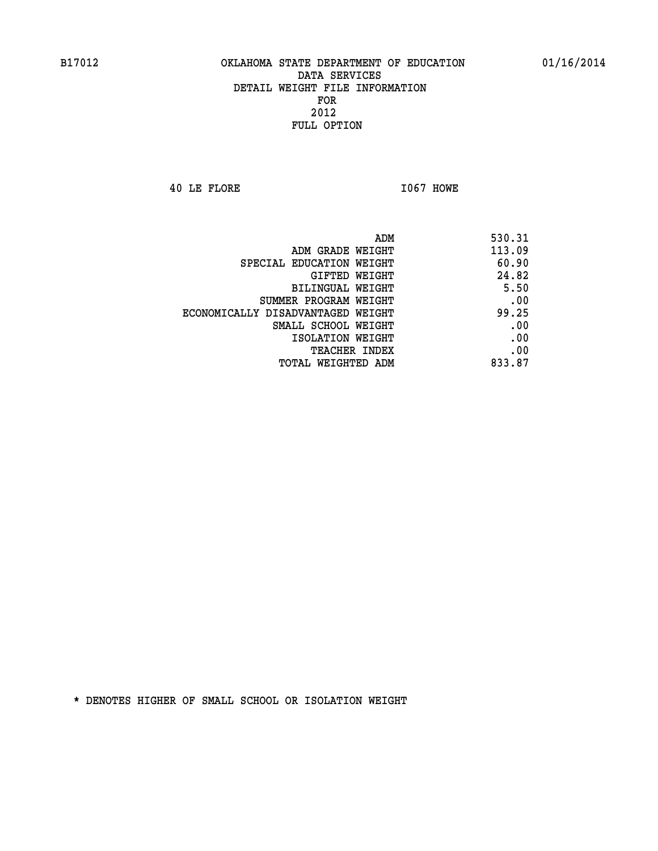**40 LE FLORE I067 HOWE** 

| 530.31 |
|--------|
| 113.09 |
| 60.90  |
| 24.82  |
| 5.50   |
| .00    |
| 99.25  |
| .00    |
| .00    |
| .00    |
| 833.87 |
|        |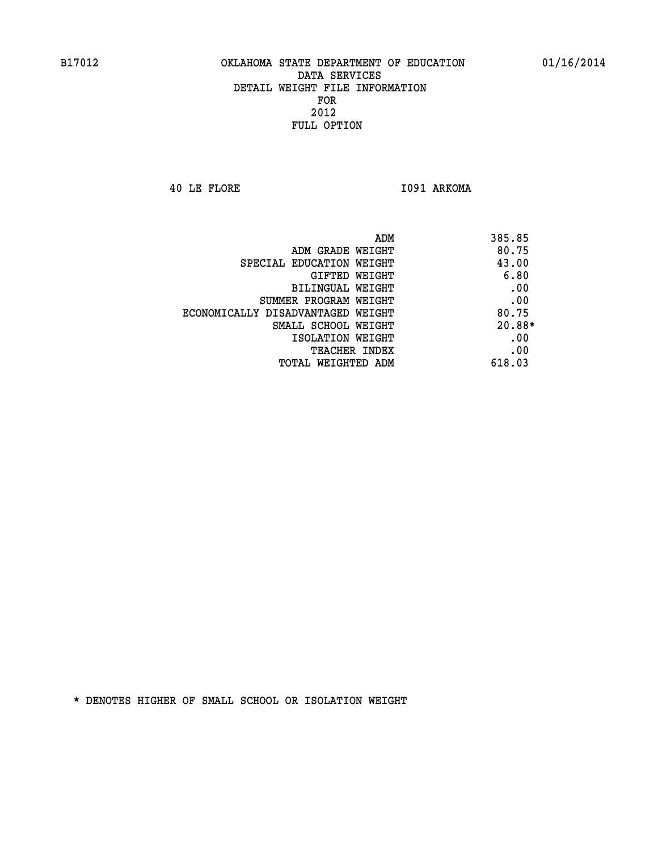**40 LE FLORE I091 ARKOMA** 

| ADM<br>385.85                     |        |
|-----------------------------------|--------|
| ADM GRADE WEIGHT                  | 80.75  |
| SPECIAL EDUCATION WEIGHT          | 43.00  |
| <b>GIFTED WEIGHT</b>              | 6.80   |
| BILINGUAL WEIGHT                  | .00    |
| SUMMER PROGRAM WEIGHT             | .00    |
| ECONOMICALLY DISADVANTAGED WEIGHT | 80.75  |
| SMALL SCHOOL WEIGHT               | 20.88* |
| ISOLATION WEIGHT                  | .00    |
| <b>TEACHER INDEX</b>              | .00    |
| 618.03<br>TOTAL WEIGHTED ADM      |        |
|                                   |        |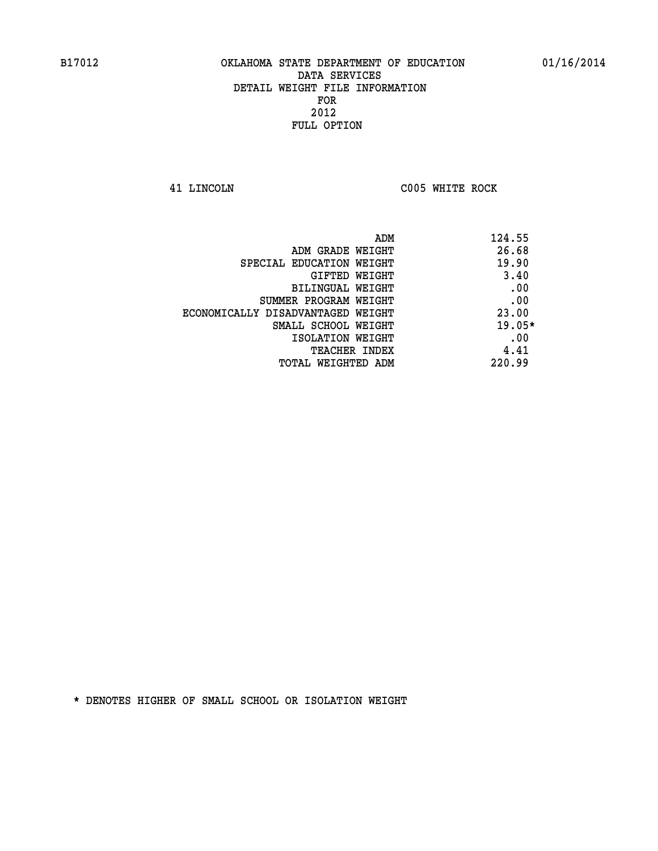**41 LINCOLN C005 WHITE ROCK** 

| 124.55   | ADM                               |
|----------|-----------------------------------|
| 26.68    | ADM GRADE WEIGHT                  |
| 19.90    | SPECIAL EDUCATION WEIGHT          |
| 3.40     | <b>GIFTED WEIGHT</b>              |
| .00      | BILINGUAL WEIGHT                  |
| .00      | SUMMER PROGRAM WEIGHT             |
| 23.00    | ECONOMICALLY DISADVANTAGED WEIGHT |
| $19.05*$ | SMALL SCHOOL WEIGHT               |
| .00      | ISOLATION WEIGHT                  |
| 4.41     | <b>TEACHER INDEX</b>              |
| 220.99   | TOTAL WEIGHTED ADM                |
|          |                                   |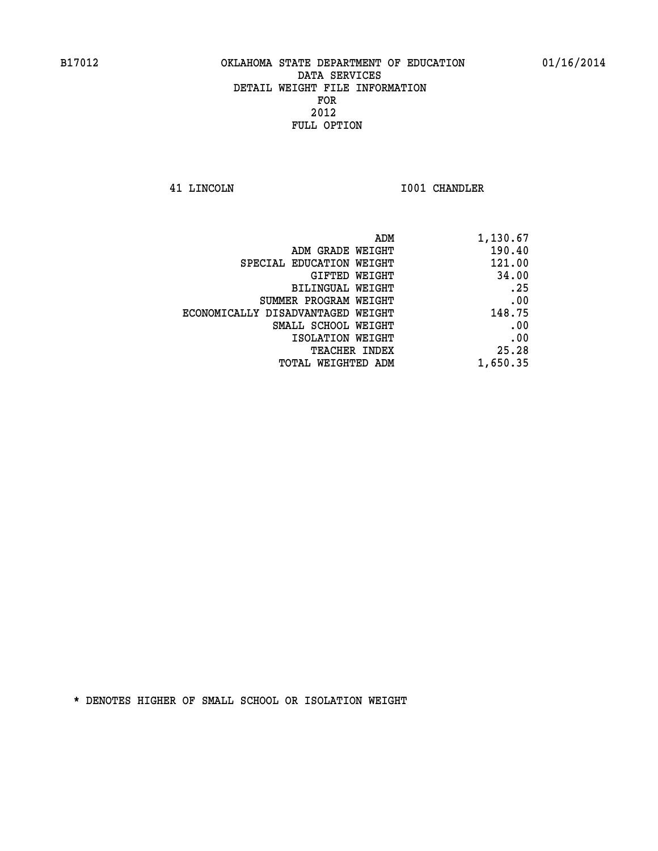**41 LINCOLN I001 CHANDLER** 

| 1,130.67 |
|----------|
| 190.40   |
| 121.00   |
| 34.00    |
| .25      |
| .00      |
| 148.75   |
| .00      |
| .00      |
| 25.28    |
| 1,650.35 |
|          |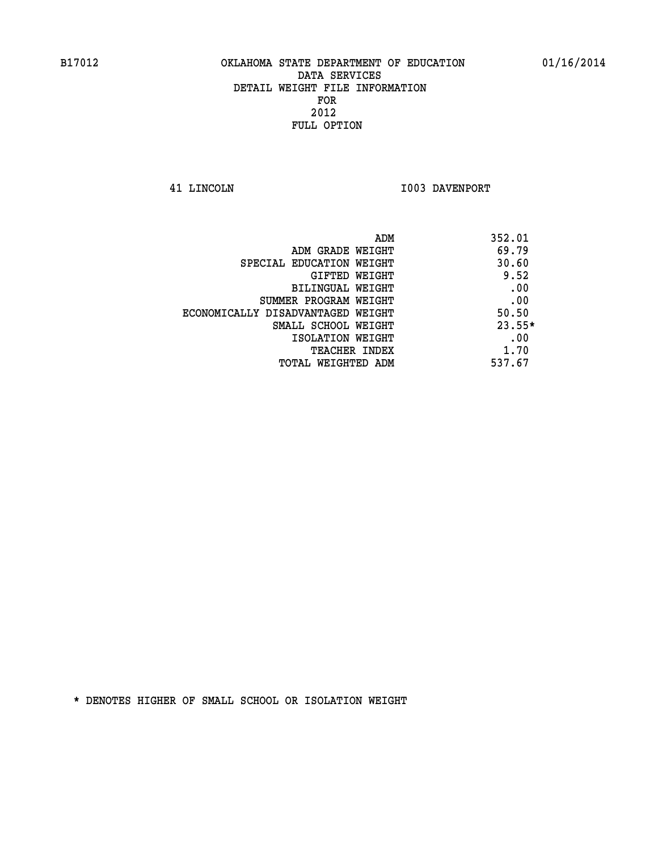**41 LINCOLN I003 DAVENPORT** 

| ADM                               | 352.01   |
|-----------------------------------|----------|
| ADM GRADE WEIGHT                  | 69.79    |
| SPECIAL EDUCATION WEIGHT          | 30.60    |
| GIFTED WEIGHT                     | 9.52     |
| BILINGUAL WEIGHT                  | .00      |
| SUMMER PROGRAM WEIGHT             | .00      |
| ECONOMICALLY DISADVANTAGED WEIGHT | 50.50    |
| SMALL SCHOOL WEIGHT               | $23.55*$ |
| ISOLATION WEIGHT                  | .00      |
| <b>TEACHER INDEX</b>              | 1.70     |
| TOTAL WEIGHTED ADM                | 537.67   |
|                                   |          |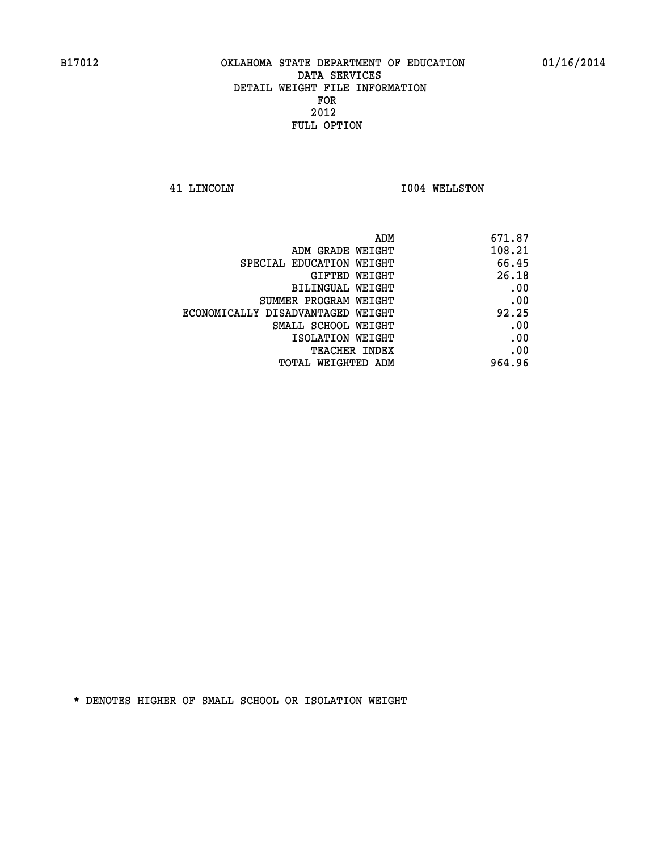**41 LINCOLN I004 WELLSTON** 

| 108.21 |
|--------|
| 66.45  |
| 26.18  |
| .00    |
| .00    |
| 92.25  |
| .00    |
| .00    |
| .00    |
| 964.96 |
|        |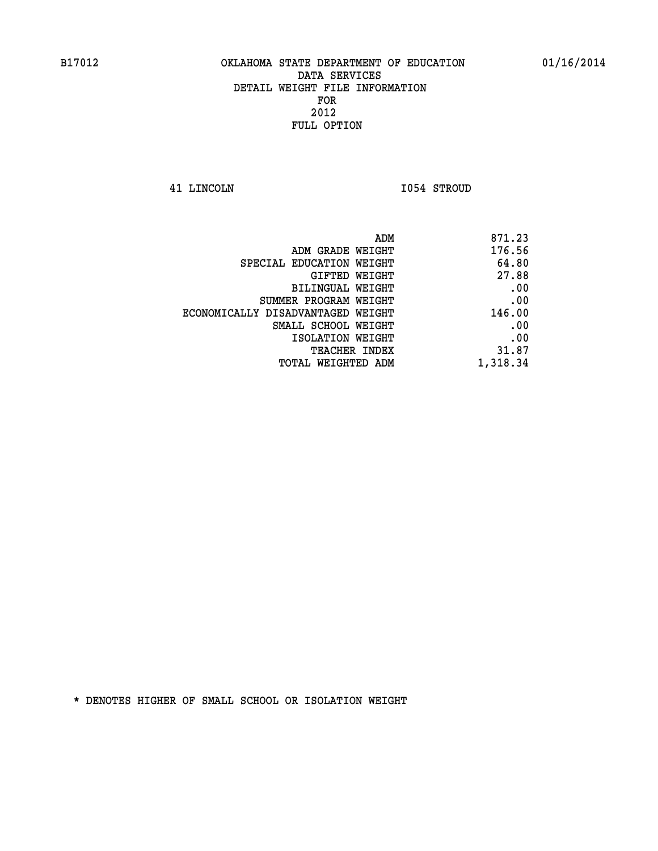**41 LINCOLN I054 STROUD** 

| ADM                               | 871.23   |
|-----------------------------------|----------|
| ADM GRADE WEIGHT                  | 176.56   |
| SPECIAL EDUCATION WEIGHT          | 64.80    |
| GIFTED WEIGHT                     | 27.88    |
| BILINGUAL WEIGHT                  | .00      |
| SUMMER PROGRAM WEIGHT             | .00      |
| ECONOMICALLY DISADVANTAGED WEIGHT | 146.00   |
| SMALL SCHOOL WEIGHT               | .00      |
| ISOLATION WEIGHT                  | .00      |
| <b>TEACHER INDEX</b>              | 31.87    |
| TOTAL WEIGHTED ADM                | 1,318.34 |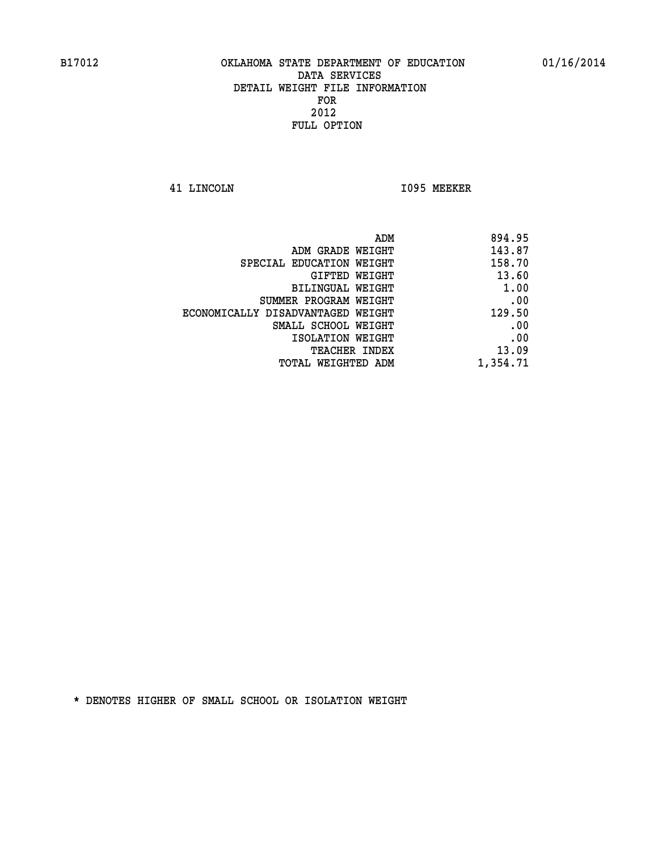**41 LINCOLN I095 MEEKER** 

| 894.95   |
|----------|
| 143.87   |
| 158.70   |
| 13.60    |
| 1.00     |
| .00      |
| 129.50   |
| .00      |
| .00      |
| 13.09    |
| 1,354.71 |
|          |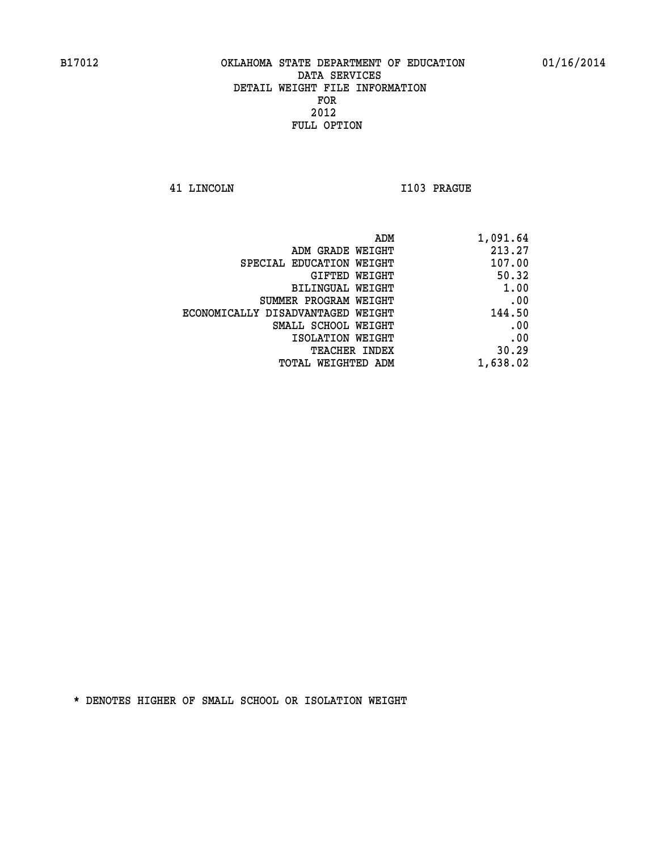**41 LINCOLN I103 PRAGUE** 

| ADM                               | 1,091.64 |
|-----------------------------------|----------|
| ADM GRADE WEIGHT                  | 213.27   |
| SPECIAL EDUCATION WEIGHT          | 107.00   |
| GIFTED WEIGHT                     | 50.32    |
| <b>BILINGUAL WEIGHT</b>           | 1.00     |
| SUMMER PROGRAM WEIGHT             | .00      |
| ECONOMICALLY DISADVANTAGED WEIGHT | 144.50   |
| SMALL SCHOOL WEIGHT               | .00      |
| ISOLATION WEIGHT                  | .00      |
| <b>TEACHER INDEX</b>              | 30.29    |
| TOTAL WEIGHTED ADM                | 1,638.02 |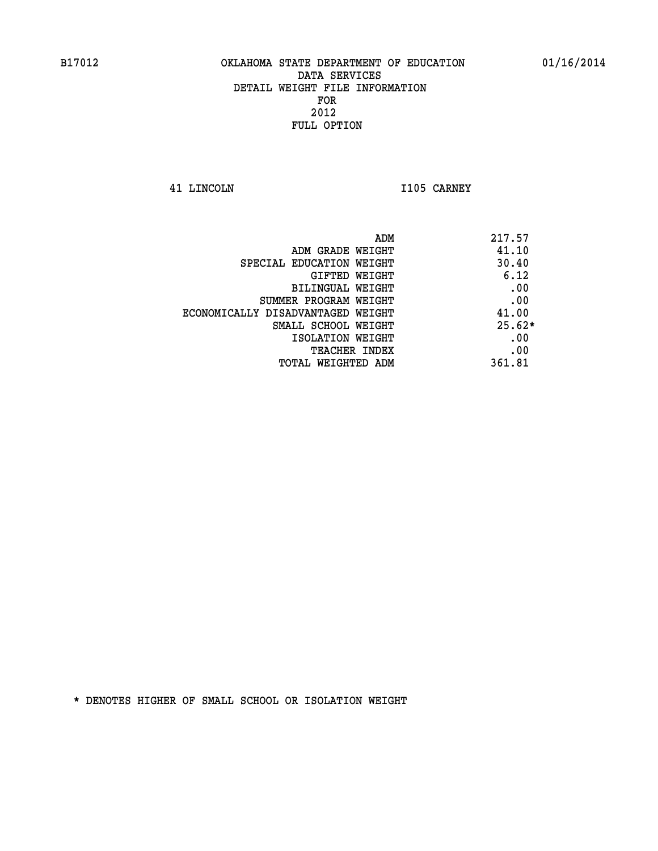**41 LINCOLN I105 CARNEY** 

| 217.57   | ADM                               |
|----------|-----------------------------------|
| 41.10    | ADM GRADE WEIGHT                  |
| 30.40    | SPECIAL EDUCATION WEIGHT          |
| 6.12     | <b>GIFTED WEIGHT</b>              |
| .00      | BILINGUAL WEIGHT                  |
| .00      | SUMMER PROGRAM WEIGHT             |
| 41.00    | ECONOMICALLY DISADVANTAGED WEIGHT |
| $25.62*$ | SMALL SCHOOL WEIGHT               |
| .00      | ISOLATION WEIGHT                  |
| .00      | <b>TEACHER INDEX</b>              |
| 361.81   | TOTAL WEIGHTED ADM                |
|          |                                   |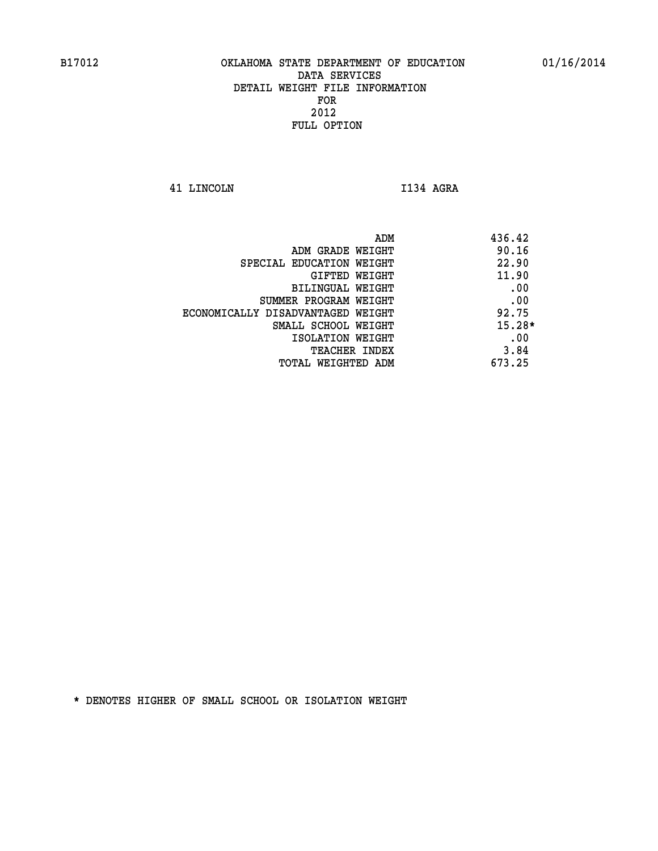**41 LINCOLN I134 AGRA** 

|                                   | ADM | 436.42   |
|-----------------------------------|-----|----------|
| ADM GRADE WEIGHT                  |     | 90.16    |
| SPECIAL EDUCATION WEIGHT          |     | 22.90    |
| GIFTED WEIGHT                     |     | 11.90    |
| BILINGUAL WEIGHT                  |     | .00      |
| SUMMER PROGRAM WEIGHT             |     | .00      |
| ECONOMICALLY DISADVANTAGED WEIGHT |     | 92.75    |
| SMALL SCHOOL WEIGHT               |     | $15.28*$ |
| ISOLATION WEIGHT                  |     | .00      |
| TEACHER INDEX                     |     | 3.84     |
| TOTAL WEIGHTED ADM                |     | 673.25   |
|                                   |     |          |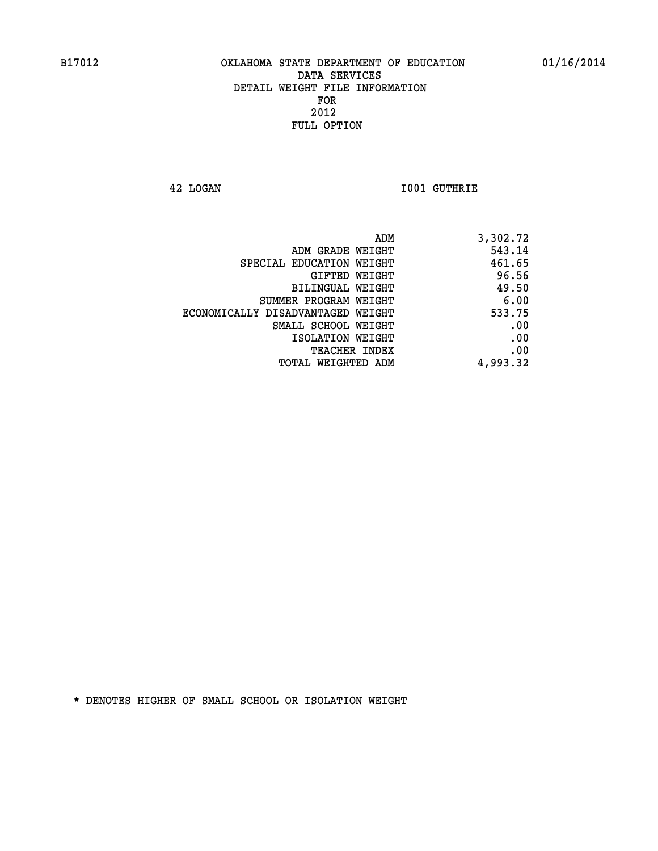**42 LOGAN I001 GUTHRIE** 

| 3,302.72 |
|----------|
| 543.14   |
| 461.65   |
| 96.56    |
| 49.50    |
| 6.00     |
| 533.75   |
| .00      |
| .00      |
| .00      |
| 4,993.32 |
|          |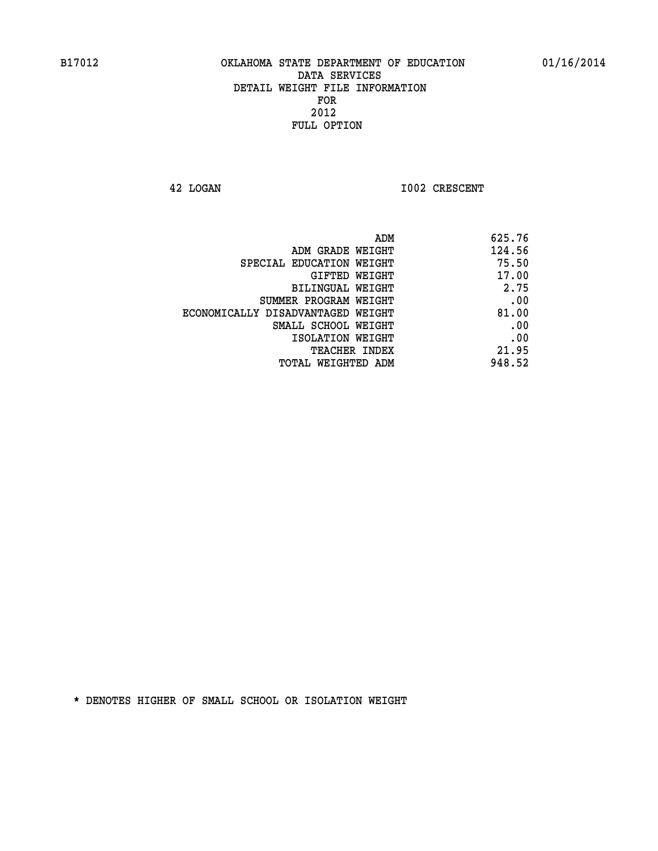**42 LOGAN 1002 CRESCENT** 

| 625.76 |
|--------|
| 124.56 |
| 75.50  |
| 17.00  |
| 2.75   |
| .00    |
| 81.00  |
| .00    |
| .00    |
| 21.95  |
| 948.52 |
|        |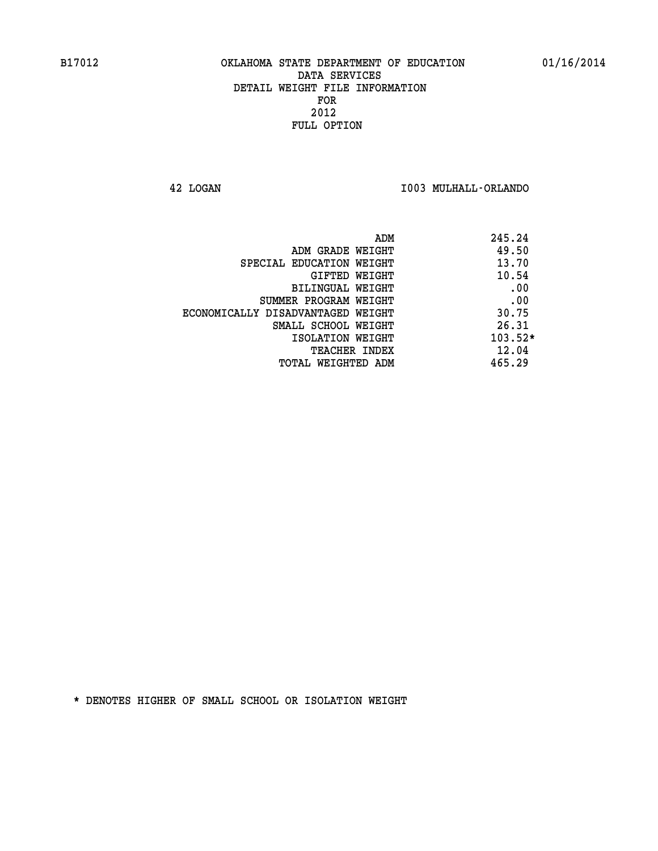**42 LOGAN I003 MULHALL-ORLANDO** 

| ADM<br>245.24                              |
|--------------------------------------------|
| 49.50<br>ADM GRADE WEIGHT                  |
| 13.70<br>SPECIAL EDUCATION WEIGHT          |
| 10.54<br><b>GIFTED WEIGHT</b>              |
| .00<br>BILINGUAL WEIGHT                    |
| .00<br>SUMMER PROGRAM WEIGHT               |
| 30.75<br>ECONOMICALLY DISADVANTAGED WEIGHT |
| 26.31<br>SMALL SCHOOL WEIGHT               |
| $103.52*$<br>ISOLATION WEIGHT              |
| 12.04<br><b>TEACHER INDEX</b>              |
| 465.29<br>TOTAL WEIGHTED ADM               |
|                                            |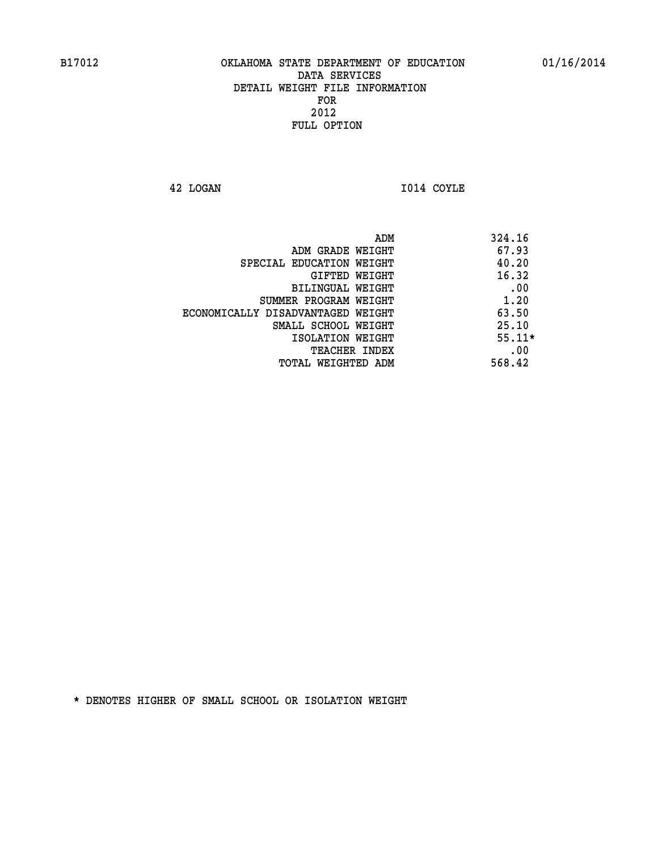**42 LOGAN I014 COYLE** 

| ADM<br>324.16                              |  |
|--------------------------------------------|--|
| 67.93<br>ADM GRADE WEIGHT                  |  |
| 40.20<br>SPECIAL EDUCATION WEIGHT          |  |
| 16.32<br>GIFTED WEIGHT                     |  |
| .00<br><b>BILINGUAL WEIGHT</b>             |  |
| 1.20<br>SUMMER PROGRAM WEIGHT              |  |
| 63.50<br>ECONOMICALLY DISADVANTAGED WEIGHT |  |
| 25.10<br>SMALL SCHOOL WEIGHT               |  |
| $55.11*$<br>ISOLATION WEIGHT               |  |
| .00<br><b>TEACHER INDEX</b>                |  |
| 568.42<br>TOTAL WEIGHTED ADM               |  |
|                                            |  |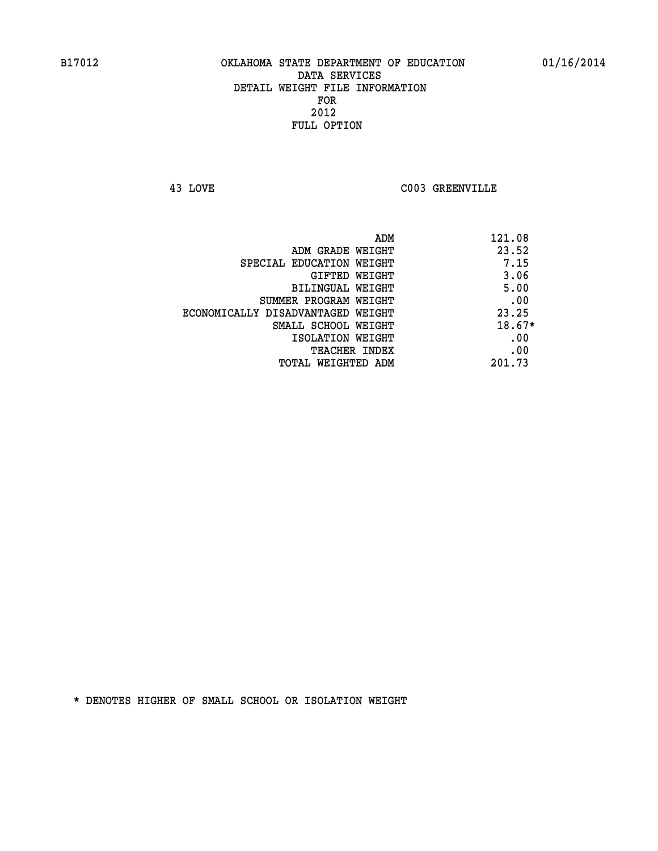**43 LOVE C003 GREENVILLE** 

| ADM                               | 121.08   |
|-----------------------------------|----------|
| ADM GRADE WEIGHT                  | 23.52    |
| SPECIAL EDUCATION WEIGHT          | 7.15     |
| GIFTED WEIGHT                     | 3.06     |
| BILINGUAL WEIGHT                  | 5.00     |
| SUMMER PROGRAM WEIGHT             | .00      |
| ECONOMICALLY DISADVANTAGED WEIGHT | 23.25    |
| SMALL SCHOOL WEIGHT               | $18.67*$ |
| ISOLATION WEIGHT                  | .00      |
| <b>TEACHER INDEX</b>              | .00      |
| TOTAL WEIGHTED ADM                | 201.73   |
|                                   |          |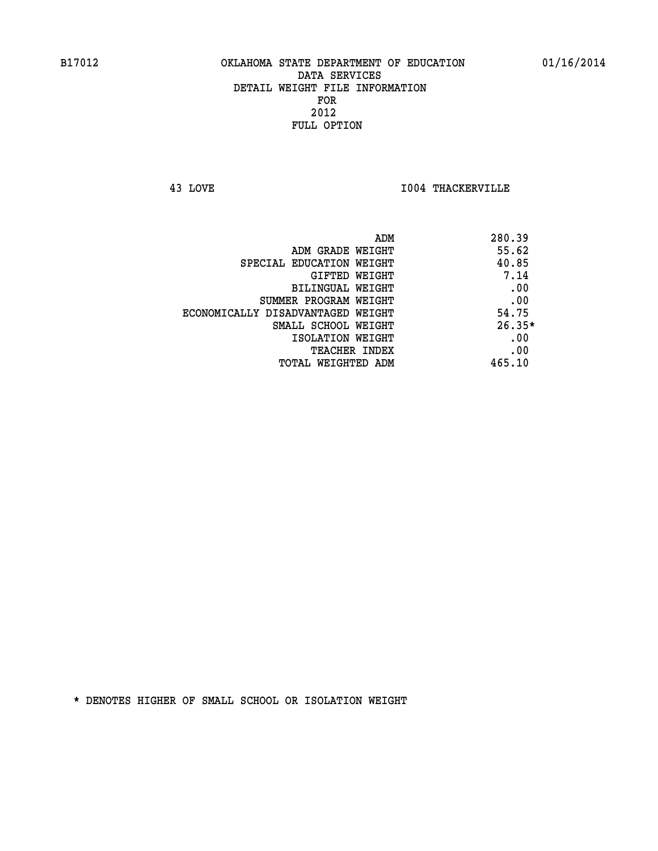**43 LOVE I004 THACKERVILLE** 

|                                   | ADM<br>280.39 |
|-----------------------------------|---------------|
| ADM GRADE WEIGHT                  | 55.62         |
| SPECIAL EDUCATION WEIGHT          | 40.85         |
| GIFTED WEIGHT                     | 7.14          |
| BILINGUAL WEIGHT                  | .00           |
| SUMMER PROGRAM WEIGHT             | .00           |
| ECONOMICALLY DISADVANTAGED WEIGHT | 54.75         |
| SMALL SCHOOL WEIGHT               | $26.35*$      |
| ISOLATION WEIGHT                  | .00           |
| <b>TEACHER INDEX</b>              | .00           |
| TOTAL WEIGHTED ADM                | 465.10        |
|                                   |               |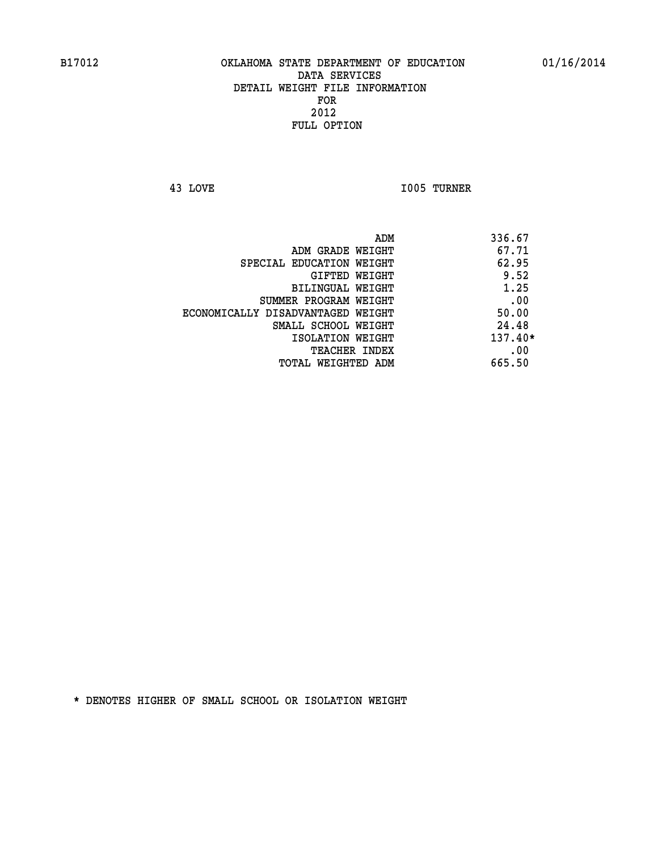**43 LOVE I005 TURNER** 

|                                   | ADM | 336.67    |
|-----------------------------------|-----|-----------|
| ADM GRADE WEIGHT                  |     | 67.71     |
| SPECIAL EDUCATION WEIGHT          |     | 62.95     |
| GIFTED WEIGHT                     |     | 9.52      |
| BILINGUAL WEIGHT                  |     | 1.25      |
| SUMMER PROGRAM WEIGHT             |     | .00       |
| ECONOMICALLY DISADVANTAGED WEIGHT |     | 50.00     |
| SMALL SCHOOL WEIGHT               |     | 24.48     |
| ISOLATION WEIGHT                  |     | $137.40*$ |
| TEACHER INDEX                     |     | .00       |
| TOTAL WEIGHTED ADM                |     | 665.50    |
|                                   |     |           |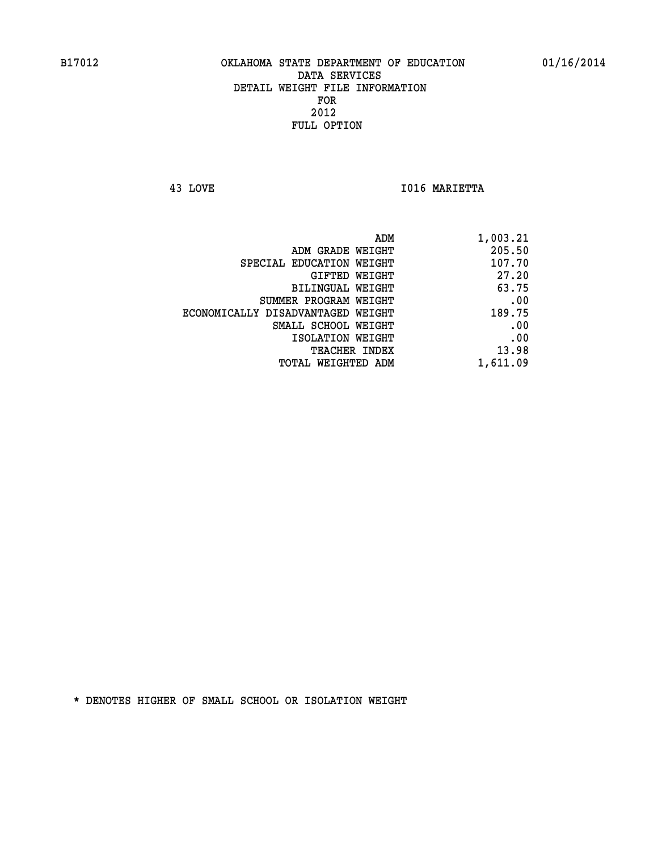**43 LOVE I016 MARIETTA** 

| 1,003.21 |
|----------|
| 205.50   |
| 107.70   |
| 27.20    |
| 63.75    |
| .00      |
| 189.75   |
| .00      |
| .00      |
| 13.98    |
| 1,611.09 |
|          |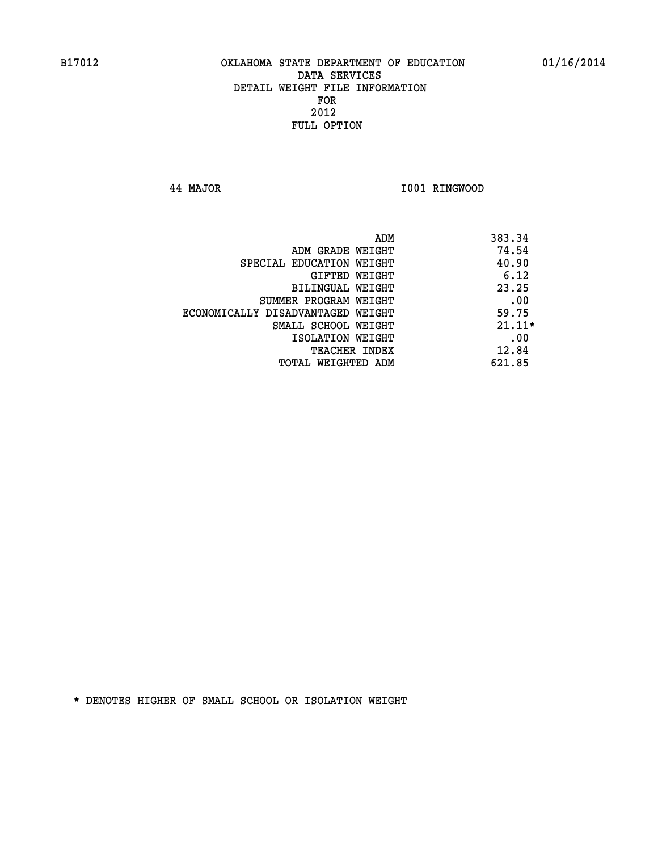**44 MAJOR I001 RINGWOOD** 

|                                   | ADM | 383.34   |
|-----------------------------------|-----|----------|
| ADM GRADE WEIGHT                  |     | 74.54    |
| SPECIAL EDUCATION WEIGHT          |     | 40.90    |
| GIFTED WEIGHT                     |     | 6.12     |
| <b>BILINGUAL WEIGHT</b>           |     | 23.25    |
| SUMMER PROGRAM WEIGHT             |     | .00      |
| ECONOMICALLY DISADVANTAGED WEIGHT |     | 59.75    |
| SMALL SCHOOL WEIGHT               |     | $21.11*$ |
| ISOLATION WEIGHT                  |     | .00      |
| <b>TEACHER INDEX</b>              |     | 12.84    |
| TOTAL WEIGHTED ADM                |     | 621.85   |
|                                   |     |          |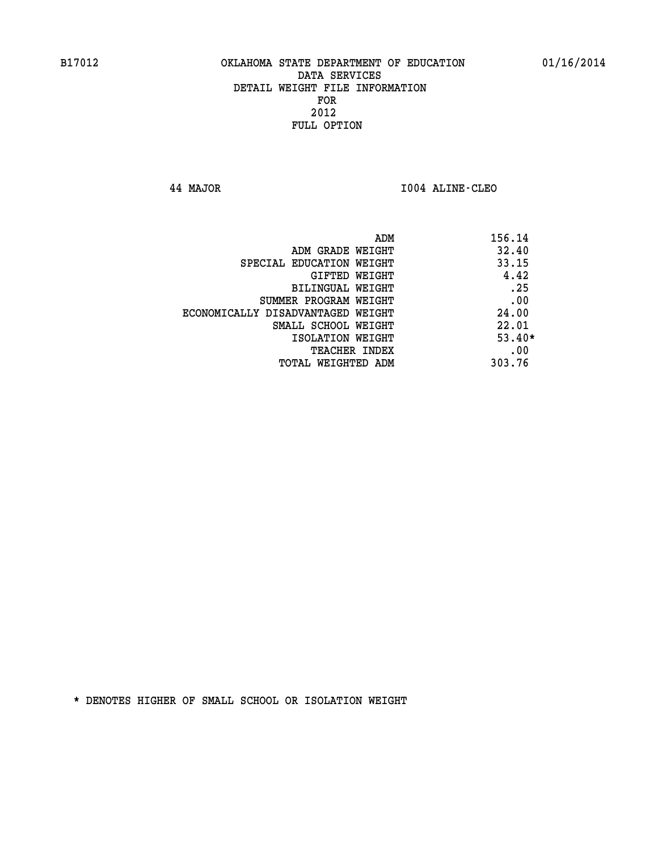**44 MAJOR I004 ALINE-CLEO** 

| ADM                               | 156.14   |
|-----------------------------------|----------|
| ADM GRADE WEIGHT                  | 32.40    |
| SPECIAL EDUCATION WEIGHT          | 33.15    |
| GIFTED WEIGHT                     | 4.42     |
| BILINGUAL WEIGHT                  | .25      |
| SUMMER PROGRAM WEIGHT             | .00      |
| ECONOMICALLY DISADVANTAGED WEIGHT | 24.00    |
| SMALL SCHOOL WEIGHT               | 22.01    |
| ISOLATION WEIGHT                  | $53.40*$ |
| <b>TEACHER INDEX</b>              | .00      |
| TOTAL WEIGHTED ADM                | 303.76   |
|                                   |          |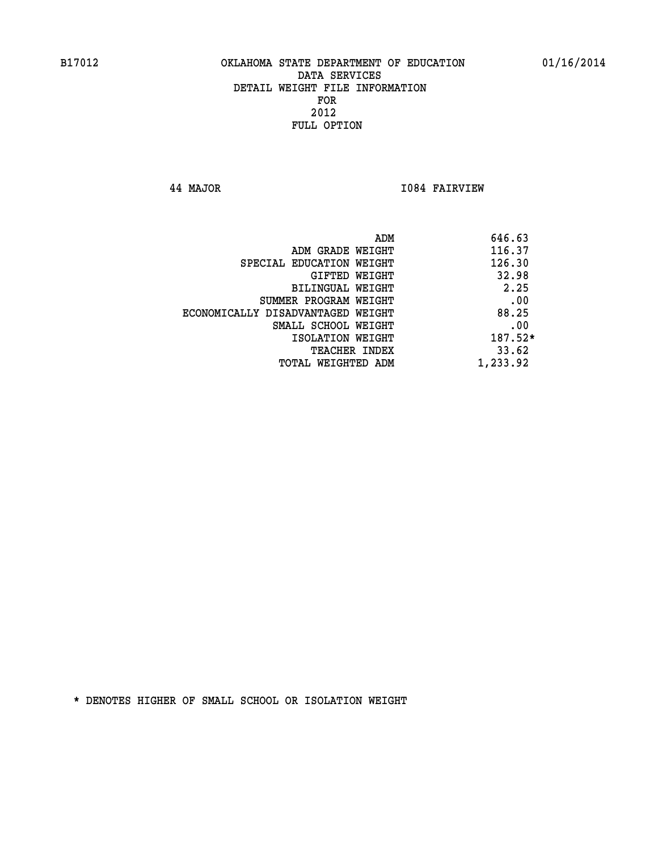**44 MAJOR I084 FAIRVIEW** 

|                                   | ADM | 646.63   |
|-----------------------------------|-----|----------|
| ADM GRADE WEIGHT                  |     | 116.37   |
| SPECIAL EDUCATION WEIGHT          |     | 126.30   |
| GIFTED WEIGHT                     |     | 32.98    |
| BILINGUAL WEIGHT                  |     | 2.25     |
| SUMMER PROGRAM WEIGHT             |     | .00      |
| ECONOMICALLY DISADVANTAGED WEIGHT |     | 88.25    |
| SMALL SCHOOL WEIGHT               |     | .00      |
| ISOLATION WEIGHT                  |     | 187.52*  |
| TEACHER INDEX                     |     | 33.62    |
| TOTAL WEIGHTED ADM                |     | 1,233.92 |
|                                   |     |          |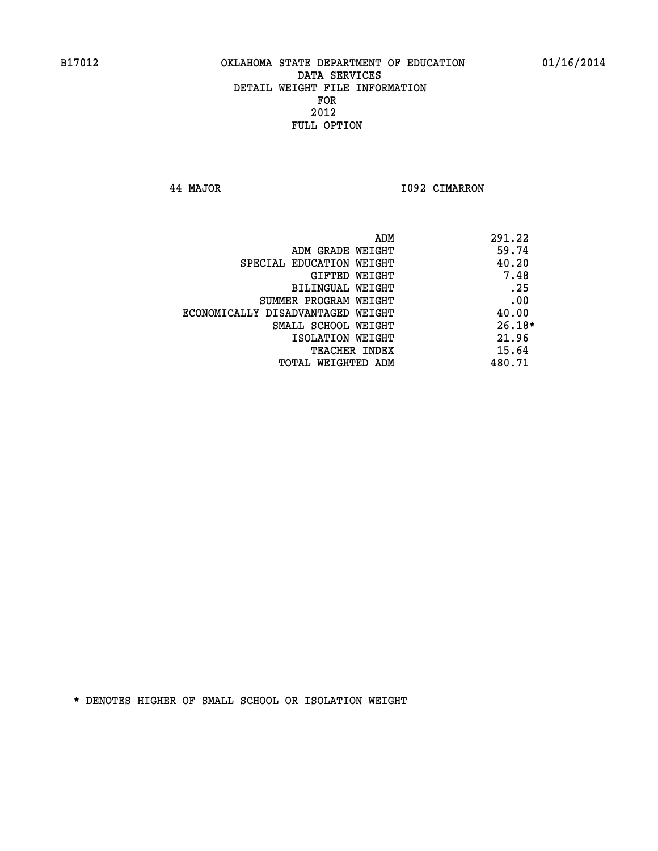**44 MAJOR I092 CIMARRON** 

| ADM                               | 291.22   |
|-----------------------------------|----------|
| ADM GRADE WEIGHT                  | 59.74    |
| SPECIAL EDUCATION WEIGHT          | 40.20    |
| GIFTED WEIGHT                     | 7.48     |
| <b>BILINGUAL WEIGHT</b>           | .25      |
| SUMMER PROGRAM WEIGHT             | .00      |
| ECONOMICALLY DISADVANTAGED WEIGHT | 40.00    |
| SMALL SCHOOL WEIGHT               | $26.18*$ |
| ISOLATION WEIGHT                  | 21.96    |
| <b>TEACHER INDEX</b>              | 15.64    |
| TOTAL WEIGHTED ADM                | 480.71   |
|                                   |          |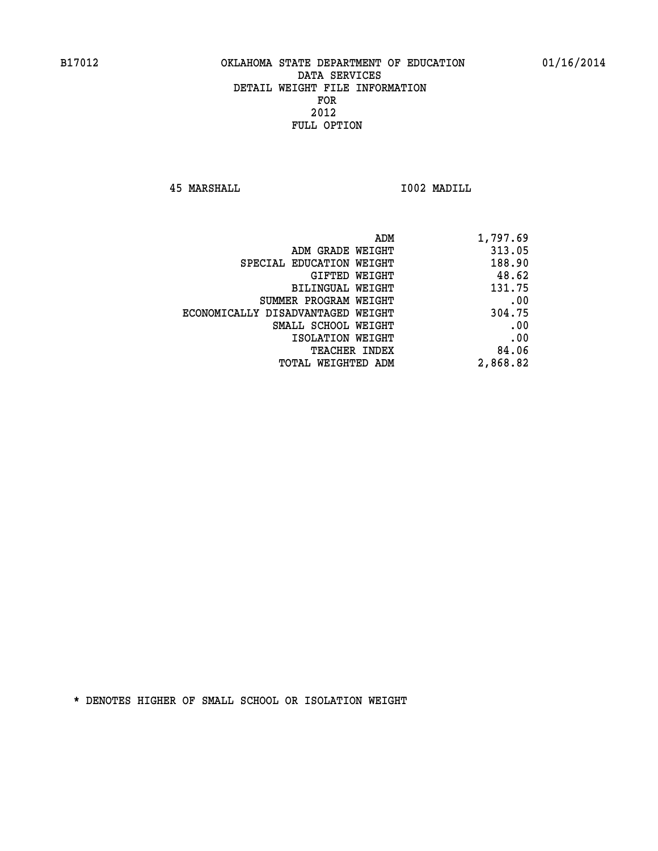**45 MARSHALL I002 MADILL** 

| 1,797.69 |
|----------|
| 313.05   |
| 188.90   |
| 48.62    |
| 131.75   |
| .00      |
| 304.75   |
| .00      |
| .00      |
| 84.06    |
| 2,868.82 |
|          |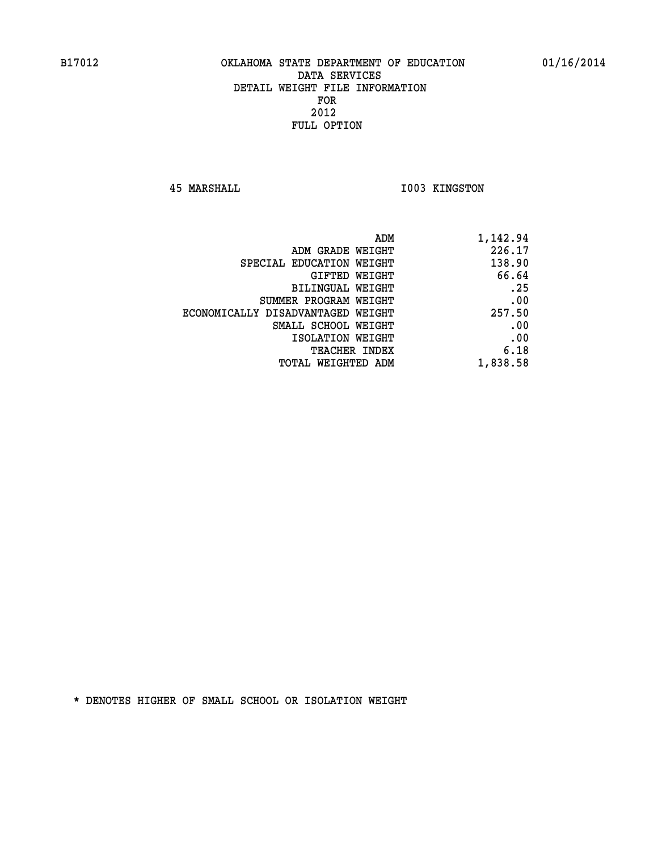**45 MARSHALL I003 KINGSTON** 

|                                   | ADM<br>1,142.94 |
|-----------------------------------|-----------------|
| ADM GRADE WEIGHT                  | 226.17          |
| SPECIAL EDUCATION WEIGHT          | 138.90          |
| GIFTED WEIGHT                     | 66.64           |
| BILINGUAL WEIGHT                  | .25             |
| SUMMER PROGRAM WEIGHT             | .00             |
| ECONOMICALLY DISADVANTAGED WEIGHT | 257.50          |
| SMALL SCHOOL WEIGHT               | .00             |
| ISOLATION WEIGHT                  | .00             |
| <b>TEACHER INDEX</b>              | 6.18            |
| <b>TOTAL WEIGHTED ADM</b>         | 1,838.58        |
|                                   |                 |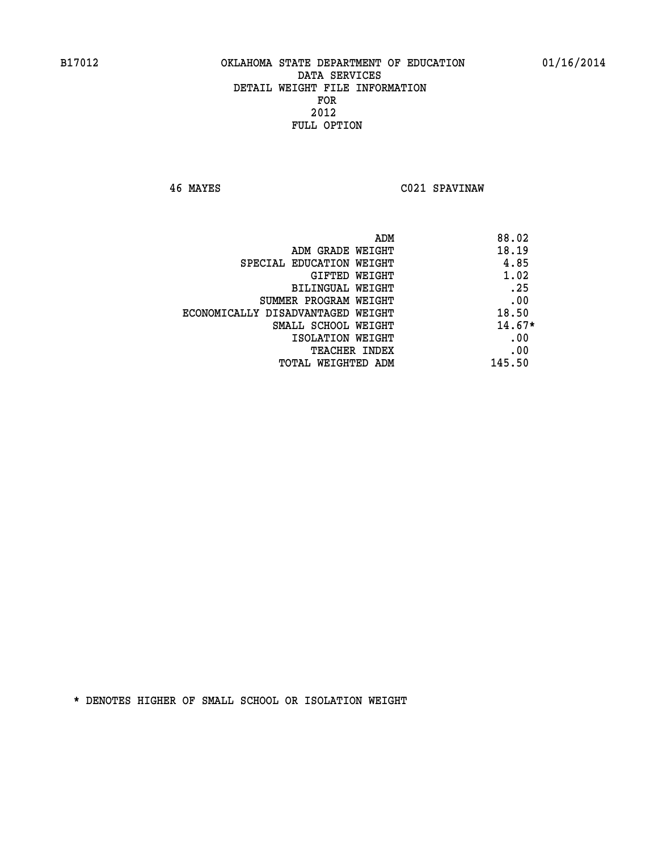**46 MAYES C021 SPAVINAW** 

| ADM                               | 88.02    |
|-----------------------------------|----------|
| ADM GRADE WEIGHT                  | 18.19    |
| SPECIAL EDUCATION WEIGHT          | 4.85     |
| GIFTED WEIGHT                     | 1.02     |
| BILINGUAL WEIGHT                  | .25      |
| SUMMER PROGRAM WEIGHT             | .00      |
| ECONOMICALLY DISADVANTAGED WEIGHT | 18.50    |
| SMALL SCHOOL WEIGHT               | $14.67*$ |
| ISOLATION WEIGHT                  | .00      |
| <b>TEACHER INDEX</b>              | .00      |
| TOTAL WEIGHTED ADM                | 145.50   |
|                                   |          |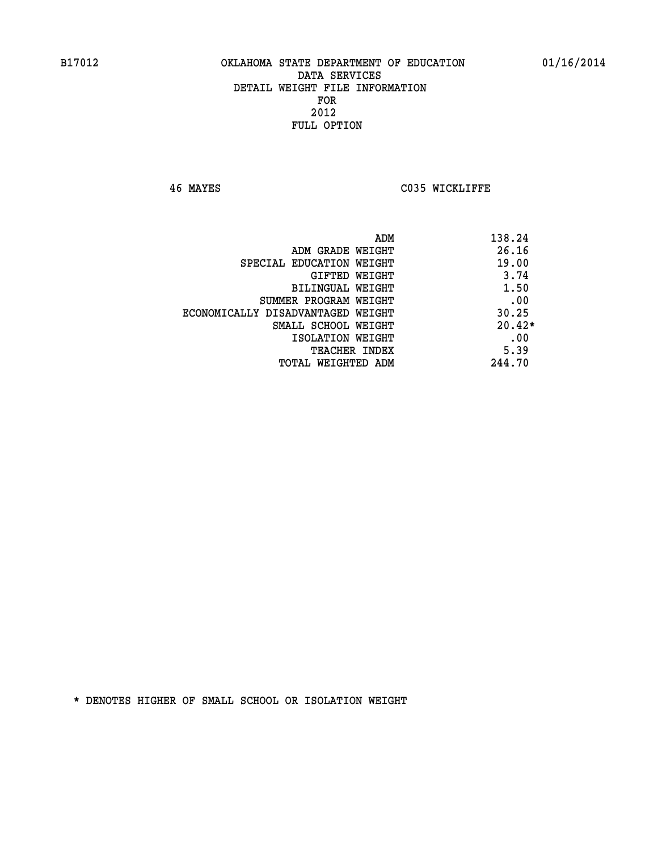**46 MAYES C035 WICKLIFFE** 

| ADM                               | 138.24   |
|-----------------------------------|----------|
| ADM GRADE WEIGHT                  | 26.16    |
| SPECIAL EDUCATION WEIGHT          | 19.00    |
| GIFTED WEIGHT                     | 3.74     |
| BILINGUAL WEIGHT                  | 1.50     |
| SUMMER PROGRAM WEIGHT             | .00      |
| ECONOMICALLY DISADVANTAGED WEIGHT | 30.25    |
| SMALL SCHOOL WEIGHT               | $20.42*$ |
| ISOLATION WEIGHT                  | .00      |
| <b>TEACHER INDEX</b>              | 5.39     |
| TOTAL WEIGHTED ADM                | 244.70   |
|                                   |          |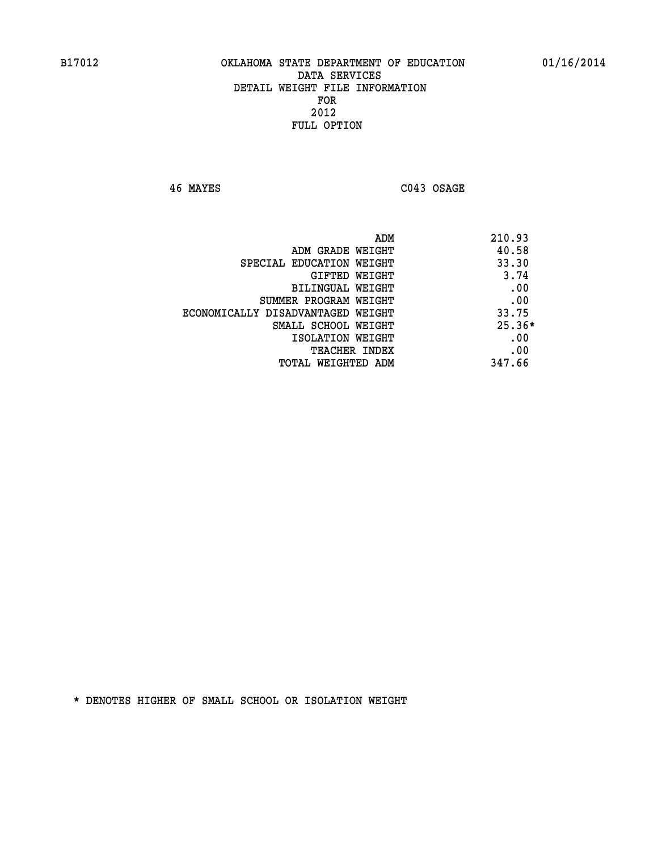**46 MAYES C043 OSAGE** 

|                                   | ADM<br>210.93 |
|-----------------------------------|---------------|
| ADM GRADE WEIGHT                  | 40.58         |
| SPECIAL EDUCATION WEIGHT          | 33.30         |
| GIFTED WEIGHT                     | 3.74          |
| BILINGUAL WEIGHT                  | .00           |
| SUMMER PROGRAM WEIGHT             | .00           |
| ECONOMICALLY DISADVANTAGED WEIGHT | 33.75         |
| SMALL SCHOOL WEIGHT               | $25.36*$      |
| ISOLATION WEIGHT                  | .00           |
| <b>TEACHER INDEX</b>              | .00           |
| TOTAL WEIGHTED ADM                | 347.66        |
|                                   |               |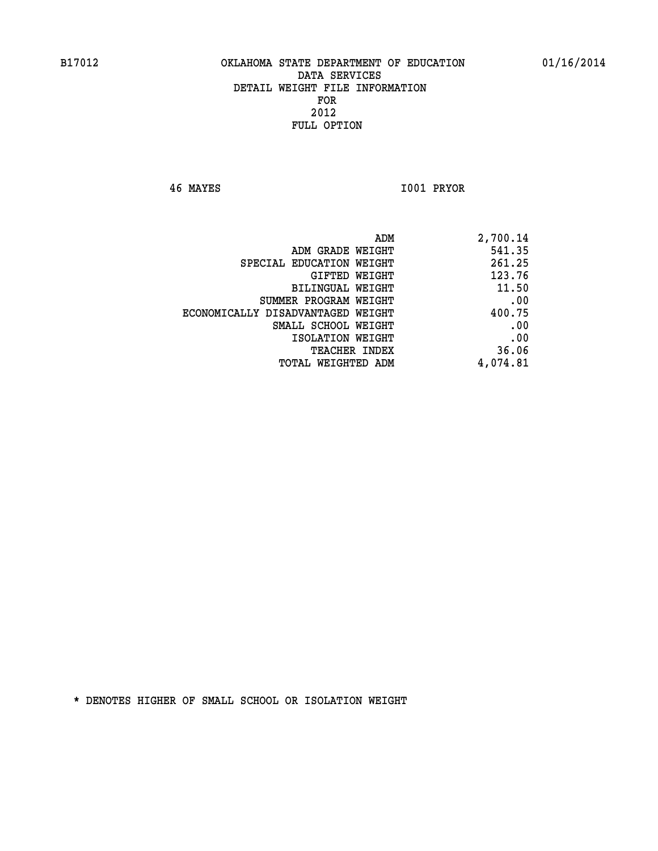**46 MAYES I001 PRYOR** 

| ADM                               | 2,700.14 |
|-----------------------------------|----------|
| ADM GRADE WEIGHT                  | 541.35   |
| SPECIAL EDUCATION WEIGHT          | 261.25   |
| GIFTED WEIGHT                     | 123.76   |
| BILINGUAL WEIGHT                  | 11.50    |
| SUMMER PROGRAM WEIGHT             | .00      |
| ECONOMICALLY DISADVANTAGED WEIGHT | 400.75   |
| SMALL SCHOOL WEIGHT               | .00      |
| ISOLATION WEIGHT                  | .00      |
| TEACHER INDEX                     | 36.06    |
| TOTAL WEIGHTED ADM                | 4,074.81 |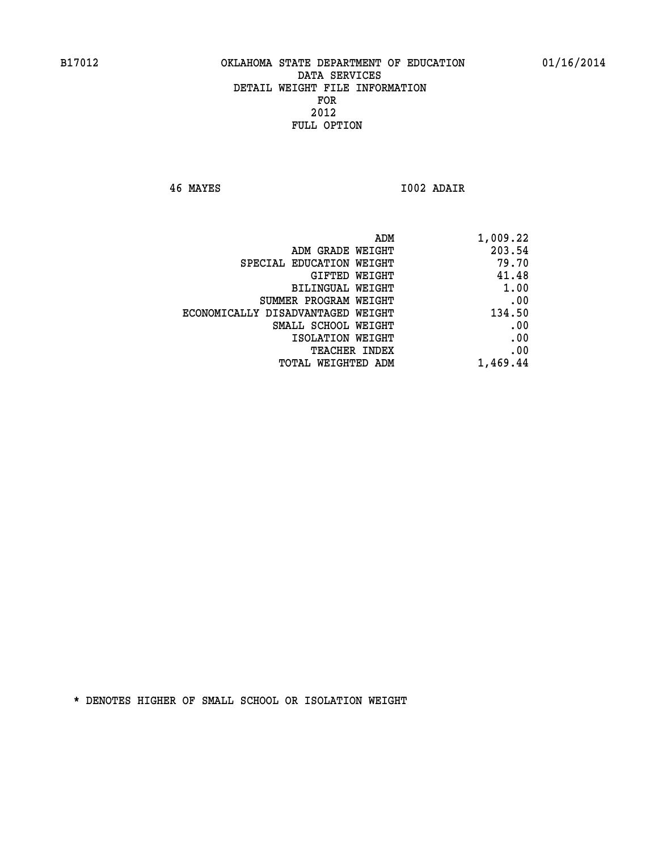**46 MAYES I002 ADAIR** 

| 1,009.22 |
|----------|
| 203.54   |
| 79.70    |
| 41.48    |
| 1.00     |
| .00      |
| 134.50   |
| .00      |
| .00      |
| .00      |
| 1,469.44 |
|          |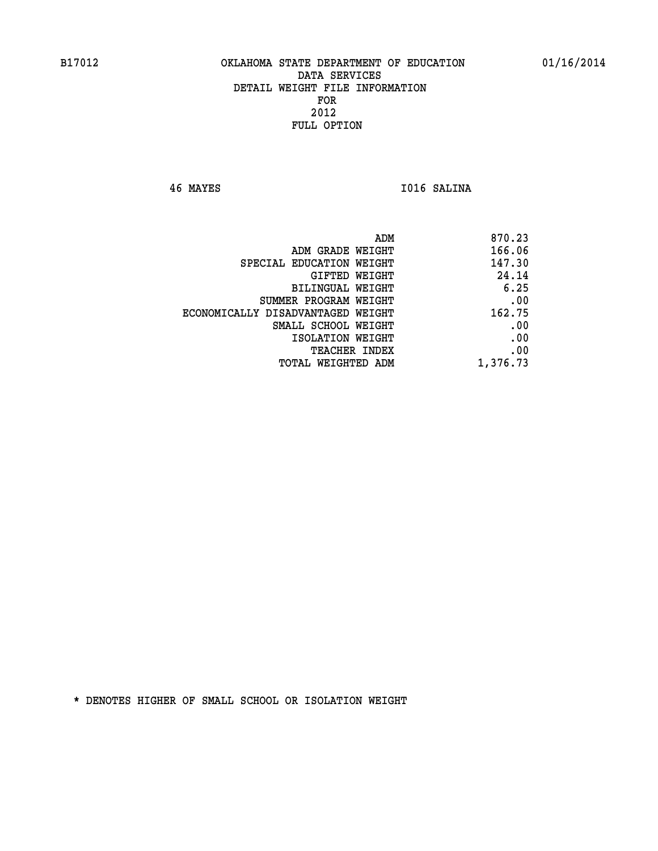**46 MAYES I016 SALINA** 

| 166.06<br>ADM GRADE WEIGHT<br>147.30<br>SPECIAL EDUCATION WEIGHT<br>24.14<br>GIFTED WEIGHT<br>6.25<br>BILINGUAL WEIGHT<br>SUMMER PROGRAM WEIGHT<br>162.75<br>ECONOMICALLY DISADVANTAGED WEIGHT<br>SMALL SCHOOL WEIGHT | 870.23 |
|-----------------------------------------------------------------------------------------------------------------------------------------------------------------------------------------------------------------------|--------|
|                                                                                                                                                                                                                       |        |
|                                                                                                                                                                                                                       |        |
|                                                                                                                                                                                                                       |        |
|                                                                                                                                                                                                                       |        |
|                                                                                                                                                                                                                       | .00    |
|                                                                                                                                                                                                                       |        |
|                                                                                                                                                                                                                       | .00    |
| ISOLATION WEIGHT                                                                                                                                                                                                      | .00    |
| TEACHER INDEX                                                                                                                                                                                                         | .00    |
| 1,376.73<br>TOTAL WEIGHTED ADM                                                                                                                                                                                        |        |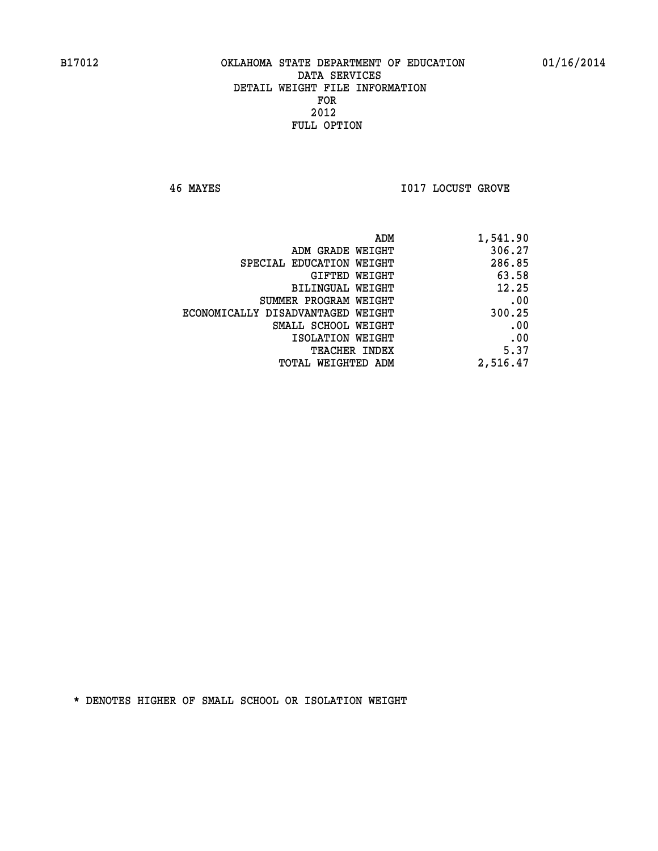**46 MAYES I017 LOCUST GROVE** 

| 1,541.90 | ADM                               |
|----------|-----------------------------------|
| 306.27   | ADM GRADE WEIGHT                  |
| 286.85   | SPECIAL EDUCATION WEIGHT          |
| 63.58    | GIFTED WEIGHT                     |
| 12.25    | BILINGUAL WEIGHT                  |
| .00      | SUMMER PROGRAM WEIGHT             |
| 300.25   | ECONOMICALLY DISADVANTAGED WEIGHT |
| .00      | SMALL SCHOOL WEIGHT               |
| .00      | ISOLATION WEIGHT                  |
| 5.37     | <b>TEACHER INDEX</b>              |
| 2,516.47 | <b>TOTAL WEIGHTED ADM</b>         |
|          |                                   |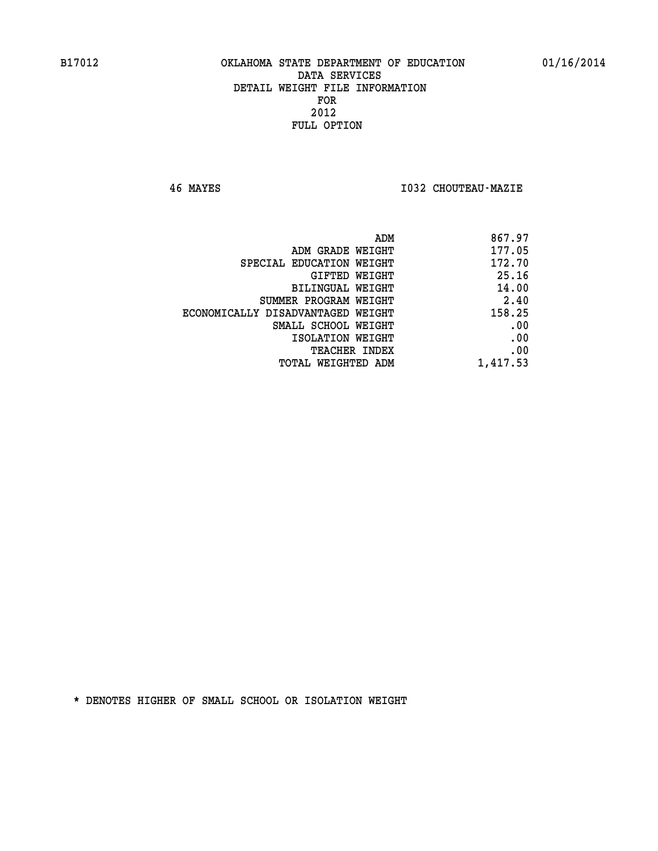**46 MAYES I032 CHOUTEAU-MAZIE** 

| ADM                               | 867.97   |
|-----------------------------------|----------|
| ADM GRADE WEIGHT                  | 177.05   |
| SPECIAL EDUCATION WEIGHT          | 172.70   |
| GIFTED WEIGHT                     | 25.16    |
| <b>BILINGUAL WEIGHT</b>           | 14.00    |
| SUMMER PROGRAM WEIGHT             | 2.40     |
| ECONOMICALLY DISADVANTAGED WEIGHT | 158.25   |
| SMALL SCHOOL WEIGHT               | .00      |
| ISOLATION WEIGHT                  | .00      |
| TEACHER INDEX                     | .00      |
| TOTAL WEIGHTED ADM                | 1,417.53 |
|                                   |          |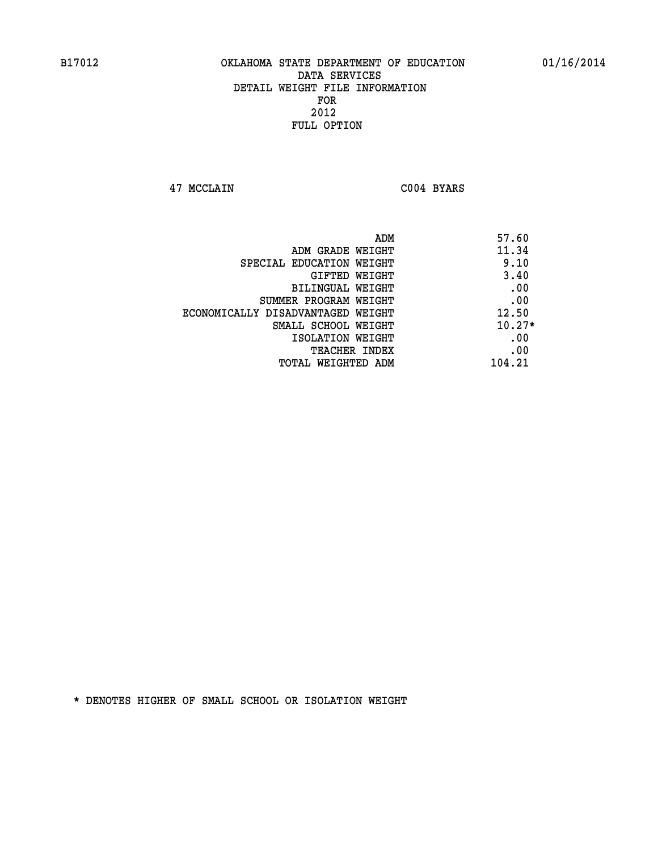**47 MCCLAIN C004 BYARS** 

| 57.60<br>ADM                               |  |
|--------------------------------------------|--|
| 11.34<br>ADM GRADE WEIGHT                  |  |
| 9.10<br>SPECIAL EDUCATION WEIGHT           |  |
| 3.40<br>GIFTED WEIGHT                      |  |
| .00<br>BILINGUAL WEIGHT                    |  |
| .00<br>SUMMER PROGRAM WEIGHT               |  |
| 12.50<br>ECONOMICALLY DISADVANTAGED WEIGHT |  |
| $10.27*$<br>SMALL SCHOOL WEIGHT            |  |
| .00<br>ISOLATION WEIGHT                    |  |
| .00<br><b>TEACHER INDEX</b>                |  |
| 104.21<br>TOTAL WEIGHTED ADM               |  |
|                                            |  |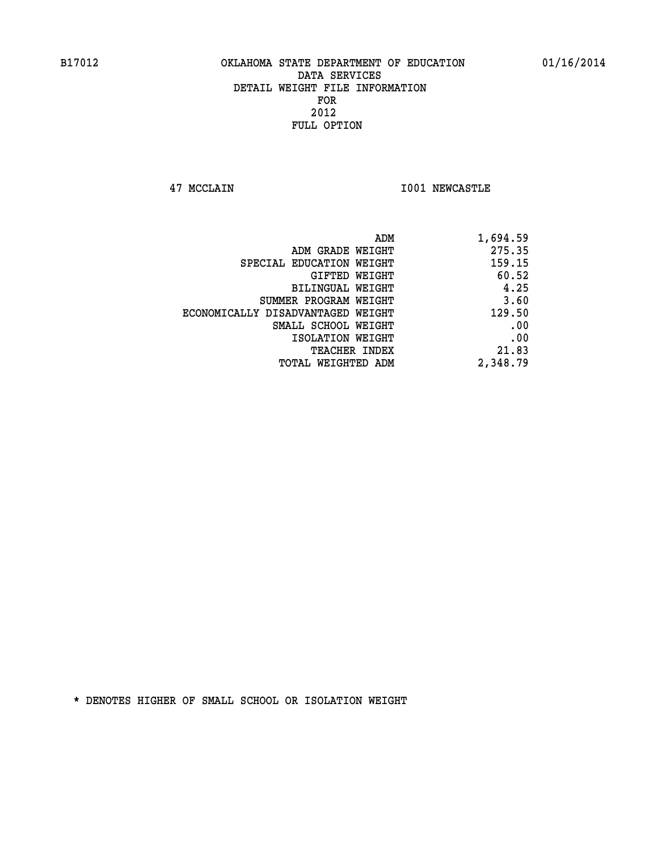**47 MCCLAIN I001 NEWCASTLE** 

| 1,694.59 |
|----------|
| 275.35   |
| 159.15   |
| 60.52    |
| 4.25     |
| 3.60     |
| 129.50   |
| .00      |
| .00      |
| 21.83    |
| 2,348.79 |
|          |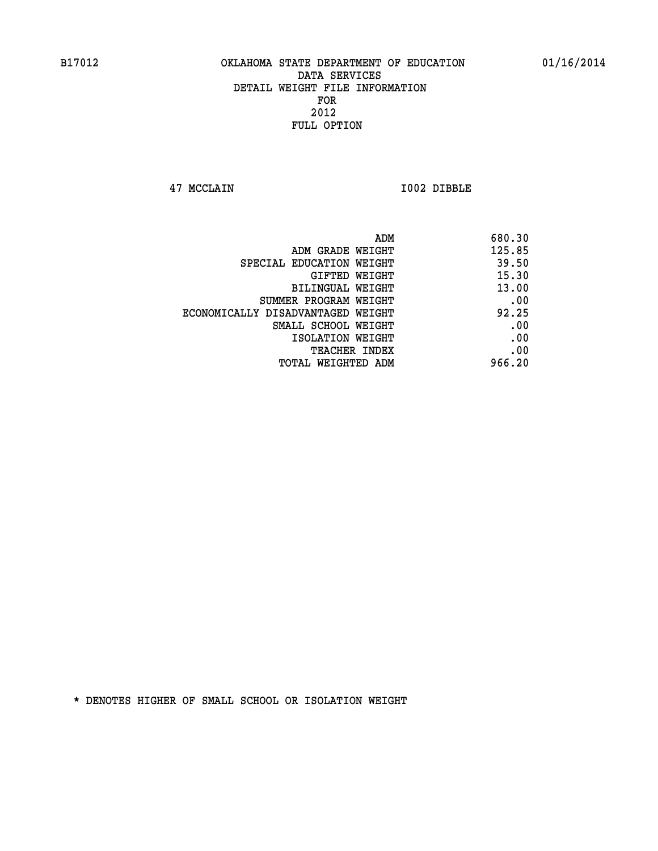**47 MCCLAIN I002 DIBBLE** 

| ADM                               | 680.30 |
|-----------------------------------|--------|
| ADM GRADE WEIGHT                  | 125.85 |
| SPECIAL EDUCATION WEIGHT          | 39.50  |
| <b>GIFTED WEIGHT</b>              | 15.30  |
| BILINGUAL WEIGHT                  | 13.00  |
| SUMMER PROGRAM WEIGHT             | .00    |
| ECONOMICALLY DISADVANTAGED WEIGHT | 92.25  |
| SMALL SCHOOL WEIGHT               | .00    |
| ISOLATION WEIGHT                  | .00    |
| TEACHER INDEX                     | .00    |
| TOTAL WEIGHTED ADM                | 966.20 |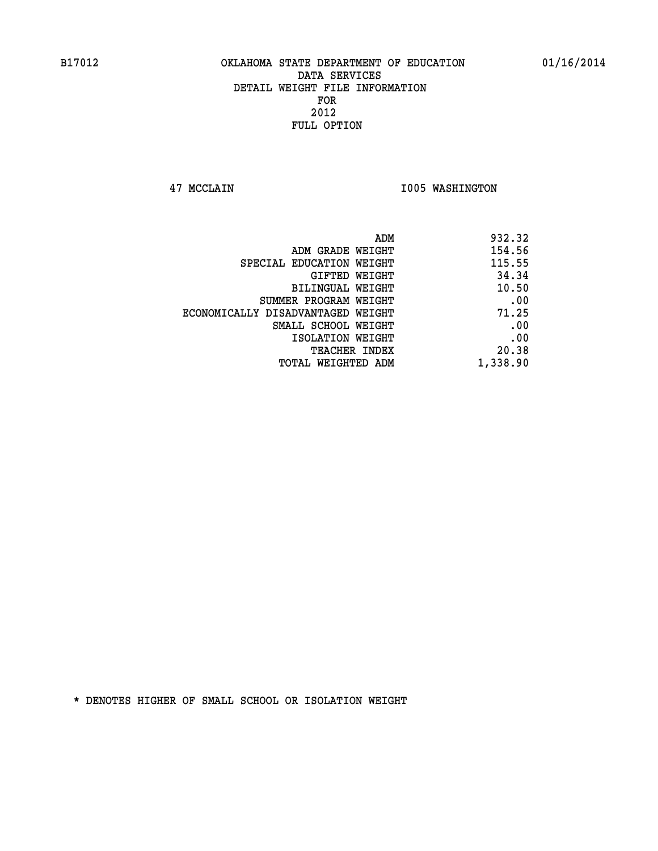**47 MCCLAIN I005 WASHINGTON** 

| 932.32   |
|----------|
| 154.56   |
| 115.55   |
| 34.34    |
| 10.50    |
| .00      |
| 71.25    |
| .00      |
| .00      |
| 20.38    |
| 1,338.90 |
|          |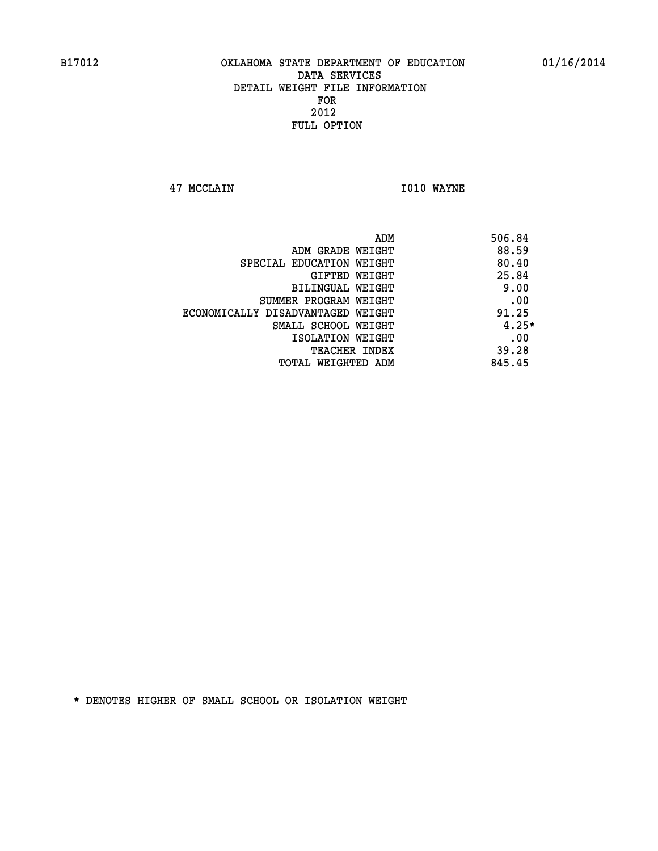**47 MCCLAIN I010 WAYNE** 

|                                   | ADM | 506.84  |
|-----------------------------------|-----|---------|
| ADM GRADE WEIGHT                  |     | 88.59   |
| SPECIAL EDUCATION WEIGHT          |     | 80.40   |
| GIFTED WEIGHT                     |     | 25.84   |
| BILINGUAL WEIGHT                  |     | 9.00    |
| SUMMER PROGRAM WEIGHT             |     | .00     |
| ECONOMICALLY DISADVANTAGED WEIGHT |     | 91.25   |
| SMALL SCHOOL WEIGHT               |     | $4.25*$ |
| ISOLATION WEIGHT                  |     | .00     |
| TEACHER INDEX                     |     | 39.28   |
| TOTAL WEIGHTED ADM                |     | 845.45  |
|                                   |     |         |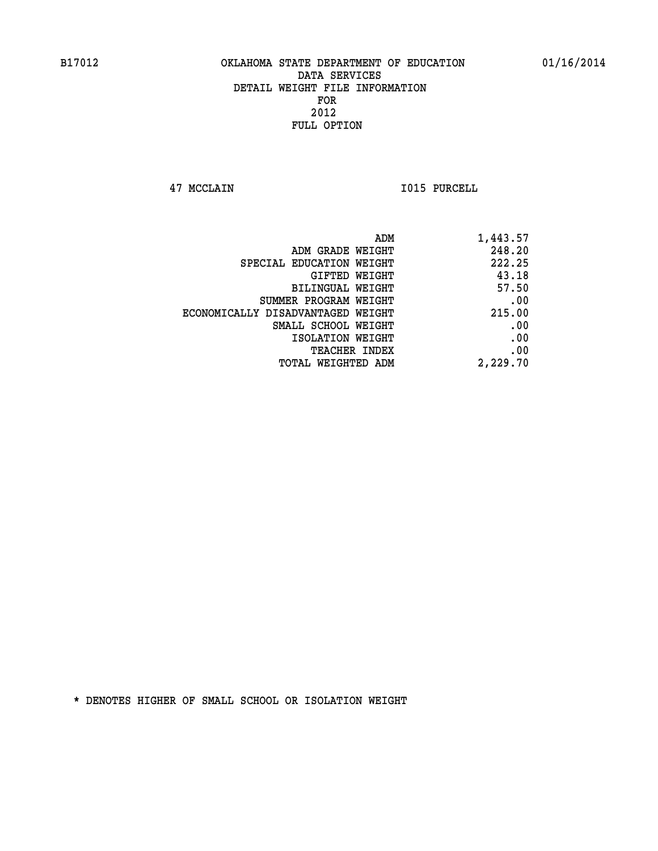**47 MCCLAIN I015 PURCELL** 

|                                   | ADM<br>1,443.57 |
|-----------------------------------|-----------------|
| ADM GRADE WEIGHT                  | 248.20          |
| SPECIAL EDUCATION WEIGHT          | 222.25          |
| GIFTED WEIGHT                     | 43.18           |
| <b>BILINGUAL WEIGHT</b>           | 57.50           |
| SUMMER PROGRAM WEIGHT             | .00             |
| ECONOMICALLY DISADVANTAGED WEIGHT | 215.00          |
| SMALL SCHOOL WEIGHT               | .00             |
| ISOLATION WEIGHT                  | .00             |
| TEACHER INDEX                     | .00             |
| TOTAL WEIGHTED ADM                | 2,229.70        |
|                                   |                 |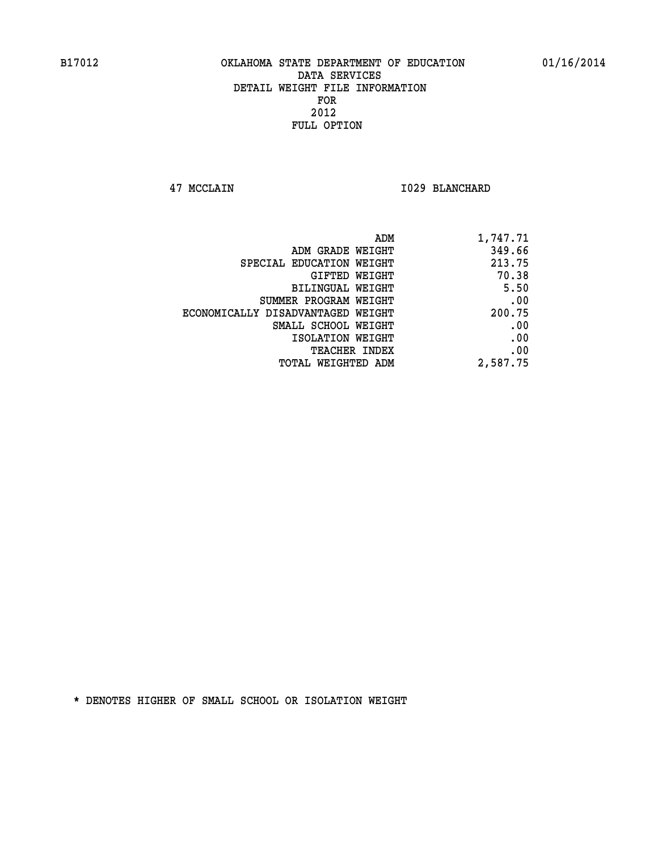**47 MCCLAIN I029 BLANCHARD** 

| 1,747.71 |
|----------|
| 349.66   |
| 213.75   |
| 70.38    |
| 5.50     |
| .00      |
| 200.75   |
| .00      |
| .00      |
| .00      |
| 2,587.75 |
|          |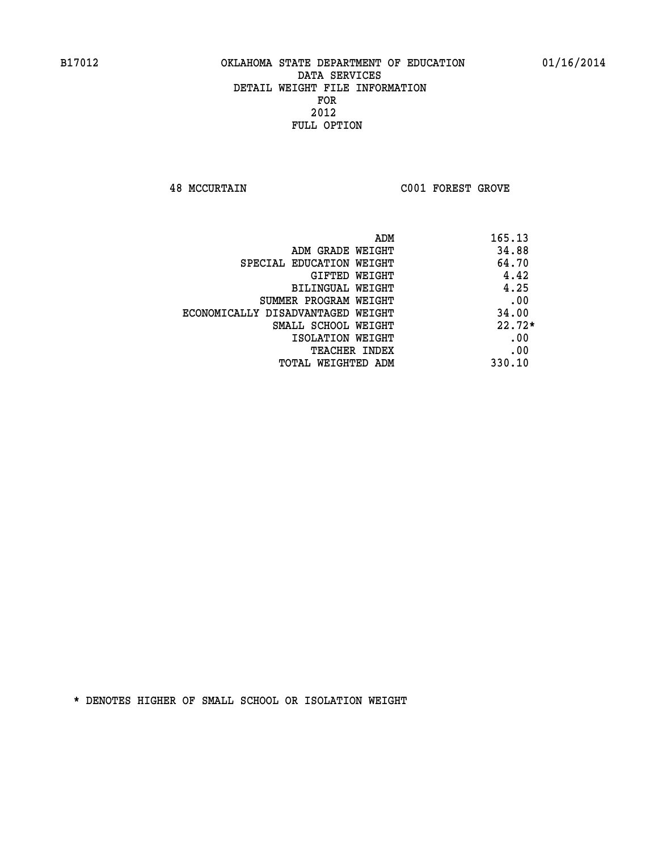**48 MCCURTAIN C001 FOREST GROVE** 

|                                   | 165.13<br>ADM |
|-----------------------------------|---------------|
| ADM GRADE WEIGHT                  | 34.88         |
| SPECIAL EDUCATION WEIGHT          | 64.70         |
| GIFTED WEIGHT                     | 4.42          |
| BILINGUAL WEIGHT                  | 4.25          |
| SUMMER PROGRAM WEIGHT             | .00           |
| ECONOMICALLY DISADVANTAGED WEIGHT | 34.00         |
| SMALL SCHOOL WEIGHT               | $22.72*$      |
| ISOLATION WEIGHT                  | .00           |
| TEACHER INDEX                     | .00           |
| TOTAL WEIGHTED ADM                | 330.10        |
|                                   |               |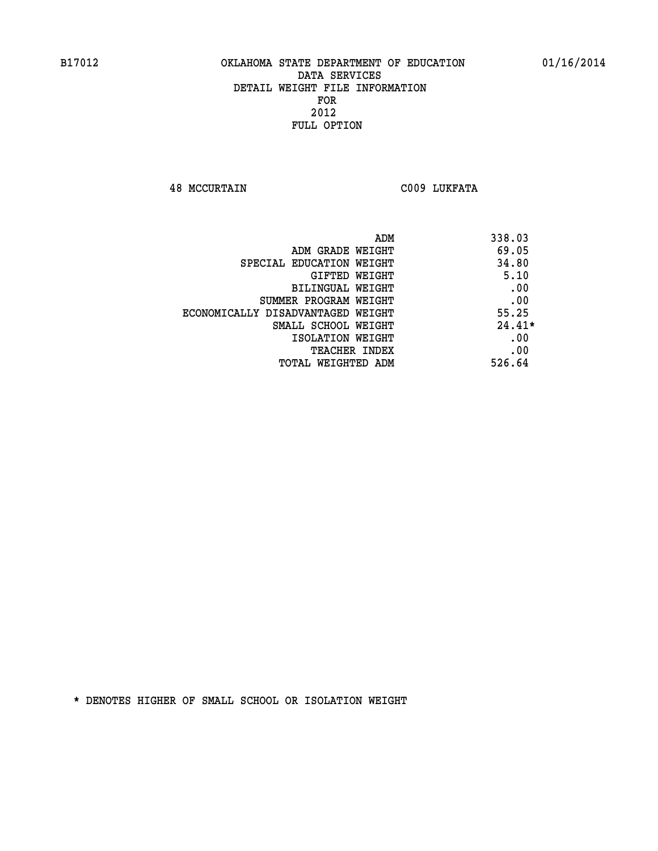**48 MCCURTAIN C009 LUKFATA** 

| ADM                               | 338.03   |
|-----------------------------------|----------|
| ADM GRADE WEIGHT                  | 69.05    |
| SPECIAL EDUCATION WEIGHT          | 34.80    |
| <b>GIFTED WEIGHT</b>              | 5.10     |
| <b>BILINGUAL WEIGHT</b>           | .00      |
| SUMMER PROGRAM WEIGHT             | .00      |
| ECONOMICALLY DISADVANTAGED WEIGHT | 55.25    |
| SMALL SCHOOL WEIGHT               | $24.41*$ |
| ISOLATION WEIGHT                  | .00      |
| <b>TEACHER INDEX</b>              | .00      |
| TOTAL WEIGHTED ADM                | 526.64   |
|                                   |          |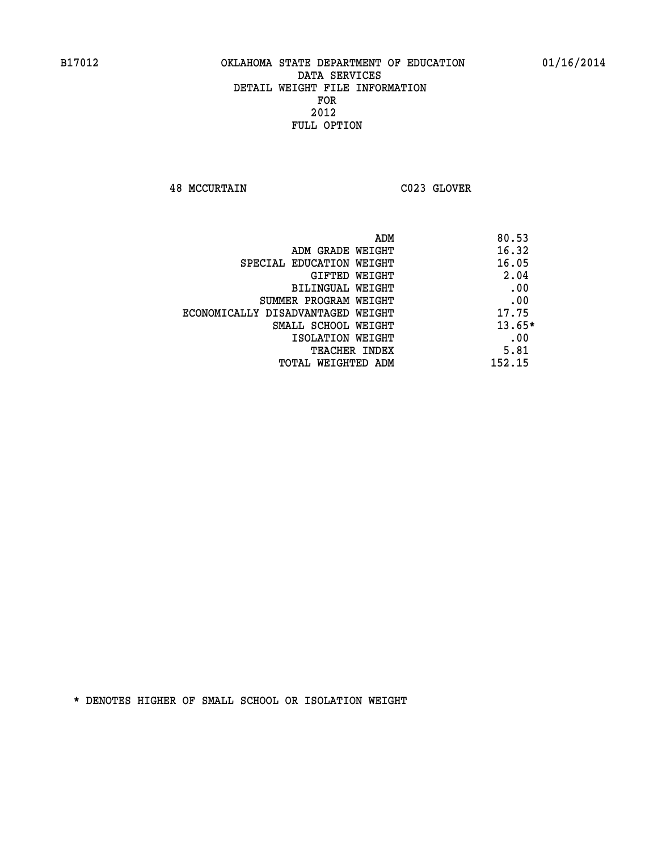**48 MCCURTAIN C023 GLOVER** 

| 80.53<br>ADM                               |          |
|--------------------------------------------|----------|
| 16.32<br>ADM GRADE WEIGHT                  |          |
| 16.05<br>SPECIAL EDUCATION WEIGHT          |          |
| GIFTED WEIGHT                              | 2.04     |
| BILINGUAL WEIGHT                           | .00      |
| SUMMER PROGRAM WEIGHT                      | .00      |
| 17.75<br>ECONOMICALLY DISADVANTAGED WEIGHT |          |
| SMALL SCHOOL WEIGHT                        | $13.65*$ |
| ISOLATION WEIGHT                           | .00      |
| <b>TEACHER INDEX</b>                       | 5.81     |
| 152.15<br>TOTAL WEIGHTED ADM               |          |
|                                            |          |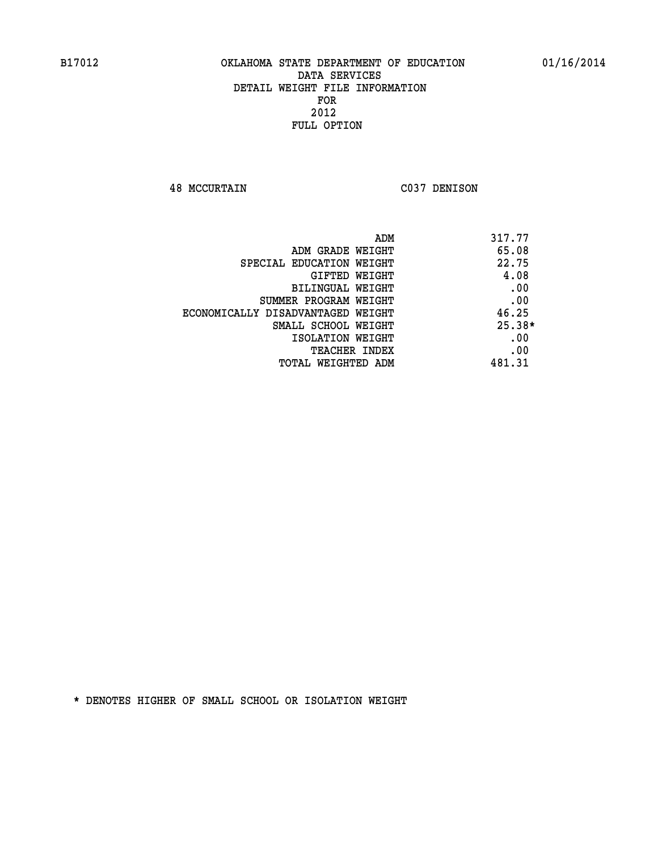**48 MCCURTAIN C037 DENISON** 

| ADM                               | 317.77   |
|-----------------------------------|----------|
| ADM GRADE WEIGHT                  | 65.08    |
| SPECIAL EDUCATION WEIGHT          | 22.75    |
| GIFTED WEIGHT                     | 4.08     |
| <b>BILINGUAL WEIGHT</b>           | .00      |
| SUMMER PROGRAM WEIGHT             | .00      |
| ECONOMICALLY DISADVANTAGED WEIGHT | 46.25    |
| SMALL SCHOOL WEIGHT               | $25.38*$ |
| ISOLATION WEIGHT                  | .00      |
| <b>TEACHER INDEX</b>              | .00      |
| TOTAL WEIGHTED ADM                | 481.31   |
|                                   |          |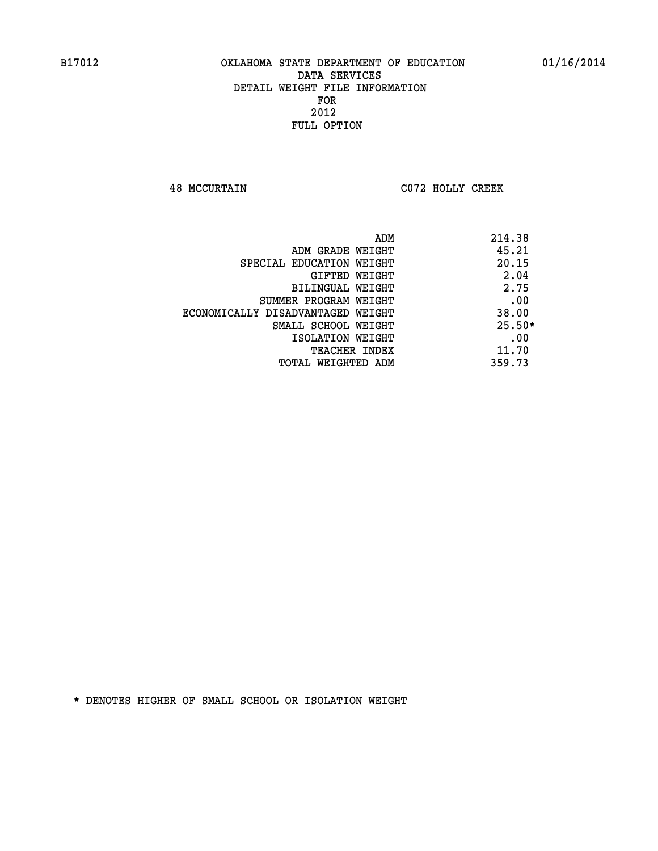**48 MCCURTAIN C072 HOLLY CREEK** 

|                                   | 214.38<br>ADM |
|-----------------------------------|---------------|
| ADM GRADE WEIGHT                  | 45.21         |
| SPECIAL EDUCATION WEIGHT          | 20.15         |
| GIFTED WEIGHT                     | 2.04          |
| BILINGUAL WEIGHT                  | 2.75          |
| SUMMER PROGRAM WEIGHT             | .00           |
| ECONOMICALLY DISADVANTAGED WEIGHT | 38.00         |
| SMALL SCHOOL WEIGHT               | $25.50*$      |
| ISOLATION WEIGHT                  | .00           |
| <b>TEACHER INDEX</b>              | 11.70         |
| TOTAL WEIGHTED ADM                | 359.73        |
|                                   |               |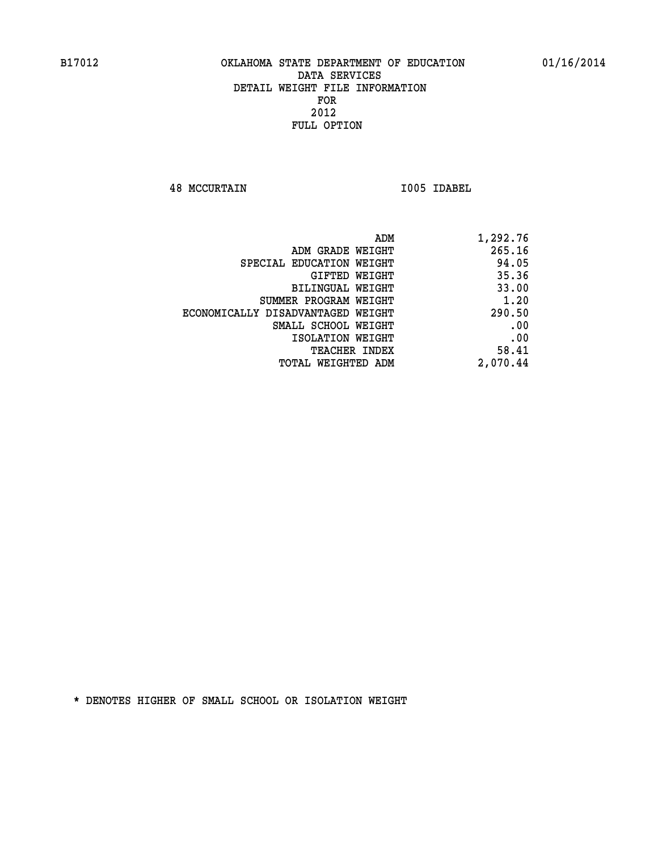**48 MCCURTAIN I005 IDABEL** 

| 1,292.76 |
|----------|
| 265.16   |
| 94.05    |
| 35.36    |
| 33.00    |
| 1.20     |
| 290.50   |
| .00      |
| .00      |
| 58.41    |
| 2,070.44 |
|          |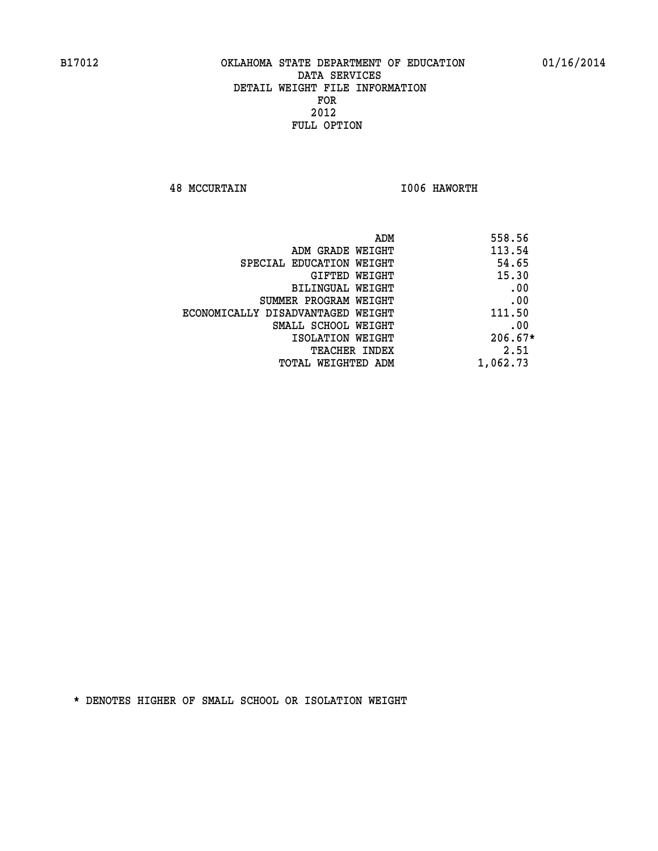**48 MCCURTAIN I006 HAWORTH** 

| 558.56    | ADM                               |
|-----------|-----------------------------------|
| 113.54    | ADM GRADE WEIGHT                  |
| 54.65     | SPECIAL EDUCATION WEIGHT          |
| 15.30     | GIFTED WEIGHT                     |
| .00       | BILINGUAL WEIGHT                  |
| .00       | SUMMER PROGRAM WEIGHT             |
| 111.50    | ECONOMICALLY DISADVANTAGED WEIGHT |
| .00       | SMALL SCHOOL WEIGHT               |
| $206.67*$ | ISOLATION WEIGHT                  |
| 2.51      | <b>TEACHER INDEX</b>              |
| 1,062.73  | TOTAL WEIGHTED ADM                |
|           |                                   |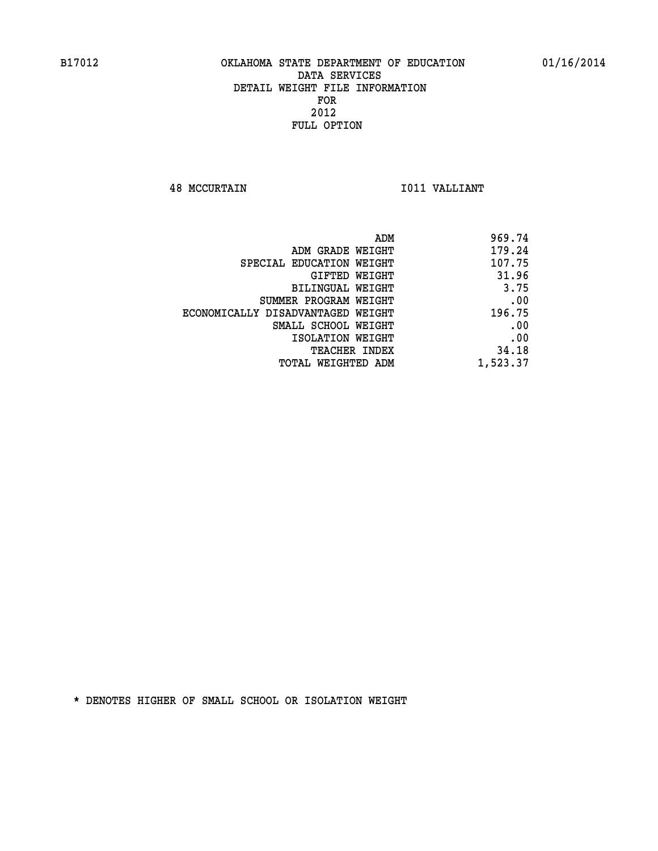**48 MCCURTAIN I011 VALLIANT** 

| ADM                               | 969.74   |
|-----------------------------------|----------|
| ADM GRADE WEIGHT                  | 179.24   |
| SPECIAL EDUCATION WEIGHT          | 107.75   |
| GIFTED WEIGHT                     | 31.96    |
| BILINGUAL WEIGHT                  | 3.75     |
| SUMMER PROGRAM WEIGHT             | .00      |
| ECONOMICALLY DISADVANTAGED WEIGHT | 196.75   |
| SMALL SCHOOL WEIGHT               | .00      |
| ISOLATION WEIGHT                  | .00      |
| <b>TEACHER INDEX</b>              | 34.18    |
| TOTAL WEIGHTED ADM                | 1,523.37 |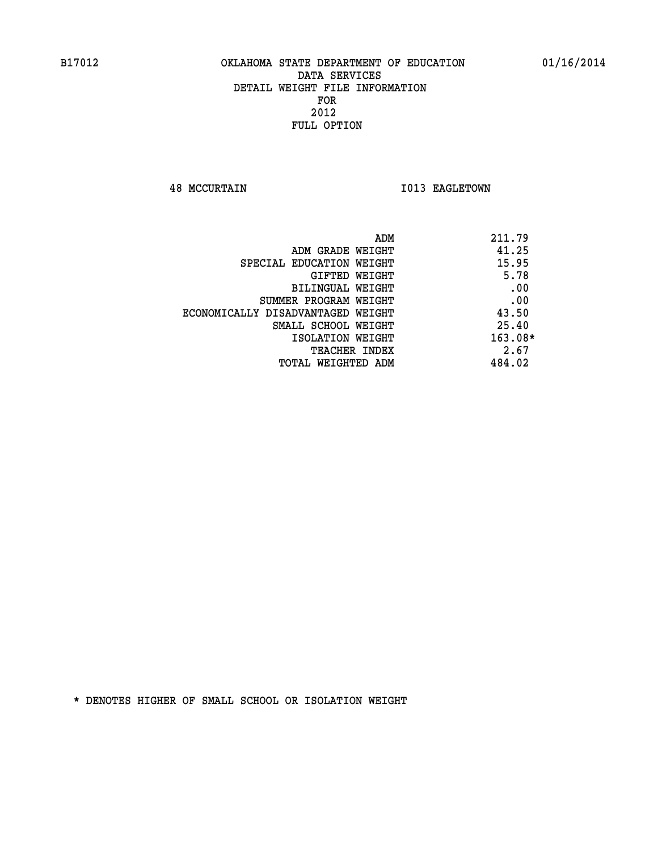**48 MCCURTAIN 1013 EAGLETOWN** 

| ADM<br>211.79 |                                   |
|---------------|-----------------------------------|
| 41.25         | ADM GRADE WEIGHT                  |
| 15.95         | SPECIAL EDUCATION WEIGHT          |
| 5.78          | GIFTED WEIGHT                     |
| .00           | BILINGUAL WEIGHT                  |
| .00           | SUMMER PROGRAM WEIGHT             |
| 43.50         | ECONOMICALLY DISADVANTAGED WEIGHT |
| 25.40         | SMALL SCHOOL WEIGHT               |
| $163.08*$     | ISOLATION WEIGHT                  |
| 2.67          | <b>TEACHER INDEX</b>              |
| 484.02        | TOTAL WEIGHTED ADM                |
|               |                                   |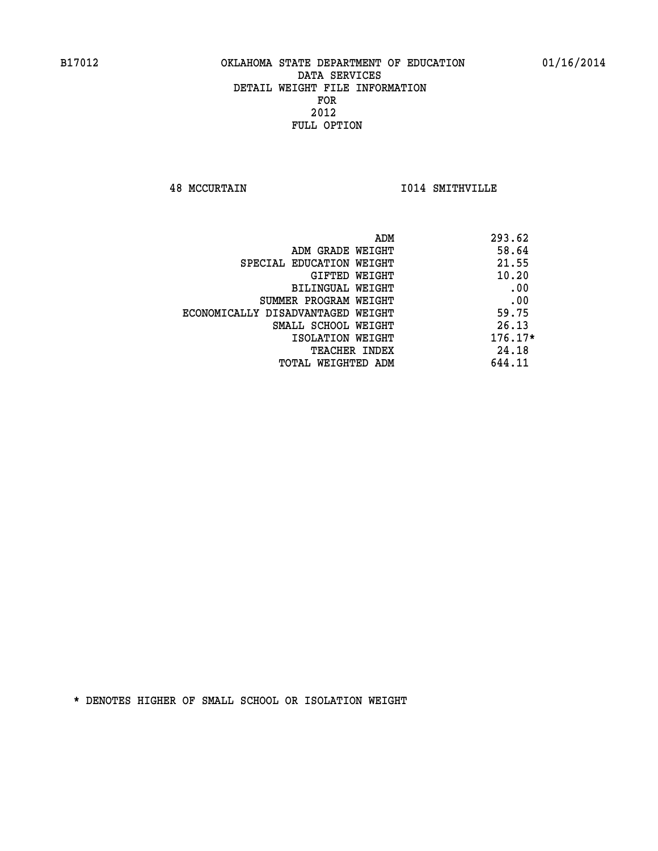**48 MCCURTAIN I014 SMITHVILLE** 

|                                   | ADM | 293.62    |
|-----------------------------------|-----|-----------|
| ADM GRADE WEIGHT                  |     | 58.64     |
| SPECIAL EDUCATION WEIGHT          |     | 21.55     |
| GIFTED WEIGHT                     |     | 10.20     |
| BILINGUAL WEIGHT                  |     | .00       |
| SUMMER PROGRAM WEIGHT             |     | .00       |
| ECONOMICALLY DISADVANTAGED WEIGHT |     | 59.75     |
| SMALL SCHOOL WEIGHT               |     | 26.13     |
| ISOLATION WEIGHT                  |     | $176.17*$ |
| TEACHER INDEX                     |     | 24.18     |
| TOTAL WEIGHTED ADM                |     | 644.11    |
|                                   |     |           |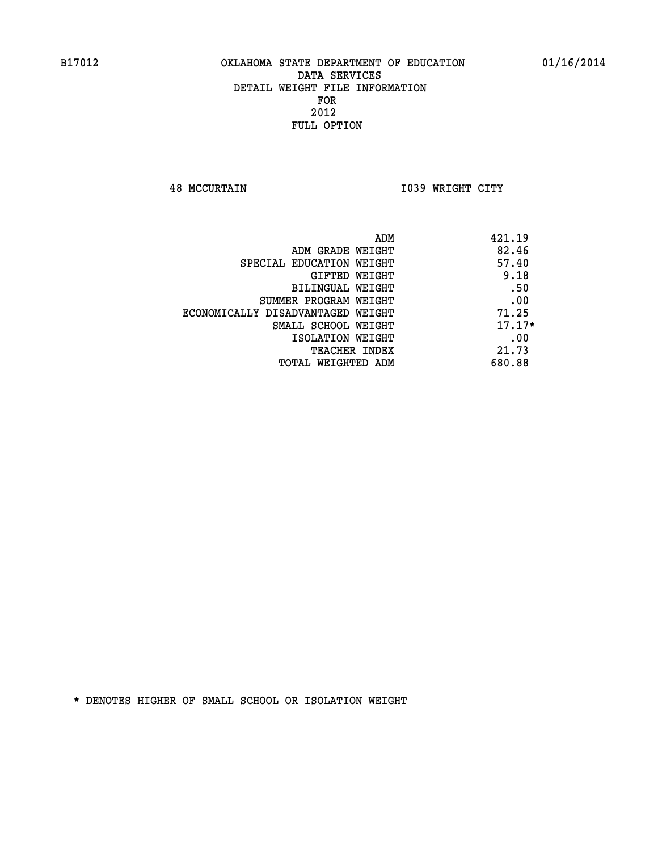**48 MCCURTAIN I039 WRIGHT CITY** 

| ADM<br>421.19                              |  |
|--------------------------------------------|--|
| 82.46<br>ADM GRADE WEIGHT                  |  |
| 57.40<br>SPECIAL EDUCATION WEIGHT          |  |
| 9.18<br>GIFTED WEIGHT                      |  |
| .50<br>BILINGUAL WEIGHT                    |  |
| .00<br>SUMMER PROGRAM WEIGHT               |  |
| 71.25<br>ECONOMICALLY DISADVANTAGED WEIGHT |  |
| $17.17*$<br>SMALL SCHOOL WEIGHT            |  |
| .00<br>ISOLATION WEIGHT                    |  |
| 21.73<br><b>TEACHER INDEX</b>              |  |
| 680.88<br>TOTAL WEIGHTED ADM               |  |
|                                            |  |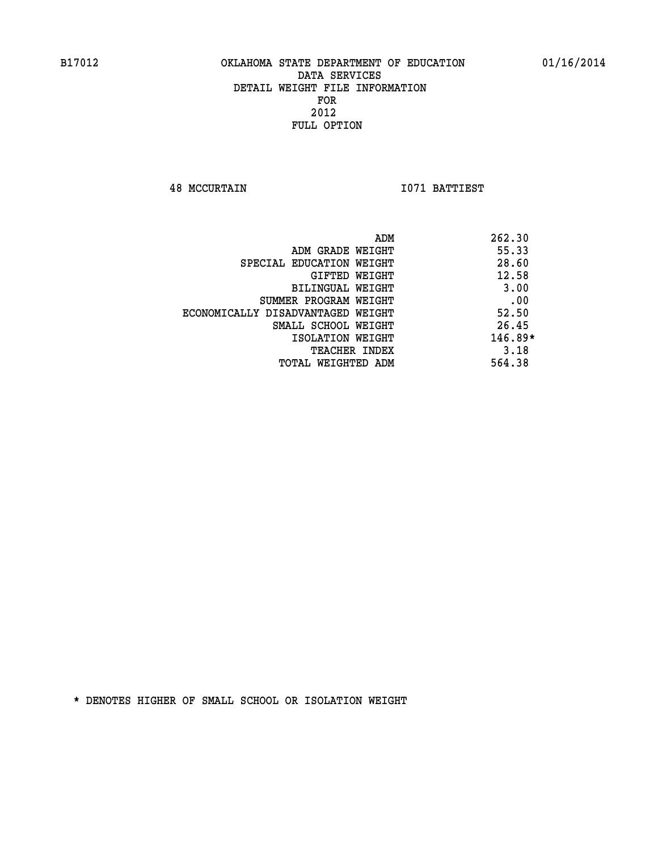**48 MCCURTAIN I071 BATTIEST** 

|                                   | ADM | 262.30    |
|-----------------------------------|-----|-----------|
| ADM GRADE WEIGHT                  |     | 55.33     |
| SPECIAL EDUCATION WEIGHT          |     | 28.60     |
| GIFTED WEIGHT                     |     | 12.58     |
| BILINGUAL WEIGHT                  |     | 3.00      |
| SUMMER PROGRAM WEIGHT             |     | .00       |
| ECONOMICALLY DISADVANTAGED WEIGHT |     | 52.50     |
| SMALL SCHOOL WEIGHT               |     | 26.45     |
| ISOLATION WEIGHT                  |     | $146.89*$ |
| TEACHER INDEX                     |     | 3.18      |
| TOTAL WEIGHTED ADM                |     | 564.38    |
|                                   |     |           |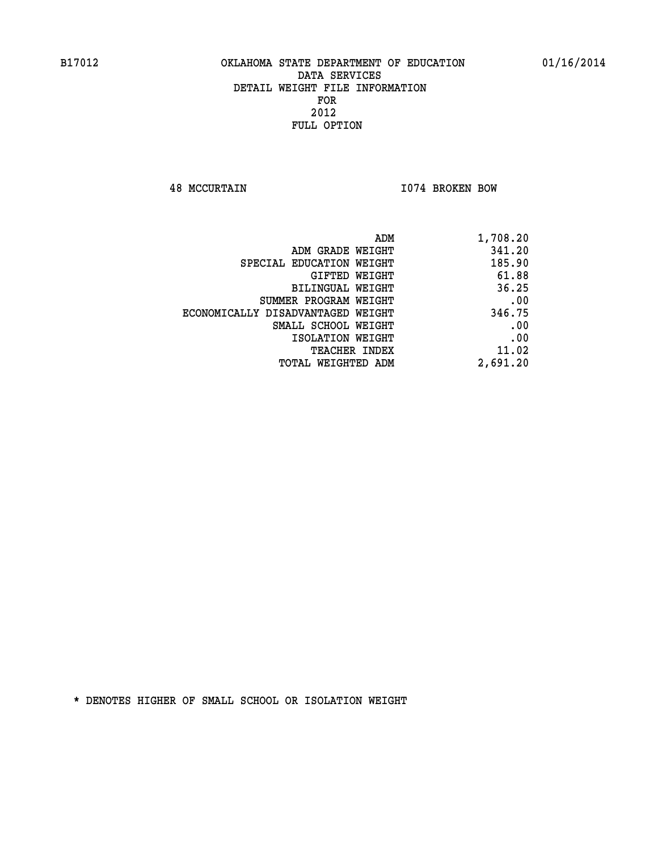**48 MCCURTAIN I074 BROKEN BOW** 

| 1,708.20 |
|----------|
| 341.20   |
| 185.90   |
| 61.88    |
| 36.25    |
| .00      |
| 346.75   |
| .00      |
| .00      |
| 11.02    |
| 2,691.20 |
|          |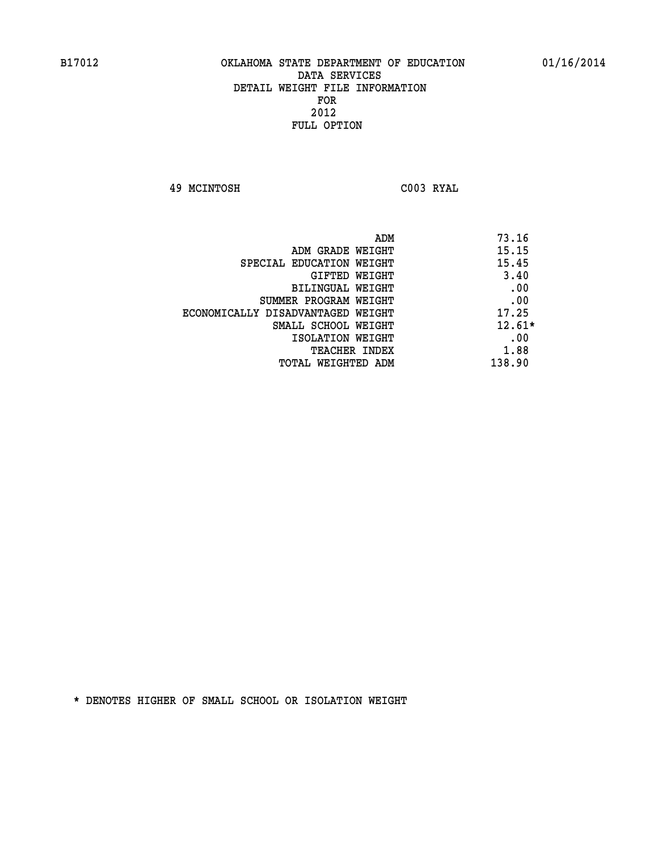**49 MCINTOSH C003 RYAL** 

| ADM                               | 73.16    |
|-----------------------------------|----------|
| ADM GRADE WEIGHT                  | 15.15    |
| SPECIAL EDUCATION WEIGHT          | 15.45    |
| GIFTED WEIGHT                     | 3.40     |
| BILINGUAL WEIGHT                  | .00      |
| SUMMER PROGRAM WEIGHT             | .00      |
| ECONOMICALLY DISADVANTAGED WEIGHT | 17.25    |
| SMALL SCHOOL WEIGHT               | $12.61*$ |
| ISOLATION WEIGHT                  | .00      |
| TEACHER INDEX                     | 1.88     |
| TOTAL WEIGHTED ADM                | 138.90   |
|                                   |          |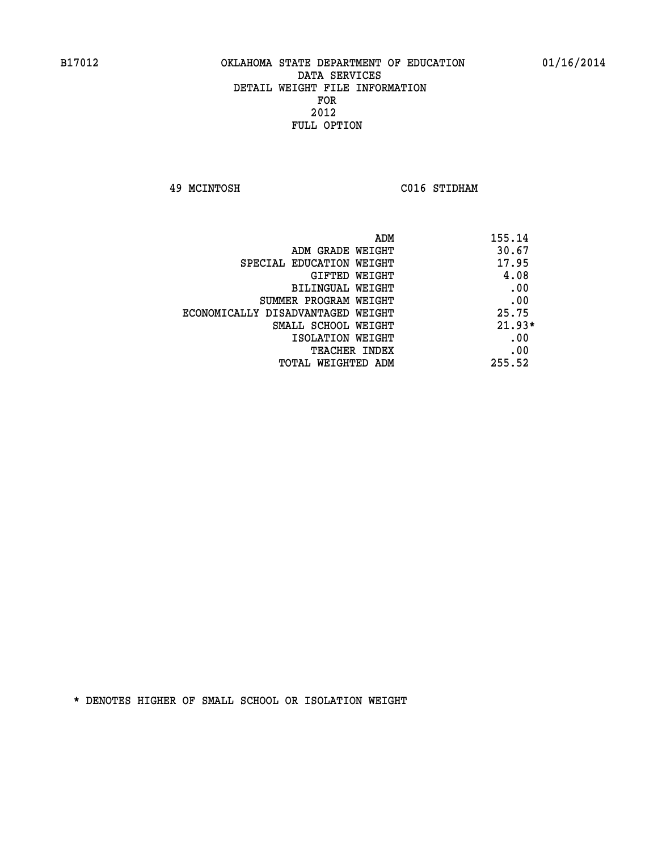**49 MCINTOSH C016 STIDHAM** 

| ADM                               | 155.14   |
|-----------------------------------|----------|
| ADM GRADE WEIGHT                  | 30.67    |
| SPECIAL EDUCATION WEIGHT          | 17.95    |
| GIFTED WEIGHT                     | 4.08     |
| BILINGUAL WEIGHT                  | .00      |
| SUMMER PROGRAM WEIGHT             | .00      |
| ECONOMICALLY DISADVANTAGED WEIGHT | 25.75    |
| SMALL SCHOOL WEIGHT               | $21.93*$ |
| ISOLATION WEIGHT                  | .00      |
| <b>TEACHER INDEX</b>              | .00      |
| TOTAL WEIGHTED ADM                | 255.52   |
|                                   |          |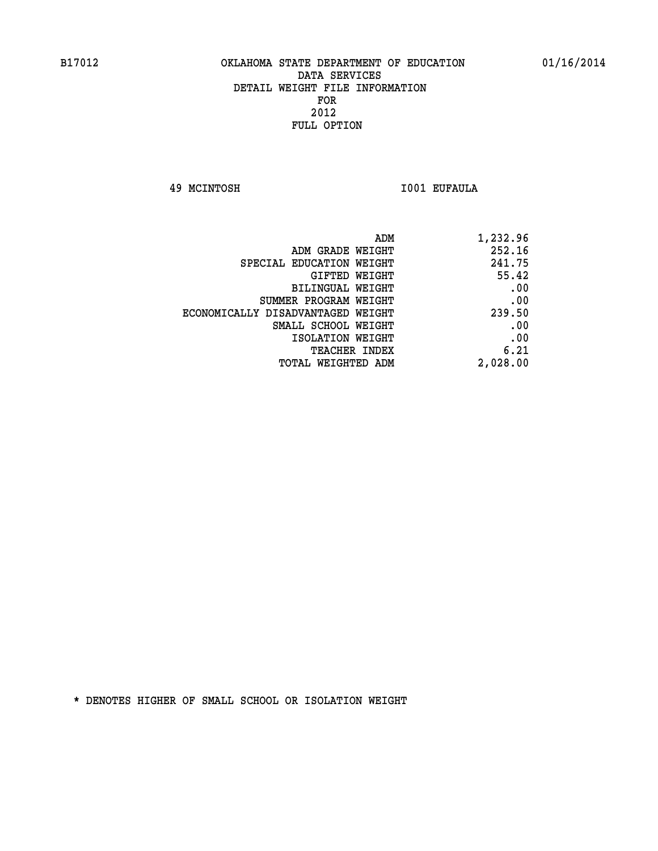**49 MCINTOSH I001 EUFAULA** 

| 1,232.96 |
|----------|
| 252.16   |
| 241.75   |
| 55.42    |
| .00      |
| .00      |
| 239.50   |
| .00      |
| .00      |
| 6.21     |
| 2,028.00 |
|          |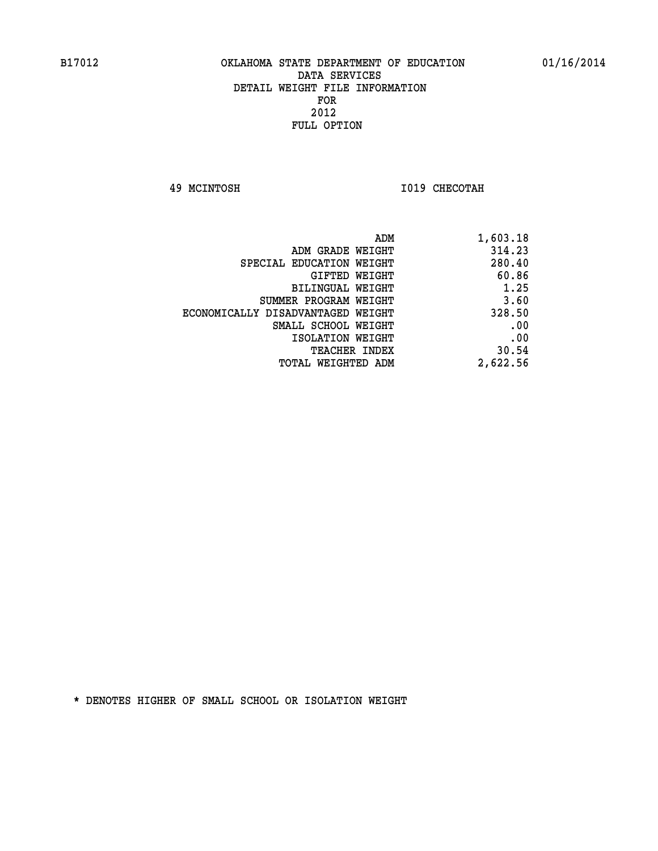**49 MCINTOSH I019 CHECOTAH** 

| 1,603.18 |
|----------|
| 314.23   |
| 280.40   |
| 60.86    |
| 1.25     |
| 3.60     |
| 328.50   |
| .00      |
| .00      |
| 30.54    |
| 2,622.56 |
|          |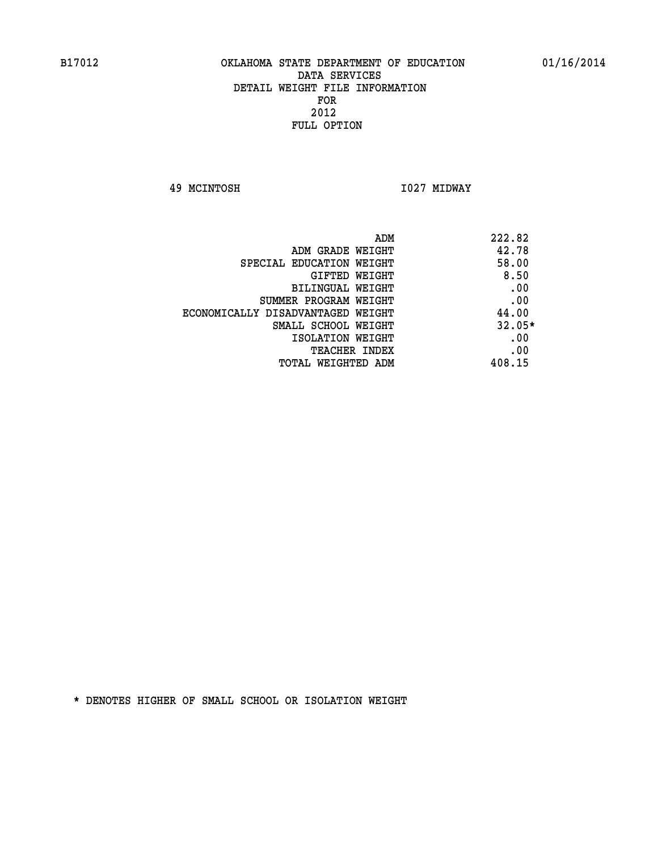**49 MCINTOSH I027 MIDWAY** 

| ADM                               | 222.82   |
|-----------------------------------|----------|
| ADM GRADE WEIGHT                  | 42.78    |
| SPECIAL EDUCATION WEIGHT          | 58.00    |
| GIFTED WEIGHT                     | 8.50     |
| BILINGUAL WEIGHT                  | .00      |
| SUMMER PROGRAM WEIGHT             | .00      |
| ECONOMICALLY DISADVANTAGED WEIGHT | 44.00    |
| SMALL SCHOOL WEIGHT               | $32.05*$ |
| ISOLATION WEIGHT                  | .00      |
| <b>TEACHER INDEX</b>              | .00      |
| TOTAL WEIGHTED ADM                | 408.15   |
|                                   |          |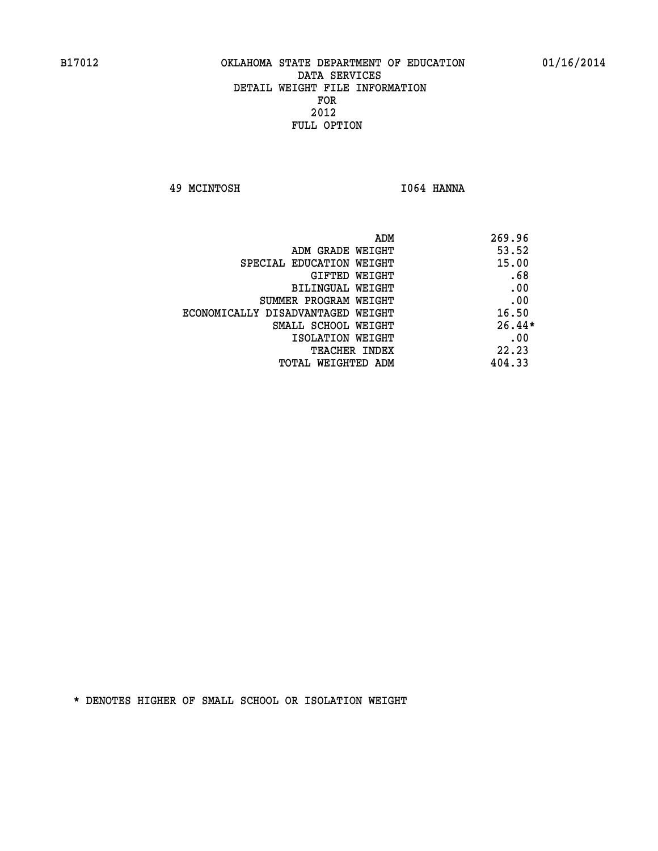**49 MCINTOSH I064 HANNA** 

| ADM                               | 269.96   |
|-----------------------------------|----------|
| ADM GRADE WEIGHT                  | 53.52    |
| SPECIAL EDUCATION WEIGHT          | 15.00    |
| GIFTED WEIGHT                     | .68      |
| BILINGUAL WEIGHT                  | .00      |
| SUMMER PROGRAM WEIGHT             | .00      |
| ECONOMICALLY DISADVANTAGED WEIGHT | 16.50    |
| SMALL SCHOOL WEIGHT               | $26.44*$ |
| ISOLATION WEIGHT                  | .00      |
| <b>TEACHER INDEX</b>              | 22.23    |
| TOTAL WEIGHTED ADM                | 404.33   |
|                                   |          |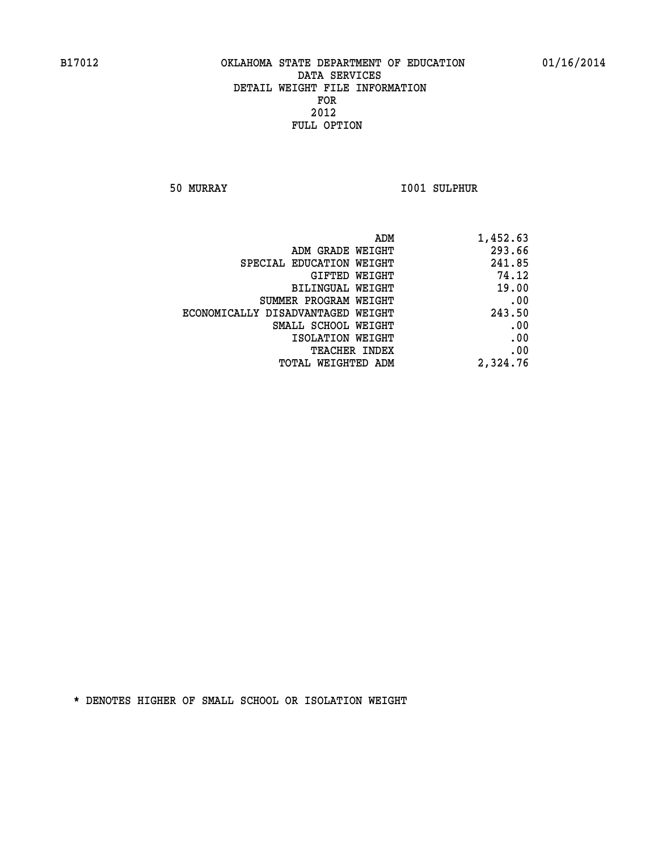**50 MURRAY I001 SULPHUR** 

| 1,452.63 |
|----------|
| 293.66   |
| 241.85   |
| 74.12    |
| 19.00    |
| .00      |
| 243.50   |
| .00      |
| .00      |
| .00      |
| 2,324.76 |
|          |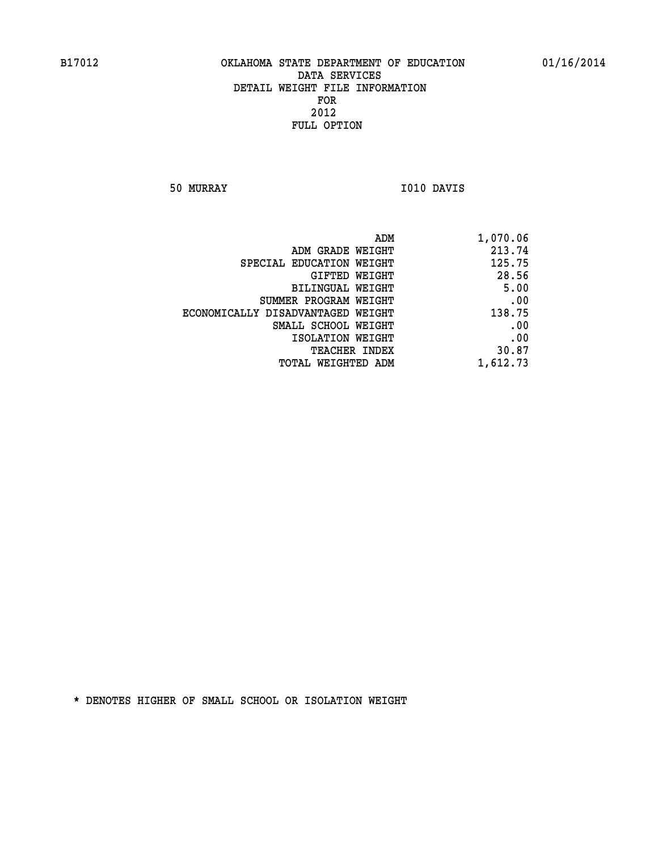**50 MURRAY I010 DAVIS** 

| 1,070.06 |
|----------|
| 213.74   |
| 125.75   |
| 28.56    |
| 5.00     |
| .00      |
| 138.75   |
| .00      |
| .00      |
| 30.87    |
| 1,612.73 |
|          |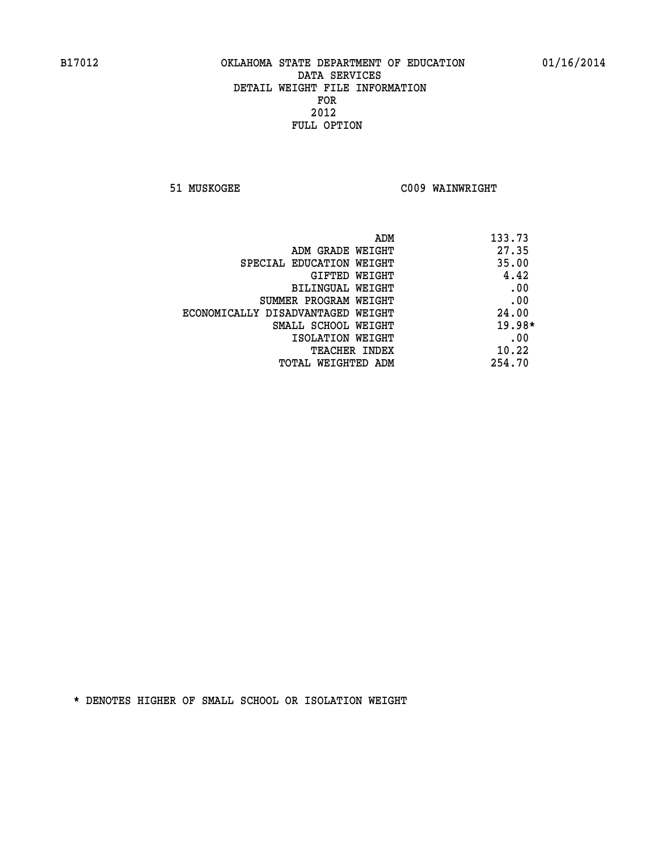**51 MUSKOGEE C009 WAINWRIGHT** 

| ADM                               | 133.73   |
|-----------------------------------|----------|
| ADM GRADE WEIGHT                  | 27.35    |
| SPECIAL EDUCATION WEIGHT          | 35.00    |
| GIFTED WEIGHT                     | 4.42     |
| BILINGUAL WEIGHT                  | .00      |
| SUMMER PROGRAM WEIGHT             | .00      |
| ECONOMICALLY DISADVANTAGED WEIGHT | 24.00    |
| SMALL SCHOOL WEIGHT               | $19.98*$ |
| ISOLATION WEIGHT                  | .00      |
| <b>TEACHER INDEX</b>              | 10.22    |
| TOTAL WEIGHTED ADM                | 254.70   |
|                                   |          |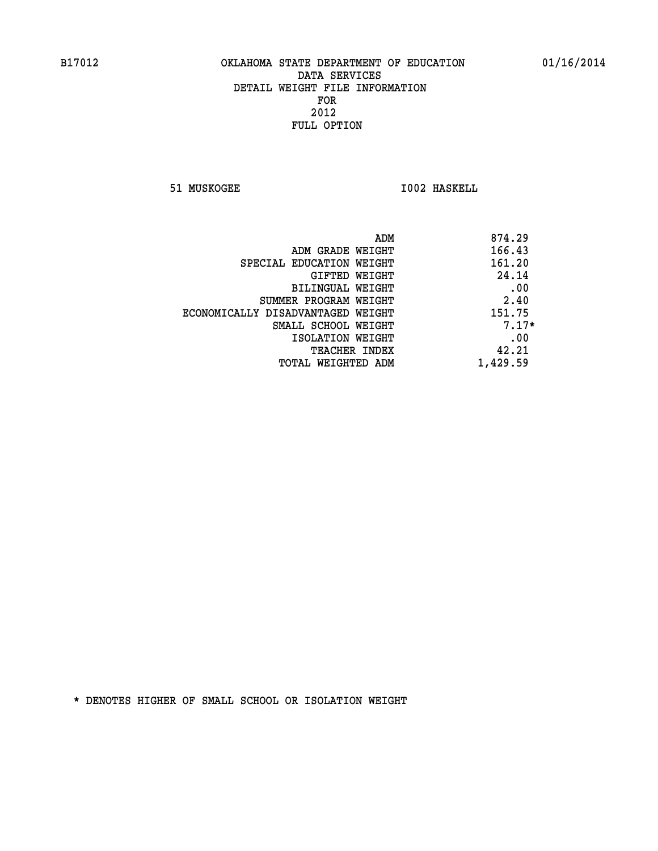**51 MUSKOGEE 1002 HASKELL** 

| 874.29<br>ADM |                                   |
|---------------|-----------------------------------|
| 166.43        | ADM GRADE WEIGHT                  |
| 161.20        | SPECIAL EDUCATION WEIGHT          |
| 24.14         | GIFTED WEIGHT                     |
| .00           | BILINGUAL WEIGHT                  |
| 2.40          | SUMMER PROGRAM WEIGHT             |
| 151.75        | ECONOMICALLY DISADVANTAGED WEIGHT |
| $7.17*$       | SMALL SCHOOL WEIGHT               |
| .00           | ISOLATION WEIGHT                  |
| 42.21         | <b>TEACHER INDEX</b>              |
| 1,429.59      | TOTAL WEIGHTED ADM                |
|               |                                   |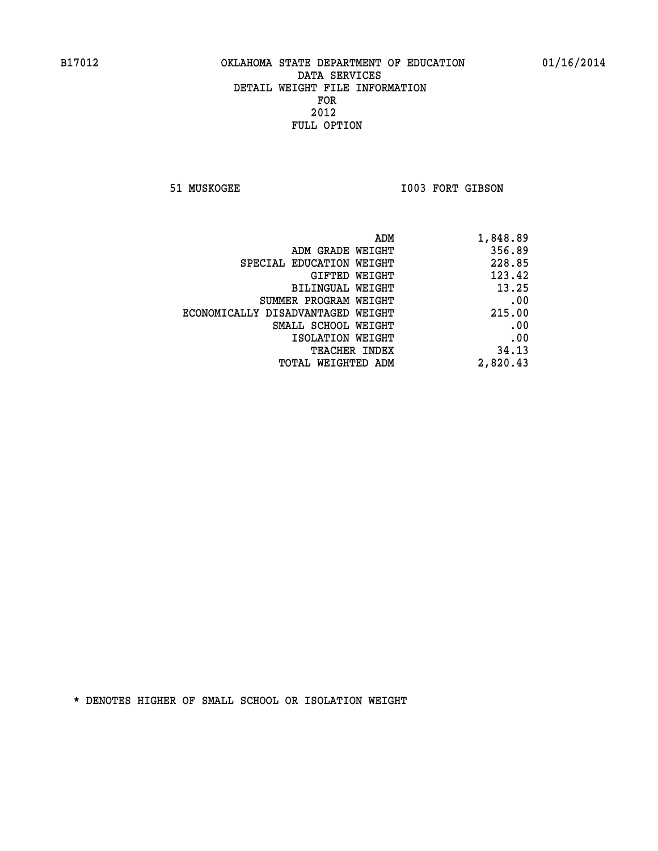51 MUSKOGEE 1003 FORT GIBSON

| 1,848.89 |
|----------|
| 356.89   |
| 228.85   |
| 123.42   |
| 13.25    |
| .00      |
| 215.00   |
| .00      |
| .00      |
| 34.13    |
| 2,820.43 |
|          |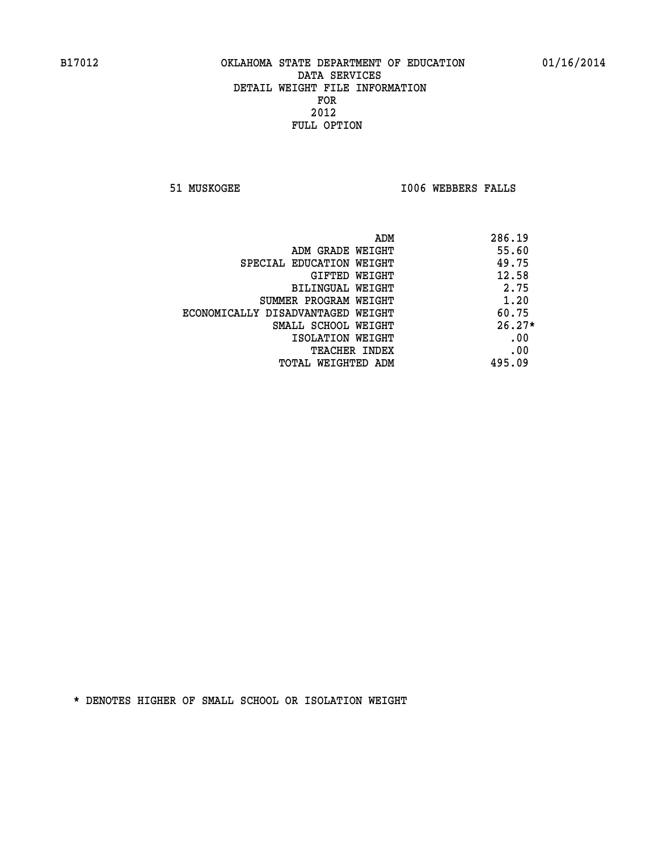**51 MUSKOGEE I006 WEBBERS FALLS** 

|                                   | ADM | 286.19   |
|-----------------------------------|-----|----------|
| ADM GRADE WEIGHT                  |     | 55.60    |
| SPECIAL EDUCATION WEIGHT          |     | 49.75    |
| GIFTED WEIGHT                     |     | 12.58    |
| BILINGUAL WEIGHT                  |     | 2.75     |
| SUMMER PROGRAM WEIGHT             |     | 1.20     |
| ECONOMICALLY DISADVANTAGED WEIGHT |     | 60.75    |
| SMALL SCHOOL WEIGHT               |     | $26.27*$ |
| ISOLATION WEIGHT                  |     | .00      |
| <b>TEACHER INDEX</b>              |     | .00      |
| TOTAL WEIGHTED ADM                |     | 495.09   |
|                                   |     |          |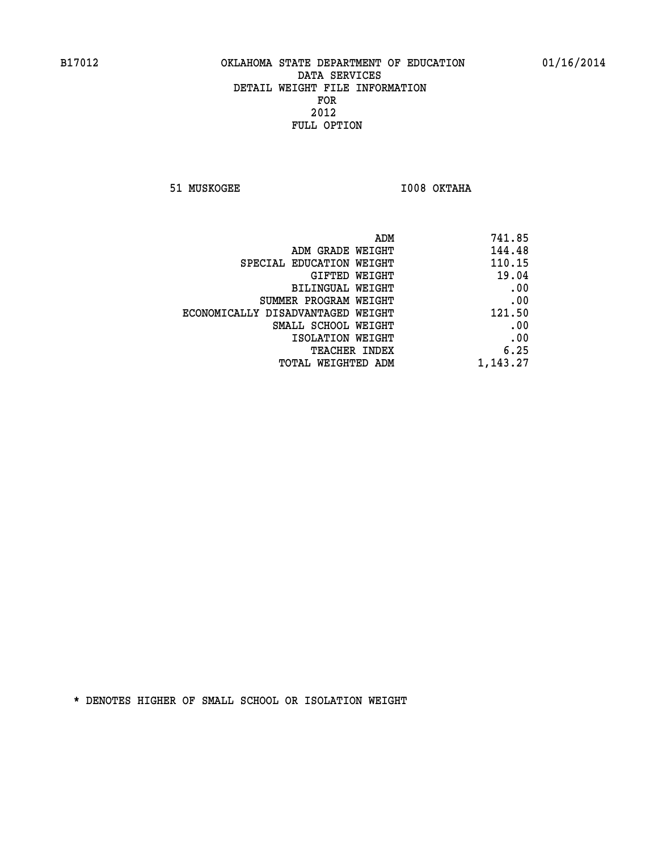**51 MUSKOGEE I008 OKTAHA** 

| 741.85   |
|----------|
| 144.48   |
| 110.15   |
| 19.04    |
| .00      |
| .00      |
| 121.50   |
| .00      |
| .00      |
| 6.25     |
| 1,143.27 |
|          |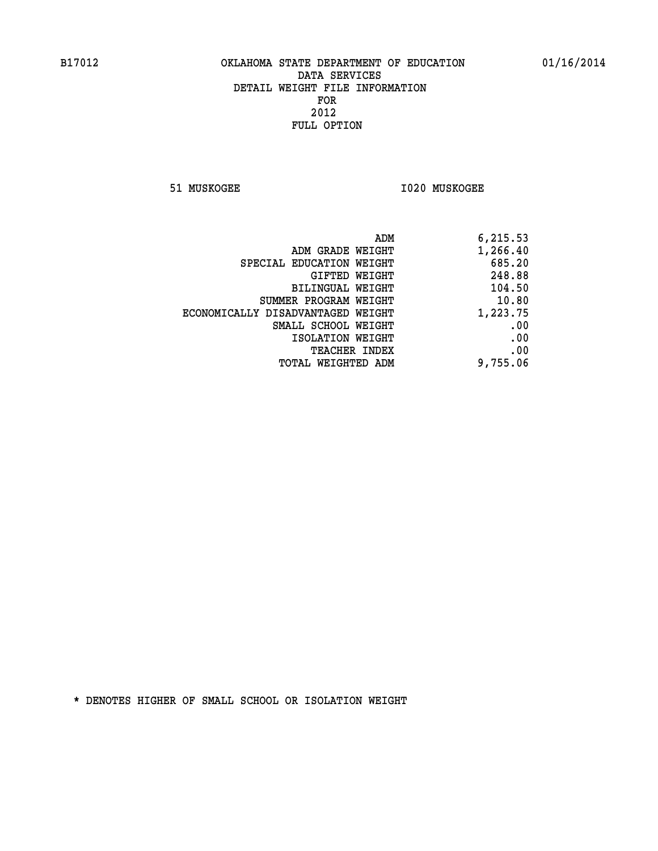**51 MUSKOGEE I020 MUSKOGEE** 

| 6,215.53 |
|----------|
| 1,266.40 |
| 685.20   |
| 248.88   |
| 104.50   |
| 10.80    |
| 1,223.75 |
| .00      |
| .00      |
| .00      |
| 9,755.06 |
|          |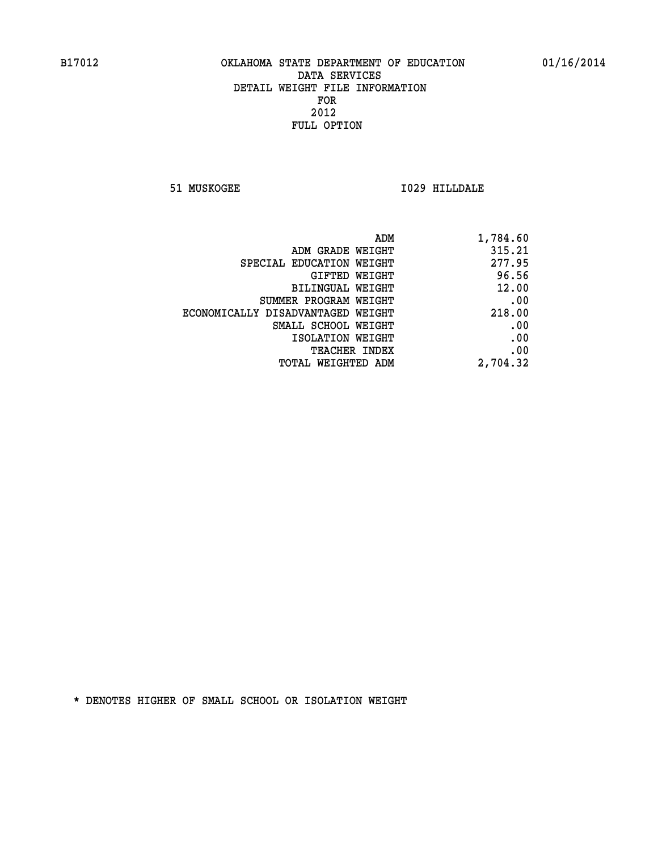**51 MUSKOGEE I029 HILLDALE** 

| ADM                               | 1,784.60 |
|-----------------------------------|----------|
| ADM GRADE WEIGHT                  | 315.21   |
| SPECIAL EDUCATION WEIGHT          | 277.95   |
| GIFTED WEIGHT                     | 96.56    |
| BILINGUAL WEIGHT                  | 12.00    |
| SUMMER PROGRAM WEIGHT             | .00      |
| ECONOMICALLY DISADVANTAGED WEIGHT | 218.00   |
| SMALL SCHOOL WEIGHT               | .00      |
| ISOLATION WEIGHT                  | .00      |
| TEACHER INDEX                     | .00      |
| TOTAL WEIGHTED ADM                | 2,704.32 |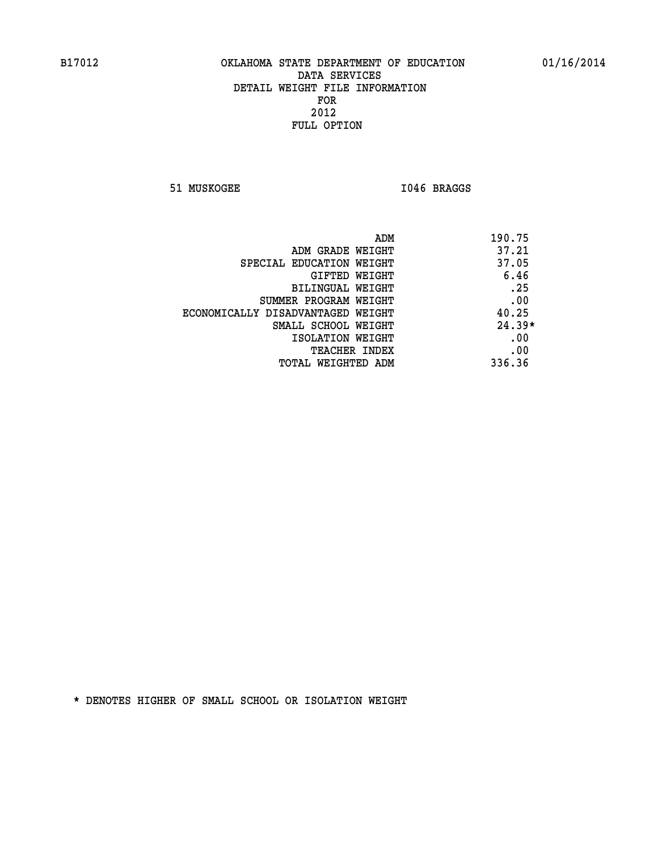51 MUSKOGEE 1046 BRAGGS

| ADM                               | 190.75   |
|-----------------------------------|----------|
| ADM GRADE WEIGHT                  | 37.21    |
| SPECIAL EDUCATION WEIGHT          | 37.05    |
| GIFTED WEIGHT                     | 6.46     |
| BILINGUAL WEIGHT                  | .25      |
| SUMMER PROGRAM WEIGHT             | .00      |
| ECONOMICALLY DISADVANTAGED WEIGHT | 40.25    |
| SMALL SCHOOL WEIGHT               | $24.39*$ |
| ISOLATION WEIGHT                  | .00      |
| <b>TEACHER INDEX</b>              | .00      |
| TOTAL WEIGHTED ADM                | 336.36   |
|                                   |          |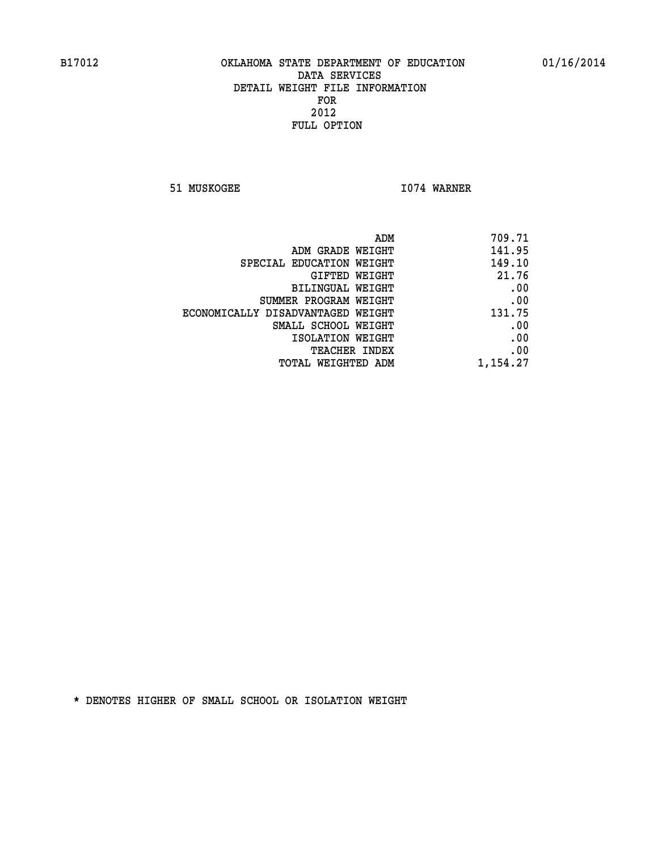**51 MUSKOGEE 1074 WARNER** 

| ADM                               | 709.71   |
|-----------------------------------|----------|
| ADM GRADE WEIGHT                  | 141.95   |
| SPECIAL EDUCATION WEIGHT          | 149.10   |
| GIFTED WEIGHT                     | 21.76    |
| BILINGUAL WEIGHT                  | .00      |
| SUMMER PROGRAM WEIGHT             | .00      |
| ECONOMICALLY DISADVANTAGED WEIGHT | 131.75   |
| SMALL SCHOOL WEIGHT               | .00      |
| ISOLATION WEIGHT                  | .00      |
| TEACHER INDEX                     | .00      |
| TOTAL WEIGHTED ADM                | 1,154.27 |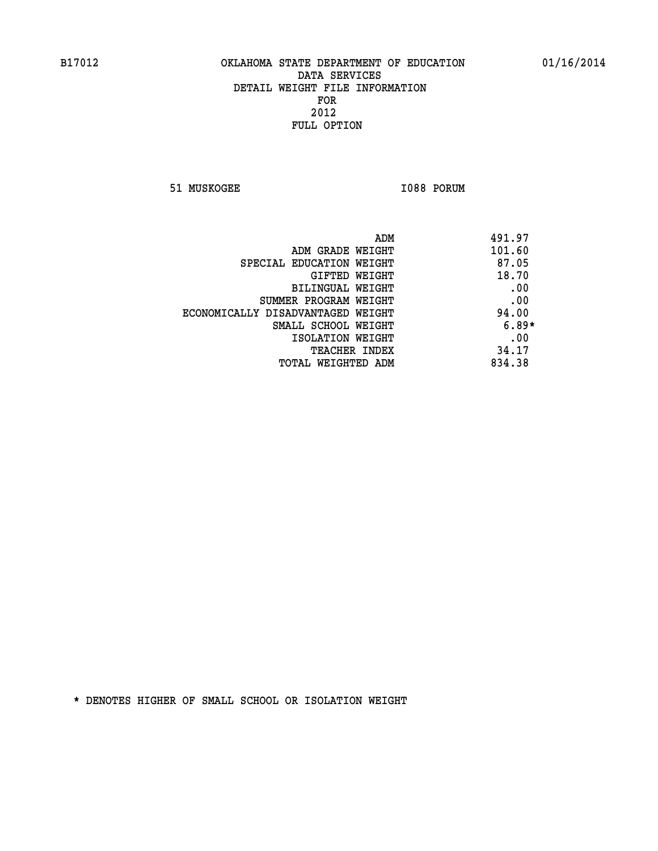**51 MUSKOGEE 1088 PORUM** 

| ADM                               | 491.97  |
|-----------------------------------|---------|
| ADM GRADE WEIGHT                  | 101.60  |
| SPECIAL EDUCATION WEIGHT          | 87.05   |
| GIFTED WEIGHT                     | 18.70   |
| BILINGUAL WEIGHT                  | .00     |
| SUMMER PROGRAM WEIGHT             | .00     |
| ECONOMICALLY DISADVANTAGED WEIGHT | 94.00   |
| SMALL SCHOOL WEIGHT               | $6.89*$ |
| ISOLATION WEIGHT                  | .00     |
| <b>TEACHER INDEX</b>              | 34.17   |
| TOTAL WEIGHTED ADM                | 834.38  |
|                                   |         |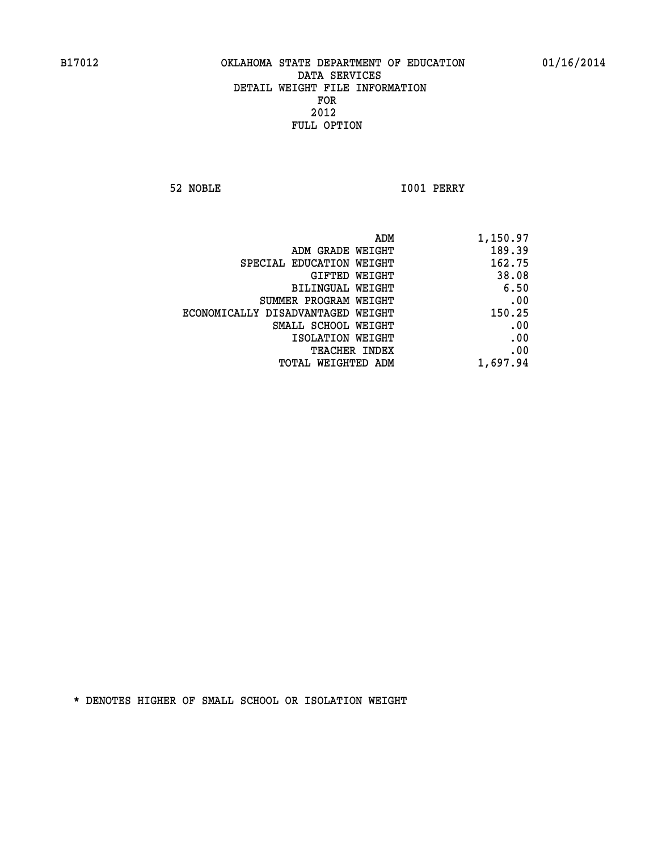**52 NOBLE I001 PERRY** 

| ADM                               | 1,150.97 |
|-----------------------------------|----------|
| ADM GRADE WEIGHT                  | 189.39   |
| SPECIAL EDUCATION WEIGHT          | 162.75   |
| GIFTED WEIGHT                     | 38.08    |
| BILINGUAL WEIGHT                  | 6.50     |
| SUMMER PROGRAM WEIGHT             | .00      |
| ECONOMICALLY DISADVANTAGED WEIGHT | 150.25   |
| SMALL SCHOOL WEIGHT               | .00      |
| ISOLATION WEIGHT                  | .00      |
| <b>TEACHER INDEX</b>              | .00      |
| <b>TOTAL WEIGHTED ADM</b>         | 1,697.94 |
|                                   |          |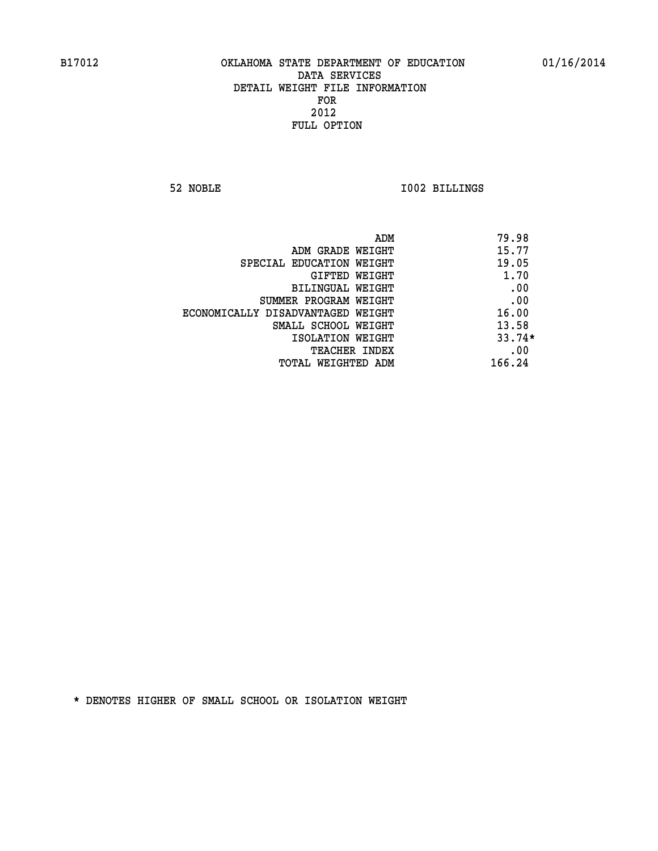**52 NOBLE I002 BILLINGS** 

|                                   | ADM | 79.98    |
|-----------------------------------|-----|----------|
| ADM GRADE WEIGHT                  |     | 15.77    |
| SPECIAL EDUCATION WEIGHT          |     | 19.05    |
| GIFTED WEIGHT                     |     | 1.70     |
| BILINGUAL WEIGHT                  |     | .00      |
| SUMMER PROGRAM WEIGHT             |     | .00      |
| ECONOMICALLY DISADVANTAGED WEIGHT |     | 16.00    |
| SMALL SCHOOL WEIGHT               |     | 13.58    |
| ISOLATION WEIGHT                  |     | $33.74*$ |
| TEACHER INDEX                     |     | .00      |
| TOTAL WEIGHTED ADM                |     | 166.24   |
|                                   |     |          |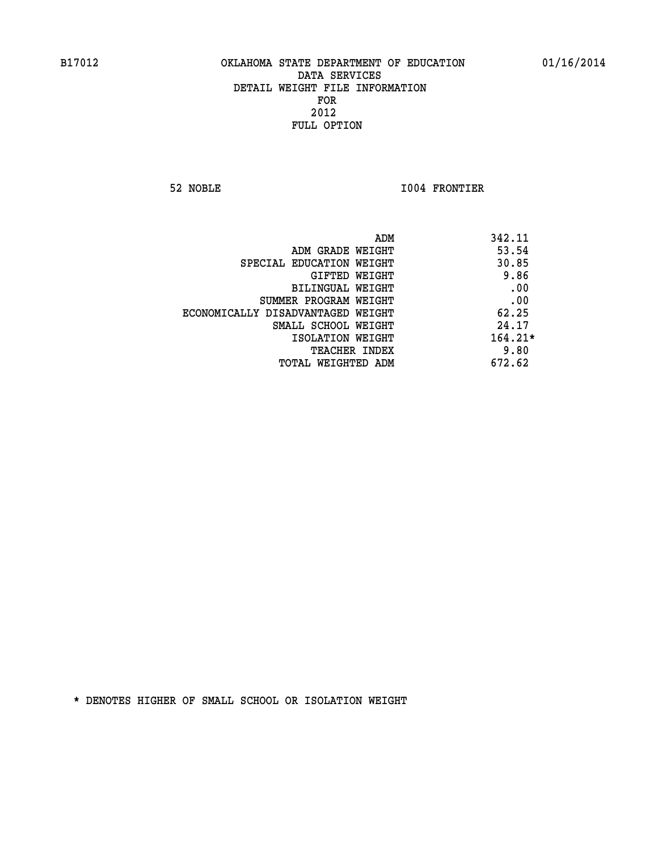**52 NOBLE I004 FRONTIER** 

|                                   | ADM<br>342.11 |
|-----------------------------------|---------------|
| ADM GRADE WEIGHT                  | 53.54         |
| SPECIAL EDUCATION WEIGHT          | 30.85         |
| GIFTED WEIGHT                     | 9.86          |
| BILINGUAL WEIGHT                  | .00           |
| SUMMER PROGRAM WEIGHT             | .00           |
| ECONOMICALLY DISADVANTAGED WEIGHT | 62.25         |
| SMALL SCHOOL WEIGHT               | 24.17         |
| ISOLATION WEIGHT                  | $164.21*$     |
| <b>TEACHER INDEX</b>              | 9.80          |
| TOTAL WEIGHTED ADM                | 672.62        |
|                                   |               |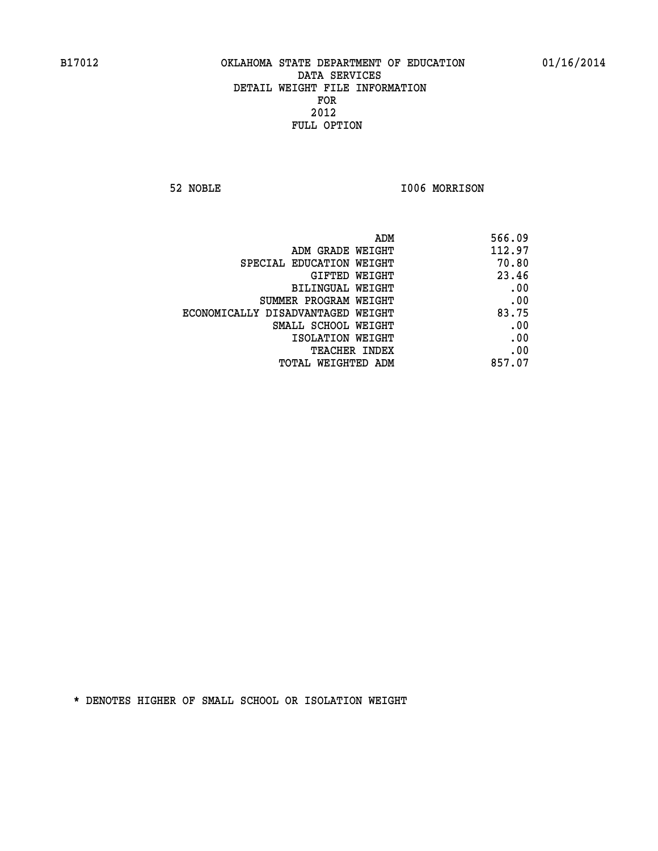**52 NOBLE I006 MORRISON** 

| ADM                               | 566.09 |
|-----------------------------------|--------|
| ADM GRADE WEIGHT                  | 112.97 |
| SPECIAL EDUCATION WEIGHT          | 70.80  |
| GIFTED WEIGHT                     | 23.46  |
| BILINGUAL WEIGHT                  | .00    |
| SUMMER PROGRAM WEIGHT             | .00    |
| ECONOMICALLY DISADVANTAGED WEIGHT | 83.75  |
| SMALL SCHOOL WEIGHT               | .00    |
| ISOLATION WEIGHT                  | .00    |
| TEACHER INDEX                     | .00    |
| TOTAL WEIGHTED ADM                | 857.07 |
|                                   |        |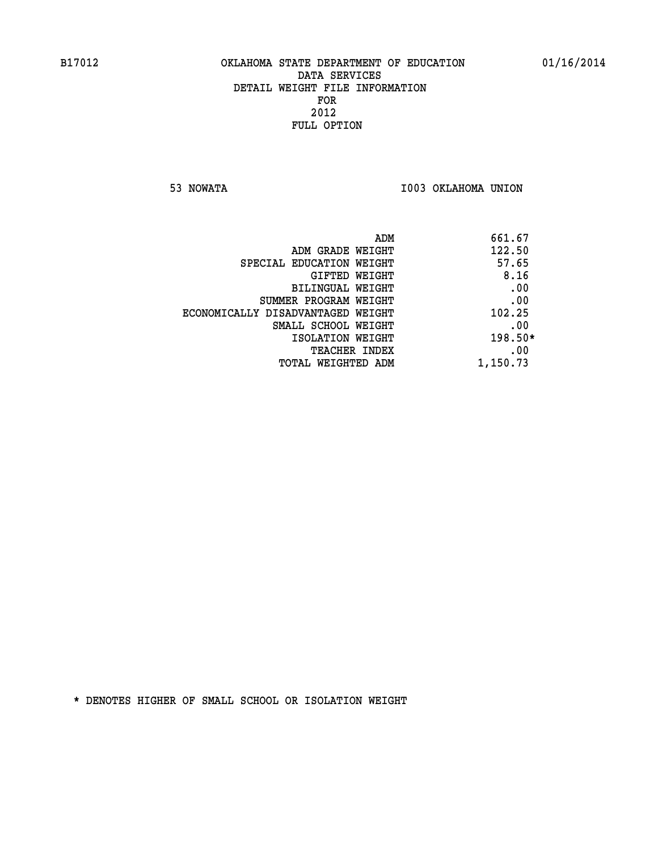**53 NOWATA I003 OKLAHOMA UNION** 

| 661.67    | ADM                               |
|-----------|-----------------------------------|
| 122.50    | ADM GRADE WEIGHT                  |
| 57.65     | SPECIAL EDUCATION WEIGHT          |
| 8.16      | <b>GIFTED WEIGHT</b>              |
| .00       | BILINGUAL WEIGHT                  |
| .00       | SUMMER PROGRAM WEIGHT             |
| 102.25    | ECONOMICALLY DISADVANTAGED WEIGHT |
| .00       | SMALL SCHOOL WEIGHT               |
| $198.50*$ | ISOLATION WEIGHT                  |
| .00       | <b>TEACHER INDEX</b>              |
| 1,150.73  | TOTAL WEIGHTED ADM                |
|           |                                   |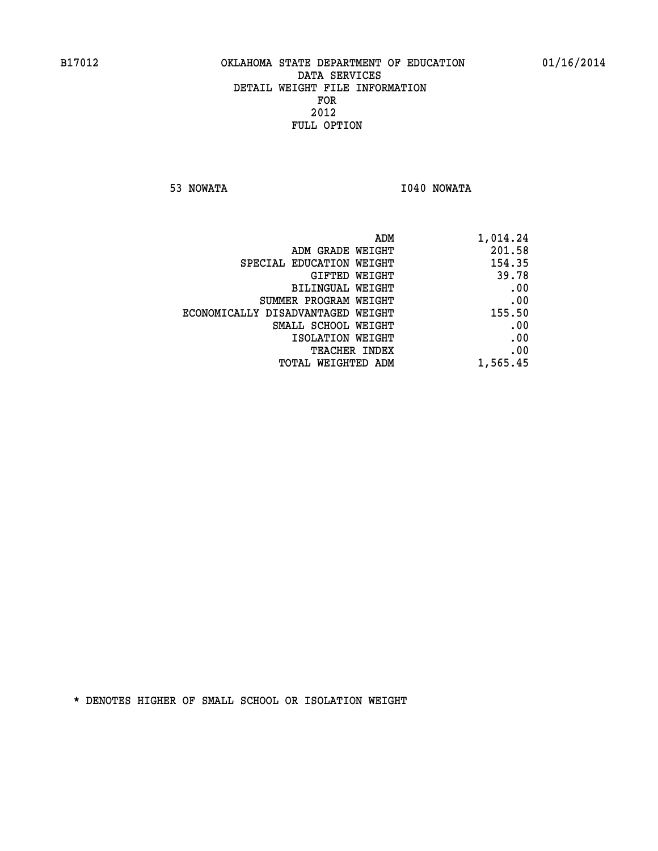**53 NOWATA I040 NOWATA** 

| 1,014.24 |
|----------|
| 201.58   |
| 154.35   |
| 39.78    |
| .00      |
| .00      |
| 155.50   |
| .00      |
| .00      |
| .00      |
| 1,565.45 |
|          |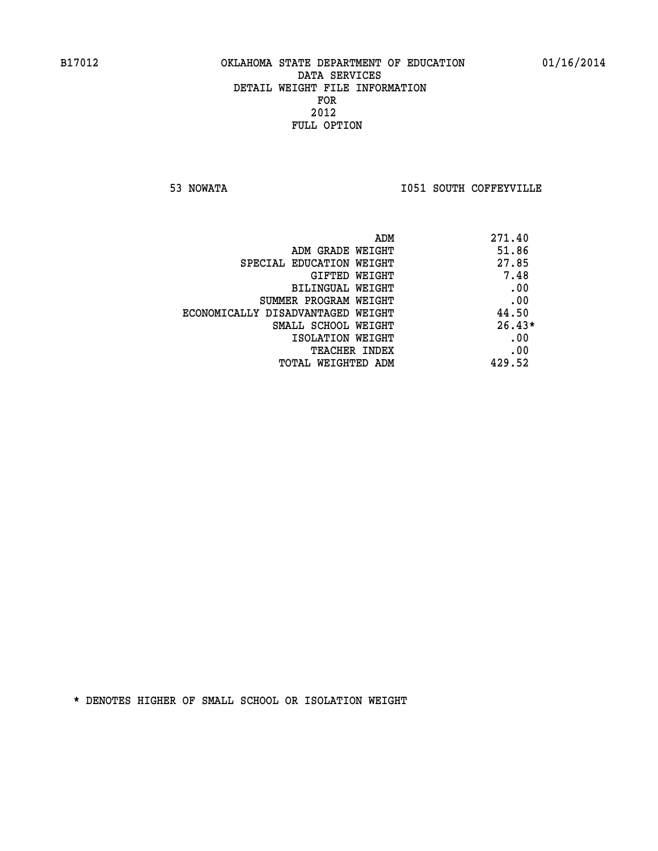**53 NOWATA I051 SOUTH COFFEYVILLE** 

| ADM                               | 271.40   |
|-----------------------------------|----------|
| ADM GRADE WEIGHT                  | 51.86    |
| SPECIAL EDUCATION WEIGHT          | 27.85    |
| <b>GIFTED WEIGHT</b>              | 7.48     |
| BILINGUAL WEIGHT                  | .00      |
| SUMMER PROGRAM WEIGHT             | .00      |
| ECONOMICALLY DISADVANTAGED WEIGHT | 44.50    |
| SMALL SCHOOL WEIGHT               | $26.43*$ |
| ISOLATION WEIGHT                  | .00      |
| TEACHER INDEX                     | .00      |
| TOTAL WEIGHTED ADM                | 429.52   |
|                                   |          |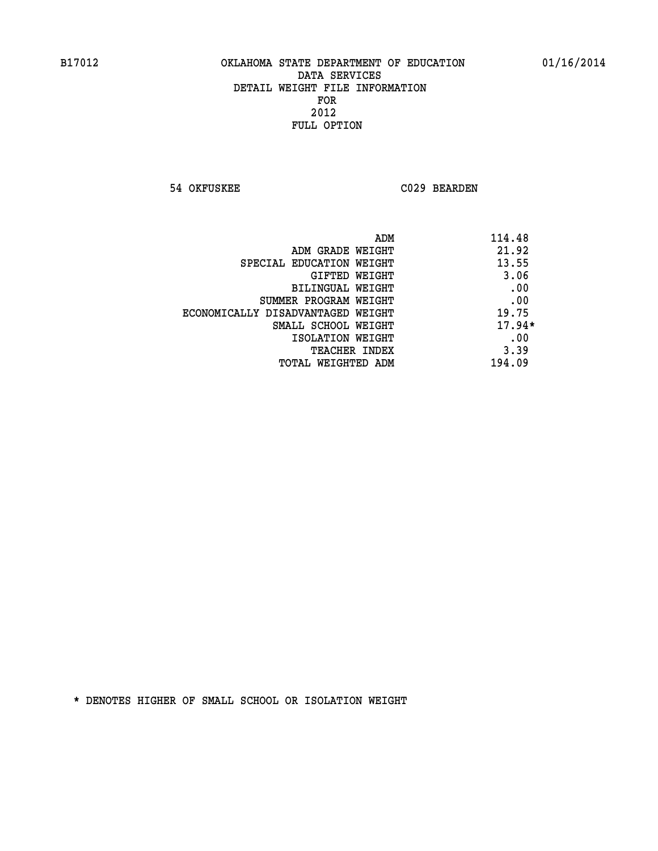**54 OKFUSKEE C029 BEARDEN** 

| ADM                               | 114.48   |
|-----------------------------------|----------|
| ADM GRADE WEIGHT                  | 21.92    |
| SPECIAL EDUCATION WEIGHT          | 13.55    |
| GIFTED WEIGHT                     | 3.06     |
| BILINGUAL WEIGHT                  | .00      |
| SUMMER PROGRAM WEIGHT             | .00      |
| ECONOMICALLY DISADVANTAGED WEIGHT | 19.75    |
| SMALL SCHOOL WEIGHT               | $17.94*$ |
| ISOLATION WEIGHT                  | .00      |
| <b>TEACHER INDEX</b>              | 3.39     |
| TOTAL WEIGHTED ADM                | 194.09   |
|                                   |          |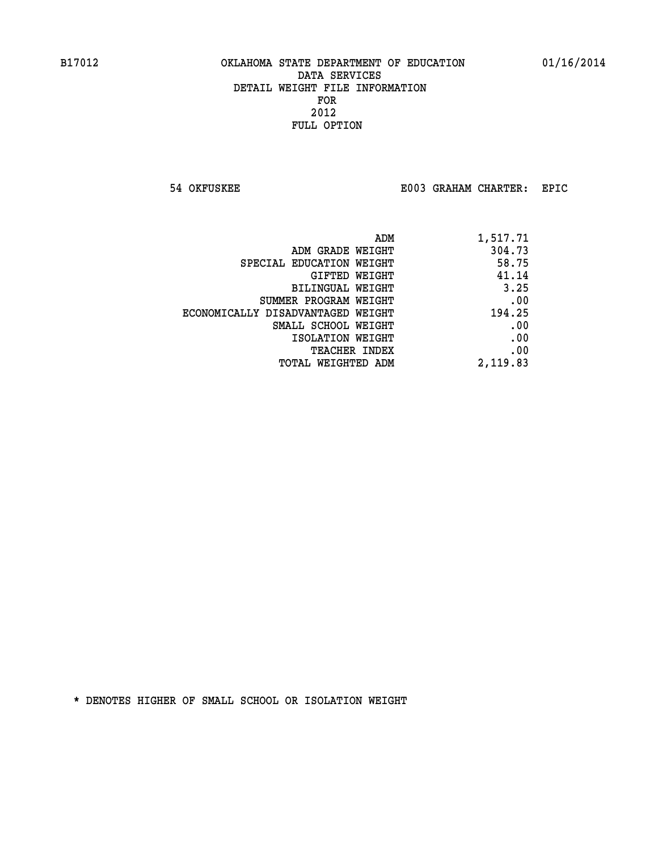**54 OKFUSKEE E003 GRAHAM CHARTER: EPIC** 

| ADM                               | 1,517.71 |
|-----------------------------------|----------|
| ADM GRADE WEIGHT                  | 304.73   |
| SPECIAL EDUCATION WEIGHT          | 58.75    |
| GIFTED WEIGHT                     | 41.14    |
| BILINGUAL WEIGHT                  | 3.25     |
| SUMMER PROGRAM WEIGHT             | .00      |
| ECONOMICALLY DISADVANTAGED WEIGHT | 194.25   |
| SMALL SCHOOL WEIGHT               | .00      |
| ISOLATION WEIGHT                  | .00      |
| TEACHER INDEX                     | .00      |
| TOTAL WEIGHTED ADM                | 2,119.83 |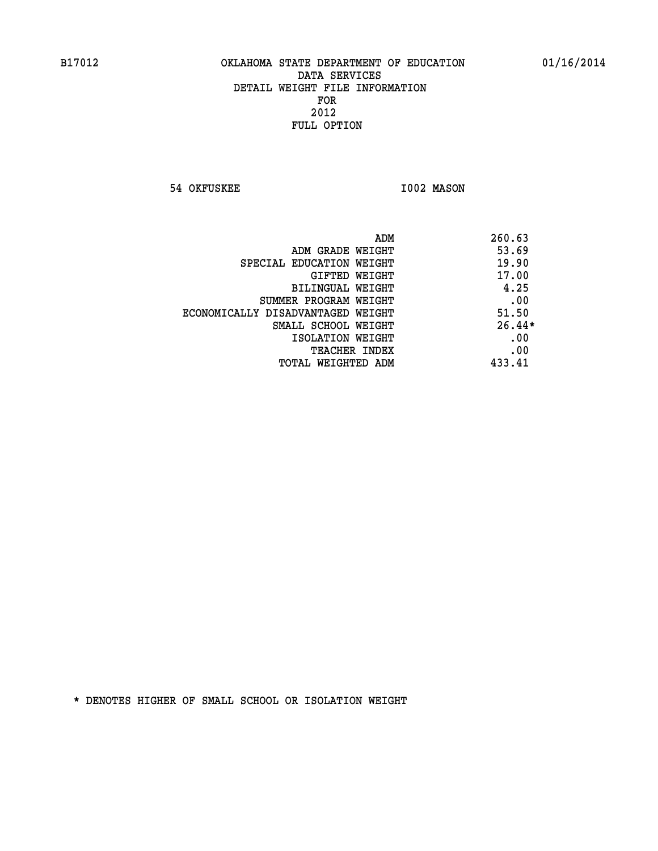**54 OKFUSKEE 1002 MASON** 

|                                   | 260.63<br>ADM |
|-----------------------------------|---------------|
| ADM GRADE WEIGHT                  | 53.69         |
| SPECIAL EDUCATION WEIGHT          | 19.90         |
| GIFTED WEIGHT                     | 17.00         |
| BILINGUAL WEIGHT                  | 4.25          |
| SUMMER PROGRAM WEIGHT             | .00           |
| ECONOMICALLY DISADVANTAGED WEIGHT | 51.50         |
| SMALL SCHOOL WEIGHT               | $26.44*$      |
| ISOLATION WEIGHT                  | .00           |
| <b>TEACHER INDEX</b>              | .00           |
| TOTAL WEIGHTED ADM                | 433.41        |
|                                   |               |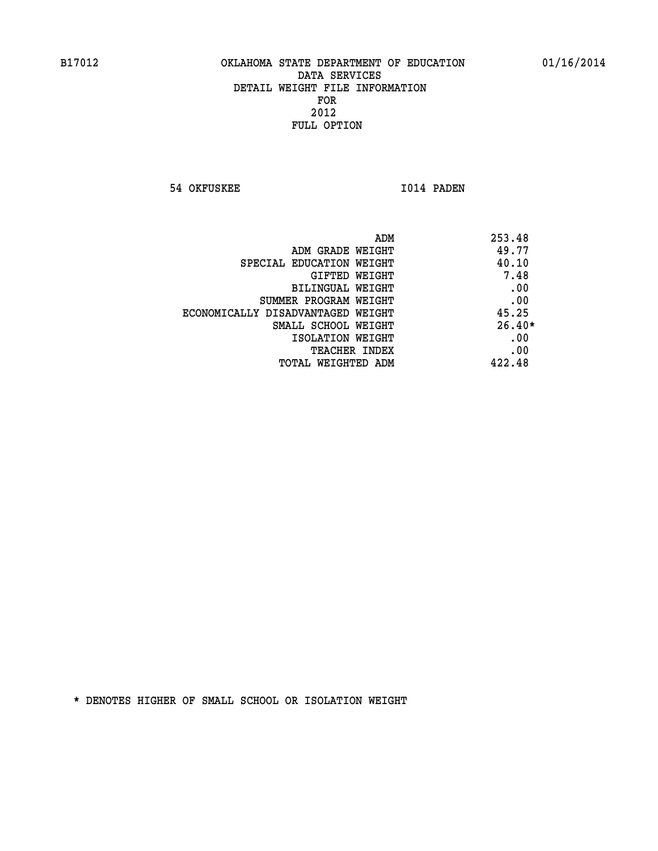**54 OKFUSKEE 1014 PADEN** 

| ADM                               | 253.48   |
|-----------------------------------|----------|
| ADM GRADE WEIGHT                  | 49.77    |
| SPECIAL EDUCATION WEIGHT          | 40.10    |
| GIFTED WEIGHT                     | 7.48     |
| BILINGUAL WEIGHT                  | .00      |
| SUMMER PROGRAM WEIGHT             | .00      |
| ECONOMICALLY DISADVANTAGED WEIGHT | 45.25    |
| SMALL SCHOOL WEIGHT               | $26.40*$ |
| ISOLATION WEIGHT                  | .00      |
| <b>TEACHER INDEX</b>              | .00      |
| TOTAL WEIGHTED ADM                | 422.48   |
|                                   |          |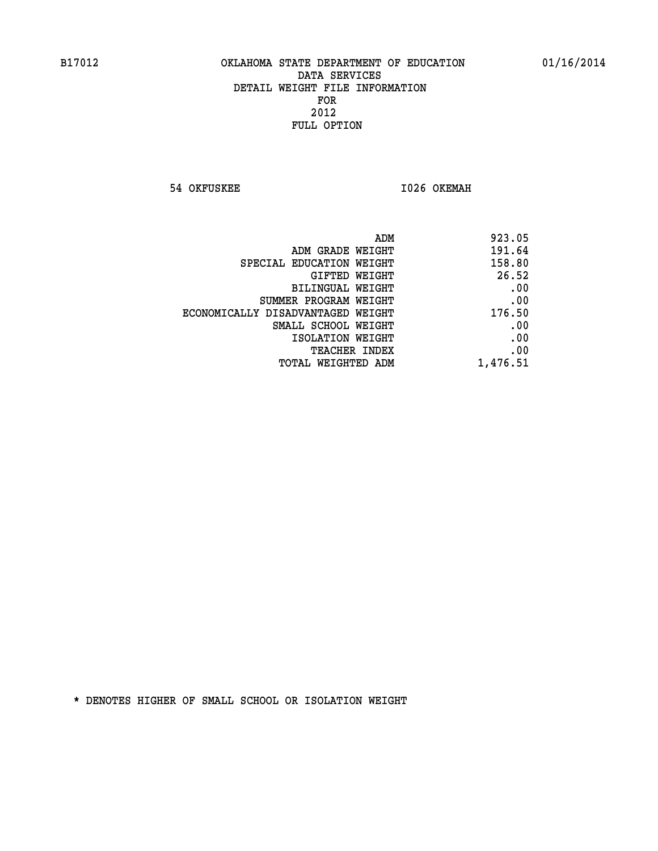**54 OKFUSKEE 1026 OKEMAH** 

| ADM                               | 923.05   |
|-----------------------------------|----------|
| ADM GRADE WEIGHT                  | 191.64   |
| SPECIAL EDUCATION WEIGHT          | 158.80   |
| GIFTED WEIGHT                     | 26.52    |
| BILINGUAL WEIGHT                  | .00      |
| SUMMER PROGRAM WEIGHT             | .00      |
| ECONOMICALLY DISADVANTAGED WEIGHT | 176.50   |
| SMALL SCHOOL WEIGHT               | .00      |
| ISOLATION WEIGHT                  | .00      |
| <b>TEACHER INDEX</b>              | .00      |
| TOTAL WEIGHTED ADM                | 1,476.51 |
|                                   |          |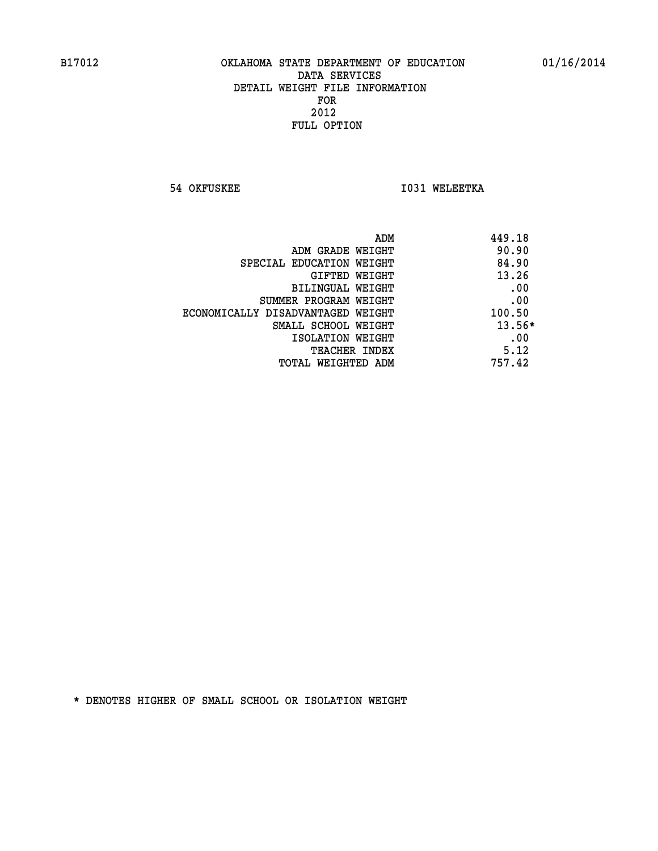**54 OKFUSKEE 1031 WELEETKA** 

|                                   | 449.18<br>ADM |      |
|-----------------------------------|---------------|------|
| ADM GRADE WEIGHT                  | 90.90         |      |
| SPECIAL EDUCATION WEIGHT          | 84.90         |      |
| GIFTED WEIGHT                     | 13.26         |      |
| BILINGUAL WEIGHT                  |               | .00  |
| SUMMER PROGRAM WEIGHT             |               | .00  |
| ECONOMICALLY DISADVANTAGED WEIGHT | 100.50        |      |
| SMALL SCHOOL WEIGHT               | $13.56*$      |      |
| ISOLATION WEIGHT                  |               | .00  |
| TEACHER INDEX                     |               | 5.12 |
| TOTAL WEIGHTED ADM                | 757.42        |      |
|                                   |               |      |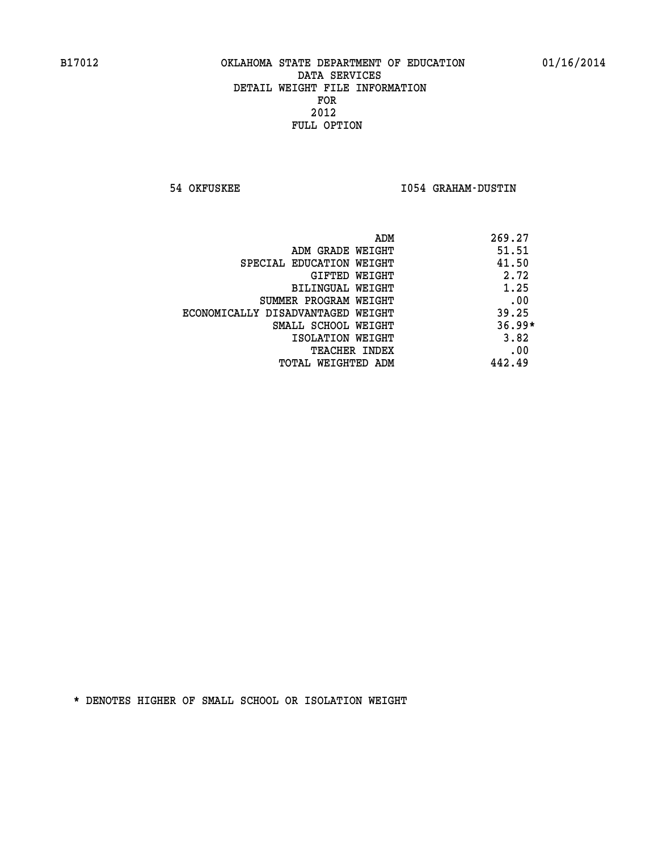**54 OKFUSKEE I054 GRAHAM-DUSTIN** 

|                                   | ADM<br>269.27 |
|-----------------------------------|---------------|
| ADM GRADE WEIGHT                  | 51.51         |
| SPECIAL EDUCATION WEIGHT          | 41.50         |
| GIFTED WEIGHT                     | 2.72          |
| BILINGUAL WEIGHT                  | 1.25          |
| SUMMER PROGRAM WEIGHT             | .00           |
| ECONOMICALLY DISADVANTAGED WEIGHT | 39.25         |
| SMALL SCHOOL WEIGHT               | $36.99*$      |
| ISOLATION WEIGHT                  | 3.82          |
| <b>TEACHER INDEX</b>              | .00           |
| TOTAL WEIGHTED ADM                | 442.49        |
|                                   |               |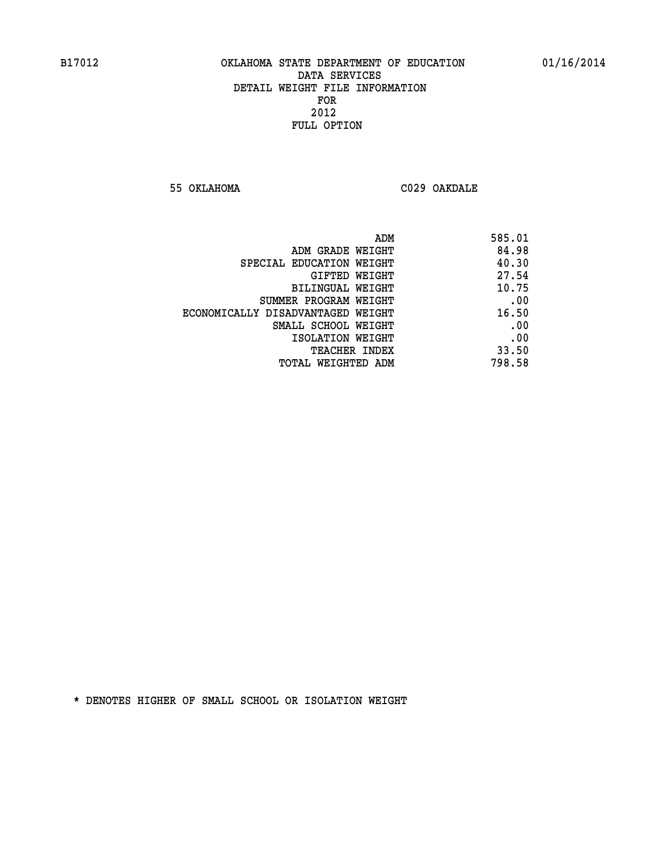**55 OKLAHOMA C029 OAKDALE** 

| 585.01 |
|--------|
| 84.98  |
| 40.30  |
| 27.54  |
| 10.75  |
| .00    |
| 16.50  |
| .00    |
| .00    |
| 33.50  |
| 798.58 |
|        |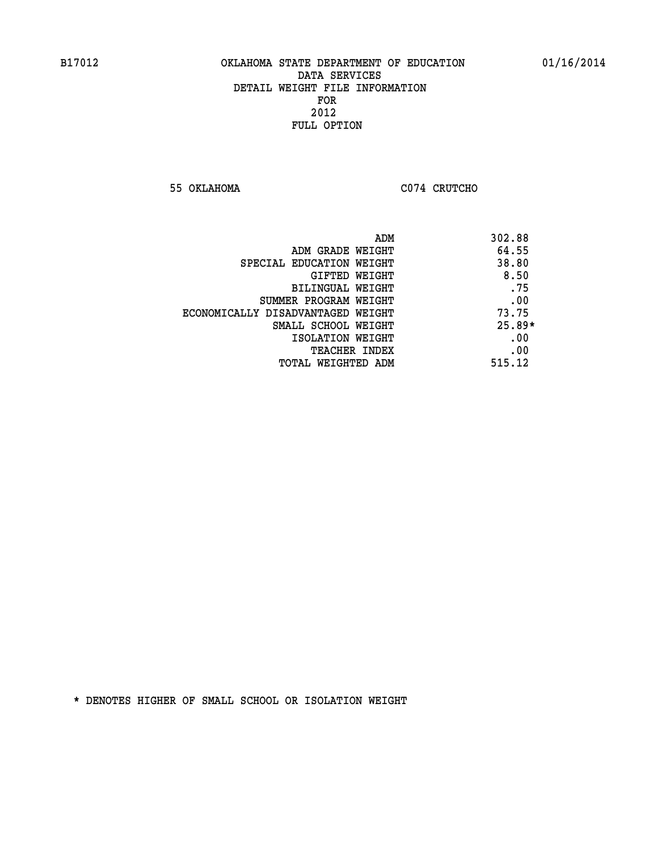**55 OKLAHOMA C074 CRUTCHO** 

|                                   | ADM<br>302.88 |          |
|-----------------------------------|---------------|----------|
| ADM GRADE WEIGHT                  | 64.55         |          |
| SPECIAL EDUCATION WEIGHT          | 38.80         |          |
| GIFTED WEIGHT                     |               | 8.50     |
| BILINGUAL WEIGHT                  |               | .75      |
| SUMMER PROGRAM WEIGHT             |               | .00      |
| ECONOMICALLY DISADVANTAGED WEIGHT | 73.75         |          |
| SMALL SCHOOL WEIGHT               |               | $25.89*$ |
| ISOLATION WEIGHT                  |               | .00      |
| <b>TEACHER INDEX</b>              |               | .00      |
| TOTAL WEIGHTED ADM                | 515.12        |          |
|                                   |               |          |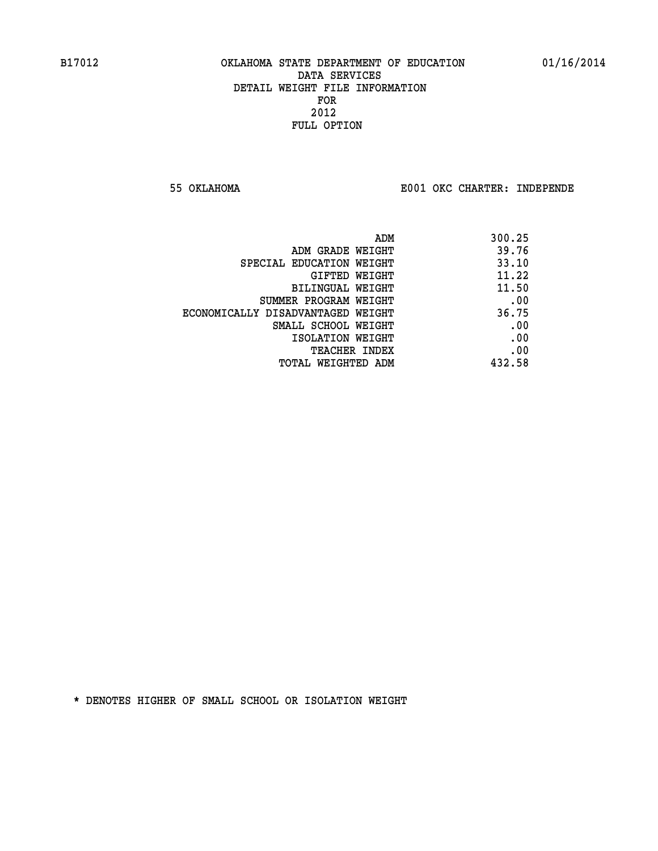**55 OKLAHOMA E001 OKC CHARTER: INDEPENDE**

| 300.25 |
|--------|
| 39.76  |
| 33.10  |
| 11.22  |
| 11.50  |
| .00    |
| 36.75  |
| .00    |
| .00    |
| .00    |
| 432.58 |
|        |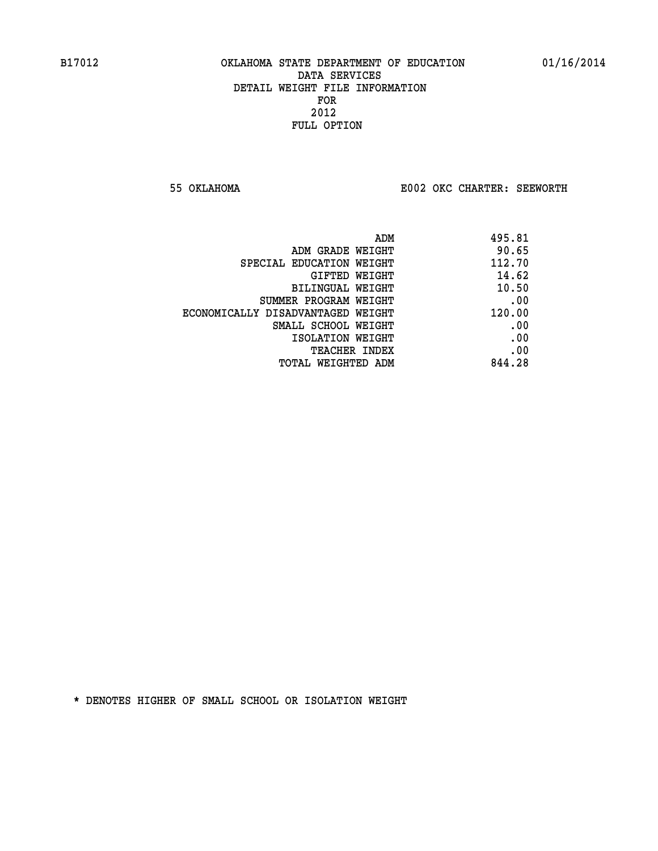**55 OKLAHOMA E002 OKC CHARTER: SEEWORTH** 

| 495.81 |
|--------|
| 90.65  |
| 112.70 |
| 14.62  |
| 10.50  |
| .00    |
| 120.00 |
| .00    |
| .00    |
| .00    |
| 844.28 |
|        |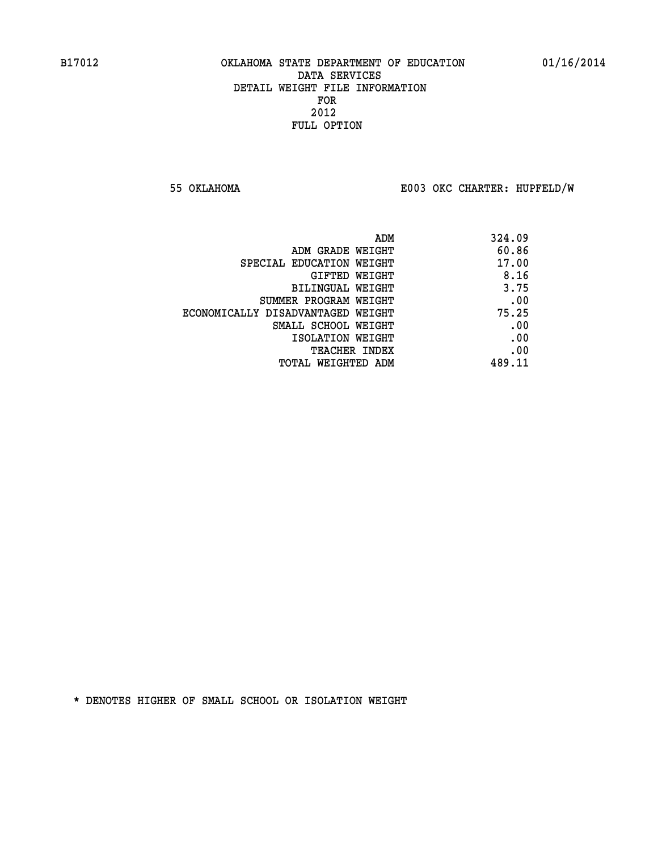**55 OKLAHOMA E003 OKC CHARTER: HUPFELD/W**

|                                   | 324.09<br>ADM |  |
|-----------------------------------|---------------|--|
| ADM GRADE WEIGHT                  | 60.86         |  |
| SPECIAL EDUCATION WEIGHT          | 17.00         |  |
| GIFTED WEIGHT                     | 8.16          |  |
| BILINGUAL WEIGHT                  | 3.75          |  |
| SUMMER PROGRAM WEIGHT             | .00           |  |
| ECONOMICALLY DISADVANTAGED WEIGHT | 75.25         |  |
| SMALL SCHOOL WEIGHT               | .00           |  |
| ISOLATION WEIGHT                  | .00           |  |
| <b>TEACHER INDEX</b>              | .00           |  |
| TOTAL WEIGHTED ADM                | 489.11        |  |
|                                   |               |  |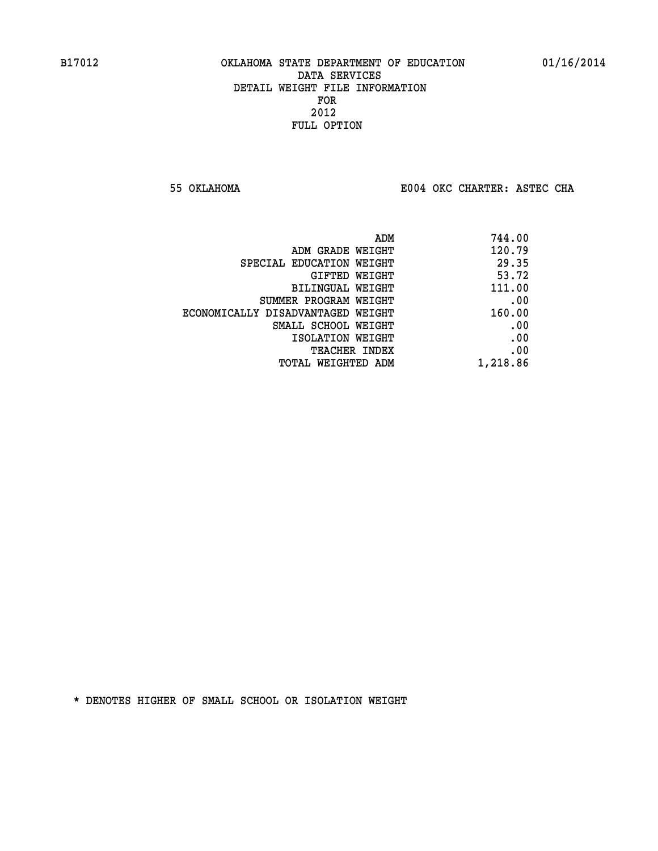**55 OKLAHOMA E004 OKC CHARTER: ASTEC CHA**

| ADM                               | 744.00   |
|-----------------------------------|----------|
| ADM GRADE WEIGHT                  | 120.79   |
| SPECIAL EDUCATION WEIGHT          | 29.35    |
| <b>GIFTED WEIGHT</b>              | 53.72    |
| BILINGUAL WEIGHT                  | 111.00   |
| SUMMER PROGRAM WEIGHT             | .00      |
| ECONOMICALLY DISADVANTAGED WEIGHT | 160.00   |
| SMALL SCHOOL WEIGHT               | .00      |
| ISOLATION WEIGHT                  | .00      |
| <b>TEACHER INDEX</b>              | .00      |
| TOTAL WEIGHTED ADM                | 1,218.86 |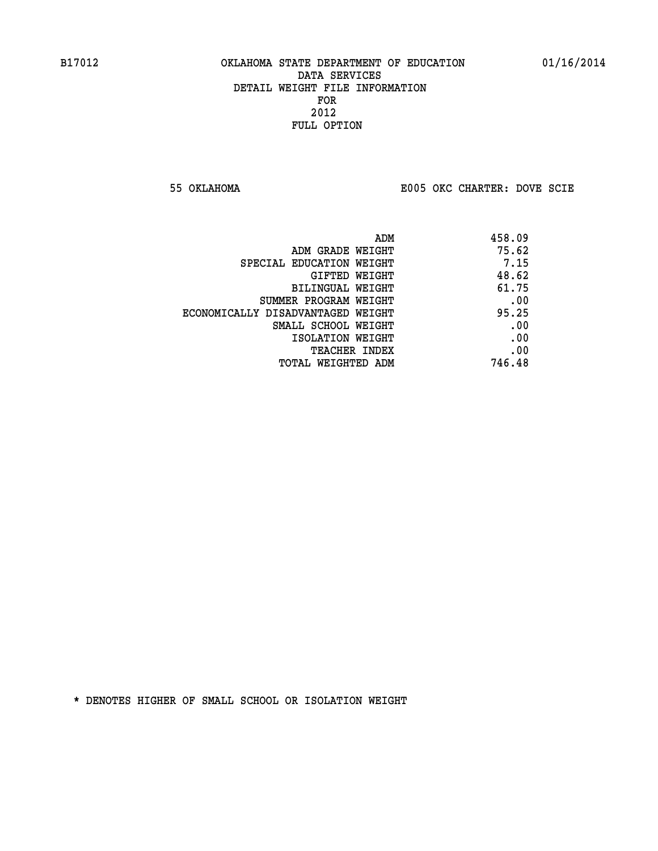**55 OKLAHOMA E005 OKC CHARTER: DOVE SCIE**

|                                   | 458.09<br>ADM |  |
|-----------------------------------|---------------|--|
| ADM GRADE WEIGHT                  | 75.62         |  |
| SPECIAL EDUCATION WEIGHT          | 7.15          |  |
| GIFTED WEIGHT                     | 48.62         |  |
| BILINGUAL WEIGHT                  | 61.75         |  |
| SUMMER PROGRAM WEIGHT             | .00           |  |
| ECONOMICALLY DISADVANTAGED WEIGHT | 95.25         |  |
| SMALL SCHOOL WEIGHT               | .00           |  |
| ISOLATION WEIGHT                  | .00           |  |
| TEACHER INDEX                     | .00           |  |
| TOTAL WEIGHTED ADM                | 746.48        |  |
|                                   |               |  |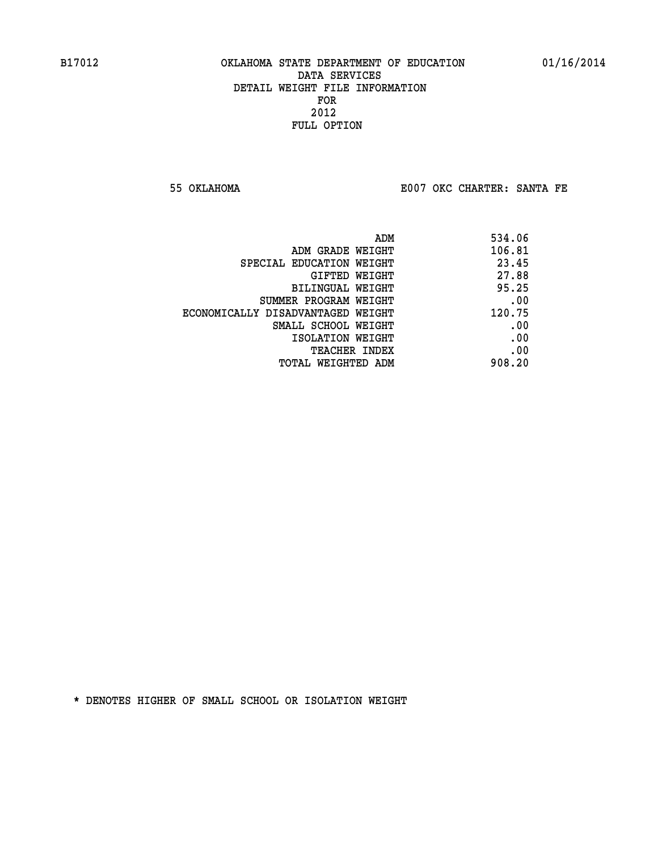**55 OKLAHOMA E007 OKC CHARTER: SANTA FE** 

| 534.06                |
|-----------------------|
| 106.81                |
| 23.45                 |
| 27.88                 |
| 95.25                 |
| .00                   |
| 120.75                |
| .00                   |
| .00                   |
| .00                   |
| 908.20                |
| SUMMER PROGRAM WEIGHT |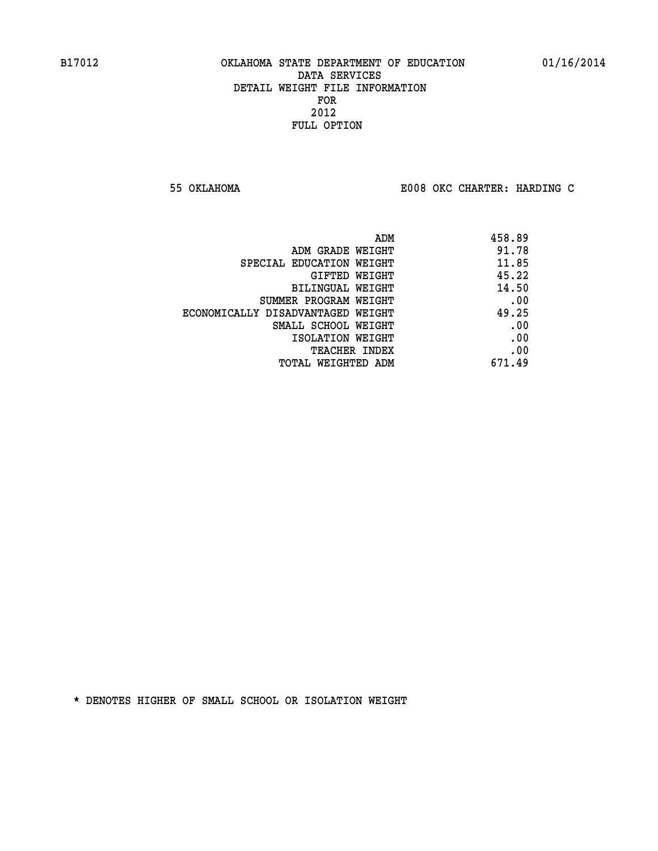**55 OKLAHOMA E008 OKC CHARTER: HARDING C**

| 458.89 |
|--------|
| 91.78  |
| 11.85  |
| 45.22  |
| 14.50  |
| .00    |
| 49.25  |
| .00    |
| .00    |
| .00    |
| 671.49 |
|        |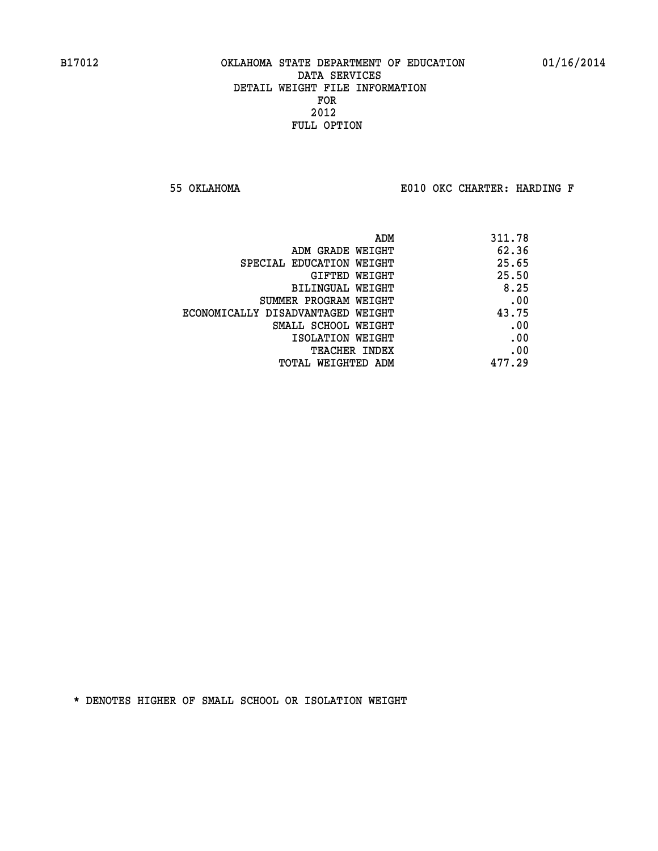**55 OKLAHOMA E010 OKC CHARTER: HARDING F**

| ADM                               | 311.78 |
|-----------------------------------|--------|
| ADM GRADE WEIGHT                  | 62.36  |
| SPECIAL EDUCATION WEIGHT          | 25.65  |
| GIFTED WEIGHT                     | 25.50  |
| BILINGUAL WEIGHT                  | 8.25   |
| SUMMER PROGRAM WEIGHT             | .00    |
| ECONOMICALLY DISADVANTAGED WEIGHT | 43.75  |
| SMALL SCHOOL WEIGHT               | .00    |
| ISOLATION WEIGHT                  | .00    |
| TEACHER INDEX                     | .00    |
| TOTAL WEIGHTED ADM                | 477.29 |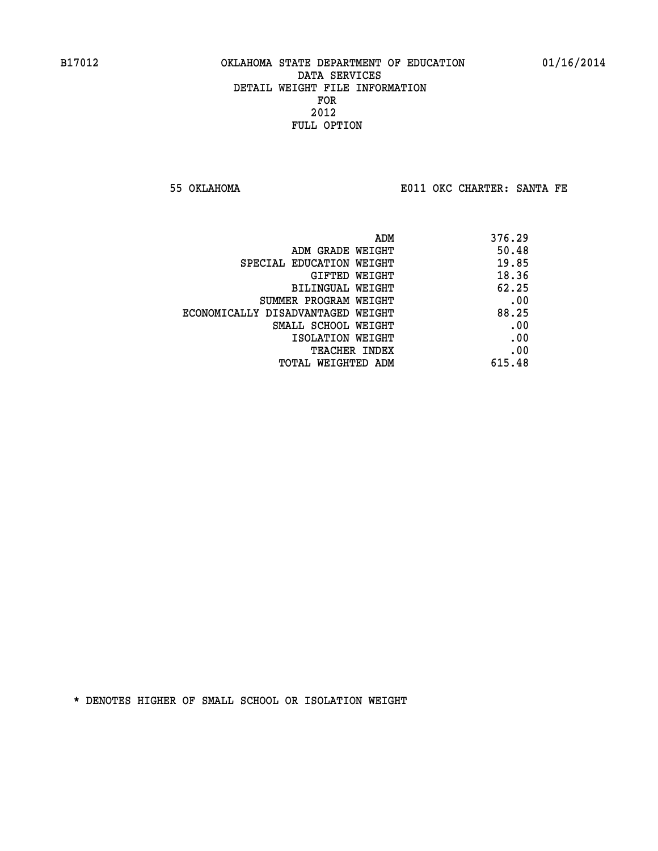**55 OKLAHOMA E011 OKC CHARTER: SANTA FE** 

| ADM                               | 376.29 |
|-----------------------------------|--------|
| ADM GRADE WEIGHT                  | 50.48  |
| SPECIAL EDUCATION WEIGHT          | 19.85  |
| GIFTED WEIGHT                     | 18.36  |
| BILINGUAL WEIGHT                  | 62.25  |
| SUMMER PROGRAM WEIGHT             | .00    |
| ECONOMICALLY DISADVANTAGED WEIGHT | 88.25  |
| SMALL SCHOOL WEIGHT               | .00    |
| ISOLATION WEIGHT                  | .00    |
| <b>TEACHER INDEX</b>              | .00    |
| TOTAL WEIGHTED ADM                | 615.48 |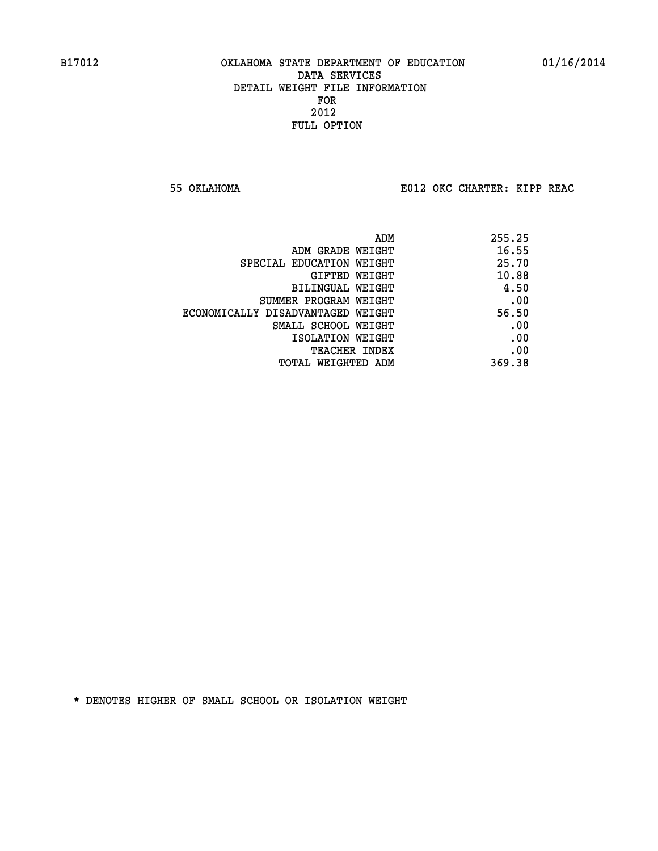**55 OKLAHOMA E012 OKC CHARTER: KIPP REAC**

|                                   | 255.25<br>ADM |
|-----------------------------------|---------------|
| ADM GRADE WEIGHT                  | 16.55         |
| SPECIAL EDUCATION WEIGHT          | 25.70         |
| GIFTED WEIGHT                     | 10.88         |
| BILINGUAL WEIGHT                  | 4.50          |
| SUMMER PROGRAM WEIGHT             | .00           |
| ECONOMICALLY DISADVANTAGED WEIGHT | 56.50         |
| SMALL SCHOOL WEIGHT               | .00           |
| ISOLATION WEIGHT                  | .00           |
| TEACHER INDEX                     | .00           |
| TOTAL WEIGHTED ADM                | 369.38        |
|                                   |               |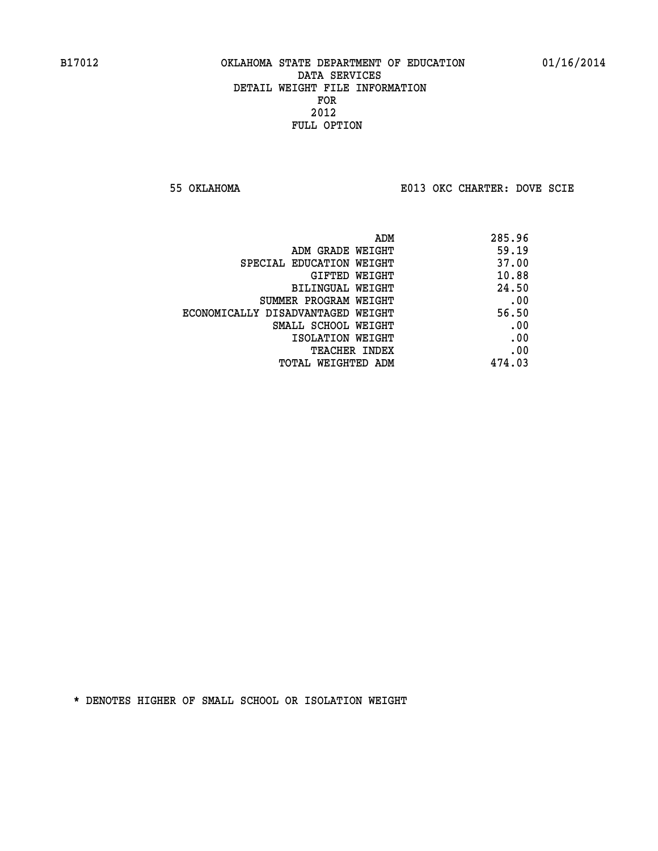**55 OKLAHOMA E013 OKC CHARTER: DOVE SCIE**

|                                   | 285.96<br>ADM |  |
|-----------------------------------|---------------|--|
| ADM GRADE WEIGHT                  | 59.19         |  |
| SPECIAL EDUCATION WEIGHT          | 37.00         |  |
| GIFTED WEIGHT                     | 10.88         |  |
| BILINGUAL WEIGHT                  | 24.50         |  |
| SUMMER PROGRAM WEIGHT             | .00           |  |
| ECONOMICALLY DISADVANTAGED WEIGHT | 56.50         |  |
| SMALL SCHOOL WEIGHT               | .00           |  |
| ISOLATION WEIGHT                  | .00           |  |
| TEACHER INDEX                     | .00           |  |
| TOTAL WEIGHTED ADM                | 474.03        |  |
|                                   |               |  |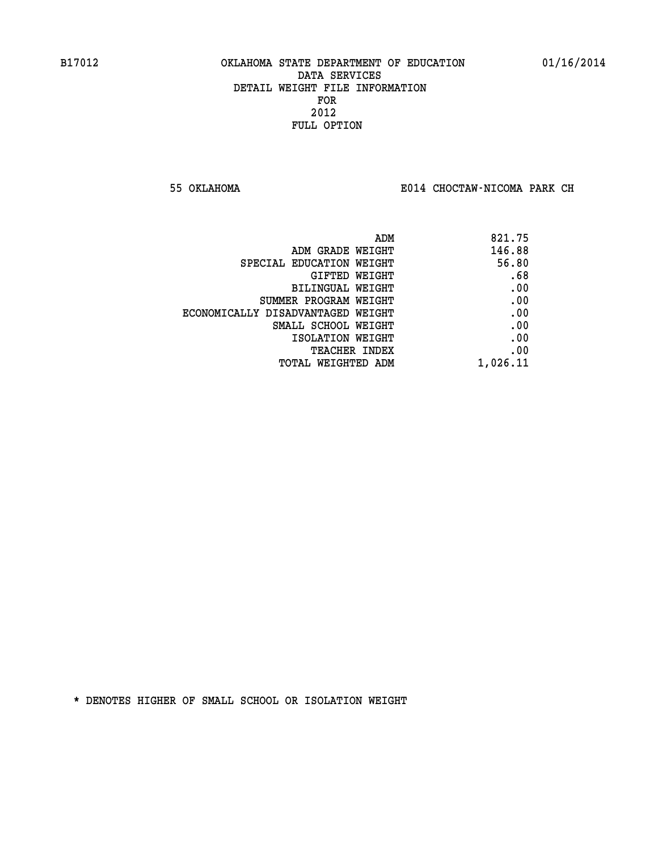**55 OKLAHOMA E014 CHOCTAW-NICOMA PARK CH**

| ADM                               | 821.75   |
|-----------------------------------|----------|
| ADM GRADE WEIGHT                  | 146.88   |
| SPECIAL EDUCATION WEIGHT          | 56.80    |
| GIFTED WEIGHT                     | .68      |
| BILINGUAL WEIGHT                  | .00      |
| SUMMER PROGRAM WEIGHT             | .00      |
| ECONOMICALLY DISADVANTAGED WEIGHT | .00      |
| SMALL SCHOOL WEIGHT               | .00      |
| ISOLATION WEIGHT                  | .00      |
| TEACHER INDEX                     | .00      |
| TOTAL WEIGHTED ADM                | 1,026.11 |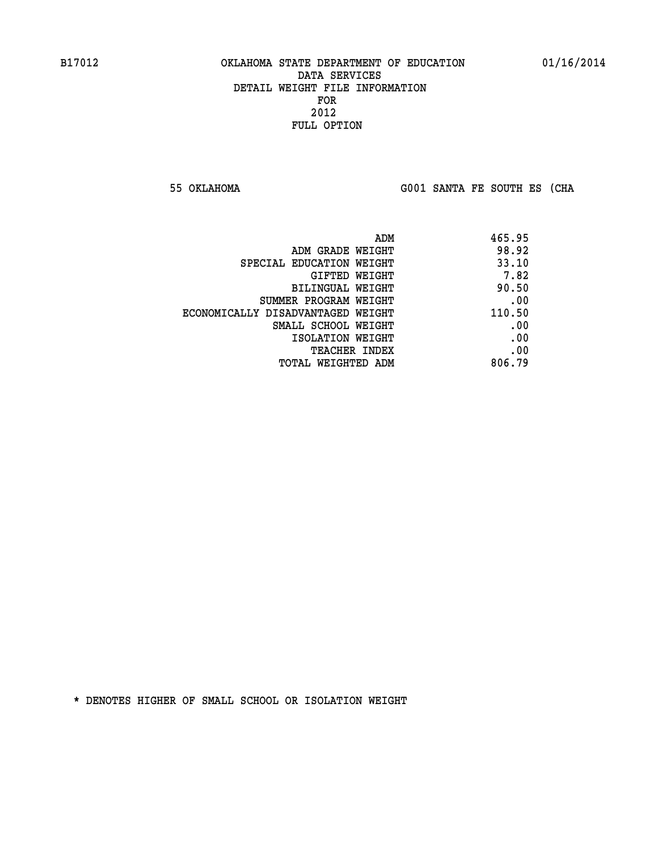**55 OKLAHOMA G001 SANTA FE SOUTH ES (CHA**

|                                   | 465.95<br>ADM |
|-----------------------------------|---------------|
| ADM GRADE WEIGHT                  | 98.92         |
| SPECIAL EDUCATION WEIGHT          | 33.10         |
| GIFTED WEIGHT                     | 7.82          |
| BILINGUAL WEIGHT                  | 90.50         |
| SUMMER PROGRAM WEIGHT             | .00           |
| ECONOMICALLY DISADVANTAGED WEIGHT | 110.50        |
| SMALL SCHOOL WEIGHT               | .00           |
| ISOLATION WEIGHT                  | .00           |
| <b>TEACHER INDEX</b>              | .00           |
| TOTAL WEIGHTED ADM                | 806.79        |
|                                   |               |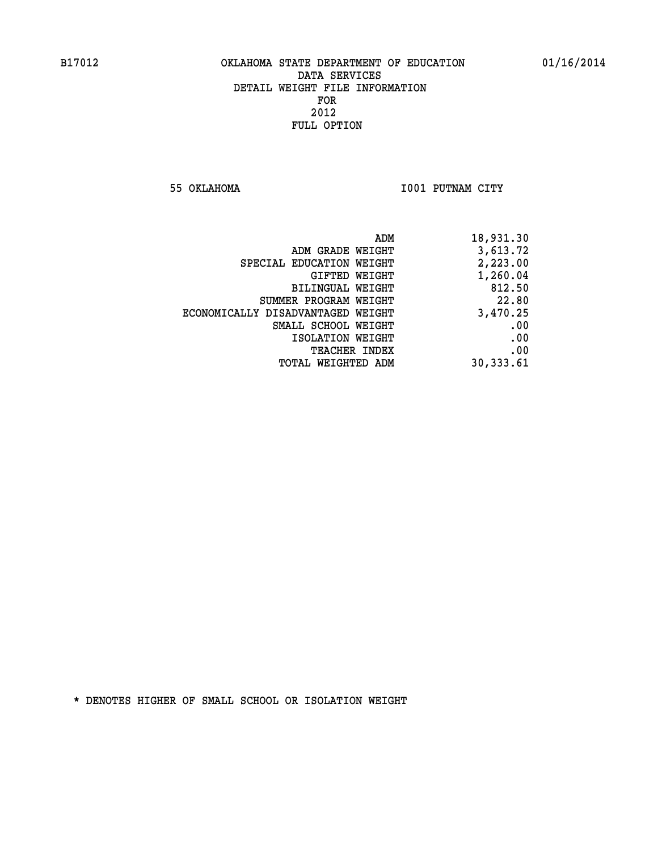**55 OKLAHOMA I001 PUTNAM CITY** 

| 18,931.30 |
|-----------|
| 3,613.72  |
| 2,223.00  |
| 1,260.04  |
| 812.50    |
| 22.80     |
| 3,470.25  |
| .00       |
| .00       |
| .00       |
| 30,333.61 |
|           |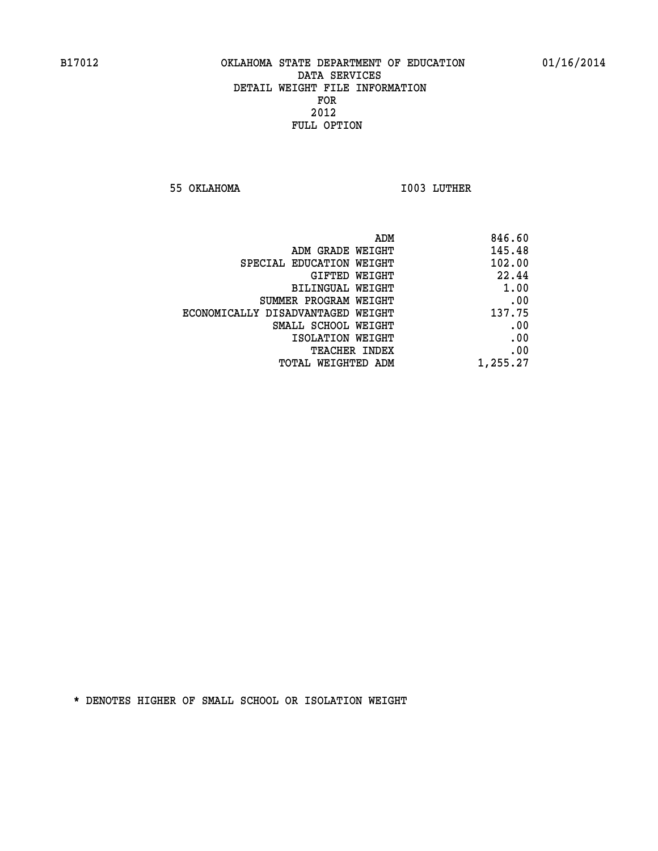**55 OKLAHOMA I003 LUTHER** 

|                                   | ADM<br>846.60 |
|-----------------------------------|---------------|
| ADM GRADE WEIGHT                  | 145.48        |
| SPECIAL EDUCATION WEIGHT          | 102.00        |
| GIFTED WEIGHT                     | 22.44         |
| <b>BILINGUAL WEIGHT</b>           | 1.00          |
| SUMMER PROGRAM WEIGHT             | .00           |
| ECONOMICALLY DISADVANTAGED WEIGHT | 137.75        |
| SMALL SCHOOL WEIGHT               | .00           |
| ISOLATION WEIGHT                  | .00           |
| TEACHER INDEX                     | .00           |
| TOTAL WEIGHTED ADM                | 1,255.27      |
|                                   |               |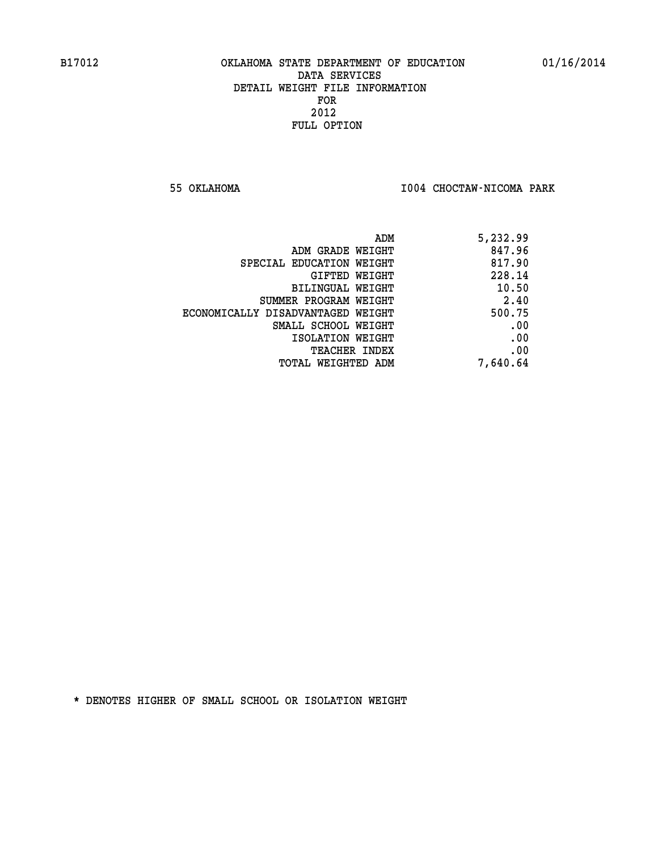**55 OKLAHOMA I004 CHOCTAW-NICOMA PARK** 

| ADM                               | 5,232.99 |
|-----------------------------------|----------|
| ADM GRADE WEIGHT                  | 847.96   |
| SPECIAL EDUCATION WEIGHT          | 817.90   |
| GIFTED WEIGHT                     | 228.14   |
| BILINGUAL WEIGHT                  | 10.50    |
| SUMMER PROGRAM WEIGHT             | 2.40     |
| ECONOMICALLY DISADVANTAGED WEIGHT | 500.75   |
| SMALL SCHOOL WEIGHT               | .00      |
| ISOLATION WEIGHT                  | .00      |
| <b>TEACHER INDEX</b>              | .00      |
| TOTAL WEIGHTED ADM                | 7,640.64 |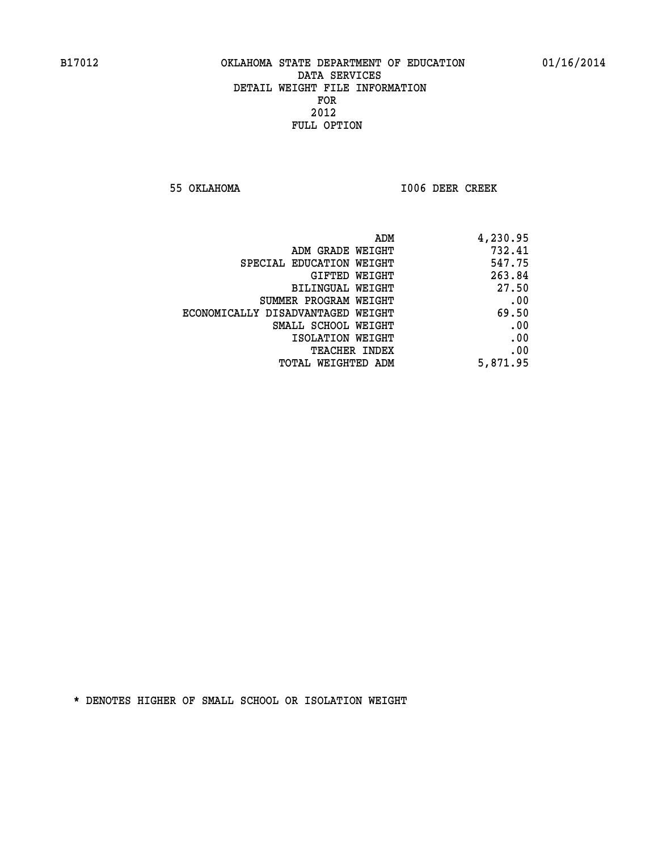**55 OKLAHOMA I006 DEER CREEK** 

| ADM                               | 4,230.95 |
|-----------------------------------|----------|
| ADM GRADE WEIGHT                  | 732.41   |
| SPECIAL EDUCATION WEIGHT          | 547.75   |
| <b>GIFTED WEIGHT</b>              | 263.84   |
| BILINGUAL WEIGHT                  | 27.50    |
| SUMMER PROGRAM WEIGHT             | .00      |
| ECONOMICALLY DISADVANTAGED WEIGHT | 69.50    |
| SMALL SCHOOL WEIGHT               | .00      |
| ISOLATION WEIGHT                  | .00      |
| <b>TEACHER INDEX</b>              | .00      |
| <b>TOTAL WEIGHTED ADM</b>         | 5,871.95 |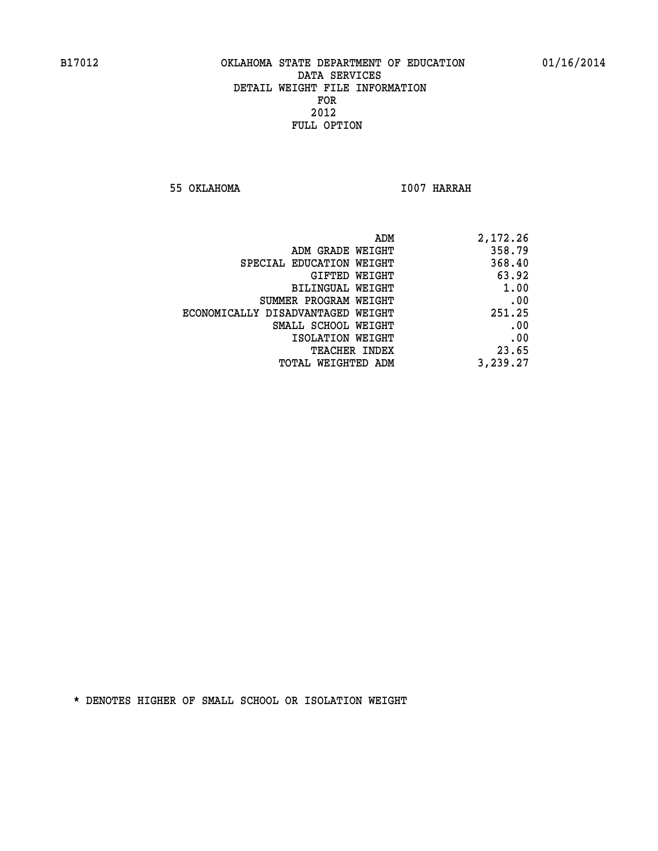**55 OKLAHOMA I007 HARRAH** 

| 2,172.26 |
|----------|
| 358.79   |
| 368.40   |
| 63.92    |
| 1.00     |
| .00      |
| 251.25   |
| .00      |
| .00      |
| 23.65    |
| 3,239.27 |
|          |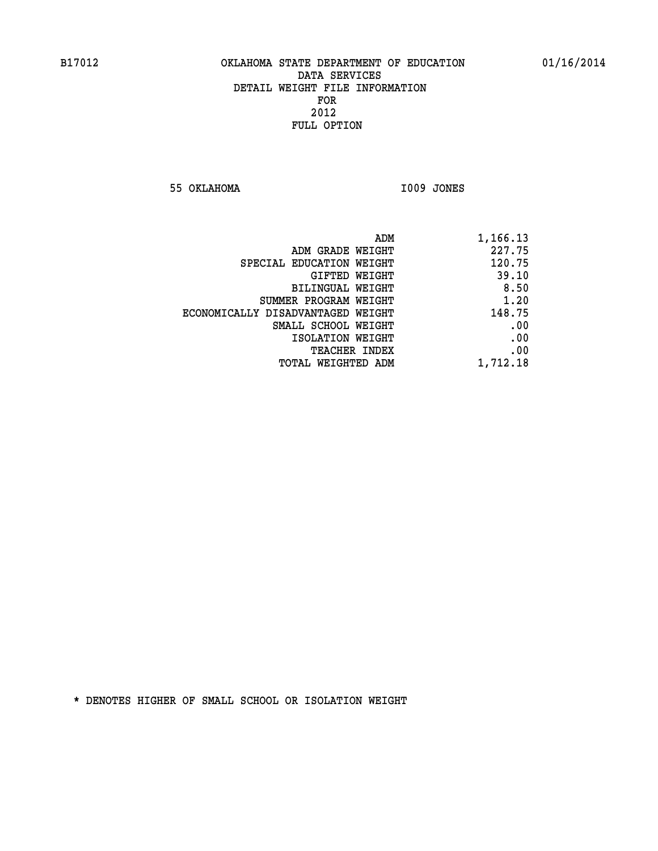**55 OKLAHOMA I009 JONES** 

|                                   | ADM<br>1,166.13 |
|-----------------------------------|-----------------|
| ADM GRADE WEIGHT                  | 227.75          |
| SPECIAL EDUCATION WEIGHT          | 120.75          |
| GIFTED WEIGHT                     | 39.10           |
| <b>BILINGUAL WEIGHT</b>           | 8.50            |
| SUMMER PROGRAM WEIGHT             | 1.20            |
| ECONOMICALLY DISADVANTAGED WEIGHT | 148.75          |
| SMALL SCHOOL WEIGHT               | .00             |
| ISOLATION WEIGHT                  | .00             |
| TEACHER INDEX                     | .00             |
| TOTAL WEIGHTED ADM                | 1,712.18        |
|                                   |                 |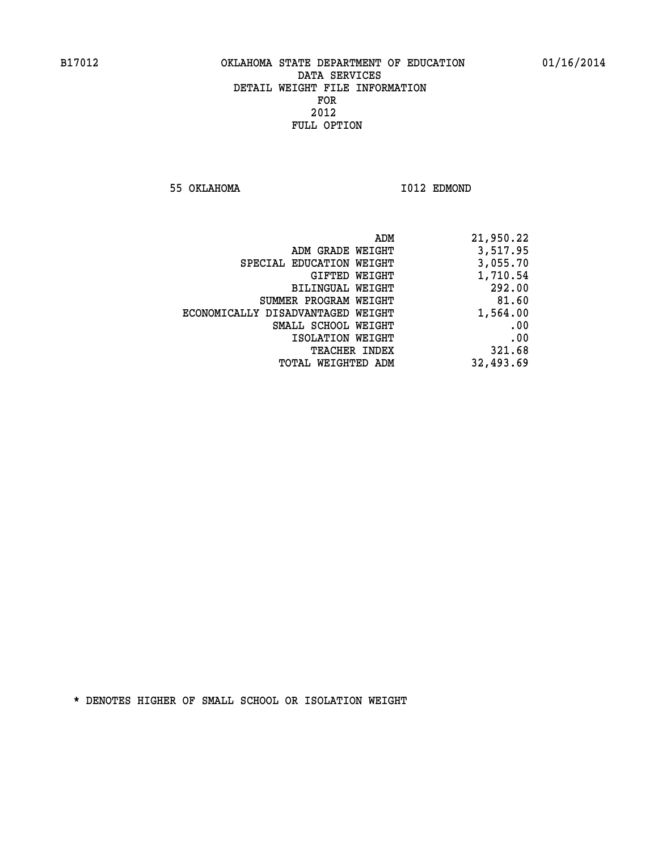**55 OKLAHOMA I012 EDMOND** 

| 21,950.22 |
|-----------|
| 3,517.95  |
| 3,055.70  |
| 1,710.54  |
| 292.00    |
| 81.60     |
| 1,564.00  |
| .00       |
| .00       |
| 321.68    |
| 32,493.69 |
|           |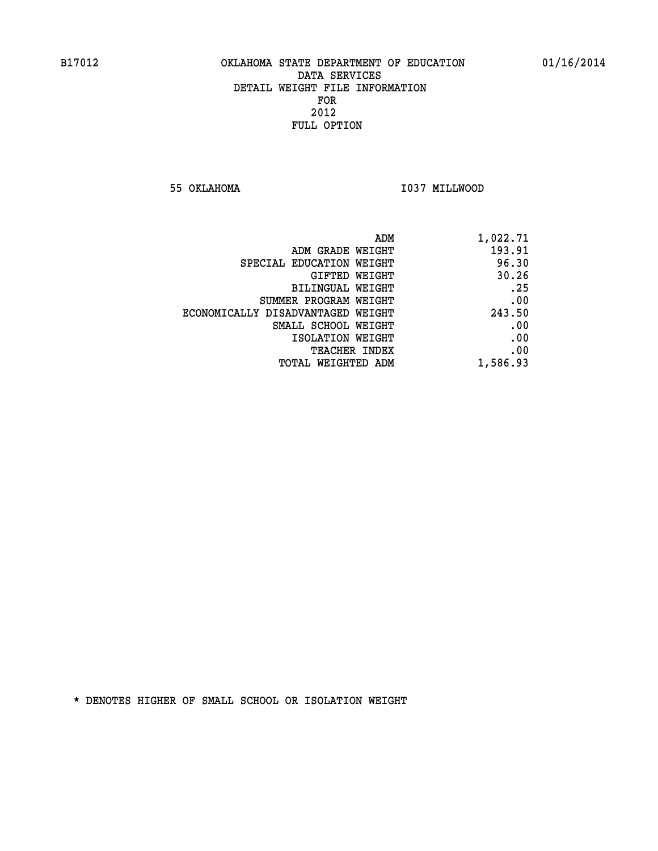**55 OKLAHOMA I037 MILLWOOD** 

| 1,022.71 |
|----------|
| 193.91   |
| 96.30    |
| 30.26    |
| .25      |
| .00      |
| 243.50   |
| .00      |
| .00      |
| .00      |
| 1,586.93 |
|          |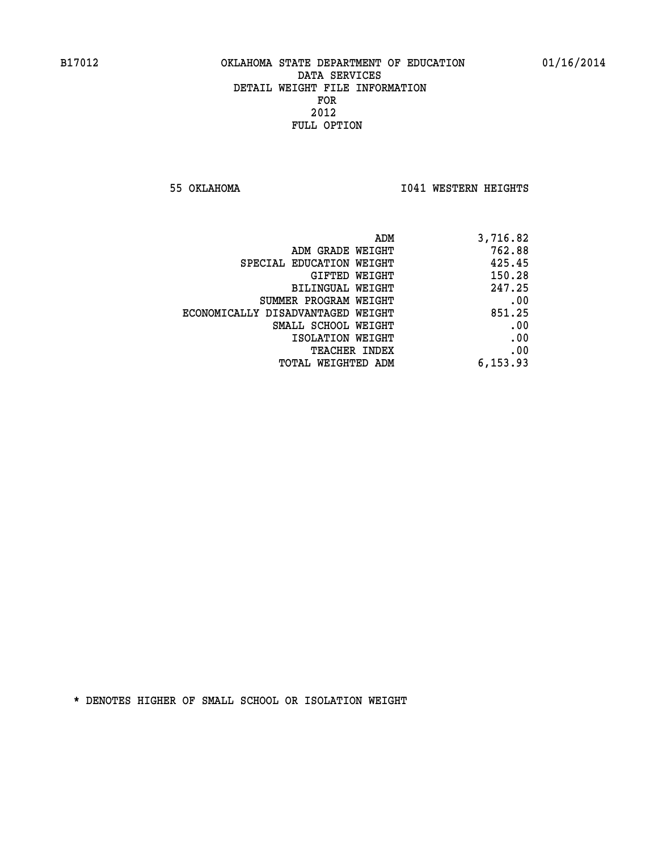**55 OKLAHOMA I041 WESTERN HEIGHTS** 

| ADM<br>3,716.82                             |  |
|---------------------------------------------|--|
| 762.88<br>ADM GRADE WEIGHT                  |  |
| 425.45<br>SPECIAL EDUCATION WEIGHT          |  |
| 150.28<br><b>GIFTED WEIGHT</b>              |  |
| 247.25<br>BILINGUAL WEIGHT                  |  |
| .00<br>SUMMER PROGRAM WEIGHT                |  |
| 851.25<br>ECONOMICALLY DISADVANTAGED WEIGHT |  |
| .00<br>SMALL SCHOOL WEIGHT                  |  |
| .00<br>ISOLATION WEIGHT                     |  |
| .00<br><b>TEACHER INDEX</b>                 |  |
| 6,153.93<br>TOTAL WEIGHTED ADM              |  |
|                                             |  |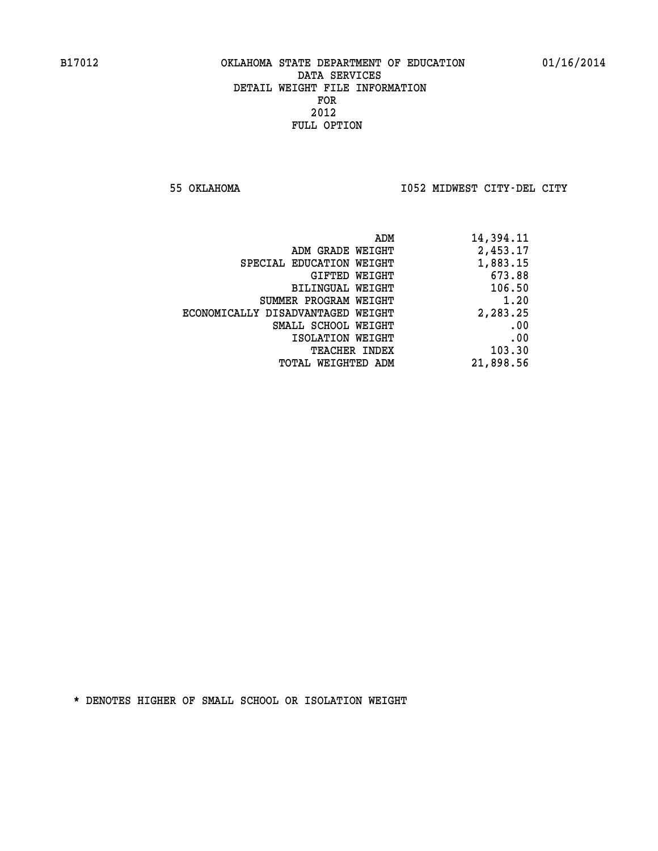**55 OKLAHOMA I052 MIDWEST CITY-DEL CITY** 

| ADM                               | 14,394.11 |
|-----------------------------------|-----------|
| ADM GRADE WEIGHT                  | 2,453.17  |
| SPECIAL EDUCATION WEIGHT          | 1,883.15  |
| GIFTED WEIGHT                     | 673.88    |
| <b>BILINGUAL WEIGHT</b>           | 106.50    |
| SUMMER PROGRAM WEIGHT             | 1.20      |
| ECONOMICALLY DISADVANTAGED WEIGHT | 2,283.25  |
| SMALL SCHOOL WEIGHT               | .00       |
| ISOLATION WEIGHT                  | .00       |
| <b>TEACHER INDEX</b>              | 103.30    |
| TOTAL WEIGHTED ADM                | 21,898.56 |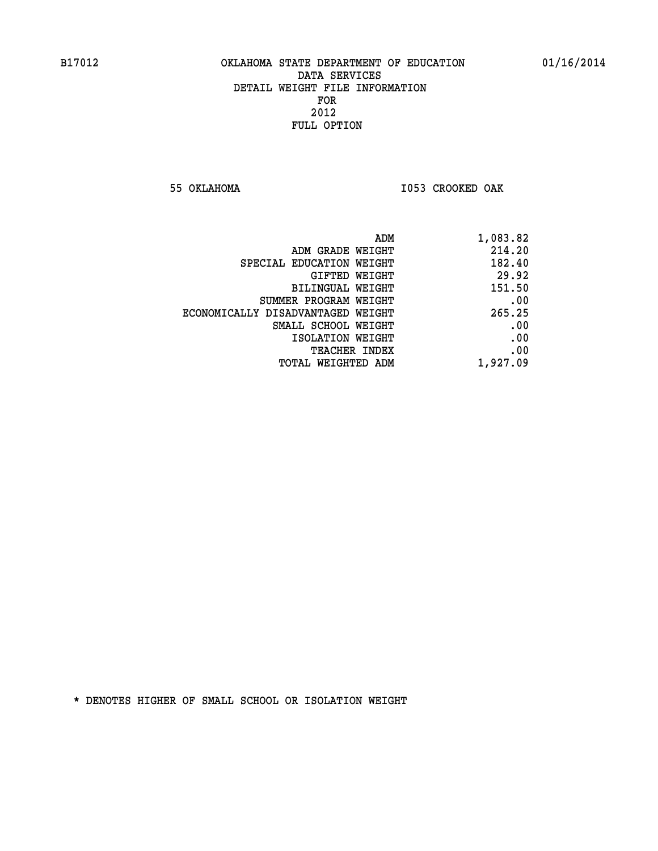**55 OKLAHOMA I053 CROOKED OAK** 

| ADM                               | 1,083.82 |
|-----------------------------------|----------|
| ADM GRADE WEIGHT                  | 214.20   |
| SPECIAL EDUCATION WEIGHT          | 182.40   |
| GIFTED WEIGHT                     | 29.92    |
| BILINGUAL WEIGHT                  | 151.50   |
| SUMMER PROGRAM WEIGHT             | .00      |
| ECONOMICALLY DISADVANTAGED WEIGHT | 265.25   |
| SMALL SCHOOL WEIGHT               | .00      |
| ISOLATION WEIGHT                  | .00      |
| <b>TEACHER INDEX</b>              | .00      |
| TOTAL WEIGHTED ADM                | 1,927.09 |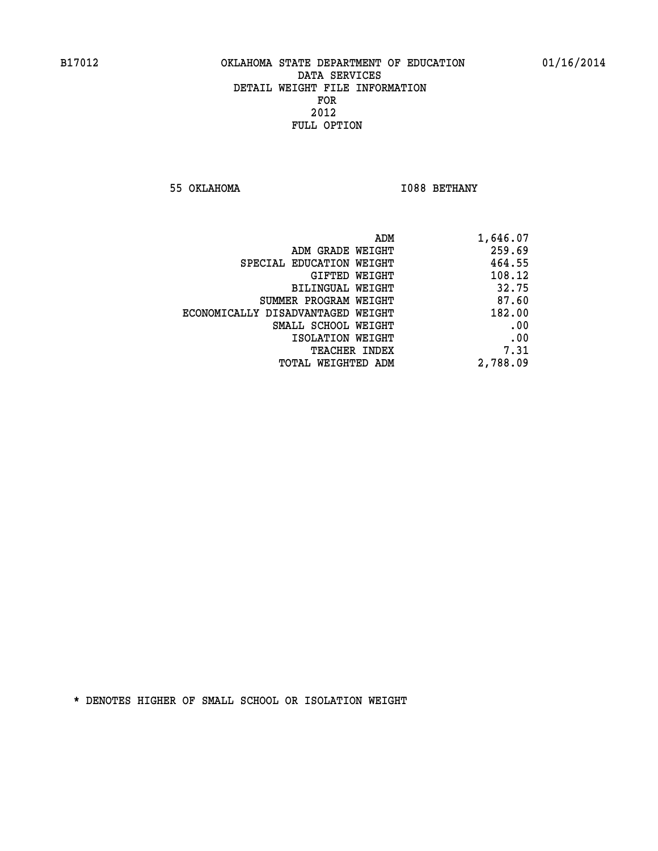**55 OKLAHOMA I088 BETHANY** 

|                                   | ADM | 1,646.07 |
|-----------------------------------|-----|----------|
| ADM GRADE WEIGHT                  |     | 259.69   |
| SPECIAL EDUCATION WEIGHT          |     | 464.55   |
| GIFTED WEIGHT                     |     | 108.12   |
| <b>BILINGUAL WEIGHT</b>           |     | 32.75    |
| SUMMER PROGRAM WEIGHT             |     | 87.60    |
| ECONOMICALLY DISADVANTAGED WEIGHT |     | 182.00   |
| SMALL SCHOOL WEIGHT               |     | .00      |
| ISOLATION WEIGHT                  |     | .00      |
| TEACHER INDEX                     |     | 7.31     |
| TOTAL WEIGHTED ADM                |     | 2,788.09 |
|                                   |     |          |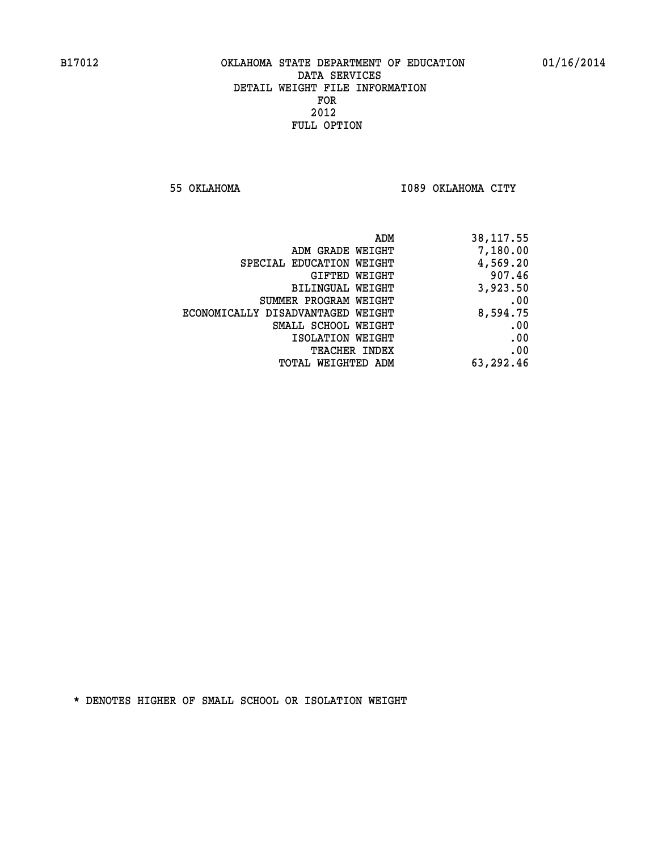**55 OKLAHOMA I089 OKLAHOMA CITY** 

| 38,117.55 |
|-----------|
| 7,180.00  |
| 4,569.20  |
| 907.46    |
| 3,923.50  |
| .00       |
| 8,594.75  |
| .00       |
| .00       |
| .00       |
| 63,292.46 |
|           |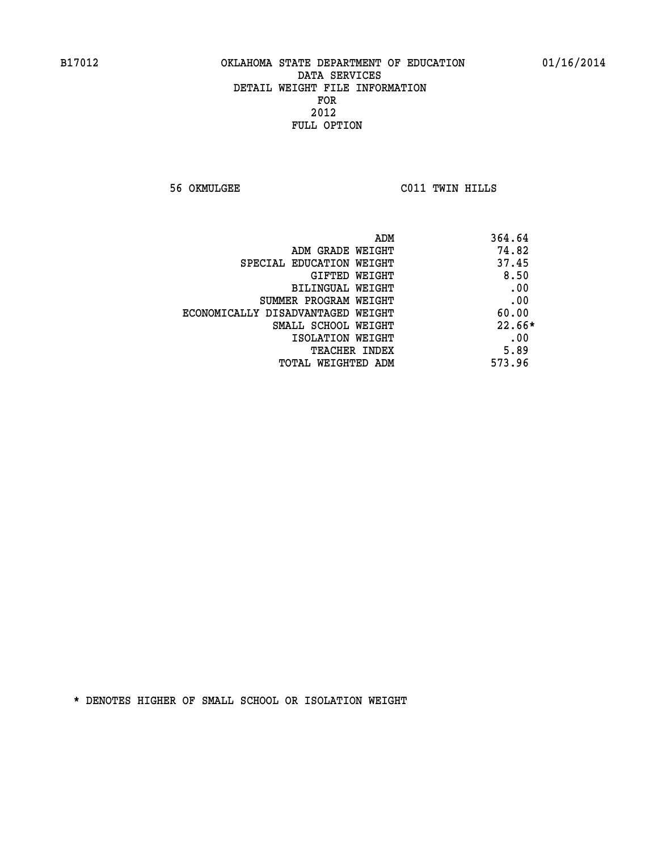**56 OKMULGEE C011 TWIN HILLS** 

|                                   | 364.64<br>ADM |
|-----------------------------------|---------------|
| ADM GRADE WEIGHT                  | 74.82         |
| SPECIAL EDUCATION WEIGHT          | 37.45         |
| GIFTED WEIGHT                     | 8.50          |
| BILINGUAL WEIGHT                  | .00           |
| SUMMER PROGRAM WEIGHT             | .00           |
| ECONOMICALLY DISADVANTAGED WEIGHT | 60.00         |
| SMALL SCHOOL WEIGHT               | $22.66*$      |
| ISOLATION WEIGHT                  | .00           |
| TEACHER INDEX                     | 5.89          |
| TOTAL WEIGHTED ADM                | 573.96        |
|                                   |               |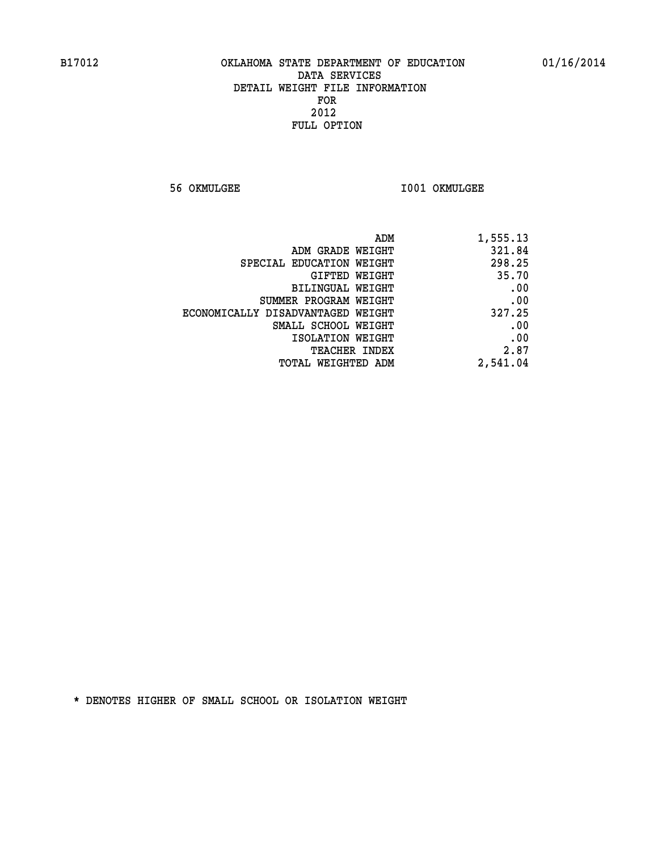**56 OKMULGEE I001 OKMULGEE** 

| ADM<br>1,555.13                    |                                   |
|------------------------------------|-----------------------------------|
| 321.84<br>ADM GRADE WEIGHT         |                                   |
| 298.25<br>SPECIAL EDUCATION WEIGHT |                                   |
| 35.70<br>GIFTED WEIGHT             |                                   |
| .00<br>BILINGUAL WEIGHT            |                                   |
| .00<br>SUMMER PROGRAM WEIGHT       |                                   |
| 327.25                             | ECONOMICALLY DISADVANTAGED WEIGHT |
| .00<br>SMALL SCHOOL WEIGHT         |                                   |
| .00<br>ISOLATION WEIGHT            |                                   |
| 2.87<br><b>TEACHER INDEX</b>       |                                   |
| 2,541.04<br>TOTAL WEIGHTED ADM     |                                   |
|                                    |                                   |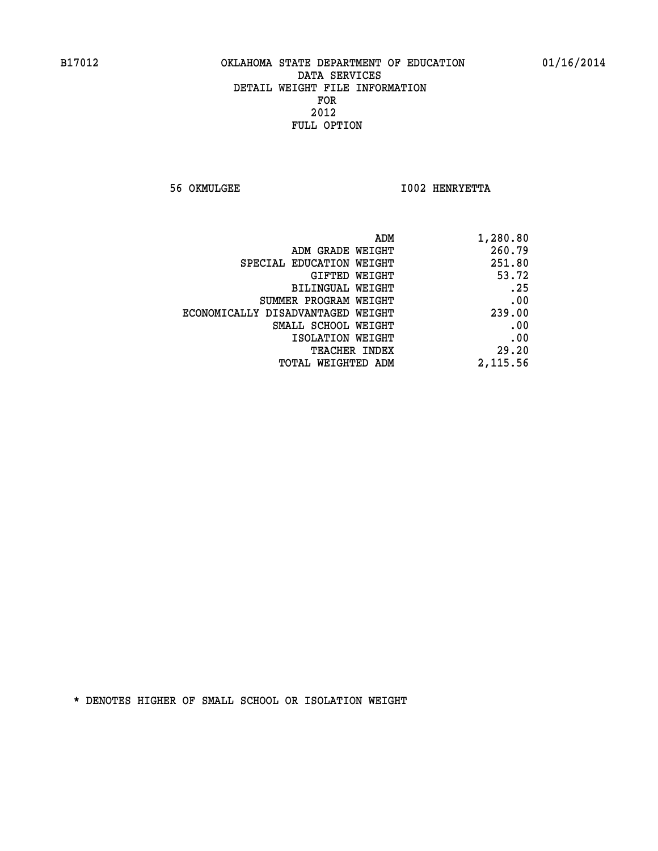**56 OKMULGEE I002 HENRYETTA** 

| 1,280.80 |
|----------|
| 260.79   |
| 251.80   |
| 53.72    |
| .25      |
| .00      |
| 239.00   |
| .00      |
| .00      |
| 29.20    |
| 2,115.56 |
|          |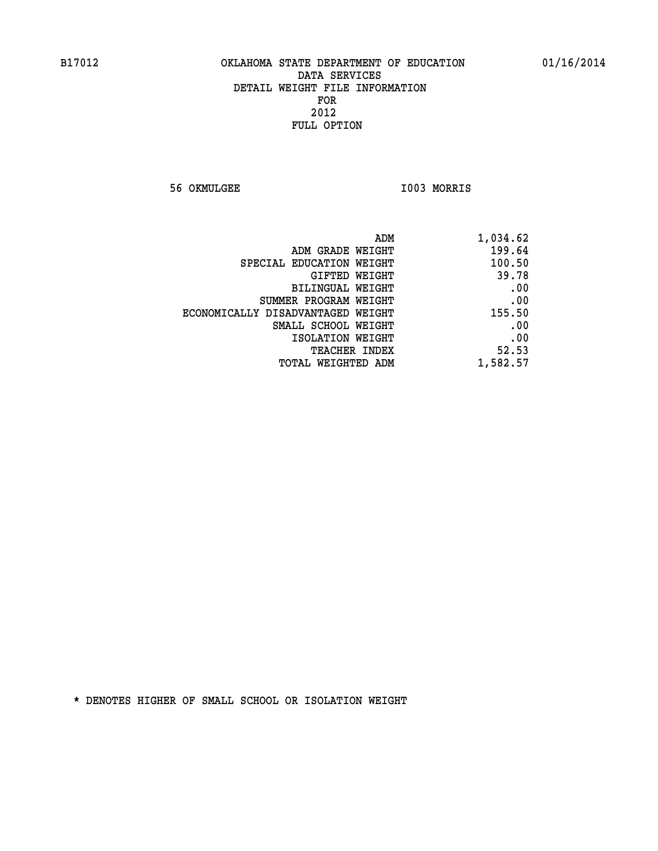**56 OKMULGEE I003 MORRIS** 

| ADM                               | 1,034.62 |
|-----------------------------------|----------|
| ADM GRADE WEIGHT                  | 199.64   |
| SPECIAL EDUCATION WEIGHT          | 100.50   |
| GIFTED WEIGHT                     | 39.78    |
| BILINGUAL WEIGHT                  | .00      |
| SUMMER PROGRAM WEIGHT             | .00      |
| ECONOMICALLY DISADVANTAGED WEIGHT | 155.50   |
| SMALL SCHOOL WEIGHT               | .00      |
| ISOLATION WEIGHT                  | .00      |
| TEACHER INDEX                     | 52.53    |
| TOTAL WEIGHTED ADM                | 1,582.57 |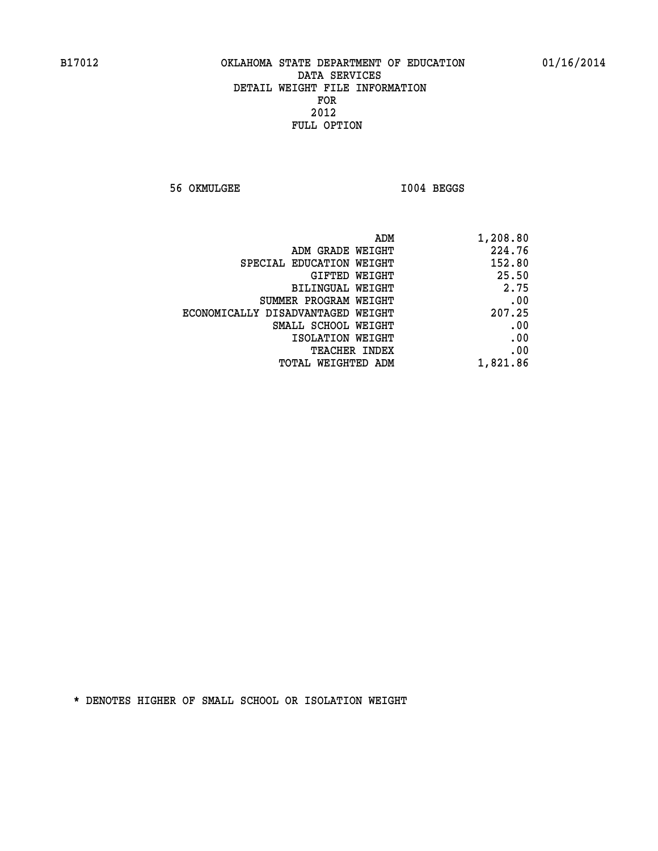**56 OKMULGEE I004 BEGGS** 

| 1,208.80 |
|----------|
| 224.76   |
| 152.80   |
| 25.50    |
| 2.75     |
| .00      |
| 207.25   |
| .00      |
| .00      |
| .00      |
| 1,821.86 |
|          |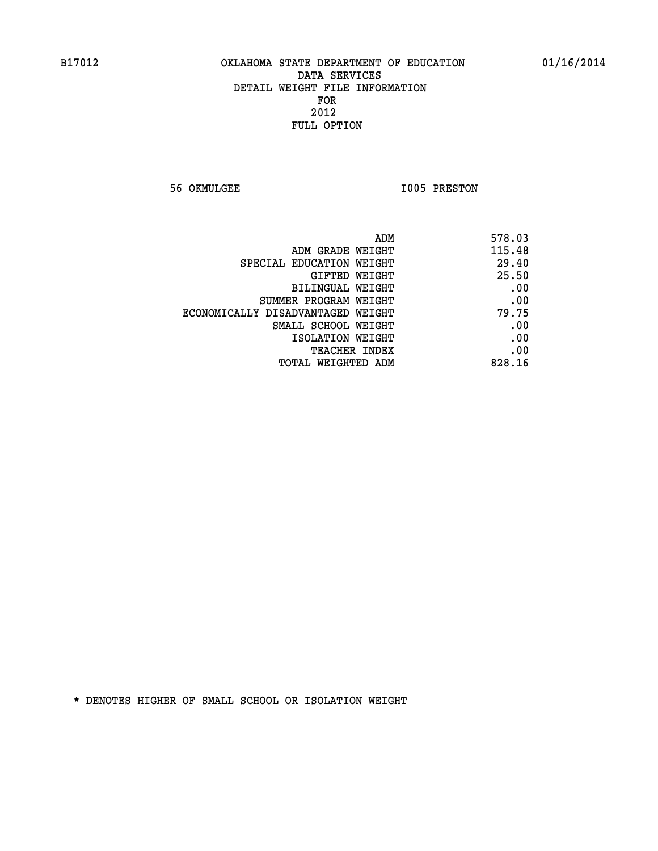**56 OKMULGEE 1005 PRESTON** 

| 578.03 | ADM                               |
|--------|-----------------------------------|
| 115.48 | ADM GRADE WEIGHT                  |
| 29.40  | SPECIAL EDUCATION WEIGHT          |
| 25.50  | GIFTED WEIGHT                     |
| .00    | BILINGUAL WEIGHT                  |
| .00    | SUMMER PROGRAM WEIGHT             |
| 79.75  | ECONOMICALLY DISADVANTAGED WEIGHT |
| .00    | SMALL SCHOOL WEIGHT               |
| .00    | ISOLATION WEIGHT                  |
| .00    | <b>TEACHER INDEX</b>              |
| 828.16 | <b>TOTAL WEIGHTED ADM</b>         |
|        |                                   |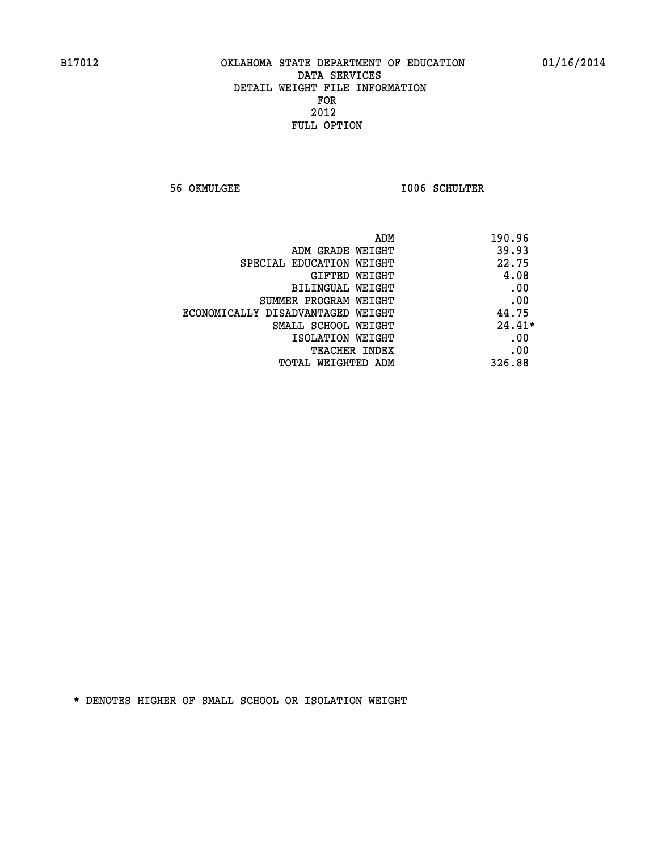**56 OKMULGEE I006 SCHULTER** 

| ADM                               | 190.96   |
|-----------------------------------|----------|
| ADM GRADE WEIGHT                  | 39.93    |
| SPECIAL EDUCATION WEIGHT          | 22.75    |
| GIFTED WEIGHT                     | 4.08     |
| BILINGUAL WEIGHT                  | .00      |
| SUMMER PROGRAM WEIGHT             | .00      |
| ECONOMICALLY DISADVANTAGED WEIGHT | 44.75    |
| SMALL SCHOOL WEIGHT               | $24.41*$ |
| ISOLATION WEIGHT                  | .00      |
| <b>TEACHER INDEX</b>              | .00      |
| TOTAL WEIGHTED ADM                | 326.88   |
|                                   |          |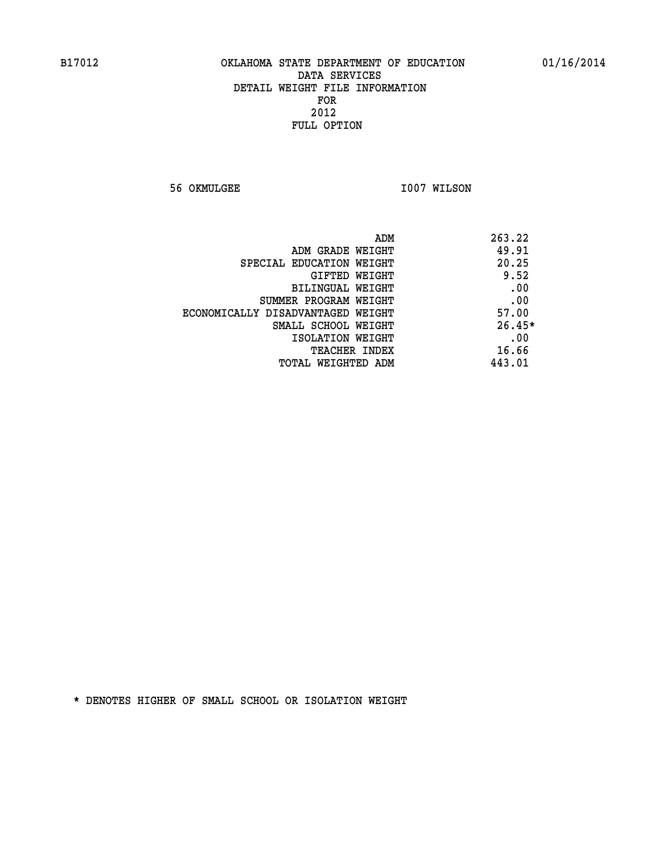**56 OKMULGEE 1007 WILSON** 

| ADM<br>263.22                              |  |
|--------------------------------------------|--|
| 49.91<br>ADM GRADE WEIGHT                  |  |
| 20.25<br>SPECIAL EDUCATION WEIGHT          |  |
| 9.52<br>GIFTED WEIGHT                      |  |
| .00<br>BILINGUAL WEIGHT                    |  |
| .00<br>SUMMER PROGRAM WEIGHT               |  |
| 57.00<br>ECONOMICALLY DISADVANTAGED WEIGHT |  |
| $26.45*$<br>SMALL SCHOOL WEIGHT            |  |
| .00<br>ISOLATION WEIGHT                    |  |
| 16.66<br><b>TEACHER INDEX</b>              |  |
| 443.01<br>TOTAL WEIGHTED ADM               |  |
|                                            |  |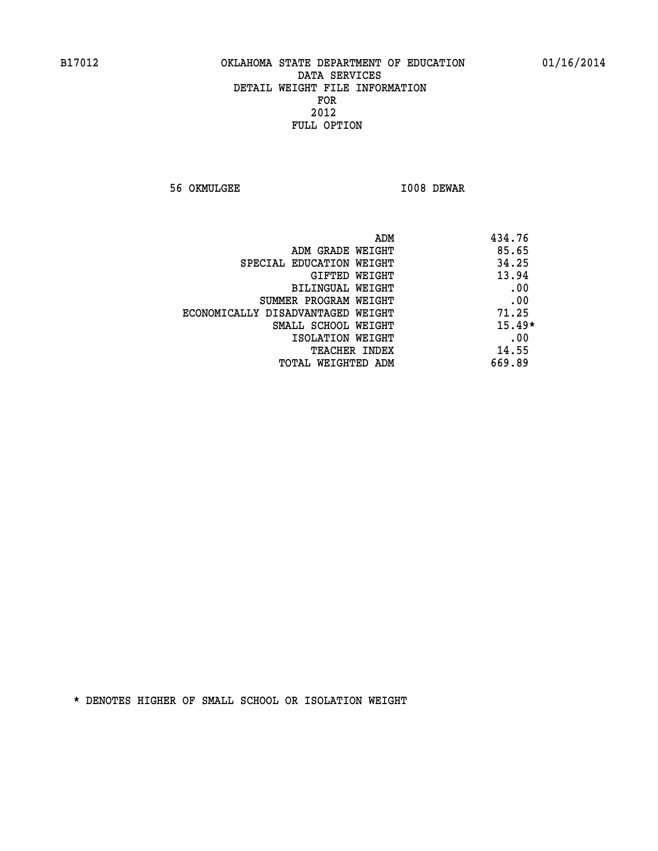**56 OKMULGEE I008 DEWAR** 

| 434.76<br>ADM |                                   |
|---------------|-----------------------------------|
| 85.65         | ADM GRADE WEIGHT                  |
| 34.25         | SPECIAL EDUCATION WEIGHT          |
| 13.94         | GIFTED WEIGHT                     |
| .00           | BILINGUAL WEIGHT                  |
| .00           | SUMMER PROGRAM WEIGHT             |
| 71.25         | ECONOMICALLY DISADVANTAGED WEIGHT |
| $15.49*$      | SMALL SCHOOL WEIGHT               |
| .00           | ISOLATION WEIGHT                  |
| 14.55         | <b>TEACHER INDEX</b>              |
| 669.89        | TOTAL WEIGHTED ADM                |
|               |                                   |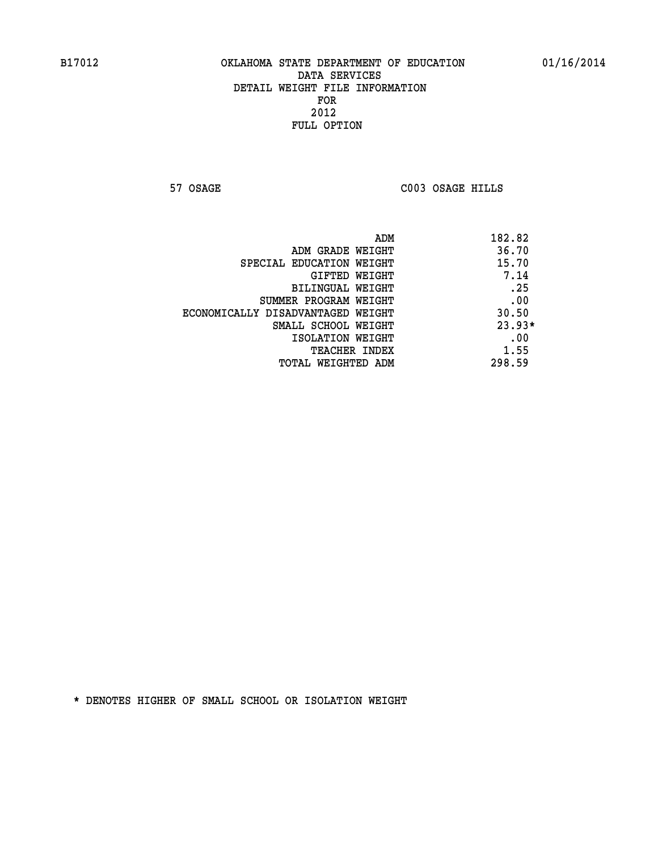**57 OSAGE C003 OSAGE HILLS** 

|                                   | 182.82<br>ADM |
|-----------------------------------|---------------|
| ADM GRADE WEIGHT                  | 36.70         |
| SPECIAL EDUCATION WEIGHT          | 15.70         |
| GIFTED WEIGHT                     | 7.14          |
| BILINGUAL WEIGHT                  | .25           |
| SUMMER PROGRAM WEIGHT             | .00           |
| ECONOMICALLY DISADVANTAGED WEIGHT | 30.50         |
| SMALL SCHOOL WEIGHT               | $23.93*$      |
| ISOLATION WEIGHT                  | .00           |
| <b>TEACHER INDEX</b>              | 1.55          |
| TOTAL WEIGHTED ADM                | 298.59        |
|                                   |               |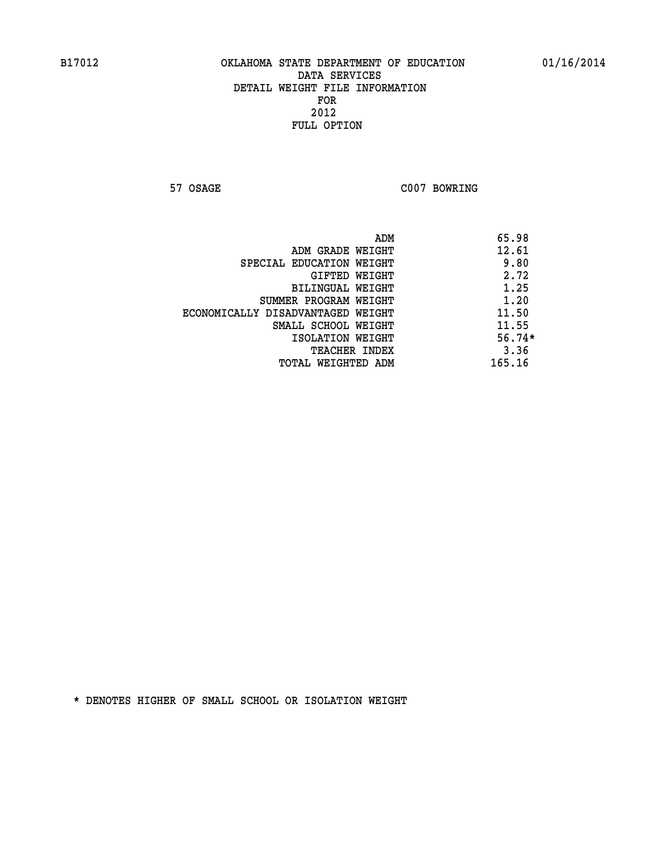**57 OSAGE C007 BOWRING** 

|                                   | ADM | 65.98    |
|-----------------------------------|-----|----------|
| ADM GRADE WEIGHT                  |     | 12.61    |
| SPECIAL EDUCATION WEIGHT          |     | 9.80     |
| GIFTED WEIGHT                     |     | 2.72     |
| BILINGUAL WEIGHT                  |     | 1.25     |
| SUMMER PROGRAM WEIGHT             |     | 1.20     |
| ECONOMICALLY DISADVANTAGED WEIGHT |     | 11.50    |
| SMALL SCHOOL WEIGHT               |     | 11.55    |
| ISOLATION WEIGHT                  |     | $56.74*$ |
| TEACHER INDEX                     |     | 3.36     |
| TOTAL WEIGHTED ADM                |     | 165.16   |
|                                   |     |          |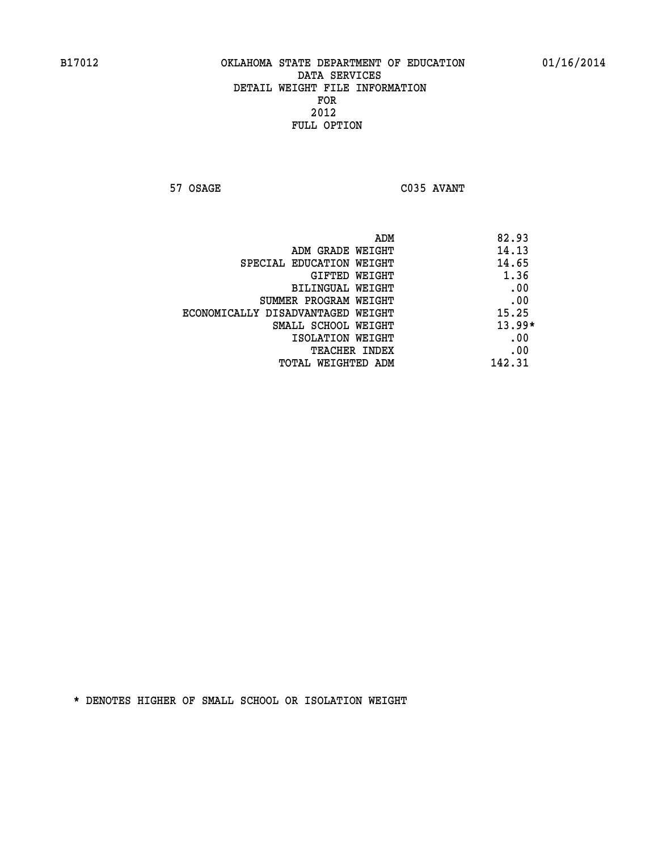**57 OSAGE C035 AVANT** 

| ADM                               | 82.93    |
|-----------------------------------|----------|
| ADM GRADE WEIGHT                  | 14.13    |
| SPECIAL EDUCATION WEIGHT          | 14.65    |
| GIFTED WEIGHT                     | 1.36     |
| BILINGUAL WEIGHT                  | .00      |
| SUMMER PROGRAM WEIGHT             | .00      |
| ECONOMICALLY DISADVANTAGED WEIGHT | 15.25    |
| SMALL SCHOOL WEIGHT               | $13.99*$ |
| ISOLATION WEIGHT                  | .00      |
| TEACHER INDEX                     | .00      |
| TOTAL WEIGHTED ADM                | 142.31   |
|                                   |          |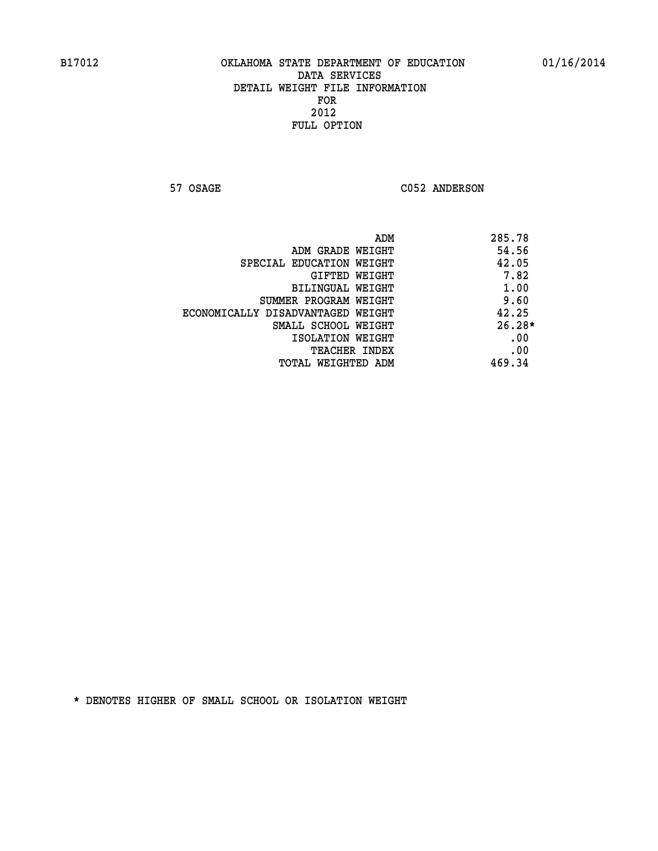57 OSAGE C052 ANDERSON

|                                   | ADM | 285.78   |
|-----------------------------------|-----|----------|
| ADM GRADE WEIGHT                  |     | 54.56    |
| SPECIAL EDUCATION WEIGHT          |     | 42.05    |
| GIFTED WEIGHT                     |     | 7.82     |
| BILINGUAL WEIGHT                  |     | 1.00     |
| SUMMER PROGRAM WEIGHT             |     | 9.60     |
| ECONOMICALLY DISADVANTAGED WEIGHT |     | 42.25    |
| SMALL SCHOOL WEIGHT               |     | $26.28*$ |
| ISOLATION WEIGHT                  |     | .00      |
| <b>TEACHER INDEX</b>              |     | .00      |
| TOTAL WEIGHTED ADM                |     | 469.34   |
|                                   |     |          |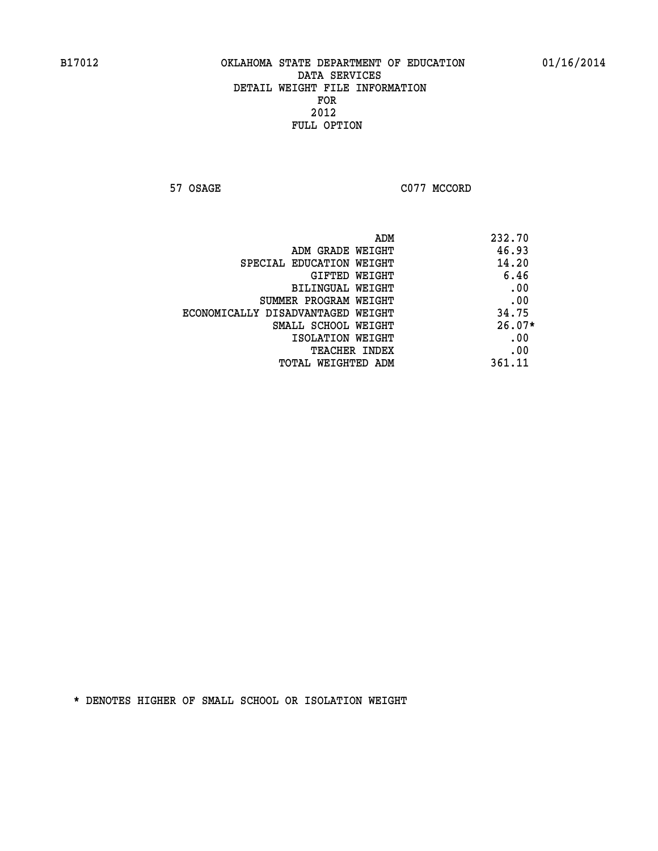**57 OSAGE C077 MCCORD** 

|                                   | ADM | 232.70   |
|-----------------------------------|-----|----------|
| ADM GRADE WEIGHT                  |     | 46.93    |
| SPECIAL EDUCATION WEIGHT          |     | 14.20    |
| GIFTED WEIGHT                     |     | 6.46     |
| BILINGUAL WEIGHT                  |     | .00      |
| SUMMER PROGRAM WEIGHT             |     | .00      |
| ECONOMICALLY DISADVANTAGED WEIGHT |     | 34.75    |
| SMALL SCHOOL WEIGHT               |     | $26.07*$ |
| ISOLATION WEIGHT                  |     | .00      |
| <b>TEACHER INDEX</b>              |     | .00      |
| TOTAL WEIGHTED ADM                |     | 361.11   |
|                                   |     |          |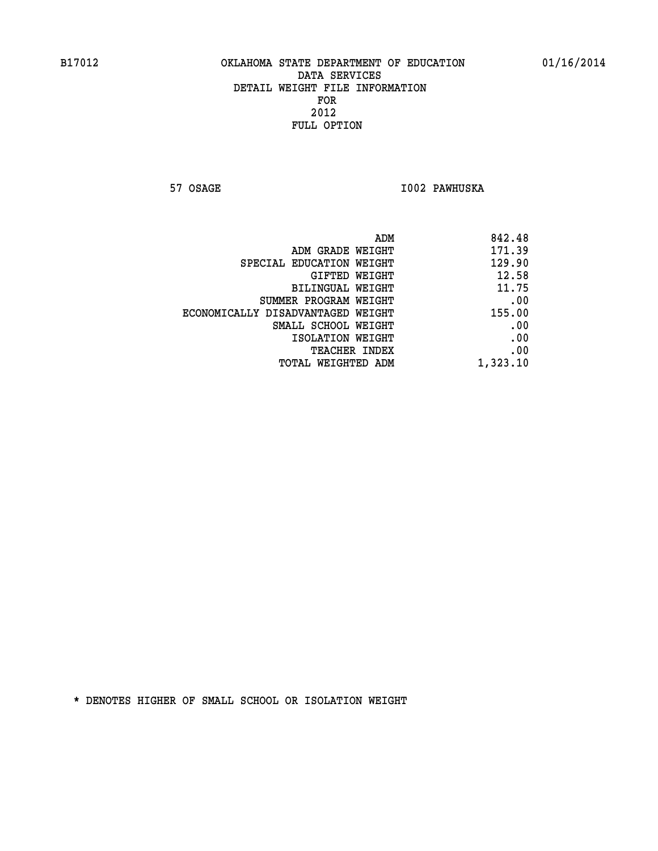**57 OSAGE I002 PAWHUSKA** 

|                                   | ADM<br>842.48 |
|-----------------------------------|---------------|
| ADM GRADE WEIGHT                  | 171.39        |
| SPECIAL EDUCATION WEIGHT          | 129.90        |
| GIFTED WEIGHT                     | 12.58         |
| BILINGUAL WEIGHT                  | 11.75         |
| SUMMER PROGRAM WEIGHT             | .00           |
| ECONOMICALLY DISADVANTAGED WEIGHT | 155.00        |
| SMALL SCHOOL WEIGHT               | .00           |
| ISOLATION WEIGHT                  | .00           |
| TEACHER INDEX                     | .00           |
| TOTAL WEIGHTED ADM                | 1,323.10      |
|                                   |               |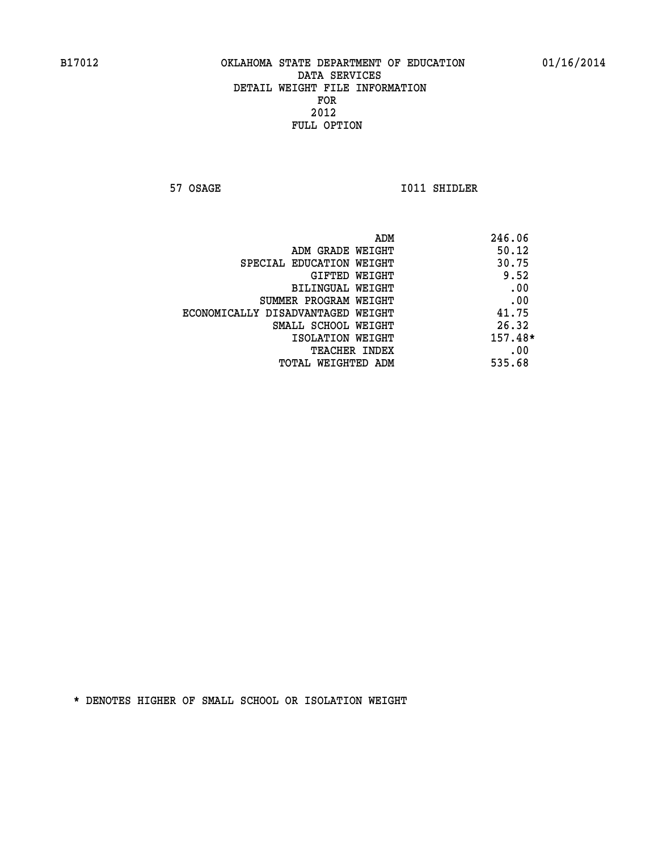**57 OSAGE 1011 SHIDLER** 

| ADM                               | 246.06    |
|-----------------------------------|-----------|
| ADM GRADE WEIGHT                  | 50.12     |
| SPECIAL EDUCATION WEIGHT          | 30.75     |
| GIFTED WEIGHT                     | 9.52      |
| BILINGUAL WEIGHT                  | .00       |
| SUMMER PROGRAM WEIGHT             | .00       |
| ECONOMICALLY DISADVANTAGED WEIGHT | 41.75     |
| SMALL SCHOOL WEIGHT               | 26.32     |
| ISOLATION WEIGHT                  | $157.48*$ |
| TEACHER INDEX                     | .00       |
| TOTAL WEIGHTED ADM                | 535.68    |
|                                   |           |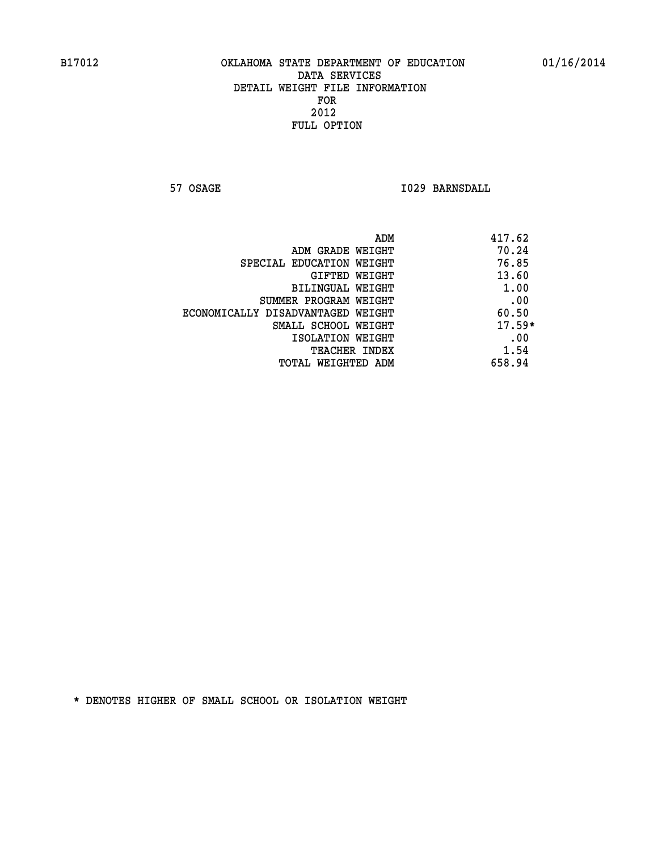**57 OSAGE 1029 BARNSDALL** 

| ADM                               | 417.62   |
|-----------------------------------|----------|
| ADM GRADE WEIGHT                  | 70.24    |
| SPECIAL EDUCATION WEIGHT          | 76.85    |
| GIFTED WEIGHT                     | 13.60    |
| BILINGUAL WEIGHT                  | 1.00     |
| SUMMER PROGRAM WEIGHT             | .00      |
| ECONOMICALLY DISADVANTAGED WEIGHT | 60.50    |
| SMALL SCHOOL WEIGHT               | $17.59*$ |
| ISOLATION WEIGHT                  | .00      |
| <b>TEACHER INDEX</b>              | 1.54     |
| TOTAL WEIGHTED ADM                | 658.94   |
|                                   |          |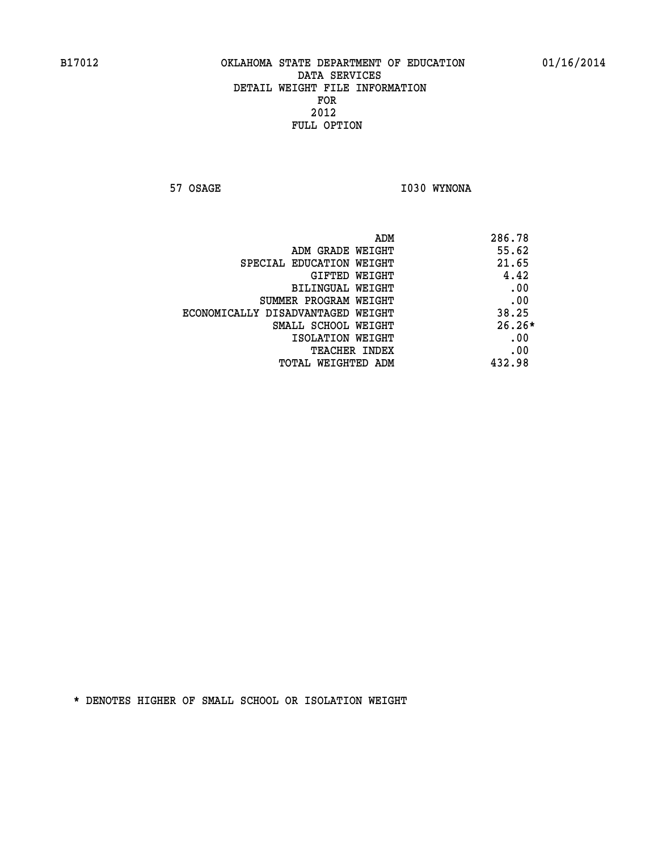**57 OSAGE 1030 WYNONA** 

|                                   | 286.78<br>ADM |  |
|-----------------------------------|---------------|--|
| ADM GRADE WEIGHT                  | 55.62         |  |
| SPECIAL EDUCATION WEIGHT          | 21.65         |  |
| GIFTED WEIGHT                     | 4.42          |  |
| BILINGUAL WEIGHT                  | .00           |  |
| SUMMER PROGRAM WEIGHT             | .00           |  |
| ECONOMICALLY DISADVANTAGED WEIGHT | 38.25         |  |
| SMALL SCHOOL WEIGHT               | $26.26*$      |  |
| ISOLATION WEIGHT                  | .00           |  |
| <b>TEACHER INDEX</b>              | .00           |  |
| TOTAL WEIGHTED ADM                | 432.98        |  |
|                                   |               |  |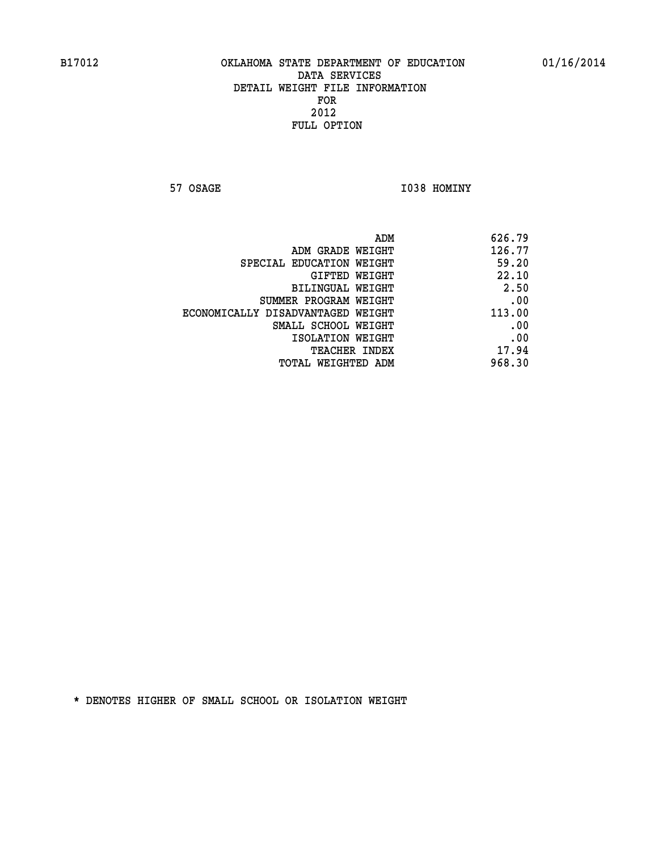**57 OSAGE 1038 HOMINY** 

| 626.79                                                                                                                                                                                                                                          |
|-------------------------------------------------------------------------------------------------------------------------------------------------------------------------------------------------------------------------------------------------|
| 126.77                                                                                                                                                                                                                                          |
| 59.20                                                                                                                                                                                                                                           |
| 22.10                                                                                                                                                                                                                                           |
| 2.50                                                                                                                                                                                                                                            |
| .00                                                                                                                                                                                                                                             |
| 113.00                                                                                                                                                                                                                                          |
| .00                                                                                                                                                                                                                                             |
| .00                                                                                                                                                                                                                                             |
| 17.94                                                                                                                                                                                                                                           |
| 968.30                                                                                                                                                                                                                                          |
| ADM<br>ADM GRADE WEIGHT<br>SPECIAL EDUCATION WEIGHT<br>GIFTED WEIGHT<br>BILINGUAL WEIGHT<br>SUMMER PROGRAM WEIGHT<br>ECONOMICALLY DISADVANTAGED WEIGHT<br>SMALL SCHOOL WEIGHT<br>ISOLATION WEIGHT<br><b>TEACHER INDEX</b><br>TOTAL WEIGHTED ADM |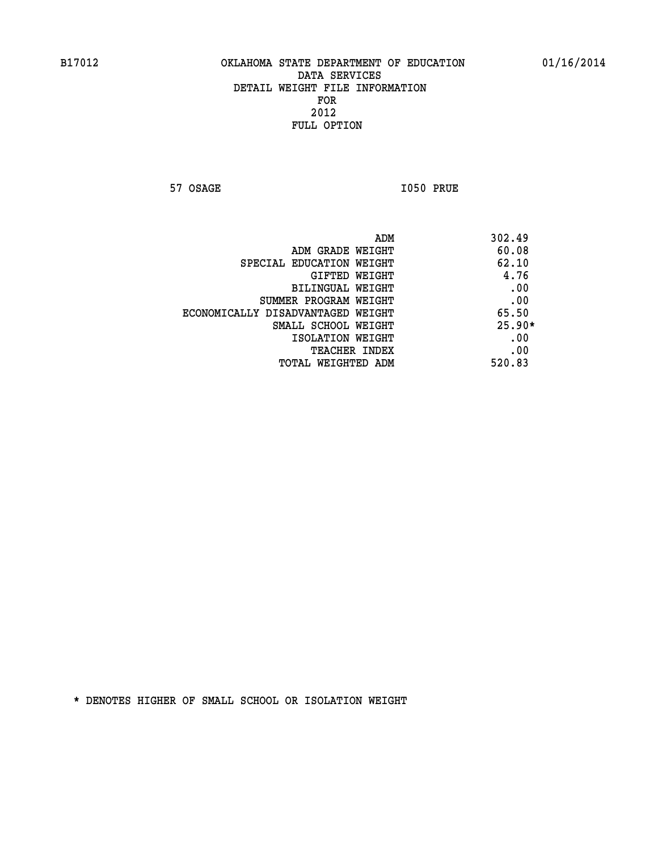**57 OSAGE I050 PRUE** 

|                                   | 302.49<br>ADM |
|-----------------------------------|---------------|
| ADM GRADE WEIGHT                  | 60.08         |
| SPECIAL EDUCATION WEIGHT          | 62.10         |
| GIFTED WEIGHT                     | 4.76          |
| BILINGUAL WEIGHT                  | .00           |
| SUMMER PROGRAM WEIGHT             | .00           |
| ECONOMICALLY DISADVANTAGED WEIGHT | 65.50         |
| SMALL SCHOOL WEIGHT               | $25.90*$      |
| ISOLATION WEIGHT                  | .00           |
| <b>TEACHER INDEX</b>              | .00           |
| TOTAL WEIGHTED ADM                | 520.83        |
|                                   |               |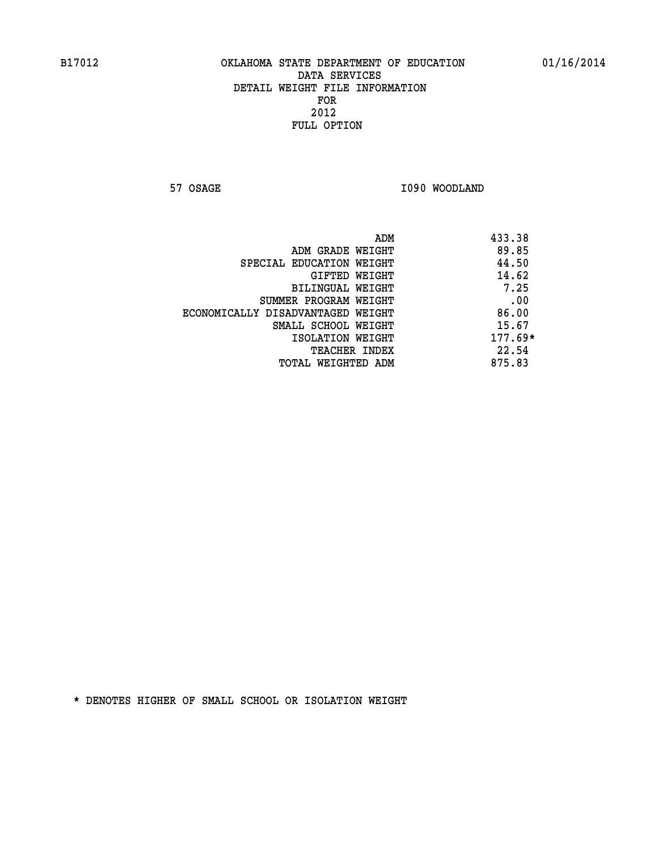**57 OSAGE 1090 WOODLAND** 

|                                   | ADM | 433.38    |
|-----------------------------------|-----|-----------|
| ADM GRADE WEIGHT                  |     | 89.85     |
| SPECIAL EDUCATION WEIGHT          |     | 44.50     |
| GIFTED WEIGHT                     |     | 14.62     |
| BILINGUAL WEIGHT                  |     | 7.25      |
| SUMMER PROGRAM WEIGHT             |     | .00       |
| ECONOMICALLY DISADVANTAGED WEIGHT |     | 86.00     |
| SMALL SCHOOL WEIGHT               |     | 15.67     |
| ISOLATION WEIGHT                  |     | $177.69*$ |
| TEACHER INDEX                     |     | 22.54     |
| TOTAL WEIGHTED ADM                |     | 875.83    |
|                                   |     |           |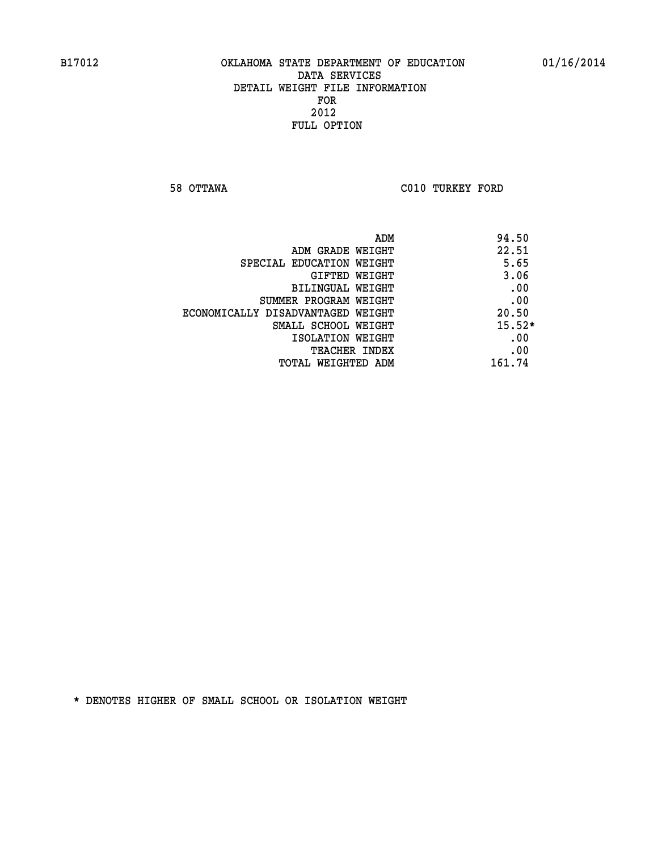**58 OTTAWA C010 TURKEY FORD** 

| ADM                               | 94.50    |
|-----------------------------------|----------|
| ADM GRADE WEIGHT                  | 22.51    |
| SPECIAL EDUCATION WEIGHT          | 5.65     |
| GIFTED WEIGHT                     | 3.06     |
| BILINGUAL WEIGHT                  | .00      |
| SUMMER PROGRAM WEIGHT             | .00      |
| ECONOMICALLY DISADVANTAGED WEIGHT | 20.50    |
| SMALL SCHOOL WEIGHT               | $15.52*$ |
| ISOLATION WEIGHT                  | .00      |
| <b>TEACHER INDEX</b>              | .00      |
| TOTAL WEIGHTED ADM                | 161.74   |
|                                   |          |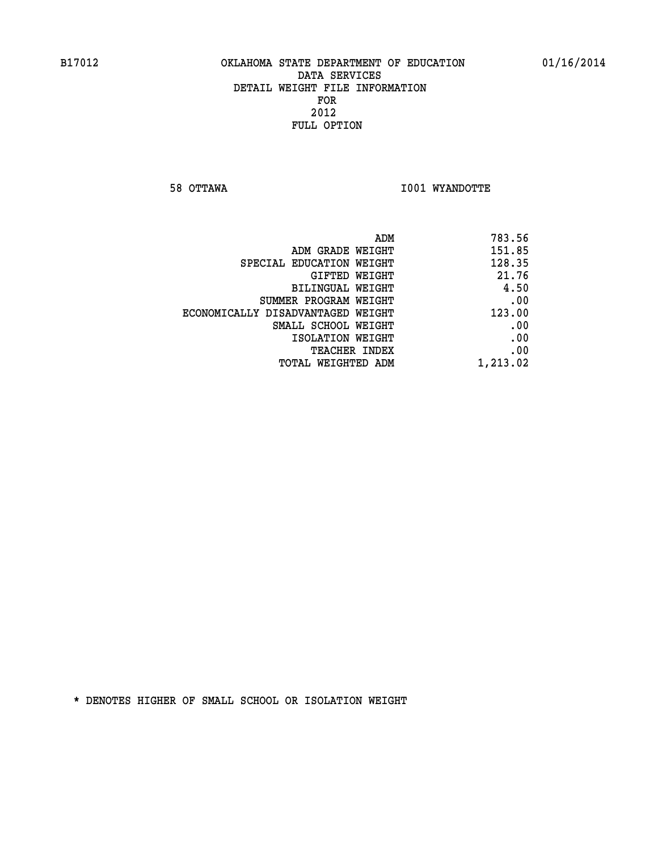**58 OTTAWA I001 WYANDOTTE** 

|                                   | ADM<br>783.56 |
|-----------------------------------|---------------|
| ADM GRADE WEIGHT                  | 151.85        |
| SPECIAL EDUCATION WEIGHT          | 128.35        |
| <b>GIFTED WEIGHT</b>              | 21.76         |
| <b>BILINGUAL WEIGHT</b>           | 4.50          |
| SUMMER PROGRAM WEIGHT             | .00           |
| ECONOMICALLY DISADVANTAGED WEIGHT | 123.00        |
| SMALL SCHOOL WEIGHT               | .00           |
| ISOLATION WEIGHT                  | .00           |
| TEACHER INDEX                     | .00           |
| TOTAL WEIGHTED ADM                | 1,213.02      |
|                                   |               |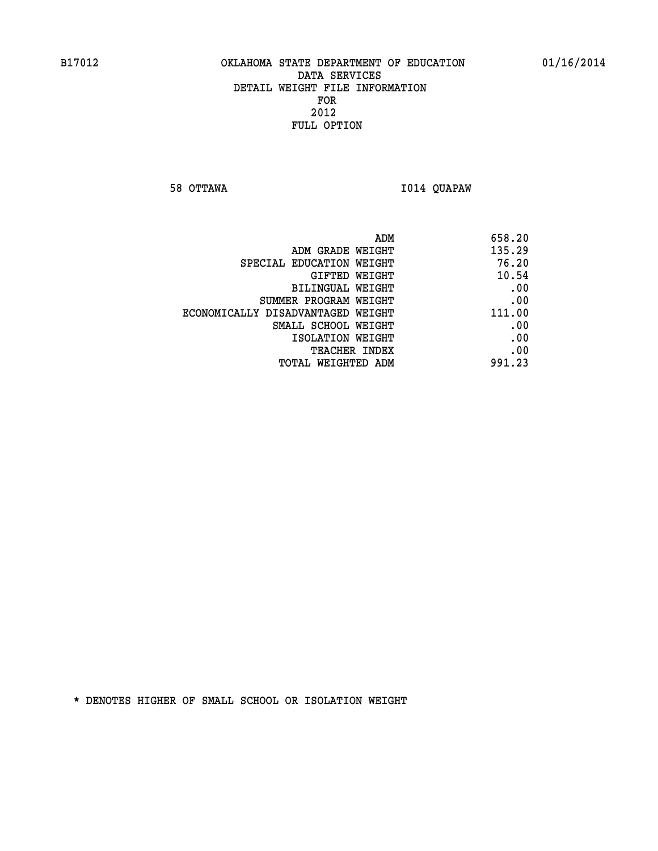**58 OTTAWA I014 QUAPAW** 

| ADM<br>658.20                               |  |  |
|---------------------------------------------|--|--|
| 135.29<br>ADM GRADE WEIGHT                  |  |  |
| 76.20<br>SPECIAL EDUCATION WEIGHT           |  |  |
| 10.54<br>GIFTED WEIGHT                      |  |  |
| .00<br>BILINGUAL WEIGHT                     |  |  |
| .00<br>SUMMER PROGRAM WEIGHT                |  |  |
| 111.00<br>ECONOMICALLY DISADVANTAGED WEIGHT |  |  |
| .00<br>SMALL SCHOOL WEIGHT                  |  |  |
| .00<br>ISOLATION WEIGHT                     |  |  |
| .00<br>TEACHER INDEX                        |  |  |
| 991.23<br>TOTAL WEIGHTED ADM                |  |  |
|                                             |  |  |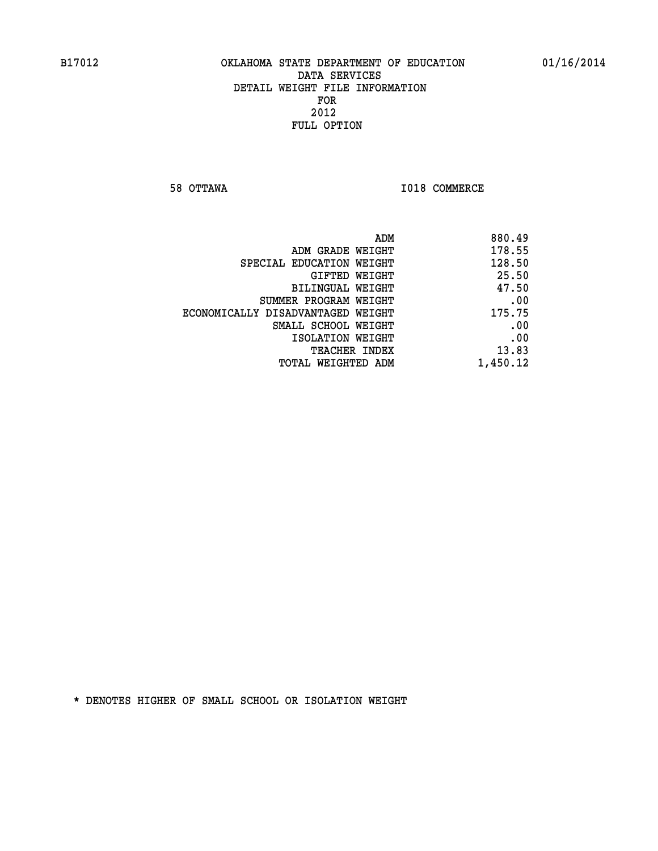**58 OTTAWA I018 COMMERCE** 

|                                   | 880.49<br>ADM |
|-----------------------------------|---------------|
| ADM GRADE WEIGHT                  | 178.55        |
| SPECIAL EDUCATION WEIGHT          | 128.50        |
| GIFTED WEIGHT                     | 25.50         |
| BILINGUAL WEIGHT                  | 47.50         |
| SUMMER PROGRAM WEIGHT             | .00           |
| ECONOMICALLY DISADVANTAGED WEIGHT | 175.75        |
| SMALL SCHOOL WEIGHT               | .00           |
| ISOLATION WEIGHT                  | .00           |
| TEACHER INDEX                     | 13.83         |
| TOTAL WEIGHTED ADM                | 1,450.12      |
|                                   |               |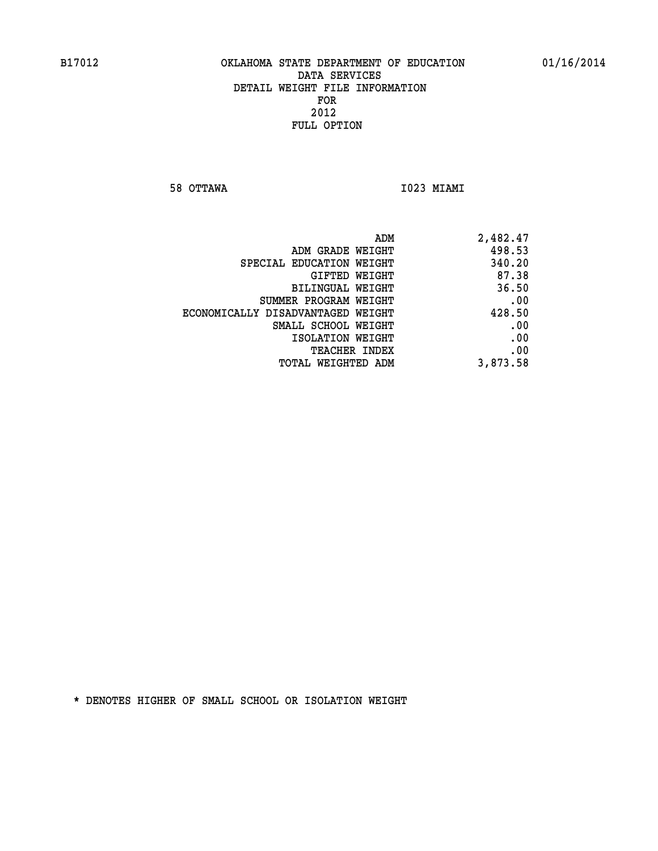**58 OTTAWA I023 MIAMI** 

| ADM                               | 2,482.47 |
|-----------------------------------|----------|
| ADM GRADE WEIGHT                  | 498.53   |
| SPECIAL EDUCATION WEIGHT          | 340.20   |
| <b>GIFTED WEIGHT</b>              | 87.38    |
| BILINGUAL WEIGHT                  | 36.50    |
| SUMMER PROGRAM WEIGHT             | .00      |
| ECONOMICALLY DISADVANTAGED WEIGHT | 428.50   |
| SMALL SCHOOL WEIGHT               | .00      |
| ISOLATION WEIGHT                  | .00      |
| <b>TEACHER INDEX</b>              | .00      |
| <b>TOTAL WEIGHTED ADM</b>         | 3,873.58 |
|                                   |          |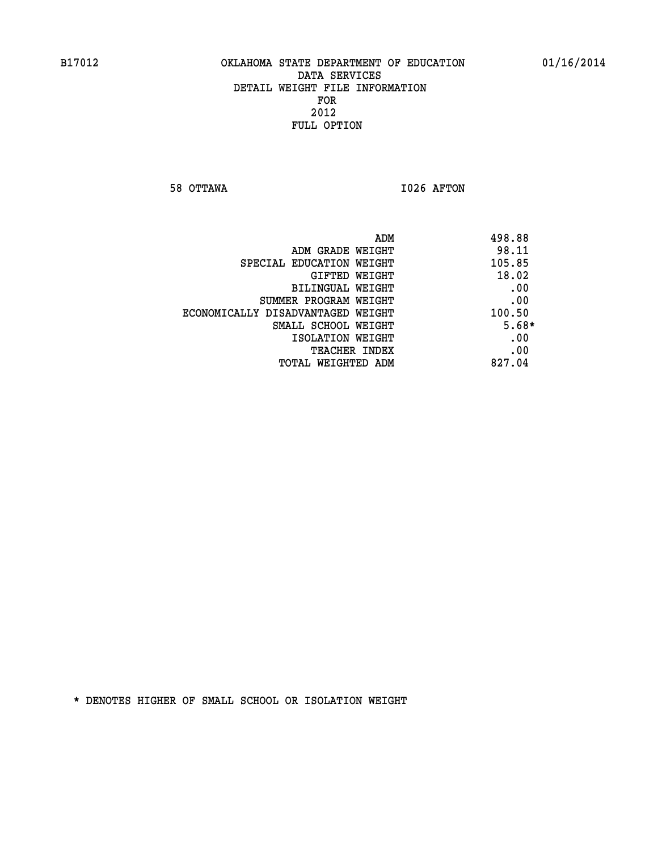**58 OTTAWA I026 AFTON** 

| ADM                               | 498.88  |
|-----------------------------------|---------|
| ADM GRADE WEIGHT                  | 98.11   |
| SPECIAL EDUCATION WEIGHT          | 105.85  |
| GIFTED WEIGHT                     | 18.02   |
| BILINGUAL WEIGHT                  | .00     |
| SUMMER PROGRAM WEIGHT             | .00     |
| ECONOMICALLY DISADVANTAGED WEIGHT | 100.50  |
| SMALL SCHOOL WEIGHT               | $5.68*$ |
| ISOLATION WEIGHT                  | .00     |
| <b>TEACHER INDEX</b>              | .00     |
| TOTAL WEIGHTED ADM                | 827.04  |
|                                   |         |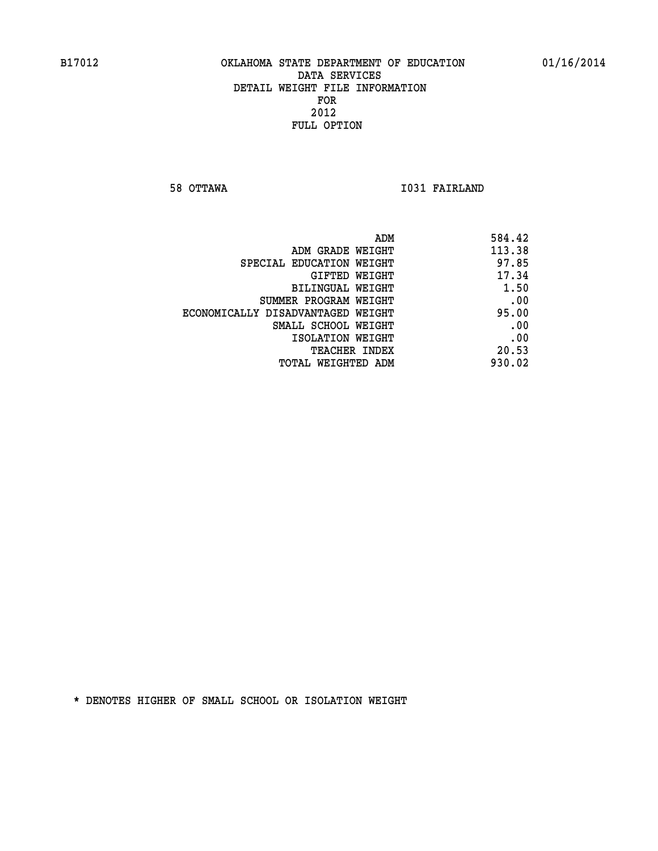**58 OTTAWA I031 FAIRLAND** 

|                                   | ADM<br>584.42 |
|-----------------------------------|---------------|
| ADM GRADE WEIGHT                  | 113.38        |
| SPECIAL EDUCATION WEIGHT          | 97.85         |
| GIFTED WEIGHT                     | 17.34         |
| <b>BILINGUAL WEIGHT</b>           | 1.50          |
| SUMMER PROGRAM WEIGHT             | .00           |
| ECONOMICALLY DISADVANTAGED WEIGHT | 95.00         |
| SMALL SCHOOL WEIGHT               | .00           |
| ISOLATION WEIGHT                  | .00           |
| TEACHER INDEX                     | 20.53         |
| TOTAL WEIGHTED ADM                | 930.02        |
|                                   |               |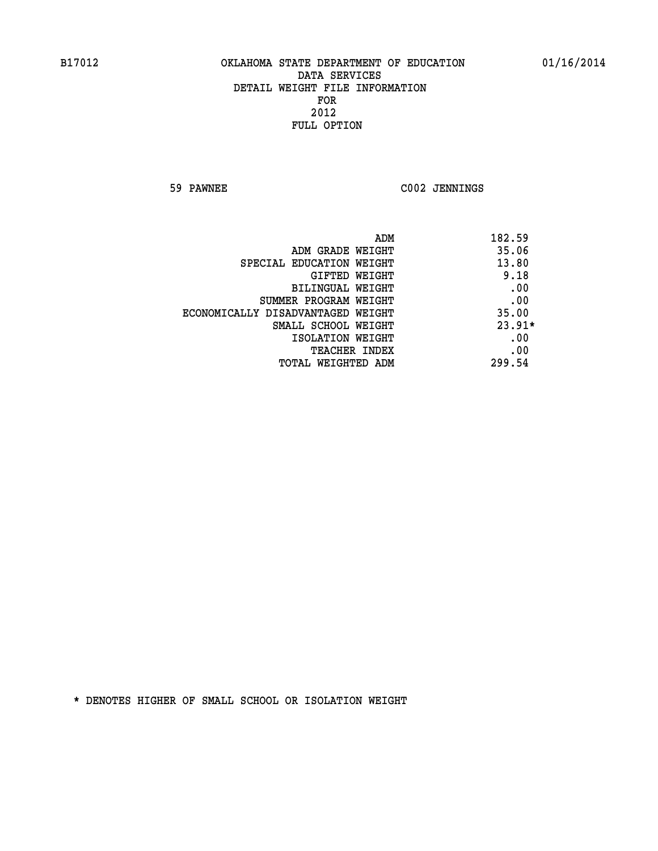**59 PAWNEE C002 JENNINGS** 

| ADM                               | 182.59   |
|-----------------------------------|----------|
| ADM GRADE WEIGHT                  | 35.06    |
| SPECIAL EDUCATION WEIGHT          | 13.80    |
| <b>GIFTED WEIGHT</b>              | 9.18     |
| BILINGUAL WEIGHT                  | .00      |
| SUMMER PROGRAM WEIGHT             | .00      |
| ECONOMICALLY DISADVANTAGED WEIGHT | 35.00    |
| SMALL SCHOOL WEIGHT               | $23.91*$ |
| ISOLATION WEIGHT                  | .00      |
| <b>TEACHER INDEX</b>              | .00      |
| TOTAL WEIGHTED ADM                | 299.54   |
|                                   |          |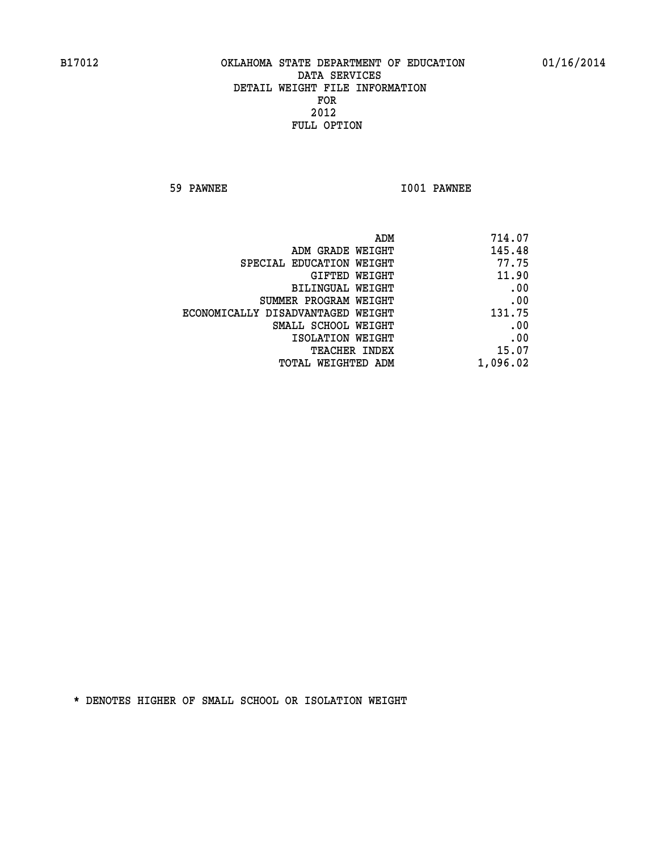**59 PAWNEE I001 PAWNEE** 

| 714.07<br>ADM                               |
|---------------------------------------------|
| 145.48<br>ADM GRADE WEIGHT                  |
| 77.75<br>SPECIAL EDUCATION WEIGHT           |
| 11.90<br>GIFTED WEIGHT                      |
| .00<br>BILINGUAL WEIGHT                     |
| .00<br>SUMMER PROGRAM WEIGHT                |
| 131.75<br>ECONOMICALLY DISADVANTAGED WEIGHT |
| .00<br>SMALL SCHOOL WEIGHT                  |
| .00<br>ISOLATION WEIGHT                     |
| 15.07                                       |
| 1,096.02<br>TOTAL WEIGHTED ADM              |
| <b>TEACHER INDEX</b>                        |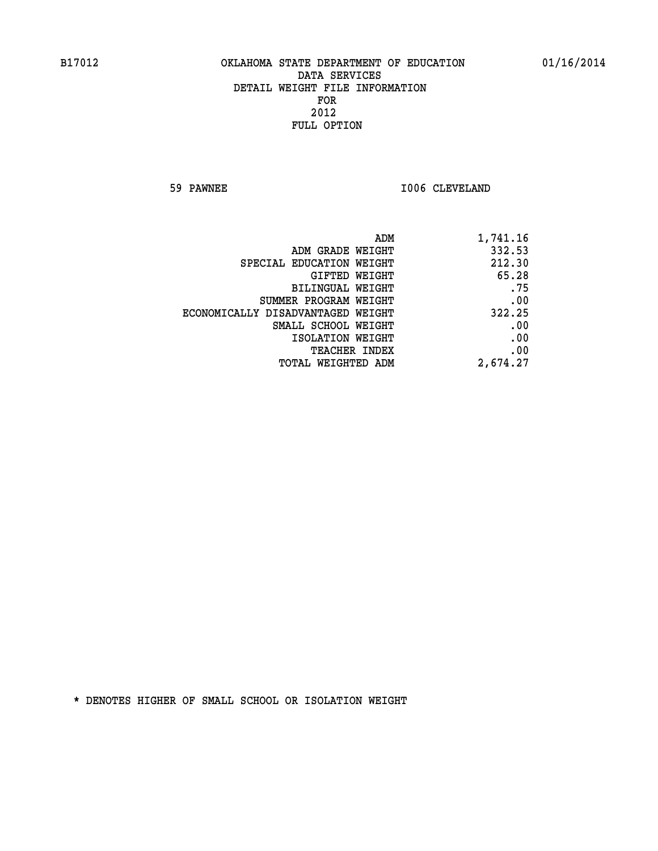**59 PAWNEE 1006 CLEVELAND** 

| 1,741.16 |
|----------|
| 332.53   |
| 212.30   |
| 65.28    |
| .75      |
| .00      |
| 322.25   |
| .00      |
| .00      |
| .00      |
| 2,674.27 |
|          |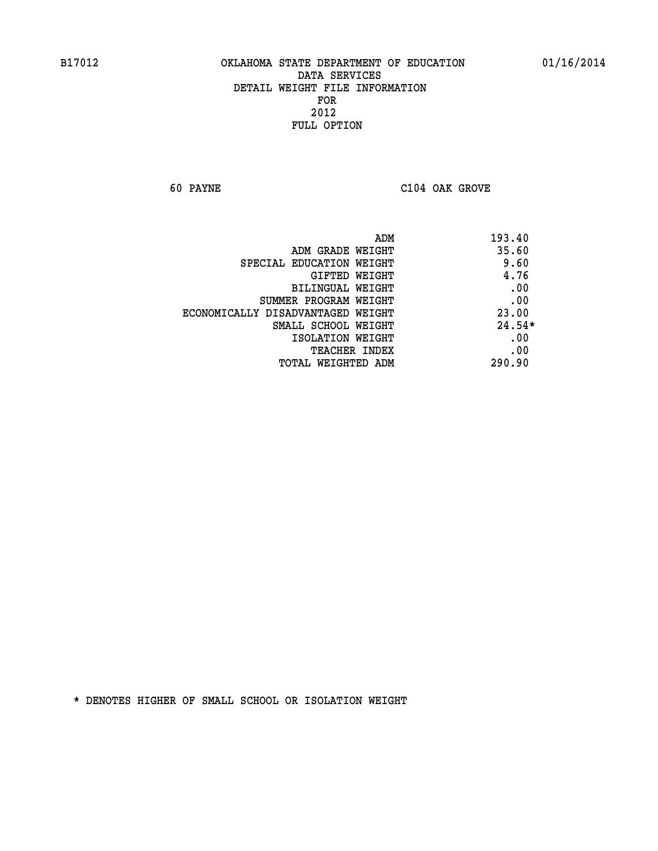**60 PAYNE C104 OAK GROVE** 

| 193.40   | ADM                               |
|----------|-----------------------------------|
| 35.60    | ADM GRADE WEIGHT                  |
| 9.60     | SPECIAL EDUCATION WEIGHT          |
| 4.76     | <b>GIFTED WEIGHT</b>              |
| .00      | BILINGUAL WEIGHT                  |
| .00      | SUMMER PROGRAM WEIGHT             |
| 23.00    | ECONOMICALLY DISADVANTAGED WEIGHT |
| $24.54*$ | SMALL SCHOOL WEIGHT               |
| .00      | ISOLATION WEIGHT                  |
| .00      | <b>TEACHER INDEX</b>              |
| 290.90   | TOTAL WEIGHTED ADM                |
|          |                                   |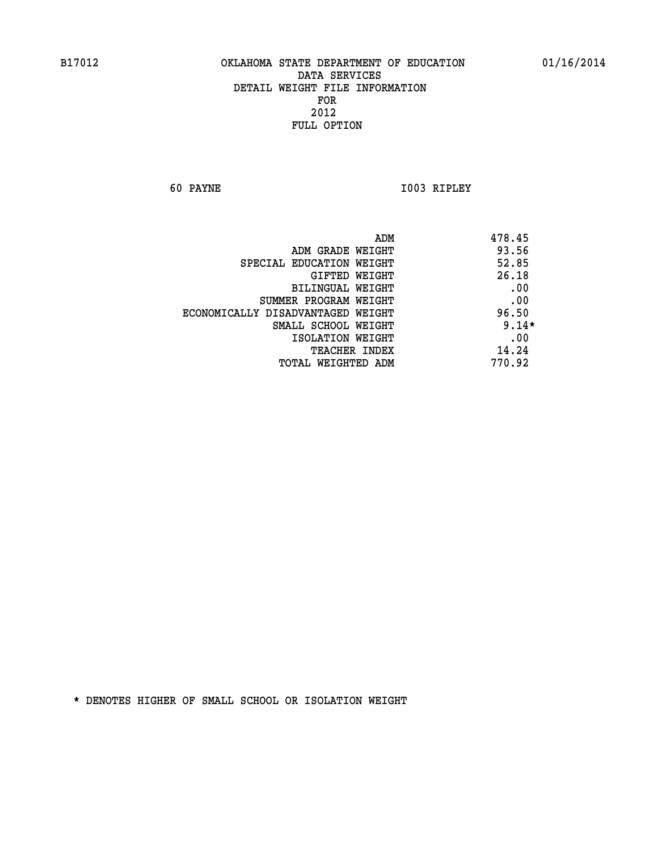**60 PAYNE I003 RIPLEY** 

|                                   | ADM | 478.45  |
|-----------------------------------|-----|---------|
| ADM GRADE WEIGHT                  |     | 93.56   |
| SPECIAL EDUCATION WEIGHT          |     | 52.85   |
| <b>GIFTED WEIGHT</b>              |     | 26.18   |
| BILINGUAL WEIGHT                  |     | .00     |
| SUMMER PROGRAM WEIGHT             |     | .00     |
| ECONOMICALLY DISADVANTAGED WEIGHT |     | 96.50   |
| SMALL SCHOOL WEIGHT               |     | $9.14*$ |
| ISOLATION WEIGHT                  |     | .00     |
| TEACHER INDEX                     |     | 14.24   |
| TOTAL WEIGHTED ADM                |     | 770.92  |
|                                   |     |         |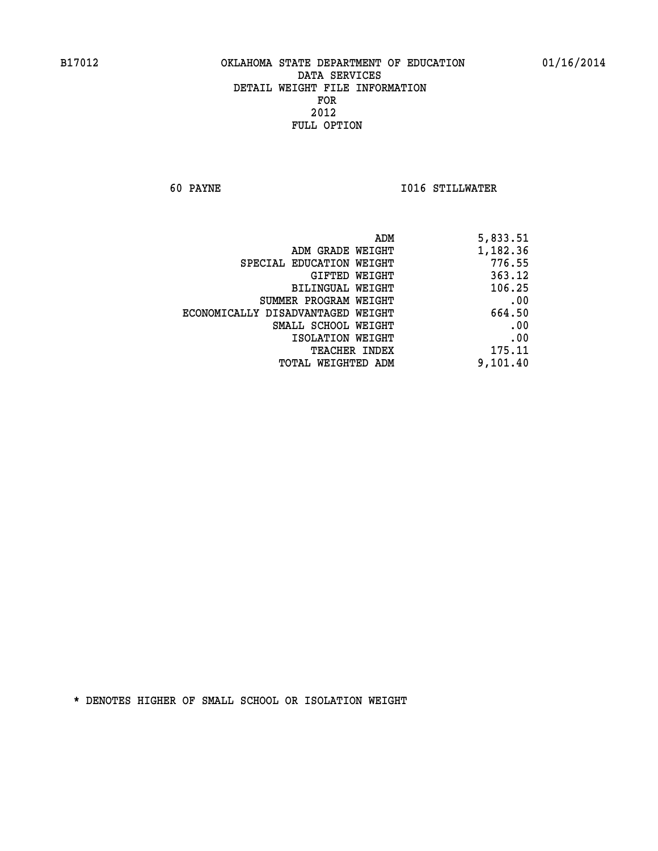**60 PAYNE I016 STILLWATER** 

| 5,833.51 |
|----------|
| 1,182.36 |
| 776.55   |
| 363.12   |
| 106.25   |
| .00      |
| 664.50   |
| .00      |
| .00      |
| 175.11   |
| 9,101.40 |
|          |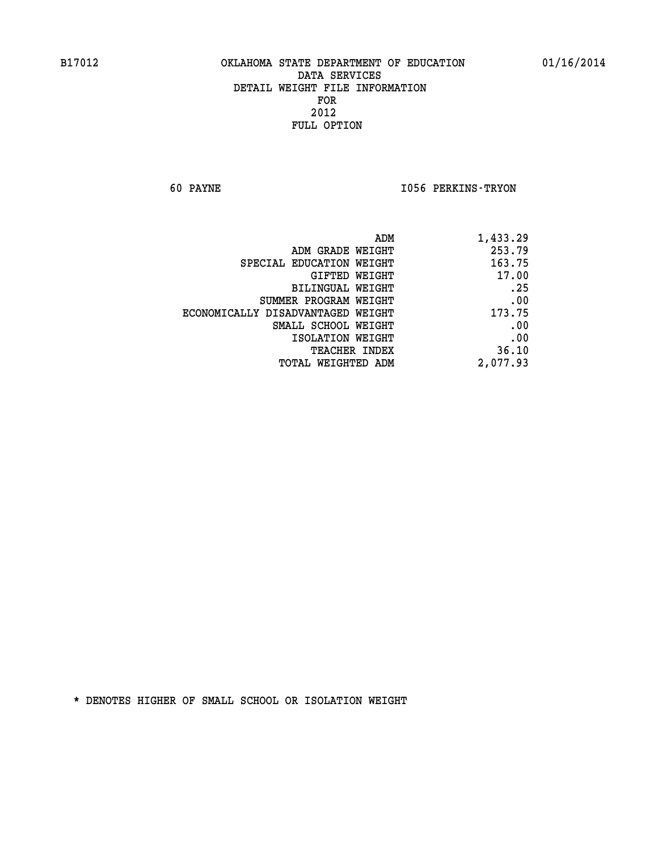**60 PAYNE I056 PERKINS-TRYON** 

| ADM<br>1,433.29                             |  |
|---------------------------------------------|--|
| 253.79<br>ADM GRADE WEIGHT                  |  |
| 163.75<br>SPECIAL EDUCATION WEIGHT          |  |
| 17.00<br>GIFTED WEIGHT                      |  |
| .25<br>BILINGUAL WEIGHT                     |  |
| .00<br>SUMMER PROGRAM WEIGHT                |  |
| 173.75<br>ECONOMICALLY DISADVANTAGED WEIGHT |  |
| .00<br>SMALL SCHOOL WEIGHT                  |  |
| .00<br>ISOLATION WEIGHT                     |  |
| 36.10<br><b>TEACHER INDEX</b>               |  |
| 2,077.93<br><b>TOTAL WEIGHTED ADM</b>       |  |
|                                             |  |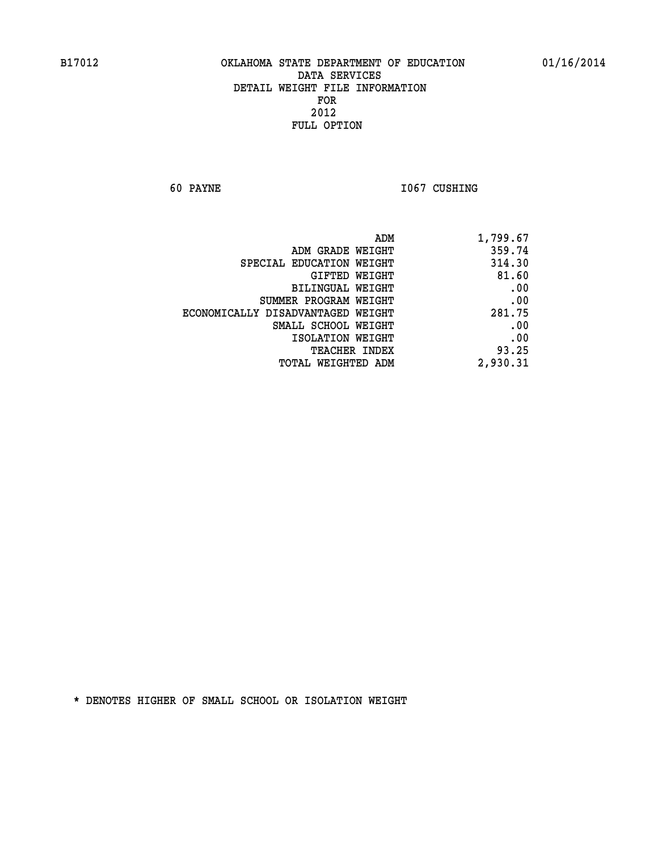**60 PAYNE 1067 CUSHING** 

| 1,799.67 |
|----------|
| 359.74   |
| 314.30   |
| 81.60    |
| .00      |
| .00      |
| 281.75   |
| .00      |
| .00      |
| 93.25    |
| 2,930.31 |
|          |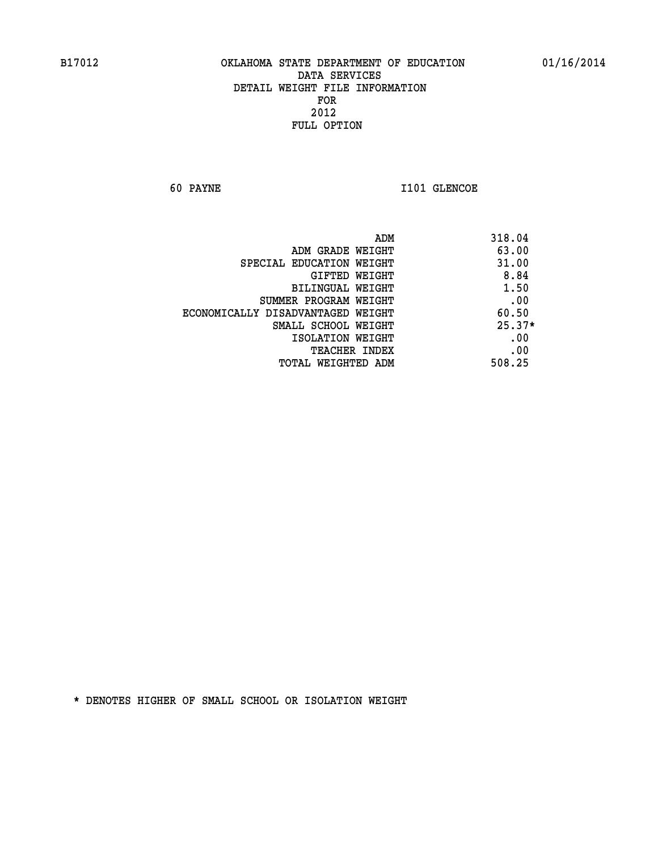**60 PAYNE 1101 GLENCOE** 

|                                   | ADM<br>318.04 |
|-----------------------------------|---------------|
| ADM GRADE WEIGHT                  | 63.00         |
| SPECIAL EDUCATION WEIGHT          | 31.00         |
| GIFTED WEIGHT                     | 8.84          |
| <b>BILINGUAL WEIGHT</b>           | 1.50          |
| SUMMER PROGRAM WEIGHT             | .00           |
| ECONOMICALLY DISADVANTAGED WEIGHT | 60.50         |
| SMALL SCHOOL WEIGHT               | $25.37*$      |
| ISOLATION WEIGHT                  | .00           |
| <b>TEACHER INDEX</b>              | .00           |
| TOTAL WEIGHTED ADM                | 508.25        |
|                                   |               |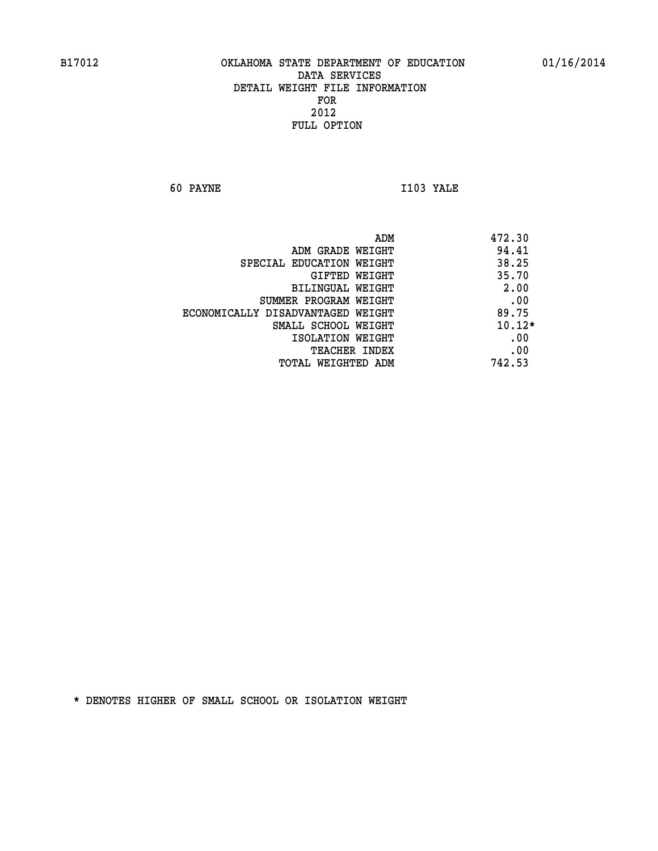**60 PAYNE I103 YALE** 

|                                   | ADM<br>472.30 |
|-----------------------------------|---------------|
| ADM GRADE WEIGHT                  | 94.41         |
| SPECIAL EDUCATION WEIGHT          | 38.25         |
| GIFTED WEIGHT                     | 35.70         |
| BILINGUAL WEIGHT                  | 2.00          |
| SUMMER PROGRAM WEIGHT             | .00           |
| ECONOMICALLY DISADVANTAGED WEIGHT | 89.75         |
| SMALL SCHOOL WEIGHT               | $10.12*$      |
| ISOLATION WEIGHT                  | .00           |
| <b>TEACHER INDEX</b>              | .00           |
| TOTAL WEIGHTED ADM                | 742.53        |
|                                   |               |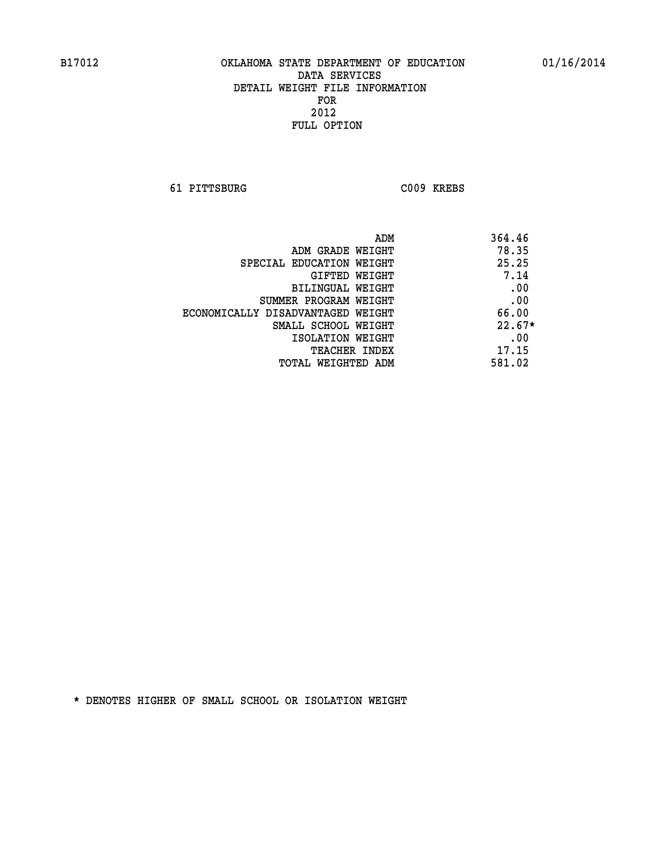**61 PITTSBURG C009 KREBS** 

| ADM                               | 364.46   |
|-----------------------------------|----------|
| ADM GRADE WEIGHT                  | 78.35    |
| SPECIAL EDUCATION WEIGHT          | 25.25    |
| GIFTED WEIGHT                     | 7.14     |
| BILINGUAL WEIGHT                  | .00      |
| SUMMER PROGRAM WEIGHT             | .00      |
| ECONOMICALLY DISADVANTAGED WEIGHT | 66.00    |
| SMALL SCHOOL WEIGHT               | $22.67*$ |
| ISOLATION WEIGHT                  | .00      |
| <b>TEACHER INDEX</b>              | 17.15    |
| TOTAL WEIGHTED ADM                | 581.02   |
|                                   |          |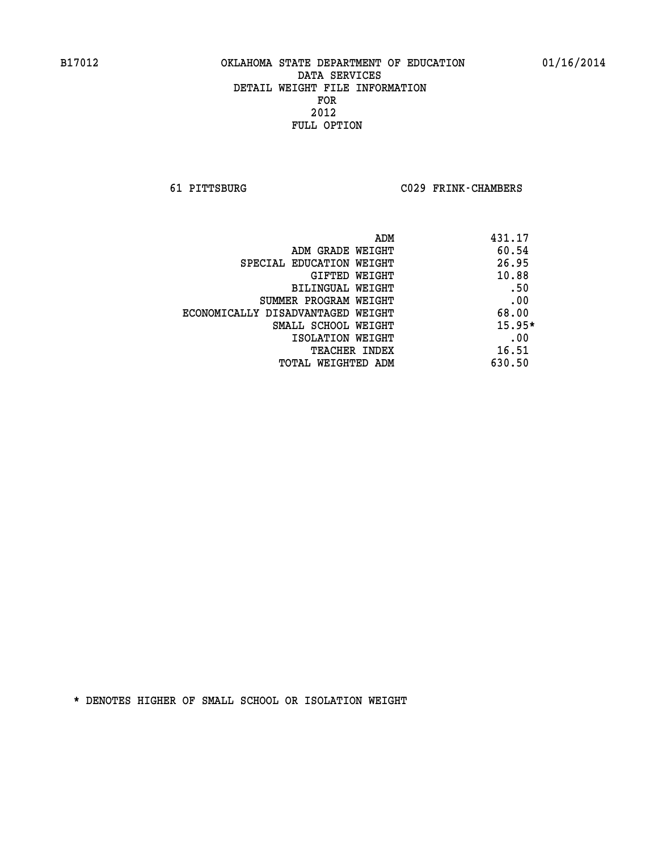**61 PITTSBURG C029 FRINK-CHAMBERS** 

|                                   | ADM | 431.17   |
|-----------------------------------|-----|----------|
| ADM GRADE WEIGHT                  |     | 60.54    |
| SPECIAL EDUCATION WEIGHT          |     | 26.95    |
| GIFTED WEIGHT                     |     | 10.88    |
| BILINGUAL WEIGHT                  |     | .50      |
| SUMMER PROGRAM WEIGHT             |     | .00      |
| ECONOMICALLY DISADVANTAGED WEIGHT |     | 68.00    |
| SMALL SCHOOL WEIGHT               |     | $15.95*$ |
| ISOLATION WEIGHT                  |     | .00      |
| TEACHER INDEX                     |     | 16.51    |
| TOTAL WEIGHTED ADM                |     | 630.50   |
|                                   |     |          |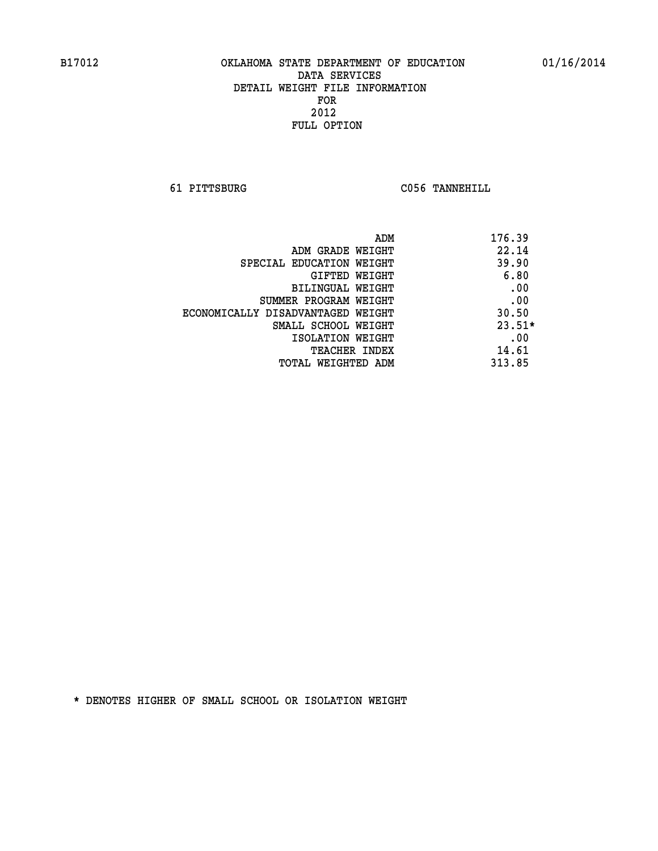**61 PITTSBURG C056 TANNEHILL** 

| ADM                               | 176.39   |
|-----------------------------------|----------|
| ADM GRADE WEIGHT                  | 22.14    |
| SPECIAL EDUCATION WEIGHT          | 39.90    |
| GIFTED WEIGHT                     | 6.80     |
| BILINGUAL WEIGHT                  | .00      |
| SUMMER PROGRAM WEIGHT             | .00      |
| ECONOMICALLY DISADVANTAGED WEIGHT | 30.50    |
| SMALL SCHOOL WEIGHT               | $23.51*$ |
| ISOLATION WEIGHT                  | .00      |
| <b>TEACHER INDEX</b>              | 14.61    |
| TOTAL WEIGHTED ADM                | 313.85   |
|                                   |          |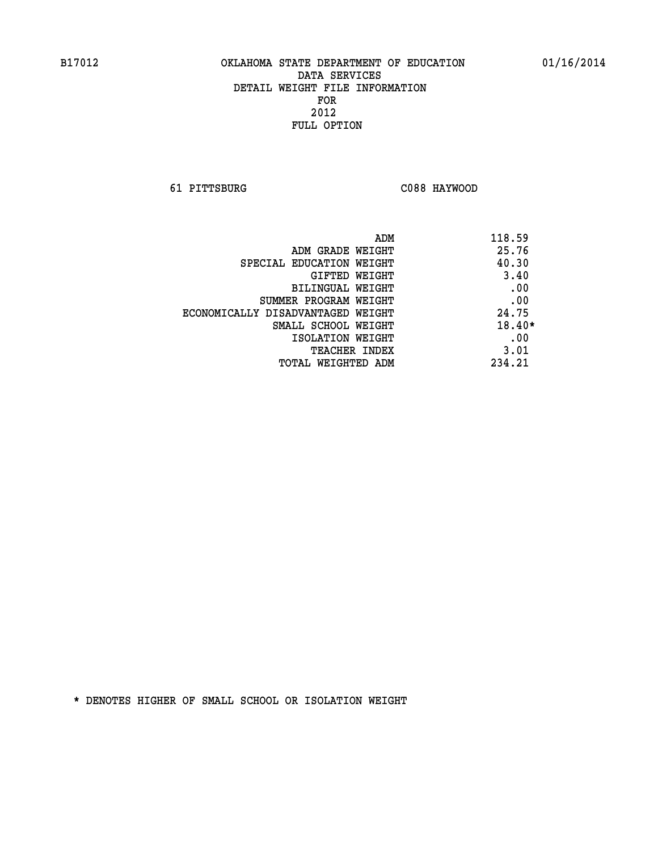**61 PITTSBURG C088 HAYWOOD** 

| ADM                               | 118.59 |
|-----------------------------------|--------|
| ADM GRADE WEIGHT                  | 25.76  |
| SPECIAL EDUCATION WEIGHT          | 40.30  |
| GIFTED WEIGHT                     | 3.40   |
| BILINGUAL WEIGHT                  | .00    |
| SUMMER PROGRAM WEIGHT             | .00    |
| ECONOMICALLY DISADVANTAGED WEIGHT | 24.75  |
| SMALL SCHOOL WEIGHT               | 18.40* |
| ISOLATION WEIGHT                  | .00    |
| <b>TEACHER INDEX</b>              | 3.01   |
| TOTAL WEIGHTED ADM                | 234.21 |
|                                   |        |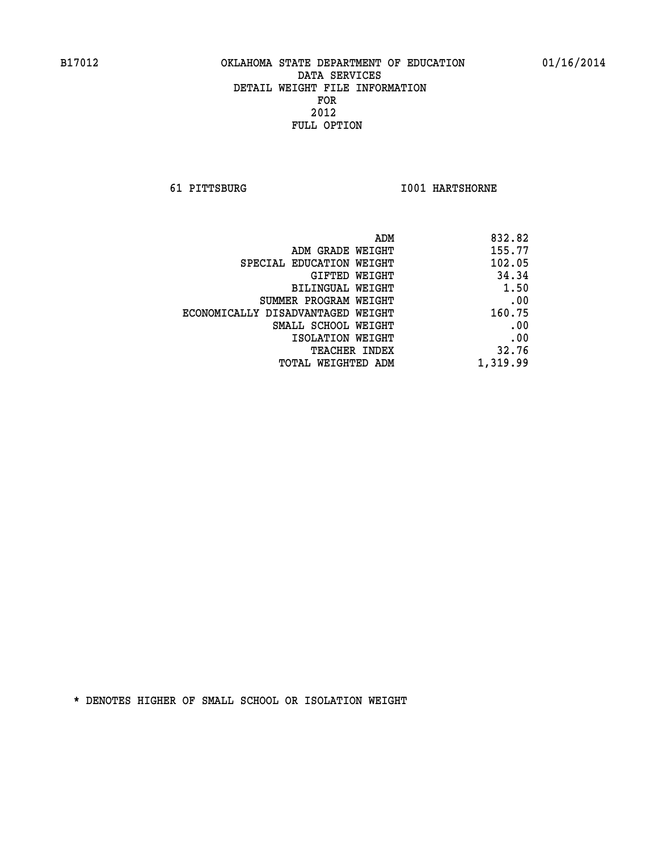**61 PITTSBURG I001 HARTSHORNE** 

| 832.82   |
|----------|
| 155.77   |
| 102.05   |
| 34.34    |
| 1.50     |
| .00      |
| 160.75   |
| .00      |
| .00      |
| 32.76    |
| 1,319.99 |
|          |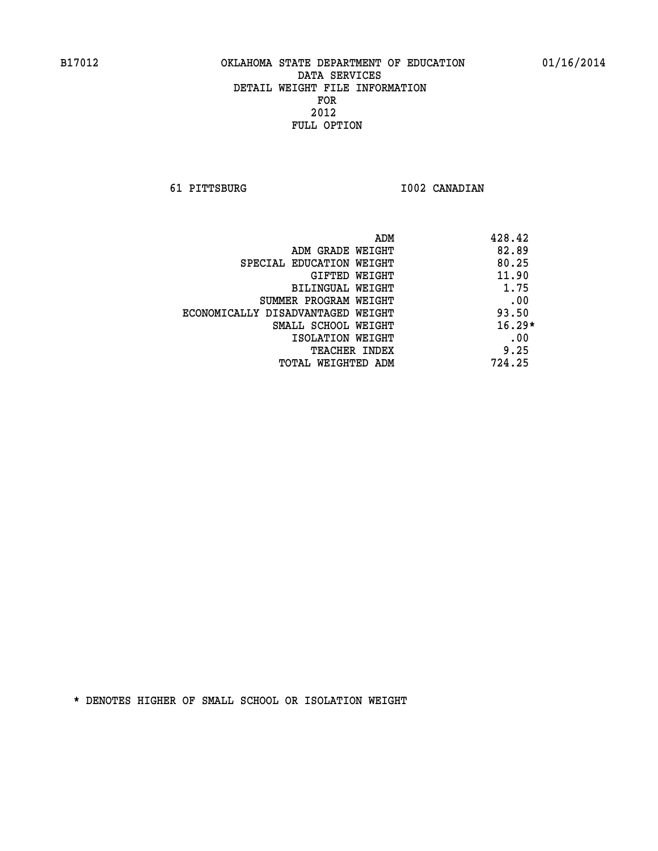**61 PITTSBURG I002 CANADIAN** 

| ADM                               | 428.42   |
|-----------------------------------|----------|
| ADM GRADE WEIGHT                  | 82.89    |
| SPECIAL EDUCATION WEIGHT          | 80.25    |
| GIFTED WEIGHT                     | 11.90    |
| BILINGUAL WEIGHT                  | 1.75     |
| SUMMER PROGRAM WEIGHT             | .00      |
| ECONOMICALLY DISADVANTAGED WEIGHT | 93.50    |
| SMALL SCHOOL WEIGHT               | $16.29*$ |
| ISOLATION WEIGHT                  | .00      |
| <b>TEACHER INDEX</b>              | 9.25     |
| TOTAL WEIGHTED ADM                | 724.25   |
|                                   |          |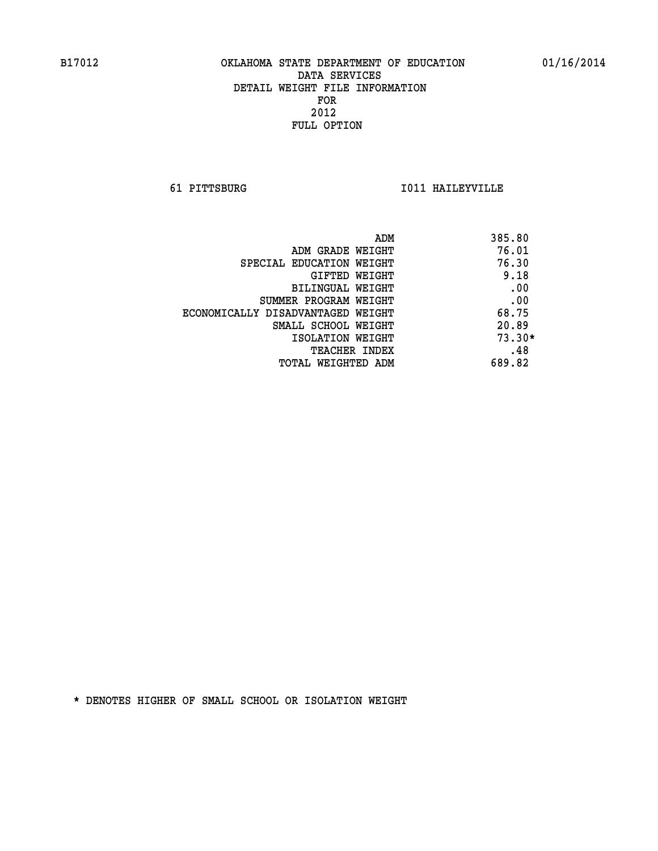**61 PITTSBURG I011 HAILEYVILLE** 

| ADM                               | 385.80   |
|-----------------------------------|----------|
| ADM GRADE WEIGHT                  | 76.01    |
| SPECIAL EDUCATION WEIGHT          | 76.30    |
| GIFTED WEIGHT                     | 9.18     |
| BILINGUAL WEIGHT                  | .00      |
| SUMMER PROGRAM WEIGHT             | .00      |
| ECONOMICALLY DISADVANTAGED WEIGHT | 68.75    |
| SMALL SCHOOL WEIGHT               | 20.89    |
| ISOLATION WEIGHT                  | $73.30*$ |
| <b>TEACHER INDEX</b>              | .48      |
| TOTAL WEIGHTED ADM                | 689.82   |
|                                   |          |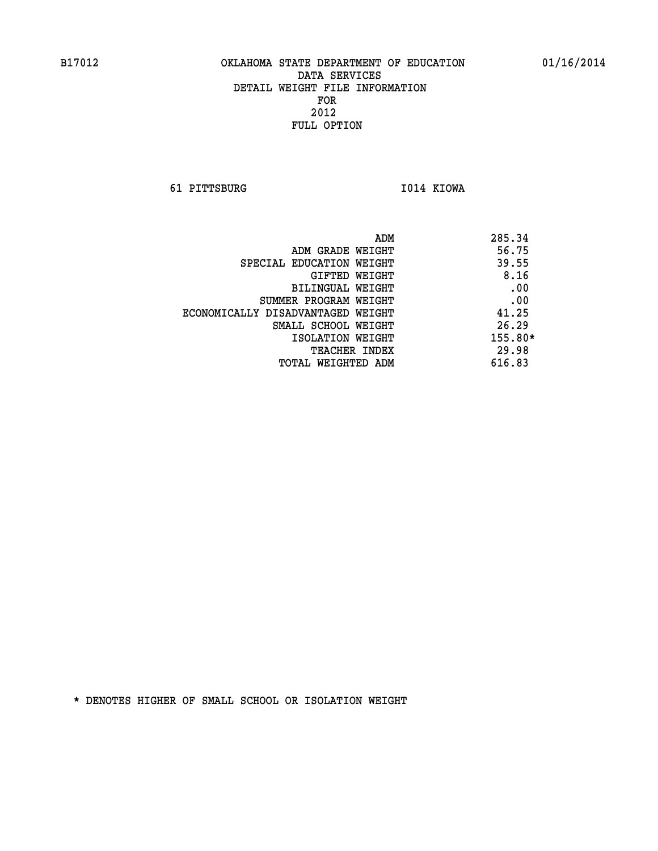**61 PITTSBURG I014 KIOWA** 

|                                   | 285.34<br>ADM |
|-----------------------------------|---------------|
| ADM GRADE WEIGHT                  | 56.75         |
| SPECIAL EDUCATION WEIGHT          | 39.55         |
| GIFTED WEIGHT                     | 8.16          |
| BILINGUAL WEIGHT                  | .00           |
| SUMMER PROGRAM WEIGHT             | .00           |
| ECONOMICALLY DISADVANTAGED WEIGHT | 41.25         |
| SMALL SCHOOL WEIGHT               | 26.29         |
| ISOLATION WEIGHT                  | $155.80*$     |
| <b>TEACHER INDEX</b>              | 29.98         |
| TOTAL WEIGHTED ADM                | 616.83        |
|                                   |               |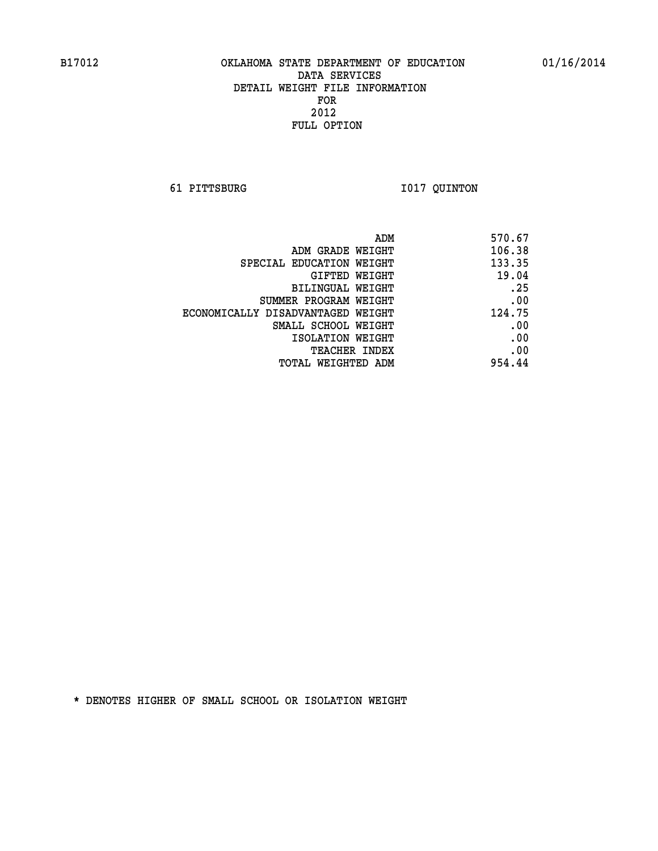**61 PITTSBURG I017 QUINTON** 

| ADM<br>570.67               |                                   |
|-----------------------------|-----------------------------------|
| 106.38                      | ADM GRADE WEIGHT                  |
| 133.35                      | SPECIAL EDUCATION WEIGHT          |
| 19.04<br>GIFTED WEIGHT      |                                   |
| .25                         | BILINGUAL WEIGHT                  |
| .00                         | SUMMER PROGRAM WEIGHT             |
| 124.75                      | ECONOMICALLY DISADVANTAGED WEIGHT |
| .00                         | SMALL SCHOOL WEIGHT               |
| .00                         | ISOLATION WEIGHT                  |
| .00<br><b>TEACHER INDEX</b> |                                   |
| 954.44                      | TOTAL WEIGHTED ADM                |
|                             |                                   |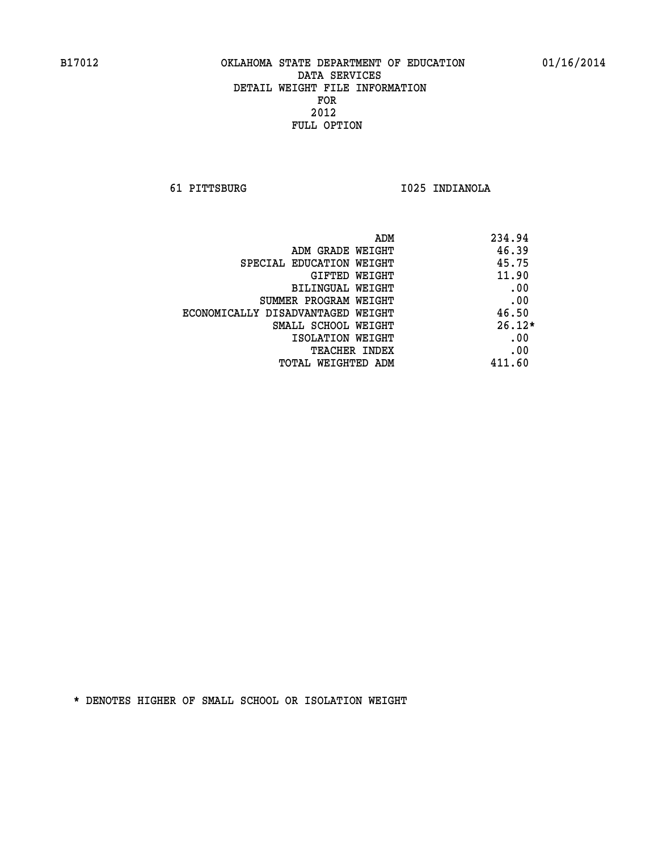**61 PITTSBURG I025 INDIANOLA** 

|                                   | 234.94<br>ADM |  |
|-----------------------------------|---------------|--|
| ADM GRADE WEIGHT                  | 46.39         |  |
| SPECIAL EDUCATION WEIGHT          | 45.75         |  |
| GIFTED WEIGHT                     | 11.90         |  |
| BILINGUAL WEIGHT                  | .00           |  |
| SUMMER PROGRAM WEIGHT             | .00           |  |
| ECONOMICALLY DISADVANTAGED WEIGHT | 46.50         |  |
| SMALL SCHOOL WEIGHT               | $26.12*$      |  |
| ISOLATION WEIGHT                  | .00           |  |
| <b>TEACHER INDEX</b>              | .00           |  |
| TOTAL WEIGHTED ADM                | 411.60        |  |
|                                   |               |  |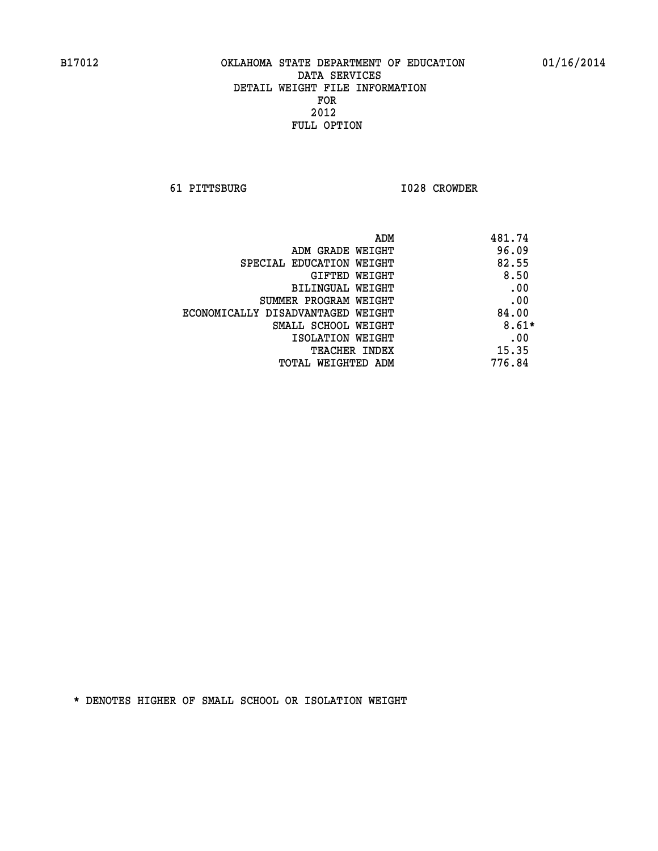**61 PITTSBURG I028 CROWDER** 

| ADM                               | 481.74  |
|-----------------------------------|---------|
| ADM GRADE WEIGHT                  | 96.09   |
| SPECIAL EDUCATION WEIGHT          | 82.55   |
| GIFTED WEIGHT                     | 8.50    |
| BILINGUAL WEIGHT                  | .00     |
| SUMMER PROGRAM WEIGHT             | .00     |
| ECONOMICALLY DISADVANTAGED WEIGHT | 84.00   |
| SMALL SCHOOL WEIGHT               | $8.61*$ |
| ISOLATION WEIGHT                  | .00     |
| <b>TEACHER INDEX</b>              | 15.35   |
| TOTAL WEIGHTED ADM                | 776.84  |
|                                   |         |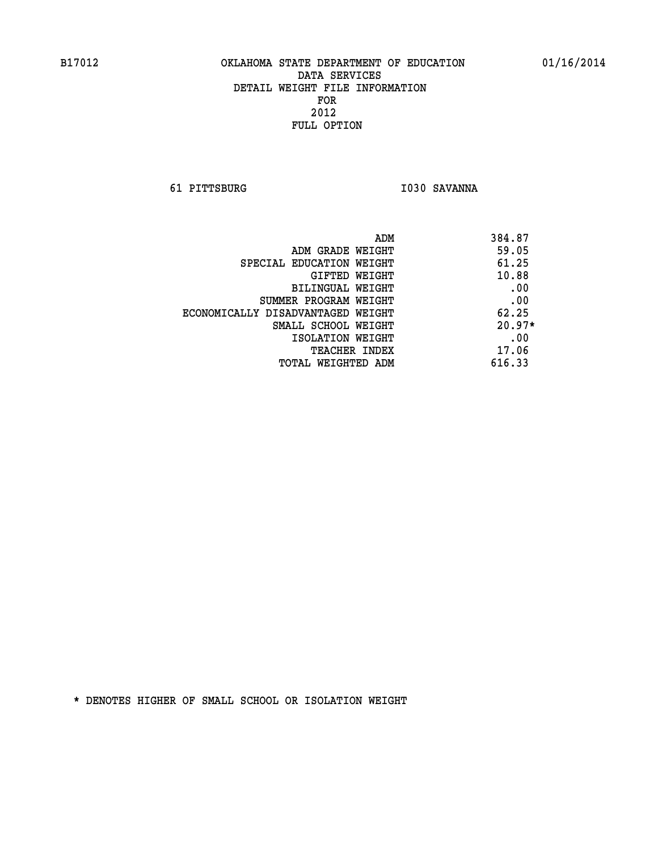**61 PITTSBURG I030 SAVANNA** 

| ADM                               | 384.87   |
|-----------------------------------|----------|
| ADM GRADE WEIGHT                  | 59.05    |
| SPECIAL EDUCATION WEIGHT          | 61.25    |
| GIFTED WEIGHT                     | 10.88    |
| BILINGUAL WEIGHT                  | .00      |
| SUMMER PROGRAM WEIGHT             | .00      |
| ECONOMICALLY DISADVANTAGED WEIGHT | 62.25    |
| SMALL SCHOOL WEIGHT               | $20.97*$ |
| ISOLATION WEIGHT                  | .00      |
| <b>TEACHER INDEX</b>              | 17.06    |
| TOTAL WEIGHTED ADM                | 616.33   |
|                                   |          |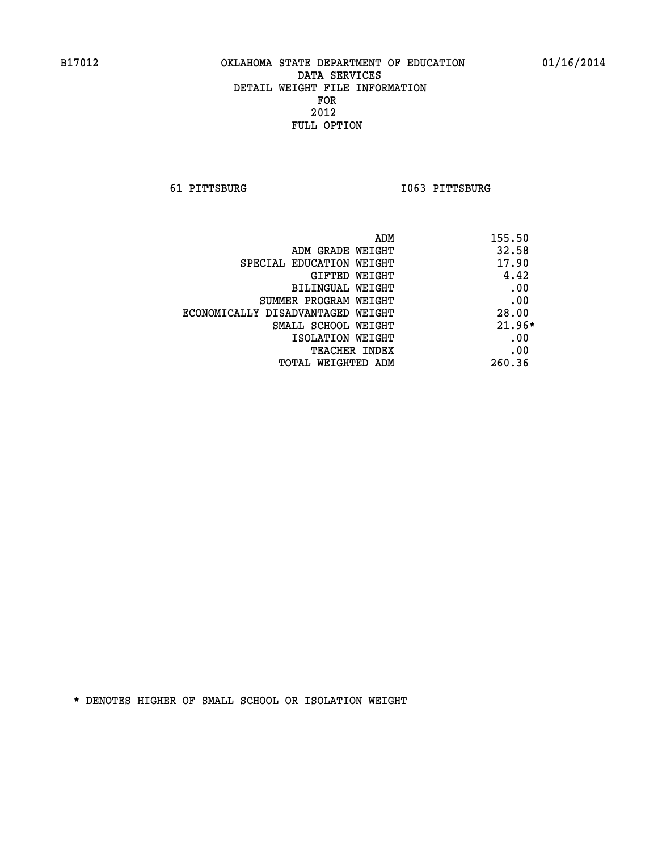**61 PITTSBURG I063 PITTSBURG** 

| ADM<br>155.50 |                                   |
|---------------|-----------------------------------|
| 32.58         | ADM GRADE WEIGHT                  |
| 17.90         | SPECIAL EDUCATION WEIGHT          |
| 4.42          | <b>GIFTED WEIGHT</b>              |
| .00           | BILINGUAL WEIGHT                  |
| .00           | SUMMER PROGRAM WEIGHT             |
| 28.00         | ECONOMICALLY DISADVANTAGED WEIGHT |
| $21.96*$      | SMALL SCHOOL WEIGHT               |
| .00           | ISOLATION WEIGHT                  |
| .00           | <b>TEACHER INDEX</b>              |
| 260.36        | TOTAL WEIGHTED ADM                |
|               |                                   |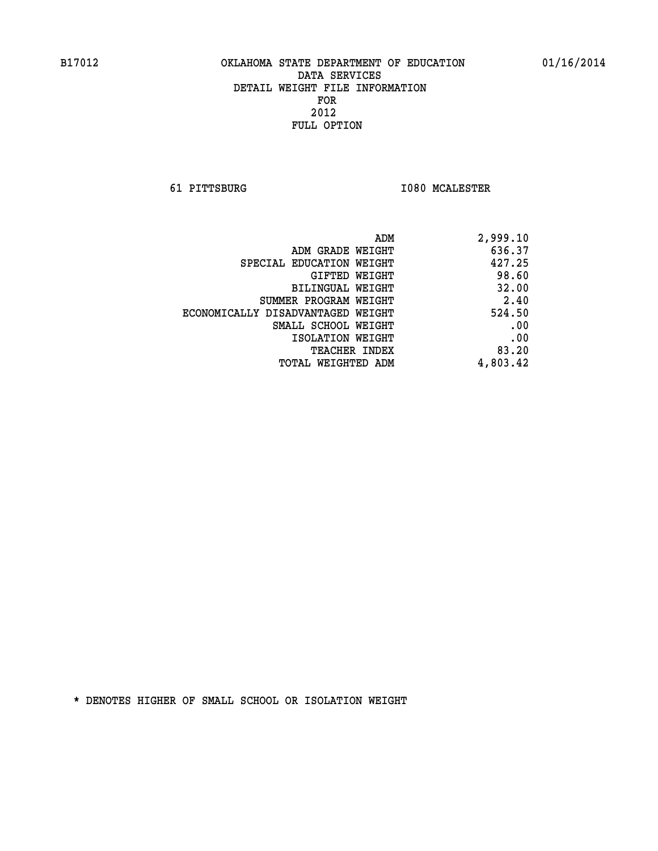**61 PITTSBURG I080 MCALESTER** 

| 2,999.10 |
|----------|
| 636.37   |
| 427.25   |
| 98.60    |
| 32.00    |
| 2.40     |
| 524.50   |
| .00      |
| .00      |
| 83.20    |
| 4,803.42 |
|          |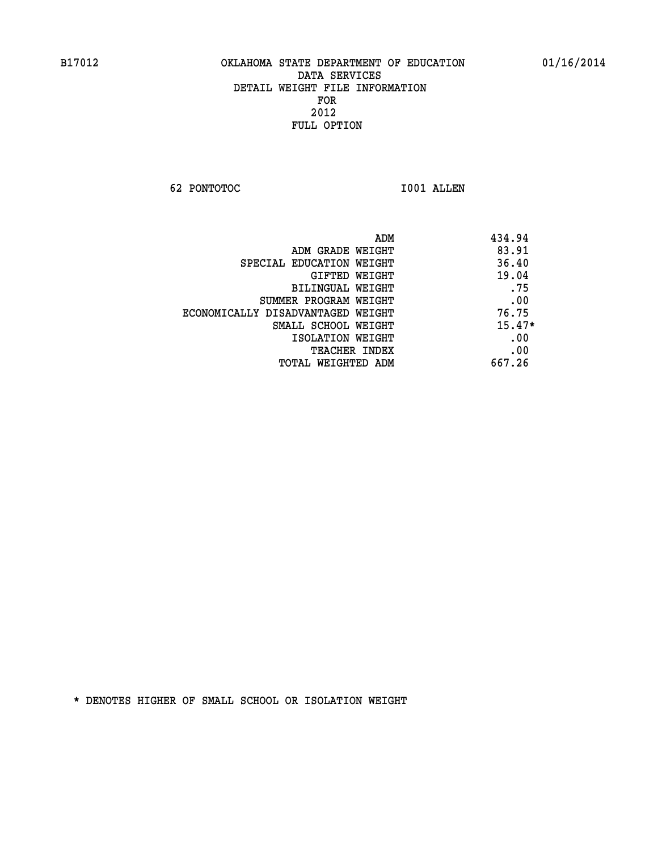**62 PONTOTOC I001 ALLEN** 

| ADM                               | 434.94   |
|-----------------------------------|----------|
| ADM GRADE WEIGHT                  | 83.91    |
| SPECIAL EDUCATION WEIGHT          | 36.40    |
| GIFTED WEIGHT                     | 19.04    |
| BILINGUAL WEIGHT                  | .75      |
| SUMMER PROGRAM WEIGHT             | .00      |
| ECONOMICALLY DISADVANTAGED WEIGHT | 76.75    |
| SMALL SCHOOL WEIGHT               | $15.47*$ |
| ISOLATION WEIGHT                  | .00      |
| <b>TEACHER INDEX</b>              | .00      |
| TOTAL WEIGHTED ADM                | 667.26   |
|                                   |          |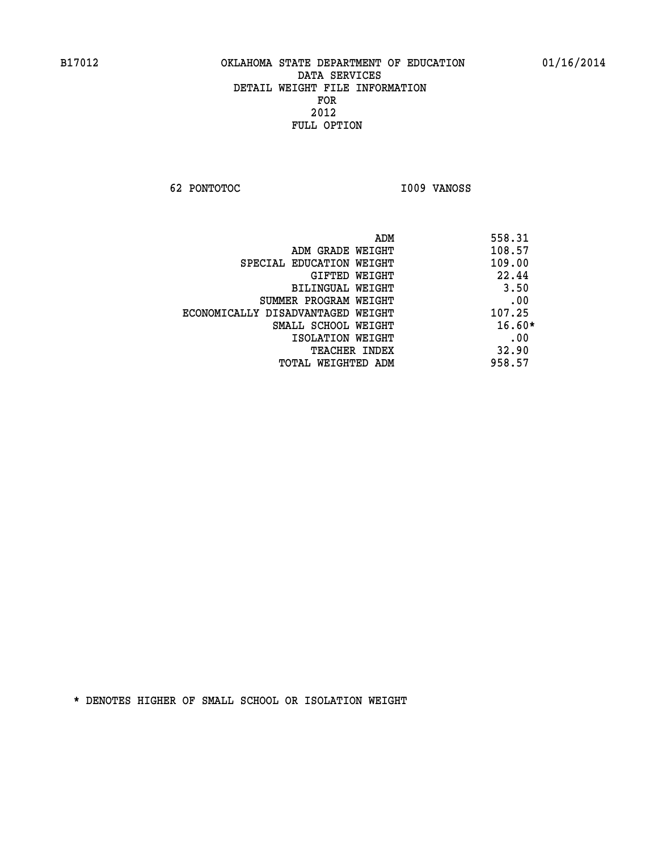**62 PONTOTOC I009 VANOSS** 

| ADM                               | 558.31   |
|-----------------------------------|----------|
| ADM GRADE WEIGHT                  | 108.57   |
| SPECIAL EDUCATION WEIGHT          | 109.00   |
| GIFTED WEIGHT                     | 22.44    |
| BILINGUAL WEIGHT                  | 3.50     |
| SUMMER PROGRAM WEIGHT             | .00      |
| ECONOMICALLY DISADVANTAGED WEIGHT | 107.25   |
| SMALL SCHOOL WEIGHT               | $16.60*$ |
| ISOLATION WEIGHT                  | .00      |
| <b>TEACHER INDEX</b>              | 32.90    |
| TOTAL WEIGHTED ADM                | 958.57   |
|                                   |          |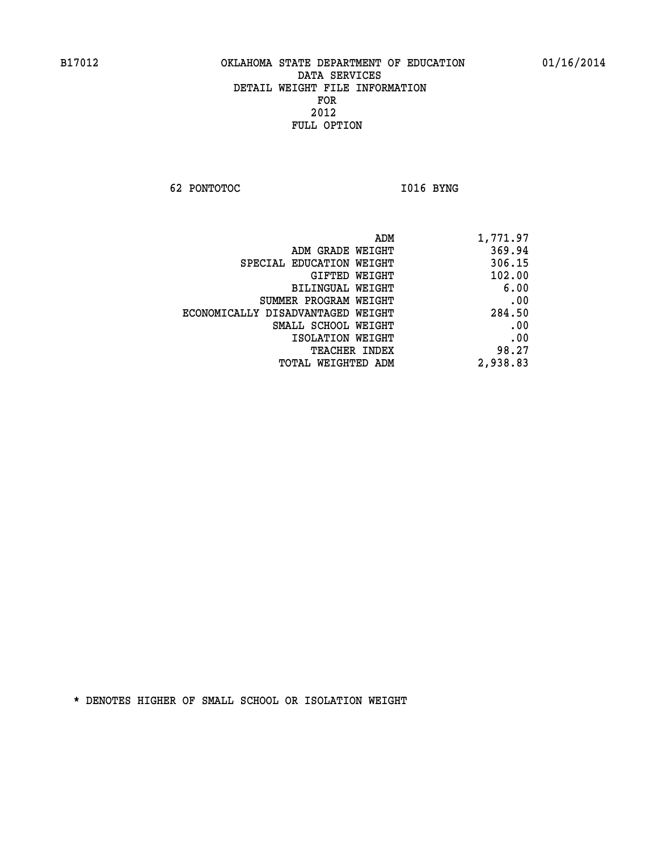**62 PONTOTOC I016 BYNG** 

| 1,771.97 |
|----------|
| 369.94   |
| 306.15   |
| 102.00   |
| 6.00     |
| .00      |
| 284.50   |
| .00      |
| .00      |
| 98.27    |
| 2,938.83 |
|          |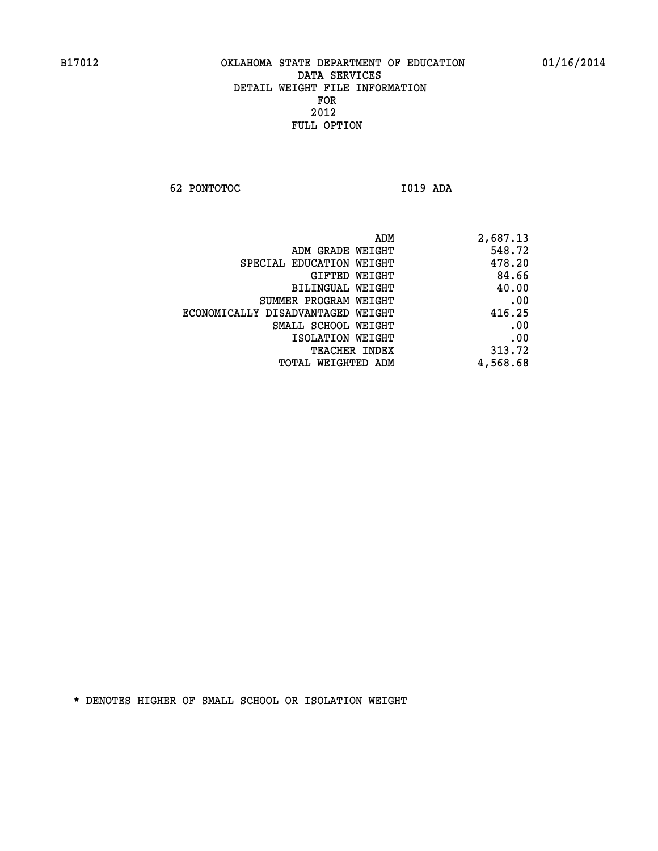**62 PONTOTOC I019 ADA** 

| ADM                               | 2,687.13 |
|-----------------------------------|----------|
| ADM GRADE WEIGHT                  | 548.72   |
| SPECIAL EDUCATION WEIGHT          | 478.20   |
| GIFTED WEIGHT                     | 84.66    |
| BILINGUAL WEIGHT                  | 40.00    |
| SUMMER PROGRAM WEIGHT             | .00      |
| ECONOMICALLY DISADVANTAGED WEIGHT | 416.25   |
| SMALL SCHOOL WEIGHT               | .00      |
| ISOLATION WEIGHT                  | .00      |
| <b>TEACHER INDEX</b>              | 313.72   |
| TOTAL WEIGHTED ADM                | 4,568.68 |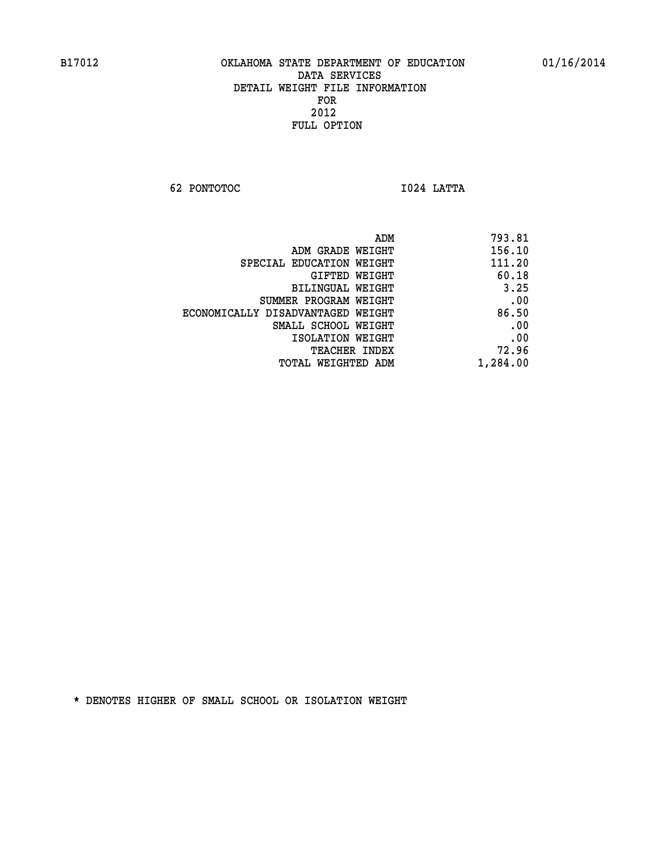**62 PONTOTOC I024 LATTA** 

| ADM                               | 793.81   |
|-----------------------------------|----------|
| ADM GRADE WEIGHT                  | 156.10   |
| SPECIAL EDUCATION WEIGHT          | 111.20   |
| GIFTED WEIGHT                     | 60.18    |
| BILINGUAL WEIGHT                  | 3.25     |
| SUMMER PROGRAM WEIGHT             | .00      |
| ECONOMICALLY DISADVANTAGED WEIGHT | 86.50    |
| SMALL SCHOOL WEIGHT               | .00      |
| ISOLATION WEIGHT                  | .00      |
| TEACHER INDEX                     | 72.96    |
| TOTAL WEIGHTED ADM                | 1,284.00 |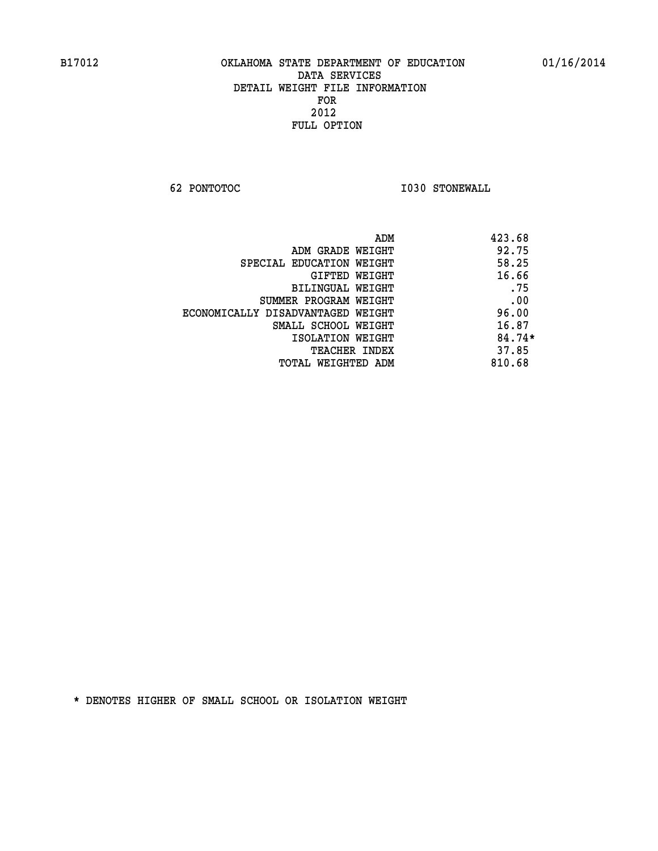**62 PONTOTOC I030 STONEWALL** 

|                                   | ADM | 423.68   |
|-----------------------------------|-----|----------|
| ADM GRADE WEIGHT                  |     | 92.75    |
| SPECIAL EDUCATION WEIGHT          |     | 58.25    |
| GIFTED WEIGHT                     |     | 16.66    |
| BILINGUAL WEIGHT                  |     | .75      |
| SUMMER PROGRAM WEIGHT             |     | .00      |
| ECONOMICALLY DISADVANTAGED WEIGHT |     | 96.00    |
| SMALL SCHOOL WEIGHT               |     | 16.87    |
| ISOLATION WEIGHT                  |     | $84.74*$ |
| <b>TEACHER INDEX</b>              |     | 37.85    |
| TOTAL WEIGHTED ADM                |     | 810.68   |
|                                   |     |          |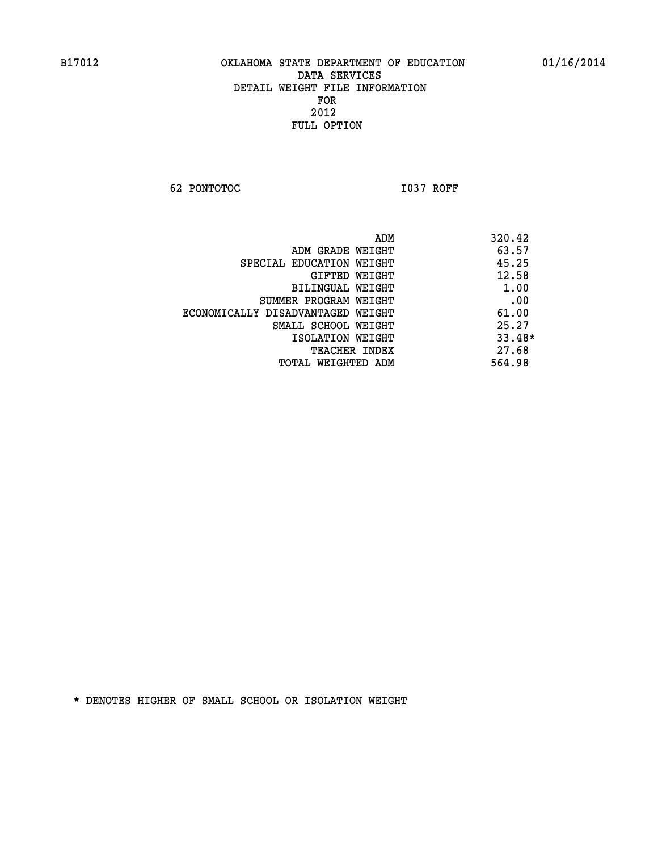**62 PONTOTOC I037 ROFF** 

|                                   | ADM | 320.42   |
|-----------------------------------|-----|----------|
| ADM GRADE WEIGHT                  |     | 63.57    |
| SPECIAL EDUCATION WEIGHT          |     | 45.25    |
| GIFTED WEIGHT                     |     | 12.58    |
| BILINGUAL WEIGHT                  |     | 1.00     |
| SUMMER PROGRAM WEIGHT             |     | .00      |
| ECONOMICALLY DISADVANTAGED WEIGHT |     | 61.00    |
| SMALL SCHOOL WEIGHT               |     | 25.27    |
| ISOLATION WEIGHT                  |     | $33.48*$ |
| <b>TEACHER INDEX</b>              |     | 27.68    |
| TOTAL WEIGHTED ADM                |     | 564.98   |
|                                   |     |          |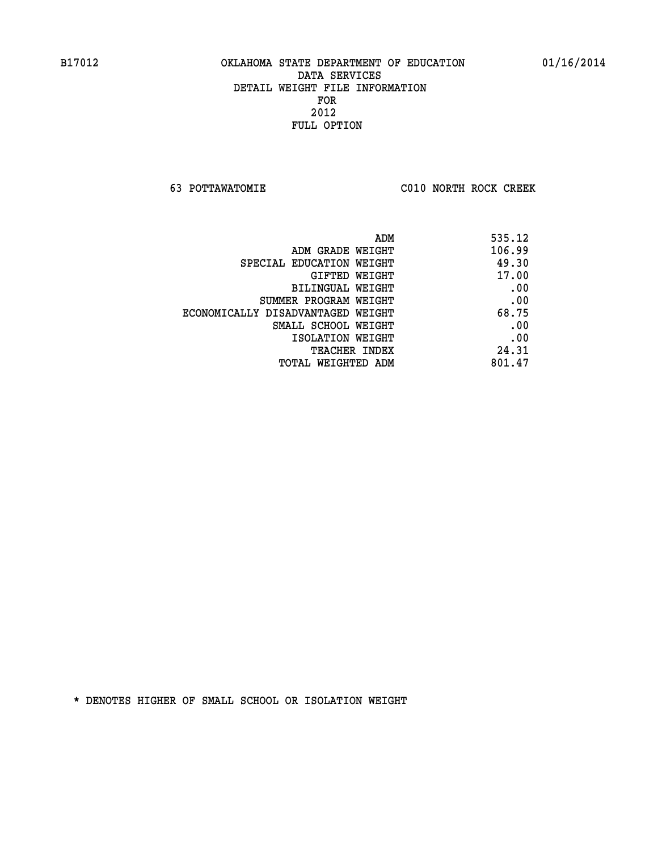**63 POTTAWATOMIE C010 NORTH ROCK CREEK** 

| 535.12 |
|--------|
| 106.99 |
| 49.30  |
| 17.00  |
| .00    |
| .00    |
| 68.75  |
| .00    |
| .00    |
| 24.31  |
| 801.47 |
|        |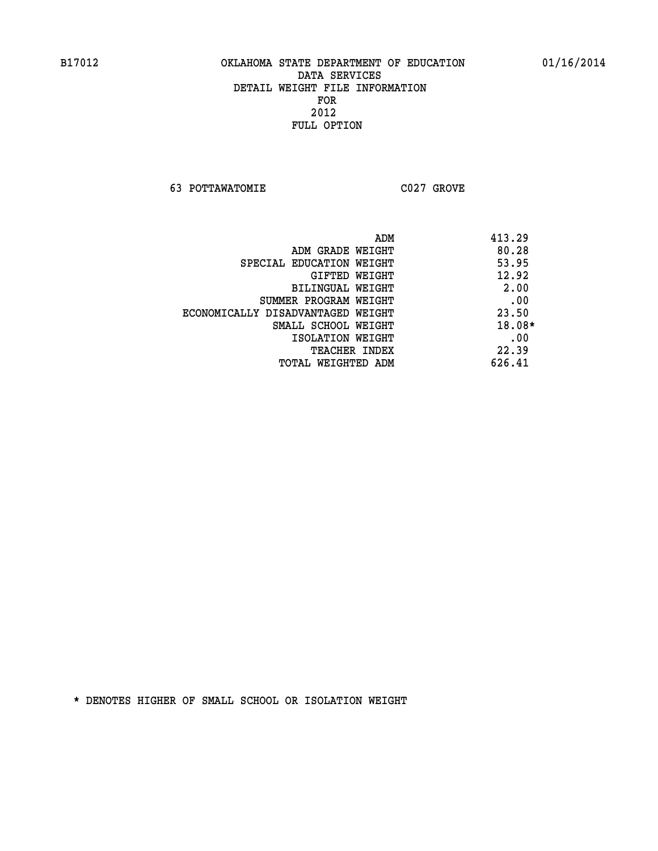**63 POTTAWATOMIE C027 GROVE** 

| ADM                               | 413.29 |
|-----------------------------------|--------|
| ADM GRADE WEIGHT                  | 80.28  |
| SPECIAL EDUCATION WEIGHT          | 53.95  |
| GIFTED WEIGHT                     | 12.92  |
| BILINGUAL WEIGHT                  | 2.00   |
| SUMMER PROGRAM WEIGHT             | .00    |
| ECONOMICALLY DISADVANTAGED WEIGHT | 23.50  |
| SMALL SCHOOL WEIGHT               | 18.08* |
| ISOLATION WEIGHT                  | .00    |
| <b>TEACHER INDEX</b>              | 22.39  |
| TOTAL WEIGHTED ADM                | 626.41 |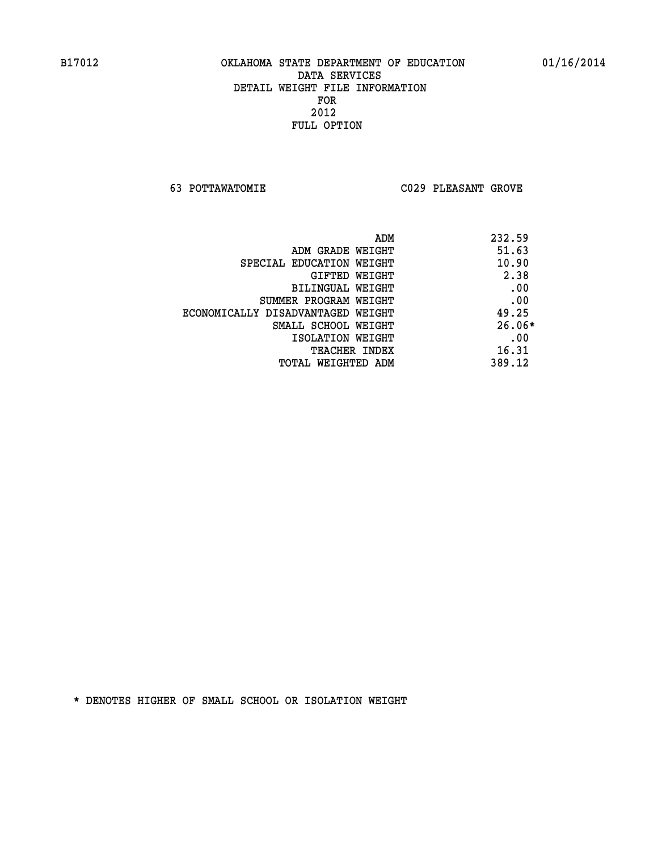**63 POTTAWATOMIE C029 PLEASANT GROVE** 

| ADM                               | 232.59   |
|-----------------------------------|----------|
| ADM GRADE WEIGHT                  | 51.63    |
| SPECIAL EDUCATION WEIGHT          | 10.90    |
| GIFTED WEIGHT                     | 2.38     |
| BILINGUAL WEIGHT                  | .00      |
| SUMMER PROGRAM WEIGHT             | .00      |
| ECONOMICALLY DISADVANTAGED WEIGHT | 49.25    |
| SMALL SCHOOL WEIGHT               | $26.06*$ |
| ISOLATION WEIGHT                  | .00      |
| <b>TEACHER INDEX</b>              | 16.31    |
| TOTAL WEIGHTED ADM                | 389.12   |
|                                   |          |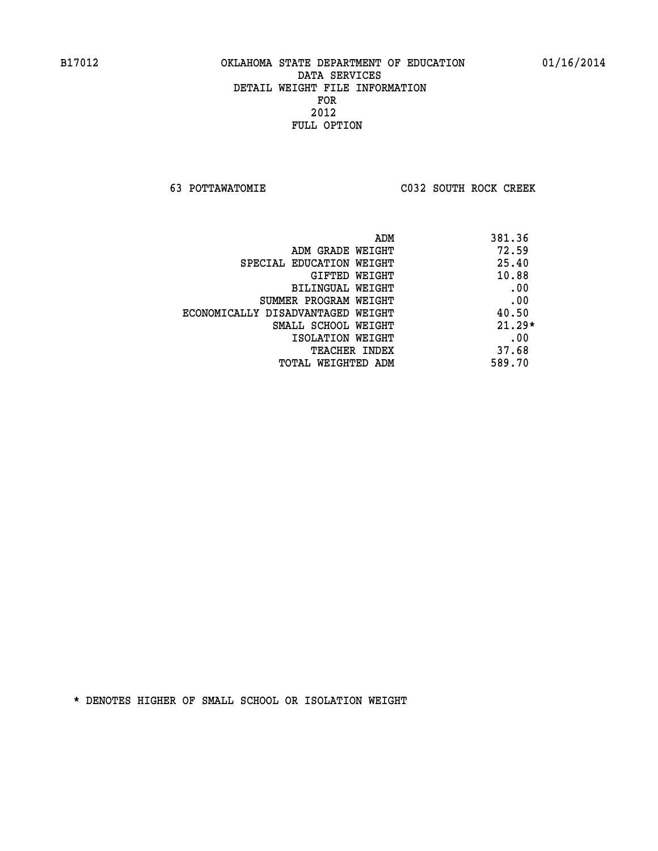**63 POTTAWATOMIE C032 SOUTH ROCK CREEK** 

| ADM                               | 381.36   |
|-----------------------------------|----------|
| ADM GRADE WEIGHT                  | 72.59    |
| SPECIAL EDUCATION WEIGHT          | 25.40    |
| GIFTED WEIGHT                     | 10.88    |
| BILINGUAL WEIGHT                  | .00      |
| SUMMER PROGRAM WEIGHT             | .00      |
| ECONOMICALLY DISADVANTAGED WEIGHT | 40.50    |
| SMALL SCHOOL WEIGHT               | $21.29*$ |
| ISOLATION WEIGHT                  | .00      |
| <b>TEACHER INDEX</b>              | 37.68    |
| TOTAL WEIGHTED ADM                | 589.70   |
|                                   |          |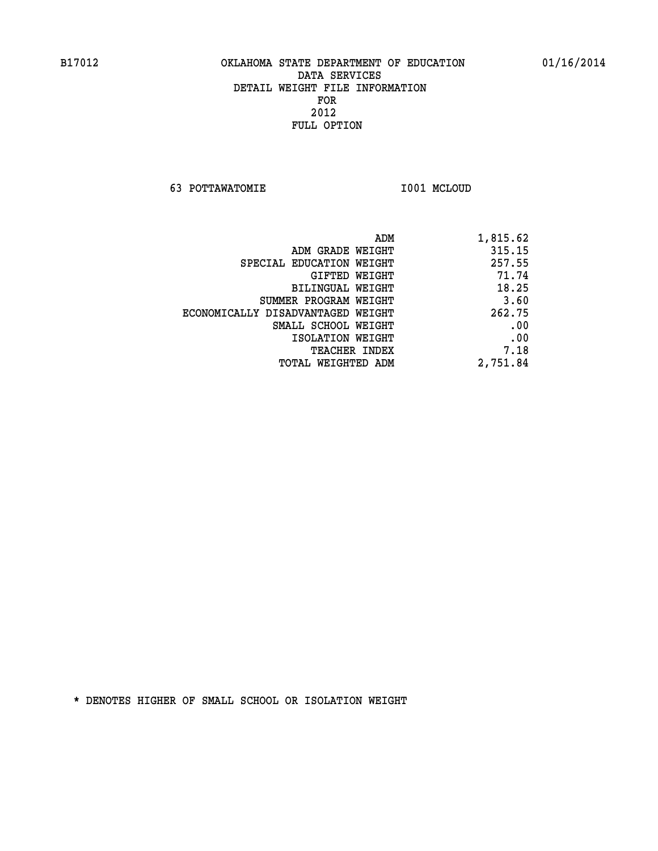**63 POTTAWATOMIE I001 MCLOUD** 

| 1,815.62 |
|----------|
| 315.15   |
| 257.55   |
| 71.74    |
| 18.25    |
| 3.60     |
| 262.75   |
| .00      |
| .00      |
| 7.18     |
| 2,751.84 |
|          |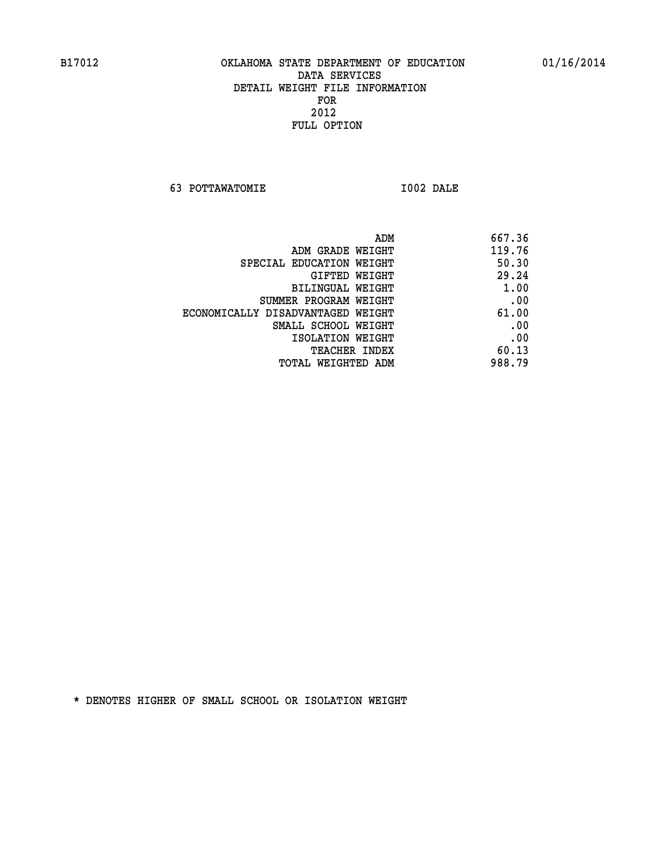**63 POTTAWATOMIE I002 DALE** 

| ADM                               | 667.36 |
|-----------------------------------|--------|
| ADM GRADE WEIGHT                  | 119.76 |
| SPECIAL EDUCATION WEIGHT          | 50.30  |
| GIFTED WEIGHT                     | 29.24  |
| BILINGUAL WEIGHT                  | 1.00   |
| SUMMER PROGRAM WEIGHT             | .00    |
| ECONOMICALLY DISADVANTAGED WEIGHT | 61.00  |
| SMALL SCHOOL WEIGHT               | .00    |
| ISOLATION WEIGHT                  | .00    |
| <b>TEACHER INDEX</b>              | 60.13  |
| TOTAL WEIGHTED ADM                | 988.79 |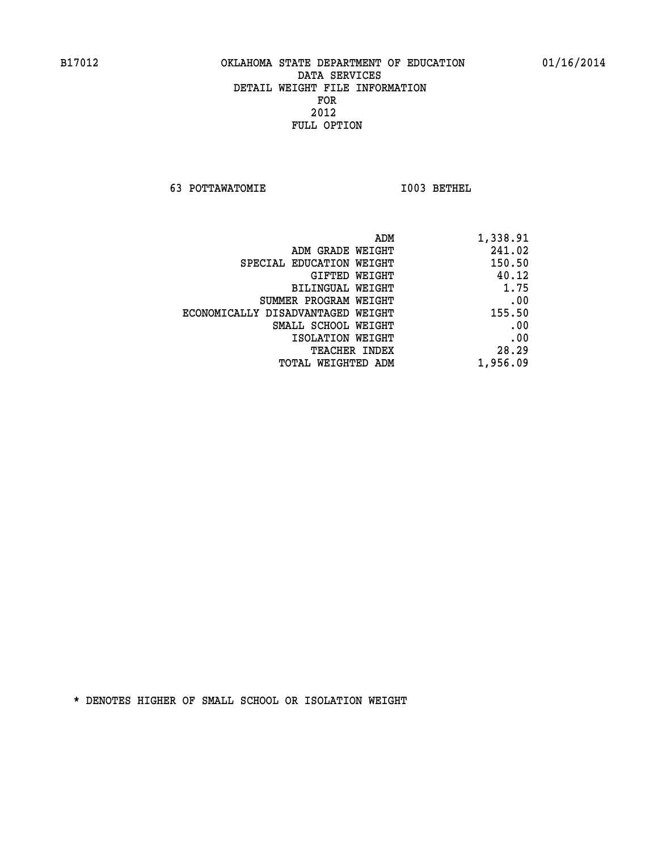**63 POTTAWATOMIE I003 BETHEL** 

| ADM                               | 1,338.91 |
|-----------------------------------|----------|
| ADM GRADE WEIGHT                  | 241.02   |
| SPECIAL EDUCATION WEIGHT          | 150.50   |
| GIFTED WEIGHT                     | 40.12    |
| BILINGUAL WEIGHT                  | 1.75     |
| SUMMER PROGRAM WEIGHT             | .00      |
| ECONOMICALLY DISADVANTAGED WEIGHT | 155.50   |
| SMALL SCHOOL WEIGHT               | .00      |
| ISOLATION WEIGHT                  | .00      |
| <b>TEACHER INDEX</b>              | 28.29    |
| TOTAL WEIGHTED ADM                | 1,956.09 |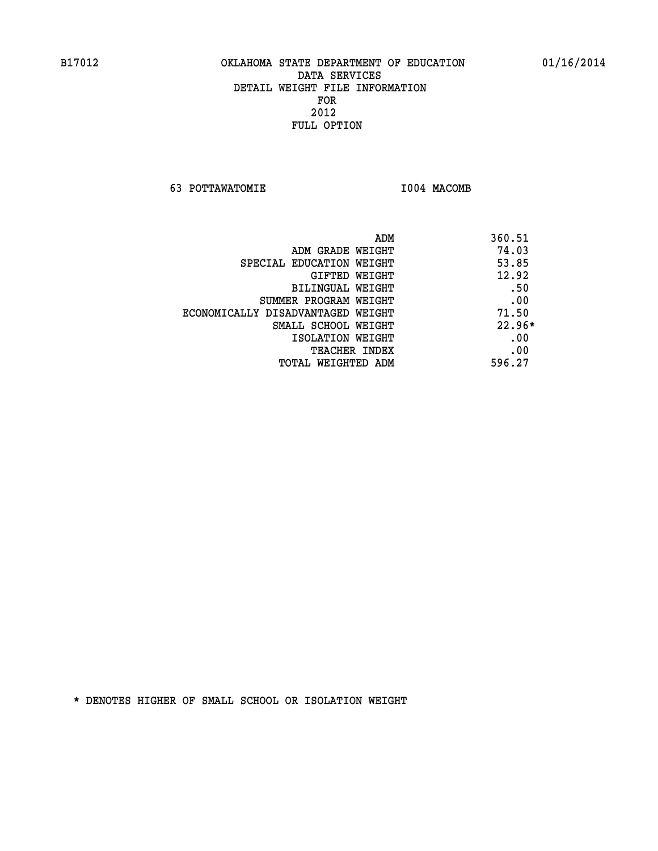**63 POTTAWATOMIE I004 MACOMB** 

|                                   | 360.51<br>ADM |
|-----------------------------------|---------------|
| ADM GRADE WEIGHT                  | 74.03         |
| SPECIAL EDUCATION WEIGHT          | 53.85         |
| GIFTED WEIGHT                     | 12.92         |
| BILINGUAL WEIGHT                  | .50           |
| SUMMER PROGRAM WEIGHT             | .00           |
| ECONOMICALLY DISADVANTAGED WEIGHT | 71.50         |
| SMALL SCHOOL WEIGHT               | $22.96*$      |
| ISOLATION WEIGHT                  | .00           |
| TEACHER INDEX                     | .00           |
| TOTAL WEIGHTED ADM                | 596.27        |
|                                   |               |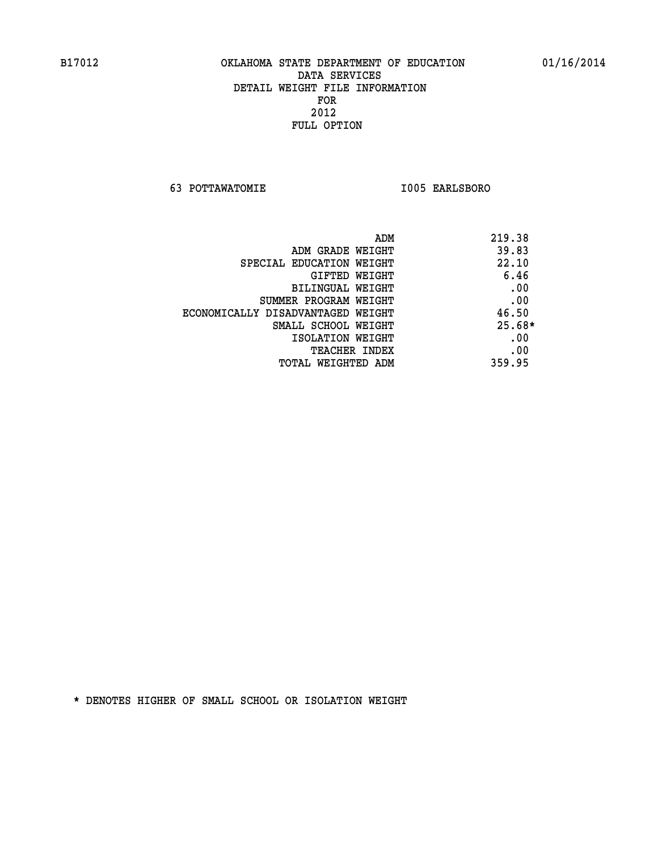**63 POTTAWATOMIE I005 EARLSBORO** 

|                                   | ADM<br>219.38 |
|-----------------------------------|---------------|
| ADM GRADE WEIGHT                  | 39.83         |
| SPECIAL EDUCATION WEIGHT          | 22.10         |
| GIFTED WEIGHT                     | 6.46          |
| BILINGUAL WEIGHT                  | .00           |
| SUMMER PROGRAM WEIGHT             | .00           |
| ECONOMICALLY DISADVANTAGED WEIGHT | 46.50         |
| SMALL SCHOOL WEIGHT               | $25.68*$      |
| ISOLATION WEIGHT                  | .00           |
| <b>TEACHER INDEX</b>              | .00           |
| TOTAL WEIGHTED ADM                | 359.95        |
|                                   |               |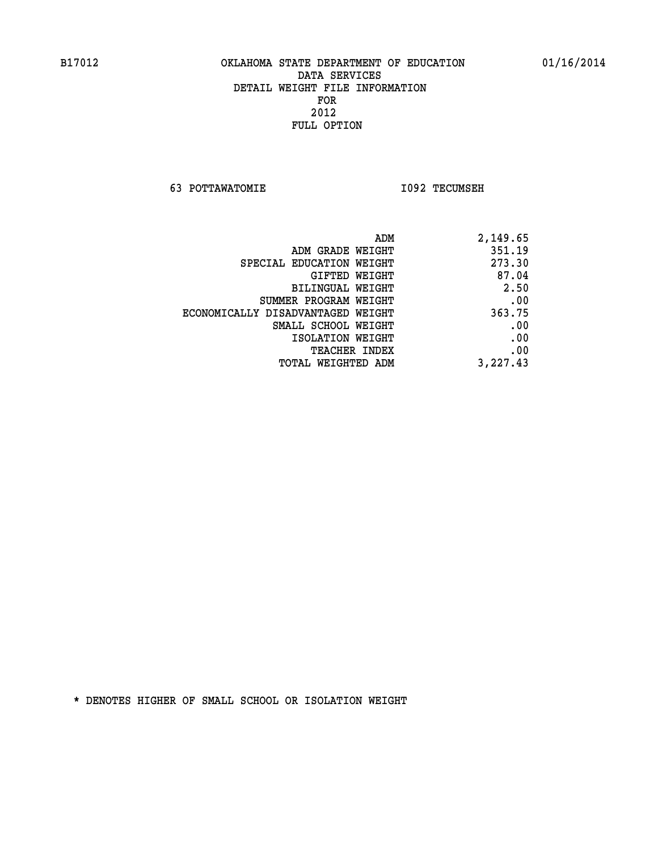**63 POTTAWATOMIE I092 TECUMSEH** 

| 2,149.65 |
|----------|
| 351.19   |
| 273.30   |
| 87.04    |
| 2.50     |
| .00      |
| 363.75   |
| .00      |
| .00      |
| .00      |
| 3,227.43 |
|          |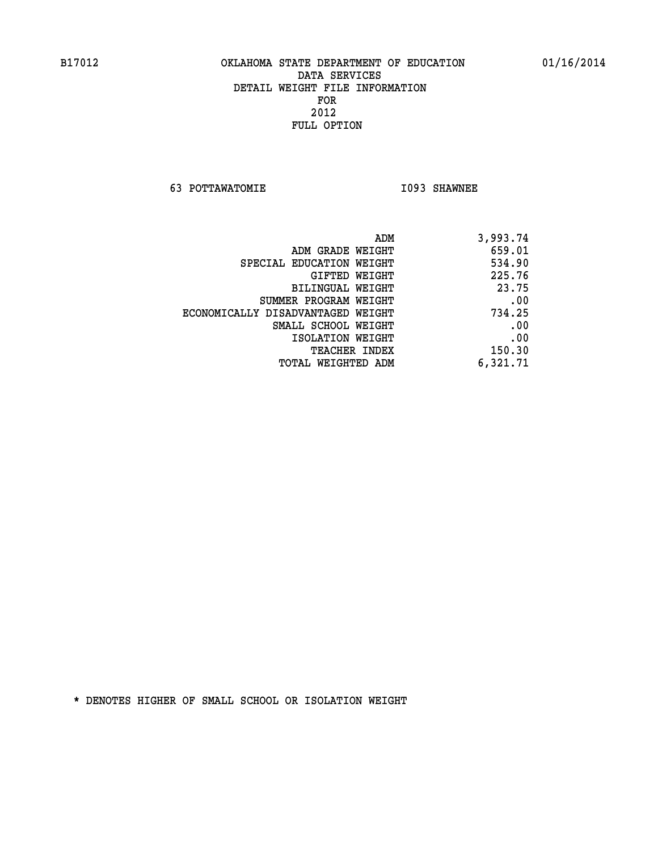**63 POTTAWATOMIE I093 SHAWNEE** 

| 3,993.74 |
|----------|
| 659.01   |
| 534.90   |
| 225.76   |
| 23.75    |
| .00      |
| 734.25   |
| .00      |
| .00      |
| 150.30   |
| 6,321.71 |
|          |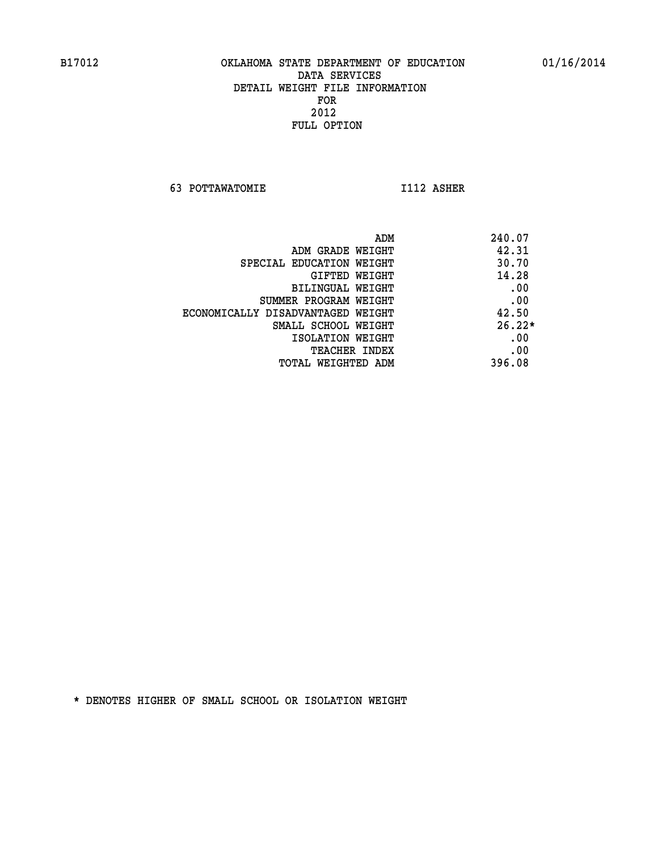**63 POTTAWATOMIE I112 ASHER** 

| ADM                               | 240.07   |
|-----------------------------------|----------|
| ADM GRADE WEIGHT                  | 42.31    |
| SPECIAL EDUCATION WEIGHT          | 30.70    |
| GIFTED WEIGHT                     | 14.28    |
| BILINGUAL WEIGHT                  | .00      |
| SUMMER PROGRAM WEIGHT             | .00      |
| ECONOMICALLY DISADVANTAGED WEIGHT | 42.50    |
| SMALL SCHOOL WEIGHT               | $26.22*$ |
| ISOLATION WEIGHT                  | .00      |
| <b>TEACHER INDEX</b>              | .00      |
| TOTAL WEIGHTED ADM                | 396.08   |
|                                   |          |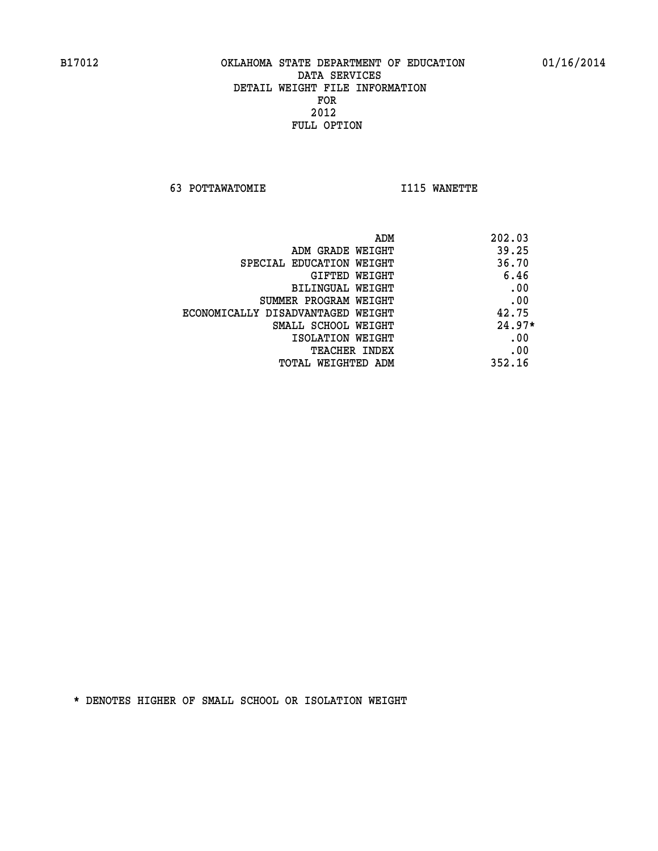**63 POTTAWATOMIE I115 WANETTE** 

| ADM                               | 202.03   |
|-----------------------------------|----------|
| ADM GRADE WEIGHT                  | 39.25    |
| SPECIAL EDUCATION WEIGHT          | 36.70    |
| GIFTED WEIGHT                     | 6.46     |
| BILINGUAL WEIGHT                  | .00      |
| SUMMER PROGRAM WEIGHT             | .00      |
| ECONOMICALLY DISADVANTAGED WEIGHT | 42.75    |
| SMALL SCHOOL WEIGHT               | $24.97*$ |
| ISOLATION WEIGHT                  | .00      |
| <b>TEACHER INDEX</b>              | .00      |
| TOTAL WEIGHTED ADM                | 352.16   |
|                                   |          |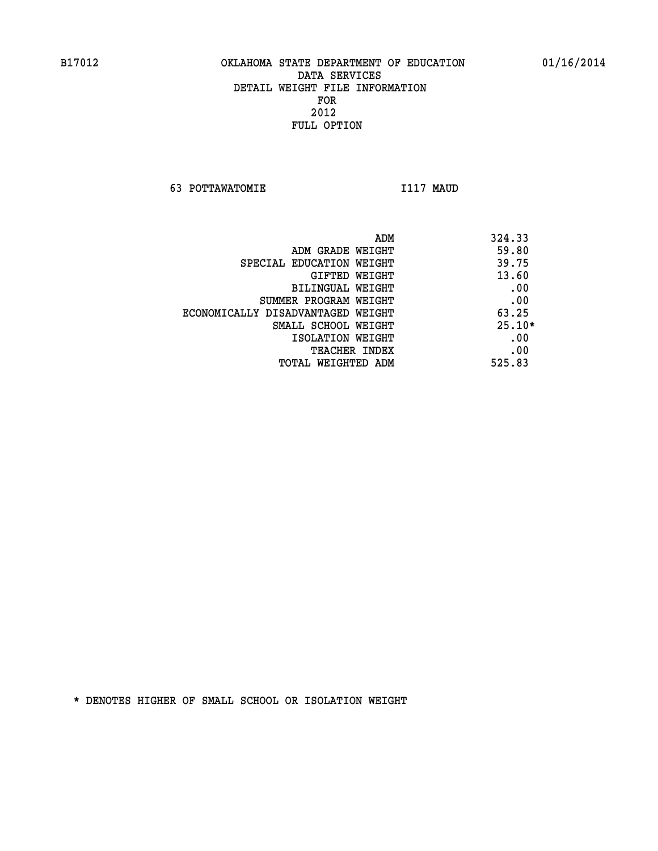**63 POTTAWATOMIE I117 MAUD** 

| ADM                               | 324.33   |
|-----------------------------------|----------|
| ADM GRADE WEIGHT                  | 59.80    |
| SPECIAL EDUCATION WEIGHT          | 39.75    |
| GIFTED WEIGHT                     | 13.60    |
| BILINGUAL WEIGHT                  | .00      |
| SUMMER PROGRAM WEIGHT             | .00      |
| ECONOMICALLY DISADVANTAGED WEIGHT | 63.25    |
| SMALL SCHOOL WEIGHT               | $25.10*$ |
| ISOLATION WEIGHT                  | .00      |
| <b>TEACHER INDEX</b>              | .00      |
| TOTAL WEIGHTED ADM                | 525.83   |
|                                   |          |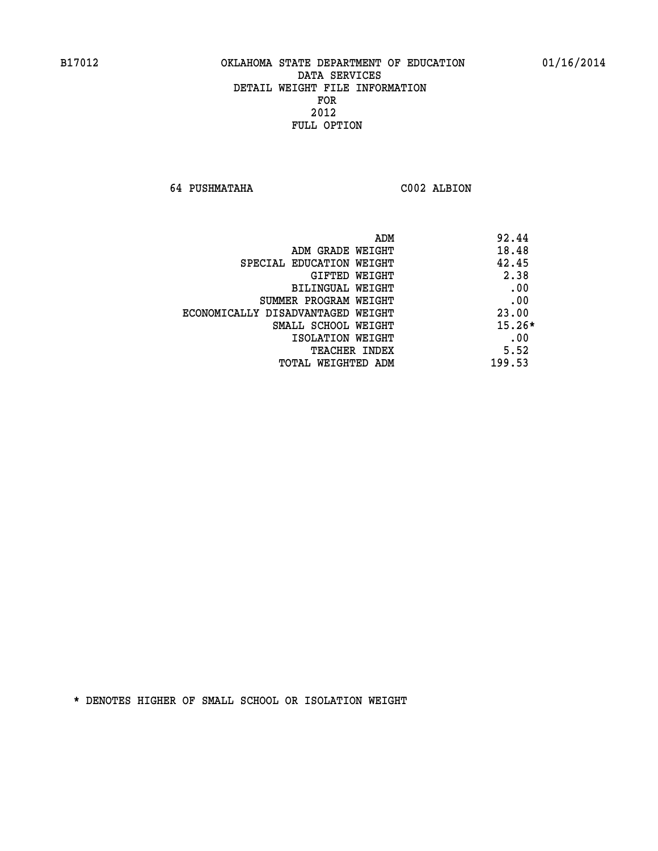**64 PUSHMATAHA C002 ALBION** 

| ADM<br>92.44                               |  |
|--------------------------------------------|--|
| 18.48<br>ADM GRADE WEIGHT                  |  |
| 42.45<br>SPECIAL EDUCATION WEIGHT          |  |
| 2.38<br>GIFTED WEIGHT                      |  |
| .00<br>BILINGUAL WEIGHT                    |  |
| .00<br>SUMMER PROGRAM WEIGHT               |  |
| 23.00<br>ECONOMICALLY DISADVANTAGED WEIGHT |  |
| $15.26*$<br>SMALL SCHOOL WEIGHT            |  |
| .00<br>ISOLATION WEIGHT                    |  |
| 5.52<br><b>TEACHER INDEX</b>               |  |
| 199.53<br>TOTAL WEIGHTED ADM               |  |
|                                            |  |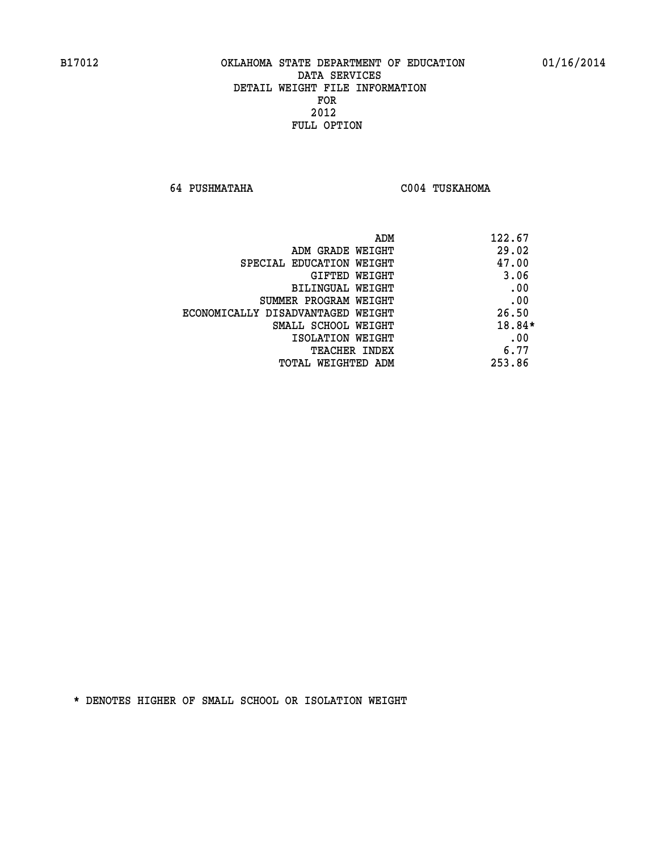**64 PUSHMATAHA C004 TUSKAHOMA** 

| ADM<br>122.67                              |  |
|--------------------------------------------|--|
| 29.02<br>ADM GRADE WEIGHT                  |  |
| 47.00<br>SPECIAL EDUCATION WEIGHT          |  |
| 3.06<br><b>GIFTED WEIGHT</b>               |  |
| .00<br>BILINGUAL WEIGHT                    |  |
| .00<br>SUMMER PROGRAM WEIGHT               |  |
| 26.50<br>ECONOMICALLY DISADVANTAGED WEIGHT |  |
| 18.84*<br>SMALL SCHOOL WEIGHT              |  |
| .00<br>ISOLATION WEIGHT                    |  |
| 6.77<br><b>TEACHER INDEX</b>               |  |
| 253.86<br>TOTAL WEIGHTED ADM               |  |
|                                            |  |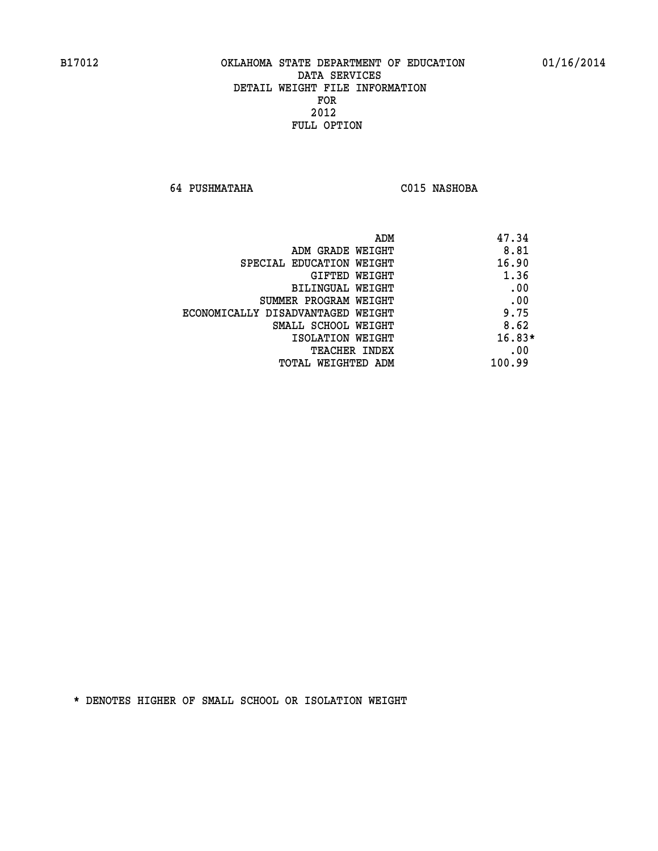**64 PUSHMATAHA C015 NASHOBA** 

| ADM<br>47.34                              |  |
|-------------------------------------------|--|
| 8.81<br>ADM GRADE WEIGHT                  |  |
| 16.90<br>SPECIAL EDUCATION WEIGHT         |  |
| 1.36<br>GIFTED WEIGHT                     |  |
| .00<br><b>BILINGUAL WEIGHT</b>            |  |
| .00<br>SUMMER PROGRAM WEIGHT              |  |
| 9.75<br>ECONOMICALLY DISADVANTAGED WEIGHT |  |
| 8.62<br>SMALL SCHOOL WEIGHT               |  |
| $16.83*$<br>ISOLATION WEIGHT              |  |
| .00<br><b>TEACHER INDEX</b>               |  |
| 100.99<br>TOTAL WEIGHTED ADM              |  |
|                                           |  |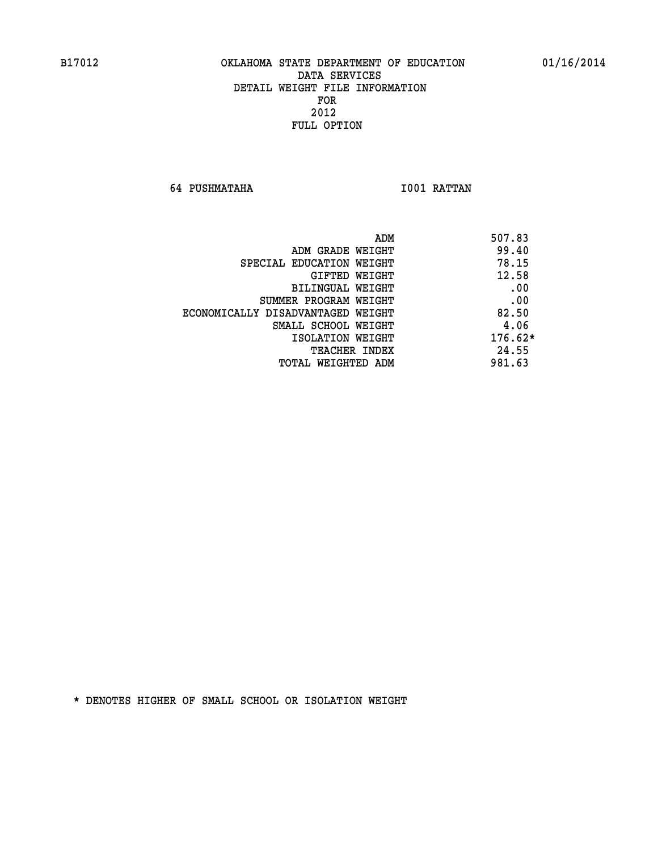**64 PUSHMATAHA I001 RATTAN** 

| ADM<br>507.83 |                                   |
|---------------|-----------------------------------|
| 99.40         | ADM GRADE WEIGHT                  |
| 78.15         | SPECIAL EDUCATION WEIGHT          |
| 12.58         | GIFTED WEIGHT                     |
| .00           | BILINGUAL WEIGHT                  |
| .00           | SUMMER PROGRAM WEIGHT             |
| 82.50         | ECONOMICALLY DISADVANTAGED WEIGHT |
| 4.06          | SMALL SCHOOL WEIGHT               |
| $176.62*$     | ISOLATION WEIGHT                  |
| 24.55         | <b>TEACHER INDEX</b>              |
| 981.63        | TOTAL WEIGHTED ADM                |
|               |                                   |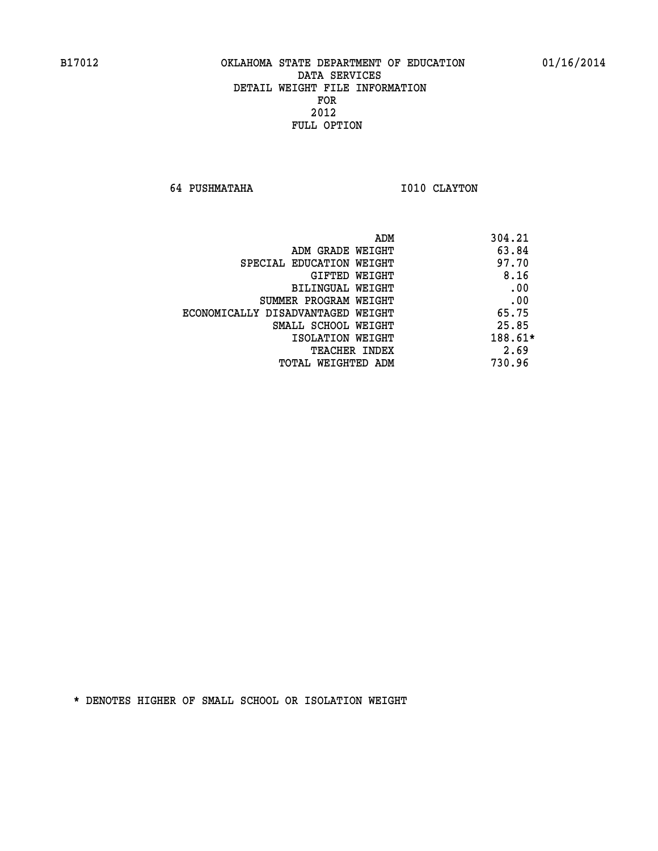**64 PUSHMATAHA 1010 CLAYTON** 

|                                   | ADM | 304.21    |
|-----------------------------------|-----|-----------|
| ADM GRADE WEIGHT                  |     | 63.84     |
| SPECIAL EDUCATION WEIGHT          |     | 97.70     |
| GIFTED WEIGHT                     |     | 8.16      |
| BILINGUAL WEIGHT                  |     | .00       |
| SUMMER PROGRAM WEIGHT             |     | .00       |
| ECONOMICALLY DISADVANTAGED WEIGHT |     | 65.75     |
| SMALL SCHOOL WEIGHT               |     | 25.85     |
| ISOLATION WEIGHT                  |     | $188.61*$ |
| <b>TEACHER INDEX</b>              |     | 2.69      |
| TOTAL WEIGHTED ADM                |     | 730.96    |
|                                   |     |           |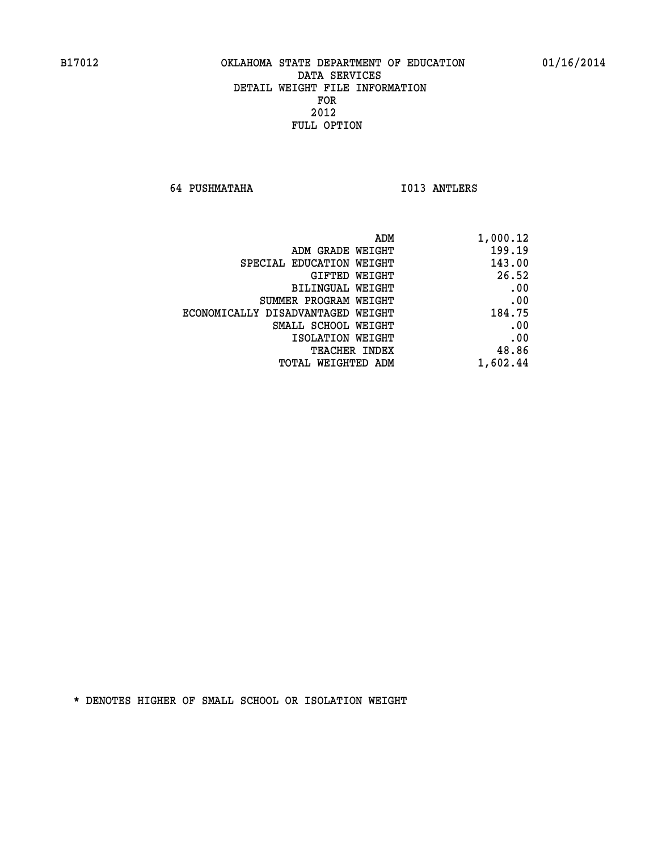**64 PUSHMATAHA I013 ANTLERS** 

| 1,000.12 |
|----------|
| 199.19   |
| 143.00   |
| 26.52    |
| .00      |
| .00      |
| 184.75   |
| .00      |
| .00      |
| 48.86    |
| 1,602.44 |
|          |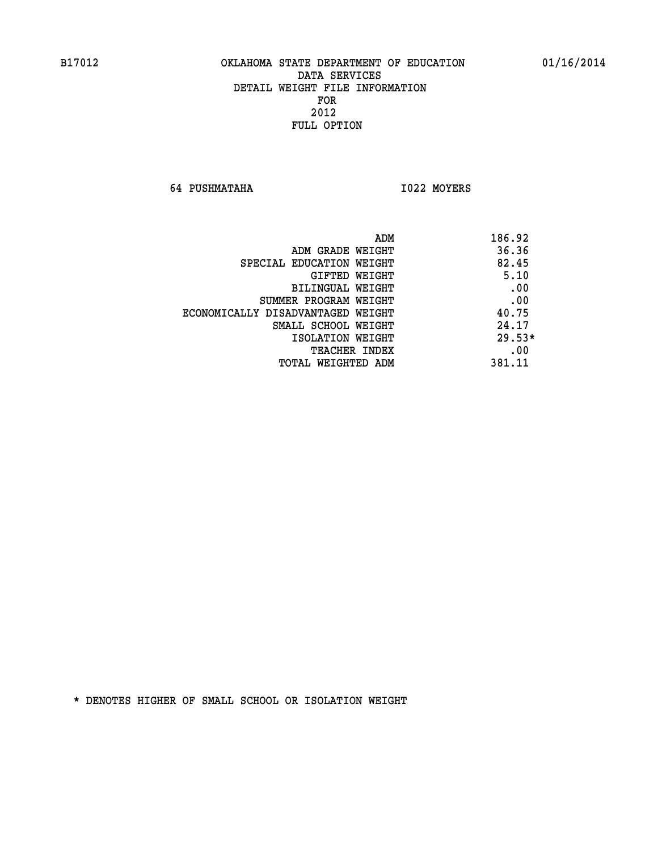**64 PUSHMATAHA I022 MOYERS** 

| ADM                               | 186.92   |
|-----------------------------------|----------|
| ADM GRADE WEIGHT                  | 36.36    |
| SPECIAL EDUCATION WEIGHT          | 82.45    |
| GIFTED WEIGHT                     | 5.10     |
| BILINGUAL WEIGHT                  | .00      |
| SUMMER PROGRAM WEIGHT             | .00      |
| ECONOMICALLY DISADVANTAGED WEIGHT | 40.75    |
| SMALL SCHOOL WEIGHT               | 24.17    |
| ISOLATION WEIGHT                  | $29.53*$ |
| TEACHER INDEX                     | .00      |
| TOTAL WEIGHTED ADM                | 381.11   |
|                                   |          |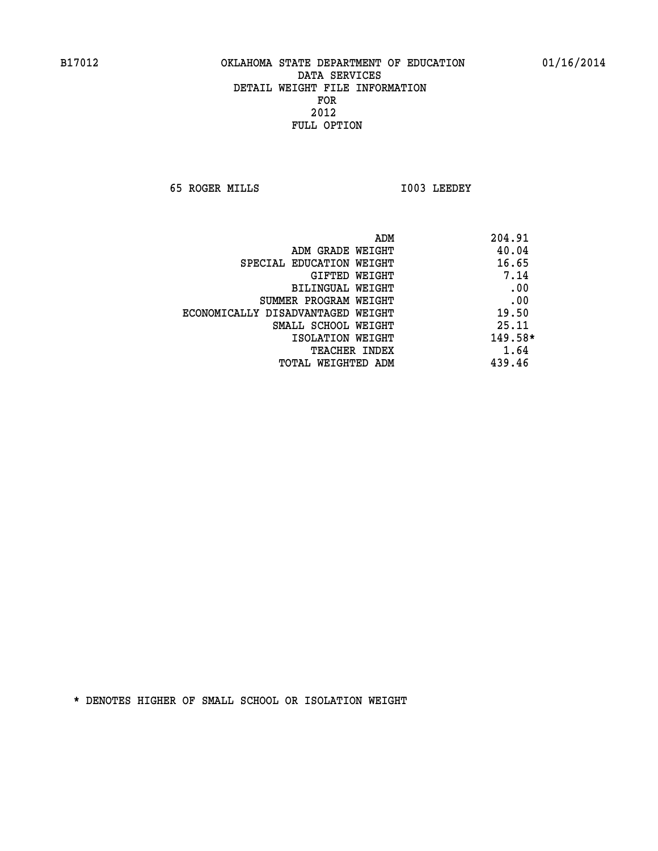**65 ROGER MILLS I003 LEEDEY** 

| 204.91<br>ADM |                                   |
|---------------|-----------------------------------|
| 40.04         | ADM GRADE WEIGHT                  |
| 16.65         | SPECIAL EDUCATION WEIGHT          |
| 7.14          | GIFTED WEIGHT                     |
| .00           | BILINGUAL WEIGHT                  |
| .00           | SUMMER PROGRAM WEIGHT             |
| 19.50         | ECONOMICALLY DISADVANTAGED WEIGHT |
| 25.11         | SMALL SCHOOL WEIGHT               |
| 149.58*       | ISOLATION WEIGHT                  |
| 1.64          | TEACHER INDEX                     |
| 439.46        | TOTAL WEIGHTED ADM                |
|               |                                   |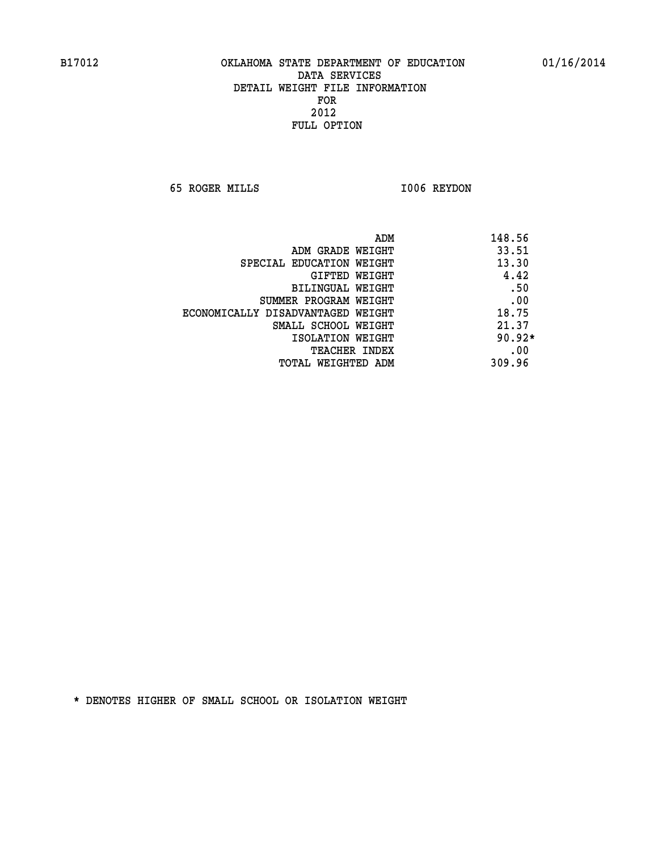**65 ROGER MILLS I006 REYDON** 

|                                   | ADM | 148.56   |
|-----------------------------------|-----|----------|
| ADM GRADE WEIGHT                  |     | 33.51    |
| SPECIAL EDUCATION WEIGHT          |     | 13.30    |
| GIFTED WEIGHT                     |     | 4.42     |
| BILINGUAL WEIGHT                  |     | .50      |
| SUMMER PROGRAM WEIGHT             |     | .00      |
| ECONOMICALLY DISADVANTAGED WEIGHT |     | 18.75    |
| SMALL SCHOOL WEIGHT               |     | 21.37    |
| ISOLATION WEIGHT                  |     | $90.92*$ |
| <b>TEACHER INDEX</b>              |     | .00      |
| TOTAL WEIGHTED ADM                |     | 309.96   |
|                                   |     |          |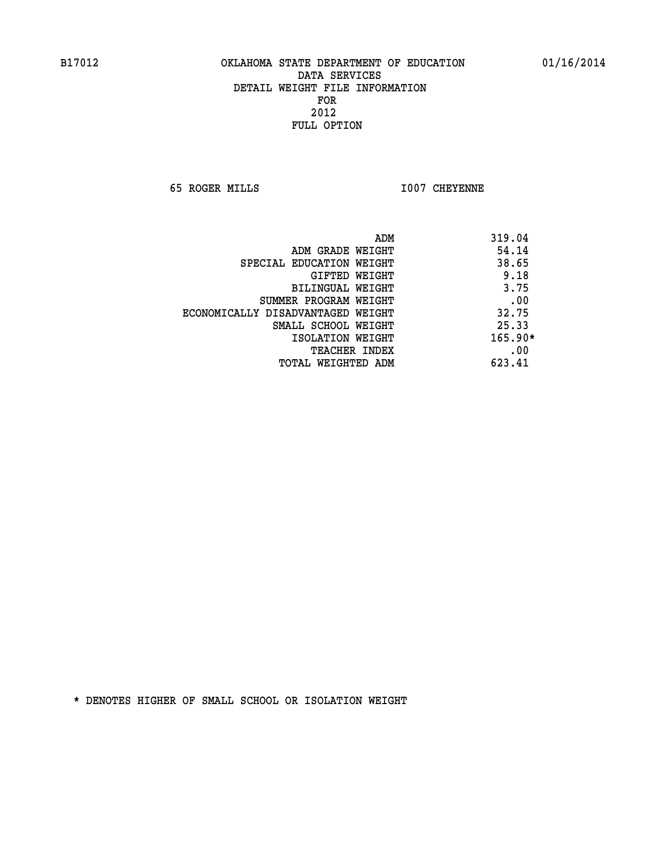**65 ROGER MILLS I007 CHEYENNE** 

|                                   | ADM | 319.04    |
|-----------------------------------|-----|-----------|
| ADM GRADE WEIGHT                  |     | 54.14     |
| SPECIAL EDUCATION WEIGHT          |     | 38.65     |
| GIFTED WEIGHT                     |     | 9.18      |
| BILINGUAL WEIGHT                  |     | 3.75      |
| SUMMER PROGRAM WEIGHT             |     | .00       |
| ECONOMICALLY DISADVANTAGED WEIGHT |     | 32.75     |
| SMALL SCHOOL WEIGHT               |     | 25.33     |
| ISOLATION WEIGHT                  |     | $165.90*$ |
| TEACHER INDEX                     |     | .00       |
| TOTAL WEIGHTED ADM                |     | 623.41    |
|                                   |     |           |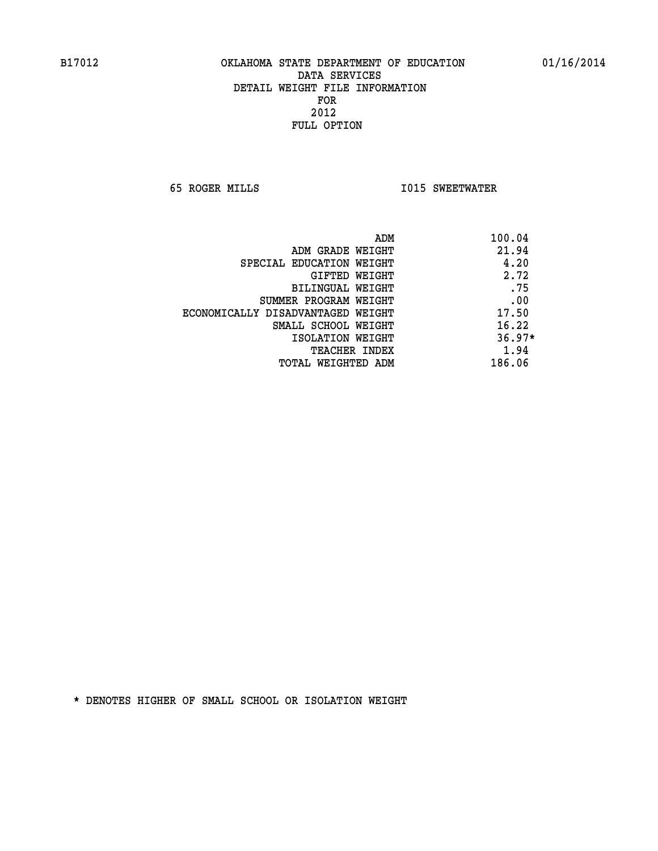**65 ROGER MILLS I015 SWEETWATER** 

| ADM                               | 100.04   |
|-----------------------------------|----------|
| ADM GRADE WEIGHT                  | 21.94    |
| SPECIAL EDUCATION WEIGHT          | 4.20     |
| <b>GIFTED WEIGHT</b>              | 2.72     |
| <b>BILINGUAL WEIGHT</b>           | .75      |
| SUMMER PROGRAM WEIGHT             | .00      |
| ECONOMICALLY DISADVANTAGED WEIGHT | 17.50    |
| SMALL SCHOOL WEIGHT               | 16.22    |
| ISOLATION WEIGHT                  | $36.97*$ |
| <b>TEACHER INDEX</b>              | 1.94     |
| TOTAL WEIGHTED ADM                | 186.06   |
|                                   |          |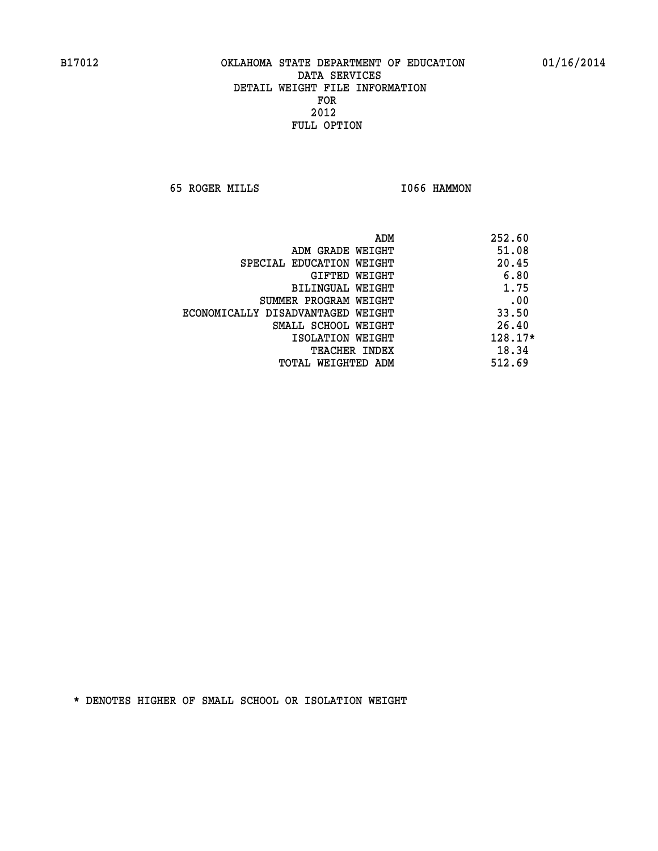**65 ROGER MILLS I066 HAMMON** 

| ADM                               | 252.60  |
|-----------------------------------|---------|
| ADM GRADE WEIGHT                  | 51.08   |
| SPECIAL EDUCATION WEIGHT          | 20.45   |
| GIFTED WEIGHT                     | 6.80    |
| <b>BILINGUAL WEIGHT</b>           | 1.75    |
| SUMMER PROGRAM WEIGHT             | .00     |
| ECONOMICALLY DISADVANTAGED WEIGHT | 33.50   |
| SMALL SCHOOL WEIGHT               | 26.40   |
| ISOLATION WEIGHT                  | 128.17* |
| <b>TEACHER INDEX</b>              | 18.34   |
| TOTAL WEIGHTED ADM                | 512.69  |
|                                   |         |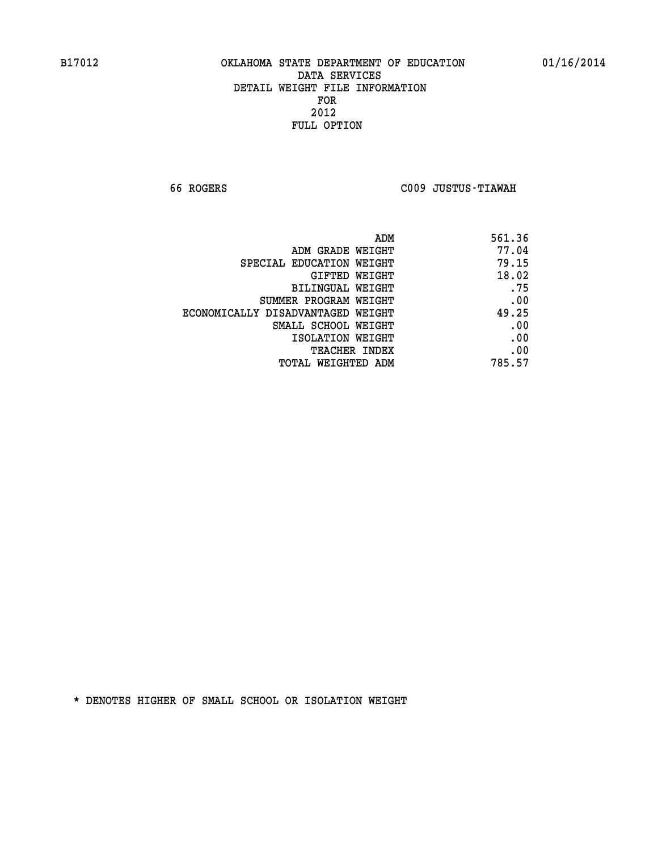**66 ROGERS C009 JUSTUS-TIAWAH** 

| 561.36 |
|--------|
| 77.04  |
| 79.15  |
| 18.02  |
| .75    |
| .00    |
| 49.25  |
| .00    |
| .00    |
| .00    |
| 785.57 |
|        |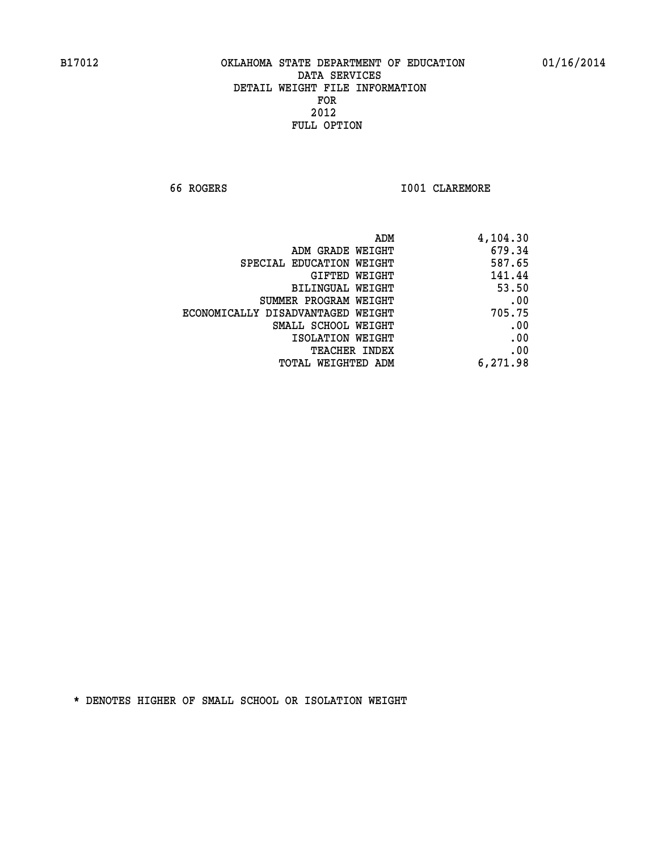**66 ROGERS I001 CLAREMORE** 

| ADM                               | 4,104.30 |
|-----------------------------------|----------|
| ADM GRADE WEIGHT                  | 679.34   |
| SPECIAL EDUCATION WEIGHT          | 587.65   |
| GIFTED WEIGHT                     | 141.44   |
| BILINGUAL WEIGHT                  | 53.50    |
| SUMMER PROGRAM WEIGHT             | .00      |
| ECONOMICALLY DISADVANTAGED WEIGHT | 705.75   |
| SMALL SCHOOL WEIGHT               | .00      |
| ISOLATION WEIGHT                  | .00      |
| TEACHER INDEX                     | .00      |
| TOTAL WEIGHTED ADM                | 6,271.98 |
|                                   |          |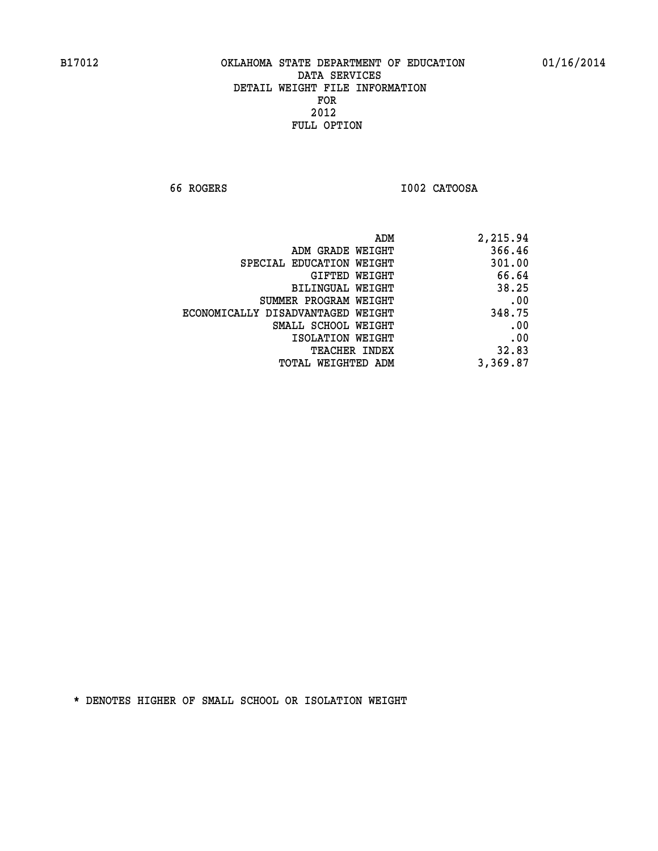**66 ROGERS I002 CATOOSA** 

| 2,215.94 |
|----------|
| 366.46   |
| 301.00   |
| 66.64    |
| 38.25    |
| .00      |
| 348.75   |
| .00      |
| .00      |
| 32.83    |
| 3,369.87 |
|          |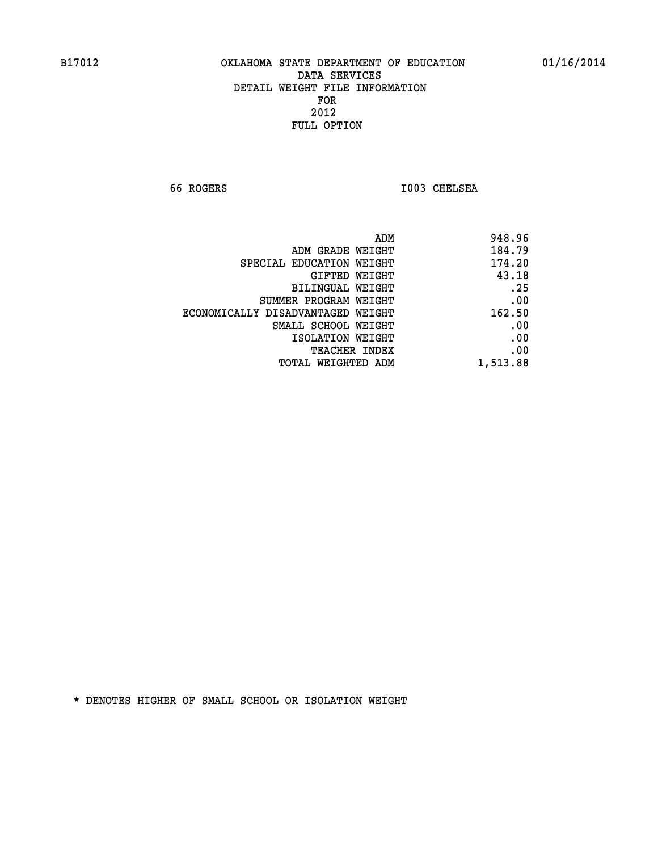**66 ROGERS I003 CHELSEA** 

| ADM                               | 948.96   |
|-----------------------------------|----------|
| ADM GRADE WEIGHT                  | 184.79   |
| SPECIAL EDUCATION WEIGHT          | 174.20   |
| <b>GIFTED WEIGHT</b>              | 43.18    |
| <b>BILINGUAL WEIGHT</b>           | .25      |
| SUMMER PROGRAM WEIGHT             | .00      |
| ECONOMICALLY DISADVANTAGED WEIGHT | 162.50   |
| SMALL SCHOOL WEIGHT               | .00      |
| ISOLATION WEIGHT                  | .00      |
| TEACHER INDEX                     | .00      |
| TOTAL WEIGHTED ADM                | 1,513.88 |
|                                   |          |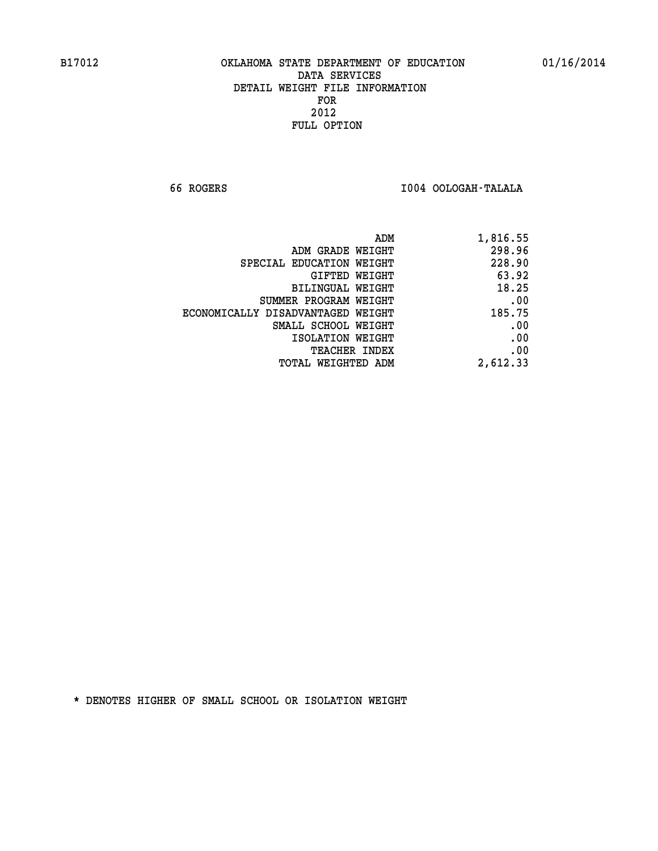**66 ROGERS I004 OOLOGAH-TALALA** 

|                                   | 1,816.55<br>ADM |
|-----------------------------------|-----------------|
| ADM GRADE WEIGHT                  | 298.96          |
| SPECIAL EDUCATION WEIGHT          | 228.90          |
| <b>GIFTED WEIGHT</b>              | 63.92           |
| BILINGUAL WEIGHT                  | 18.25           |
| SUMMER PROGRAM WEIGHT             | .00             |
| ECONOMICALLY DISADVANTAGED WEIGHT | 185.75          |
| SMALL SCHOOL WEIGHT               | .00             |
| ISOLATION WEIGHT                  | .00             |
| <b>TEACHER INDEX</b>              | .00             |
| <b>TOTAL WEIGHTED ADM</b>         | 2,612.33        |
|                                   |                 |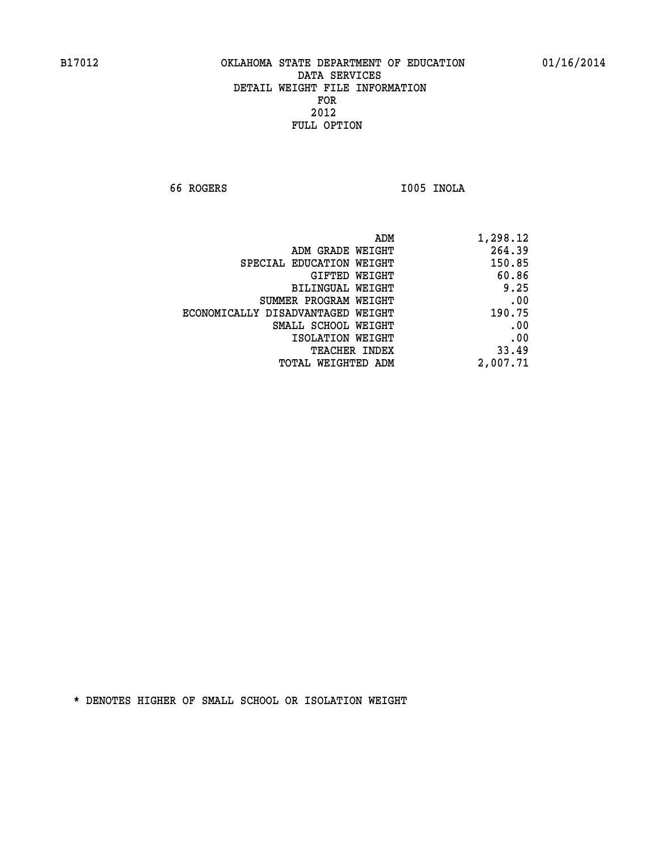**66 ROGERS I005 INOLA** 

| 1,298.12 |
|----------|
| 264.39   |
| 150.85   |
| 60.86    |
| 9.25     |
| .00      |
| 190.75   |
| .00      |
| .00      |
| 33.49    |
| 2,007.71 |
|          |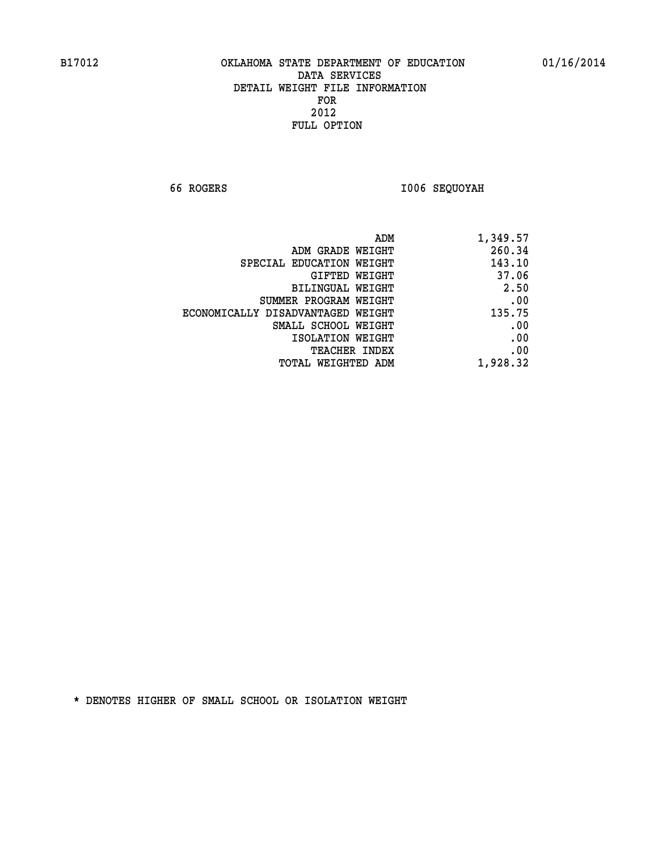**66 ROGERS I006 SEQUOYAH** 

| ADM                               | 1,349.57 |
|-----------------------------------|----------|
| ADM GRADE WEIGHT                  | 260.34   |
| SPECIAL EDUCATION WEIGHT          | 143.10   |
| GIFTED WEIGHT                     | 37.06    |
| BILINGUAL WEIGHT                  | 2.50     |
| SUMMER PROGRAM WEIGHT             | .00      |
| ECONOMICALLY DISADVANTAGED WEIGHT | 135.75   |
| SMALL SCHOOL WEIGHT               | .00      |
| ISOLATION WEIGHT                  | .00      |
| TEACHER INDEX                     | .00      |
| TOTAL WEIGHTED ADM                | 1,928.32 |
|                                   |          |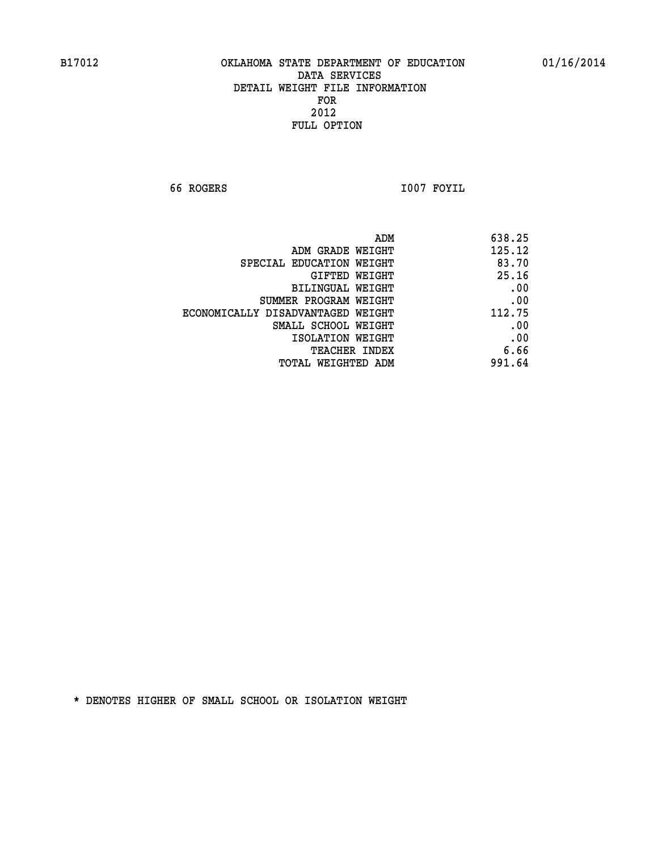**66 ROGERS I007 FOYIL** 

| 638.25 | ADM                               |
|--------|-----------------------------------|
| 125.12 | ADM GRADE WEIGHT                  |
| 83.70  | SPECIAL EDUCATION WEIGHT          |
| 25.16  | GIFTED WEIGHT                     |
| .00    | BILINGUAL WEIGHT                  |
| .00    | SUMMER PROGRAM WEIGHT             |
| 112.75 | ECONOMICALLY DISADVANTAGED WEIGHT |
| .00    | SMALL SCHOOL WEIGHT               |
| .00    | ISOLATION WEIGHT                  |
| 6.66   | <b>TEACHER INDEX</b>              |
| 991.64 | <b>TOTAL WEIGHTED ADM</b>         |
|        |                                   |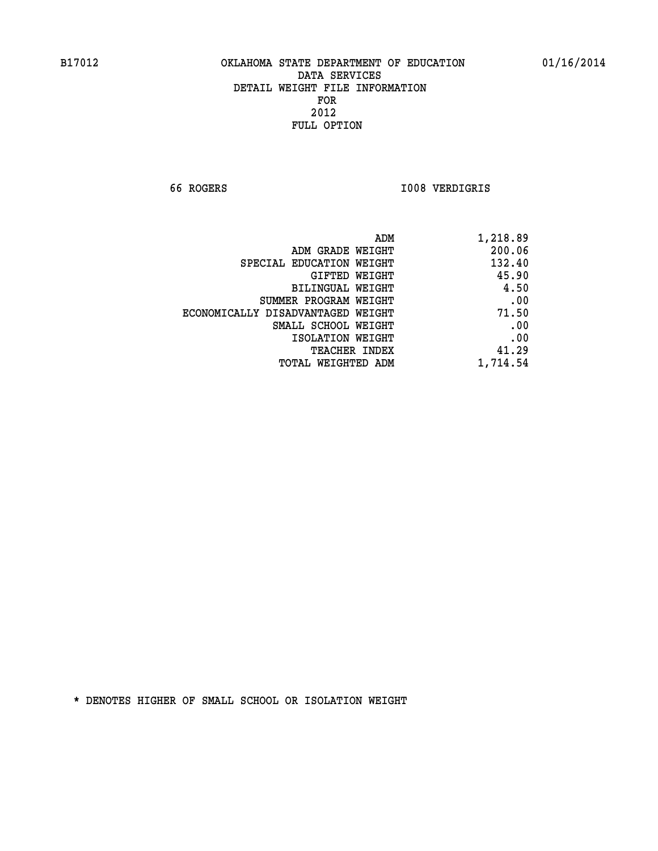**66 ROGERS I008 VERDIGRIS** 

| 1,218.89 |
|----------|
| 200.06   |
| 132.40   |
| 45.90    |
| 4.50     |
| .00      |
| 71.50    |
| .00      |
| .00      |
| 41.29    |
| 1,714.54 |
|          |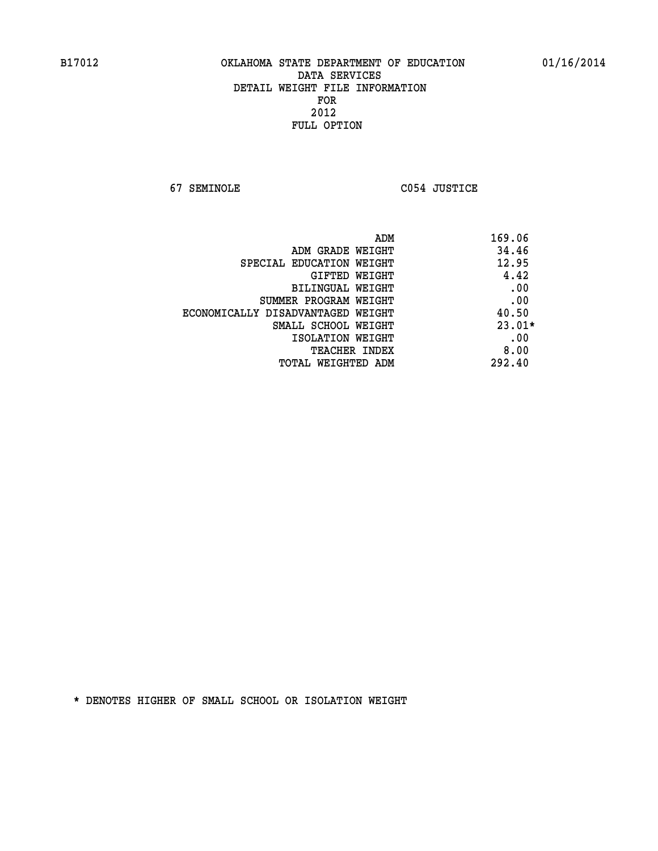**67 SEMINOLE C054 JUSTICE** 

| 169.06   | ADM                               |
|----------|-----------------------------------|
| 34.46    | ADM GRADE WEIGHT                  |
| 12.95    | SPECIAL EDUCATION WEIGHT          |
| 4.42     | <b>GIFTED WEIGHT</b>              |
| .00      | BILINGUAL WEIGHT                  |
| .00      | SUMMER PROGRAM WEIGHT             |
| 40.50    | ECONOMICALLY DISADVANTAGED WEIGHT |
| $23.01*$ | SMALL SCHOOL WEIGHT               |
| .00      | ISOLATION WEIGHT                  |
| 8.00     | <b>TEACHER INDEX</b>              |
| 292.40   | TOTAL WEIGHTED ADM                |
|          |                                   |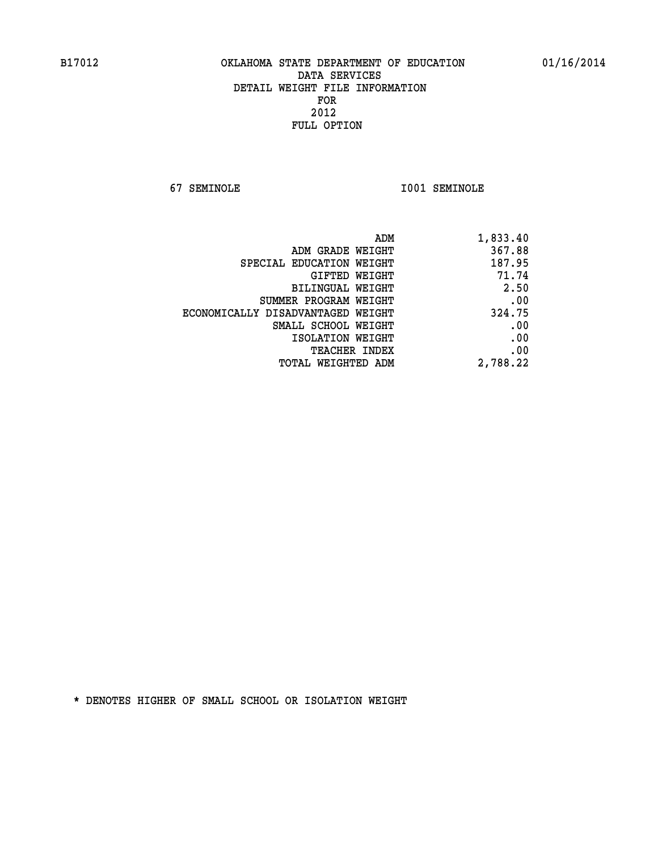**67 SEMINOLE I001 SEMINOLE** 

| 1,833.40 |
|----------|
| 367.88   |
| 187.95   |
| 71.74    |
| 2.50     |
| .00      |
| 324.75   |
| .00      |
| .00      |
| .00      |
| 2,788.22 |
|          |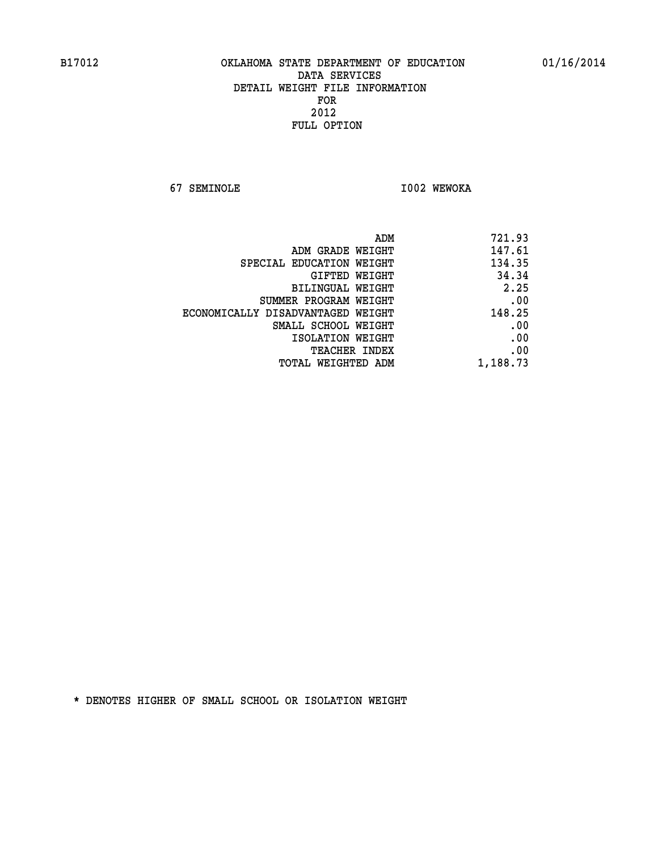**67 SEMINOLE I002 WEWOKA** 

| 721.93   |
|----------|
| 147.61   |
| 134.35   |
| 34.34    |
| 2.25     |
| .00      |
| 148.25   |
| .00      |
| .00      |
| .00      |
| 1,188.73 |
|          |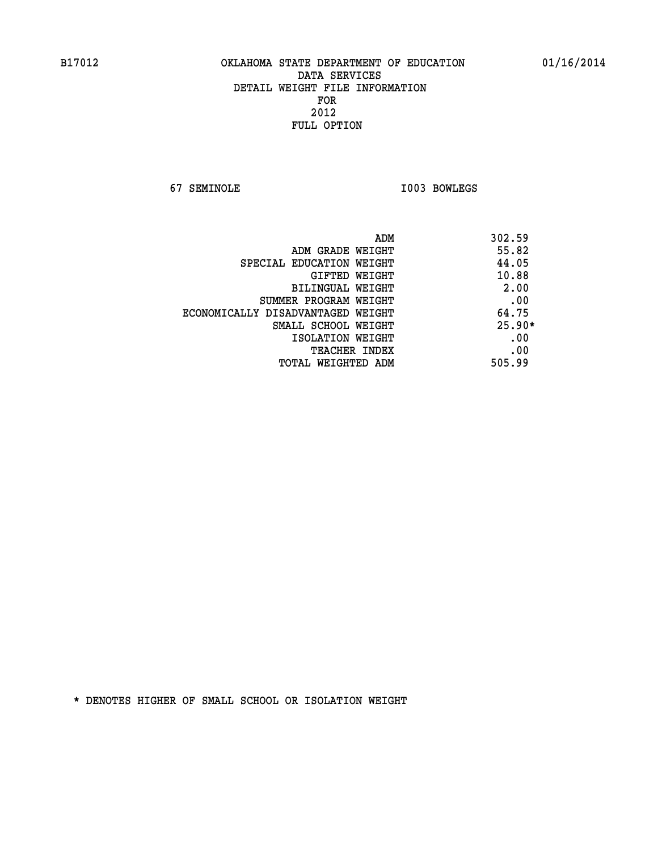**67 SEMINOLE I003 BOWLEGS** 

| ADM                               | 302.59   |
|-----------------------------------|----------|
| ADM GRADE WEIGHT                  | 55.82    |
| SPECIAL EDUCATION WEIGHT          | 44.05    |
| <b>GIFTED WEIGHT</b>              | 10.88    |
| BILINGUAL WEIGHT                  | 2.00     |
| SUMMER PROGRAM WEIGHT             | .00      |
| ECONOMICALLY DISADVANTAGED WEIGHT | 64.75    |
| SMALL SCHOOL WEIGHT               | $25.90*$ |
| ISOLATION WEIGHT                  | .00      |
| <b>TEACHER INDEX</b>              | .00      |
| TOTAL WEIGHTED ADM                | 505.99   |
|                                   |          |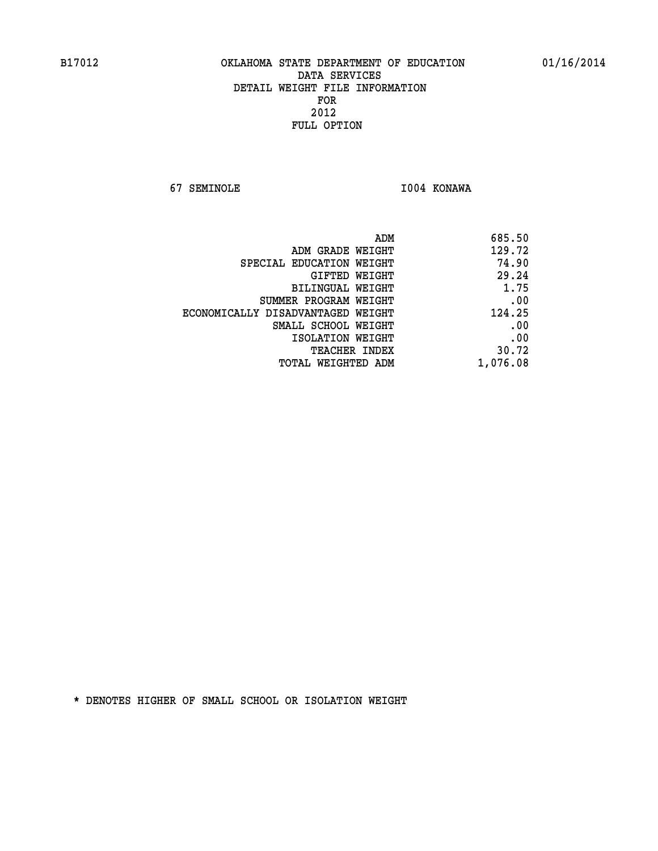**67 SEMINOLE I004 KONAWA** 

| ADM                               | 685.50   |
|-----------------------------------|----------|
| ADM GRADE WEIGHT                  | 129.72   |
| SPECIAL EDUCATION WEIGHT          | 74.90    |
| GIFTED WEIGHT                     | 29.24    |
| <b>BILINGUAL WEIGHT</b>           | 1.75     |
| SUMMER PROGRAM WEIGHT             | .00      |
| ECONOMICALLY DISADVANTAGED WEIGHT | 124.25   |
| SMALL SCHOOL WEIGHT               | .00      |
| ISOLATION WEIGHT                  | .00      |
| <b>TEACHER INDEX</b>              | 30.72    |
| TOTAL WEIGHTED ADM                | 1,076.08 |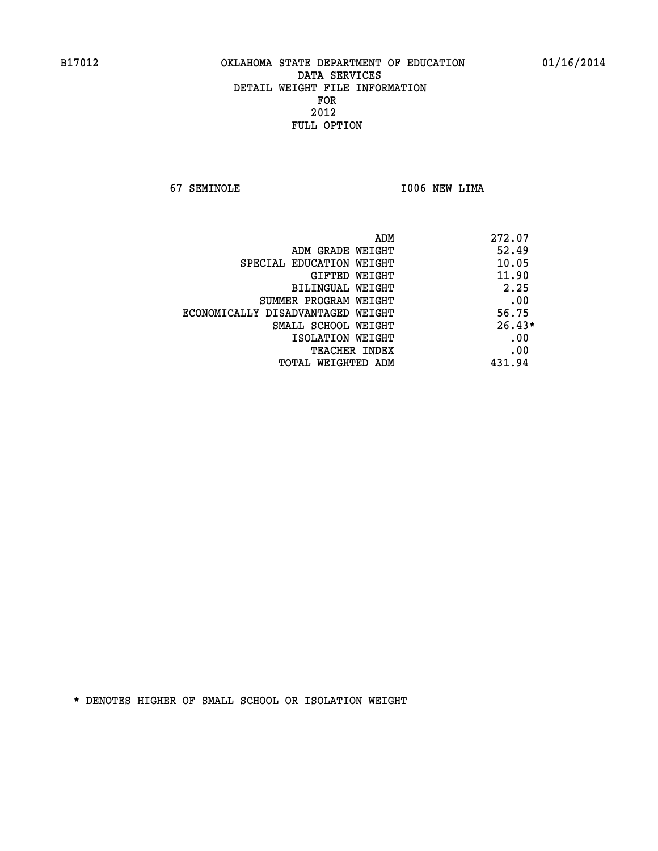**67 SEMINOLE I006 NEW LIMA** 

| ADM                               | 272.07   |
|-----------------------------------|----------|
| ADM GRADE WEIGHT                  | 52.49    |
| SPECIAL EDUCATION WEIGHT          | 10.05    |
| GIFTED WEIGHT                     | 11.90    |
| BILINGUAL WEIGHT                  | 2.25     |
| SUMMER PROGRAM WEIGHT             | .00      |
| ECONOMICALLY DISADVANTAGED WEIGHT | 56.75    |
| SMALL SCHOOL WEIGHT               | $26.43*$ |
| ISOLATION WEIGHT                  | .00      |
| <b>TEACHER INDEX</b>              | .00      |
| TOTAL WEIGHTED ADM                | 431.94   |
|                                   |          |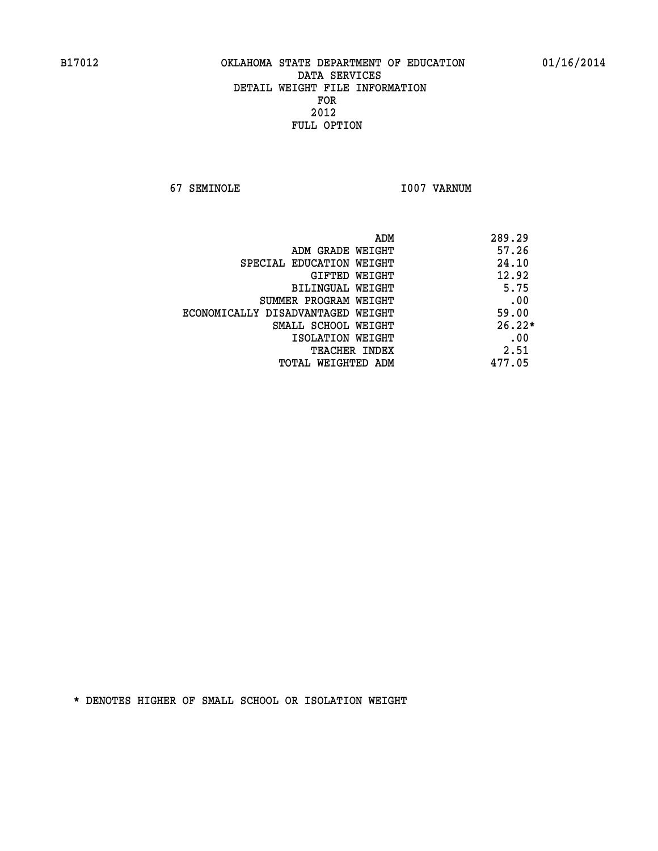**67 SEMINOLE I007 VARNUM** 

| ADM                               | 289.29   |
|-----------------------------------|----------|
| ADM GRADE WEIGHT                  | 57.26    |
| SPECIAL EDUCATION WEIGHT          | 24.10    |
| GIFTED WEIGHT                     | 12.92    |
| BILINGUAL WEIGHT                  | 5.75     |
| SUMMER PROGRAM WEIGHT             | .00      |
| ECONOMICALLY DISADVANTAGED WEIGHT | 59.00    |
| SMALL SCHOOL WEIGHT               | $26.22*$ |
| ISOLATION WEIGHT                  | .00      |
| <b>TEACHER INDEX</b>              | 2.51     |
| TOTAL WEIGHTED ADM                | 477.05   |
|                                   |          |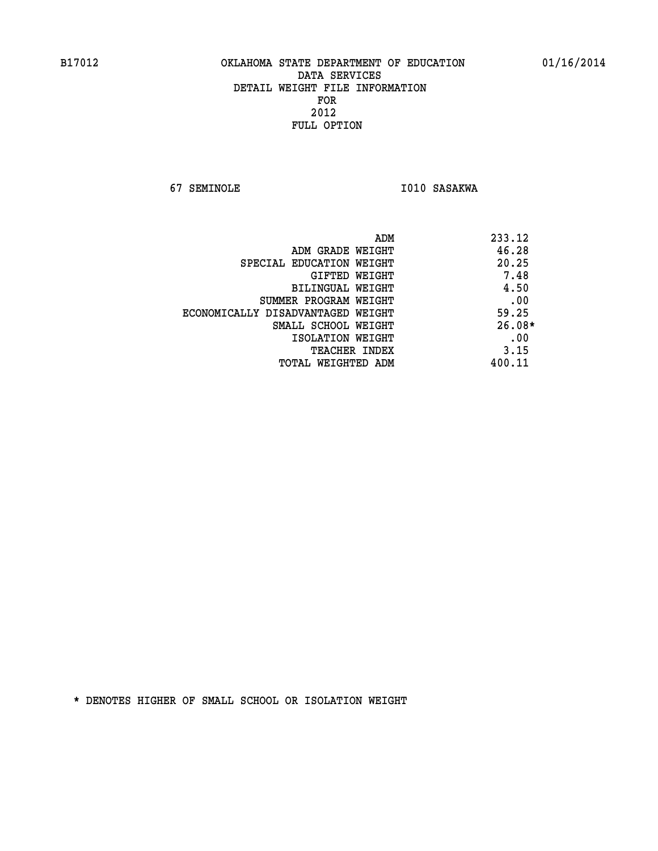**67 SEMINOLE I010 SASAKWA** 

|                                   | ADM<br>233.12 |
|-----------------------------------|---------------|
| ADM GRADE WEIGHT                  | 46.28         |
| SPECIAL EDUCATION WEIGHT          | 20.25         |
| GIFTED WEIGHT                     | 7.48          |
| BILINGUAL WEIGHT                  | 4.50          |
| SUMMER PROGRAM WEIGHT             | .00           |
| ECONOMICALLY DISADVANTAGED WEIGHT | 59.25         |
| SMALL SCHOOL WEIGHT               | $26.08*$      |
| ISOLATION WEIGHT                  | .00           |
| <b>TEACHER INDEX</b>              | 3.15          |
| TOTAL WEIGHTED ADM                | 400.11        |
|                                   |               |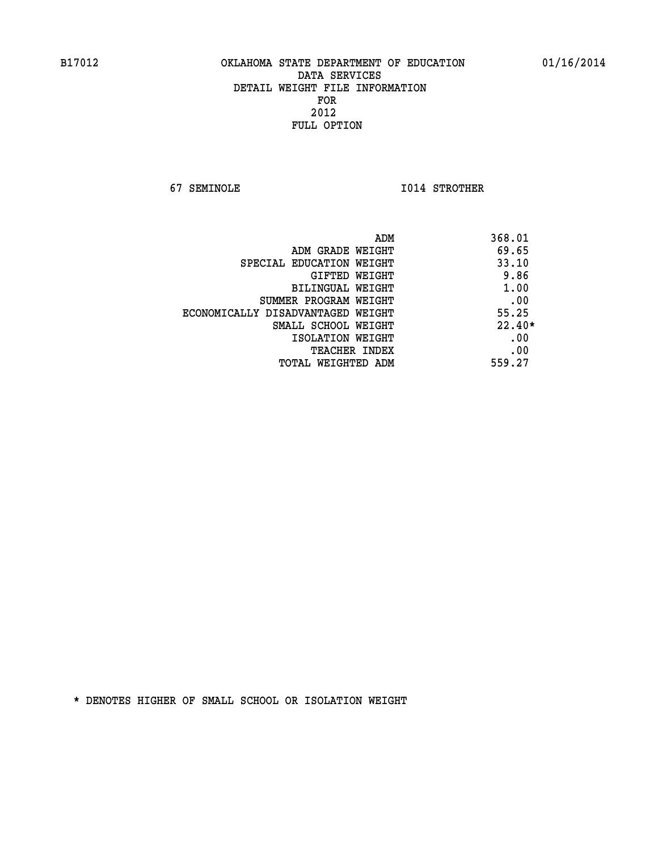**67 SEMINOLE I014 STROTHER** 

|                                   | ADM<br>368.01 |          |
|-----------------------------------|---------------|----------|
| ADM GRADE WEIGHT                  |               | 69.65    |
| SPECIAL EDUCATION WEIGHT          |               | 33.10    |
| GIFTED WEIGHT                     |               | 9.86     |
| BILINGUAL WEIGHT                  |               | 1.00     |
| SUMMER PROGRAM WEIGHT             |               | .00      |
| ECONOMICALLY DISADVANTAGED WEIGHT |               | 55.25    |
| SMALL SCHOOL WEIGHT               |               | $22.40*$ |
| ISOLATION WEIGHT                  |               | .00      |
| <b>TEACHER INDEX</b>              |               | .00      |
| TOTAL WEIGHTED ADM                | 559.27        |          |
|                                   |               |          |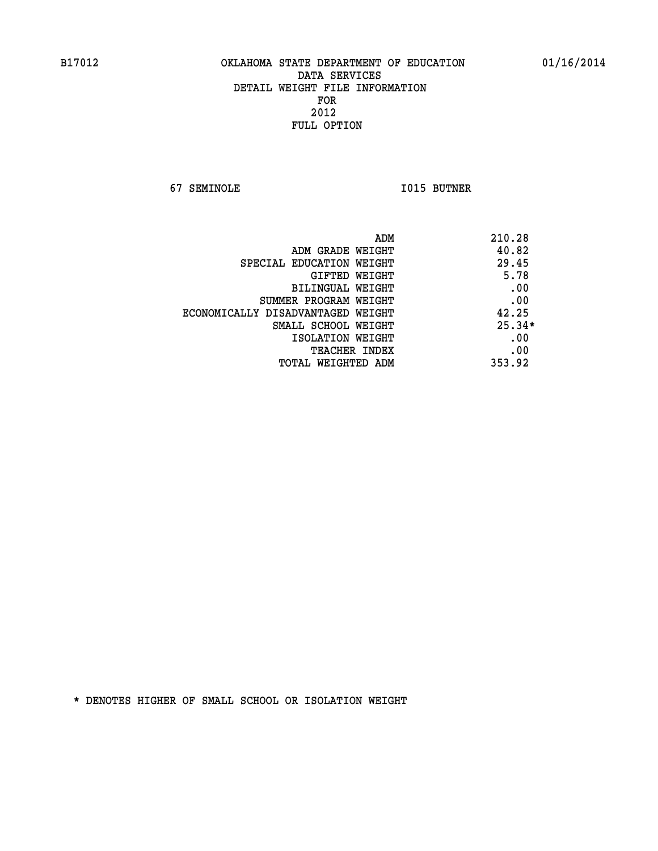**67 SEMINOLE I015 BUTNER** 

| ADM                               | 210.28   |
|-----------------------------------|----------|
| ADM GRADE WEIGHT                  | 40.82    |
| SPECIAL EDUCATION WEIGHT          | 29.45    |
| <b>GIFTED WEIGHT</b>              | 5.78     |
| BILINGUAL WEIGHT                  | .00      |
| SUMMER PROGRAM WEIGHT             | .00      |
| ECONOMICALLY DISADVANTAGED WEIGHT | 42.25    |
| SMALL SCHOOL WEIGHT               | $25.34*$ |
| ISOLATION WEIGHT                  | .00      |
| <b>TEACHER INDEX</b>              | .00      |
| TOTAL WEIGHTED ADM                | 353.92   |
|                                   |          |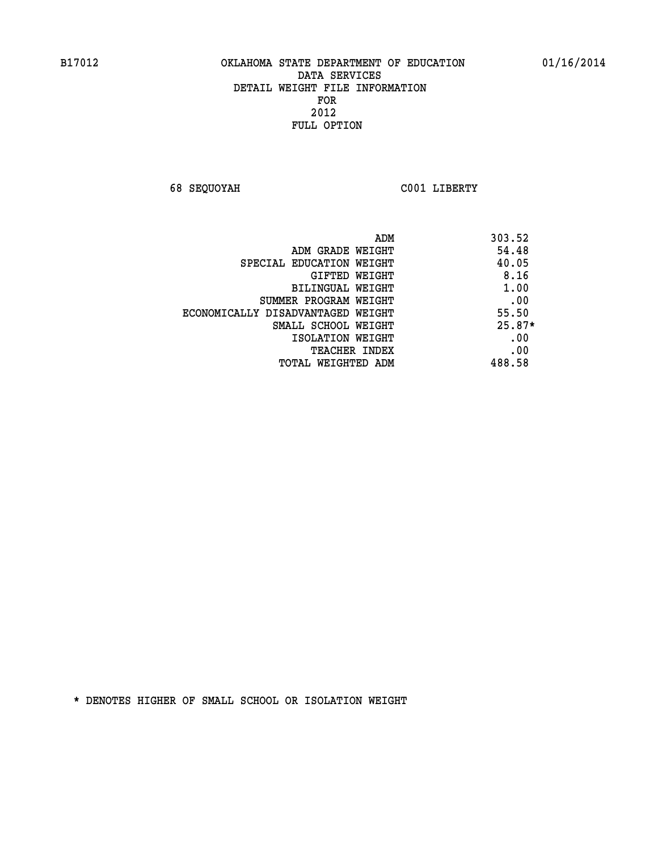**68 SEQUOYAH C001 LIBERTY** 

| ADM                               | 303.52   |
|-----------------------------------|----------|
| ADM GRADE WEIGHT                  | 54.48    |
| SPECIAL EDUCATION WEIGHT          | 40.05    |
| GIFTED WEIGHT                     | 8.16     |
| BILINGUAL WEIGHT                  | 1.00     |
| SUMMER PROGRAM WEIGHT             | .00      |
| ECONOMICALLY DISADVANTAGED WEIGHT | 55.50    |
| SMALL SCHOOL WEIGHT               | $25.87*$ |
| ISOLATION WEIGHT                  | .00      |
| <b>TEACHER INDEX</b>              | .00      |
| TOTAL WEIGHTED ADM                | 488.58   |
|                                   |          |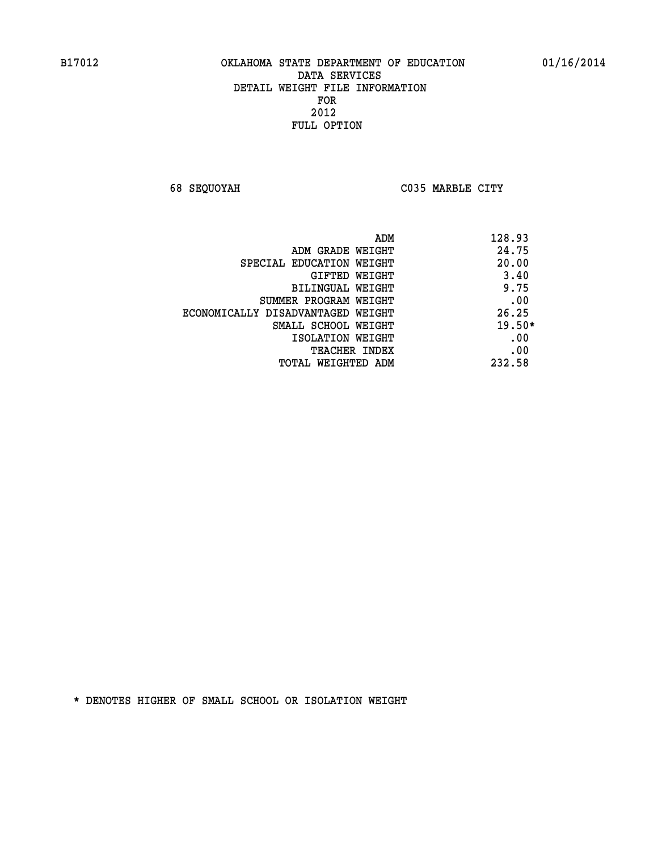**68 SEQUOYAH C035 MARBLE CITY** 

|                                   | 128.93<br>ADM |
|-----------------------------------|---------------|
| ADM GRADE WEIGHT                  | 24.75         |
| SPECIAL EDUCATION WEIGHT          | 20.00         |
| GIFTED WEIGHT                     | 3.40          |
| BILINGUAL WEIGHT                  | 9.75          |
| SUMMER PROGRAM WEIGHT             | .00           |
| ECONOMICALLY DISADVANTAGED WEIGHT | 26.25         |
| SMALL SCHOOL WEIGHT               | $19.50*$      |
| ISOLATION WEIGHT                  | .00           |
| <b>TEACHER INDEX</b>              | .00           |
| TOTAL WEIGHTED ADM                | 232.58        |
|                                   |               |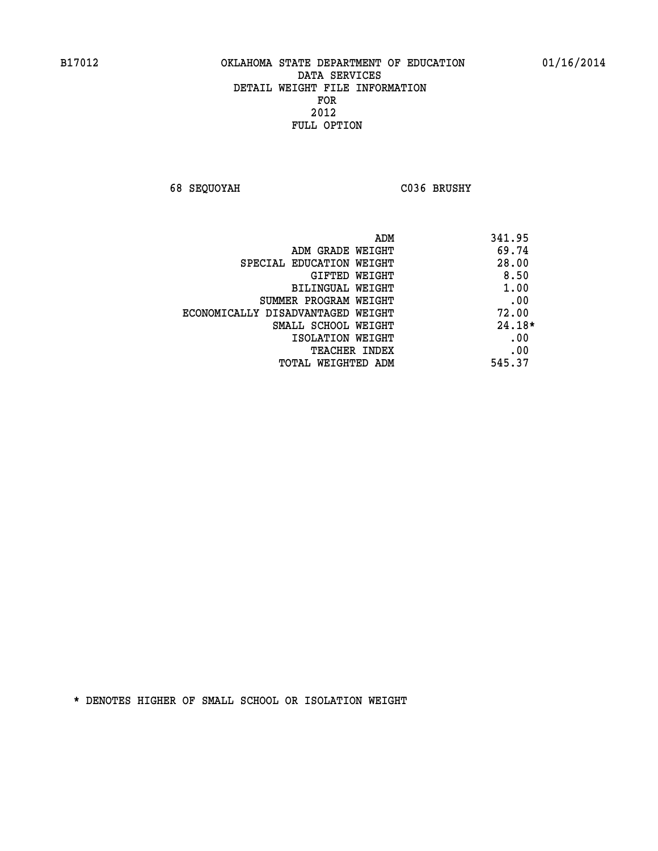**68 SEQUOYAH C036 BRUSHY** 

|                                   | 341.95<br>ADM |
|-----------------------------------|---------------|
| ADM GRADE WEIGHT                  | 69.74         |
| SPECIAL EDUCATION WEIGHT          | 28.00         |
| <b>GIFTED WEIGHT</b>              | 8.50          |
| BILINGUAL WEIGHT                  | 1.00          |
| SUMMER PROGRAM WEIGHT             | .00           |
| ECONOMICALLY DISADVANTAGED WEIGHT | 72.00         |
| SMALL SCHOOL WEIGHT               | $24.18*$      |
| ISOLATION WEIGHT                  | .00           |
| <b>TEACHER INDEX</b>              | .00           |
| TOTAL WEIGHTED ADM                | 545.37        |
|                                   |               |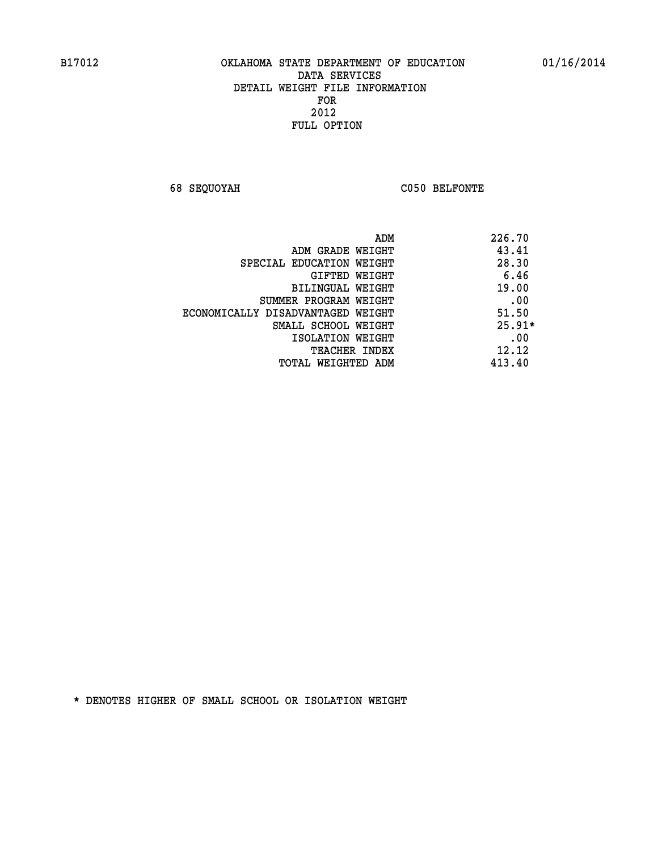**68 SEQUOYAH C050 BELFONTE** 

|                                   | 226.70<br>ADM |
|-----------------------------------|---------------|
| ADM GRADE WEIGHT                  | 43.41         |
| SPECIAL EDUCATION WEIGHT          | 28.30         |
| GIFTED WEIGHT                     | 6.46          |
| BILINGUAL WEIGHT                  | 19.00         |
| SUMMER PROGRAM WEIGHT             | .00           |
| ECONOMICALLY DISADVANTAGED WEIGHT | 51.50         |
| SMALL SCHOOL WEIGHT               | $25.91*$      |
| ISOLATION WEIGHT                  | .00           |
| <b>TEACHER INDEX</b>              | 12.12         |
| TOTAL WEIGHTED ADM                | 413.40        |
|                                   |               |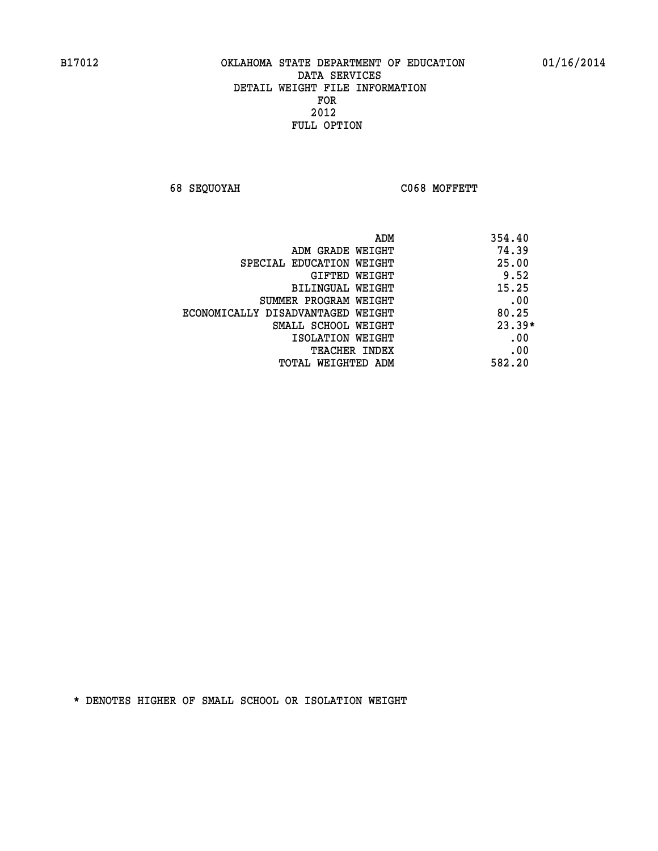**68 SEQUOYAH C068 MOFFETT** 

| ADM                               | 354.40   |
|-----------------------------------|----------|
| ADM GRADE WEIGHT                  | 74.39    |
| SPECIAL EDUCATION WEIGHT          | 25.00    |
| GIFTED WEIGHT                     | 9.52     |
| BILINGUAL WEIGHT                  | 15.25    |
| SUMMER PROGRAM WEIGHT             | .00      |
| ECONOMICALLY DISADVANTAGED WEIGHT | 80.25    |
| SMALL SCHOOL WEIGHT               | $23.39*$ |
| ISOLATION WEIGHT                  | .00      |
| <b>TEACHER INDEX</b>              | .00      |
| TOTAL WEIGHTED ADM                | 582.20   |
|                                   |          |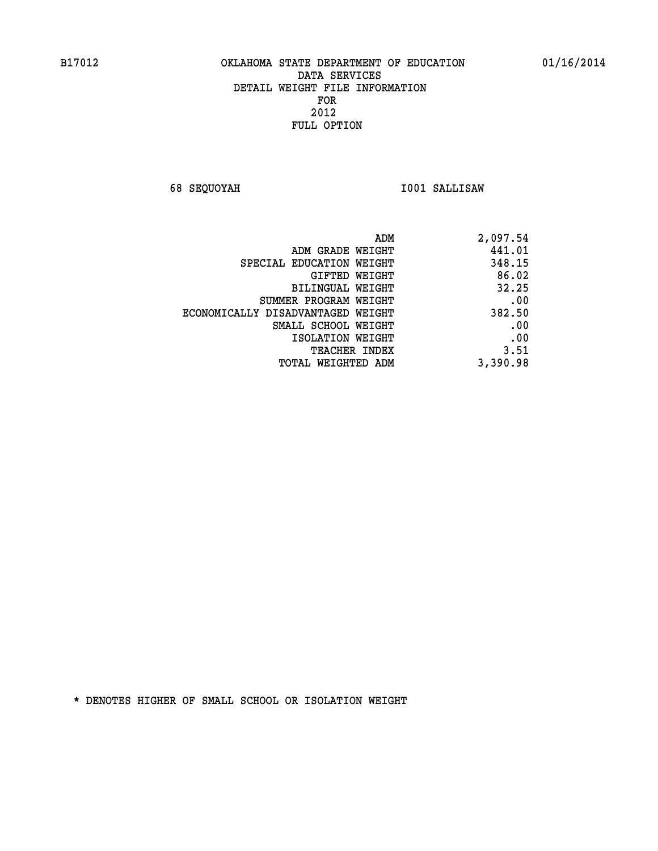**68 SEQUOYAH I001 SALLISAW** 

| 2,097.54 |
|----------|
| 441.01   |
| 348.15   |
| 86.02    |
| 32.25    |
| .00      |
| 382.50   |
| .00      |
| .00      |
| 3.51     |
| 3,390.98 |
|          |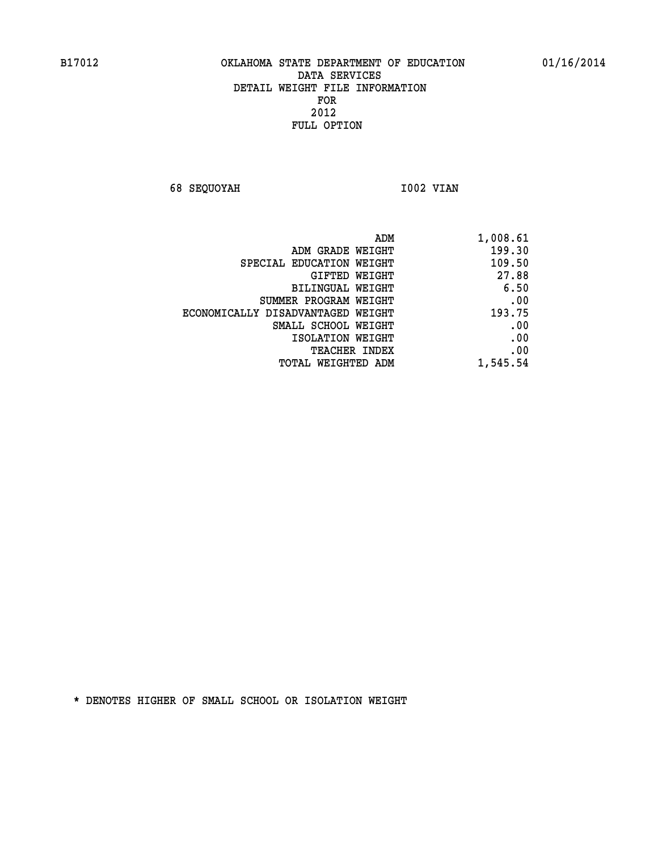**68 SEQUOYAH 1002 VIAN** 

| ADM                               | 1,008.61 |
|-----------------------------------|----------|
| ADM GRADE WEIGHT                  | 199.30   |
| SPECIAL EDUCATION WEIGHT          | 109.50   |
| <b>GIFTED WEIGHT</b>              | 27.88    |
| BILINGUAL WEIGHT                  | 6.50     |
| SUMMER PROGRAM WEIGHT             | .00      |
| ECONOMICALLY DISADVANTAGED WEIGHT | 193.75   |
| SMALL SCHOOL WEIGHT               | .00      |
| ISOLATION WEIGHT                  | .00      |
| <b>TEACHER INDEX</b>              | .00      |
| <b>TOTAL WEIGHTED ADM</b>         | 1,545.54 |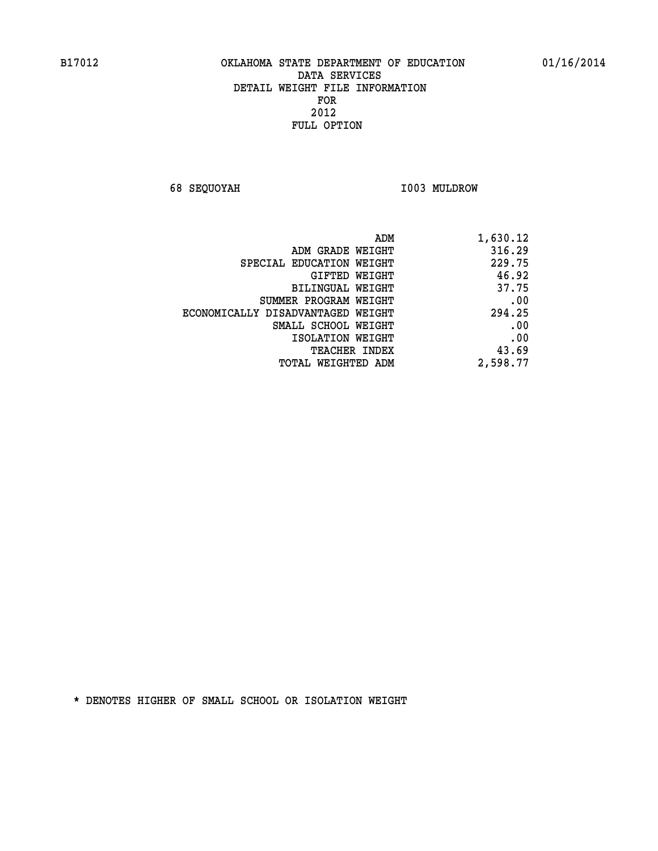**68 SEQUOYAH I003 MULDROW** 

| 1,630.12 |
|----------|
| 316.29   |
| 229.75   |
| 46.92    |
| 37.75    |
| .00      |
| 294.25   |
| .00      |
| .00      |
| 43.69    |
| 2,598.77 |
|          |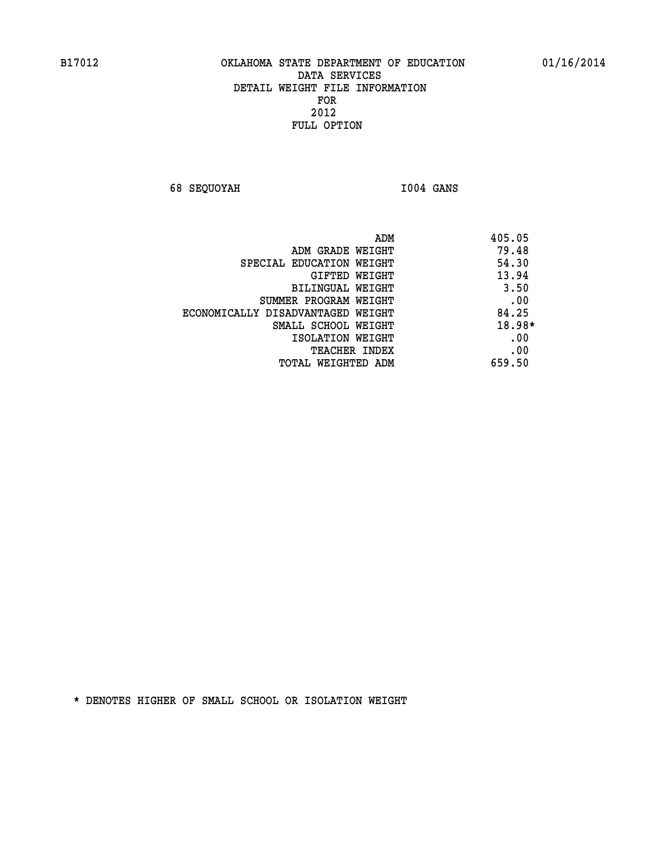**68 SEQUOYAH I004 GANS** 

|                                   | 405.05<br>ADM |
|-----------------------------------|---------------|
| ADM GRADE WEIGHT                  | 79.48         |
| SPECIAL EDUCATION WEIGHT          | 54.30         |
| GIFTED WEIGHT                     | 13.94         |
| BILINGUAL WEIGHT                  | 3.50          |
| SUMMER PROGRAM WEIGHT             | .00           |
| ECONOMICALLY DISADVANTAGED WEIGHT | 84.25         |
| SMALL SCHOOL WEIGHT               | 18.98*        |
| ISOLATION WEIGHT                  | .00           |
| <b>TEACHER INDEX</b>              | .00           |
| TOTAL WEIGHTED ADM                | 659.50        |
|                                   |               |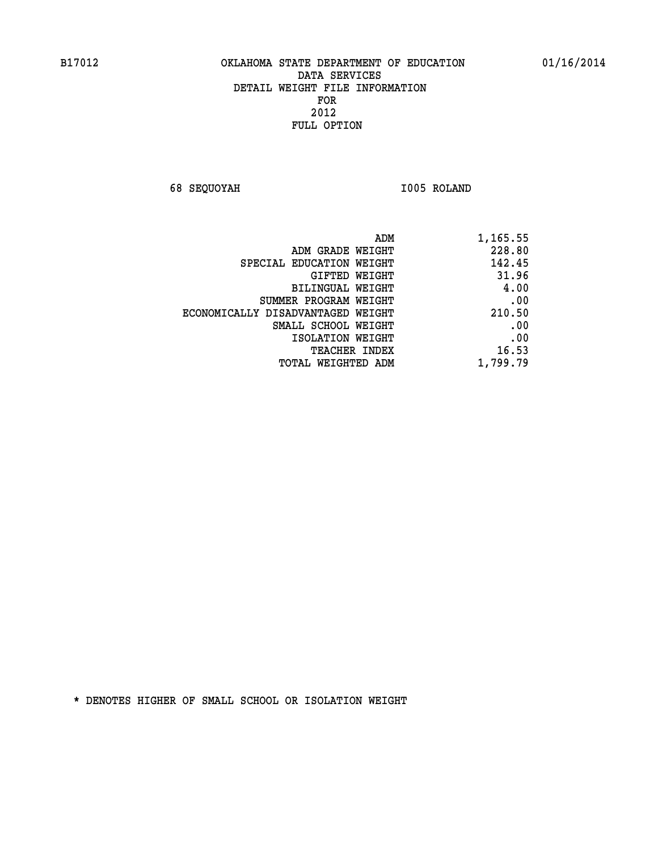**68 SEQUOYAH I005 ROLAND** 

|                                   | 228.80   |
|-----------------------------------|----------|
| ADM GRADE WEIGHT                  |          |
| SPECIAL EDUCATION WEIGHT          | 142.45   |
| GIFTED WEIGHT                     | 31.96    |
| BILINGUAL WEIGHT                  | 4.00     |
| SUMMER PROGRAM WEIGHT             | .00      |
| ECONOMICALLY DISADVANTAGED WEIGHT | 210.50   |
| SMALL SCHOOL WEIGHT               | .00      |
| ISOLATION WEIGHT                  | .00      |
| <b>TEACHER INDEX</b>              | 16.53    |
| TOTAL WEIGHTED ADM                | 1,799.79 |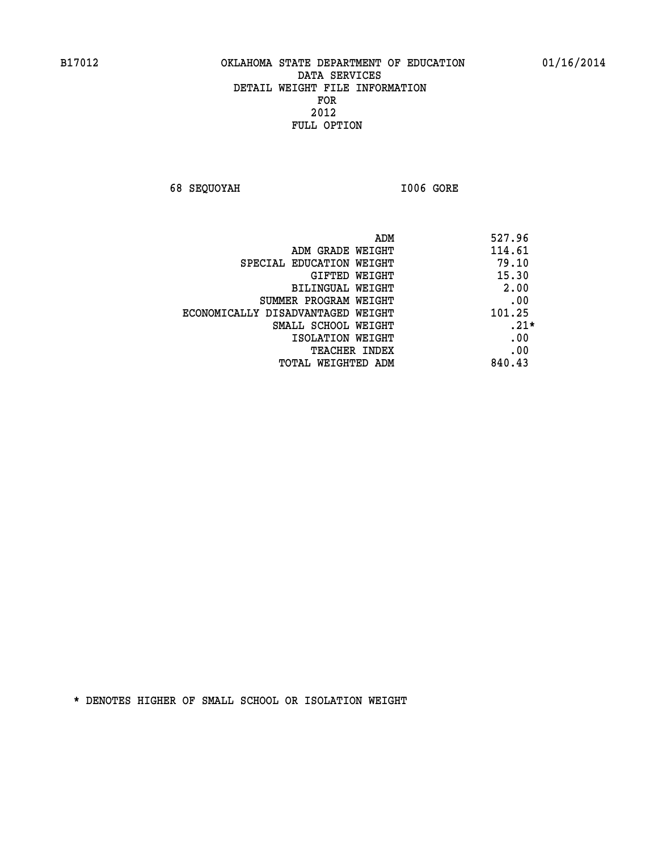**68 SEQUOYAH I006 GORE** 

| ADM                               | 527.96 |
|-----------------------------------|--------|
| ADM GRADE WEIGHT                  | 114.61 |
| SPECIAL EDUCATION WEIGHT          | 79.10  |
| GIFTED WEIGHT                     | 15.30  |
| BILINGUAL WEIGHT                  | 2.00   |
| SUMMER PROGRAM WEIGHT             | .00    |
| ECONOMICALLY DISADVANTAGED WEIGHT | 101.25 |
| SMALL SCHOOL WEIGHT               | $.21*$ |
| ISOLATION WEIGHT                  | .00    |
| <b>TEACHER INDEX</b>              | .00    |
| TOTAL WEIGHTED ADM                | 840.43 |
|                                   |        |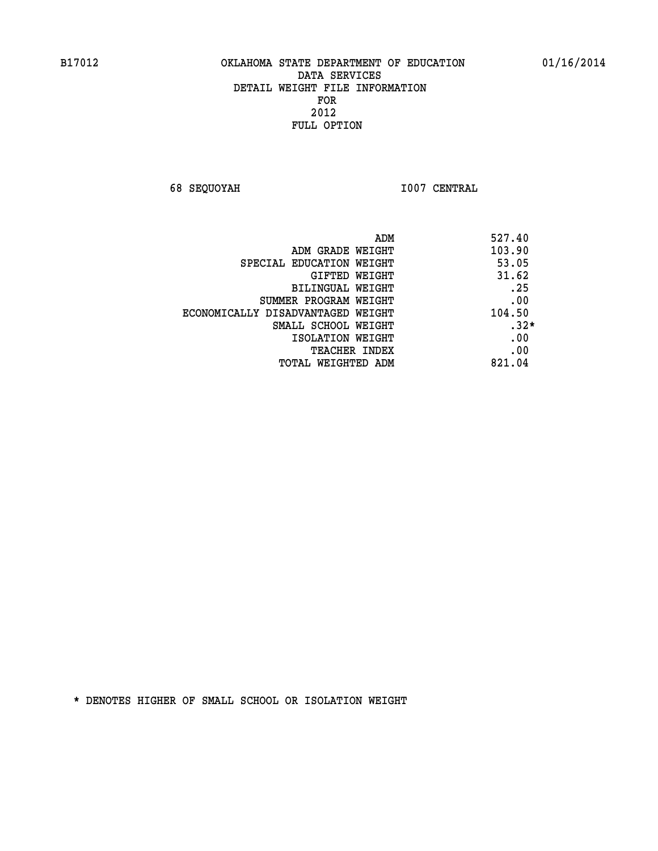**68 SEQUOYAH I007 CENTRAL** 

| 527.40<br>ADM |                                   |
|---------------|-----------------------------------|
| 103.90        | ADM GRADE WEIGHT                  |
| 53.05         | SPECIAL EDUCATION WEIGHT          |
| 31.62         | GIFTED WEIGHT                     |
| .25           | BILINGUAL WEIGHT                  |
| .00           | SUMMER PROGRAM WEIGHT             |
| 104.50        | ECONOMICALLY DISADVANTAGED WEIGHT |
| $.32*$        | SMALL SCHOOL WEIGHT               |
| .00           | ISOLATION WEIGHT                  |
| .00           | <b>TEACHER INDEX</b>              |
| 821.04        | TOTAL WEIGHTED ADM                |
|               |                                   |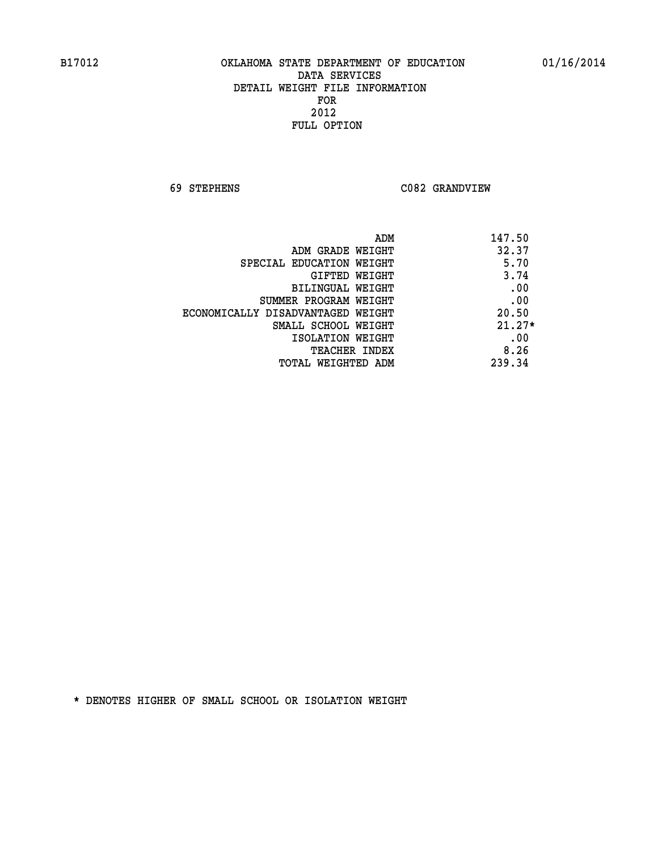**69 STEPHENS C082 GRANDVIEW** 

| ADM<br>147.50                              |      |
|--------------------------------------------|------|
| 32.37<br>ADM GRADE WEIGHT                  |      |
| SPECIAL EDUCATION WEIGHT                   | 5.70 |
| 3.74<br>GIFTED WEIGHT                      |      |
| BILINGUAL WEIGHT                           | .00  |
| SUMMER PROGRAM WEIGHT                      | .00  |
| 20.50<br>ECONOMICALLY DISADVANTAGED WEIGHT |      |
| $21.27*$<br>SMALL SCHOOL WEIGHT            |      |
| ISOLATION WEIGHT                           | .00  |
| 8.26<br><b>TEACHER INDEX</b>               |      |
| 239.34<br>TOTAL WEIGHTED ADM               |      |
|                                            |      |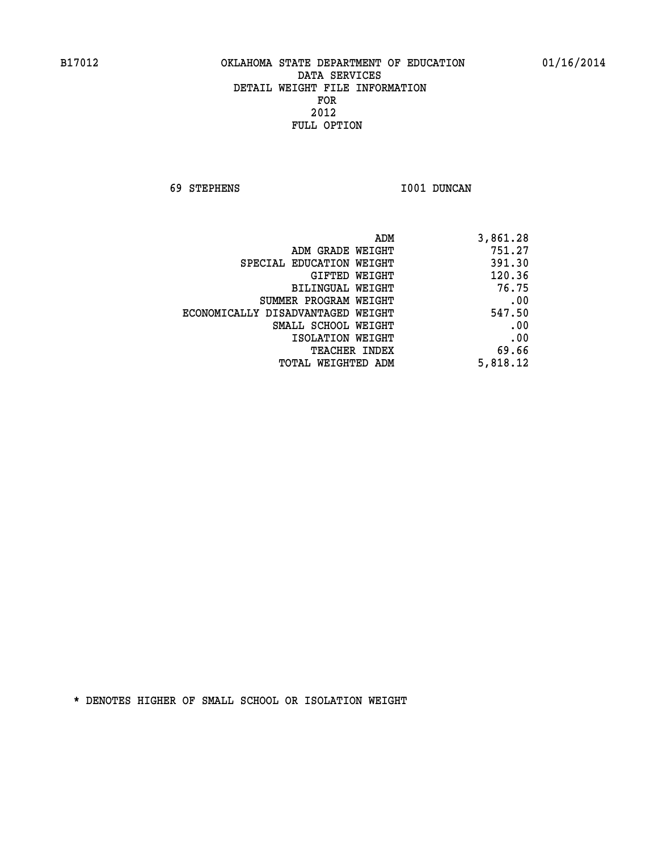**69 STEPHENS I001 DUNCAN** 

| 3,861.28 |
|----------|
| 751.27   |
| 391.30   |
| 120.36   |
| 76.75    |
| .00      |
| 547.50   |
| .00      |
| .00      |
| 69.66    |
| 5,818.12 |
|          |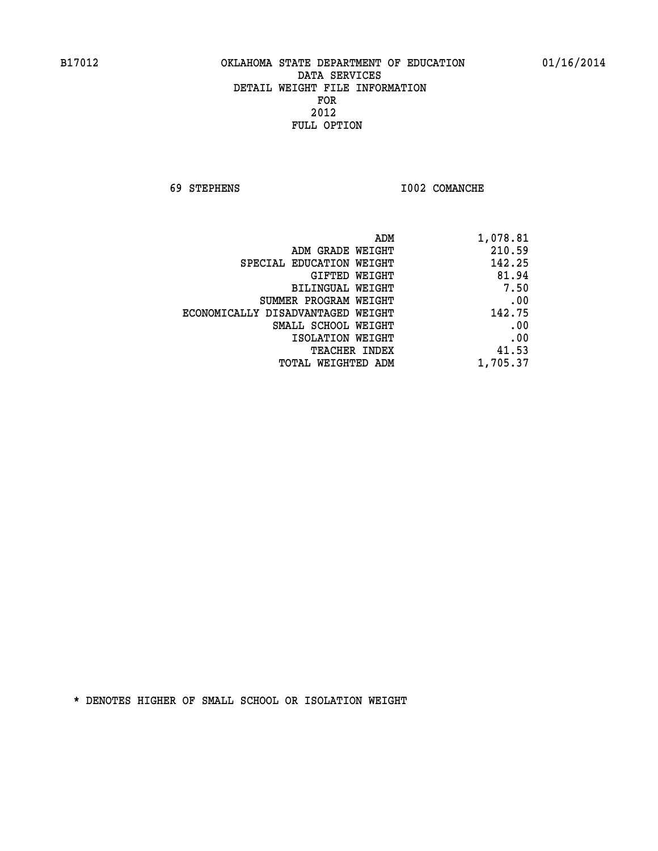**69 STEPHENS I002 COMANCHE** 

| 1,078.81 |
|----------|
| 210.59   |
| 142.25   |
| 81.94    |
| 7.50     |
| .00      |
| 142.75   |
| .00      |
| .00      |
| 41.53    |
| 1,705.37 |
|          |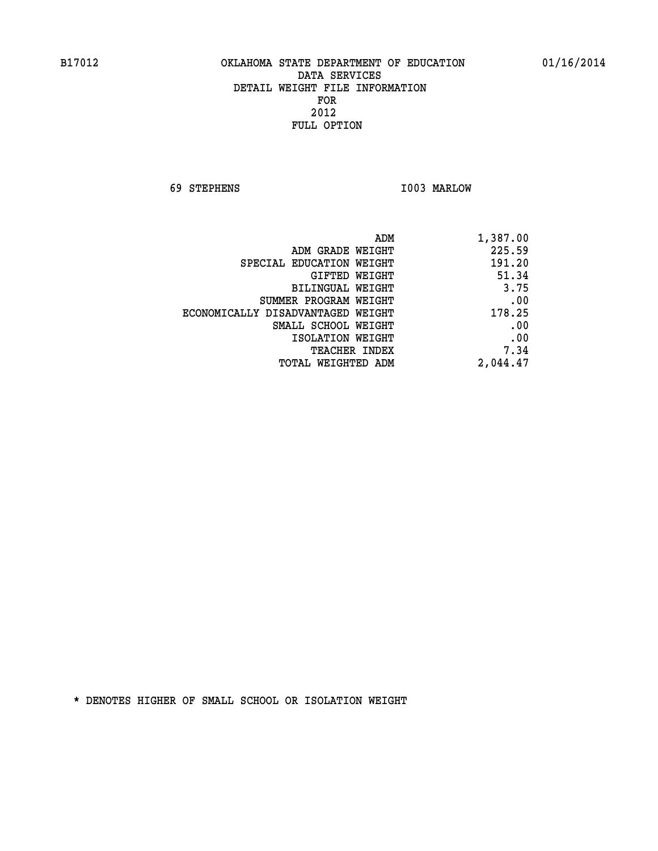**69 STEPHENS I003 MARLOW** 

| 1,387.00 | ADM                               |  |
|----------|-----------------------------------|--|
| 225.59   | ADM GRADE WEIGHT                  |  |
| 191.20   | SPECIAL EDUCATION WEIGHT          |  |
| 51.34    | GIFTED WEIGHT                     |  |
| 3.75     | BILINGUAL WEIGHT                  |  |
| .00      | SUMMER PROGRAM WEIGHT             |  |
| 178.25   | ECONOMICALLY DISADVANTAGED WEIGHT |  |
| .00      | SMALL SCHOOL WEIGHT               |  |
| .00      | ISOLATION WEIGHT                  |  |
| 7.34     | <b>TEACHER INDEX</b>              |  |
| 2,044.47 | <b>TOTAL WEIGHTED ADM</b>         |  |
|          |                                   |  |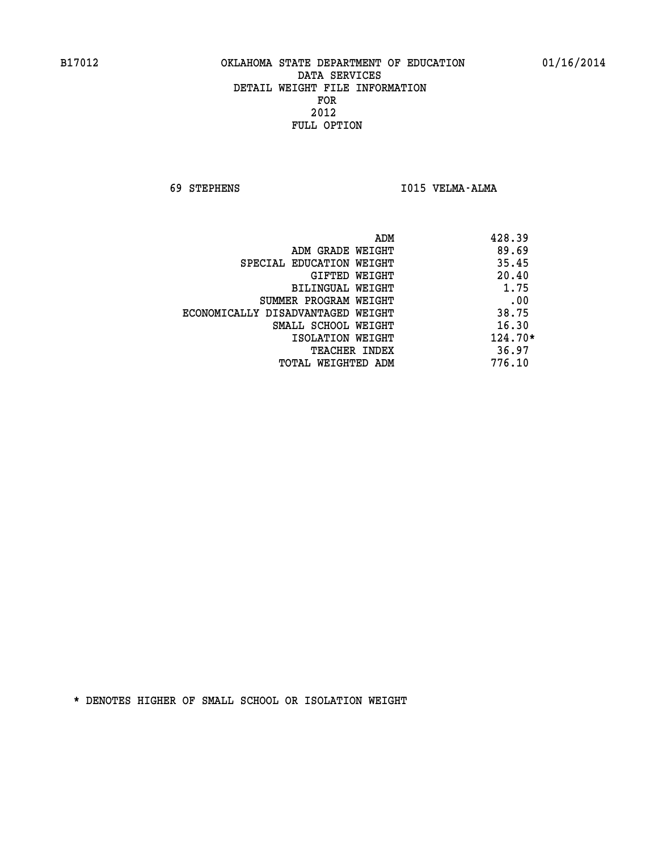**69 STEPHENS I015 VELMA-ALMA** 

|                                   | ADM | 428.39    |
|-----------------------------------|-----|-----------|
| ADM GRADE WEIGHT                  |     | 89.69     |
| SPECIAL EDUCATION WEIGHT          |     | 35.45     |
| GIFTED WEIGHT                     |     | 20.40     |
| BILINGUAL WEIGHT                  |     | 1.75      |
| SUMMER PROGRAM WEIGHT             |     | .00       |
| ECONOMICALLY DISADVANTAGED WEIGHT |     | 38.75     |
| SMALL SCHOOL WEIGHT               |     | 16.30     |
| ISOLATION WEIGHT                  |     | $124.70*$ |
| TEACHER INDEX                     |     | 36.97     |
| TOTAL WEIGHTED ADM                |     | 776.10    |
|                                   |     |           |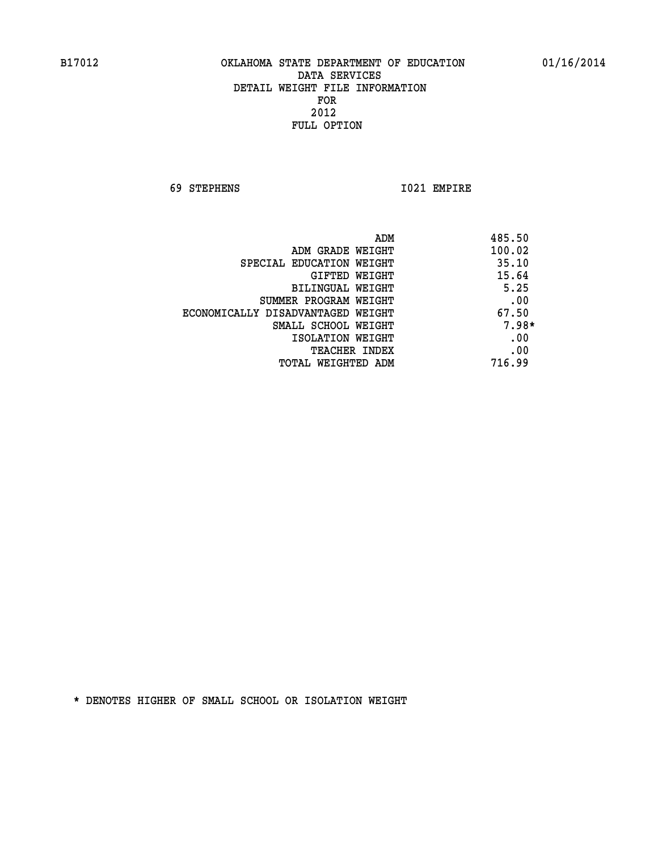**69 STEPHENS I021 EMPIRE** 

|                                   | ADM | 485.50  |
|-----------------------------------|-----|---------|
| ADM GRADE WEIGHT                  |     | 100.02  |
| SPECIAL EDUCATION WEIGHT          |     | 35.10   |
| GIFTED WEIGHT                     |     | 15.64   |
| BILINGUAL WEIGHT                  |     | 5.25    |
| SUMMER PROGRAM WEIGHT             |     | .00     |
| ECONOMICALLY DISADVANTAGED WEIGHT |     | 67.50   |
| SMALL SCHOOL WEIGHT               |     | $7.98*$ |
| ISOLATION WEIGHT                  |     | .00     |
| <b>TEACHER INDEX</b>              |     | .00     |
| TOTAL WEIGHTED ADM                |     | 716.99  |
|                                   |     |         |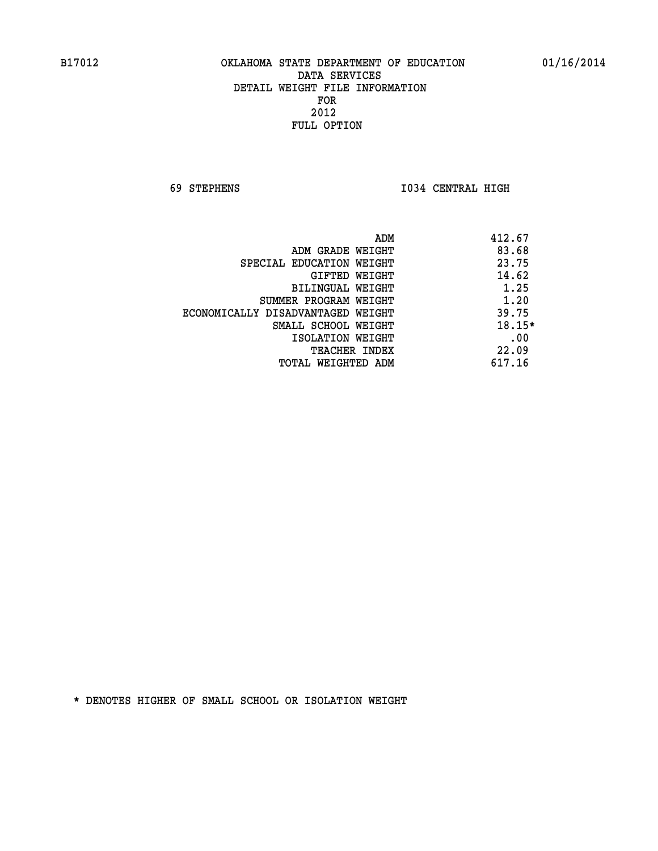**69 STEPHENS I034 CENTRAL HIGH** 

|                                   | ADM | 412.67   |
|-----------------------------------|-----|----------|
| ADM GRADE WEIGHT                  |     | 83.68    |
| SPECIAL EDUCATION WEIGHT          |     | 23.75    |
| GIFTED WEIGHT                     |     | 14.62    |
| BILINGUAL WEIGHT                  |     | 1.25     |
| SUMMER PROGRAM WEIGHT             |     | 1.20     |
| ECONOMICALLY DISADVANTAGED WEIGHT |     | 39.75    |
| SMALL SCHOOL WEIGHT               |     | $18.15*$ |
| ISOLATION WEIGHT                  |     | .00      |
| <b>TEACHER INDEX</b>              |     | 22.09    |
| TOTAL WEIGHTED ADM                |     | 617.16   |
|                                   |     |          |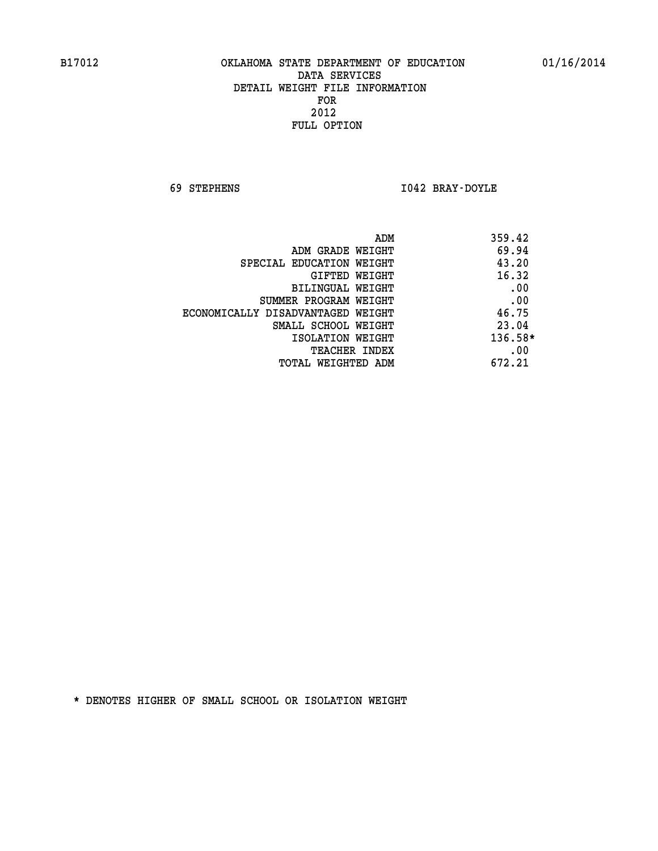**69 STEPHENS I042 BRAY-DOYLE** 

|                                   | ADM | 359.42  |
|-----------------------------------|-----|---------|
| ADM GRADE WEIGHT                  |     | 69.94   |
| SPECIAL EDUCATION WEIGHT          |     | 43.20   |
| GIFTED WEIGHT                     |     | 16.32   |
| BILINGUAL WEIGHT                  |     | .00     |
| SUMMER PROGRAM WEIGHT             |     | .00     |
| ECONOMICALLY DISADVANTAGED WEIGHT |     | 46.75   |
| SMALL SCHOOL WEIGHT               |     | 23.04   |
| ISOLATION WEIGHT                  |     | 136.58* |
| TEACHER INDEX                     |     | .00     |
| TOTAL WEIGHTED ADM                |     | 672.21  |
|                                   |     |         |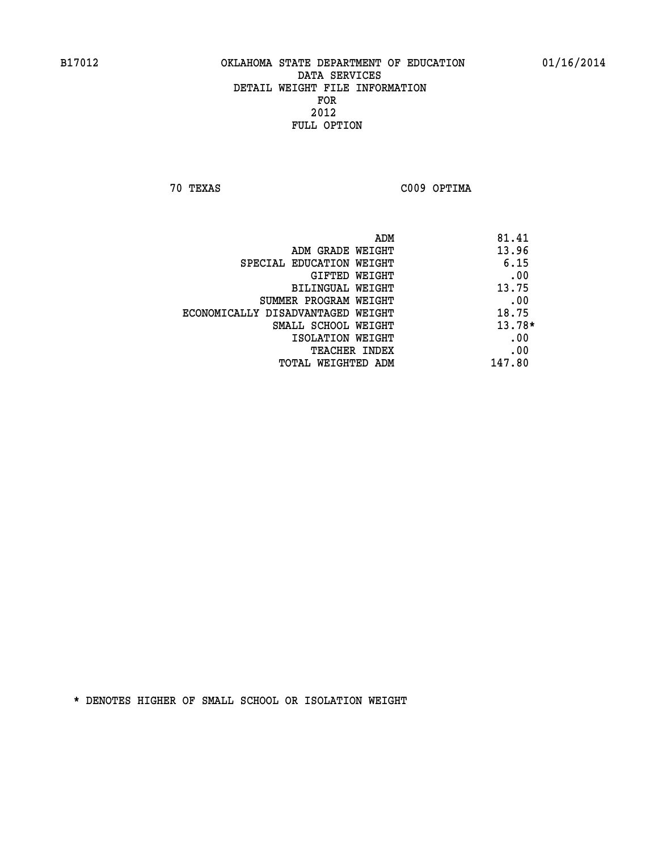**70 TEXAS C009 OPTIMA** 

|                                   | 81.41<br>ADM |
|-----------------------------------|--------------|
| ADM GRADE WEIGHT                  | 13.96        |
| SPECIAL EDUCATION WEIGHT          | 6.15         |
| GIFTED WEIGHT                     | .00          |
| BILINGUAL WEIGHT                  | 13.75        |
| SUMMER PROGRAM WEIGHT             | .00          |
| ECONOMICALLY DISADVANTAGED WEIGHT | 18.75        |
| SMALL SCHOOL WEIGHT               | $13.78*$     |
| ISOLATION WEIGHT                  | .00          |
| <b>TEACHER INDEX</b>              | .00          |
| TOTAL WEIGHTED ADM                | 147.80       |
|                                   |              |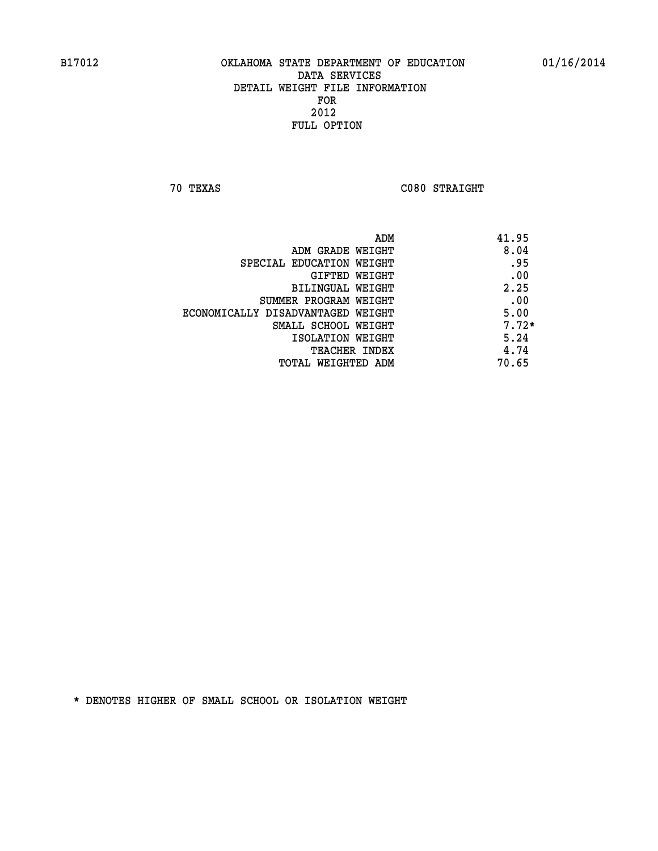**70 TEXAS C080 STRAIGHT** 

| ADM                               | 41.95   |
|-----------------------------------|---------|
| ADM GRADE WEIGHT                  | 8.04    |
| SPECIAL EDUCATION WEIGHT          | .95     |
| GIFTED WEIGHT                     | .00     |
| BILINGUAL WEIGHT                  | 2.25    |
| SUMMER PROGRAM WEIGHT             | .00     |
| ECONOMICALLY DISADVANTAGED WEIGHT | 5.00    |
| SMALL SCHOOL WEIGHT               | $7.72*$ |
| ISOLATION WEIGHT                  | 5.24    |
| <b>TEACHER INDEX</b>              | 4.74    |
| TOTAL WEIGHTED ADM                | 70.65   |
|                                   |         |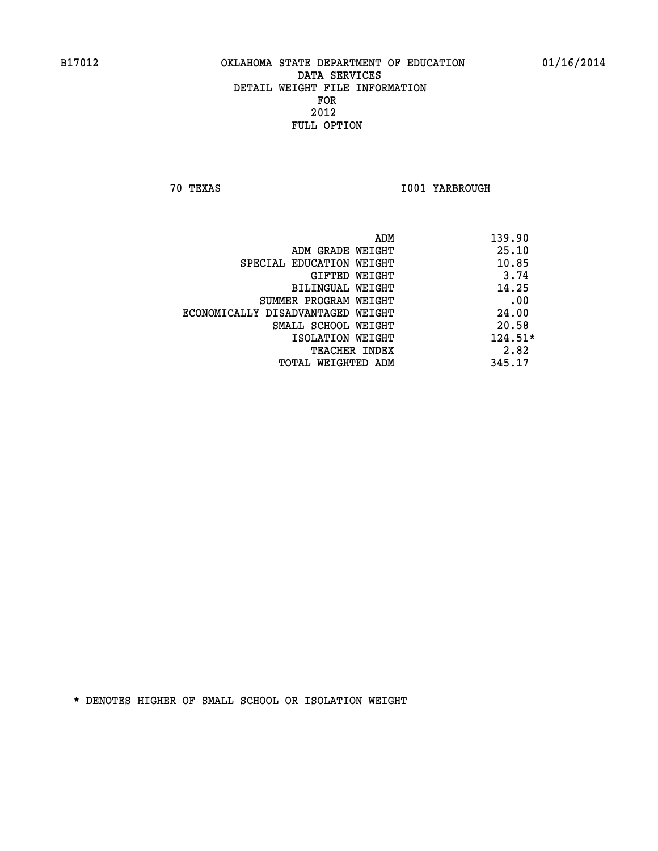**70 TEXAS I001 YARBROUGH** 

|                                   | ADM | 139.90    |
|-----------------------------------|-----|-----------|
| ADM GRADE WEIGHT                  |     | 25.10     |
| SPECIAL EDUCATION WEIGHT          |     | 10.85     |
| GIFTED WEIGHT                     |     | 3.74      |
| BILINGUAL WEIGHT                  |     | 14.25     |
| SUMMER PROGRAM WEIGHT             |     | .00       |
| ECONOMICALLY DISADVANTAGED WEIGHT |     | 24.00     |
| SMALL SCHOOL WEIGHT               |     | 20.58     |
| ISOLATION WEIGHT                  |     | $124.51*$ |
| TEACHER INDEX                     |     | 2.82      |
| TOTAL WEIGHTED ADM                |     | 345.17    |
|                                   |     |           |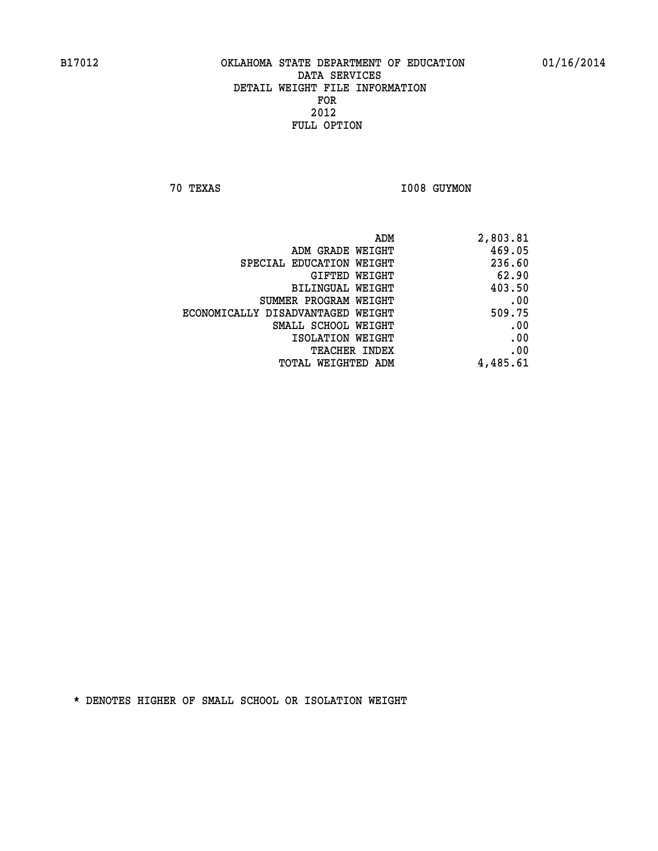**70 TEXAS I008 GUYMON** 

| ADM                               | 2,803.81 |
|-----------------------------------|----------|
| ADM GRADE WEIGHT                  | 469.05   |
| SPECIAL EDUCATION WEIGHT          | 236.60   |
| GIFTED WEIGHT                     | 62.90    |
| <b>BILINGUAL WEIGHT</b>           | 403.50   |
| SUMMER PROGRAM WEIGHT             | .00      |
| ECONOMICALLY DISADVANTAGED WEIGHT | 509.75   |
| SMALL SCHOOL WEIGHT               | .00      |
| ISOLATION WEIGHT                  | .00      |
| TEACHER INDEX                     | .00      |
| TOTAL WEIGHTED ADM                | 4,485.61 |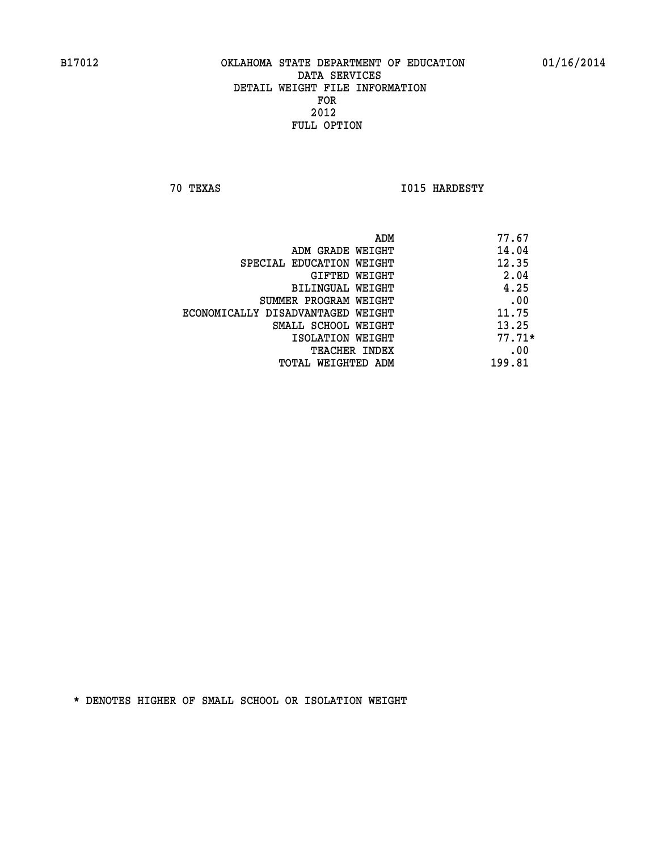**70 TEXAS I015 HARDESTY** 

|                                   | ADM | 77.67    |
|-----------------------------------|-----|----------|
| ADM GRADE WEIGHT                  |     | 14.04    |
| SPECIAL EDUCATION WEIGHT          |     | 12.35    |
| GIFTED WEIGHT                     |     | 2.04     |
| BILINGUAL WEIGHT                  |     | 4.25     |
| SUMMER PROGRAM WEIGHT             |     | .00      |
| ECONOMICALLY DISADVANTAGED WEIGHT |     | 11.75    |
| SMALL SCHOOL WEIGHT               |     | 13.25    |
| ISOLATION WEIGHT                  |     | $77.71*$ |
| TEACHER INDEX                     |     | .00      |
| TOTAL WEIGHTED ADM                |     | 199.81   |
|                                   |     |          |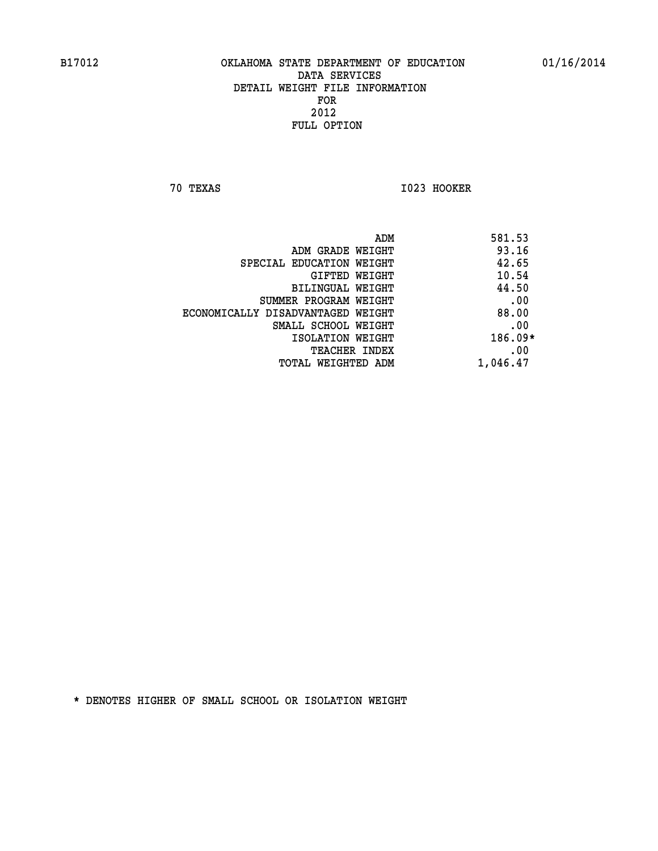**70 TEXAS I023 HOOKER** 

| 581.53<br>ADM |                                   |
|---------------|-----------------------------------|
| 93.16         | ADM GRADE WEIGHT                  |
| 42.65         | SPECIAL EDUCATION WEIGHT          |
| 10.54         | GIFTED WEIGHT                     |
| 44.50         | BILINGUAL WEIGHT                  |
| .00           | SUMMER PROGRAM WEIGHT             |
| 88.00         | ECONOMICALLY DISADVANTAGED WEIGHT |
| .00           | SMALL SCHOOL WEIGHT               |
| $186.09*$     | ISOLATION WEIGHT                  |
| .00           | TEACHER INDEX                     |
| 1,046.47      | TOTAL WEIGHTED ADM                |
|               |                                   |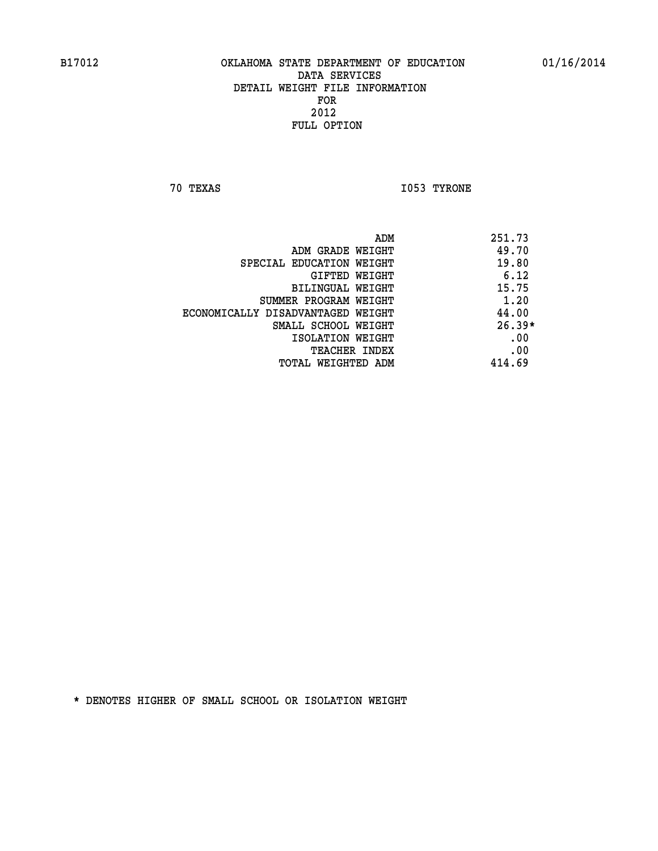**70 TEXAS I053 TYRONE** 

|                                   | ADM | 251.73   |
|-----------------------------------|-----|----------|
| ADM GRADE WEIGHT                  |     | 49.70    |
| SPECIAL EDUCATION WEIGHT          |     | 19.80    |
| GIFTED WEIGHT                     |     | 6.12     |
| BILINGUAL WEIGHT                  |     | 15.75    |
| SUMMER PROGRAM WEIGHT             |     | 1.20     |
| ECONOMICALLY DISADVANTAGED WEIGHT |     | 44.00    |
| SMALL SCHOOL WEIGHT               |     | $26.39*$ |
| ISOLATION WEIGHT                  |     | .00      |
| TEACHER INDEX                     |     | .00      |
| TOTAL WEIGHTED ADM                |     | 414.69   |
|                                   |     |          |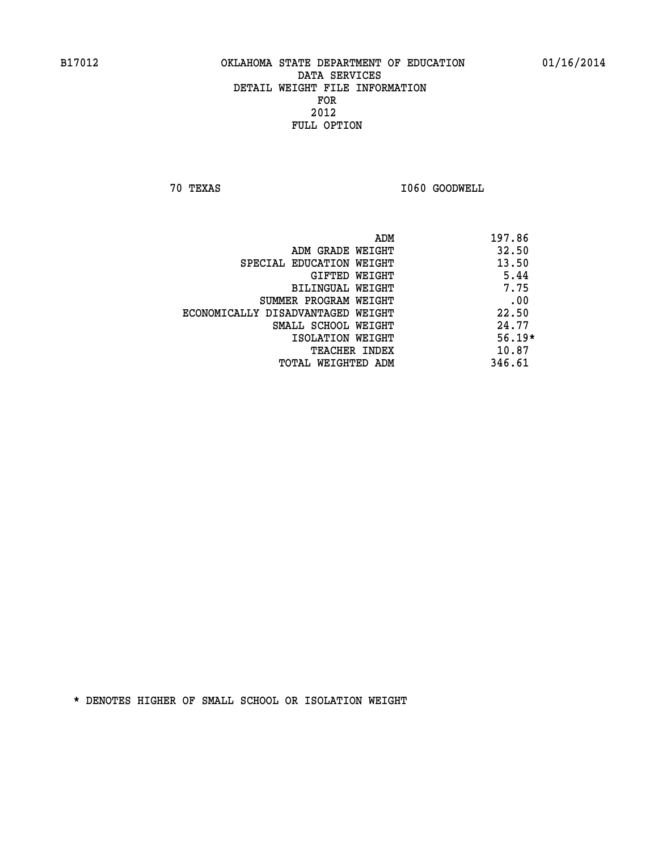**70 TEXAS I060 GOODWELL** 

|                                   | ADM | 197.86   |
|-----------------------------------|-----|----------|
| ADM GRADE WEIGHT                  |     | 32.50    |
| SPECIAL EDUCATION WEIGHT          |     | 13.50    |
| GIFTED WEIGHT                     |     | 5.44     |
| BILINGUAL WEIGHT                  |     | 7.75     |
| SUMMER PROGRAM WEIGHT             |     | .00      |
| ECONOMICALLY DISADVANTAGED WEIGHT |     | 22.50    |
| SMALL SCHOOL WEIGHT               |     | 24.77    |
| ISOLATION WEIGHT                  |     | $56.19*$ |
| <b>TEACHER INDEX</b>              |     | 10.87    |
| TOTAL WEIGHTED ADM                |     | 346.61   |
|                                   |     |          |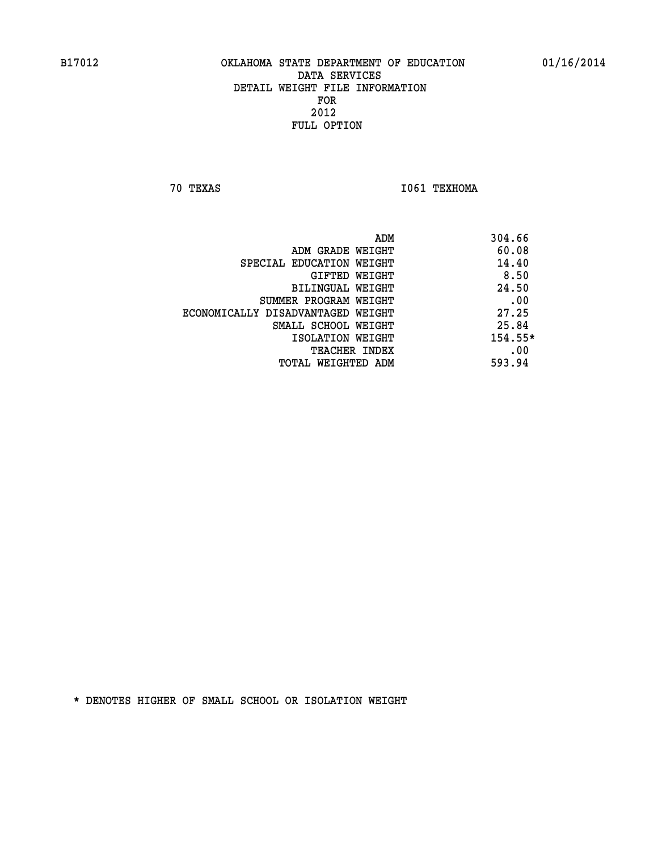**70 TEXAS I061 TEXHOMA** 

|                                   | ADM | 304.66  |
|-----------------------------------|-----|---------|
| ADM GRADE WEIGHT                  |     | 60.08   |
| SPECIAL EDUCATION WEIGHT          |     | 14.40   |
| GIFTED WEIGHT                     |     | 8.50    |
| BILINGUAL WEIGHT                  |     | 24.50   |
| SUMMER PROGRAM WEIGHT             |     | .00     |
| ECONOMICALLY DISADVANTAGED WEIGHT |     | 27.25   |
| SMALL SCHOOL WEIGHT               |     | 25.84   |
| ISOLATION WEIGHT                  |     | 154.55* |
| <b>TEACHER INDEX</b>              |     | .00     |
| TOTAL WEIGHTED ADM                |     | 593.94  |
|                                   |     |         |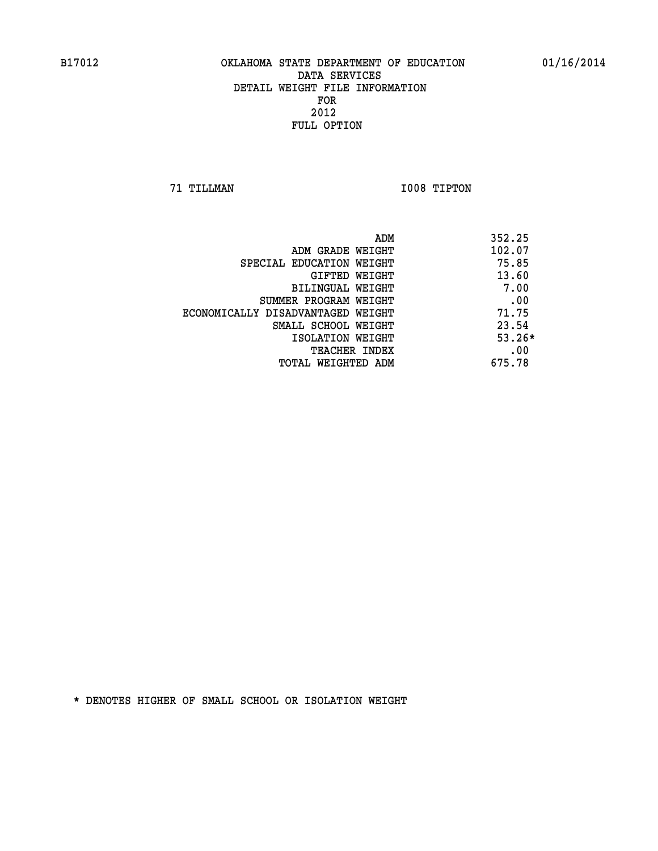**71 TILLMAN I008 TIPTON** 

| ADM                               | 352.25   |
|-----------------------------------|----------|
| ADM GRADE WEIGHT                  | 102.07   |
| SPECIAL EDUCATION WEIGHT          | 75.85    |
| GIFTED WEIGHT                     | 13.60    |
| BILINGUAL WEIGHT                  | 7.00     |
| SUMMER PROGRAM WEIGHT             | .00      |
| ECONOMICALLY DISADVANTAGED WEIGHT | 71.75    |
| SMALL SCHOOL WEIGHT               | 23.54    |
| ISOLATION WEIGHT                  | $53.26*$ |
| TEACHER INDEX                     | .00      |
| TOTAL WEIGHTED ADM                | 675.78   |
|                                   |          |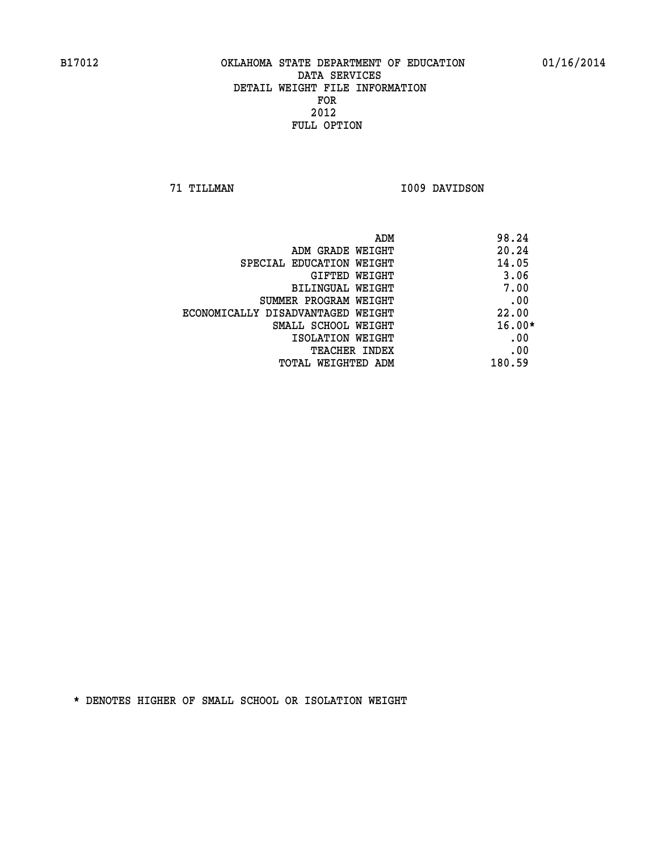**71 TILLMAN I009 DAVIDSON** 

|                                   | ADM | 98.24    |
|-----------------------------------|-----|----------|
| ADM GRADE WEIGHT                  |     | 20.24    |
| SPECIAL EDUCATION WEIGHT          |     | 14.05    |
| GIFTED WEIGHT                     |     | 3.06     |
| BILINGUAL WEIGHT                  |     | 7.00     |
| SUMMER PROGRAM WEIGHT             |     | .00      |
| ECONOMICALLY DISADVANTAGED WEIGHT |     | 22.00    |
| SMALL SCHOOL WEIGHT               |     | $16.00*$ |
| ISOLATION WEIGHT                  |     | .00      |
| <b>TEACHER INDEX</b>              |     | .00      |
| TOTAL WEIGHTED ADM                |     | 180.59   |
|                                   |     |          |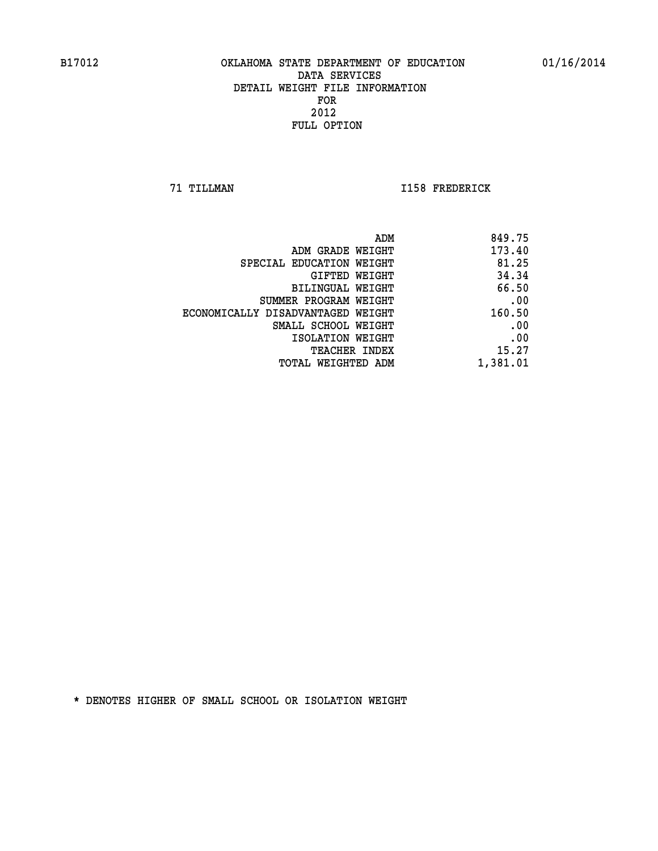**71 TILLMAN I158 FREDERICK** 

| 849.75                                                                                                                                                                                                                            |
|-----------------------------------------------------------------------------------------------------------------------------------------------------------------------------------------------------------------------------------|
| 173.40                                                                                                                                                                                                                            |
| 81.25                                                                                                                                                                                                                             |
| 34.34                                                                                                                                                                                                                             |
| 66.50                                                                                                                                                                                                                             |
| .00                                                                                                                                                                                                                               |
| 160.50                                                                                                                                                                                                                            |
| .00                                                                                                                                                                                                                               |
| .00                                                                                                                                                                                                                               |
| 15.27                                                                                                                                                                                                                             |
| 1,381.01                                                                                                                                                                                                                          |
| ADM GRADE WEIGHT<br>SPECIAL EDUCATION WEIGHT<br>GIFTED WEIGHT<br>BILINGUAL WEIGHT<br>SUMMER PROGRAM WEIGHT<br>ECONOMICALLY DISADVANTAGED WEIGHT<br>SMALL SCHOOL WEIGHT<br>ISOLATION WEIGHT<br>TEACHER INDEX<br>TOTAL WEIGHTED ADM |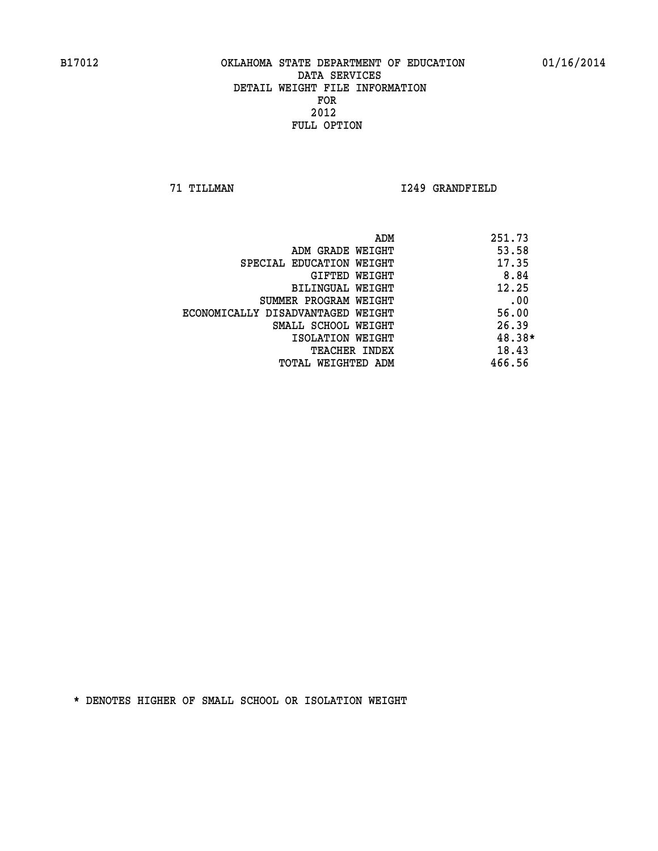**71 TILLMAN I249 GRANDFIELD** 

| ADM                               | 251.73 |
|-----------------------------------|--------|
| ADM GRADE WEIGHT                  | 53.58  |
| SPECIAL EDUCATION WEIGHT          | 17.35  |
| GIFTED WEIGHT                     | 8.84   |
| BILINGUAL WEIGHT                  | 12.25  |
| SUMMER PROGRAM WEIGHT             | .00    |
| ECONOMICALLY DISADVANTAGED WEIGHT | 56.00  |
| SMALL SCHOOL WEIGHT               | 26.39  |
| ISOLATION WEIGHT                  | 48.38* |
| <b>TEACHER INDEX</b>              | 18.43  |
| TOTAL WEIGHTED ADM                | 466.56 |
|                                   |        |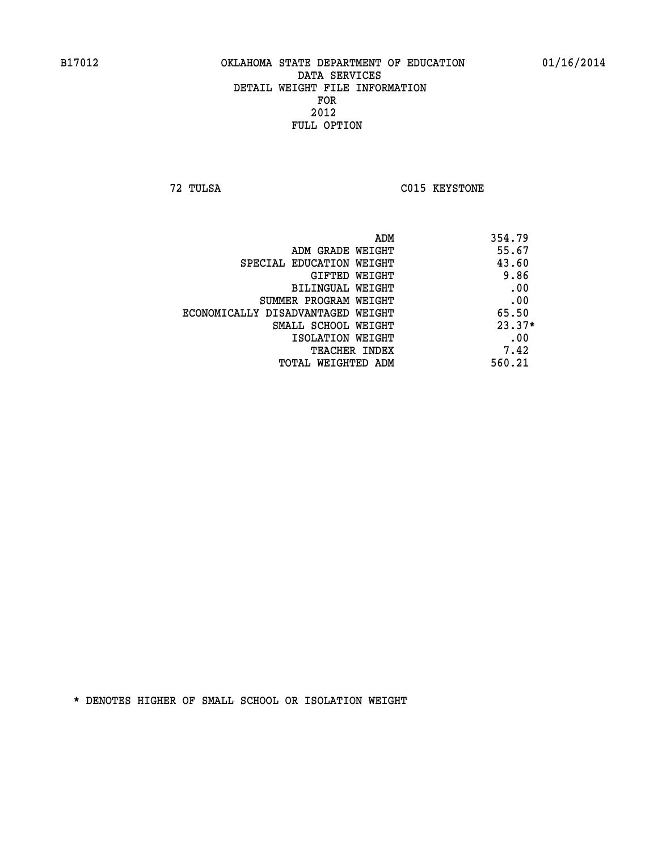**72 TULSA C015 KEYSTONE** 

|                                   | ADM<br>354.79 |
|-----------------------------------|---------------|
| ADM GRADE WEIGHT                  | 55.67         |
| SPECIAL EDUCATION WEIGHT          | 43.60         |
| GIFTED WEIGHT                     | 9.86          |
| BILINGUAL WEIGHT                  | .00           |
| SUMMER PROGRAM WEIGHT             | .00           |
| ECONOMICALLY DISADVANTAGED WEIGHT | 65.50         |
| SMALL SCHOOL WEIGHT               | $23.37*$      |
| ISOLATION WEIGHT                  | .00           |
| <b>TEACHER INDEX</b>              | 7.42          |
| TOTAL WEIGHTED ADM                | 560.21        |
|                                   |               |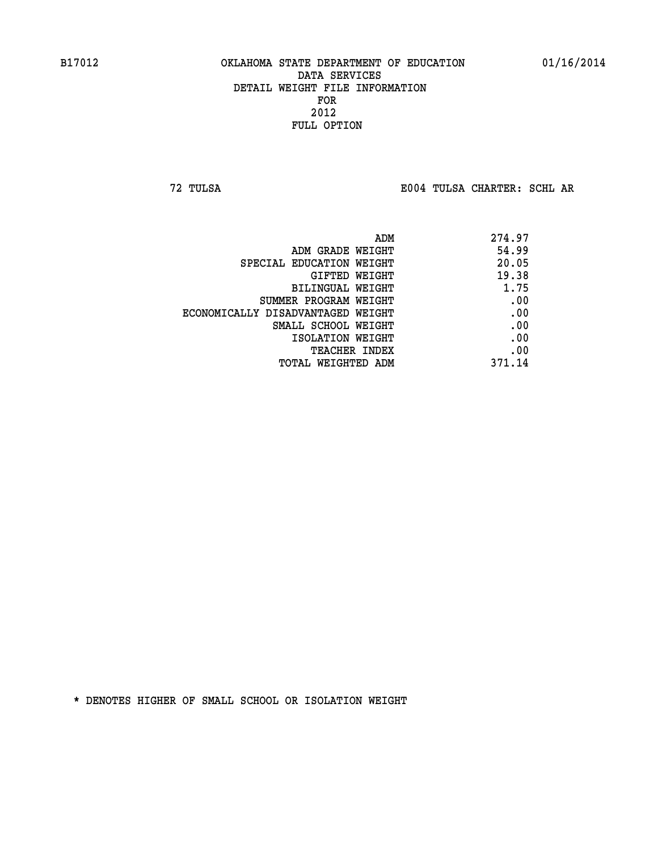**72 TULSA E004 TULSA CHARTER: SCHL AR**

| 274.97 |
|--------|
| 54.99  |
| 20.05  |
| 19.38  |
| 1.75   |
| .00    |
| .00    |
| .00    |
| .00    |
| .00    |
| 371.14 |
|        |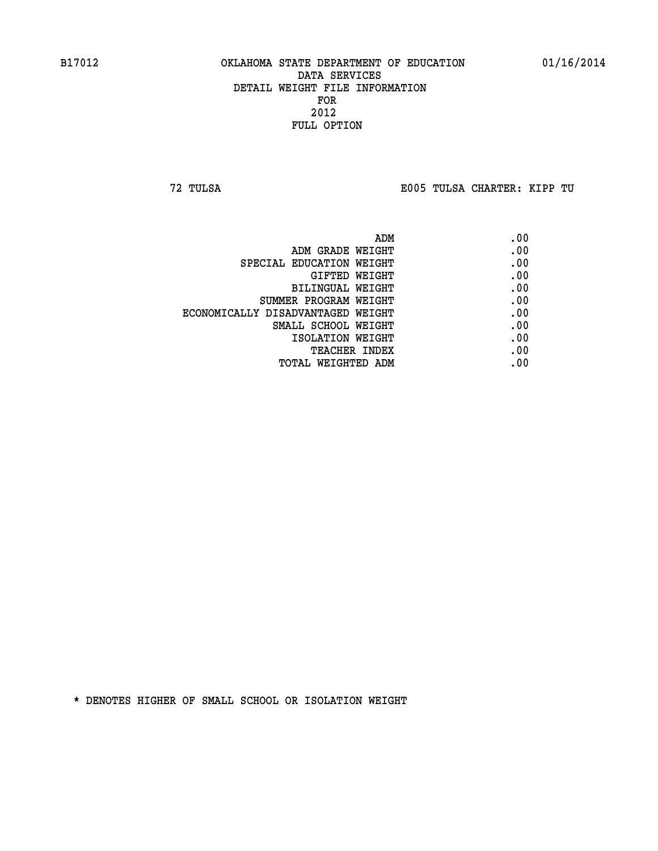**72 TULSA E005 TULSA CHARTER: KIPP TU**

| ADM                               | .00 |
|-----------------------------------|-----|
| ADM GRADE WEIGHT                  | .00 |
| SPECIAL EDUCATION WEIGHT          | .00 |
| GIFTED WEIGHT                     | .00 |
| BILINGUAL WEIGHT                  | .00 |
| SUMMER PROGRAM WEIGHT             | .00 |
| ECONOMICALLY DISADVANTAGED WEIGHT | .00 |
| SMALL SCHOOL WEIGHT               | .00 |
| ISOLATION WEIGHT                  | .00 |
| TEACHER INDEX                     | .00 |
| TOTAL WEIGHTED ADM                | .00 |
|                                   |     |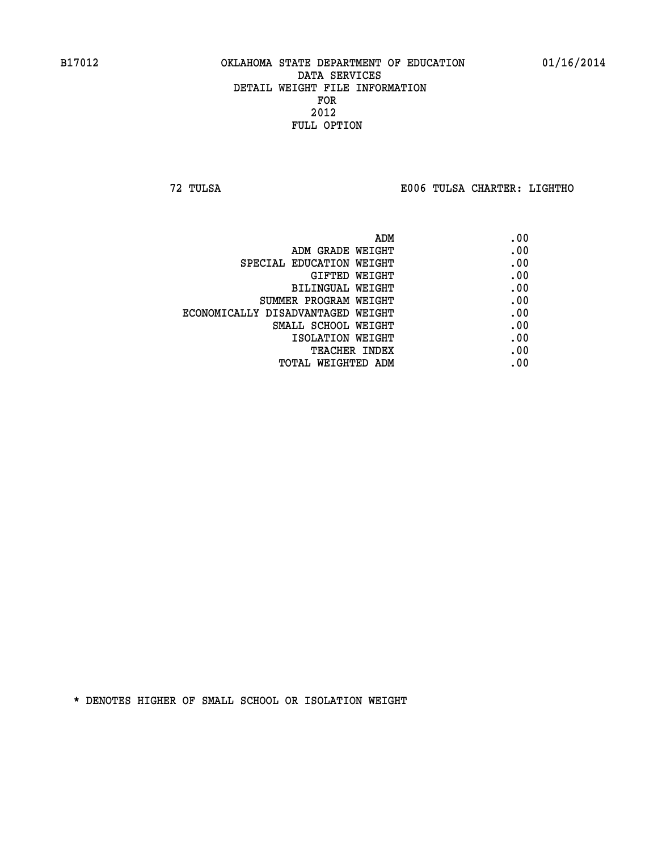**72 TULSA E006 TULSA CHARTER: LIGHTHO**

|                                   | ADM | .00 |
|-----------------------------------|-----|-----|
| ADM GRADE WEIGHT                  |     | .00 |
| SPECIAL EDUCATION WEIGHT          |     | .00 |
| GIFTED WEIGHT                     |     | .00 |
| BILINGUAL WEIGHT                  |     | .00 |
| SUMMER PROGRAM WEIGHT             |     | .00 |
| ECONOMICALLY DISADVANTAGED WEIGHT |     | .00 |
| SMALL SCHOOL WEIGHT               |     | .00 |
| ISOLATION WEIGHT                  |     | .00 |
| TEACHER INDEX                     |     | .00 |
| TOTAL WEIGHTED ADM                |     | .00 |
|                                   |     |     |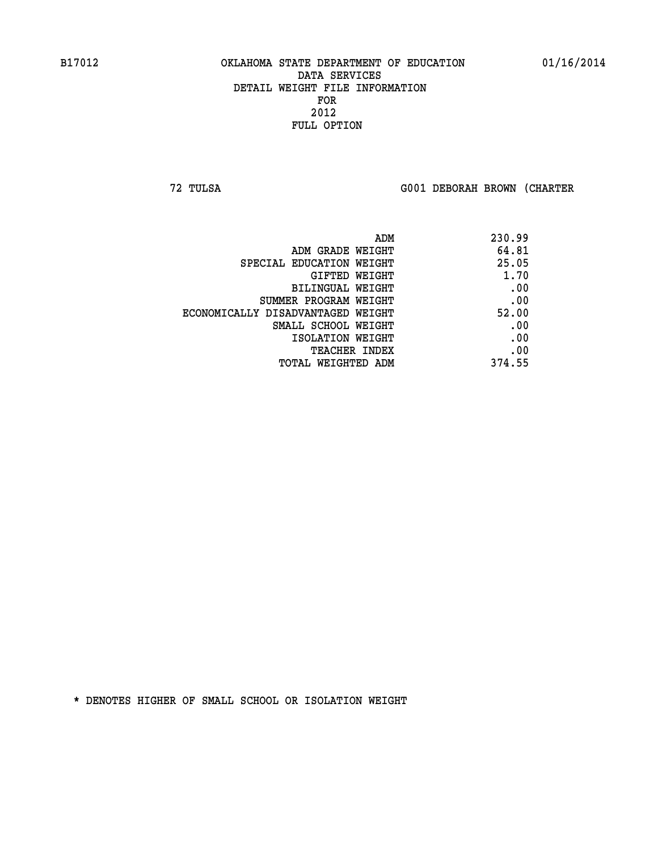**72 TULSA G001 DEBORAH BROWN (CHARTER**

|                                   | 230.99<br>ADM |
|-----------------------------------|---------------|
| ADM GRADE WEIGHT                  | 64.81         |
| SPECIAL EDUCATION WEIGHT          | 25.05         |
| <b>GIFTED WEIGHT</b>              | 1.70          |
| BILINGUAL WEIGHT                  | .00           |
| SUMMER PROGRAM WEIGHT             | .00           |
| ECONOMICALLY DISADVANTAGED WEIGHT | 52.00         |
| SMALL SCHOOL WEIGHT               | .00           |
| ISOLATION WEIGHT                  | .00           |
| <b>TEACHER INDEX</b>              | .00           |
| TOTAL WEIGHTED ADM                | 374.55        |
|                                   |               |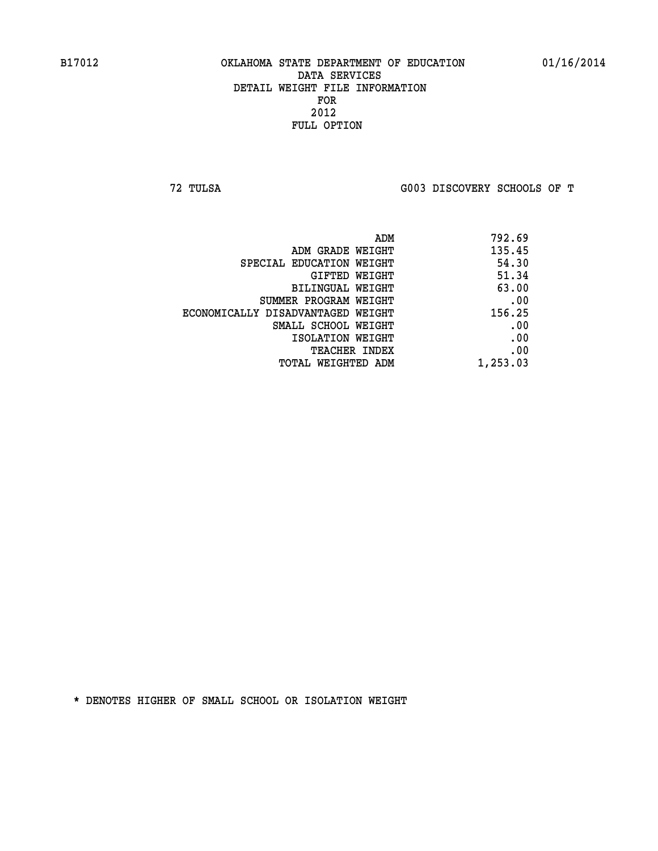**72 TULSA G003 DISCOVERY SCHOOLS OF T**

|                                   | 792.69<br>ADM |
|-----------------------------------|---------------|
| ADM GRADE WEIGHT                  | 135.45        |
| SPECIAL EDUCATION WEIGHT          | 54.30         |
| GIFTED WEIGHT                     | 51.34         |
| BILINGUAL WEIGHT                  | 63.00         |
| SUMMER PROGRAM WEIGHT             | .00           |
| ECONOMICALLY DISADVANTAGED WEIGHT | 156.25        |
| SMALL SCHOOL WEIGHT               | .00           |
| ISOLATION WEIGHT                  | .00           |
| TEACHER INDEX                     | .00           |
| TOTAL WEIGHTED ADM                | 1,253.03      |
|                                   |               |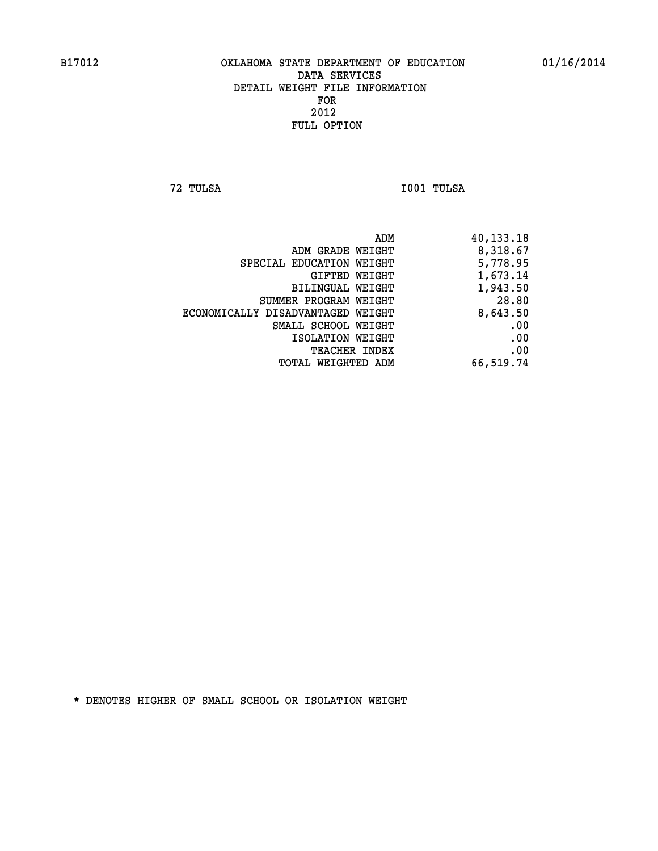**72 TULSA I001 TULSA** 

| 40,133.18 |
|-----------|
| 8,318.67  |
| 5,778.95  |
| 1,673.14  |
| 1,943.50  |
| 28.80     |
| 8,643.50  |
| .00       |
| .00       |
| .00       |
| 66,519.74 |
|           |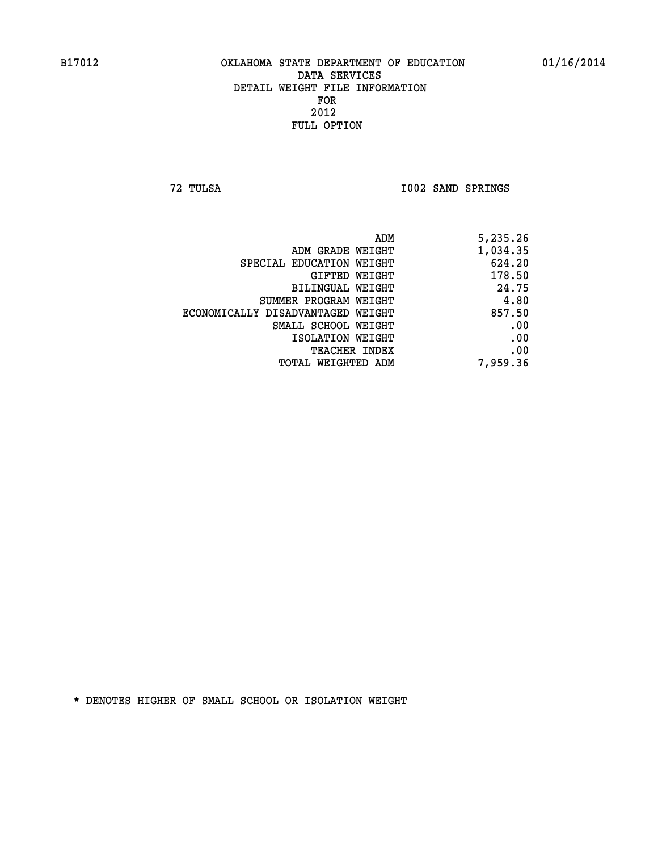**72 TULSA I002 SAND SPRINGS** 

| 5,235.26 |
|----------|
| 1,034.35 |
| 624.20   |
| 178.50   |
| 24.75    |
| 4.80     |
| 857.50   |
| .00      |
| .00      |
| .00      |
| 7,959.36 |
|          |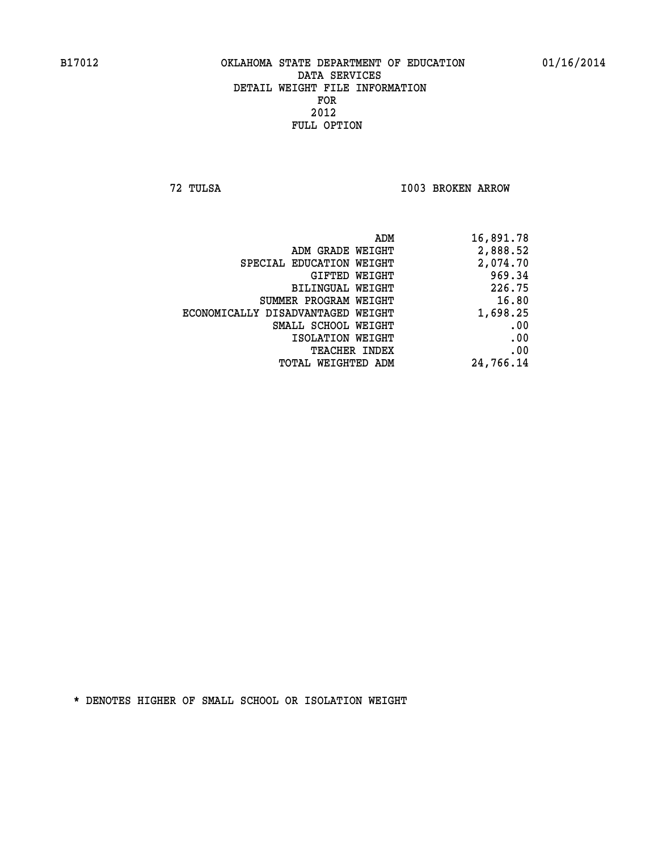**72 TULSA I003 BROKEN ARROW** 

|                                   | ADM<br>16,891.78 |
|-----------------------------------|------------------|
| ADM GRADE WEIGHT                  | 2,888.52         |
| SPECIAL EDUCATION WEIGHT          | 2,074.70         |
| GIFTED WEIGHT                     | 969.34           |
| BILINGUAL WEIGHT                  | 226.75           |
| SUMMER PROGRAM WEIGHT             | 16.80            |
| ECONOMICALLY DISADVANTAGED WEIGHT | 1,698.25         |
| SMALL SCHOOL WEIGHT               | .00              |
| ISOLATION WEIGHT                  | .00              |
| <b>TEACHER INDEX</b>              | .00              |
| TOTAL WEIGHTED ADM                | 24,766.14        |
|                                   |                  |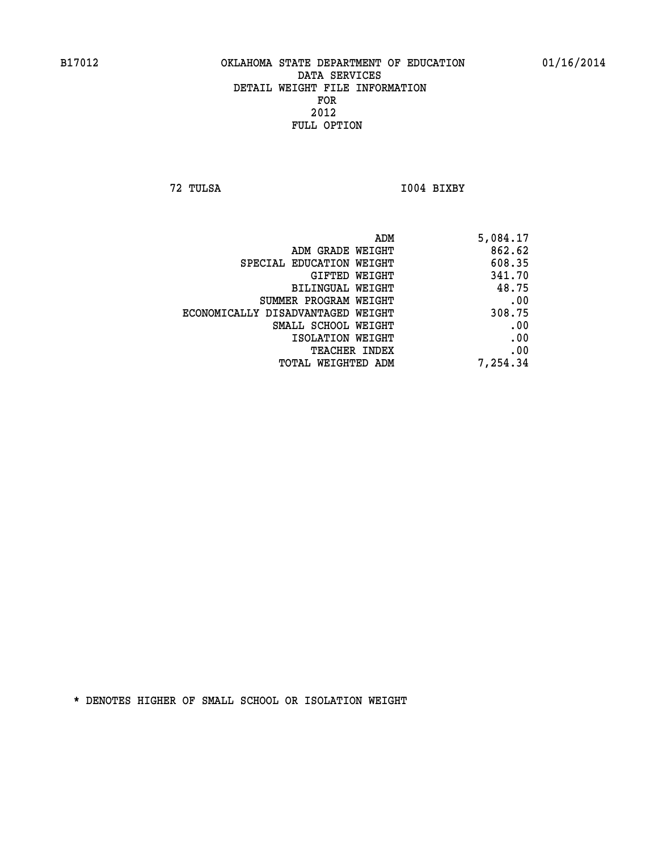**72 TULSA I004 BIXBY** 

| ADM                               | 5,084.17 |
|-----------------------------------|----------|
| ADM GRADE WEIGHT                  | 862.62   |
| SPECIAL EDUCATION WEIGHT          | 608.35   |
| GIFTED WEIGHT                     | 341.70   |
| BILINGUAL WEIGHT                  | 48.75    |
| SUMMER PROGRAM WEIGHT             | .00      |
| ECONOMICALLY DISADVANTAGED WEIGHT | 308.75   |
| SMALL SCHOOL WEIGHT               | .00      |
| ISOLATION WEIGHT                  | .00      |
| TEACHER INDEX                     | .00      |
| TOTAL WEIGHTED ADM                | 7,254.34 |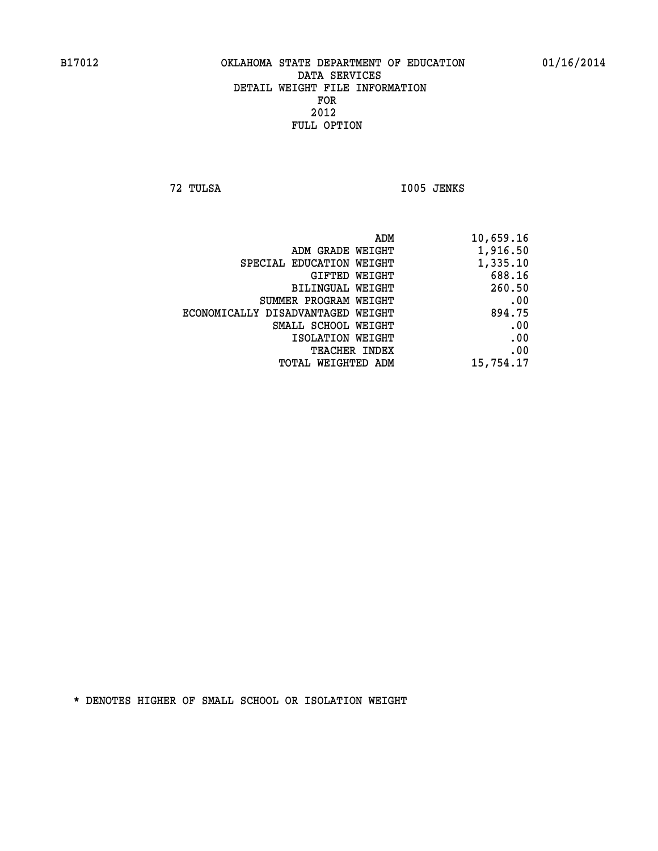**72 TULSA I005 JENKS** 

| ADM                               | 10,659.16 |
|-----------------------------------|-----------|
| ADM GRADE WEIGHT                  | 1,916.50  |
| SPECIAL EDUCATION WEIGHT          | 1,335.10  |
| GIFTED WEIGHT                     | 688.16    |
| <b>BILINGUAL WEIGHT</b>           | 260.50    |
| SUMMER PROGRAM WEIGHT             | .00       |
| ECONOMICALLY DISADVANTAGED WEIGHT | 894.75    |
| SMALL SCHOOL WEIGHT               | .00       |
| ISOLATION WEIGHT                  | .00       |
| TEACHER INDEX                     | .00       |
| TOTAL WEIGHTED ADM                | 15,754.17 |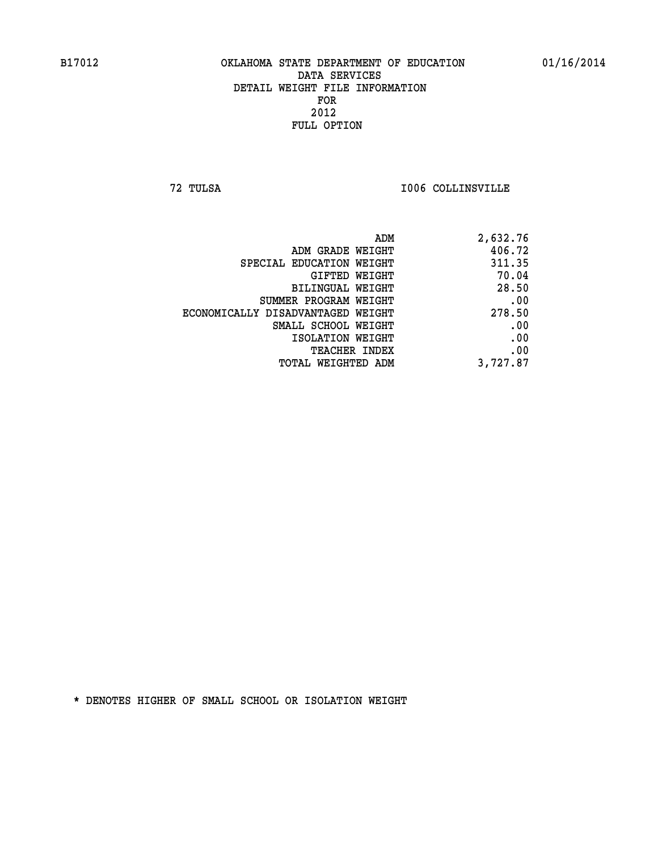**72 TULSA I006 COLLINSVILLE** 

| ADM                               | 2,632.76 |
|-----------------------------------|----------|
| ADM GRADE WEIGHT                  | 406.72   |
| SPECIAL EDUCATION WEIGHT          | 311.35   |
| GIFTED WEIGHT                     | 70.04    |
| BILINGUAL WEIGHT                  | 28.50    |
| SUMMER PROGRAM WEIGHT             | .00      |
| ECONOMICALLY DISADVANTAGED WEIGHT | 278.50   |
| SMALL SCHOOL WEIGHT               | .00      |
| ISOLATION WEIGHT                  | .00      |
| <b>TEACHER INDEX</b>              | .00      |
| <b>TOTAL WEIGHTED ADM</b>         | 3,727.87 |
|                                   |          |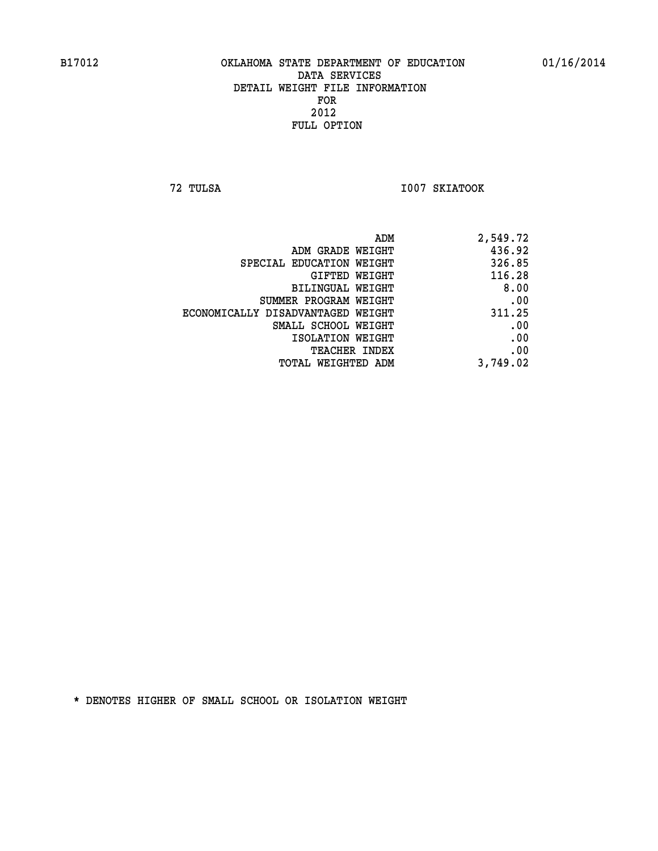**72 TULSA I007 SKIATOOK** 

| ADM                               | 2,549.72 |
|-----------------------------------|----------|
| ADM GRADE WEIGHT                  | 436.92   |
| SPECIAL EDUCATION WEIGHT          | 326.85   |
| GIFTED WEIGHT                     | 116.28   |
| <b>BILINGUAL WEIGHT</b>           | 8.00     |
| SUMMER PROGRAM WEIGHT             | .00      |
| ECONOMICALLY DISADVANTAGED WEIGHT | 311.25   |
| SMALL SCHOOL WEIGHT               | .00      |
| ISOLATION WEIGHT                  | .00      |
| TEACHER INDEX                     | .00      |
| TOTAL WEIGHTED ADM                | 3,749.02 |
|                                   |          |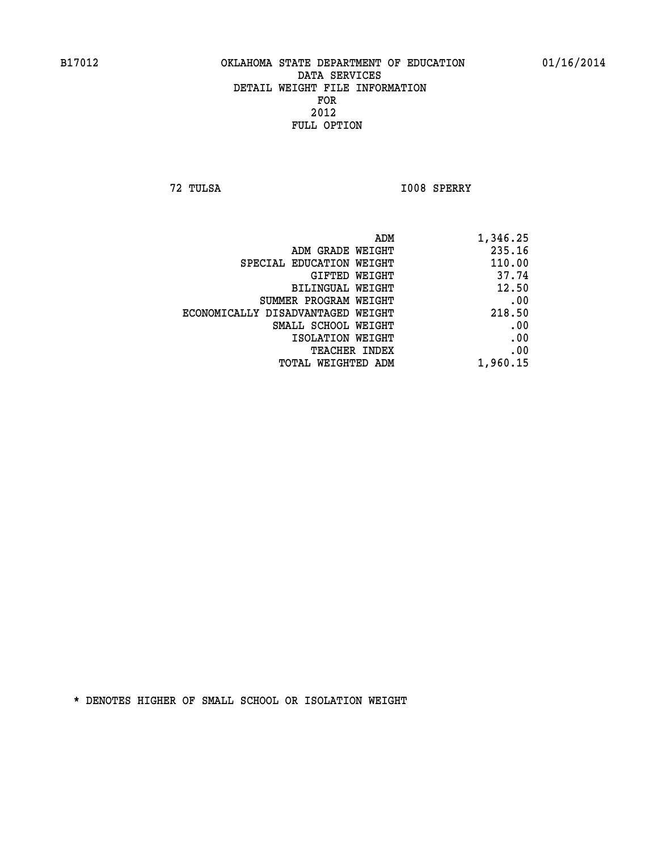**72 TULSA I008 SPERRY** 

|                                   | ADM<br>1,346.25 |  |
|-----------------------------------|-----------------|--|
| ADM GRADE WEIGHT                  | 235.16          |  |
| SPECIAL EDUCATION WEIGHT          | 110.00          |  |
| <b>GIFTED WEIGHT</b>              | 37.74           |  |
| <b>BILINGUAL WEIGHT</b>           | 12.50           |  |
| SUMMER PROGRAM WEIGHT             | .00             |  |
| ECONOMICALLY DISADVANTAGED WEIGHT | 218.50          |  |
| SMALL SCHOOL WEIGHT               | .00             |  |
| ISOLATION WEIGHT                  | .00             |  |
| TEACHER INDEX                     | .00             |  |
| TOTAL WEIGHTED ADM                | 1,960.15        |  |
|                                   |                 |  |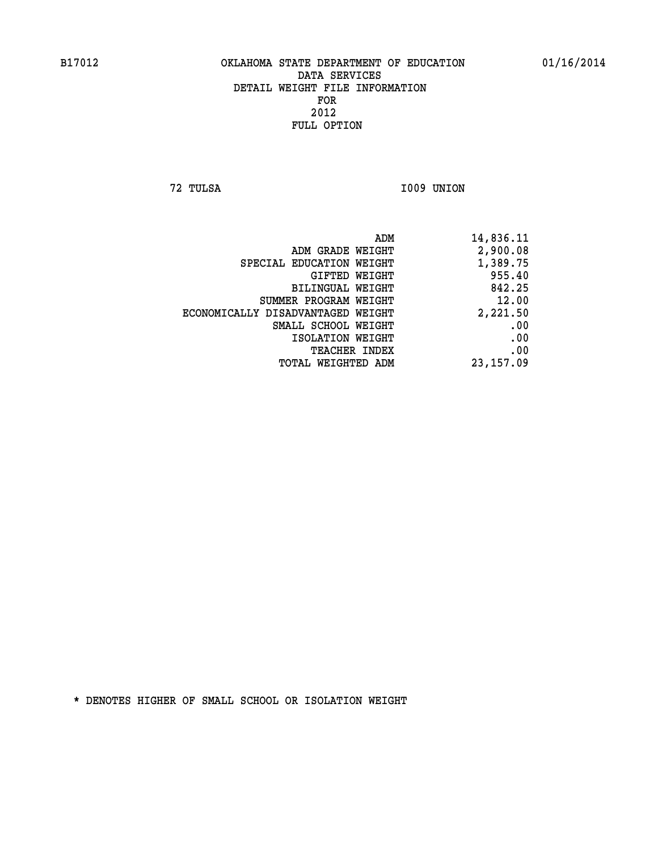**72 TULSA I009 UNION** 

| 14,836.11  |
|------------|
| 2,900.08   |
| 1,389.75   |
| 955.40     |
| 842.25     |
| 12.00      |
| 2,221.50   |
| .00        |
| .00        |
| .00        |
| 23, 157.09 |
|            |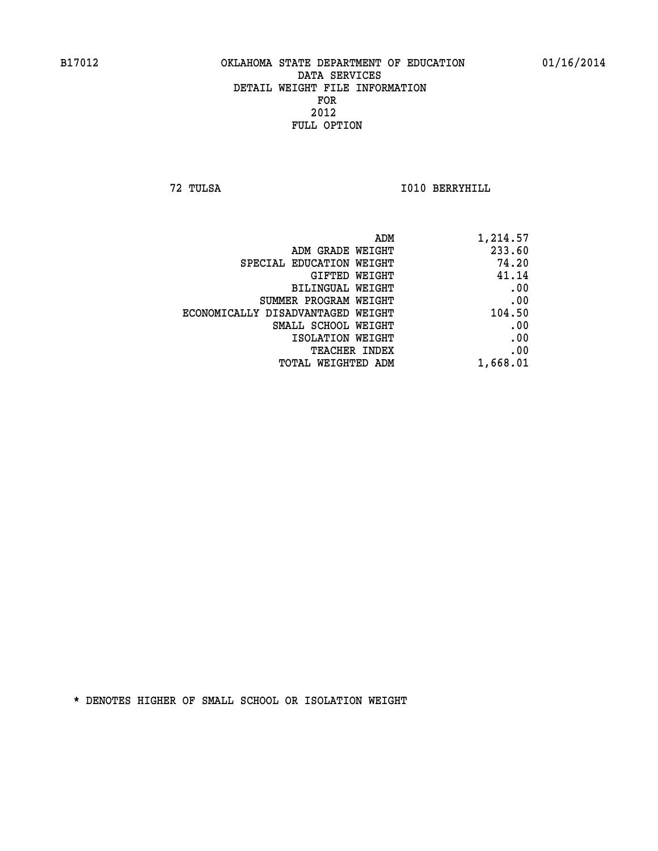**72 TULSA I010 BERRYHILL** 

| ADM                               | 1,214.57 |
|-----------------------------------|----------|
| ADM GRADE WEIGHT                  | 233.60   |
| SPECIAL EDUCATION WEIGHT          | 74.20    |
| GIFTED WEIGHT                     | 41.14    |
| <b>BILINGUAL WEIGHT</b>           | .00      |
| SUMMER PROGRAM WEIGHT             | .00      |
| ECONOMICALLY DISADVANTAGED WEIGHT | 104.50   |
| SMALL SCHOOL WEIGHT               | .00      |
| ISOLATION WEIGHT                  | .00      |
| TEACHER INDEX                     | .00      |
| TOTAL WEIGHTED ADM                | 1,668.01 |
|                                   |          |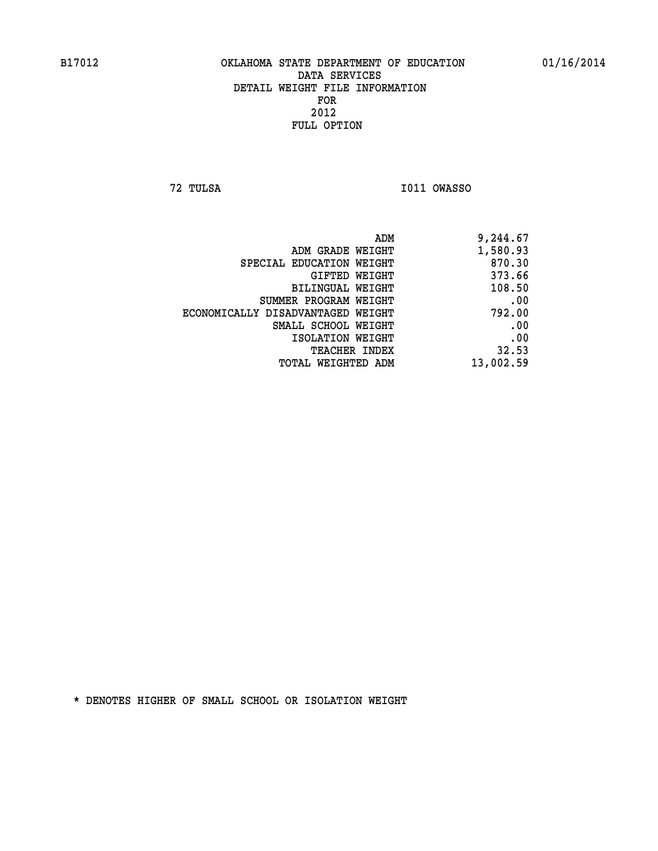**72 TULSA I011 OWASSO** 

| 9,244.67  |
|-----------|
| 1,580.93  |
| 870.30    |
| 373.66    |
| 108.50    |
| .00       |
| 792.00    |
| .00       |
| .00       |
| 32.53     |
| 13,002.59 |
|           |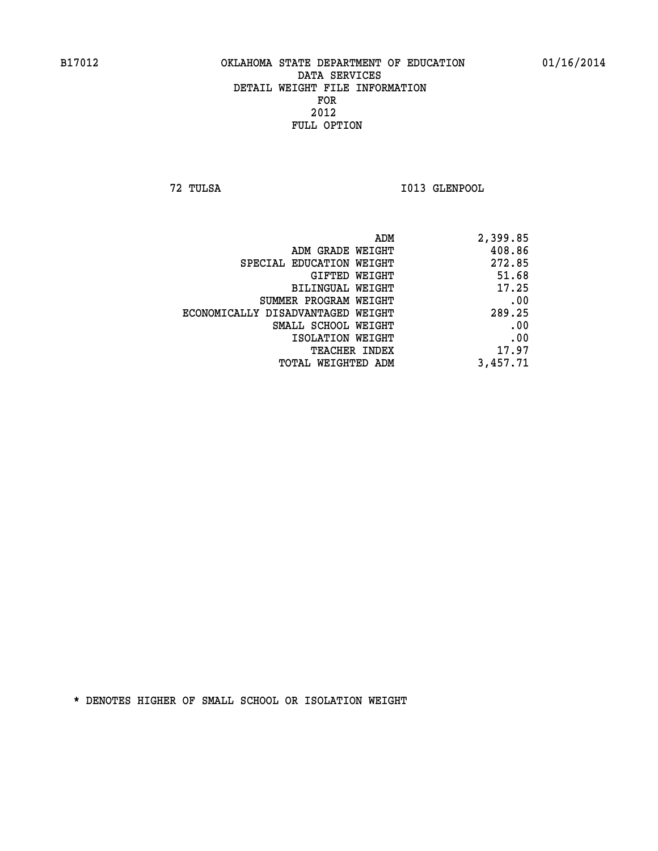**72 TULSA I013 GLENPOOL** 

| 2,399.85 |
|----------|
| 408.86   |
| 272.85   |
| 51.68    |
| 17.25    |
| .00      |
| 289.25   |
| .00      |
| .00      |
| 17.97    |
| 3,457.71 |
|          |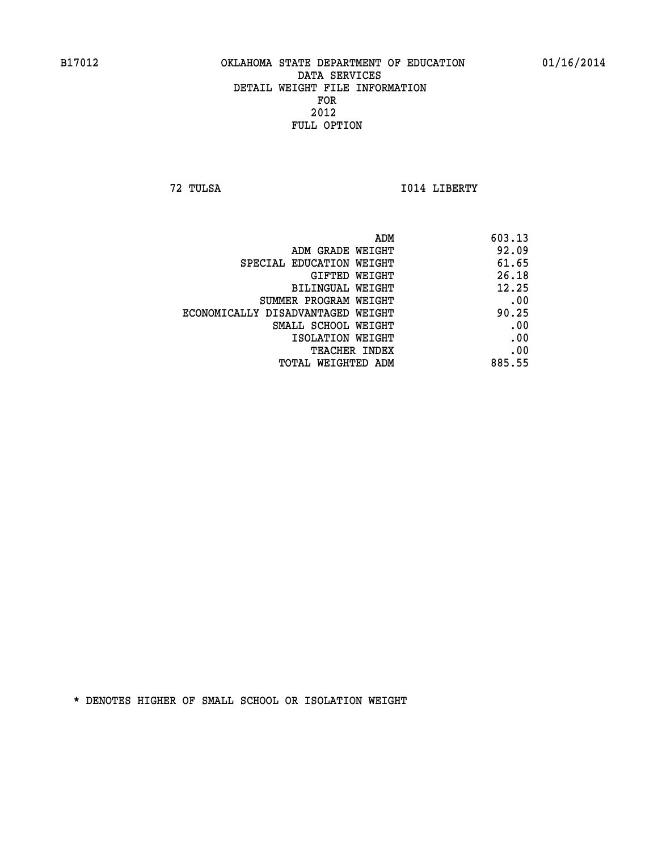**72 TULSA I014 LIBERTY** 

|                                   | ADM<br>603.13 |  |
|-----------------------------------|---------------|--|
| ADM GRADE WEIGHT                  | 92.09         |  |
| SPECIAL EDUCATION WEIGHT          | 61.65         |  |
| GIFTED WEIGHT                     | 26.18         |  |
| BILINGUAL WEIGHT                  | 12.25         |  |
| SUMMER PROGRAM WEIGHT             | .00           |  |
| ECONOMICALLY DISADVANTAGED WEIGHT | 90.25         |  |
| SMALL SCHOOL WEIGHT               | .00           |  |
| ISOLATION WEIGHT                  | .00           |  |
| TEACHER INDEX                     | .00           |  |
| TOTAL WEIGHTED ADM                | 885.55        |  |
|                                   |               |  |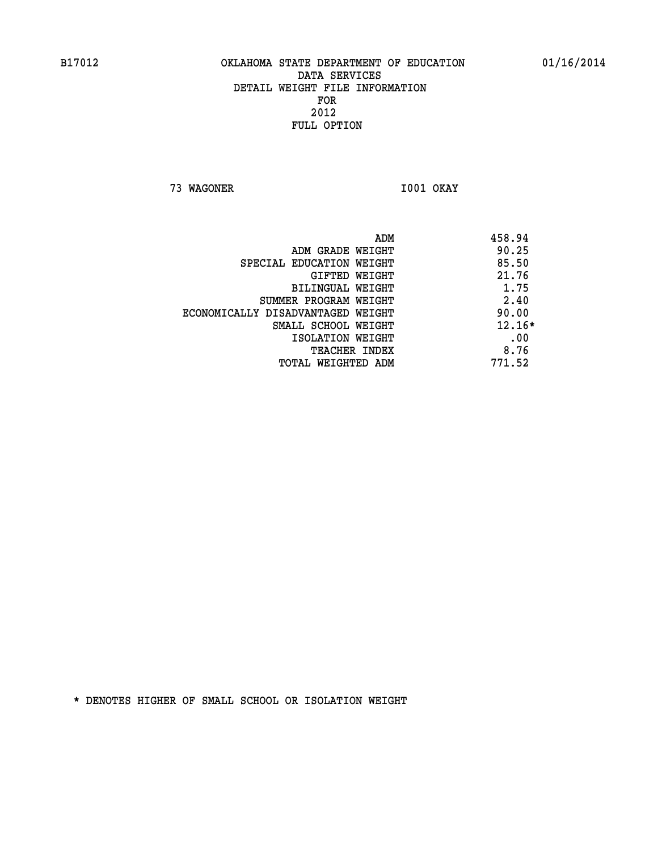**73 WAGONER I001 OKAY** 

|                                   | 458.94<br>ADM |
|-----------------------------------|---------------|
| ADM GRADE WEIGHT                  | 90.25         |
| SPECIAL EDUCATION WEIGHT          | 85.50         |
| GIFTED WEIGHT                     | 21.76         |
| BILINGUAL WEIGHT                  | 1.75          |
| SUMMER PROGRAM WEIGHT             | 2.40          |
| ECONOMICALLY DISADVANTAGED WEIGHT | 90.00         |
| SMALL SCHOOL WEIGHT               | $12.16*$      |
| ISOLATION WEIGHT                  | .00           |
| <b>TEACHER INDEX</b>              | 8.76          |
| TOTAL WEIGHTED ADM                | 771.52        |
|                                   |               |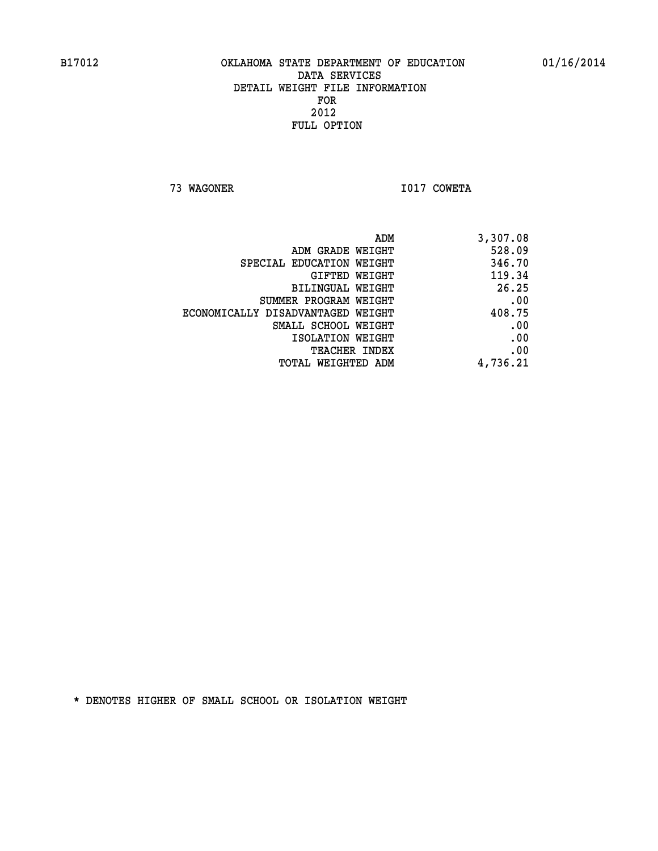**73 WAGONER I017 COWETA** 

| 3,307.08 |
|----------|
| 528.09   |
| 346.70   |
| 119.34   |
| 26.25    |
| .00      |
| 408.75   |
| .00      |
| .00      |
| .00      |
| 4,736.21 |
|          |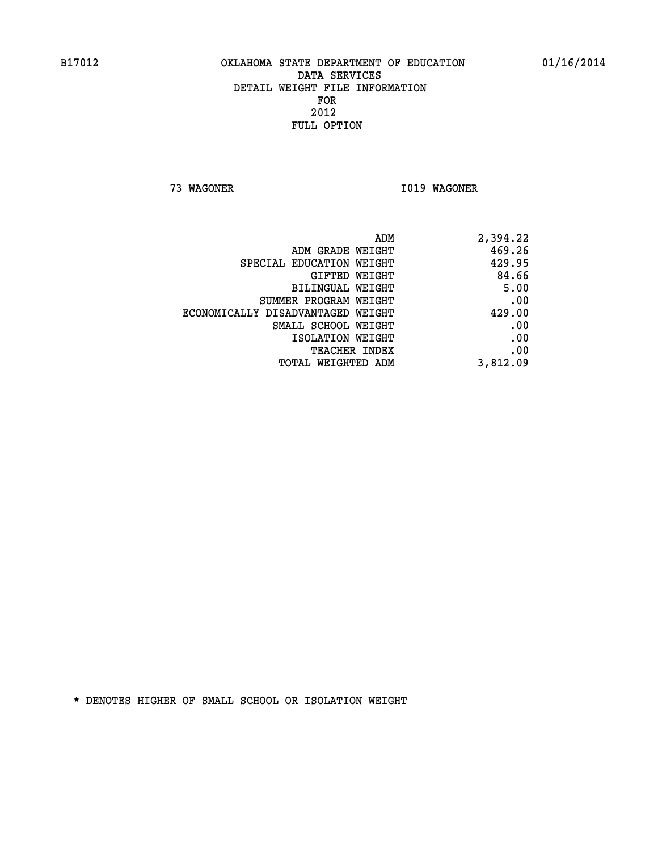**73 WAGONER I019 WAGONER** 

| 2,394.22 |
|----------|
| 469.26   |
| 429.95   |
| 84.66    |
| 5.00     |
| .00      |
| 429.00   |
| .00      |
| .00      |
| .00      |
| 3,812.09 |
|          |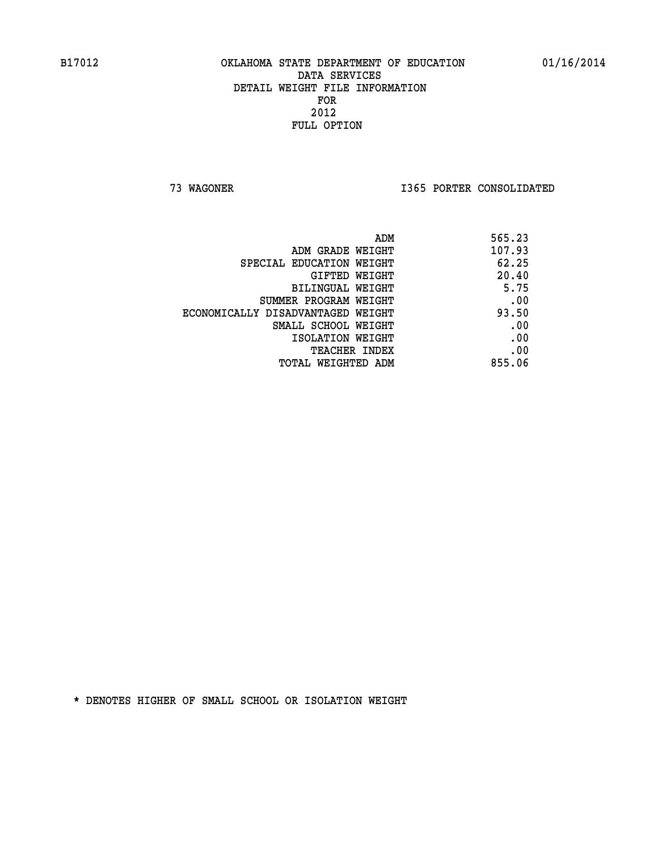**73 WAGONER I365 PORTER CONSOLIDATED** 

|                                   | 565.23<br>ADM |  |
|-----------------------------------|---------------|--|
| ADM GRADE WEIGHT                  | 107.93        |  |
| SPECIAL EDUCATION WEIGHT          | 62.25         |  |
| GIFTED WEIGHT                     | 20.40         |  |
| BILINGUAL WEIGHT                  | 5.75          |  |
| SUMMER PROGRAM WEIGHT             | .00           |  |
| ECONOMICALLY DISADVANTAGED WEIGHT | 93.50         |  |
| SMALL SCHOOL WEIGHT               | .00           |  |
| ISOLATION WEIGHT                  | .00           |  |
| TEACHER INDEX                     | .00           |  |
| TOTAL WEIGHTED ADM                | 855.06        |  |
|                                   |               |  |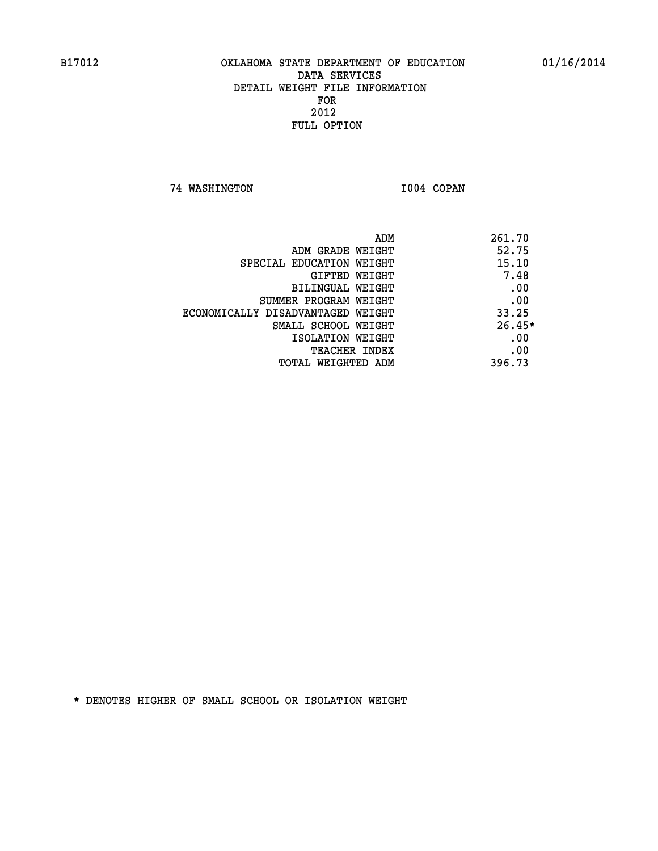**74 WASHINGTON I004 COPAN** 

| ADM                               | 261.70   |
|-----------------------------------|----------|
| ADM GRADE WEIGHT                  | 52.75    |
| SPECIAL EDUCATION WEIGHT          | 15.10    |
| GIFTED WEIGHT                     | 7.48     |
| BILINGUAL WEIGHT                  | .00      |
| SUMMER PROGRAM WEIGHT             | .00      |
| ECONOMICALLY DISADVANTAGED WEIGHT | 33.25    |
| SMALL SCHOOL WEIGHT               | $26.45*$ |
| ISOLATION WEIGHT                  | .00      |
| <b>TEACHER INDEX</b>              | .00      |
| TOTAL WEIGHTED ADM                | 396.73   |
|                                   |          |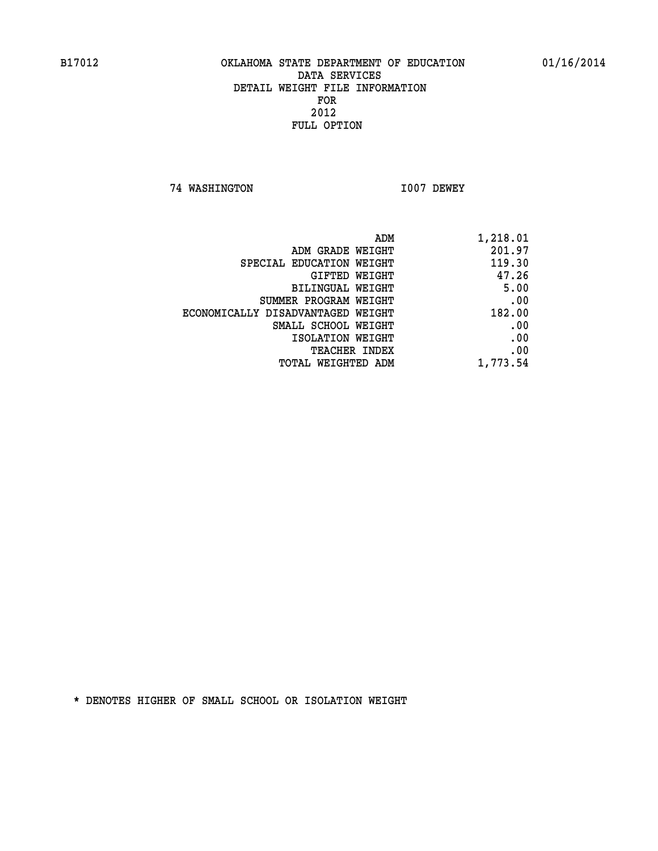**74 WASHINGTON I007 DEWEY** 

| ADM                               | 1,218.01 |
|-----------------------------------|----------|
| ADM GRADE WEIGHT                  | 201.97   |
| SPECIAL EDUCATION WEIGHT          | 119.30   |
| GIFTED WEIGHT                     | 47.26    |
| BILINGUAL WEIGHT                  | 5.00     |
| SUMMER PROGRAM WEIGHT             | .00      |
| ECONOMICALLY DISADVANTAGED WEIGHT | 182.00   |
| SMALL SCHOOL WEIGHT               | .00      |
| ISOLATION WEIGHT                  | .00      |
| <b>TEACHER INDEX</b>              | .00      |
| <b>TOTAL WEIGHTED ADM</b>         | 1,773.54 |
|                                   |          |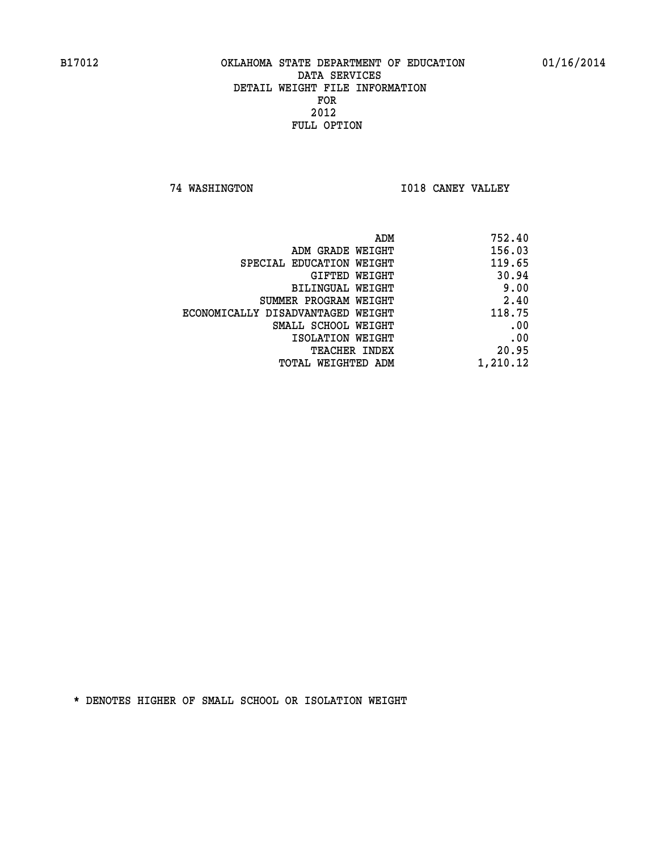**74 WASHINGTON I018 CANEY VALLEY** 

| ADM                               | 752.40   |
|-----------------------------------|----------|
| ADM GRADE WEIGHT                  | 156.03   |
| SPECIAL EDUCATION WEIGHT          | 119.65   |
| GIFTED WEIGHT                     | 30.94    |
| BILINGUAL WEIGHT                  | 9.00     |
| SUMMER PROGRAM WEIGHT             | 2.40     |
| ECONOMICALLY DISADVANTAGED WEIGHT | 118.75   |
| SMALL SCHOOL WEIGHT               | .00      |
| ISOLATION WEIGHT                  | .00      |
| <b>TEACHER INDEX</b>              | 20.95    |
| TOTAL WEIGHTED ADM                | 1,210.12 |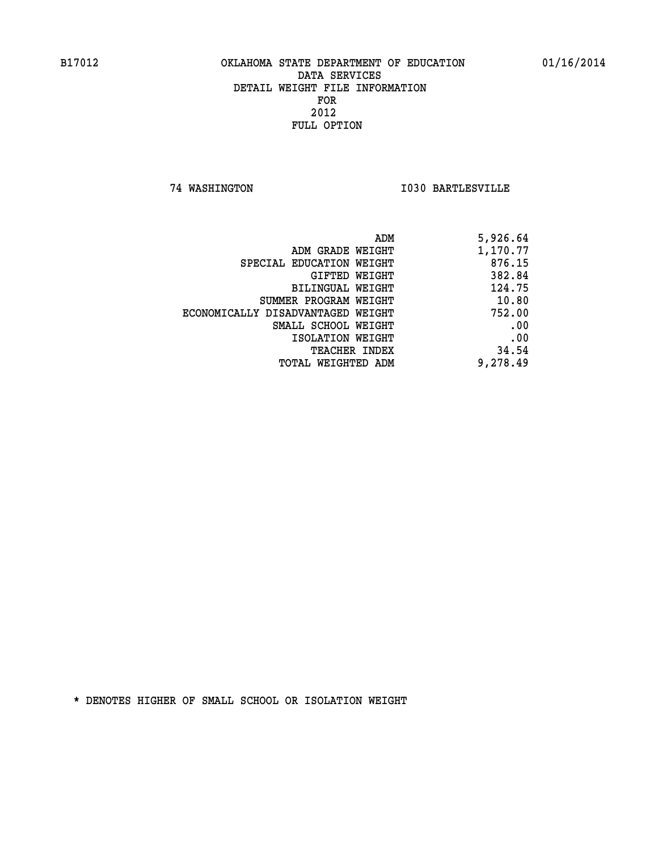**74 WASHINGTON I030 BARTLESVILLE** 

| ADM                               | 5,926.64 |
|-----------------------------------|----------|
| ADM GRADE WEIGHT                  | 1,170.77 |
| SPECIAL EDUCATION WEIGHT          | 876.15   |
| GIFTED WEIGHT                     | 382.84   |
| BILINGUAL WEIGHT                  | 124.75   |
| SUMMER PROGRAM WEIGHT             | 10.80    |
| ECONOMICALLY DISADVANTAGED WEIGHT | 752.00   |
| SMALL SCHOOL WEIGHT               | .00      |
| ISOLATION WEIGHT                  | .00      |
| TEACHER INDEX                     | 34.54    |
| TOTAL WEIGHTED ADM                | 9,278.49 |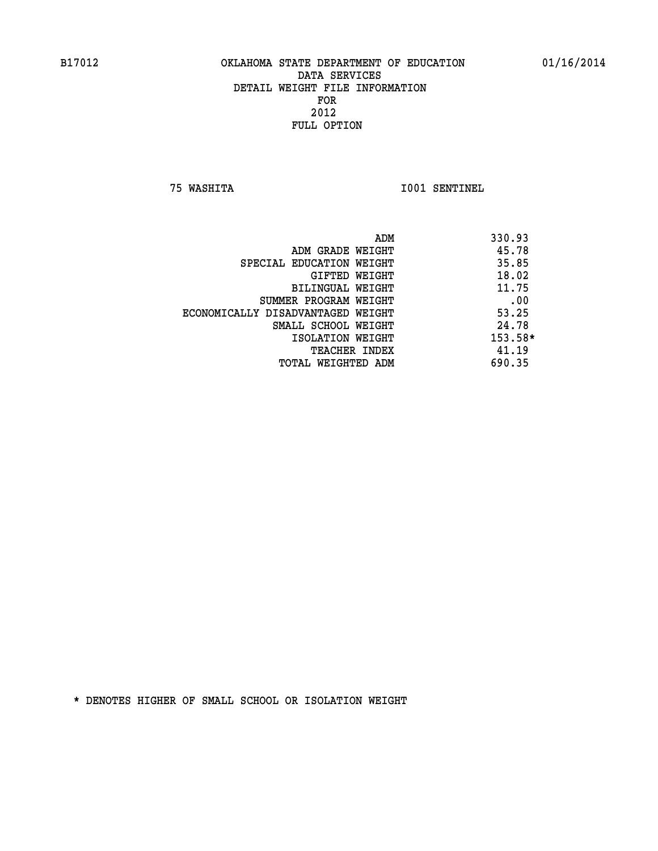**75 WASHITA I001 SENTINEL** 

|                                   | ADM<br>330.93 |
|-----------------------------------|---------------|
| ADM GRADE WEIGHT                  | 45.78         |
| SPECIAL EDUCATION WEIGHT          | 35.85         |
| GIFTED WEIGHT                     | 18.02         |
| BILINGUAL WEIGHT                  | 11.75         |
| SUMMER PROGRAM WEIGHT             | .00           |
| ECONOMICALLY DISADVANTAGED WEIGHT | 53.25         |
| SMALL SCHOOL WEIGHT               | 24.78         |
| ISOLATION WEIGHT                  | $153.58*$     |
| <b>TEACHER INDEX</b>              | 41.19         |
| TOTAL WEIGHTED ADM                | 690.35        |
|                                   |               |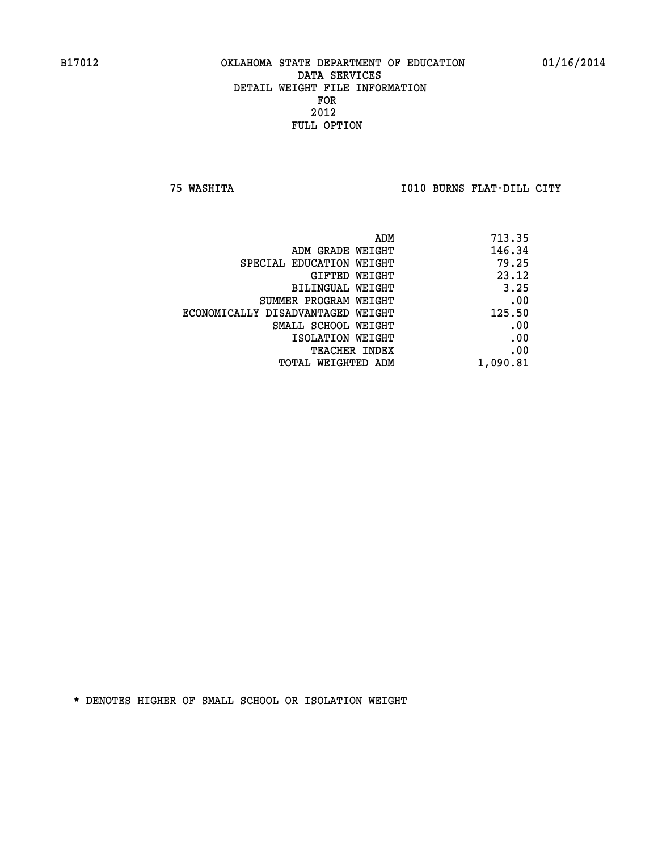**75 WASHITA I010 BURNS FLAT-DILL CITY** 

| ADM                               | 713.35   |
|-----------------------------------|----------|
| ADM GRADE WEIGHT                  | 146.34   |
| SPECIAL EDUCATION WEIGHT          | 79.25    |
| GIFTED WEIGHT                     | 23.12    |
| BILINGUAL WEIGHT                  | 3.25     |
| SUMMER PROGRAM WEIGHT             | .00      |
| ECONOMICALLY DISADVANTAGED WEIGHT | 125.50   |
| SMALL SCHOOL WEIGHT               | .00      |
| ISOLATION WEIGHT                  | .00      |
| <b>TEACHER INDEX</b>              | .00      |
| TOTAL WEIGHTED ADM                | 1,090.81 |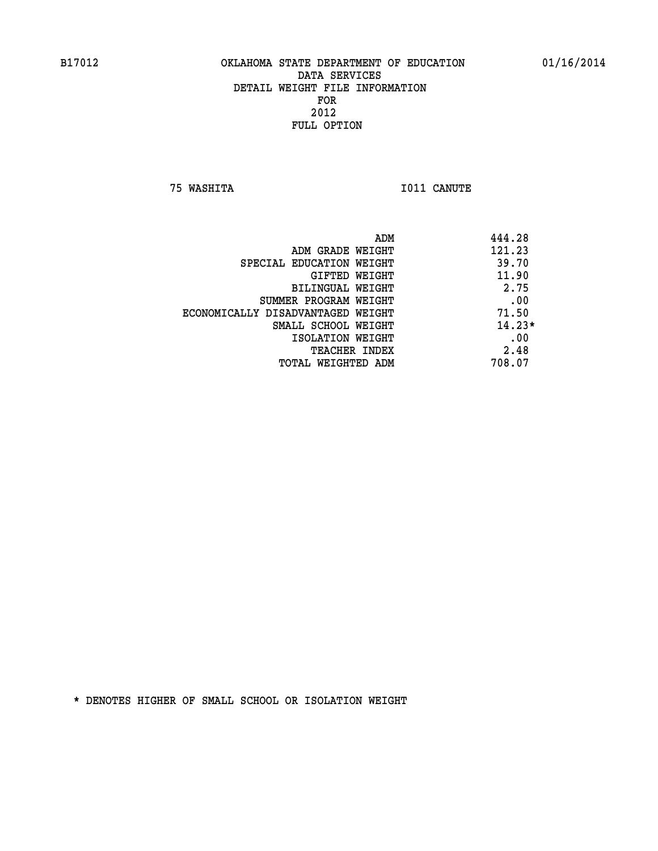**75 WASHITA I011 CANUTE** 

| ADM                               | 444.28   |
|-----------------------------------|----------|
| ADM GRADE WEIGHT                  | 121.23   |
| SPECIAL EDUCATION WEIGHT          | 39.70    |
| <b>GIFTED WEIGHT</b>              | 11.90    |
| BILINGUAL WEIGHT                  | 2.75     |
| SUMMER PROGRAM WEIGHT             | .00      |
| ECONOMICALLY DISADVANTAGED WEIGHT | 71.50    |
| SMALL SCHOOL WEIGHT               | $14.23*$ |
| ISOLATION WEIGHT                  | .00      |
| <b>TEACHER INDEX</b>              | 2.48     |
| TOTAL WEIGHTED ADM                | 708.07   |
|                                   |          |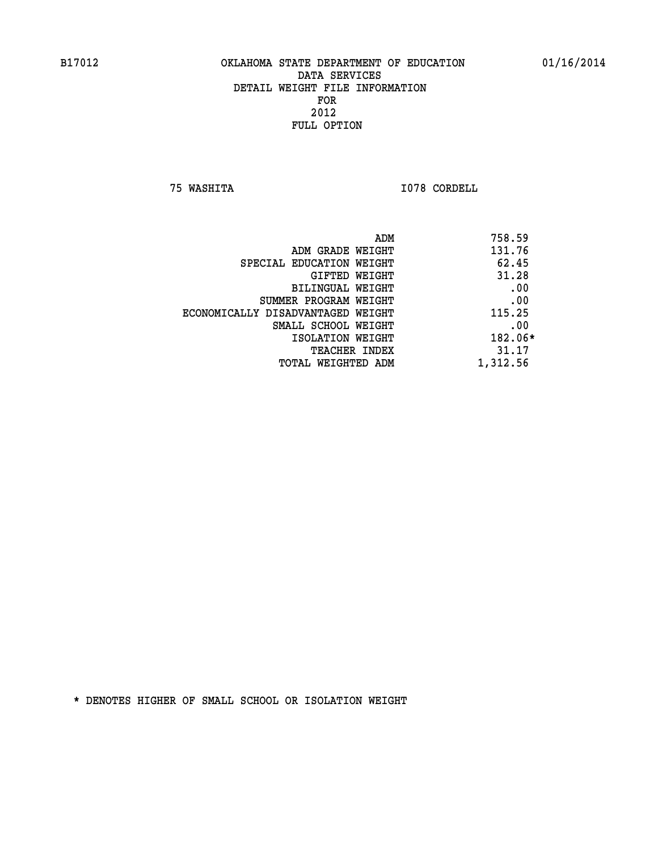**75 WASHITA I078 CORDELL** 

| 758.59<br>ADM |                                   |
|---------------|-----------------------------------|
| 131.76        | ADM GRADE WEIGHT                  |
| 62.45         | SPECIAL EDUCATION WEIGHT          |
| 31.28         | GIFTED WEIGHT                     |
| .00           | BILINGUAL WEIGHT                  |
| .00           | SUMMER PROGRAM WEIGHT             |
| 115.25        | ECONOMICALLY DISADVANTAGED WEIGHT |
| .00           | SMALL SCHOOL WEIGHT               |
| 182.06*       | ISOLATION WEIGHT                  |
| 31.17         | <b>TEACHER INDEX</b>              |
| 1,312.56      | TOTAL WEIGHTED ADM                |
|               |                                   |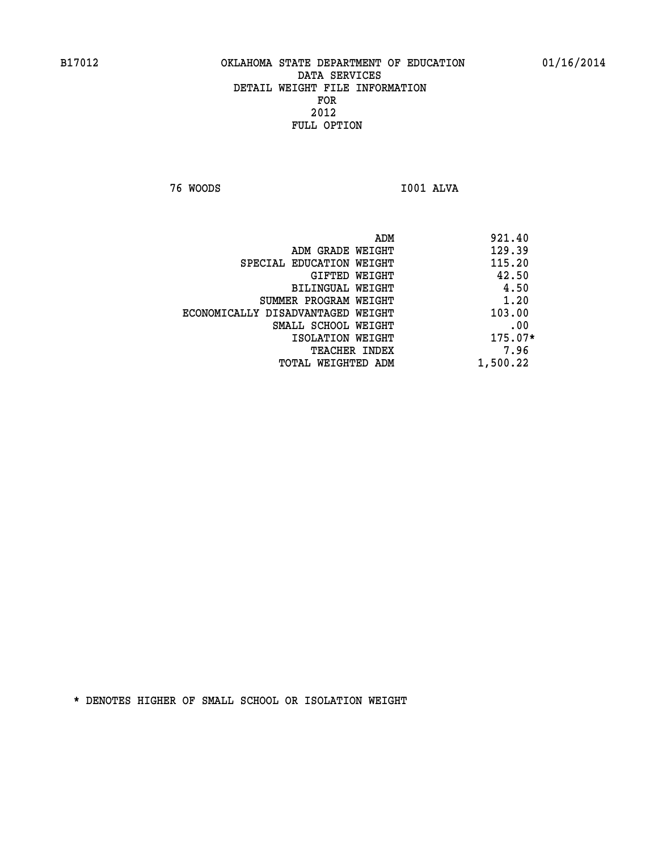**76 WOODS I001 ALVA** 

| ADM                               | 921.40    |
|-----------------------------------|-----------|
| ADM GRADE WEIGHT                  | 129.39    |
| SPECIAL EDUCATION WEIGHT          | 115.20    |
| GIFTED WEIGHT                     | 42.50     |
| BILINGUAL WEIGHT                  | 4.50      |
| SUMMER PROGRAM WEIGHT             | 1.20      |
| ECONOMICALLY DISADVANTAGED WEIGHT | 103.00    |
| SMALL SCHOOL WEIGHT               | .00       |
| ISOLATION WEIGHT                  | $175.07*$ |
| <b>TEACHER INDEX</b>              | 7.96      |
| 1,500.22<br>TOTAL WEIGHTED ADM    |           |
|                                   |           |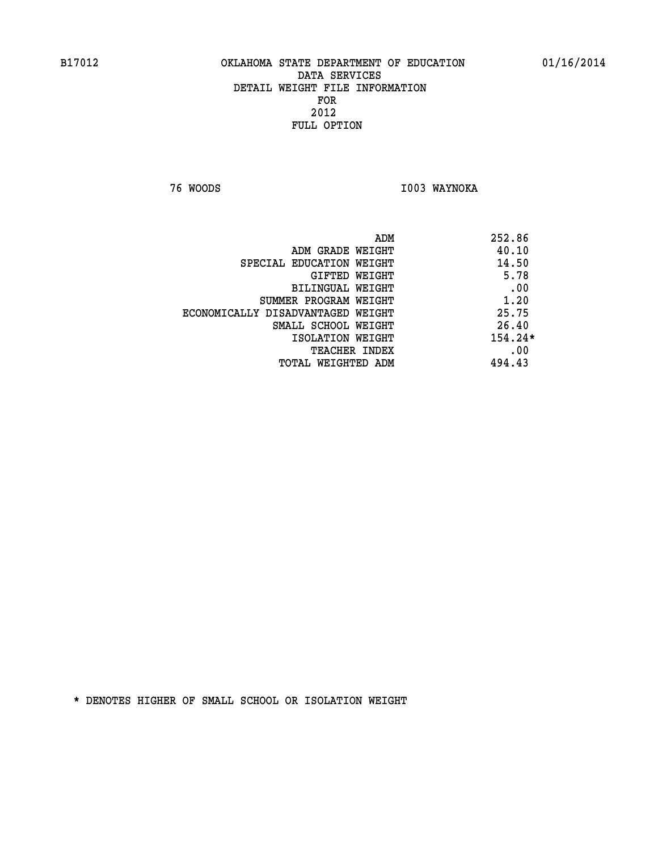**76 WOODS I003 WAYNOKA** 

|                                   | ADM | 252.86    |
|-----------------------------------|-----|-----------|
| ADM GRADE WEIGHT                  |     | 40.10     |
| SPECIAL EDUCATION WEIGHT          |     | 14.50     |
| GIFTED WEIGHT                     |     | 5.78      |
| BILINGUAL WEIGHT                  |     | .00       |
| SUMMER PROGRAM WEIGHT             |     | 1.20      |
| ECONOMICALLY DISADVANTAGED WEIGHT |     | 25.75     |
| SMALL SCHOOL WEIGHT               |     | 26.40     |
| ISOLATION WEIGHT                  |     | $154.24*$ |
| TEACHER INDEX                     |     | .00       |
| TOTAL WEIGHTED ADM                |     | 494.43    |
|                                   |     |           |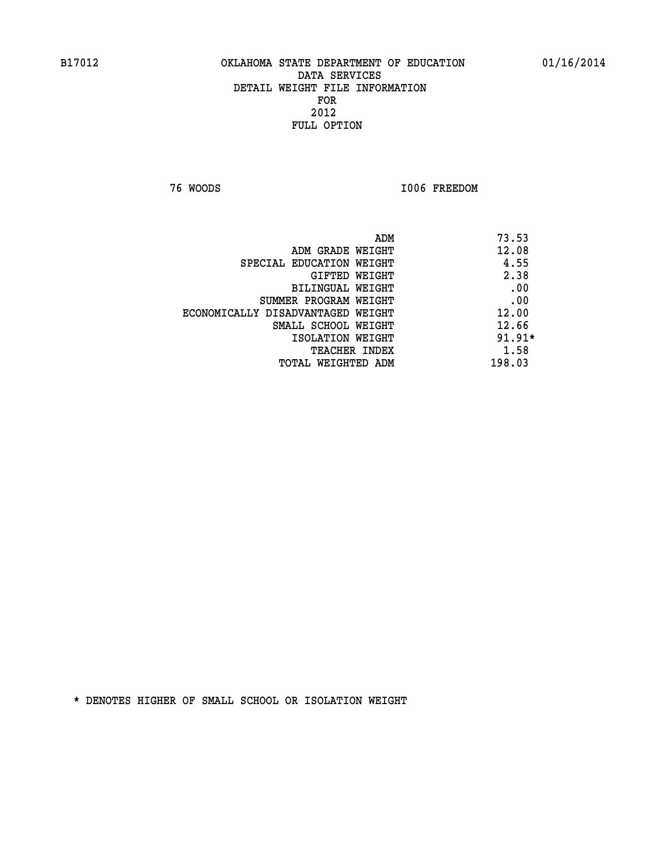**76 WOODS I006 FREEDOM** 

|                                   | ADM | 73.53    |
|-----------------------------------|-----|----------|
| ADM GRADE WEIGHT                  |     | 12.08    |
| SPECIAL EDUCATION WEIGHT          |     | 4.55     |
| GIFTED WEIGHT                     |     | 2.38     |
| BILINGUAL WEIGHT                  |     | .00      |
| SUMMER PROGRAM WEIGHT             |     | .00      |
| ECONOMICALLY DISADVANTAGED WEIGHT |     | 12.00    |
| SMALL SCHOOL WEIGHT               |     | 12.66    |
| ISOLATION WEIGHT                  |     | $91.91*$ |
| TEACHER INDEX                     |     | 1.58     |
| TOTAL WEIGHTED ADM                |     | 198.03   |
|                                   |     |          |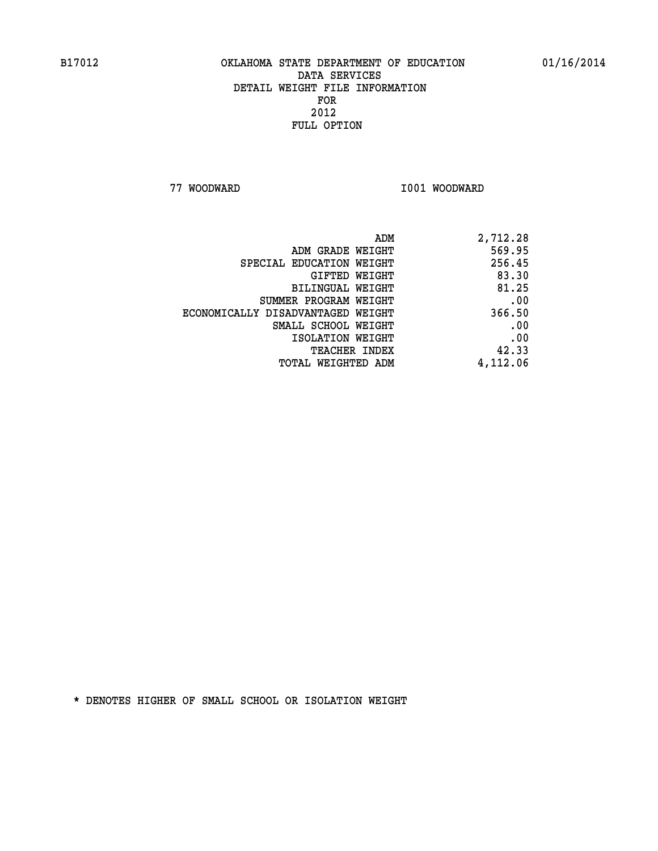**77 WOODWARD I001 WOODWARD** 

| 2,712.28 |
|----------|
| 569.95   |
| 256.45   |
| 83.30    |
| 81.25    |
| .00      |
| 366.50   |
| .00      |
| .00      |
| 42.33    |
| 4,112.06 |
|          |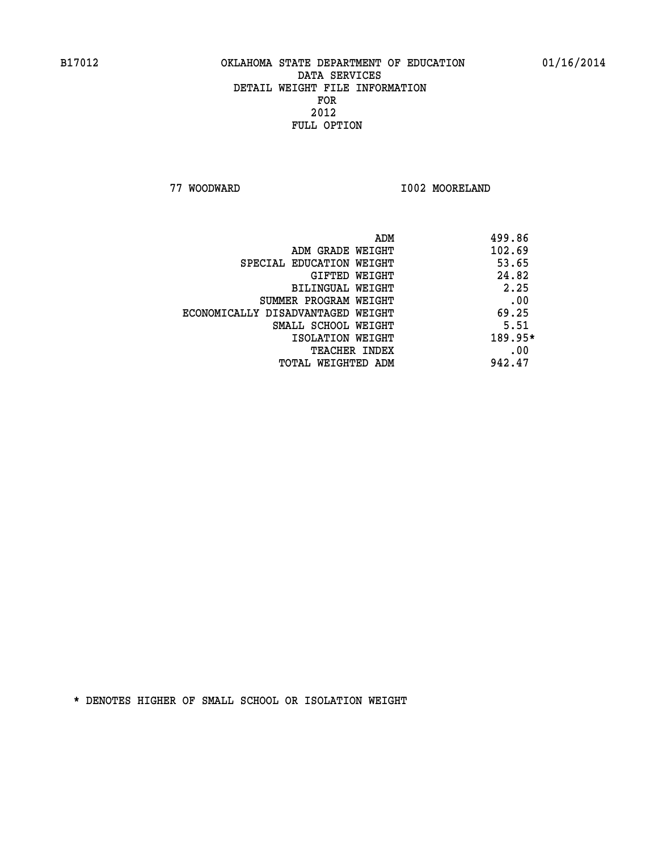**77 WOODWARD I002 MOORELAND** 

| 499.86  |
|---------|
| 102.69  |
| 53.65   |
| 24.82   |
| 2.25    |
| .00     |
| 69.25   |
| 5.51    |
| 189.95* |
| .00     |
| 942.47  |
|         |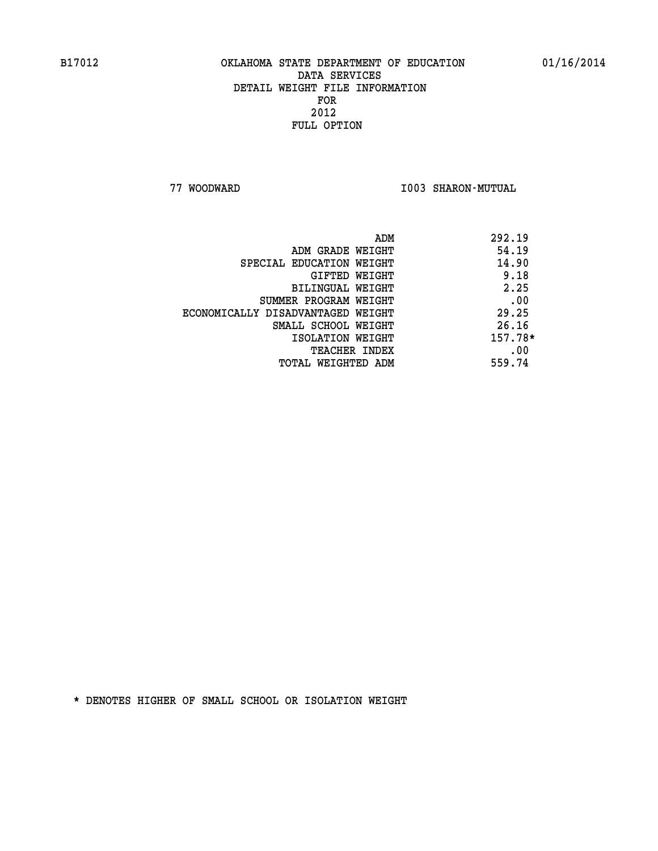**77 WOODWARD I003 SHARON-MUTUAL** 

|                                   | ADM | 292.19  |
|-----------------------------------|-----|---------|
| ADM GRADE WEIGHT                  |     | 54.19   |
| SPECIAL EDUCATION WEIGHT          |     | 14.90   |
| GIFTED WEIGHT                     |     | 9.18    |
| BILINGUAL WEIGHT                  |     | 2.25    |
| SUMMER PROGRAM WEIGHT             |     | .00     |
| ECONOMICALLY DISADVANTAGED WEIGHT |     | 29.25   |
| SMALL SCHOOL WEIGHT               |     | 26.16   |
| ISOLATION WEIGHT                  |     | 157.78* |
| <b>TEACHER INDEX</b>              |     | .00     |
| TOTAL WEIGHTED ADM                |     | 559.74  |
|                                   |     |         |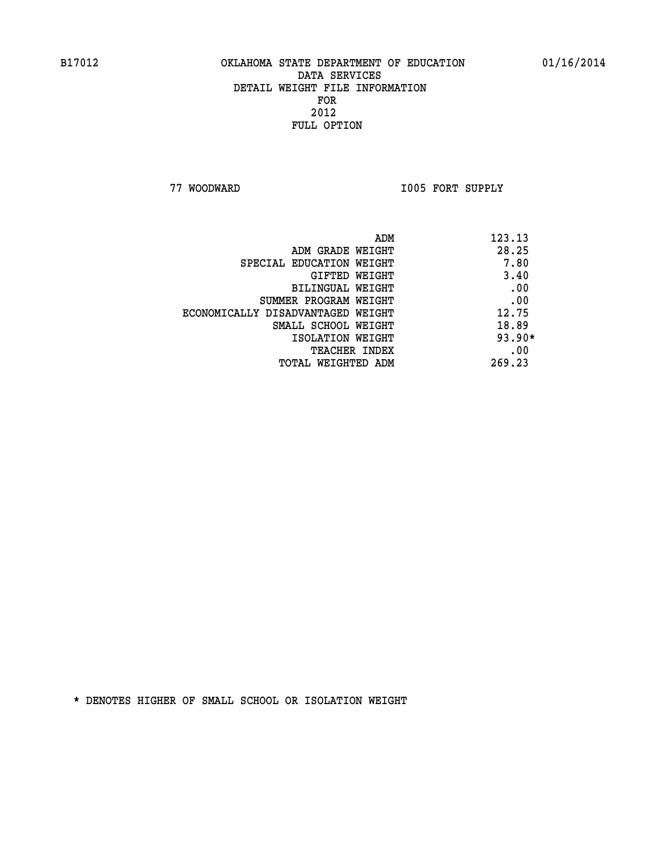**77 WOODWARD I005 FORT SUPPLY** 

| ADM                               | 123.13   |
|-----------------------------------|----------|
| ADM GRADE WEIGHT                  | 28.25    |
| SPECIAL EDUCATION WEIGHT          | 7.80     |
| GIFTED WEIGHT                     | 3.40     |
| BILINGUAL WEIGHT                  | .00      |
| SUMMER PROGRAM WEIGHT             | .00      |
| ECONOMICALLY DISADVANTAGED WEIGHT | 12.75    |
| SMALL SCHOOL WEIGHT               | 18.89    |
| ISOLATION WEIGHT                  | $93.90*$ |
| <b>TEACHER INDEX</b>              | .00      |
| TOTAL WEIGHTED ADM                | 269.23   |
|                                   |          |